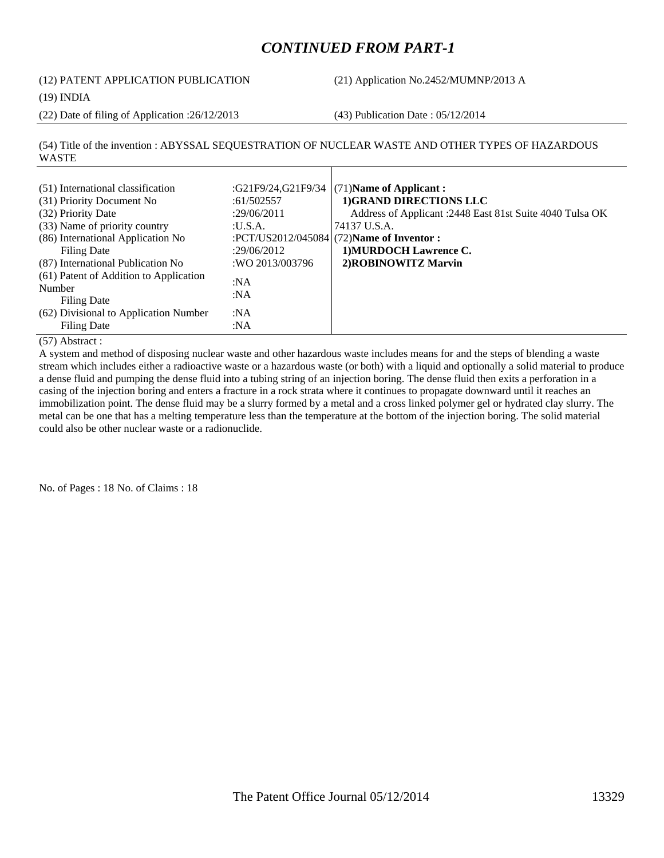## *CONTINUED FROM PART-1*

(12) PATENT APPLICATION PUBLICATION (21) Application No.2452/MUMNP/2013 A

#### (19) INDIA

(22) Date of filing of Application :26/12/2013 (43) Publication Date : 05/12/2014

(54) Title of the invention : ABYSSAL SEQUESTRATION OF NUCLEAR WASTE AND OTHER TYPES OF HAZARDOUS WASTE

| (51) International classification      |                 | :G21F9/24,G21F9/34 $(71)$ Name of Applicant:             |
|----------------------------------------|-----------------|----------------------------------------------------------|
| (31) Priority Document No              | :61/502557      | 1) GRAND DIRECTIONS LLC                                  |
| (32) Priority Date                     | :29/06/2011     | Address of Applicant: 2448 East 81st Suite 4040 Tulsa OK |
| (33) Name of priority country          | :U.S.A.         | 74137 U.S.A.                                             |
| (86) International Application No      |                 | :PCT/US2012/045084 $(72)$ Name of Inventor :             |
| Filing Date                            | :29/06/2012     | 1) MURDOCH Lawrence C.                                   |
| (87) International Publication No      | :WO 2013/003796 | 2) ROBINOWITZ Marvin                                     |
| (61) Patent of Addition to Application | : $NA$          |                                                          |
| Number                                 |                 |                                                          |
| Filing Date                            | : $NA$          |                                                          |
| (62) Divisional to Application Number  | : $NA$          |                                                          |
| <b>Filing Date</b>                     | :NA             |                                                          |

(57) Abstract :

A system and method of disposing nuclear waste and other hazardous waste includes means for and the steps of blending a waste stream which includes either a radioactive waste or a hazardous waste (or both) with a liquid and optionally a solid material to produce a dense fluid and pumping the dense fluid into a tubing string of an injection boring. The dense fluid then exits a perforation in a casing of the injection boring and enters a fracture in a rock strata where it continues to propagate downward until it reaches an immobilization point. The dense fluid may be a slurry formed by a metal and a cross linked polymer gel or hydrated clay slurry. The metal can be one that has a melting temperature less than the temperature at the bottom of the injection boring. The solid material could also be other nuclear waste or a radionuclide.

No. of Pages : 18 No. of Claims : 18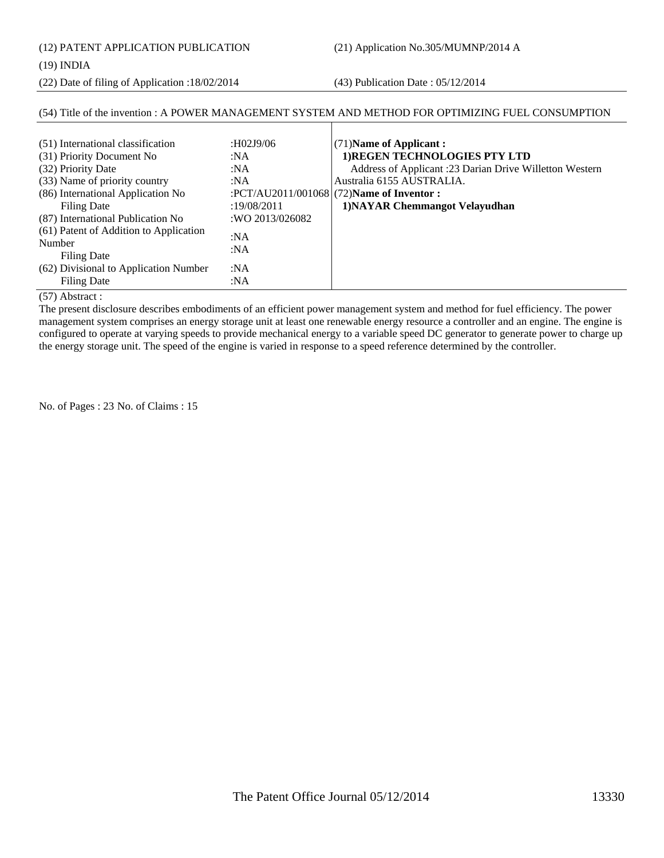(12) PATENT APPLICATION PUBLICATION (21) Application No.305/MUMNP/2014 A

#### (19) INDIA

(22) Date of filing of Application :18/02/2014 (43) Publication Date : 05/12/2014

## (54) Title of the invention : A POWER MANAGEMENT SYSTEM AND METHOD FOR OPTIMIZING FUEL CONSUMPTION

| (51) International classification<br>(31) Priority Document No<br>(32) Priority Date<br>(33) Name of priority country<br>(86) International Application No<br>Filing Date<br>(87) International Publication No<br>(61) Patent of Addition to Application<br>Number<br>Filing Date<br>(62) Divisional to Application Number | :H02J9/06<br>:NA<br>:NA<br>:NA<br>:19/08/2011<br>:WO 2013/026082<br>:NA<br>:NA<br>:N $A$ | (71) Name of Applicant:<br>1) REGEN TECHNOLOGIES PTY LTD<br>Address of Applicant :23 Darian Drive Willetton Western<br>Australia 6155 AUSTRALIA.<br>:PCT/AU2011/001068 $(72)$ Name of Inventor :<br>1) NAYAR Chemmangot Velayudhan |
|----------------------------------------------------------------------------------------------------------------------------------------------------------------------------------------------------------------------------------------------------------------------------------------------------------------------------|------------------------------------------------------------------------------------------|------------------------------------------------------------------------------------------------------------------------------------------------------------------------------------------------------------------------------------|
| Filing Date                                                                                                                                                                                                                                                                                                                | :NA                                                                                      |                                                                                                                                                                                                                                    |

(57) Abstract :

The present disclosure describes embodiments of an efficient power management system and method for fuel efficiency. The power management system comprises an energy storage unit at least one renewable energy resource a controller and an engine. The engine is configured to operate at varying speeds to provide mechanical energy to a variable speed DC generator to generate power to charge up the energy storage unit. The speed of the engine is varied in response to a speed reference determined by the controller.

No. of Pages : 23 No. of Claims : 15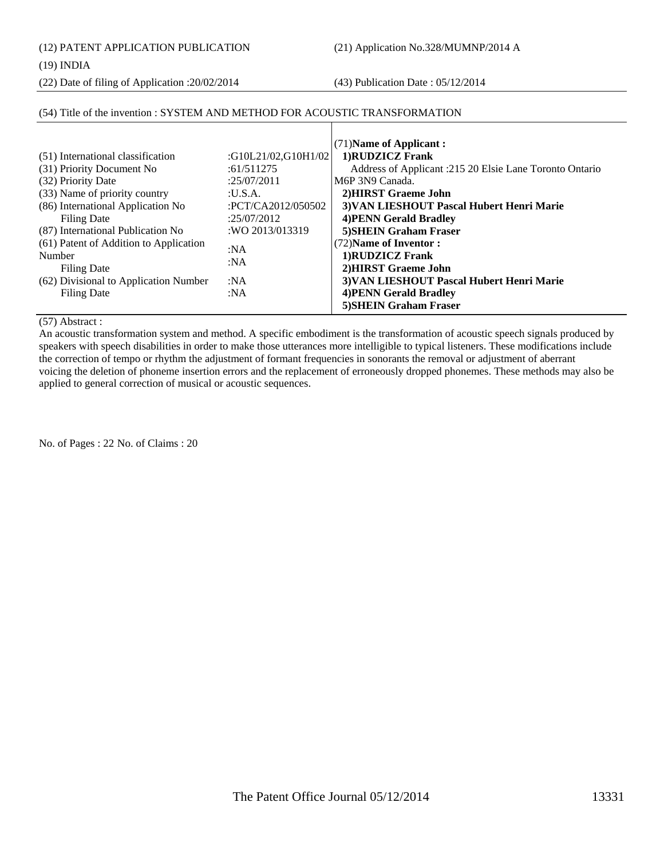(12) PATENT APPLICATION PUBLICATION (21) Application No.328/MUMNP/2014 A

#### (19) INDIA

(22) Date of filing of Application :20/02/2014 (43) Publication Date : 05/12/2014

#### (54) Title of the invention : SYSTEM AND METHOD FOR ACOUSTIC TRANSFORMATION

|                                        |                     | (71) Name of Applicant:                                 |
|----------------------------------------|---------------------|---------------------------------------------------------|
| (51) International classification      | :G10L21/02,G10H1/02 | 1)RUDZICZ Frank                                         |
| (31) Priority Document No              | :61/511275          | Address of Applicant :215 20 Elsie Lane Toronto Ontario |
| (32) Priority Date                     | :25/07/2011         | M6P 3N9 Canada.                                         |
| (33) Name of priority country          | : <b>U.S.A.</b>     | 2) HIRST Graeme John                                    |
| (86) International Application No      | :PCT/CA2012/050502  | 3) VAN LIESHOUT Pascal Hubert Henri Marie               |
| <b>Filing Date</b>                     | :25/07/2012         | <b>4) PENN Gerald Bradley</b>                           |
| (87) International Publication No      | :WO 2013/013319     | <b>5)SHEIN Graham Fraser</b>                            |
| (61) Patent of Addition to Application | :NA                 | (72) Name of Inventor:                                  |
| Number                                 |                     | 1)RUDZICZ Frank                                         |
| Filing Date                            | :NA                 | 2) HIRST Graeme John                                    |
| (62) Divisional to Application Number  | :NA                 | 3) VAN LIESHOUT Pascal Hubert Henri Marie               |
| <b>Filing Date</b>                     | :NA                 | <b>4)PENN Gerald Bradley</b>                            |
|                                        |                     | <b>5)SHEIN Graham Fraser</b>                            |

(57) Abstract :

An acoustic transformation system and method. A specific embodiment is the transformation of acoustic speech signals produced by speakers with speech disabilities in order to make those utterances more intelligible to typical listeners. These modifications include the correction of tempo or rhythm the adjustment of formant frequencies in sonorants the removal or adjustment of aberrant voicing the deletion of phoneme insertion errors and the replacement of erroneously dropped phonemes. These methods may also be applied to general correction of musical or acoustic sequences.

No. of Pages : 22 No. of Claims : 20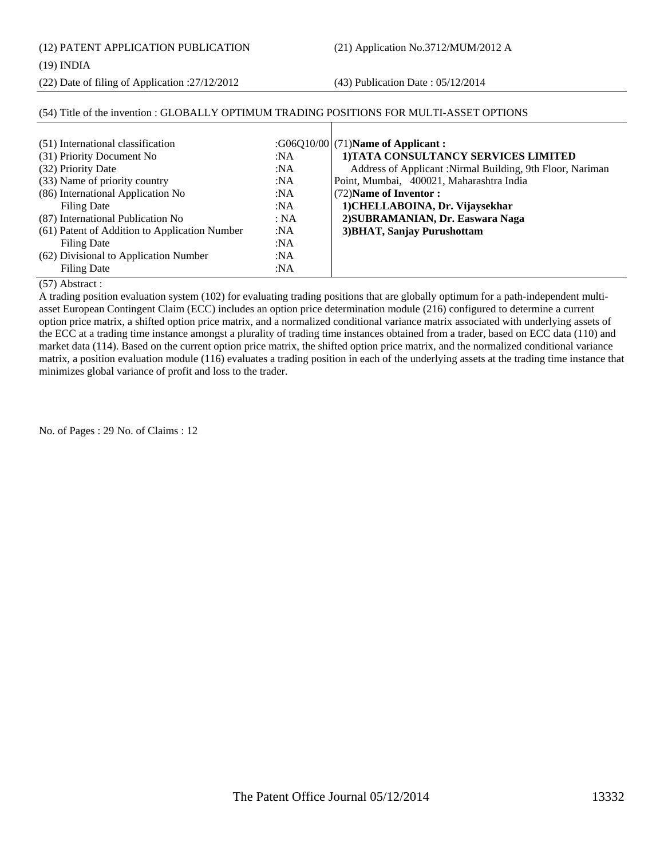(12) PATENT APPLICATION PUBLICATION (21) Application No.3712/MUM/2012 A

#### (19) INDIA

(22) Date of filing of Application :27/12/2012 (43) Publication Date : 05/12/2014

### (54) Title of the invention : GLOBALLY OPTIMUM TRADING POSITIONS FOR MULTI-ASSET OPTIONS

| (51) International classification<br>(31) Priority Document No<br>(32) Priority Date | :N $A$<br>:NA | : $G06Q10/00$ (71) Name of Applicant:<br>1) TATA CONSULTANCY SERVICES LIMITED<br>Address of Applicant :Nirmal Building, 9th Floor, Nariman |
|--------------------------------------------------------------------------------------|---------------|--------------------------------------------------------------------------------------------------------------------------------------------|
| (33) Name of priority country<br>(86) International Application No                   | :NA<br>:NA    | Point, Mumbai, 400021, Maharashtra India<br>$(72)$ Name of Inventor:                                                                       |
| Filing Date<br>(87) International Publication No                                     | :NA<br>: NA   | 1) CHELLABOINA, Dr. Vijaysekhar<br>2) SUBRAMANIAN, Dr. Easwara Naga                                                                        |
| (61) Patent of Addition to Application Number<br><b>Filing Date</b>                  | :NA<br>:NA    | 3) BHAT, Sanjay Purushottam                                                                                                                |
| (62) Divisional to Application Number<br>Filing Date                                 | :N $A$<br>:NA |                                                                                                                                            |

(57) Abstract :

A trading position evaluation system (102) for evaluating trading positions that are globally optimum for a path-independent multiasset European Contingent Claim (ECC) includes an option price determination module (216) configured to determine a current option price matrix, a shifted option price matrix, and a normalized conditional variance matrix associated with underlying assets of the ECC at a trading time instance amongst a plurality of trading time instances obtained from a trader, based on ECC data (110) and market data (114). Based on the current option price matrix, the shifted option price matrix, and the normalized conditional variance matrix, a position evaluation module (116) evaluates a trading position in each of the underlying assets at the trading time instance that minimizes global variance of profit and loss to the trader.

No. of Pages : 29 No. of Claims : 12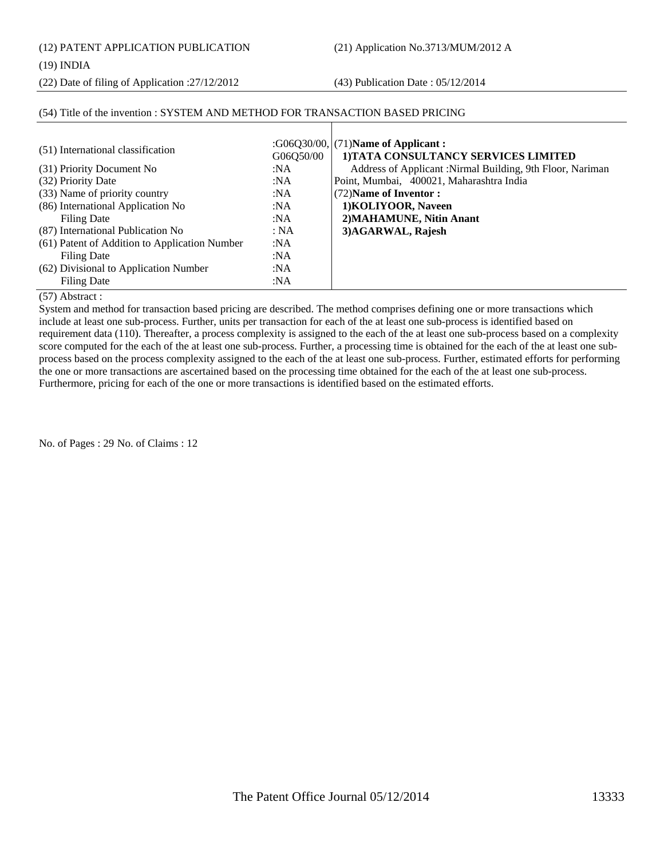(12) PATENT APPLICATION PUBLICATION (21) Application No.3713/MUM/2012 A

#### (19) INDIA

(22) Date of filing of Application :27/12/2012 (43) Publication Date : 05/12/2014

### (54) Title of the invention : SYSTEM AND METHOD FOR TRANSACTION BASED PRICING

| (51) International classification             |           | : $G06Q30/00$ , $(71)$ Name of Applicant :                 |
|-----------------------------------------------|-----------|------------------------------------------------------------|
|                                               | G06O50/00 | 1) TATA CONSULTANCY SERVICES LIMITED                       |
| (31) Priority Document No                     | : $NA$    | Address of Applicant : Nirmal Building, 9th Floor, Nariman |
| (32) Priority Date                            | :NA       | Point, Mumbai, 400021, Maharashtra India                   |
| (33) Name of priority country                 | :NA       | (72) Name of Inventor:                                     |
| (86) International Application No             | :NA       | 1) KOLIYOOR, Naveen                                        |
| Filing Date                                   | :NA       | 2) MAHAMUNE, Nitin Anant                                   |
| (87) International Publication No             | : NA      | 3) AGARWAL, Rajesh                                         |
| (61) Patent of Addition to Application Number | :NA       |                                                            |
| Filing Date                                   | :NA       |                                                            |
| (62) Divisional to Application Number         | :NA       |                                                            |
| Filing Date                                   | :N $A$    |                                                            |

### (57) Abstract :

System and method for transaction based pricing are described. The method comprises defining one or more transactions which include at least one sub-process. Further, units per transaction for each of the at least one sub-process is identified based on requirement data (110). Thereafter, a process complexity is assigned to the each of the at least one sub-process based on a complexity score computed for the each of the at least one sub-process. Further, a processing time is obtained for the each of the at least one subprocess based on the process complexity assigned to the each of the at least one sub-process. Further, estimated efforts for performing the one or more transactions are ascertained based on the processing time obtained for the each of the at least one sub-process. Furthermore, pricing for each of the one or more transactions is identified based on the estimated efforts.

No. of Pages : 29 No. of Claims : 12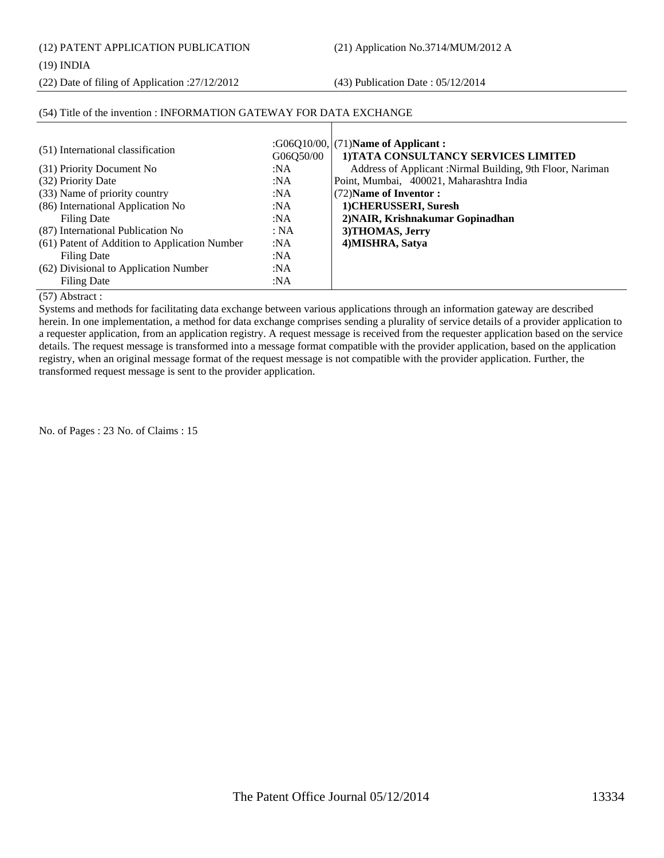(12) PATENT APPLICATION PUBLICATION (21) Application No.3714/MUM/2012 A

### (19) INDIA

(22) Date of filing of Application :27/12/2012 (43) Publication Date : 05/12/2014

### (54) Title of the invention : INFORMATION GATEWAY FOR DATA EXCHANGE

| (51) International classification             |           | : $G06Q10/00$ , $(71)$ Name of Applicant :                 |
|-----------------------------------------------|-----------|------------------------------------------------------------|
|                                               | G06Q50/00 | 1) TATA CONSULTANCY SERVICES LIMITED                       |
| (31) Priority Document No                     | :N $A$    | Address of Applicant : Nirmal Building, 9th Floor, Nariman |
| (32) Priority Date                            | :NA       | Point, Mumbai, 400021, Maharashtra India                   |
| (33) Name of priority country                 | :NA       | (72) Name of Inventor:                                     |
| (86) International Application No             | :NA       | 1) CHERUSSERI, Suresh                                      |
| Filing Date                                   | :NA       | 2) NAIR, Krishnakumar Gopinadhan                           |
| (87) International Publication No             | : NA      | 3) THOMAS, Jerry                                           |
| (61) Patent of Addition to Application Number | :NA       | 4) MISHRA, Satya                                           |
| Filing Date                                   | :NA       |                                                            |
| (62) Divisional to Application Number         | :NA       |                                                            |
| Filing Date                                   | :NA       |                                                            |

### (57) Abstract :

Systems and methods for facilitating data exchange between various applications through an information gateway are described herein. In one implementation, a method for data exchange comprises sending a plurality of service details of a provider application to a requester application, from an application registry. A request message is received from the requester application based on the service details. The request message is transformed into a message format compatible with the provider application, based on the application registry, when an original message format of the request message is not compatible with the provider application. Further, the transformed request message is sent to the provider application.

No. of Pages : 23 No. of Claims : 15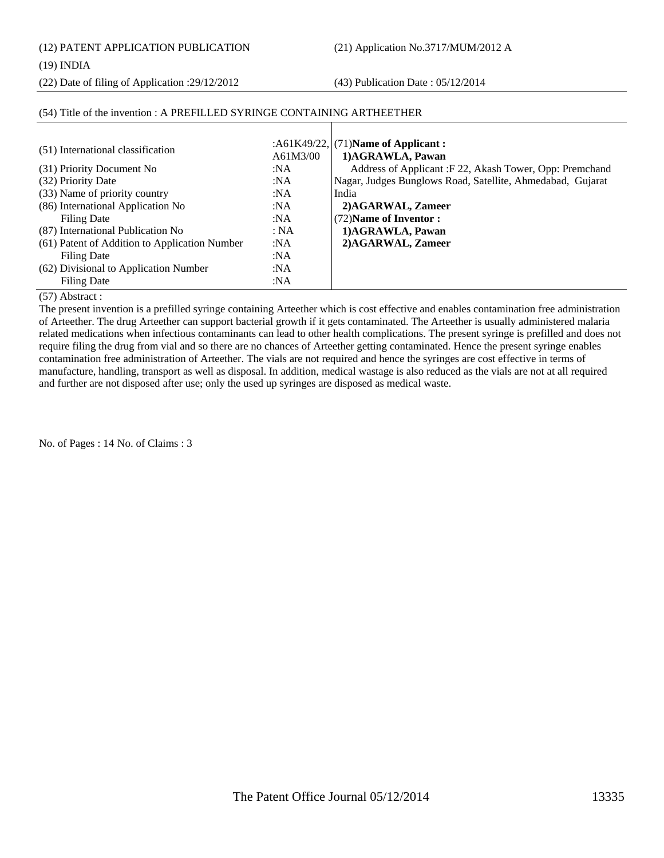(12) PATENT APPLICATION PUBLICATION (21) Application No.3717/MUM/2012 A

### (19) INDIA

(22) Date of filing of Application :29/12/2012 (43) Publication Date : 05/12/2014

#### (54) Title of the invention : A PREFILLED SYRINGE CONTAINING ARTHEETHER

| (51) International classification             |          | : $A61K49/22$ , (71)Name of Applicant :                    |
|-----------------------------------------------|----------|------------------------------------------------------------|
|                                               | A61M3/00 | 1) AGRAWLA, Pawan                                          |
| (31) Priority Document No                     | :NA      | Address of Applicant: F 22, Akash Tower, Opp: Premchand    |
| (32) Priority Date                            | :NA      | Nagar, Judges Bunglows Road, Satellite, Ahmedabad, Gujarat |
| (33) Name of priority country                 | :NA      | India                                                      |
| (86) International Application No             | :NA      | 2) AGARWAL, Zameer                                         |
| Filing Date                                   | :NA      | (72) Name of Inventor:                                     |
| (87) International Publication No             | : NA     | 1) AGRAWLA, Pawan                                          |
| (61) Patent of Addition to Application Number | :NA      | 2) AGARWAL, Zameer                                         |
| Filing Date                                   | :NA      |                                                            |
| (62) Divisional to Application Number         | :NA      |                                                            |
| Filing Date                                   | :NA      |                                                            |

### (57) Abstract :

The present invention is a prefilled syringe containing Arteether which is cost effective and enables contamination free administration of Arteether. The drug Arteether can support bacterial growth if it gets contaminated. The Arteether is usually administered malaria related medications when infectious contaminants can lead to other health complications. The present syringe is prefilled and does not require filing the drug from vial and so there are no chances of Arteether getting contaminated. Hence the present syringe enables contamination free administration of Arteether. The vials are not required and hence the syringes are cost effective in terms of manufacture, handling, transport as well as disposal. In addition, medical wastage is also reduced as the vials are not at all required and further are not disposed after use; only the used up syringes are disposed as medical waste.

No. of Pages : 14 No. of Claims : 3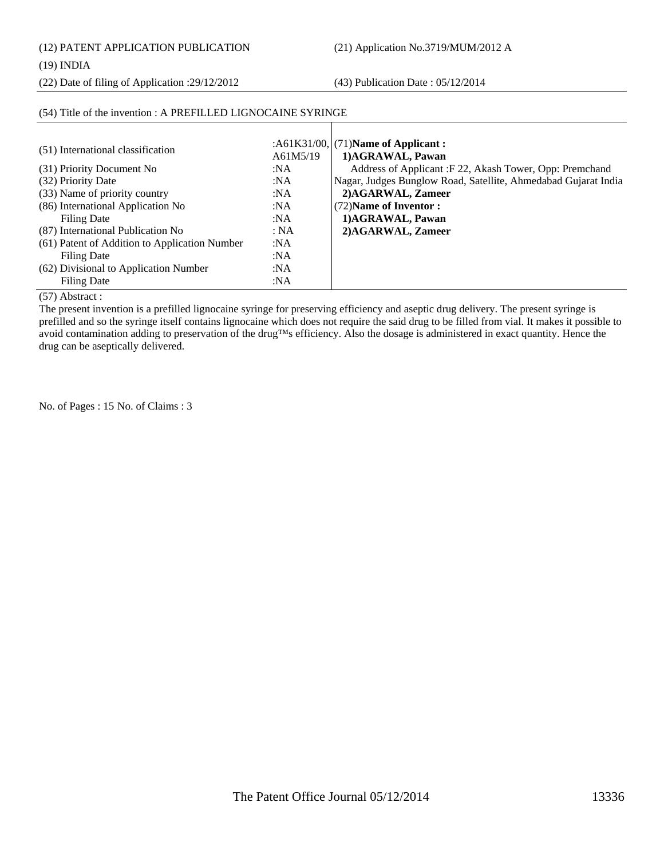(12) PATENT APPLICATION PUBLICATION (21) Application No.3719/MUM/2012 A

#### (19) INDIA

(22) Date of filing of Application :29/12/2012 (43) Publication Date : 05/12/2014

| (54) Title of the invention : A PREFILLED LIGNOCAINE SYRINGE |          |                                                                 |
|--------------------------------------------------------------|----------|-----------------------------------------------------------------|
|                                                              |          |                                                                 |
| (51) International classification                            | A61M5/19 | : $A61K31/00$ , $(71)$ Name of Applicant :<br>1) AGRAWAL, Pawan |
| (31) Priority Document No                                    | :NA      | Address of Applicant: F 22, Akash Tower, Opp: Premchand         |
| (32) Priority Date                                           | :NA      | Nagar, Judges Bunglow Road, Satellite, Ahmedabad Gujarat India  |
| (33) Name of priority country                                | :NA      | 2) AGARWAL, Zameer                                              |
| (86) International Application No                            | :NA      | (72) Name of Inventor:                                          |
| <b>Filing Date</b>                                           | :NA      | 1) AGRAWAL, Pawan                                               |
| (87) International Publication No                            | : NA     | 2) AGARWAL, Zameer                                              |
| (61) Patent of Addition to Application Number                | :NA      |                                                                 |
| <b>Filing Date</b>                                           | :N $A$   |                                                                 |
| (62) Divisional to Application Number                        | :NA      |                                                                 |
| <b>Filing Date</b>                                           | :NA      |                                                                 |

(57) Abstract :

The present invention is a prefilled lignocaine syringe for preserving efficiency and aseptic drug delivery. The present syringe is prefilled and so the syringe itself contains lignocaine which does not require the said drug to be filled from vial. It makes it possible to avoid contamination adding to preservation of the drug™s efficiency. Also the dosage is administered in exact quantity. Hence the drug can be aseptically delivered.

No. of Pages : 15 No. of Claims : 3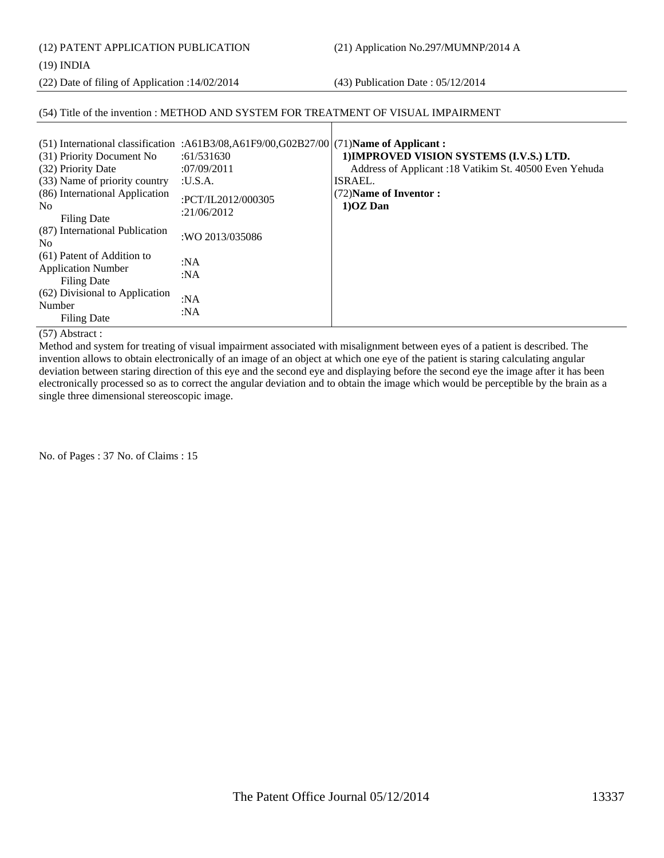(12) PATENT APPLICATION PUBLICATION (21) Application No.297/MUMNP/2014 A

(19) INDIA

(22) Date of filing of Application :14/02/2014 (43) Publication Date : 05/12/2014

### (54) Title of the invention : METHOD AND SYSTEM FOR TREATMENT OF VISUAL IMPAIRMENT

|                                | (51) International classification :A61B3/08,A61F9/00,G02B27/00 (71) Name of Applicant: |                                                        |
|--------------------------------|----------------------------------------------------------------------------------------|--------------------------------------------------------|
| (31) Priority Document No      | :61/531630                                                                             | 1) IMPROVED VISION SYSTEMS (I.V.S.) LTD.               |
| (32) Priority Date             | :07/09/2011                                                                            | Address of Applicant :18 Vatikim St. 40500 Even Yehuda |
| (33) Name of priority country  | :U.S.A.                                                                                | ISRAEL.                                                |
| (86) International Application |                                                                                        | (72) Name of Inventor:                                 |
| N <sub>0</sub>                 | :PCT/IL2012/000305                                                                     | $1)OZ$ Dan                                             |
| <b>Filing Date</b>             | :21/06/2012                                                                            |                                                        |
| (87) International Publication | :WO 2013/035086                                                                        |                                                        |
| N <sub>0</sub>                 |                                                                                        |                                                        |
| (61) Patent of Addition to     | :NA                                                                                    |                                                        |
| <b>Application Number</b>      | :NA                                                                                    |                                                        |
| <b>Filing Date</b>             |                                                                                        |                                                        |
| (62) Divisional to Application |                                                                                        |                                                        |
| Number                         | :NA                                                                                    |                                                        |
| <b>Filing Date</b>             | :NA                                                                                    |                                                        |

(57) Abstract :

Method and system for treating of visual impairment associated with misalignment between eyes of a patient is described. The invention allows to obtain electronically of an image of an object at which one eye of the patient is staring calculating angular deviation between staring direction of this eye and the second eye and displaying before the second eye the image after it has been electronically processed so as to correct the angular deviation and to obtain the image which would be perceptible by the brain as a single three dimensional stereoscopic image.

No. of Pages : 37 No. of Claims : 15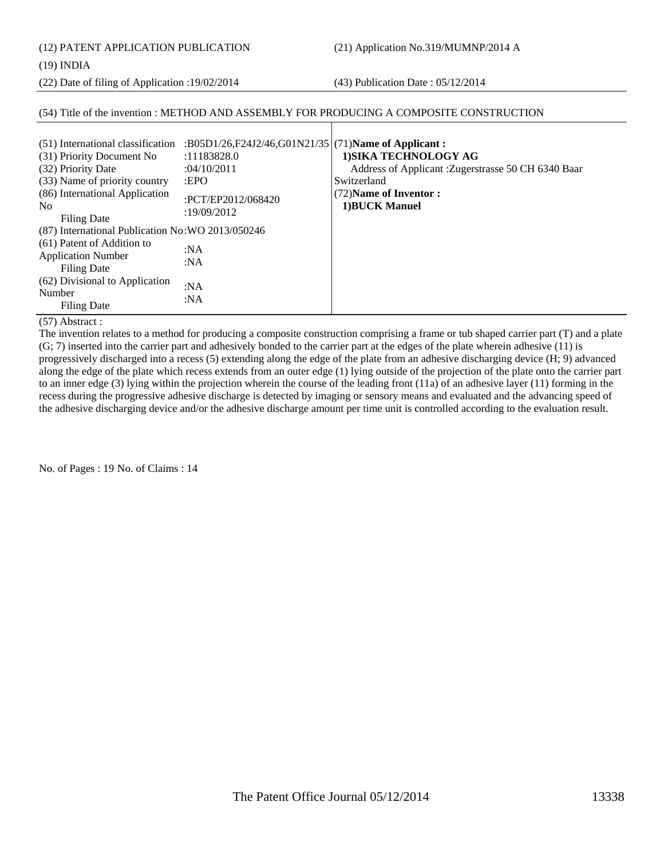(12) PATENT APPLICATION PUBLICATION (21) Application No.319/MUMNP/2014 A

(19) INDIA

(22) Date of filing of Application :19/02/2014 (43) Publication Date : 05/12/2014

### (54) Title of the invention : METHOD AND ASSEMBLY FOR PRODUCING A COMPOSITE CONSTRUCTION

| (51) International classification<br>(31) Priority Document No<br>(32) Priority Date<br>(33) Name of priority country<br>(86) International Application<br>N <sub>0</sub><br>Filing Date<br>(87) International Publication No: WO 2013/050246 | :B05D1/26,F24J2/46,G01N21/35 (71)Name of Applicant:<br>:11183828.0<br>:04/10/2011<br>EPO<br>:PCT/EP2012/068420<br>:19/09/2012 | 1) SIKA TECHNOLOGY AG<br>Address of Applicant : Zugerstrasse 50 CH 6340 Baar<br>Switzerland<br>(72) Name of Inventor:<br>1) BUCK Manuel |
|-----------------------------------------------------------------------------------------------------------------------------------------------------------------------------------------------------------------------------------------------|-------------------------------------------------------------------------------------------------------------------------------|-----------------------------------------------------------------------------------------------------------------------------------------|
| (61) Patent of Addition to<br><b>Application Number</b><br><b>Filing Date</b><br>(62) Divisional to Application<br>Number<br><b>Filing Date</b>                                                                                               | :NA<br>:NA<br>:NA<br>:N $A$                                                                                                   |                                                                                                                                         |

### (57) Abstract :

The invention relates to a method for producing a composite construction comprising a frame or tub shaped carrier part (T) and a plate (G; 7) inserted into the carrier part and adhesively bonded to the carrier part at the edges of the plate wherein adhesive (11) is progressively discharged into a recess (5) extending along the edge of the plate from an adhesive discharging device (H; 9) advanced along the edge of the plate which recess extends from an outer edge (1) lying outside of the projection of the plate onto the carrier part to an inner edge (3) lying within the projection wherein the course of the leading front (11a) of an adhesive layer (11) forming in the recess during the progressive adhesive discharge is detected by imaging or sensory means and evaluated and the advancing speed of the adhesive discharging device and/or the adhesive discharge amount per time unit is controlled according to the evaluation result.

No. of Pages : 19 No. of Claims : 14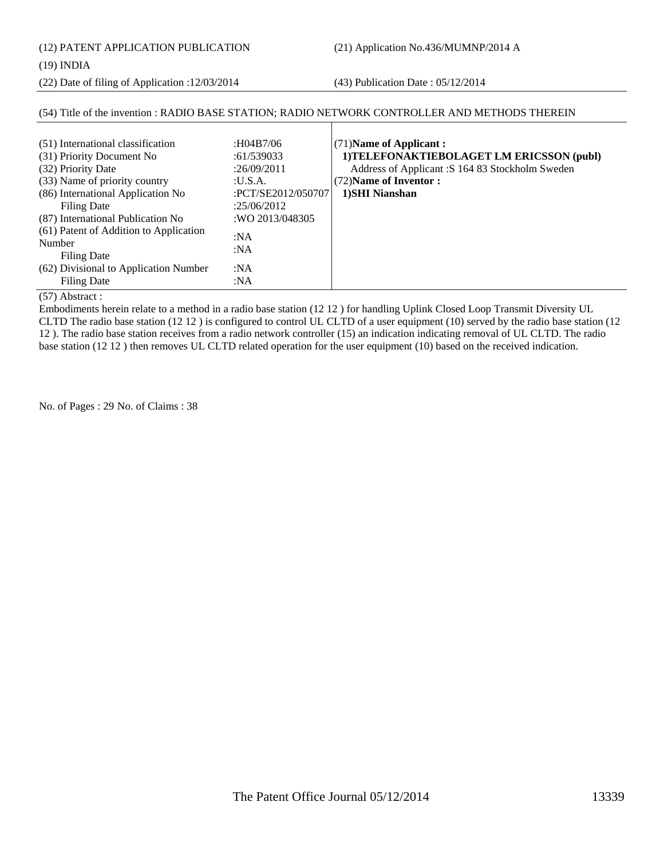(12) PATENT APPLICATION PUBLICATION (21) Application No.436/MUMNP/2014 A

#### (19) INDIA

(22) Date of filing of Application :12/03/2014 (43) Publication Date : 05/12/2014

#### (54) Title of the invention : RADIO BASE STATION; RADIO NETWORK CONTROLLER AND METHODS THEREIN (51) International classification :H04B7/06 (31) Priority Document No :61/539033 (32) Priority Date :26/09/2011 (33) Name of priority country :U.S.A. (86) International Application No Filing Date :PCT/SE2012/050707 :25/06/2012 (87) International Publication No :WO 2013/048305 (61) Patent of Addition to Application Number Filing Date :NA :NA (62) Divisional to Application Number Filing Date :NA :NA (71)**Name of Applicant : 1)TELEFONAKTIEBOLAGET LM ERICSSON (publ)** Address of Applicant :S 164 83 Stockholm Sweden (72)**Name of Inventor : 1)SHI Nianshan**

(57) Abstract :

Embodiments herein relate to a method in a radio base station (12 12 ) for handling Uplink Closed Loop Transmit Diversity UL CLTD The radio base station (12 12 ) is configured to control UL CLTD of a user equipment (10) served by the radio base station (12 12 ). The radio base station receives from a radio network controller (15) an indication indicating removal of UL CLTD. The radio base station (12 12 ) then removes UL CLTD related operation for the user equipment (10) based on the received indication.

No. of Pages : 29 No. of Claims : 38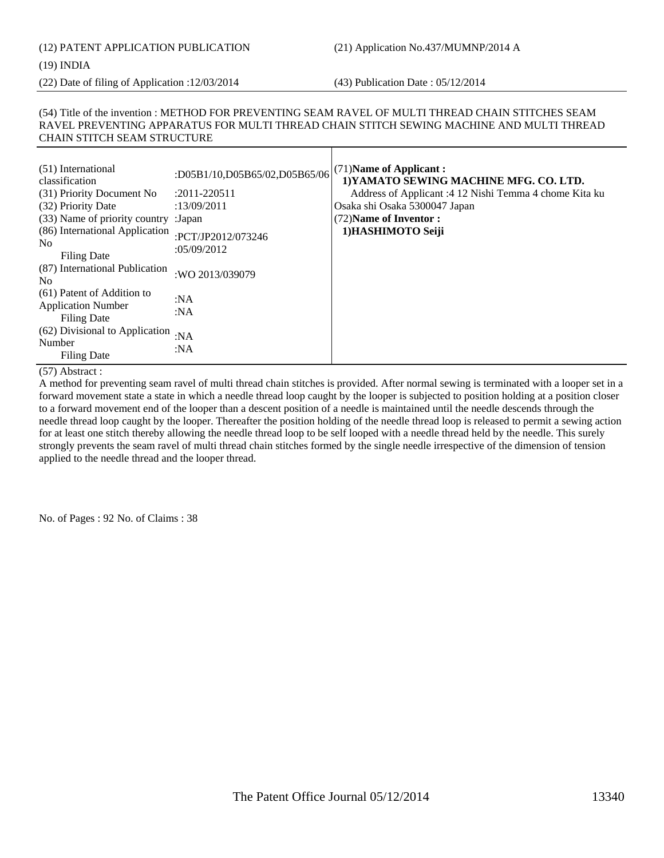(12) PATENT APPLICATION PUBLICATION (21) Application No.437/MUMNP/2014 A

#### (19) INDIA

(22) Date of filing of Application :12/03/2014 (43) Publication Date : 05/12/2014

#### (54) Title of the invention : METHOD FOR PREVENTING SEAM RAVEL OF MULTI THREAD CHAIN STITCHES SEAM RAVEL PREVENTING APPARATUS FOR MULTI THREAD CHAIN STITCH SEWING MACHINE AND MULTI THREAD CHAIN STITCH SEAM STRUCTURE

| (51) International<br>classification<br>(31) Priority Document No<br>(32) Priority Date<br>(33) Name of priority country : Japan<br>(86) International Application<br>N <sub>0</sub><br><b>Filing Date</b> | :D05B1/10,D05B65/02,D05B65/06<br>$: 2011 - 220511$<br>:13/09/2011<br>:PCT/JP2012/073246<br>:05/09/2012 | (71) Name of Applicant:<br>1) YAMATO SEWING MACHINE MFG. CO. LTD.<br>Address of Applicant : 4 12 Nishi Temma 4 chome Kita ku<br>Osaka shi Osaka 5300047 Japan<br>(72) Name of Inventor:<br>1) HASHIMOTO Seiji |
|------------------------------------------------------------------------------------------------------------------------------------------------------------------------------------------------------------|--------------------------------------------------------------------------------------------------------|---------------------------------------------------------------------------------------------------------------------------------------------------------------------------------------------------------------|
| (87) International Publication<br>N <sub>0</sub>                                                                                                                                                           | :WO 2013/039079                                                                                        |                                                                                                                                                                                                               |
| (61) Patent of Addition to<br><b>Application Number</b><br>Filing Date<br>(62) Divisional to Application                                                                                                   | :NA<br>:NA                                                                                             |                                                                                                                                                                                                               |
| Number<br><b>Filing Date</b>                                                                                                                                                                               | :NA<br>:NA                                                                                             |                                                                                                                                                                                                               |

(57) Abstract :

A method for preventing seam ravel of multi thread chain stitches is provided. After normal sewing is terminated with a looper set in a forward movement state a state in which a needle thread loop caught by the looper is subjected to position holding at a position closer to a forward movement end of the looper than a descent position of a needle is maintained until the needle descends through the needle thread loop caught by the looper. Thereafter the position holding of the needle thread loop is released to permit a sewing action for at least one stitch thereby allowing the needle thread loop to be self looped with a needle thread held by the needle. This surely strongly prevents the seam ravel of multi thread chain stitches formed by the single needle irrespective of the dimension of tension applied to the needle thread and the looper thread.

No. of Pages : 92 No. of Claims : 38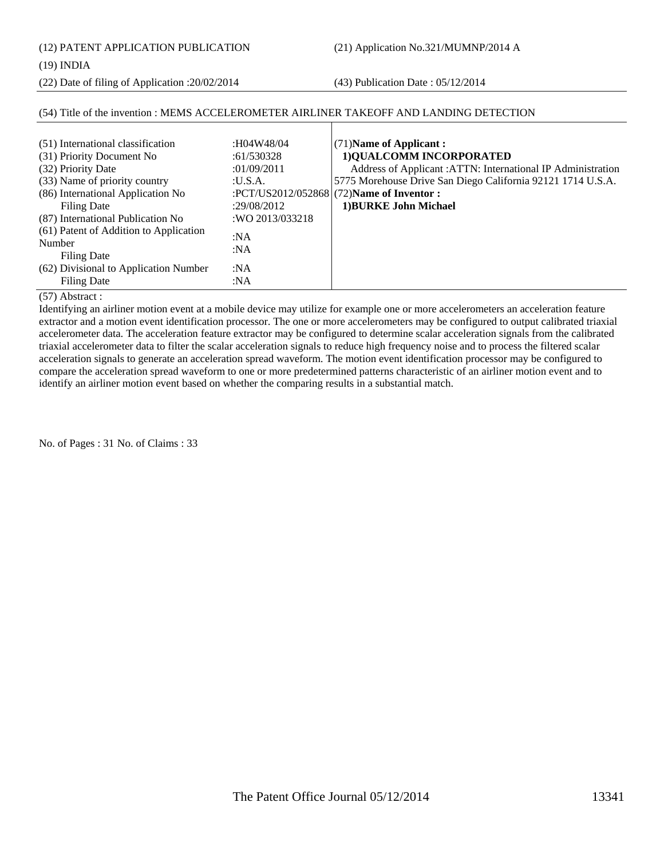(12) PATENT APPLICATION PUBLICATION (21) Application No.321/MUMNP/2014 A

(19) INDIA

(22) Date of filing of Application :20/02/2014 (43) Publication Date : 05/12/2014

| (51) International classification      | :H04W48/04      | $(71)$ Name of Applicant:                                    |
|----------------------------------------|-----------------|--------------------------------------------------------------|
| (31) Priority Document No              | :61/530328      | 1) QUALCOMM INCORPORATED                                     |
| (32) Priority Date                     | :01/09/2011     | Address of Applicant : ATTN: International IP Administration |
| (33) Name of priority country          | : <b>U.S.A.</b> | 5775 Morehouse Drive San Diego California 92121 1714 U.S.A.  |
| (86) International Application No      |                 | :PCT/US2012/052868 (72)Name of Inventor :                    |
| Filing Date                            | :29/08/2012     | 1) BURKE John Michael                                        |
| (87) International Publication No      | :WO 2013/033218 |                                                              |
| (61) Patent of Addition to Application | :NA             |                                                              |
| Number                                 | :NA             |                                                              |
| Filing Date                            |                 |                                                              |
| (62) Divisional to Application Number  | :NA             |                                                              |
| Filing Date                            | :NA             |                                                              |

#### (54) Title of the invention : MEMS ACCELEROMETER AIRLINER TAKEOFF AND LANDING DETECTION

(57) Abstract :

Identifying an airliner motion event at a mobile device may utilize for example one or more accelerometers an acceleration feature extractor and a motion event identification processor. The one or more accelerometers may be configured to output calibrated triaxial accelerometer data. The acceleration feature extractor may be configured to determine scalar acceleration signals from the calibrated triaxial accelerometer data to filter the scalar acceleration signals to reduce high frequency noise and to process the filtered scalar acceleration signals to generate an acceleration spread waveform. The motion event identification processor may be configured to compare the acceleration spread waveform to one or more predetermined patterns characteristic of an airliner motion event and to identify an airliner motion event based on whether the comparing results in a substantial match.

No. of Pages : 31 No. of Claims : 33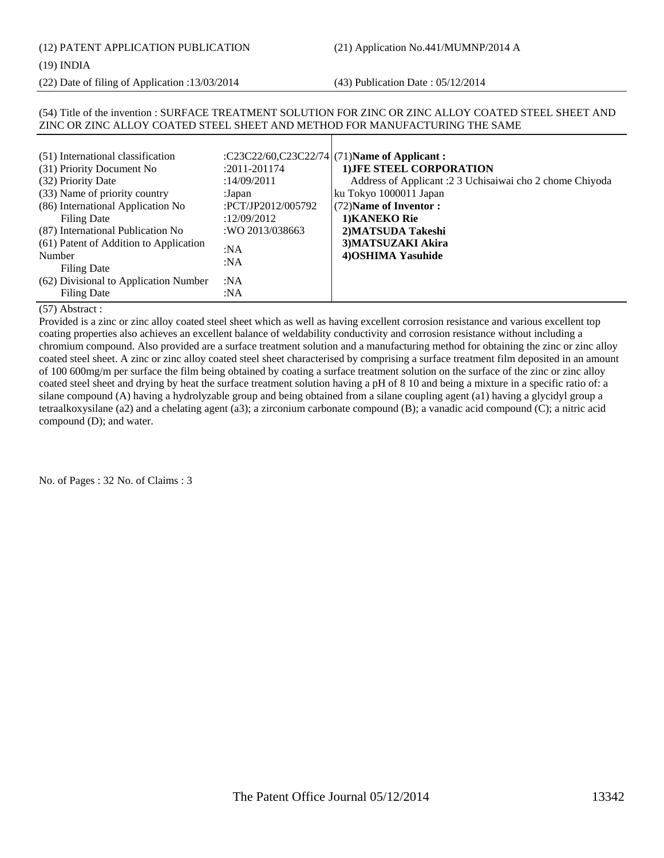(12) PATENT APPLICATION PUBLICATION (21) Application No.441/MUMNP/2014 A

#### (19) INDIA

(22) Date of filing of Application :13/03/2014 (43) Publication Date : 05/12/2014

#### (54) Title of the invention : SURFACE TREATMENT SOLUTION FOR ZINC OR ZINC ALLOY COATED STEEL SHEET AND ZINC OR ZINC ALLOY COATED STEEL SHEET AND METHOD FOR MANUFACTURING THE SAME

| (51) International classification      |                    | :C23C22/60,C23C22/74 (71) Name of Applicant:              |
|----------------------------------------|--------------------|-----------------------------------------------------------|
| (31) Priority Document No              | :2011-201174       | 1) JFE STEEL CORPORATION                                  |
| (32) Priority Date                     | :14/09/2011        | Address of Applicant : 2 3 Uchisaiwai cho 2 chome Chiyoda |
| (33) Name of priority country          | :Japan             | ku Tokyo 1000011 Japan                                    |
| (86) International Application No      | :PCT/JP2012/005792 | $(72)$ Name of Inventor:                                  |
| Filing Date                            | :12/09/2012        | 1) KANEKO Rie                                             |
| (87) International Publication No      | :WO 2013/038663    | 2) MATSUDA Takeshi                                        |
| (61) Patent of Addition to Application | :N $A$             | 3) MATSUZAKI Akira                                        |
| Number                                 | :NA                | 4) OSHIMA Yasuhide                                        |
| Filing Date                            |                    |                                                           |
| (62) Divisional to Application Number  | :NA                |                                                           |
| Filing Date                            | :N $A$             |                                                           |

#### (57) Abstract :

Provided is a zinc or zinc alloy coated steel sheet which as well as having excellent corrosion resistance and various excellent top coating properties also achieves an excellent balance of weldability conductivity and corrosion resistance without including a chromium compound. Also provided are a surface treatment solution and a manufacturing method for obtaining the zinc or zinc alloy coated steel sheet. A zinc or zinc alloy coated steel sheet characterised by comprising a surface treatment film deposited in an amount of 100 600mg/m per surface the film being obtained by coating a surface treatment solution on the surface of the zinc or zinc alloy coated steel sheet and drying by heat the surface treatment solution having a pH of 8 10 and being a mixture in a specific ratio of: a silane compound (A) having a hydrolyzable group and being obtained from a silane coupling agent (a1) having a glycidyl group a tetraalkoxysilane (a2) and a chelating agent (a3); a zirconium carbonate compound (B); a vanadic acid compound (C); a nitric acid compound (D); and water.

No. of Pages : 32 No. of Claims : 3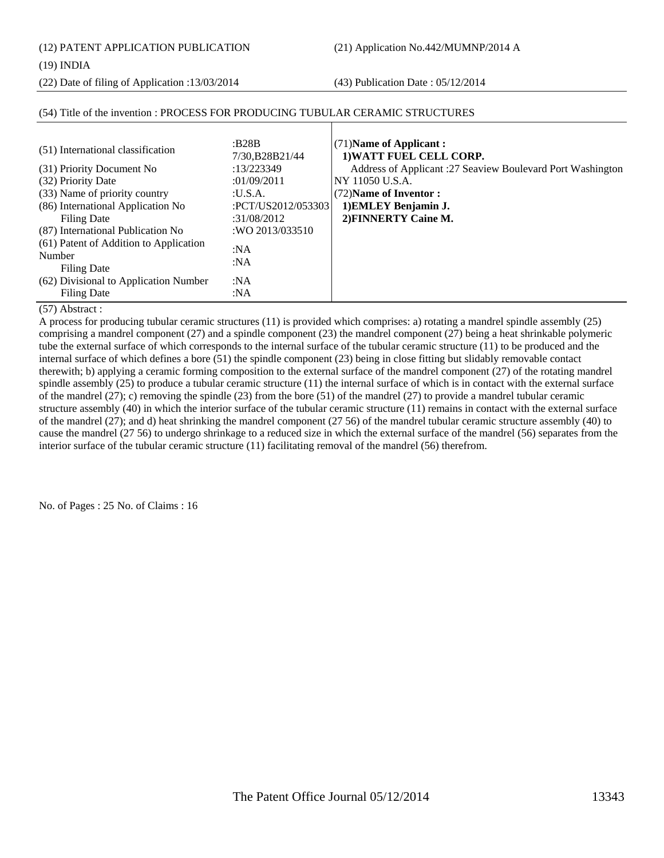(12) PATENT APPLICATION PUBLICATION (21) Application No.442/MUMNP/2014 A

#### (19) INDIA

(22) Date of filing of Application :13/03/2014 (43) Publication Date : 05/12/2014

| (51) International classification                | :B28B<br>7/30, B28B21/44 | $(71)$ Name of Applicant:<br>1) WATT FUEL CELL CORP.       |
|--------------------------------------------------|--------------------------|------------------------------------------------------------|
| (31) Priority Document No                        | :13/223349               | Address of Applicant :27 Seaview Boulevard Port Washington |
| (32) Priority Date                               | :01/09/2011              | NY 11050 U.S.A.                                            |
| (33) Name of priority country                    | : <b>U.S.A.</b>          | (72) Name of Inventor:                                     |
| (86) International Application No                | :PCT/US2012/053303       | 1) EMLEY Benjamin J.                                       |
| <b>Filing Date</b>                               | :31/08/2012              | 2) FINNERTY Caine M.                                       |
| (87) International Publication No                | :WO 2013/033510          |                                                            |
| (61) Patent of Addition to Application<br>Number | :NA                      |                                                            |
| Filing Date                                      | :NA                      |                                                            |
| (62) Divisional to Application Number            | :NA                      |                                                            |
| Filing Date                                      | :N $A$                   |                                                            |

#### (54) Title of the invention : PROCESS FOR PRODUCING TUBULAR CERAMIC STRUCTURES

#### (57) Abstract :

A process for producing tubular ceramic structures (11) is provided which comprises: a) rotating a mandrel spindle assembly (25) comprising a mandrel component (27) and a spindle component (23) the mandrel component (27) being a heat shrinkable polymeric tube the external surface of which corresponds to the internal surface of the tubular ceramic structure (11) to be produced and the internal surface of which defines a bore (51) the spindle component (23) being in close fitting but slidably removable contact therewith; b) applying a ceramic forming composition to the external surface of the mandrel component (27) of the rotating mandrel spindle assembly (25) to produce a tubular ceramic structure (11) the internal surface of which is in contact with the external surface of the mandrel  $(27)$ ; c) removing the spindle  $(23)$  from the bore  $(51)$  of the mandrel  $(27)$  to provide a mandrel tubular ceramic structure assembly (40) in which the interior surface of the tubular ceramic structure (11) remains in contact with the external surface of the mandrel (27); and d) heat shrinking the mandrel component (27 56) of the mandrel tubular ceramic structure assembly (40) to cause the mandrel (27 56) to undergo shrinkage to a reduced size in which the external surface of the mandrel (56) separates from the interior surface of the tubular ceramic structure (11) facilitating removal of the mandrel (56) therefrom.

No. of Pages : 25 No. of Claims : 16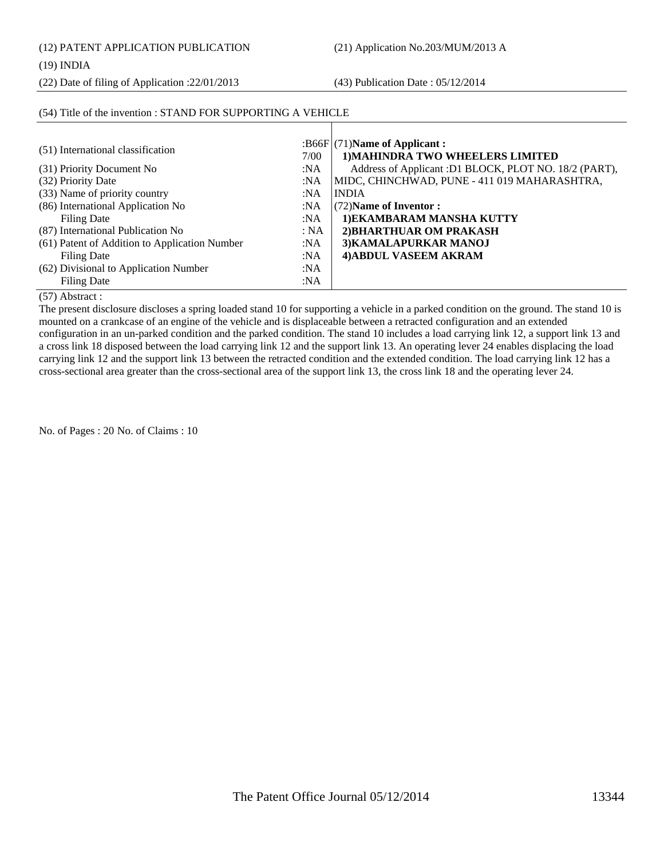(12) PATENT APPLICATION PUBLICATION (21) Application No.203/MUM/2013 A

#### (19) INDIA

(22) Date of filing of Application :22/01/2013 (43) Publication Date : 05/12/2014

#### (54) Title of the invention : STAND FOR SUPPORTING A VEHICLE  $(51)$  International classification :B66F 7/00 (31) Priority Document No :NA (32) Priority Date :NA (33) Name of priority country :NA (86) International Application No Filing Date :NA :NA (87) International Publication No : NA (61) Patent of Addition to Application Number Filing Date :NA :NA (62) Divisional to Application Number Filing Date :NA :NA (71)**Name of Applicant : 1)MAHINDRA TWO WHEELERS LIMITED** Address of Applicant :D1 BLOCK, PLOT NO. 18/2 (PART), MIDC, CHINCHWAD, PUNE - 411 019 MAHARASHTRA, INDIA (72)**Name of Inventor : 1)EKAMBARAM MANSHA KUTTY 2)BHARTHUAR OM PRAKASH 3)KAMALAPURKAR MANOJ 4)ABDUL VASEEM AKRAM**

(57) Abstract :

The present disclosure discloses a spring loaded stand 10 for supporting a vehicle in a parked condition on the ground. The stand 10 is mounted on a crankcase of an engine of the vehicle and is displaceable between a retracted configuration and an extended configuration in an un-parked condition and the parked condition. The stand 10 includes a load carrying link 12, a support link 13 and a cross link 18 disposed between the load carrying link 12 and the support link 13. An operating lever 24 enables displacing the load carrying link 12 and the support link 13 between the retracted condition and the extended condition. The load carrying link 12 has a cross-sectional area greater than the cross-sectional area of the support link 13, the cross link 18 and the operating lever 24.

No. of Pages : 20 No. of Claims : 10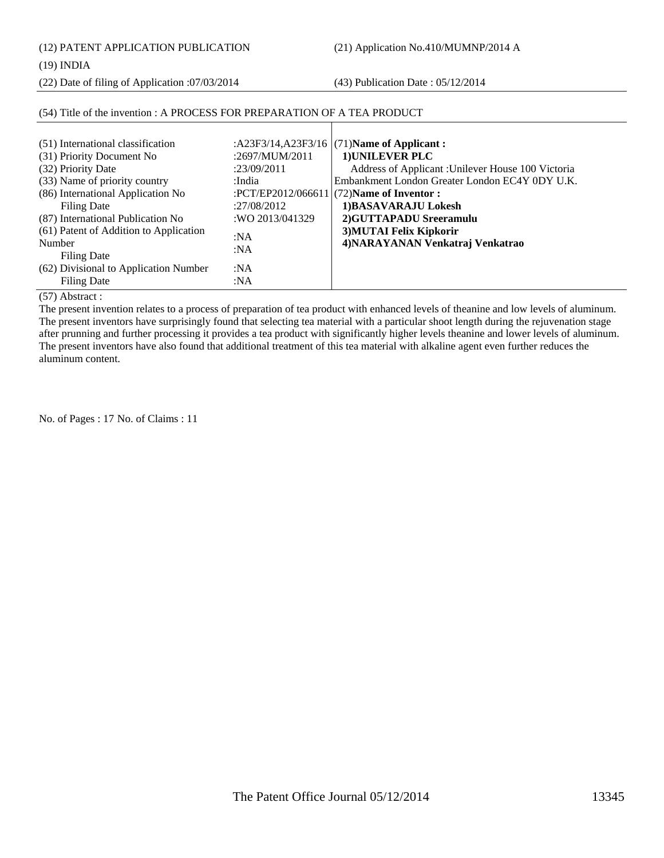(12) PATENT APPLICATION PUBLICATION (21) Application No.410/MUMNP/2014 A

(19) INDIA

(22) Date of filing of Application :07/03/2014 (43) Publication Date : 05/12/2014

| (51) International classification<br>(31) Priority Document No<br>(32) Priority Date<br>(33) Name of priority country<br>(86) International Application No<br>Filing Date<br>(87) International Publication No<br>(61) Patent of Addition to Application<br>Number<br>Filing Date<br>(62) Divisional to Application Number<br>Filing Date | :2697/MUM/2011<br>:23/09/2011<br>:India<br>:27/08/2012<br>:WO 2013/041329<br>:NA<br>:NA<br>:NA<br>:NA | :A23F3/14,A23F3/16 $(71)$ Name of Applicant :<br>1) UNILEVER PLC<br>Address of Applicant : Unilever House 100 Victoria<br>Embankment London Greater London EC4Y 0DY U.K.<br>:PCT/EP2012/066611 $(72)$ Name of Inventor :<br>1) BASAVARAJU Lokesh<br>2) GUTTAPADU Sreeramulu<br>3) MUTAI Felix Kipkorir<br>4) NARAYANAN Venkatraj Venkatrao |
|-------------------------------------------------------------------------------------------------------------------------------------------------------------------------------------------------------------------------------------------------------------------------------------------------------------------------------------------|-------------------------------------------------------------------------------------------------------|--------------------------------------------------------------------------------------------------------------------------------------------------------------------------------------------------------------------------------------------------------------------------------------------------------------------------------------------|
|-------------------------------------------------------------------------------------------------------------------------------------------------------------------------------------------------------------------------------------------------------------------------------------------------------------------------------------------|-------------------------------------------------------------------------------------------------------|--------------------------------------------------------------------------------------------------------------------------------------------------------------------------------------------------------------------------------------------------------------------------------------------------------------------------------------------|

## (54) Title of the invention : A PROCESS FOR PREPARATION OF A TEA PRODUCT

(57) Abstract :

The present invention relates to a process of preparation of tea product with enhanced levels of theanine and low levels of aluminum. The present inventors have surprisingly found that selecting tea material with a particular shoot length during the rejuvenation stage after prunning and further processing it provides a tea product with significantly higher levels theanine and lower levels of aluminum. The present inventors have also found that additional treatment of this tea material with alkaline agent even further reduces the aluminum content.

No. of Pages : 17 No. of Claims : 11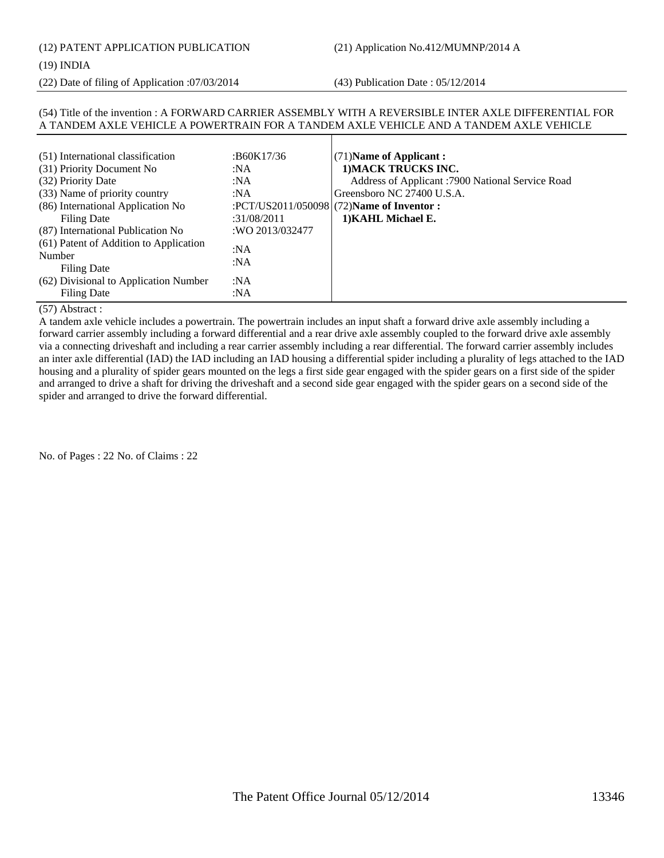## (12) PATENT APPLICATION PUBLICATION (21) Application No.412/MUMNP/2014 A

#### (19) INDIA

(22) Date of filing of Application :07/03/2014 (43) Publication Date : 05/12/2014

#### (54) Title of the invention : A FORWARD CARRIER ASSEMBLY WITH A REVERSIBLE INTER AXLE DIFFERENTIAL FOR A TANDEM AXLE VEHICLE A POWERTRAIN FOR A TANDEM AXLE VEHICLE AND A TANDEM AXLE VEHICLE

| (51) International classification<br>(31) Priority Document No<br>(32) Priority Date<br>(33) Name of priority country<br>(86) International Application No                  | :B60K17/36<br>:NA<br>:NA<br>:NA                            | $(71)$ Name of Applicant:<br>1) MACK TRUCKS INC.<br>Address of Applicant :7900 National Service Road<br>Greensboro NC 27400 U.S.A.<br>:PCT/US2011/050098 $(72)$ Name of Inventor : |
|-----------------------------------------------------------------------------------------------------------------------------------------------------------------------------|------------------------------------------------------------|------------------------------------------------------------------------------------------------------------------------------------------------------------------------------------|
| Filing Date<br>(87) International Publication No<br>(61) Patent of Addition to Application<br>Number<br>Filing Date<br>(62) Divisional to Application Number<br>Filing Date | :31/08/2011<br>:WO 2013/032477<br>:NA<br>:NA<br>:NA<br>:NA | 1) KAHL Michael E.                                                                                                                                                                 |

#### (57) Abstract :

A tandem axle vehicle includes a powertrain. The powertrain includes an input shaft a forward drive axle assembly including a forward carrier assembly including a forward differential and a rear drive axle assembly coupled to the forward drive axle assembly via a connecting driveshaft and including a rear carrier assembly including a rear differential. The forward carrier assembly includes an inter axle differential (IAD) the IAD including an IAD housing a differential spider including a plurality of legs attached to the IAD housing and a plurality of spider gears mounted on the legs a first side gear engaged with the spider gears on a first side of the spider and arranged to drive a shaft for driving the driveshaft and a second side gear engaged with the spider gears on a second side of the spider and arranged to drive the forward differential.

No. of Pages : 22 No. of Claims : 22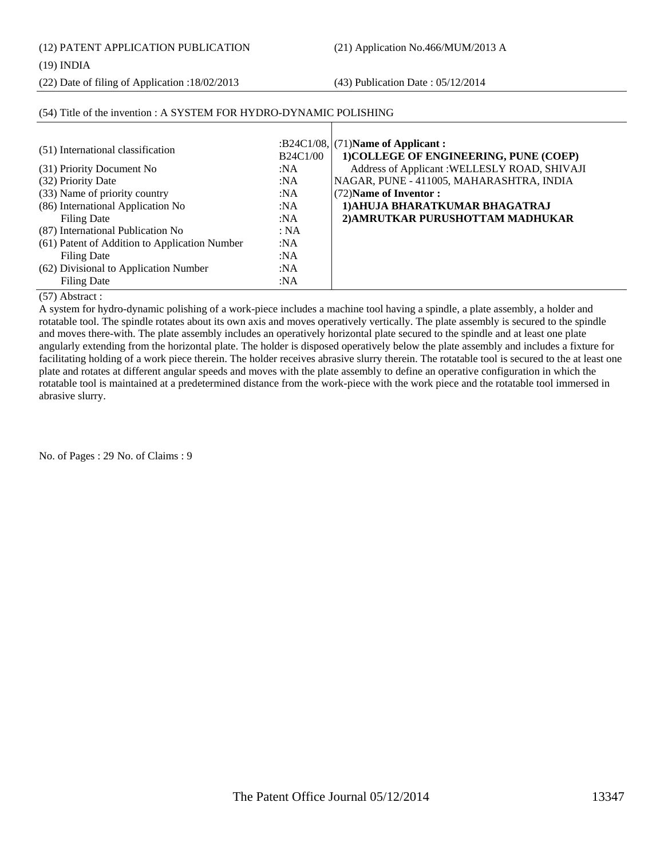(12) PATENT APPLICATION PUBLICATION (21) Application No.466/MUM/2013 A

(87) International Publication No : NA

(61) Patent of Addition to Application Number

(62) Divisional to Application Number

Filing Date

Filing Date

(57) Abstract :

### (19) INDIA

(22) Date of filing of Application :18/02/2013 (43) Publication Date : 05/12/2014

#### (51) International classification  $B24C1/08$ , B24C1/00 (31) Priority Document No :NA (32) Priority Date :NA (33) Name of priority country :NA (86) International Application No Filing Date :NA :NA (71)**Name of Applicant : 1)COLLEGE OF ENGINEERING, PUNE (COEP)** Address of Applicant :WELLESLY ROAD, SHIVAJI NAGAR, PUNE - 411005, MAHARASHTRA, INDIA (72)**Name of Inventor : 1)AHUJA BHARATKUMAR BHAGATRAJ 2)AMRUTKAR PURUSHOTTAM MADHUKAR**

:NA :NA

:NA :NA

#### (54) Title of the invention : A SYSTEM FOR HYDRO-DYNAMIC POLISHING

A system for hydro-dynamic polishing of a work-piece includes a machine tool having a spindle, a plate assembly, a holder and rotatable tool. The spindle rotates about its own axis and moves operatively vertically. The plate assembly is secured to the spindle and moves there-with. The plate assembly includes an operatively horizontal plate secured to the spindle and at least one plate angularly extending from the horizontal plate. The holder is disposed operatively below the plate assembly and includes a fixture for facilitating holding of a work piece therein. The holder receives abrasive slurry therein. The rotatable tool is secured to the at least one plate and rotates at different angular speeds and moves with the plate assembly to define an operative configuration in which the rotatable tool is maintained at a predetermined distance from the work-piece with the work piece and the rotatable tool immersed in abrasive slurry.

No. of Pages : 29 No. of Claims : 9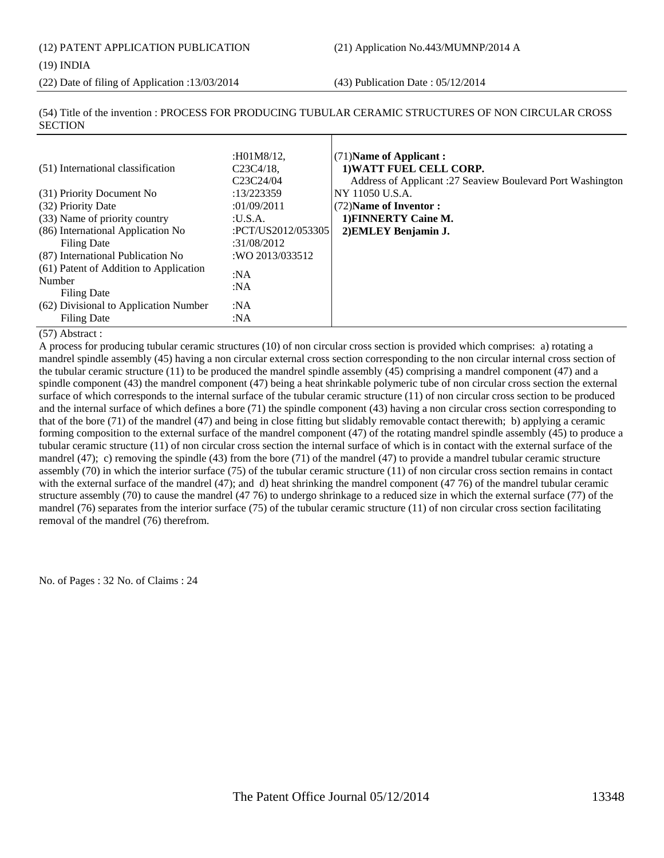(12) PATENT APPLICATION PUBLICATION (21) Application No.443/MUMNP/2014 A

(19) INDIA

(22) Date of filing of Application :13/03/2014 (43) Publication Date : 05/12/2014

(54) Title of the invention : PROCESS FOR PRODUCING TUBULAR CERAMIC STRUCTURES OF NON CIRCULAR CROSS **SECTION** 

|                                        | : $H01M8/12$ ,                      | $(71)$ Name of Applicant:                                  |
|----------------------------------------|-------------------------------------|------------------------------------------------------------|
| (51) International classification      | C23C4/18.                           | 1) WATT FUEL CELL CORP.                                    |
|                                        | C <sub>23</sub> C <sub>24</sub> /04 | Address of Applicant :27 Seaview Boulevard Port Washington |
| (31) Priority Document No              | :13/223359                          | NY 11050 U.S.A.                                            |
| (32) Priority Date                     | :01/09/2011                         | (72) Name of Inventor:                                     |
| (33) Name of priority country          | :U.S.A.                             | 1) FINNERTY Caine M.                                       |
| (86) International Application No      | :PCT/US2012/053305                  | 2) EMLEY Benjamin J.                                       |
| <b>Filing Date</b>                     | :31/08/2012                         |                                                            |
| (87) International Publication No      | :WO 2013/033512                     |                                                            |
| (61) Patent of Addition to Application | :NA                                 |                                                            |
| Number                                 |                                     |                                                            |
| <b>Filing Date</b>                     | :NA                                 |                                                            |
| (62) Divisional to Application Number  | :NA                                 |                                                            |
| <b>Filing Date</b>                     | :NA                                 |                                                            |

#### (57) Abstract :

A process for producing tubular ceramic structures (10) of non circular cross section is provided which comprises: a) rotating a mandrel spindle assembly (45) having a non circular external cross section corresponding to the non circular internal cross section of the tubular ceramic structure (11) to be produced the mandrel spindle assembly (45) comprising a mandrel component (47) and a spindle component (43) the mandrel component (47) being a heat shrinkable polymeric tube of non circular cross section the external surface of which corresponds to the internal surface of the tubular ceramic structure (11) of non circular cross section to be produced and the internal surface of which defines a bore (71) the spindle component (43) having a non circular cross section corresponding to that of the bore (71) of the mandrel (47) and being in close fitting but slidably removable contact therewith; b) applying a ceramic forming composition to the external surface of the mandrel component (47) of the rotating mandrel spindle assembly (45) to produce a tubular ceramic structure (11) of non circular cross section the internal surface of which is in contact with the external surface of the mandrel (47); c) removing the spindle (43) from the bore (71) of the mandrel (47) to provide a mandrel tubular ceramic structure assembly (70) in which the interior surface (75) of the tubular ceramic structure (11) of non circular cross section remains in contact with the external surface of the mandrel (47); and d) heat shrinking the mandrel component (47 76) of the mandrel tubular ceramic structure assembly (70) to cause the mandrel (47 76) to undergo shrinkage to a reduced size in which the external surface (77) of the mandrel (76) separates from the interior surface (75) of the tubular ceramic structure (11) of non circular cross section facilitating removal of the mandrel (76) therefrom.

No. of Pages : 32 No. of Claims : 24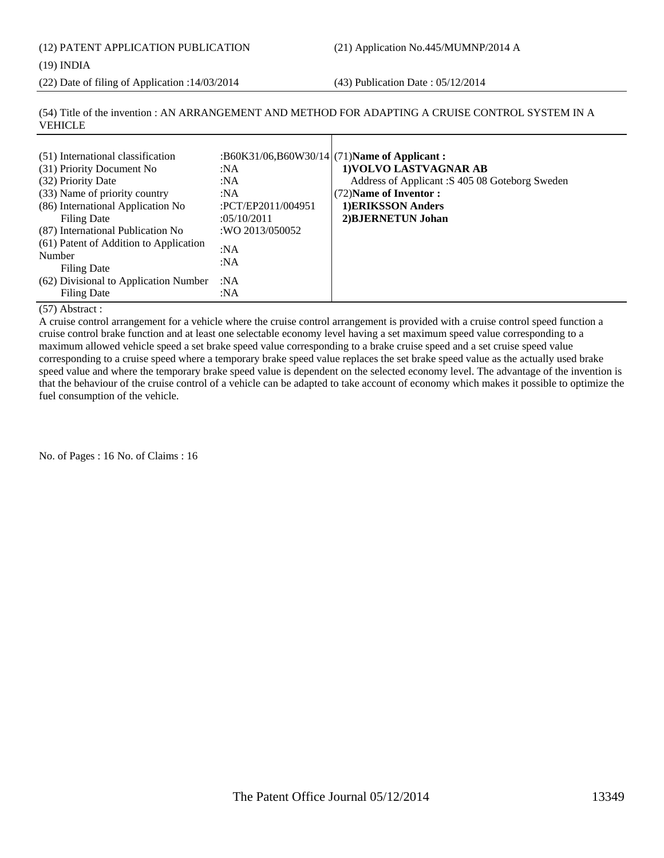(12) PATENT APPLICATION PUBLICATION (21) Application No.445/MUMNP/2014 A

(19) INDIA

(22) Date of filing of Application :14/03/2014 (43) Publication Date : 05/12/2014

(54) Title of the invention : AN ARRANGEMENT AND METHOD FOR ADAPTING A CRUISE CONTROL SYSTEM IN A VEHICLE

| (51) International classification<br>(31) Priority Document No<br>(32) Priority Date<br>(33) Name of priority country<br>(86) International Application No<br>Filing Date<br>(87) International Publication No<br>(61) Patent of Addition to Application<br>Number<br>Filing Date<br>(62) Divisional to Application Number | :N $A$<br>:NA<br>:NA<br>:PCT/EP2011/004951<br>:05/10/2011<br>:WO 2013/050052<br>:NA<br>:N $A$<br>:NA | :B60K31/06,B60W30/14 $(71)$ Name of Applicant:<br>1) VOLVO LASTVAGNAR AB<br>Address of Applicant: S 405 08 Goteborg Sweden<br>(72) Name of Inventor:<br>1) ERIKSSON Anders<br>2) BJERNETUN Johan |
|----------------------------------------------------------------------------------------------------------------------------------------------------------------------------------------------------------------------------------------------------------------------------------------------------------------------------|------------------------------------------------------------------------------------------------------|--------------------------------------------------------------------------------------------------------------------------------------------------------------------------------------------------|
| Filing Date                                                                                                                                                                                                                                                                                                                | :N $A$                                                                                               |                                                                                                                                                                                                  |

(57) Abstract :

A cruise control arrangement for a vehicle where the cruise control arrangement is provided with a cruise control speed function a cruise control brake function and at least one selectable economy level having a set maximum speed value corresponding to a maximum allowed vehicle speed a set brake speed value corresponding to a brake cruise speed and a set cruise speed value corresponding to a cruise speed where a temporary brake speed value replaces the set brake speed value as the actually used brake speed value and where the temporary brake speed value is dependent on the selected economy level. The advantage of the invention is that the behaviour of the cruise control of a vehicle can be adapted to take account of economy which makes it possible to optimize the fuel consumption of the vehicle.

No. of Pages : 16 No. of Claims : 16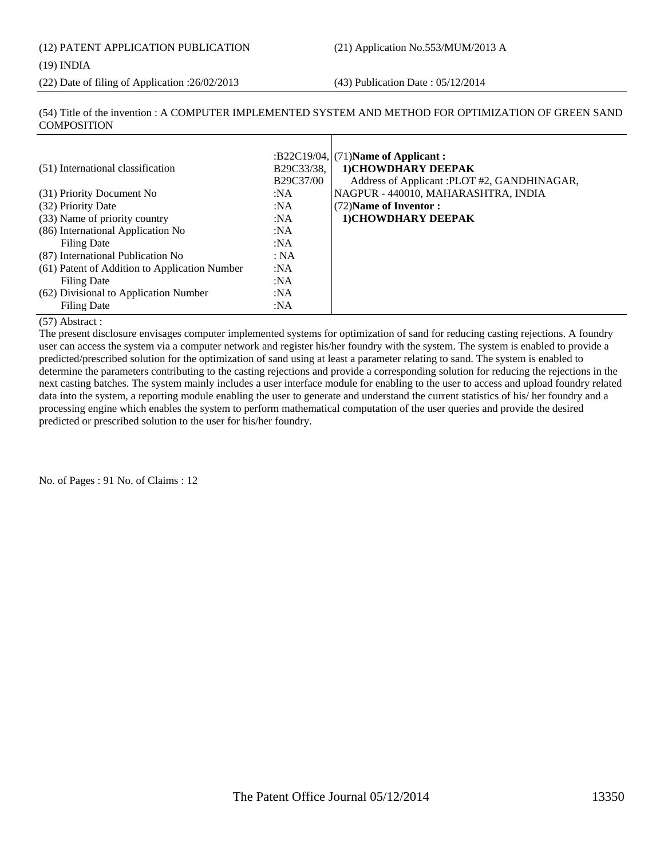(12) PATENT APPLICATION PUBLICATION (21) Application No.553/MUM/2013 A

#### (19) INDIA

(22) Date of filing of Application :26/02/2013 (43) Publication Date : 05/12/2014

#### (54) Title of the invention : A COMPUTER IMPLEMENTED SYSTEM AND METHOD FOR OPTIMIZATION OF GREEN SAND COMPOSITION

| (51) International classification             | B29C33/38,<br>B29C37/00 | :B22C19/04, $(71)$ Name of Applicant :<br>1) CHOWDHARY DEEPAK<br>Address of Applicant : PLOT #2, GANDHINAGAR, |
|-----------------------------------------------|-------------------------|---------------------------------------------------------------------------------------------------------------|
| (31) Priority Document No                     | :NA                     | NAGPUR - 440010, MAHARASHTRA, INDIA                                                                           |
| (32) Priority Date                            | :NA                     | (72) Name of Inventor:                                                                                        |
| (33) Name of priority country                 | :NA                     | 1) CHOWDHARY DEEPAK                                                                                           |
| (86) International Application No             | :NA                     |                                                                                                               |
| Filing Date                                   | :NA                     |                                                                                                               |
| (87) International Publication No             | : NA                    |                                                                                                               |
| (61) Patent of Addition to Application Number | :NA                     |                                                                                                               |
| <b>Filing Date</b>                            | :NA                     |                                                                                                               |
| (62) Divisional to Application Number         | :NA                     |                                                                                                               |
| Filing Date                                   | :NA                     |                                                                                                               |

#### (57) Abstract :

The present disclosure envisages computer implemented systems for optimization of sand for reducing casting rejections. A foundry user can access the system via a computer network and register his/her foundry with the system. The system is enabled to provide a predicted/prescribed solution for the optimization of sand using at least a parameter relating to sand. The system is enabled to determine the parameters contributing to the casting rejections and provide a corresponding solution for reducing the rejections in the next casting batches. The system mainly includes a user interface module for enabling to the user to access and upload foundry related data into the system, a reporting module enabling the user to generate and understand the current statistics of his/ her foundry and a processing engine which enables the system to perform mathematical computation of the user queries and provide the desired predicted or prescribed solution to the user for his/her foundry.

No. of Pages : 91 No. of Claims : 12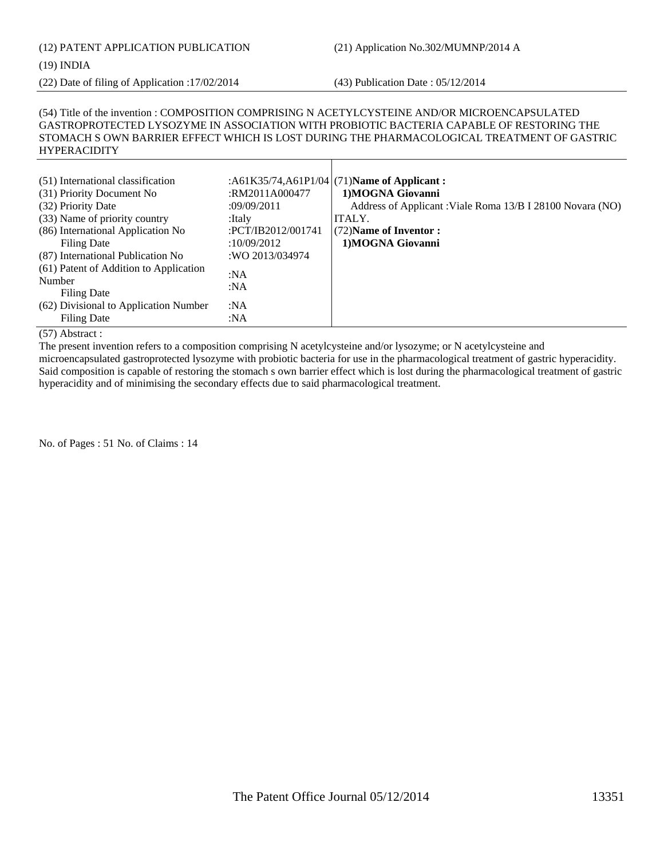# (12) PATENT APPLICATION PUBLICATION (21) Application No.302/MUMNP/2014 A

(19) INDIA

(22) Date of filing of Application :17/02/2014 (43) Publication Date : 05/12/2014

#### (54) Title of the invention : COMPOSITION COMPRISING N ACETYLCYSTEINE AND/OR MICROENCAPSULATED GASTROPROTECTED LYSOZYME IN ASSOCIATION WITH PROBIOTIC BACTERIA CAPABLE OF RESTORING THE STOMACH S OWN BARRIER EFFECT WHICH IS LOST DURING THE PHARMACOLOGICAL TREATMENT OF GASTRIC **HYPERACIDITY**

Τ

| (51) International classification      |                    | : $A61K35/74, A61P1/04$ (71)Name of Applicant :           |
|----------------------------------------|--------------------|-----------------------------------------------------------|
| (31) Priority Document No              | :RM2011A000477     | 1) MOGNA Giovanni                                         |
| (32) Priority Date                     | :09/09/2011        | Address of Applicant: Viale Roma 13/B I 28100 Novara (NO) |
| (33) Name of priority country          | :Italy             | ITALY.                                                    |
| (86) International Application No      | :PCT/IB2012/001741 | (72) Name of Inventor:                                    |
| Filing Date                            | :10/09/2012        | 1) MOGNA Giovanni                                         |
| (87) International Publication No      | :WO 2013/034974    |                                                           |
| (61) Patent of Addition to Application | :N $A$             |                                                           |
| Number                                 | :NA                |                                                           |
| Filing Date                            |                    |                                                           |
| (62) Divisional to Application Number  | :NA                |                                                           |
| <b>Filing Date</b>                     | :N $A$             |                                                           |

(57) Abstract :

The present invention refers to a composition comprising N acetylcysteine and/or lysozyme; or N acetylcysteine and microencapsulated gastroprotected lysozyme with probiotic bacteria for use in the pharmacological treatment of gastric hyperacidity. Said composition is capable of restoring the stomach s own barrier effect which is lost during the pharmacological treatment of gastric hyperacidity and of minimising the secondary effects due to said pharmacological treatment.

No. of Pages : 51 No. of Claims : 14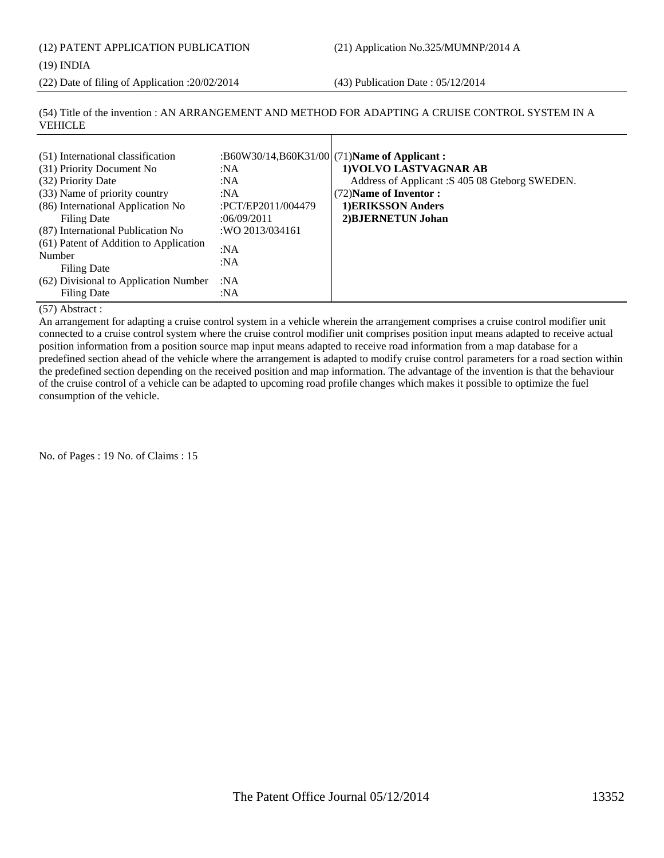(12) PATENT APPLICATION PUBLICATION (21) Application No.325/MUMNP/2014 A

(19) INDIA

(22) Date of filing of Application :20/02/2014 (43) Publication Date : 05/12/2014

(54) Title of the invention : AN ARRANGEMENT AND METHOD FOR ADAPTING A CRUISE CONTROL SYSTEM IN A VEHICLE

| (51) International classification<br>(31) Priority Document No<br>(32) Priority Date<br>(33) Name of priority country<br>(86) International Application No<br><b>Filing Date</b><br>(87) International Publication No<br>(61) Patent of Addition to Application<br>Number<br>Filing Date<br>(62) Divisional to Application Number | :NA<br>:NA<br>:NA<br>:PCT/EP2011/004479<br>:06/09/2011<br>:WO 2013/034161<br>:NA<br>:NA<br>:NA | :B60W30/14,B60K31/00 $(71)$ Name of Applicant:<br>1) VOLVO LASTVAGNAR AB<br>Address of Applicant : S 405 08 Gteborg SWEDEN.<br>(72) Name of Inventor:<br>1) ERIKSSON Anders<br>2) BJERNETUN Johan |
|-----------------------------------------------------------------------------------------------------------------------------------------------------------------------------------------------------------------------------------------------------------------------------------------------------------------------------------|------------------------------------------------------------------------------------------------|---------------------------------------------------------------------------------------------------------------------------------------------------------------------------------------------------|
| Filing Date                                                                                                                                                                                                                                                                                                                       | :NA                                                                                            |                                                                                                                                                                                                   |

#### (57) Abstract :

An arrangement for adapting a cruise control system in a vehicle wherein the arrangement comprises a cruise control modifier unit connected to a cruise control system where the cruise control modifier unit comprises position input means adapted to receive actual position information from a position source map input means adapted to receive road information from a map database for a predefined section ahead of the vehicle where the arrangement is adapted to modify cruise control parameters for a road section within the predefined section depending on the received position and map information. The advantage of the invention is that the behaviour of the cruise control of a vehicle can be adapted to upcoming road profile changes which makes it possible to optimize the fuel consumption of the vehicle.

No. of Pages : 19 No. of Claims : 15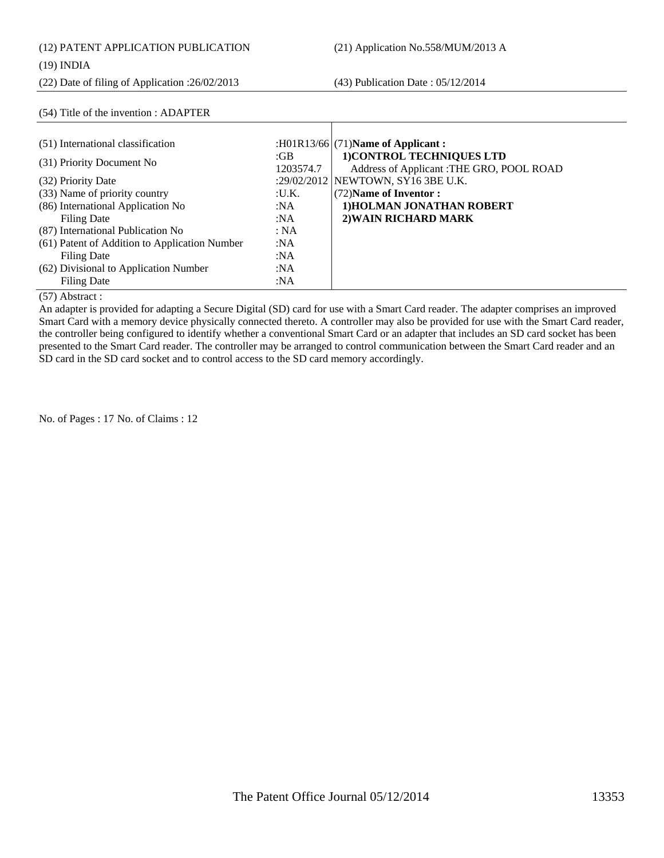(12) PATENT APPLICATION PUBLICATION (21) Application No.558/MUM/2013 A (19) INDIA (22) Date of filing of Application :26/02/2013 (43) Publication Date : 05/12/2014 (54) Title of the invention : ADAPTER (51) International classification :H01R13/66 (31) Priority Document No : GB 1203574.7 (32) Priority Date :29/02/2012 (33) Name of priority country :U.K. (86) International Application No Filing Date :NA :NA (87) International Publication No : NA (61) Patent of Addition to Application Number Filing Date :NA :NA (71)**Name of Applicant : 1)CONTROL TECHNIQUES LTD** Address of Applicant :THE GRO, POOL ROAD NEWTOWN, SY16 3BE U.K. (72)**Name of Inventor : 1)HOLMAN JONATHAN ROBERT 2)WAIN RICHARD MARK**

(57) Abstract :

Filing Date

An adapter is provided for adapting a Secure Digital (SD) card for use with a Smart Card reader. The adapter comprises an improved Smart Card with a memory device physically connected thereto. A controller may also be provided for use with the Smart Card reader, the controller being configured to identify whether a conventional Smart Card or an adapter that includes an SD card socket has been presented to the Smart Card reader. The controller may be arranged to control communication between the Smart Card reader and an SD card in the SD card socket and to control access to the SD card memory accordingly.

:NA :NA

No. of Pages : 17 No. of Claims : 12

(62) Divisional to Application Number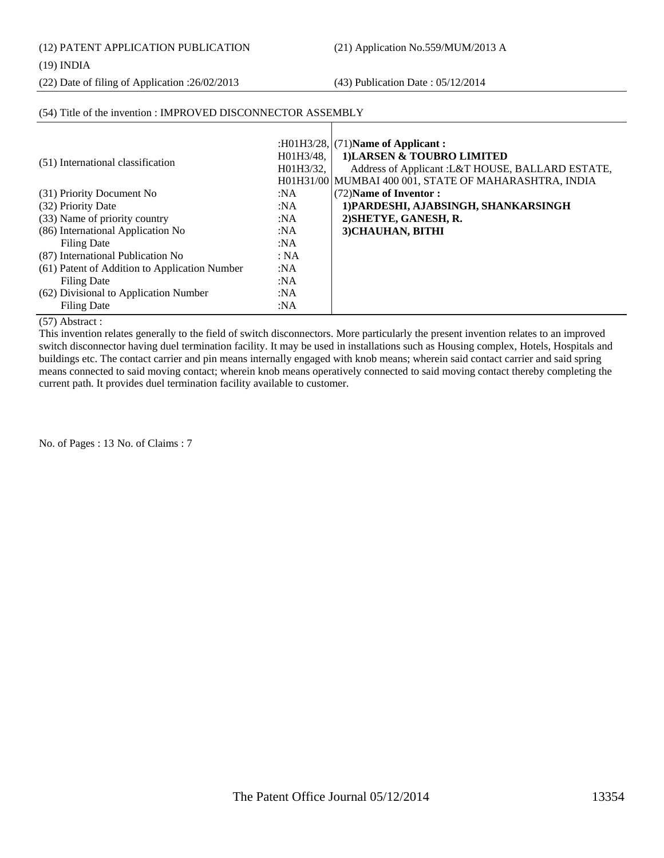(12) PATENT APPLICATION PUBLICATION (21) Application No.559/MUM/2013 A

#### (19) INDIA

(22) Date of filing of Application :26/02/2013 (43) Publication Date : 05/12/2014

#### (54) Title of the invention : IMPROVED DISCONNECTOR ASSEMBLY (51) International classification :H01H3/28, H01H3/48, H01H3/32, H01H31/00 (31) Priority Document No :NA (32) Priority Date :NA (33) Name of priority country :NA (86) International Application No Filing Date :NA :NA (87) International Publication No : NA (61) Patent of Addition to Application Number Filing Date :NA :NA (62) Divisional to Application Number Filing Date :NA :NA (71)**Name of Applicant : 1)LARSEN & TOUBRO LIMITED** Address of Applicant :L&T HOUSE, BALLARD ESTATE, MUMBAI 400 001, STATE OF MAHARASHTRA, INDIA (72)**Name of Inventor : 1)PARDESHI, AJABSINGH, SHANKARSINGH 2)SHETYE, GANESH, R. 3)CHAUHAN, BITHI**

#### (57) Abstract :

This invention relates generally to the field of switch disconnectors. More particularly the present invention relates to an improved switch disconnector having duel termination facility. It may be used in installations such as Housing complex, Hotels, Hospitals and buildings etc. The contact carrier and pin means internally engaged with knob means; wherein said contact carrier and said spring means connected to said moving contact; wherein knob means operatively connected to said moving contact thereby completing the current path. It provides duel termination facility available to customer.

No. of Pages : 13 No. of Claims : 7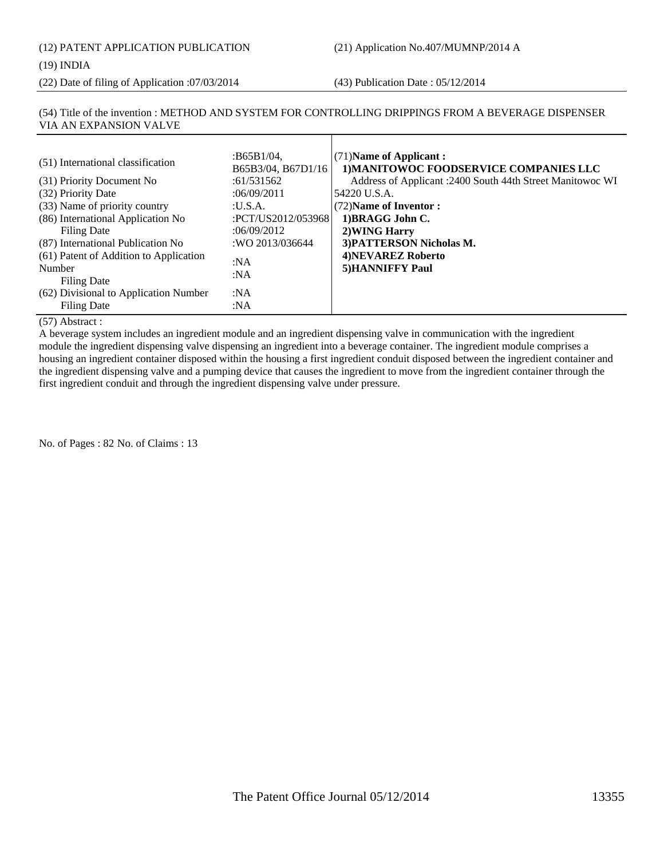#### (19) INDIA

(22) Date of filing of Application :07/03/2014 (43) Publication Date : 05/12/2014

#### (54) Title of the invention : METHOD AND SYSTEM FOR CONTROLLING DRIPPINGS FROM A BEVERAGE DISPENSER VIA AN EXPANSION VALVE

 $\mathbf{I}$ 

| (51) International classification<br>(31) Priority Document No<br>(32) Priority Date<br>(33) Name of priority country<br>(86) International Application No<br>Filing Date<br>(87) International Publication No<br>(61) Patent of Addition to Application | :B65B1/04,<br>B65B3/04, B67D1/16<br>:61/531562<br>:06/09/2011<br>: <b>U.S.A.</b><br>:PCT/US2012/053968<br>:06/09/2012<br>:WO 2013/036644 | (71) Name of Applicant:<br>1) MANITOWOC FOODSERVICE COMPANIES LLC<br>Address of Applicant :2400 South 44th Street Manitowoc WI<br>54220 U.S.A.<br>(72) Name of Inventor:<br>1) BRAGG John C.<br>2) WING Harry<br>3) PATTERSON Nicholas M.<br>4) NEVAREZ Roberto |
|----------------------------------------------------------------------------------------------------------------------------------------------------------------------------------------------------------------------------------------------------------|------------------------------------------------------------------------------------------------------------------------------------------|-----------------------------------------------------------------------------------------------------------------------------------------------------------------------------------------------------------------------------------------------------------------|
| Number<br><b>Filing Date</b>                                                                                                                                                                                                                             | :NA<br>:NA                                                                                                                               | 5) HANNIFFY Paul                                                                                                                                                                                                                                                |
| (62) Divisional to Application Number<br>Filing Date                                                                                                                                                                                                     | :NA<br>:NA                                                                                                                               |                                                                                                                                                                                                                                                                 |

#### (57) Abstract :

A beverage system includes an ingredient module and an ingredient dispensing valve in communication with the ingredient module the ingredient dispensing valve dispensing an ingredient into a beverage container. The ingredient module comprises a housing an ingredient container disposed within the housing a first ingredient conduit disposed between the ingredient container and the ingredient dispensing valve and a pumping device that causes the ingredient to move from the ingredient container through the first ingredient conduit and through the ingredient dispensing valve under pressure.

No. of Pages : 82 No. of Claims : 13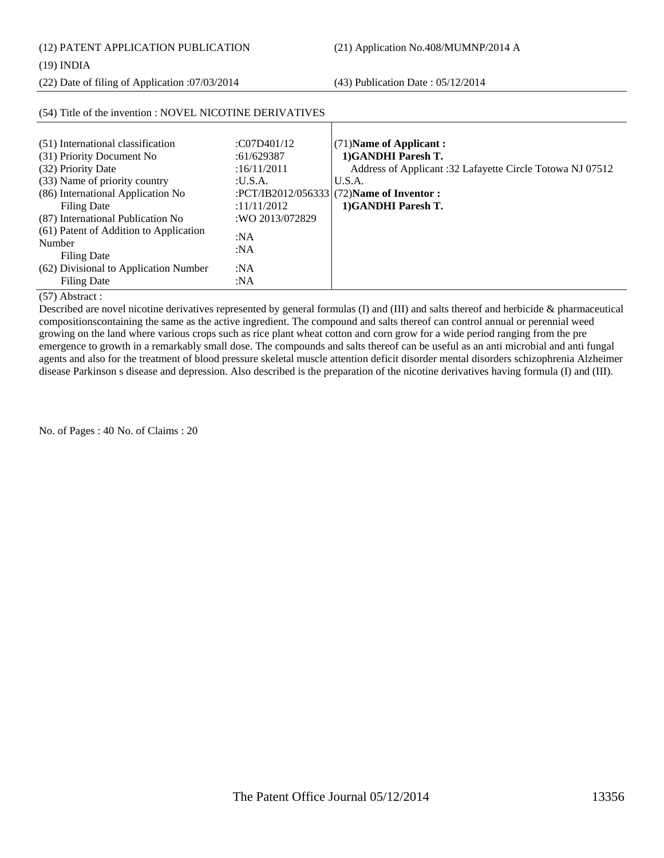(12) PATENT APPLICATION PUBLICATION (21) Application No.408/MUMNP/2014 A

#### (19) INDIA

(22) Date of filing of Application :07/03/2014 (43) Publication Date : 05/12/2014

| (51) International classification      | C07D401/12      | $(71)$ Name of Applicant:                                 |
|----------------------------------------|-----------------|-----------------------------------------------------------|
| (31) Priority Document No              | :61/629387      | 1)GANDHI Paresh T.                                        |
| (32) Priority Date                     | :16/11/2011     | Address of Applicant :32 Lafayette Circle Totowa NJ 07512 |
| (33) Name of priority country          | :U.S.A.         | U.S.A.                                                    |
| (86) International Application No      |                 | :PCT/IB2012/056333 (72)Name of Inventor :                 |
| Filing Date                            | :11/11/2012     | 1)GANDHI Paresh T.                                        |
| (87) International Publication No      | :WO 2013/072829 |                                                           |
| (61) Patent of Addition to Application | :NA             |                                                           |
| Number                                 |                 |                                                           |
| Filing Date                            | :NA             |                                                           |
| (62) Divisional to Application Number  | :NA             |                                                           |
| <b>Filing Date</b>                     | :NA             |                                                           |
|                                        |                 |                                                           |

### (54) Title of the invention : NOVEL NICOTINE DERIVATIVES

#### (57) Abstract :

Described are novel nicotine derivatives represented by general formulas (I) and (III) and salts thereof and herbicide & pharmaceutical compositionscontaining the same as the active ingredient. The compound and salts thereof can control annual or perennial weed growing on the land where various crops such as rice plant wheat cotton and corn grow for a wide period ranging from the pre emergence to growth in a remarkably small dose. The compounds and salts thereof can be useful as an anti microbial and anti fungal agents and also for the treatment of blood pressure skeletal muscle attention deficit disorder mental disorders schizophrenia Alzheimer disease Parkinson s disease and depression. Also described is the preparation of the nicotine derivatives having formula (I) and (III).

No. of Pages : 40 No. of Claims : 20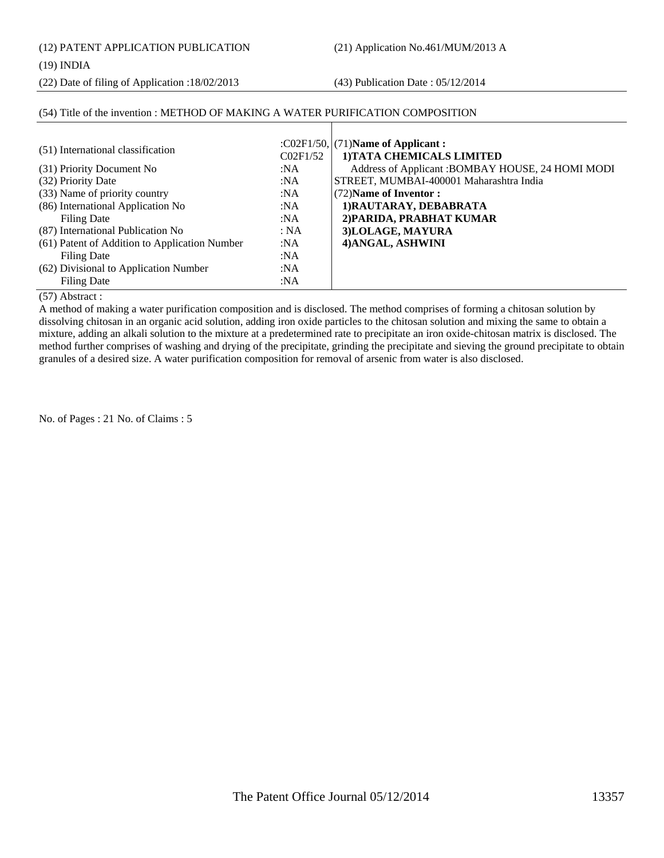(12) PATENT APPLICATION PUBLICATION (21) Application No.461/MUM/2013 A

#### (19) INDIA

(22) Date of filing of Application :18/02/2013 (43) Publication Date : 05/12/2014

## (54) Title of the invention : METHOD OF MAKING A WATER PURIFICATION COMPOSITION

|                                               |          | : $CO2F1/50$ , (71)Name of Applicant:             |
|-----------------------------------------------|----------|---------------------------------------------------|
| (51) International classification             | C02F1/52 | 1) TATA CHEMICALS LIMITED                         |
| (31) Priority Document No                     | :NA      | Address of Applicant : BOMBAY HOUSE, 24 HOMI MODI |
| (32) Priority Date                            | :NA      | STREET, MUMBAI-400001 Maharashtra India           |
| (33) Name of priority country                 | :NA      | (72) Name of Inventor:                            |
| (86) International Application No             | :NA      | 1) RAUTARAY, DEBABRATA                            |
| Filing Date                                   | :NA      | 2) PARIDA, PRABHAT KUMAR                          |
| (87) International Publication No             | : NA     | 3) LOLAGE, MAYURA                                 |
| (61) Patent of Addition to Application Number | :NA      | 4) ANGAL, ASHWINI                                 |
| <b>Filing Date</b>                            | :NA      |                                                   |
| (62) Divisional to Application Number         | :NA      |                                                   |
| <b>Filing Date</b>                            | :NA      |                                                   |

### (57) Abstract :

A method of making a water purification composition and is disclosed. The method comprises of forming a chitosan solution by dissolving chitosan in an organic acid solution, adding iron oxide particles to the chitosan solution and mixing the same to obtain a mixture, adding an alkali solution to the mixture at a predetermined rate to precipitate an iron oxide-chitosan matrix is disclosed. The method further comprises of washing and drying of the precipitate, grinding the precipitate and sieving the ground precipitate to obtain granules of a desired size. A water purification composition for removal of arsenic from water is also disclosed.

No. of Pages : 21 No. of Claims : 5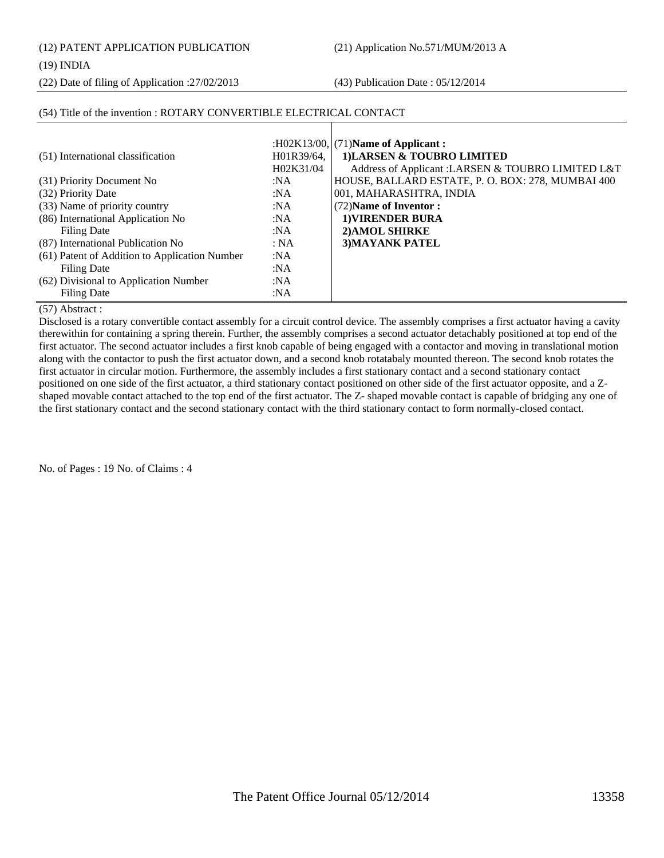(12) PATENT APPLICATION PUBLICATION (21) Application No.571/MUM/2013 A

#### (19) INDIA

(22) Date of filing of Application :27/02/2013 (43) Publication Date : 05/12/2014

### (54) Title of the invention : ROTARY CONVERTIBLE ELECTRICAL CONTACT

|                                               |            | : $H02K13/00$ , (71)Name of Applicant:            |
|-----------------------------------------------|------------|---------------------------------------------------|
| (51) International classification             | H01R39/64. | 1) LARSEN & TOUBRO LIMITED                        |
|                                               | H02K31/04  | Address of Applicant :LARSEN & TOUBRO LIMITED L&T |
| (31) Priority Document No                     | :NA        | HOUSE, BALLARD ESTATE, P. O. BOX: 278, MUMBAI 400 |
| (32) Priority Date                            | :NA        | 001, MAHARASHTRA, INDIA                           |
| (33) Name of priority country                 | :NA        | (72) Name of Inventor:                            |
| (86) International Application No             | :NA        | <b>1)VIRENDER BURA</b>                            |
| Filing Date                                   | :NA        | 2) AMOL SHIRKE                                    |
| (87) International Publication No             | : NA       | 3) MAYANK PATEL                                   |
| (61) Patent of Addition to Application Number | :NA        |                                                   |
| Filing Date                                   | :NA        |                                                   |
| (62) Divisional to Application Number         | :NA        |                                                   |
| <b>Filing Date</b>                            | :NA        |                                                   |

#### (57) Abstract :

Disclosed is a rotary convertible contact assembly for a circuit control device. The assembly comprises a first actuator having a cavity therewithin for containing a spring therein. Further, the assembly comprises a second actuator detachably positioned at top end of the first actuator. The second actuator includes a first knob capable of being engaged with a contactor and moving in translational motion along with the contactor to push the first actuator down, and a second knob rotatabaly mounted thereon. The second knob rotates the first actuator in circular motion. Furthermore, the assembly includes a first stationary contact and a second stationary contact positioned on one side of the first actuator, a third stationary contact positioned on other side of the first actuator opposite, and a Zshaped movable contact attached to the top end of the first actuator. The Z- shaped movable contact is capable of bridging any one of the first stationary contact and the second stationary contact with the third stationary contact to form normally-closed contact.

No. of Pages : 19 No. of Claims : 4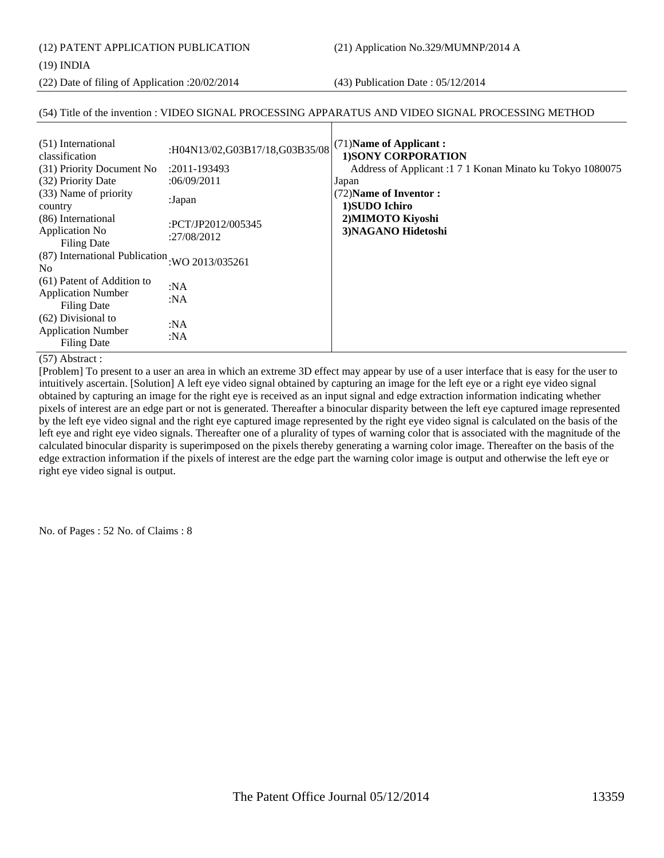(12) PATENT APPLICATION PUBLICATION (21) Application No.329/MUMNP/2014 A

#### (19) INDIA

(22) Date of filing of Application :20/02/2014 (43) Publication Date : 05/12/2014

#### (54) Title of the invention : VIDEO SIGNAL PROCESSING APPARATUS AND VIDEO SIGNAL PROCESSING METHOD

| (51) International<br>classification<br>(31) Priority Document No             | :H04N13/02,G03B17/18,G03B35/08<br>:2011-193493 | (71) Name of Applicant:<br><b>1)SONY CORPORATION</b><br>Address of Applicant :1 7 1 Konan Minato ku Tokyo 1080075 |
|-------------------------------------------------------------------------------|------------------------------------------------|-------------------------------------------------------------------------------------------------------------------|
| (32) Priority Date                                                            | :06/09/2011                                    | Japan                                                                                                             |
| (33) Name of priority<br>country                                              | :Japan                                         | (72) Name of Inventor:<br>1)SUDO Ichiro                                                                           |
| (86) International<br><b>Application No</b><br><b>Filing Date</b>             | :PCT/JP2012/005345<br>:27/08/2012              | 2) MIMOTO Kiyoshi<br>3) NAGANO Hidetoshi                                                                          |
| (87) International Publication<br>N <sub>0</sub>                              | :WO 2013/035261                                |                                                                                                                   |
| (61) Patent of Addition to<br><b>Application Number</b><br><b>Filing Date</b> | :N $A$<br>:NA                                  |                                                                                                                   |
| (62) Divisional to<br><b>Application Number</b><br><b>Filing Date</b>         | :N $A$<br>:NA                                  |                                                                                                                   |

#### (57) Abstract :

[Problem] To present to a user an area in which an extreme 3D effect may appear by use of a user interface that is easy for the user to intuitively ascertain. [Solution] A left eye video signal obtained by capturing an image for the left eye or a right eye video signal obtained by capturing an image for the right eye is received as an input signal and edge extraction information indicating whether pixels of interest are an edge part or not is generated. Thereafter a binocular disparity between the left eye captured image represented by the left eye video signal and the right eye captured image represented by the right eye video signal is calculated on the basis of the left eye and right eye video signals. Thereafter one of a plurality of types of warning color that is associated with the magnitude of the calculated binocular disparity is superimposed on the pixels thereby generating a warning color image. Thereafter on the basis of the edge extraction information if the pixels of interest are the edge part the warning color image is output and otherwise the left eye or right eye video signal is output.

No. of Pages : 52 No. of Claims : 8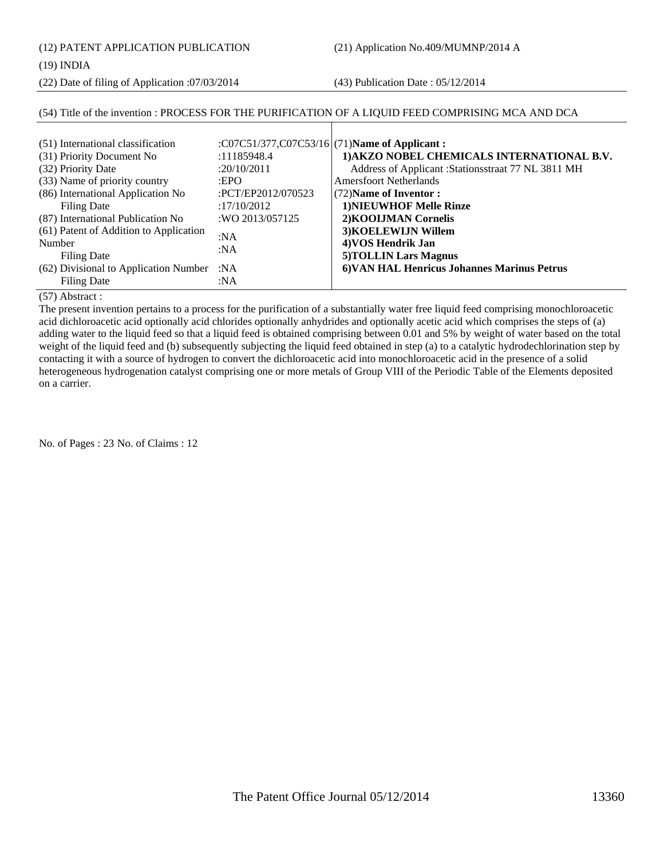(12) PATENT APPLICATION PUBLICATION (21) Application No.409/MUMNP/2014 A

#### (19) INDIA

(22) Date of filing of Application :07/03/2014 (43) Publication Date : 05/12/2014

### (54) Title of the invention : PROCESS FOR THE PURIFICATION OF A LIQUID FEED COMPRISING MCA AND DCA

| (51) International classification      |                    | :C07C51/377,C07C53/16 (71) Name of Applicant:       |
|----------------------------------------|--------------------|-----------------------------------------------------|
| (31) Priority Document No              | :11185948.4        | 1) AKZO NOBEL CHEMICALS INTERNATIONAL B.V.          |
| (32) Priority Date                     | :20/10/2011        | Address of Applicant : Stationsstraat 77 NL 3811 MH |
| (33) Name of priority country          | EPO                | <b>Amersfoort Netherlands</b>                       |
| (86) International Application No      | :PCT/EP2012/070523 | (72) Name of Inventor:                              |
| <b>Filing Date</b>                     | :17/10/2012        | 1) NIEUWHOF Melle Rinze                             |
| (87) International Publication No      | :WO 2013/057125    | 2) KOOLJMAN Cornelis                                |
| (61) Patent of Addition to Application | :NA                | 3) KOELEWIJN Willem                                 |
| Number                                 | :NA                | 4) VOS Hendrik Jan                                  |
| <b>Filing Date</b>                     |                    | <b>5)TOLLIN Lars Magnus</b>                         |
| (62) Divisional to Application Number  | :NA                | 6) VAN HAL Henricus Johannes Marinus Petrus         |
| <b>Filing Date</b>                     | :NA                |                                                     |

(57) Abstract :

The present invention pertains to a process for the purification of a substantially water free liquid feed comprising monochloroacetic acid dichloroacetic acid optionally acid chlorides optionally anhydrides and optionally acetic acid which comprises the steps of (a) adding water to the liquid feed so that a liquid feed is obtained comprising between 0.01 and 5% by weight of water based on the total weight of the liquid feed and (b) subsequently subjecting the liquid feed obtained in step (a) to a catalytic hydrodechlorination step by contacting it with a source of hydrogen to convert the dichloroacetic acid into monochloroacetic acid in the presence of a solid heterogeneous hydrogenation catalyst comprising one or more metals of Group VIII of the Periodic Table of the Elements deposited on a carrier.

No. of Pages : 23 No. of Claims : 12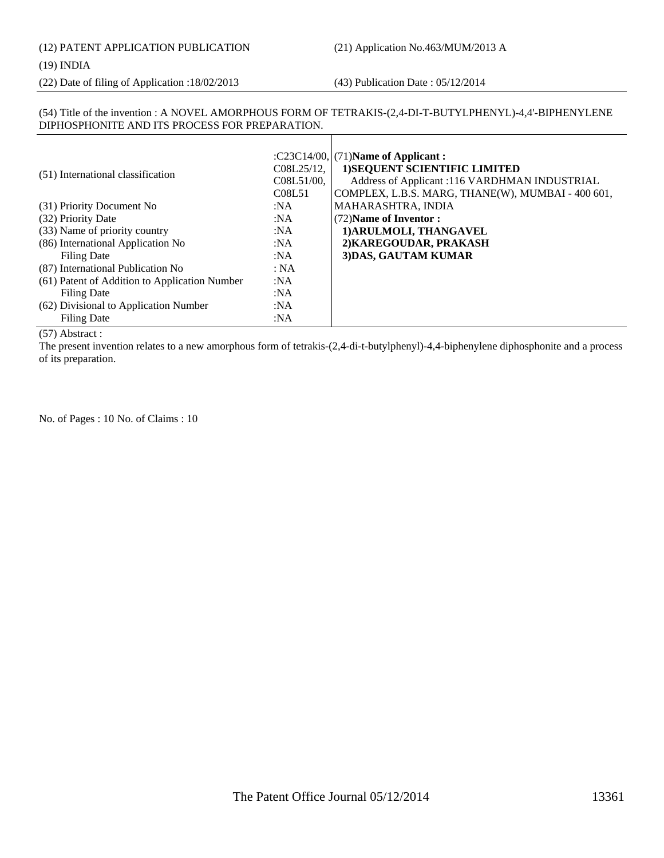# (12) PATENT APPLICATION PUBLICATION (21) Application No.463/MUM/2013 A

#### (19) INDIA

(22) Date of filing of Application :18/02/2013 (43) Publication Date : 05/12/2014

### (54) Title of the invention : A NOVEL AMORPHOUS FORM OF TETRAKIS-(2,4-DI-T-BUTYLPHENYL)-4,4'-BIPHENYLENE DIPHOSPHONITE AND ITS PROCESS FOR PREPARATION.

| (51) International classification             | $CO8L25/12$ ,<br>C08L51/00,<br>C08L51 | : $C23C14/00$ , (71)Name of Applicant:<br>1) SEQUENT SCIENTIFIC LIMITED<br>Address of Applicant: 116 VARDHMAN INDUSTRIAL<br>COMPLEX, L.B.S. MARG, THANE(W), MUMBAI - 400 601, |
|-----------------------------------------------|---------------------------------------|-------------------------------------------------------------------------------------------------------------------------------------------------------------------------------|
| (31) Priority Document No                     | :NA                                   | MAHARASHTRA, INDIA                                                                                                                                                            |
| (32) Priority Date                            | :NA                                   | $(72)$ Name of Inventor :                                                                                                                                                     |
| (33) Name of priority country                 | :NA                                   | 1) ARULMOLI, THANGAVEL                                                                                                                                                        |
| (86) International Application No             | :NA                                   | 2) KAREGOUDAR, PRAKASH                                                                                                                                                        |
| Filing Date                                   | :NA                                   | 3) DAS, GAUTAM KUMAR                                                                                                                                                          |
| (87) International Publication No             | : NA                                  |                                                                                                                                                                               |
| (61) Patent of Addition to Application Number | :NA                                   |                                                                                                                                                                               |
| <b>Filing Date</b>                            | :NA                                   |                                                                                                                                                                               |
| (62) Divisional to Application Number         | :NA                                   |                                                                                                                                                                               |
| <b>Filing Date</b>                            | : $NA$                                |                                                                                                                                                                               |

(57) Abstract :

The present invention relates to a new amorphous form of tetrakis-(2,4-di-t-butylphenyl)-4,4-biphenylene diphosphonite and a process of its preparation.

No. of Pages : 10 No. of Claims : 10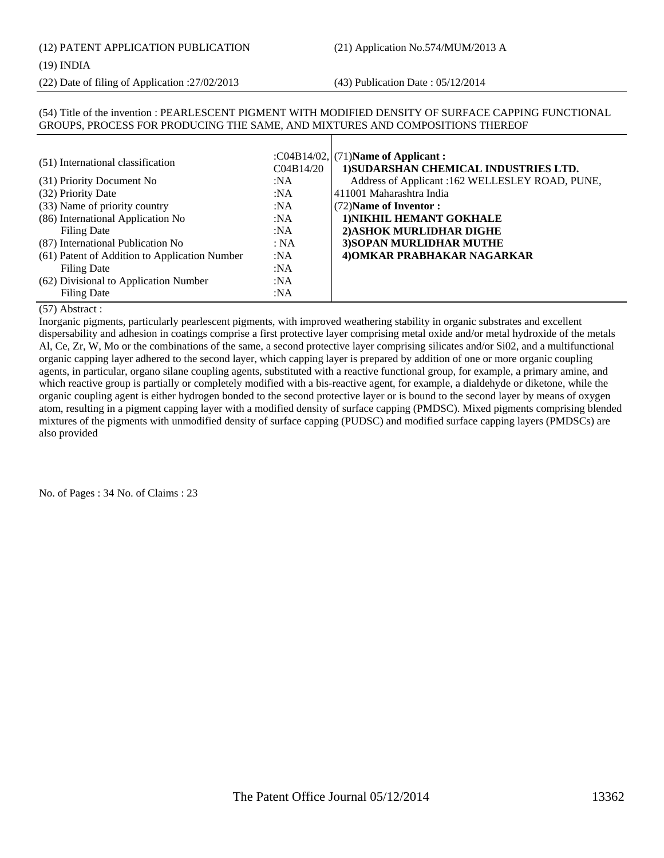# (12) PATENT APPLICATION PUBLICATION (21) Application No.574/MUM/2013 A

#### (19) INDIA

(22) Date of filing of Application :27/02/2013 (43) Publication Date : 05/12/2014

#### (54) Title of the invention : PEARLESCENT PIGMENT WITH MODIFIED DENSITY OF SURFACE CAPPING FUNCTIONAL GROUPS, PROCESS FOR PRODUCING THE SAME, AND MIXTURES AND COMPOSITIONS THEREOF

| (51) International classification<br>C04B14/20       | : $CO4B14/02$ , (71)Name of Applicant :<br>1) SUDARSHAN CHEMICAL INDUSTRIES LTD. |
|------------------------------------------------------|----------------------------------------------------------------------------------|
| (31) Priority Document No<br>:NA                     | Address of Applicant :162 WELLESLEY ROAD, PUNE,                                  |
| (32) Priority Date<br>:NA                            | 411001 Maharashtra India                                                         |
| (33) Name of priority country<br>:NA                 | (72) Name of Inventor:                                                           |
| (86) International Application No<br>:NA             | 1) NIKHIL HEMANT GOKHALE                                                         |
| Filing Date<br>:NA                                   | 2) ASHOK MURLIDHAR DIGHE                                                         |
| (87) International Publication No<br>: NA            | 3) SOPAN MURLIDHAR MUTHE                                                         |
| (61) Patent of Addition to Application Number<br>:NA | 4) OMKAR PRABHAKAR NAGARKAR                                                      |
| :NA<br>Filing Date                                   |                                                                                  |
| (62) Divisional to Application Number<br>:NA         |                                                                                  |
| <b>Filing Date</b><br>:NA                            |                                                                                  |

#### (57) Abstract :

Inorganic pigments, particularly pearlescent pigments, with improved weathering stability in organic substrates and excellent dispersability and adhesion in coatings comprise a first protective layer comprising metal oxide and/or metal hydroxide of the metals Al, Ce, Zr, W, Mo or the combinations of the same, a second protective layer comprising silicates and/or Si02, and a multifunctional organic capping layer adhered to the second layer, which capping layer is prepared by addition of one or more organic coupling agents, in particular, organo silane coupling agents, substituted with a reactive functional group, for example, a primary amine, and which reactive group is partially or completely modified with a bis-reactive agent, for example, a dialdehyde or diketone, while the organic coupling agent is either hydrogen bonded to the second protective layer or is bound to the second layer by means of oxygen atom, resulting in a pigment capping layer with a modified density of surface capping (PMDSC). Mixed pigments comprising blended mixtures of the pigments with unmodified density of surface capping (PUDSC) and modified surface capping layers (PMDSCs) are also provided

No. of Pages : 34 No. of Claims : 23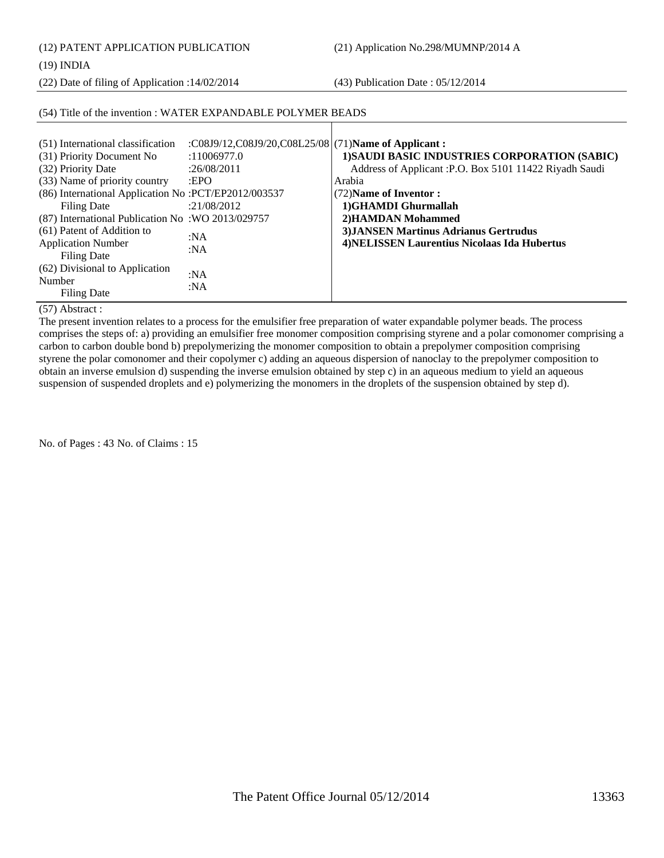(12) PATENT APPLICATION PUBLICATION (21) Application No.298/MUMNP/2014 A

(19) INDIA

(22) Date of filing of Application :14/02/2014 (43) Publication Date : 05/12/2014

| (51) International classification<br>(31) Priority Document No<br>(32) Priority Date<br>(33) Name of priority country<br>(86) International Application No: PCT/EP2012/003537<br>Filing Date<br>(87) International Publication No: WO 2013/029757<br>(61) Patent of Addition to<br><b>Application Number</b><br>Filing Date<br>(62) Divisional to Application | :C08J9/12,C08J9/20,C08L25/08 (71) Name of Applicant:<br>:11006977.0<br>:26/08/2011<br>EPO<br>:21/08/2012<br>:NA<br>:NA<br>:NA | 1) SAUDI BASIC INDUSTRIES CORPORATION (SABIC)<br>Address of Applicant : P.O. Box 5101 11422 Riyadh Saudi<br>Arabia<br>(72) Name of Inventor:<br>1)GHAMDI Ghurmallah<br>2) HAMDAN Mohammed<br>3) JANSEN Martinus Adrianus Gertrudus<br>4) NELISSEN Laurentius Nicolaas Ida Hubertus |
|---------------------------------------------------------------------------------------------------------------------------------------------------------------------------------------------------------------------------------------------------------------------------------------------------------------------------------------------------------------|-------------------------------------------------------------------------------------------------------------------------------|------------------------------------------------------------------------------------------------------------------------------------------------------------------------------------------------------------------------------------------------------------------------------------|
| Number<br>Filing Date                                                                                                                                                                                                                                                                                                                                         | :NA                                                                                                                           |                                                                                                                                                                                                                                                                                    |

# (54) Title of the invention : WATER EXPANDABLE POLYMER BEADS

(57) Abstract :

The present invention relates to a process for the emulsifier free preparation of water expandable polymer beads. The process comprises the steps of: a) providing an emulsifier free monomer composition comprising styrene and a polar comonomer comprising a carbon to carbon double bond b) prepolymerizing the monomer composition to obtain a prepolymer composition comprising styrene the polar comonomer and their copolymer c) adding an aqueous dispersion of nanoclay to the prepolymer composition to obtain an inverse emulsion d) suspending the inverse emulsion obtained by step c) in an aqueous medium to yield an aqueous suspension of suspended droplets and e) polymerizing the monomers in the droplets of the suspension obtained by step d).

No. of Pages : 43 No. of Claims : 15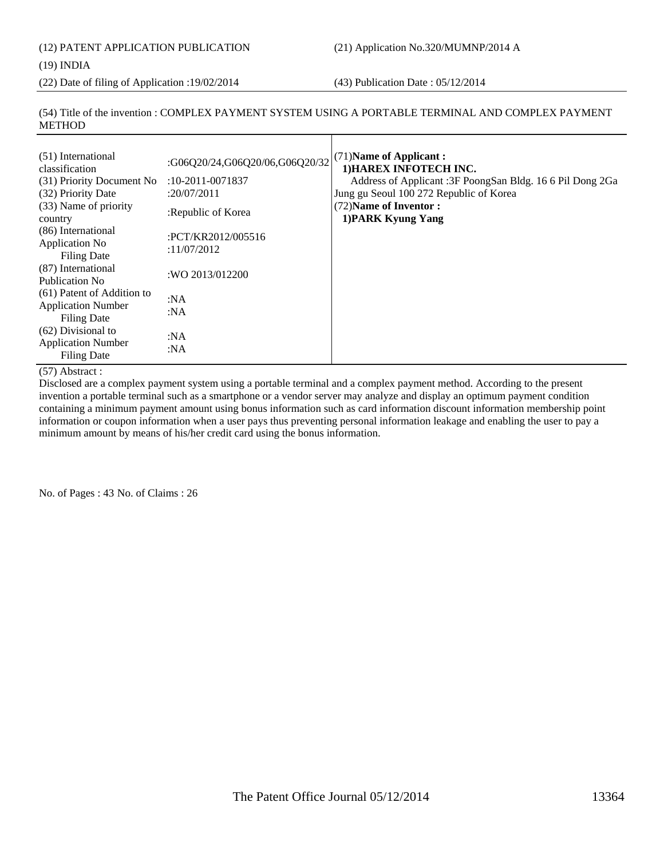(12) PATENT APPLICATION PUBLICATION (21) Application No.320/MUMNP/2014 A

(19) INDIA

(22) Date of filing of Application :19/02/2014 (43) Publication Date : 05/12/2014

(54) Title of the invention : COMPLEX PAYMENT SYSTEM USING A PORTABLE TERMINAL AND COMPLEX PAYMENT METHOD

| (32) Priority Date<br>:20/07/2011<br>(33) Name of priority<br>:Republic of Korea<br>country<br>(86) International<br>:PCT/KR2012/005516<br>Application No<br>:11/07/2012<br>Filing Date<br>(87) International<br>:WO 2013/012200<br>Publication No.<br>(61) Patent of Addition to<br>:NA<br><b>Application Number</b><br>:NA<br>Filing Date<br>$(62)$ Divisional to<br>:NA<br><b>Application Number</b><br>:NA<br><b>Filing Date</b> | Jung gu Seoul 100 272 Republic of Korea<br>(72) Name of Inventor:<br>1) PARK Kyung Yang |
|--------------------------------------------------------------------------------------------------------------------------------------------------------------------------------------------------------------------------------------------------------------------------------------------------------------------------------------------------------------------------------------------------------------------------------------|-----------------------------------------------------------------------------------------|
|--------------------------------------------------------------------------------------------------------------------------------------------------------------------------------------------------------------------------------------------------------------------------------------------------------------------------------------------------------------------------------------------------------------------------------------|-----------------------------------------------------------------------------------------|

(57) Abstract :

Disclosed are a complex payment system using a portable terminal and a complex payment method. According to the present invention a portable terminal such as a smartphone or a vendor server may analyze and display an optimum payment condition containing a minimum payment amount using bonus information such as card information discount information membership point information or coupon information when a user pays thus preventing personal information leakage and enabling the user to pay a minimum amount by means of his/her credit card using the bonus information.

No. of Pages : 43 No. of Claims : 26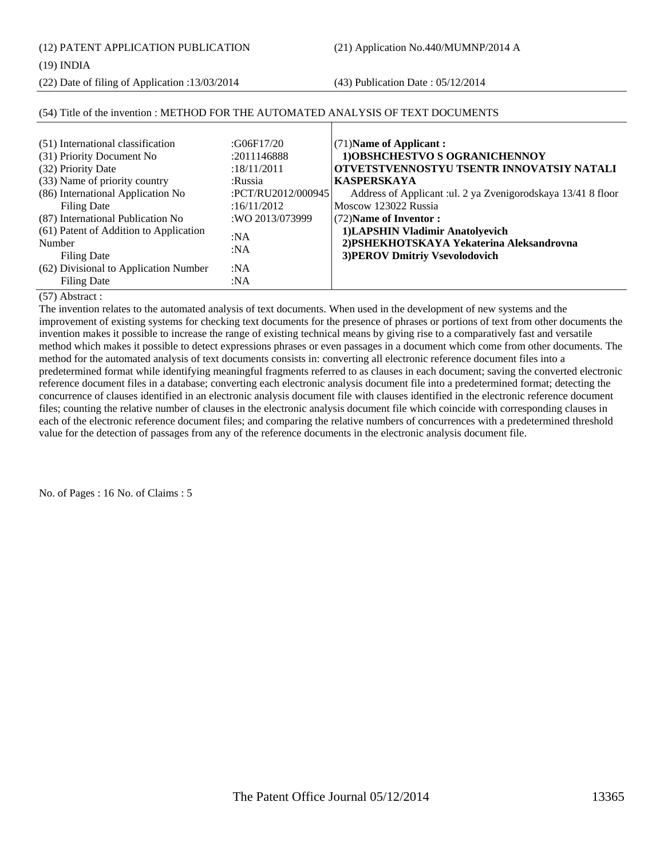(12) PATENT APPLICATION PUBLICATION (21) Application No.440/MUMNP/2014 A

(19) INDIA

(22) Date of filing of Application :13/03/2014 (43) Publication Date : 05/12/2014

### (51) International classification :G06F17/20 (31) Priority Document No :2011146888 (32) Priority Date :18/11/2011 (33) Name of priority country :Russia (86) International Application No Filing Date :PCT/RU2012/000945 :16/11/2012 (87) International Publication No :WO 2013/073999 (61) Patent of Addition to Application Number Filing Date :NA :NA (62) Divisional to Application Number Filing Date :NA :NA (71)**Name of Applicant : 1)OBSHCHESTVO S OGRANICHENNOY OTVETSTVENNOSTYU TSENTR INNOVATSIY NATALI KASPERSKAYA** Address of Applicant :ul. 2 ya Zvenigorodskaya 13/41 8 floor Moscow 123022 Russia (72)**Name of Inventor : 1)LAPSHIN Vladimir Anatolyevich 2)PSHEKHOTSKAYA Yekaterina Aleksandrovna 3)PEROV Dmitriy Vsevolodovich**

(54) Title of the invention : METHOD FOR THE AUTOMATED ANALYSIS OF TEXT DOCUMENTS

# (57) Abstract :

The invention relates to the automated analysis of text documents. When used in the development of new systems and the improvement of existing systems for checking text documents for the presence of phrases or portions of text from other documents the invention makes it possible to increase the range of existing technical means by giving rise to a comparatively fast and versatile method which makes it possible to detect expressions phrases or even passages in a document which come from other documents. The method for the automated analysis of text documents consists in: converting all electronic reference document files into a predetermined format while identifying meaningful fragments referred to as clauses in each document; saving the converted electronic reference document files in a database; converting each electronic analysis document file into a predetermined format; detecting the concurrence of clauses identified in an electronic analysis document file with clauses identified in the electronic reference document files; counting the relative number of clauses in the electronic analysis document file which coincide with corresponding clauses in each of the electronic reference document files; and comparing the relative numbers of concurrences with a predetermined threshold value for the detection of passages from any of the reference documents in the electronic analysis document file.

No. of Pages : 16 No. of Claims : 5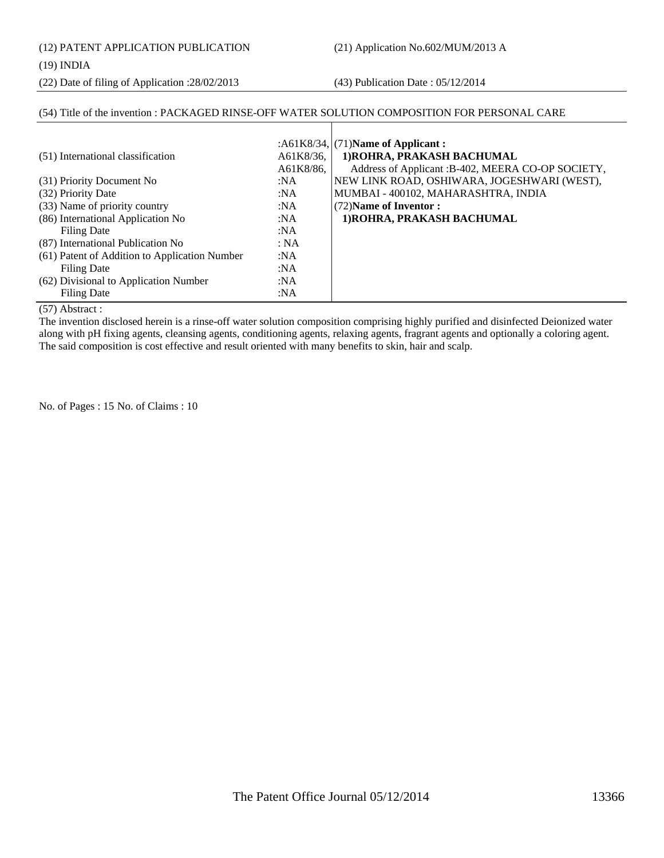(12) PATENT APPLICATION PUBLICATION (21) Application No.602/MUM/2013 A

## (19) INDIA

(22) Date of filing of Application :28/02/2013 (43) Publication Date : 05/12/2014

# (54) Title of the invention : PACKAGED RINSE-OFF WATER SOLUTION COMPOSITION FOR PERSONAL CARE

| (51) International classification             | A61K8/36.<br>A61K8/86. | : $A61K8/34$ , (71)Name of Applicant:<br>1) ROHRA, PRAKASH BACHUMAL<br>Address of Applicant : B-402, MEERA CO-OP SOCIETY, |
|-----------------------------------------------|------------------------|---------------------------------------------------------------------------------------------------------------------------|
| (31) Priority Document No                     | :NA                    | NEW LINK ROAD, OSHIWARA, JOGESHWARI (WEST),                                                                               |
| (32) Priority Date                            | :NA                    | MUMBAI - 400102, MAHARASHTRA, INDIA                                                                                       |
| (33) Name of priority country                 | :NA                    | (72) Name of Inventor:                                                                                                    |
| (86) International Application No             | :NA                    | 1) ROHRA, PRAKASH BACHUMAL                                                                                                |
| Filing Date                                   | :NA                    |                                                                                                                           |
| (87) International Publication No             | : NA                   |                                                                                                                           |
| (61) Patent of Addition to Application Number | :NA                    |                                                                                                                           |
| Filing Date                                   | :NA                    |                                                                                                                           |
| (62) Divisional to Application Number         | :NA                    |                                                                                                                           |
| Filing Date                                   | :NA                    |                                                                                                                           |

### (57) Abstract :

The invention disclosed herein is a rinse-off water solution composition comprising highly purified and disinfected Deionized water along with pH fixing agents, cleansing agents, conditioning agents, relaxing agents, fragrant agents and optionally a coloring agent. The said composition is cost effective and result oriented with many benefits to skin, hair and scalp.

No. of Pages : 15 No. of Claims : 10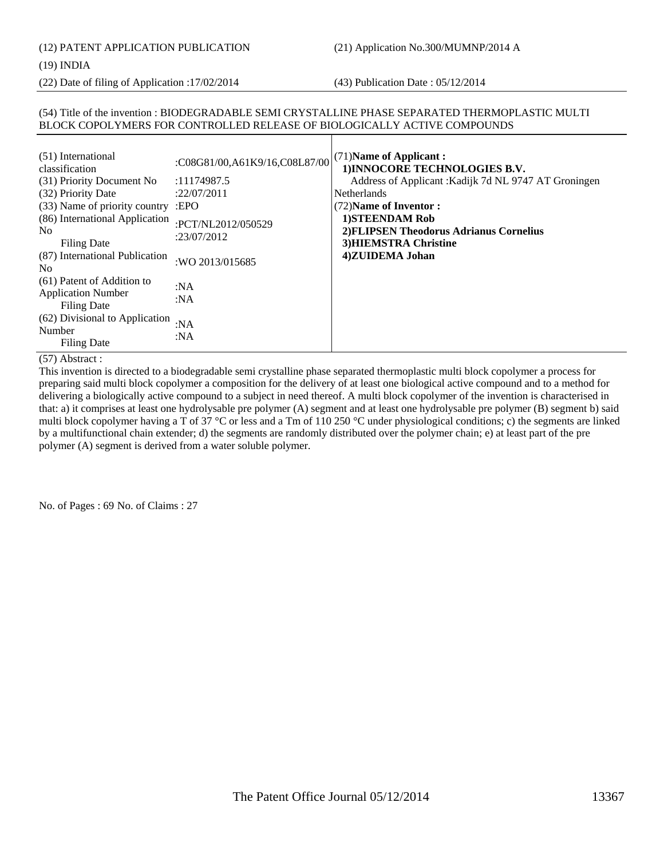## (19) INDIA

(22) Date of filing of Application :17/02/2014 (43) Publication Date : 05/12/2014

### (54) Title of the invention : BIODEGRADABLE SEMI CRYSTALLINE PHASE SEPARATED THERMOPLASTIC MULTI BLOCK COPOLYMERS FOR CONTROLLED RELEASE OF BIOLOGICALLY ACTIVE COMPOUNDS

| (51) International<br>classification                                          | :C08G81/00,A61K9/16,C08L87/00     | (71) Name of Applicant:<br>1) INNOCORE TECHNOLOGIES B.V.                            |
|-------------------------------------------------------------------------------|-----------------------------------|-------------------------------------------------------------------------------------|
| (31) Priority Document No                                                     | :11174987.5                       | Address of Applicant: Kadijk 7d NL 9747 AT Groningen                                |
| (32) Priority Date                                                            | :22/07/2011                       | <b>Netherlands</b>                                                                  |
| (33) Name of priority country :EPO                                            |                                   | (72) Name of Inventor:                                                              |
| (86) International Application<br>N <sub>0</sub><br>Filing Date               | :PCT/NL2012/050529<br>:23/07/2012 | 1) STEENDAM Rob<br>2) FLIPSEN Theodorus Adrianus Cornelius<br>3) HIEMSTRA Christine |
| (87) International Publication<br>N <sub>0</sub>                              | :WO 2013/015685                   | 4)ZUIDEMA Johan                                                                     |
| (61) Patent of Addition to<br><b>Application Number</b><br><b>Filing Date</b> | :NA<br>:NA                        |                                                                                     |
| (62) Divisional to Application<br>Number<br>Filing Date                       | :NA<br>:NA                        |                                                                                     |

## (57) Abstract :

This invention is directed to a biodegradable semi crystalline phase separated thermoplastic multi block copolymer a process for preparing said multi block copolymer a composition for the delivery of at least one biological active compound and to a method for delivering a biologically active compound to a subject in need thereof. A multi block copolymer of the invention is characterised in that: a) it comprises at least one hydrolysable pre polymer (A) segment and at least one hydrolysable pre polymer (B) segment b) said multi block copolymer having a T of 37 °C or less and a Tm of 110 250 °C under physiological conditions; c) the segments are linked by a multifunctional chain extender; d) the segments are randomly distributed over the polymer chain; e) at least part of the pre polymer (A) segment is derived from a water soluble polymer.

No. of Pages : 69 No. of Claims : 27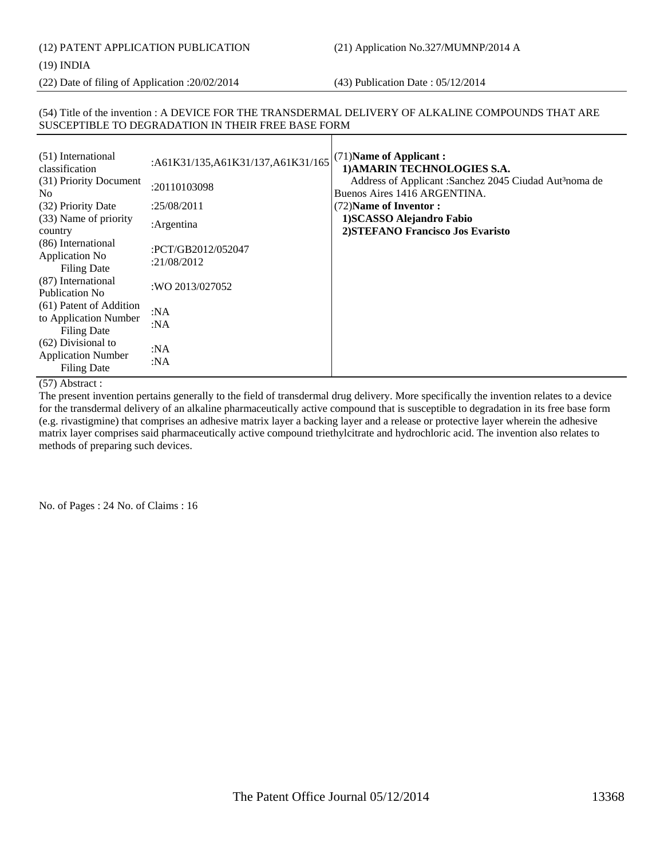(12) PATENT APPLICATION PUBLICATION (21) Application No.327/MUMNP/2014 A

(19) INDIA

(22) Date of filing of Application :20/02/2014 (43) Publication Date : 05/12/2014

# (54) Title of the invention : A DEVICE FOR THE TRANSDERMAL DELIVERY OF ALKALINE COMPOUNDS THAT ARE SUSCEPTIBLE TO DEGRADATION IN THEIR FREE BASE FORM

| (51) International<br>classification                            | :A61K31/135,A61K31/137,A61K31/165 | (71) Name of Applicant:<br>1) AMARIN TECHNOLOGIES S.A.                                             |
|-----------------------------------------------------------------|-----------------------------------|----------------------------------------------------------------------------------------------------|
| (31) Priority Document<br>N <sub>0</sub>                        | :20110103098                      | Address of Applicant: Sanchez 2045 Ciudad Aut <sup>3</sup> noma de<br>Buenos Aires 1416 ARGENTINA. |
| (32) Priority Date                                              | :25/08/2011                       | (72) Name of Inventor:                                                                             |
| (33) Name of priority<br>country                                | :Argentina                        | 1) SCASSO Alejandro Fabio<br>2) STEFANO Francisco Jos Evaristo                                     |
| (86) International<br>Application No<br><b>Filing Date</b>      | :PCT/GB2012/052047<br>:21/08/2012 |                                                                                                    |
| (87) International<br>Publication No.                           | :WO 2013/027052                   |                                                                                                    |
| (61) Patent of Addition<br>to Application Number<br>Filing Date | :NA<br>:N $A$                     |                                                                                                    |
| (62) Divisional to<br><b>Application Number</b><br>Filing Date  | :NA<br>:NA                        |                                                                                                    |

(57) Abstract :

The present invention pertains generally to the field of transdermal drug delivery. More specifically the invention relates to a device for the transdermal delivery of an alkaline pharmaceutically active compound that is susceptible to degradation in its free base form (e.g. rivastigmine) that comprises an adhesive matrix layer a backing layer and a release or protective layer wherein the adhesive matrix layer comprises said pharmaceutically active compound triethylcitrate and hydrochloric acid. The invention also relates to methods of preparing such devices.

No. of Pages : 24 No. of Claims : 16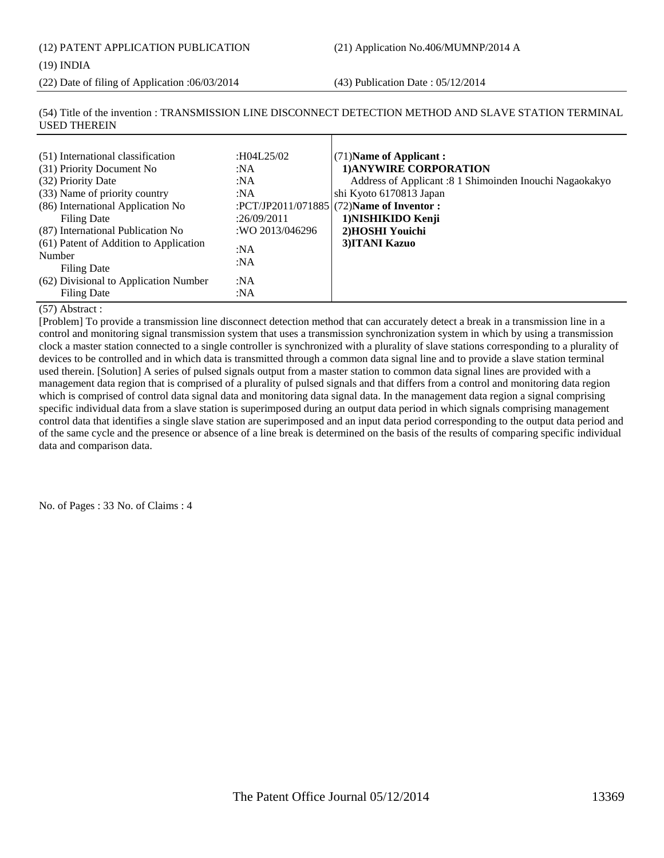(12) PATENT APPLICATION PUBLICATION (21) Application No.406/MUMNP/2014 A

(19) INDIA

(22) Date of filing of Application :06/03/2014 (43) Publication Date : 05/12/2014

(54) Title of the invention : TRANSMISSION LINE DISCONNECT DETECTION METHOD AND SLAVE STATION TERMINAL USED THEREIN

| (51) International classification<br>(31) Priority Document No<br>(32) Priority Date<br>(33) Name of priority country<br>(86) International Application No<br>Filing Date<br>(87) International Publication No<br>(61) Patent of Addition to Application<br>Number<br>Filing Date<br>(62) Divisional to Application Number<br>Filing Date | :H04L25/02<br>:NA<br>:NA<br>:NA<br>:26/09/2011<br>:WO 2013/046296<br>:NA<br>:NA<br>:NA<br>: $NA$ | $(71)$ Name of Applicant:<br>1) ANYWIRE CORPORATION<br>Address of Applicant: 8 1 Shimoinden Inouchi Nagaokakyo<br>shi Kyoto 6170813 Japan<br>:PCT/JP2011/071885 $(72)$ Name of Inventor :<br>1) NISHIKIDO Kenji<br>2) HOSHI Youichi<br>3) ITANI Kazuo |
|-------------------------------------------------------------------------------------------------------------------------------------------------------------------------------------------------------------------------------------------------------------------------------------------------------------------------------------------|--------------------------------------------------------------------------------------------------|-------------------------------------------------------------------------------------------------------------------------------------------------------------------------------------------------------------------------------------------------------|
|-------------------------------------------------------------------------------------------------------------------------------------------------------------------------------------------------------------------------------------------------------------------------------------------------------------------------------------------|--------------------------------------------------------------------------------------------------|-------------------------------------------------------------------------------------------------------------------------------------------------------------------------------------------------------------------------------------------------------|

### (57) Abstract :

[Problem] To provide a transmission line disconnect detection method that can accurately detect a break in a transmission line in a control and monitoring signal transmission system that uses a transmission synchronization system in which by using a transmission clock a master station connected to a single controller is synchronized with a plurality of slave stations corresponding to a plurality of devices to be controlled and in which data is transmitted through a common data signal line and to provide a slave station terminal used therein. [Solution] A series of pulsed signals output from a master station to common data signal lines are provided with a management data region that is comprised of a plurality of pulsed signals and that differs from a control and monitoring data region which is comprised of control data signal data and monitoring data signal data. In the management data region a signal comprising specific individual data from a slave station is superimposed during an output data period in which signals comprising management control data that identifies a single slave station are superimposed and an input data period corresponding to the output data period and of the same cycle and the presence or absence of a line break is determined on the basis of the results of comparing specific individual data and comparison data.

No. of Pages : 33 No. of Claims : 4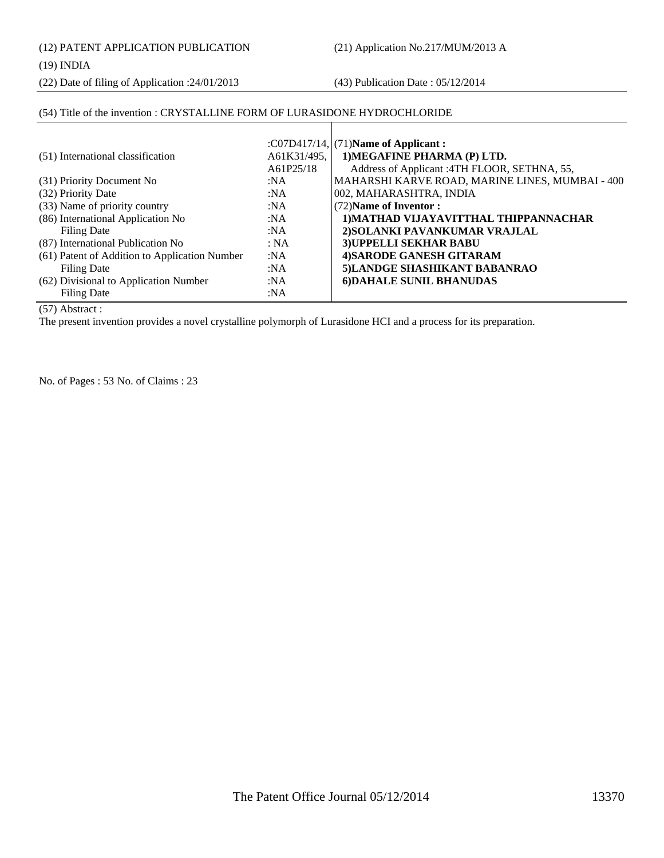### (19) INDIA

(22) Date of filing of Application :24/01/2013 (43) Publication Date : 05/12/2014

# (54) Title of the invention : CRYSTALLINE FORM OF LURASIDONE HYDROCHLORIDE

|                                               |             | : $CO7D417/14$ , (71)Name of Applicant:         |
|-----------------------------------------------|-------------|-------------------------------------------------|
| (51) International classification             | A61K31/495, | 1) MEGAFINE PHARMA (P) LTD.                     |
|                                               | A61P25/18   | Address of Applicant : 4TH FLOOR, SETHNA, 55,   |
| (31) Priority Document No                     | :NA         | MAHARSHI KARVE ROAD, MARINE LINES, MUMBAI - 400 |
| (32) Priority Date                            | :NA         | 002, MAHARASHTRA, INDIA                         |
| (33) Name of priority country                 | :NA         | (72) Name of Inventor:                          |
| (86) International Application No             | :NA         | 1) MATHAD VIJAYAVITTHAL THIPPANNACHAR           |
| Filing Date                                   | :NA         | 2) SOLANKI PAVANKUMAR VRAJLAL                   |
| (87) International Publication No             | : NA        | 3) UPPELLI SEKHAR BABU                          |
| (61) Patent of Addition to Application Number | :NA         | 4) SARODE GANESH GITARAM                        |
| <b>Filing Date</b>                            | :NA         | 5)LANDGE SHASHIKANT BABANRAO                    |
| (62) Divisional to Application Number         | :NA         | 6) DAHALE SUNIL BHANUDAS                        |
| <b>Filing Date</b>                            | :N $A$      |                                                 |

(57) Abstract :

The present invention provides a novel crystalline polymorph of Lurasidone HCI and a process for its preparation.

No. of Pages : 53 No. of Claims : 23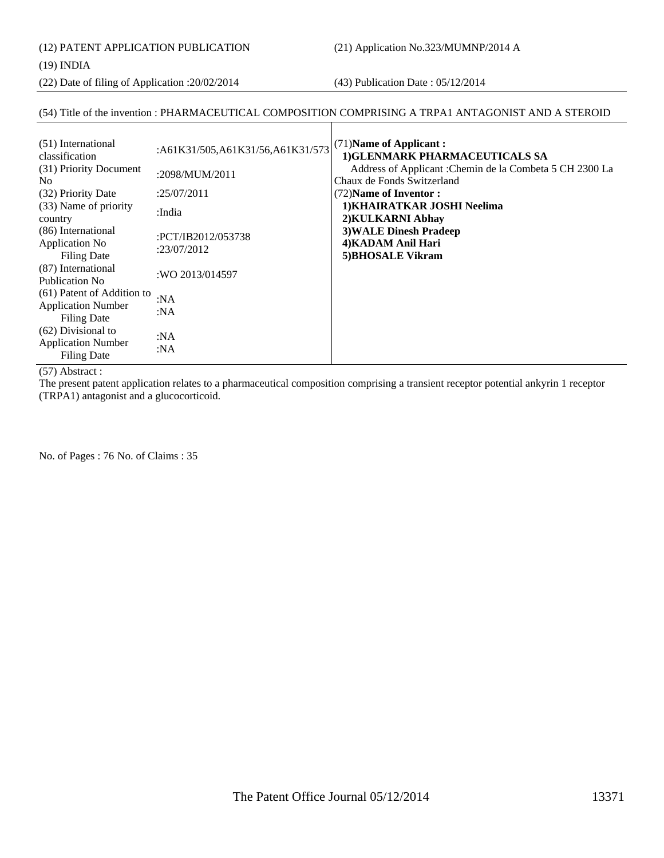(12) PATENT APPLICATION PUBLICATION (21) Application No.323/MUMNP/2014 A

(19) INDIA

(22) Date of filing of Application :20/02/2014 (43) Publication Date : 05/12/2014

# (54) Title of the invention : PHARMACEUTICAL COMPOSITION COMPRISING A TRPA1 ANTAGONIST AND A STEROID

| (51) International<br>classification<br>(31) Priority Document<br>N <sub>0</sub><br>(32) Priority Date | :A61K31/505,A61K31/56,A61K31/573<br>:2098/MUM/2011<br>:25/07/2011 | (71) Name of Applicant:<br>1) GLENMARK PHARMACEUTICALS SA<br>Address of Applicant: Chemin de la Combeta 5 CH 2300 La<br>Chaux de Fonds Switzerland<br>(72) Name of Inventor: |
|--------------------------------------------------------------------------------------------------------|-------------------------------------------------------------------|------------------------------------------------------------------------------------------------------------------------------------------------------------------------------|
| (33) Name of priority<br>country                                                                       | :India                                                            | 1) KHAIRATKAR JOSHI Neelima<br>2) KULKARNI Abhay                                                                                                                             |
| (86) International<br>Application No<br><b>Filing Date</b>                                             | :PCT/IB2012/053738<br>:23/07/2012                                 | <b>3) WALE Dinesh Pradeep</b><br>4) KADAM Anil Hari<br><b>5)BHOSALE Vikram</b>                                                                                               |
| (87) International<br>Publication No                                                                   | :WO 2013/014597                                                   |                                                                                                                                                                              |
| (61) Patent of Addition to<br><b>Application Number</b><br>Filing Date                                 | :NA<br>: $NA$                                                     |                                                                                                                                                                              |
| (62) Divisional to<br><b>Application Number</b><br><b>Filing Date</b>                                  | : $NA$<br>: $NA$                                                  |                                                                                                                                                                              |

(57) Abstract :

The present patent application relates to a pharmaceutical composition comprising a transient receptor potential ankyrin 1 receptor (TRPA1) antagonist and a glucocorticoid.

No. of Pages : 76 No. of Claims : 35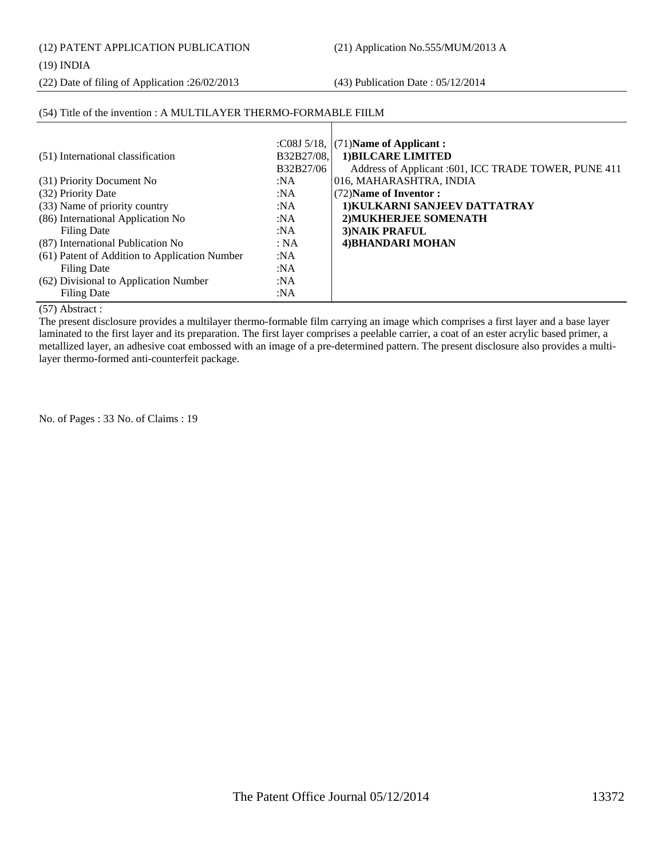(12) PATENT APPLICATION PUBLICATION (21) Application No.555/MUM/2013 A

### (19) INDIA

(22) Date of filing of Application :26/02/2013 (43) Publication Date : 05/12/2014

# (54) Title of the invention : A MULTILAYER THERMO-FORMABLE FIILM

|                                               |            | :C08J 5/18, $(71)$ Name of Applicant:                |
|-----------------------------------------------|------------|------------------------------------------------------|
| (51) International classification             | B32B27/08. | 1) BILCARE LIMITED                                   |
|                                               | B32B27/06  | Address of Applicant :601, ICC TRADE TOWER, PUNE 411 |
| (31) Priority Document No                     | :NA        | 016, MAHARASHTRA, INDIA                              |
| (32) Priority Date                            | :NA        | (72) Name of Inventor:                               |
| (33) Name of priority country                 | :NA        | 1) KULKARNI SANJEEV DATTATRAY                        |
| (86) International Application No             | :NA        | 2) MUKHERJEE SOMENATH                                |
| <b>Filing Date</b>                            | :NA        | 3) NAIK PRAFUL                                       |
| (87) International Publication No             | : NA       | 4) BHANDARI MOHAN                                    |
| (61) Patent of Addition to Application Number | : $NA$     |                                                      |
| Filing Date                                   | :NA        |                                                      |
| (62) Divisional to Application Number         | :NA        |                                                      |
| Filing Date                                   | :NA        |                                                      |

### (57) Abstract :

The present disclosure provides a multilayer thermo-formable film carrying an image which comprises a first layer and a base layer laminated to the first layer and its preparation. The first layer comprises a peelable carrier, a coat of an ester acrylic based primer, a metallized layer, an adhesive coat embossed with an image of a pre-determined pattern. The present disclosure also provides a multilayer thermo-formed anti-counterfeit package.

No. of Pages : 33 No. of Claims : 19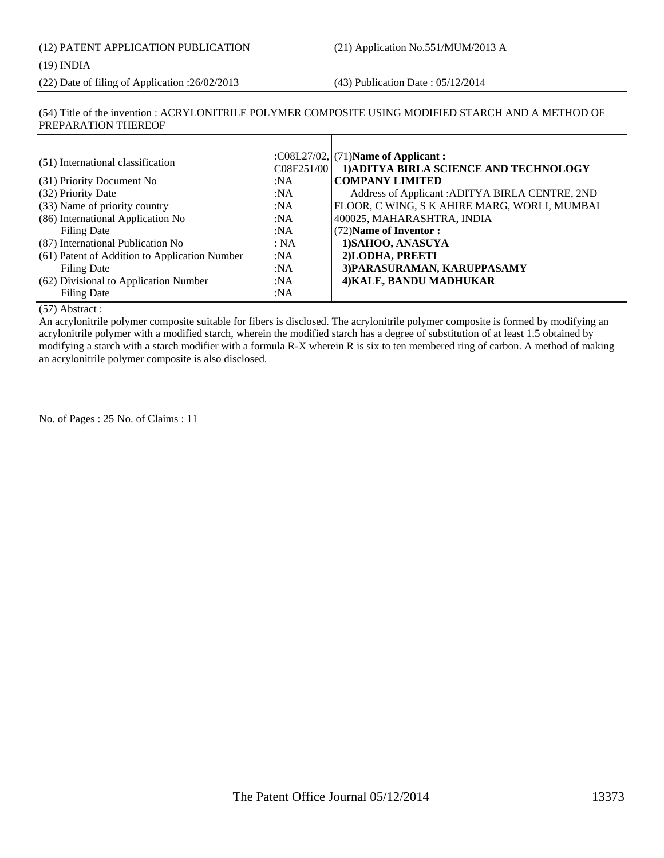(22) Date of filing of Application :26/02/2013 (43) Publication Date : 05/12/2014

### (54) Title of the invention : ACRYLONITRILE POLYMER COMPOSITE USING MODIFIED STARCH AND A METHOD OF PREPARATION THEREOF

| (51) International classification             | C08F251/00 | : $CO8L27/02$ , (71)Name of Applicant:<br>1) ADITYA BIRLA SCIENCE AND TECHNOLOGY |
|-----------------------------------------------|------------|----------------------------------------------------------------------------------|
| (31) Priority Document No                     | :NA        | <b>COMPANY LIMITED</b>                                                           |
| (32) Priority Date                            | :NA        | Address of Applicant: ADITYA BIRLA CENTRE, 2ND                                   |
| (33) Name of priority country                 | :NA        | FLOOR, C WING, S K AHIRE MARG, WORLI, MUMBAI                                     |
| (86) International Application No             | :NA        | 400025, MAHARASHTRA, INDIA                                                       |
| <b>Filing Date</b>                            | :NA        | (72) Name of Inventor:                                                           |
| (87) International Publication No             | : NA       | 1) SAHOO, ANASUYA                                                                |
| (61) Patent of Addition to Application Number | :NA        | 2)LODHA, PREETI                                                                  |
| <b>Filing Date</b>                            | :NA        | 3) PARASURAMAN, KARUPPASAMY                                                      |
| (62) Divisional to Application Number         | :NA        | 4) KALE, BANDU MADHUKAR                                                          |
| <b>Filing Date</b>                            | :NA        |                                                                                  |

(57) Abstract :

An acrylonitrile polymer composite suitable for fibers is disclosed. The acrylonitrile polymer composite is formed by modifying an acrylonitrile polymer with a modified starch, wherein the modified starch has a degree of substitution of at least 1.5 obtained by modifying a starch with a starch modifier with a formula R-X wherein R is six to ten membered ring of carbon. A method of making an acrylonitrile polymer composite is also disclosed.

No. of Pages : 25 No. of Claims : 11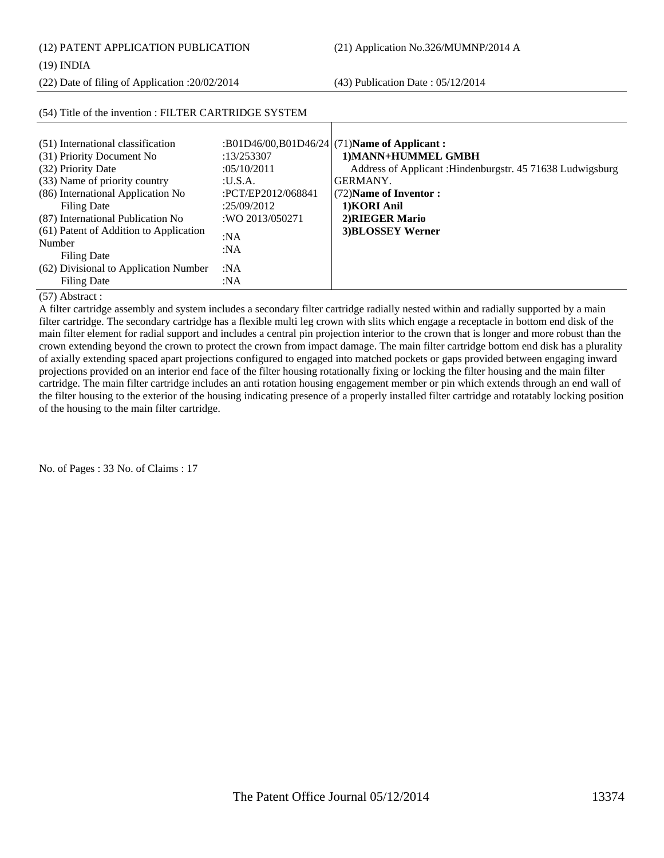(12) PATENT APPLICATION PUBLICATION (21) Application No.326/MUMNP/2014 A

### (19) INDIA

(22) Date of filing of Application :20/02/2014 (43) Publication Date : 05/12/2014

| (51) International classification<br>(31) Priority Document No<br>(32) Priority Date<br>(33) Name of priority country<br>(86) International Application No<br>Filing Date<br>(87) International Publication No | :13/253307<br>:05/10/2011<br>:U.S.A.<br>:PCT/EP2012/068841<br>:25/09/2012<br>:WO 2013/050271 | :B01D46/00,B01D46/24 (71)Name of Applicant:<br>1) MANN+HUMMEL GMBH<br>Address of Applicant : Hindenburgstr. 45 71638 Ludwigsburg<br>GERMANY.<br>(72) Name of Inventor:<br>1)KORI Anil<br>2) RIEGER Mario |
|----------------------------------------------------------------------------------------------------------------------------------------------------------------------------------------------------------------|----------------------------------------------------------------------------------------------|----------------------------------------------------------------------------------------------------------------------------------------------------------------------------------------------------------|
| (61) Patent of Addition to Application<br>Number<br>Filing Date<br>(62) Divisional to Application Number<br>Filing Date                                                                                        | :NA<br>:NA<br>:NA<br>:NA                                                                     | 3) BLOSSEY Werner                                                                                                                                                                                        |

### (54) Title of the invention : FILTER CARTRIDGE SYSTEM

### (57) Abstract :

A filter cartridge assembly and system includes a secondary filter cartridge radially nested within and radially supported by a main filter cartridge. The secondary cartridge has a flexible multi leg crown with slits which engage a receptacle in bottom end disk of the main filter element for radial support and includes a central pin projection interior to the crown that is longer and more robust than the crown extending beyond the crown to protect the crown from impact damage. The main filter cartridge bottom end disk has a plurality of axially extending spaced apart projections configured to engaged into matched pockets or gaps provided between engaging inward projections provided on an interior end face of the filter housing rotationally fixing or locking the filter housing and the main filter cartridge. The main filter cartridge includes an anti rotation housing engagement member or pin which extends through an end wall of the filter housing to the exterior of the housing indicating presence of a properly installed filter cartridge and rotatably locking position of the housing to the main filter cartridge.

No. of Pages : 33 No. of Claims : 17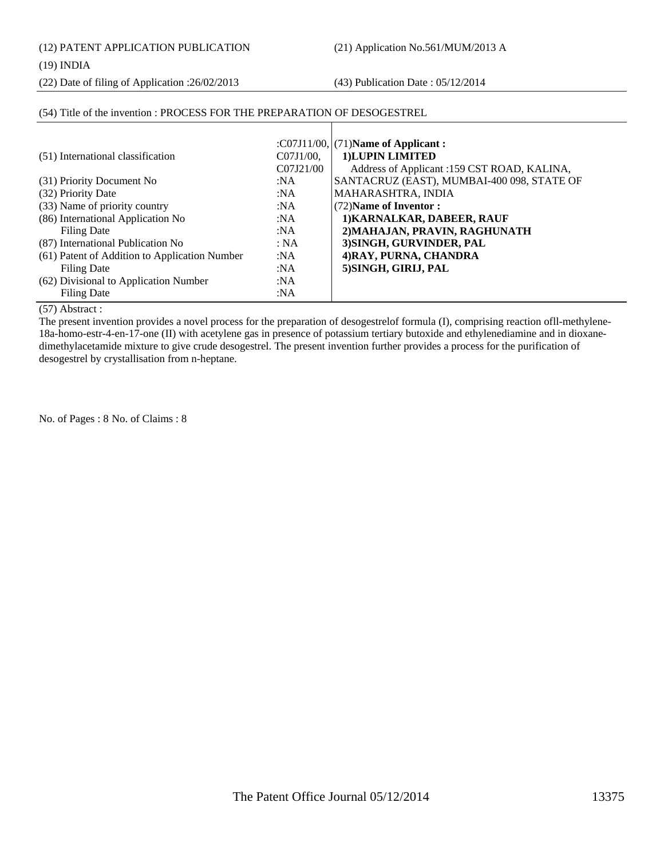(12) PATENT APPLICATION PUBLICATION (21) Application No.561/MUM/2013 A

### (19) INDIA

(22) Date of filing of Application :26/02/2013 (43) Publication Date : 05/12/2014

# (54) Title of the invention : PROCESS FOR THE PREPARATION OF DESOGESTREL

|                                               |           | : $CO7J11/00$ , $(71)$ Name of Applicant :   |
|-----------------------------------------------|-----------|----------------------------------------------|
| (51) International classification             | C07J1/00. | 1) LUPIN LIMITED                             |
|                                               | C07J21/00 | Address of Applicant : 159 CST ROAD, KALINA, |
| (31) Priority Document No                     | :NA       | SANTACRUZ (EAST), MUMBAI-400 098, STATE OF   |
| (32) Priority Date                            | :NA       | MAHARASHTRA, INDIA                           |
| (33) Name of priority country                 | :NA       | (72) Name of Inventor:                       |
| (86) International Application No             | :NA       | 1) KARNALKAR, DABEER, RAUF                   |
| Filing Date                                   | :NA       | 2) MAHAJAN, PRAVIN, RAGHUNATH                |
| (87) International Publication No             | : NA      | 3) SINGH, GURVINDER, PAL                     |
| (61) Patent of Addition to Application Number | :NA       | 4) RAY, PURNA, CHANDRA                       |
| Filing Date                                   | :NA       | 5) SINGH, GIRIJ, PAL                         |
| (62) Divisional to Application Number         | :NA       |                                              |
| Filing Date                                   | :NA       |                                              |

(57) Abstract :

The present invention provides a novel process for the preparation of desogestrelof formula (I), comprising reaction ofll-methylene-18a-homo-estr-4-en-17-one (II) with acetylene gas in presence of potassium tertiary butoxide and ethylenediamine and in dioxanedimethylacetamide mixture to give crude desogestrel. The present invention further provides a process for the purification of desogestrel by crystallisation from n-heptane.

No. of Pages : 8 No. of Claims : 8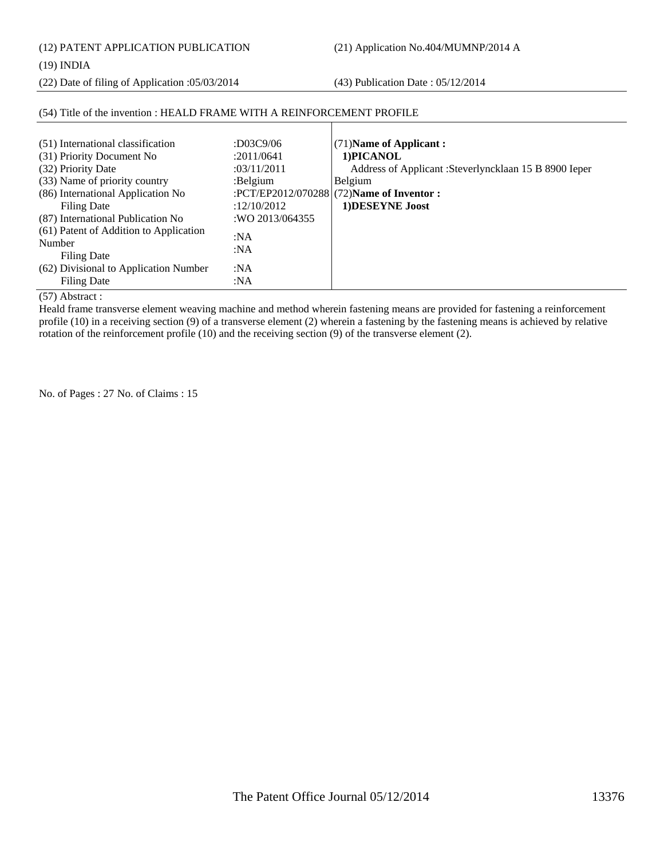(12) PATENT APPLICATION PUBLICATION (21) Application No.404/MUMNP/2014 A

### (19) INDIA

(22) Date of filing of Application :05/03/2014 (43) Publication Date : 05/12/2014

| (51) International classification      | $:$ D03C9/06    | $(71)$ Name of Applicant:                             |
|----------------------------------------|-----------------|-------------------------------------------------------|
| (31) Priority Document No              | :2011/0641      | 1) PICANOL                                            |
| (32) Priority Date                     | :03/11/2011     | Address of Applicant: Steverlyncklaan 15 B 8900 Ieper |
| (33) Name of priority country          | Belgium         | <b>Belgium</b>                                        |
| (86) International Application No      |                 | :PCT/EP2012/070288 (72) Name of Inventor :            |
| Filing Date                            | :12/10/2012     | 1) DESEYNE Joost                                      |
| (87) International Publication No      | :WO 2013/064355 |                                                       |
| (61) Patent of Addition to Application | :NA             |                                                       |
| Number                                 |                 |                                                       |
| Filing Date                            | :N $A$          |                                                       |
| (62) Divisional to Application Number  | :NA             |                                                       |
| Filing Date                            | :N $A$          |                                                       |

# (54) Title of the invention : HEALD FRAME WITH A REINFORCEMENT PROFILE

(57) Abstract :

Heald frame transverse element weaving machine and method wherein fastening means are provided for fastening a reinforcement profile (10) in a receiving section (9) of a transverse element (2) wherein a fastening by the fastening means is achieved by relative rotation of the reinforcement profile (10) and the receiving section (9) of the transverse element (2).

No. of Pages : 27 No. of Claims : 15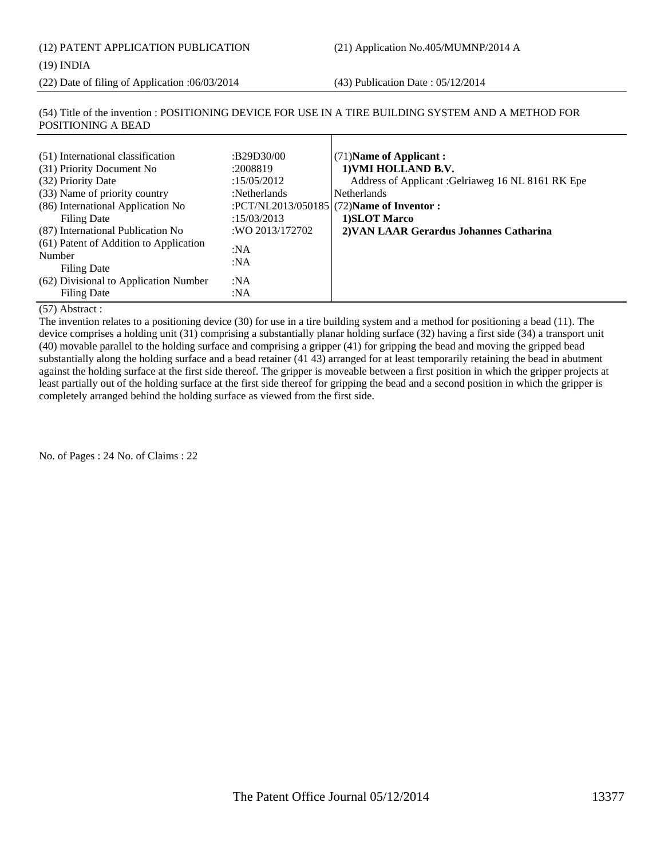(12) PATENT APPLICATION PUBLICATION (21) Application No.405/MUMNP/2014 A

### (19) INDIA

(22) Date of filing of Application :06/03/2014 (43) Publication Date : 05/12/2014

## (54) Title of the invention : POSITIONING DEVICE FOR USE IN A TIRE BUILDING SYSTEM AND A METHOD FOR POSITIONING A BEAD

| (51) International classification<br>(31) Priority Document No<br>(32) Priority Date<br>(33) Name of priority country<br>(86) International Application No<br>Filing Date<br>(87) International Publication No<br>(61) Patent of Addition to Application<br>Number<br>Filing Date<br>(62) Divisional to Application Number<br>Filing Date | :B29D30/00<br>:2008819<br>:15/05/2012<br>:Netherlands<br>:15/03/2013<br>:WO 2013/172702<br>:NA<br>:NA<br>:NA<br>:NA | $(71)$ Name of Applicant:<br>1) VMI HOLLAND B.V.<br>Address of Applicant: Gelriaweg 16 NL 8161 RK Epe<br><b>Netherlands</b><br>:PCT/NL2013/050185 $(72)$ Name of Inventor :<br>1)SLOT Marco<br>2) VAN LAAR Gerardus Johannes Catharina |
|-------------------------------------------------------------------------------------------------------------------------------------------------------------------------------------------------------------------------------------------------------------------------------------------------------------------------------------------|---------------------------------------------------------------------------------------------------------------------|----------------------------------------------------------------------------------------------------------------------------------------------------------------------------------------------------------------------------------------|
|-------------------------------------------------------------------------------------------------------------------------------------------------------------------------------------------------------------------------------------------------------------------------------------------------------------------------------------------|---------------------------------------------------------------------------------------------------------------------|----------------------------------------------------------------------------------------------------------------------------------------------------------------------------------------------------------------------------------------|

### (57) Abstract :

The invention relates to a positioning device (30) for use in a tire building system and a method for positioning a bead (11). The device comprises a holding unit (31) comprising a substantially planar holding surface (32) having a first side (34) a transport unit (40) movable parallel to the holding surface and comprising a gripper (41) for gripping the bead and moving the gripped bead substantially along the holding surface and a bead retainer (41 43) arranged for at least temporarily retaining the bead in abutment against the holding surface at the first side thereof. The gripper is moveable between a first position in which the gripper projects at least partially out of the holding surface at the first side thereof for gripping the bead and a second position in which the gripper is completely arranged behind the holding surface as viewed from the first side.

No. of Pages : 24 No. of Claims : 22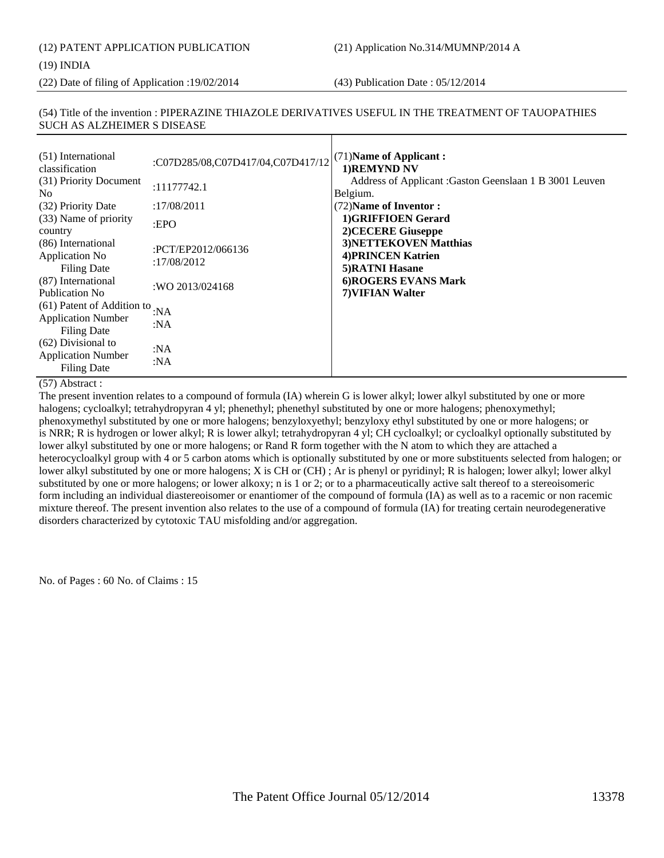(12) PATENT APPLICATION PUBLICATION (21) Application No.314/MUMNP/2014 A (19) INDIA

(22) Date of filing of Application :19/02/2014 (43) Publication Date : 05/12/2014

### (54) Title of the invention : PIPERAZINE THIAZOLE DERIVATIVES USEFUL IN THE TREATMENT OF TAUOPATHIES SUCH AS ALZHEIMER S DISEASE

| (51) International<br>classification<br>(31) Priority Document                  | :C07D285/08,C07D417/04,C07D417/12<br>:11177742.1 | (71) Name of Applicant:<br>1)REMYND NV<br>Address of Applicant : Gaston Geenslaan 1 B 3001 Leuven |
|---------------------------------------------------------------------------------|--------------------------------------------------|---------------------------------------------------------------------------------------------------|
| No.                                                                             |                                                  | Belgium.                                                                                          |
| (32) Priority Date                                                              | :17/08/2011                                      | (72) Name of Inventor:                                                                            |
| (33) Name of priority<br>country                                                | EPO                                              | 1) GRIFFIOEN Gerard<br>2) CECERE Giuseppe                                                         |
| (86) International<br>Application No<br><b>Filing Date</b>                      | :PCT/EP2012/066136<br>:17/08/2012                | 3) NETTEKOVEN Matthias<br><b>4) PRINCEN Katrien</b><br>5) RATNI Hasane                            |
| (87) International<br>Publication No.                                           | :WO 2013/024168                                  | 6) ROGERS EVANS Mark<br>7) VIFIAN Walter                                                          |
| $(61)$ Patent of Addition to<br><b>Application Number</b><br><b>Filing Date</b> | :NA<br>:NA                                       |                                                                                                   |
| (62) Divisional to<br><b>Application Number</b><br><b>Filing Date</b>           | :NA<br>:NA                                       |                                                                                                   |

(57) Abstract :

The present invention relates to a compound of formula (IA) wherein G is lower alkyl; lower alkyl substituted by one or more halogens; cycloalkyl; tetrahydropyran 4 yl; phenethyl; phenethyl substituted by one or more halogens; phenoxymethyl; phenoxymethyl substituted by one or more halogens; benzyloxyethyl; benzyloxy ethyl substituted by one or more halogens; or is NRR; R is hydrogen or lower alkyl; R is lower alkyl; tetrahydropyran 4 yl; CH cycloalkyl; or cycloalkyl optionally substituted by lower alkyl substituted by one or more halogens; or Rand R form together with the N atom to which they are attached a heterocycloalkyl group with 4 or 5 carbon atoms which is optionally substituted by one or more substituents selected from halogen; or lower alkyl substituted by one or more halogens; X is CH or (CH) ; Ar is phenyl or pyridinyl; R is halogen; lower alkyl; lower alkyl substituted by one or more halogens; or lower alkoxy; n is 1 or 2; or to a pharmaceutically active salt thereof to a stereoisomeric form including an individual diastereoisomer or enantiomer of the compound of formula (IA) as well as to a racemic or non racemic mixture thereof. The present invention also relates to the use of a compound of formula (IA) for treating certain neurodegenerative disorders characterized by cytotoxic TAU misfolding and/or aggregation.

No. of Pages : 60 No. of Claims : 15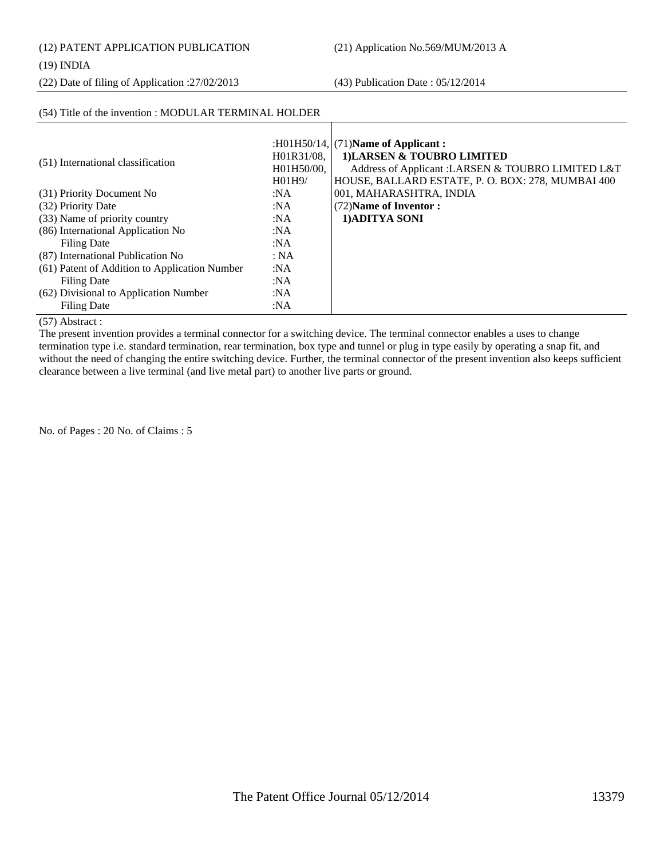## (19) INDIA

(22) Date of filing of Application :27/02/2013 (43) Publication Date : 05/12/2014

(54) Title of the invention : MODULAR TERMINAL HOLDER

### (51) International classification :H01H50/14, H01R31/08, H01H50/00, H01H9/ (31) Priority Document No :NA (32) Priority Date :NA (33) Name of priority country :NA (86) International Application No Filing Date :NA :NA (87) International Publication No : NA (61) Patent of Addition to Application Number Filing Date :NA :NA (62) Divisional to Application Number Filing Date :NA :NA (71)**Name of Applicant : 1)LARSEN & TOUBRO LIMITED** Address of Applicant :LARSEN & TOUBRO LIMITED L&T HOUSE, BALLARD ESTATE, P. O. BOX: 278, MUMBAI 400 001, MAHARASHTRA, INDIA (72)**Name of Inventor : 1)ADITYA SONI**

### (57) Abstract :

The present invention provides a terminal connector for a switching device. The terminal connector enables a uses to change termination type i.e. standard termination, rear termination, box type and tunnel or plug in type easily by operating a snap fit, and without the need of changing the entire switching device. Further, the terminal connector of the present invention also keeps sufficient clearance between a live terminal (and live metal part) to another live parts or ground.

No. of Pages : 20 No. of Claims : 5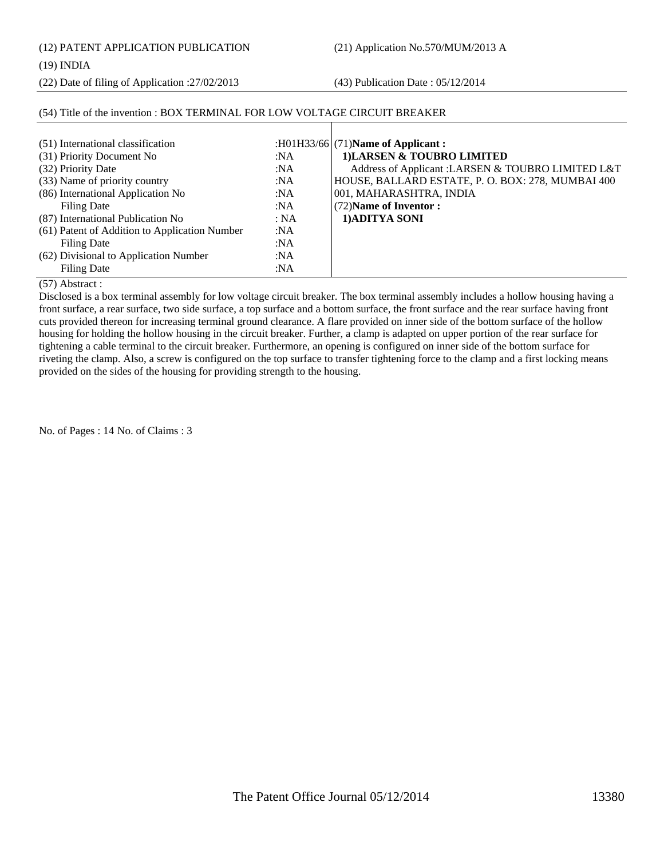(12) PATENT APPLICATION PUBLICATION (21) Application No.570/MUM/2013 A

## (19) INDIA

(22) Date of filing of Application :27/02/2013 (43) Publication Date : 05/12/2014

# (54) Title of the invention : BOX TERMINAL FOR LOW VOLTAGE CIRCUIT BREAKER

| (51) International classification                    | : $H01H33/66$ (71)Name of Applicant:              |
|------------------------------------------------------|---------------------------------------------------|
| (31) Priority Document No<br>:NA                     | 1) LARSEN & TOUBRO LIMITED                        |
| (32) Priority Date<br>:NA                            | Address of Applicant :LARSEN & TOUBRO LIMITED L&T |
| (33) Name of priority country<br>:NA                 | HOUSE, BALLARD ESTATE, P. O. BOX: 278, MUMBAI 400 |
| (86) International Application No<br>:NA             | 001, MAHARASHTRA, INDIA                           |
| <b>Filing Date</b><br>:NA                            | (72) Name of Inventor:                            |
| (87) International Publication No<br>: NA            | 1) ADITYA SONI                                    |
| (61) Patent of Addition to Application Number<br>:NA |                                                   |
| :NA<br>Filing Date                                   |                                                   |
| (62) Divisional to Application Number<br>:NA         |                                                   |
| Filing Date<br>:NA                                   |                                                   |

### (57) Abstract :

Disclosed is a box terminal assembly for low voltage circuit breaker. The box terminal assembly includes a hollow housing having a front surface, a rear surface, two side surface, a top surface and a bottom surface, the front surface and the rear surface having front cuts provided thereon for increasing terminal ground clearance. A flare provided on inner side of the bottom surface of the hollow housing for holding the hollow housing in the circuit breaker. Further, a clamp is adapted on upper portion of the rear surface for tightening a cable terminal to the circuit breaker. Furthermore, an opening is configured on inner side of the bottom surface for riveting the clamp. Also, a screw is configured on the top surface to transfer tightening force to the clamp and a first locking means provided on the sides of the housing for providing strength to the housing.

No. of Pages : 14 No. of Claims : 3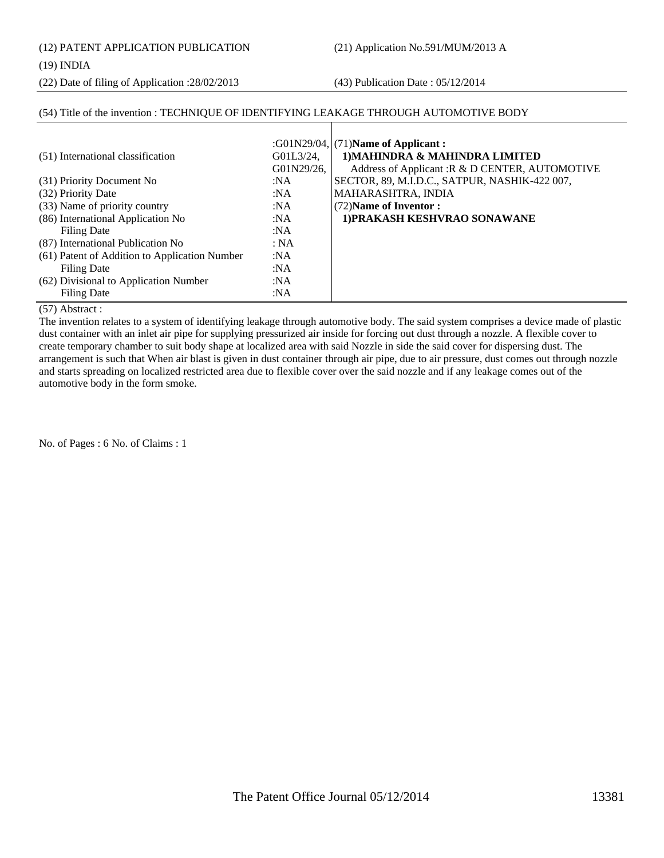## (19) INDIA

(22) Date of filing of Application :28/02/2013 (43) Publication Date : 05/12/2014

# (54) Title of the invention : TECHNIQUE OF IDENTIFYING LEAKAGE THROUGH AUTOMOTIVE BODY

| (51) International classification             | G01L3/24,<br>G01N29/26, | : $G01N29/04$ , $(71)$ Name of Applicant:<br>1) MAHINDRA & MAHINDRA LIMITED<br>Address of Applicant: R & D CENTER, AUTOMOTIVE |
|-----------------------------------------------|-------------------------|-------------------------------------------------------------------------------------------------------------------------------|
| (31) Priority Document No                     | :NA                     | SECTOR, 89, M.I.D.C., SATPUR, NASHIK-422 007,                                                                                 |
| (32) Priority Date                            | :NA                     | MAHARASHTRA, INDIA                                                                                                            |
| (33) Name of priority country                 | :NA                     | (72) Name of Inventor:                                                                                                        |
| (86) International Application No             | :NA                     | 1) PRAKASH KESHVRAO SONAWANE                                                                                                  |
| Filing Date                                   | :NA                     |                                                                                                                               |
| (87) International Publication No             | : NA                    |                                                                                                                               |
| (61) Patent of Addition to Application Number | :NA                     |                                                                                                                               |
| <b>Filing Date</b>                            | :NA                     |                                                                                                                               |
| (62) Divisional to Application Number         | :NA                     |                                                                                                                               |
| Filing Date                                   | :N $A$                  |                                                                                                                               |

### (57) Abstract :

The invention relates to a system of identifying leakage through automotive body. The said system comprises a device made of plastic dust container with an inlet air pipe for supplying pressurized air inside for forcing out dust through a nozzle. A flexible cover to create temporary chamber to suit body shape at localized area with said Nozzle in side the said cover for dispersing dust. The arrangement is such that When air blast is given in dust container through air pipe, due to air pressure, dust comes out through nozzle and starts spreading on localized restricted area due to flexible cover over the said nozzle and if any leakage comes out of the automotive body in the form smoke.

No. of Pages : 6 No. of Claims : 1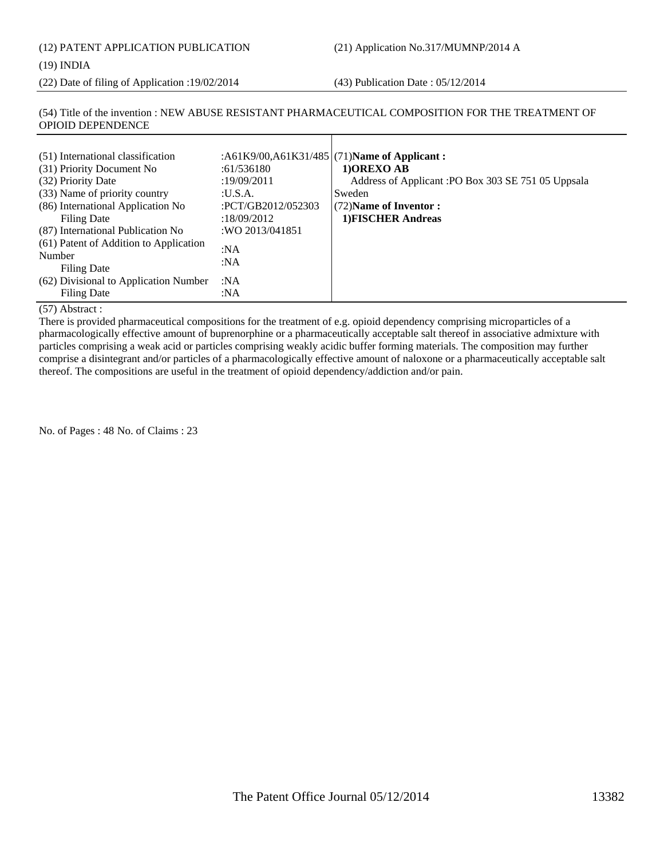(12) PATENT APPLICATION PUBLICATION (21) Application No.317/MUMNP/2014 A

(19) INDIA

(22) Date of filing of Application :19/02/2014 (43) Publication Date : 05/12/2014

# (54) Title of the invention : NEW ABUSE RESISTANT PHARMACEUTICAL COMPOSITION FOR THE TREATMENT OF OPIOID DEPENDENCE

| (51) International classification<br>(31) Priority Document No<br>(32) Priority Date<br>(33) Name of priority country<br>(86) International Application No<br>Filing Date<br>(87) International Publication No<br>(61) Patent of Addition to Application<br>Number<br>Filing Date | :61/536180<br>:19/09/2011<br>:U.S.A.<br>:PCT/GB2012/052303<br>:18/09/2012<br>:WO 2013/041851<br>:NA<br>:NA | :A61K9/00,A61K31/485 (71)Name of Applicant :<br>1) OREXO AB<br>Address of Applicant : PO Box 303 SE 751 05 Uppsala<br>Sweden<br>$(72)$ Name of Inventor :<br>1) FISCHER Andreas |
|-----------------------------------------------------------------------------------------------------------------------------------------------------------------------------------------------------------------------------------------------------------------------------------|------------------------------------------------------------------------------------------------------------|---------------------------------------------------------------------------------------------------------------------------------------------------------------------------------|
| (62) Divisional to Application Number<br>Filing Date                                                                                                                                                                                                                              | :NA<br>: $NA$                                                                                              |                                                                                                                                                                                 |

### (57) Abstract :

There is provided pharmaceutical compositions for the treatment of e.g. opioid dependency comprising microparticles of a pharmacologically effective amount of buprenorphine or a pharmaceutically acceptable salt thereof in associative admixture with particles comprising a weak acid or particles comprising weakly acidic buffer forming materials. The composition may further comprise a disintegrant and/or particles of a pharmacologically effective amount of naloxone or a pharmaceutically acceptable salt thereof. The compositions are useful in the treatment of opioid dependency/addiction and/or pain.

No. of Pages : 48 No. of Claims : 23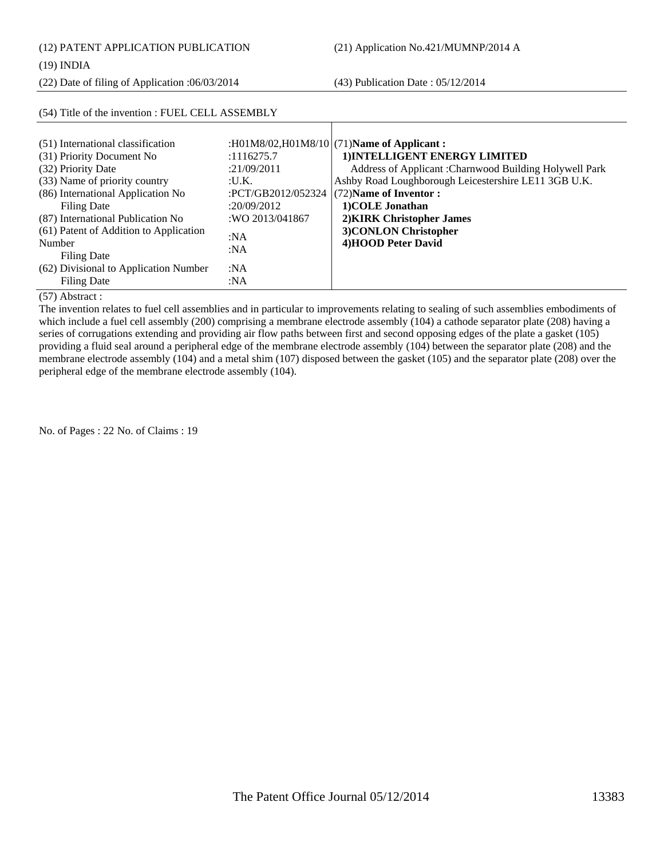(12) PATENT APPLICATION PUBLICATION (21) Application No.421/MUMNP/2014 A

(22) Date of filing of Application :06/03/2014 (43) Publication Date : 05/12/2014

| (54) Title of the invention : FUEL CELL ASSEMBLY                                                                                                                                                                                                                                                                                                 |                                                                                                                                |                                                                                                                                                                                                                                                                                                                         |
|--------------------------------------------------------------------------------------------------------------------------------------------------------------------------------------------------------------------------------------------------------------------------------------------------------------------------------------------------|--------------------------------------------------------------------------------------------------------------------------------|-------------------------------------------------------------------------------------------------------------------------------------------------------------------------------------------------------------------------------------------------------------------------------------------------------------------------|
| (51) International classification<br>(31) Priority Document No<br>(32) Priority Date<br>(33) Name of priority country<br>(86) International Application No<br><b>Filing Date</b><br>(87) International Publication No<br>(61) Patent of Addition to Application<br>Number<br>Filing Date<br>(62) Divisional to Application Number<br>Filing Date | :1116275.7<br>:21/09/2011<br>: <b>U.K.</b><br>:PCT/GB2012/052324<br>:20/09/2012<br>:WO 2013/041867<br>:NA<br>:NA<br>:NA<br>:NA | :H01M8/02,H01M8/10 (71)Name of Applicant:<br>1) INTELLIGENT ENERGY LIMITED<br>Address of Applicant : Charnwood Building Holywell Park<br>Ashby Road Loughborough Leicestershire LE11 3GB U.K.<br>(72) Name of Inventor:<br>1) COLE Jonathan<br>2) KIRK Christopher James<br>3) CONLON Christopher<br>4)HOOD Peter David |

(57) Abstract :

The invention relates to fuel cell assemblies and in particular to improvements relating to sealing of such assemblies embodiments of which include a fuel cell assembly (200) comprising a membrane electrode assembly (104) a cathode separator plate (208) having a series of corrugations extending and providing air flow paths between first and second opposing edges of the plate a gasket (105) providing a fluid seal around a peripheral edge of the membrane electrode assembly (104) between the separator plate (208) and the membrane electrode assembly (104) and a metal shim (107) disposed between the gasket (105) and the separator plate (208) over the peripheral edge of the membrane electrode assembly (104).

No. of Pages : 22 No. of Claims : 19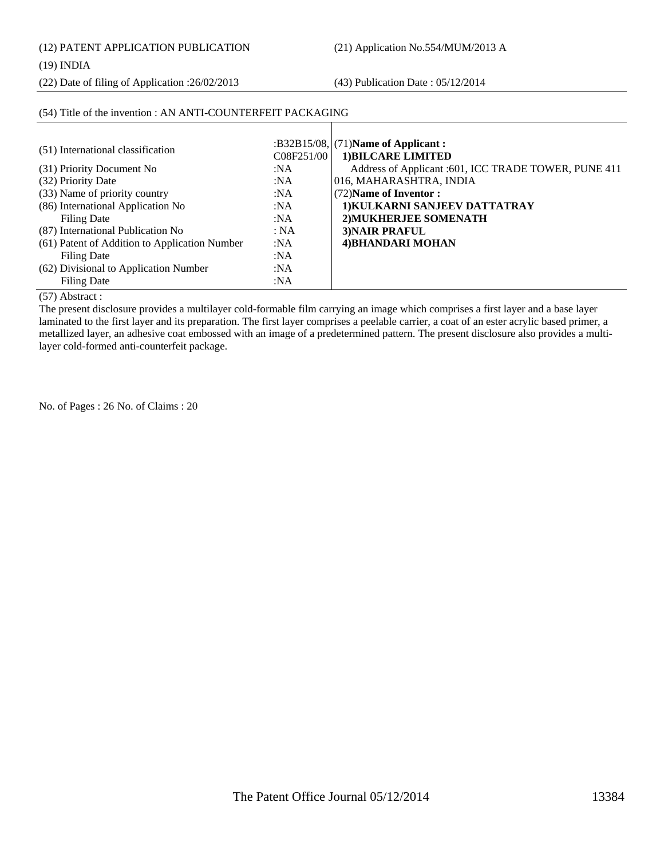(12) PATENT APPLICATION PUBLICATION (21) Application No.554/MUM/2013 A

## (19) INDIA

(22) Date of filing of Application :26/02/2013 (43) Publication Date : 05/12/2014

### (54) Title of the invention : AN ANTI-COUNTERFEIT PACKAGING  $(B32B15/08,$ <br>(51) International classification  $B32B15/08,$ C08F251/00 (31) Priority Document No :NA (32) Priority Date :NA (33) Name of priority country :NA (86) International Application No Filing Date :NA :NA (87) International Publication No : NA (61) Patent of Addition to Application Number Filing Date :NA :NA (62) Divisional to Application Number Filing Date :NA :NA (71)**Name of Applicant : 1)BILCARE LIMITED** Address of Applicant :601, ICC TRADE TOWER, PUNE 411 016, MAHARASHTRA, INDIA (72)**Name of Inventor : 1)KULKARNI SANJEEV DATTATRAY 2)MUKHERJEE SOMENATH 3)NAIR PRAFUL 4)BHANDARI MOHAN**

(57) Abstract :

The present disclosure provides a multilayer cold-formable film carrying an image which comprises a first layer and a base layer laminated to the first layer and its preparation. The first layer comprises a peelable carrier, a coat of an ester acrylic based primer, a metallized layer, an adhesive coat embossed with an image of a predetermined pattern. The present disclosure also provides a multilayer cold-formed anti-counterfeit package.

No. of Pages : 26 No. of Claims : 20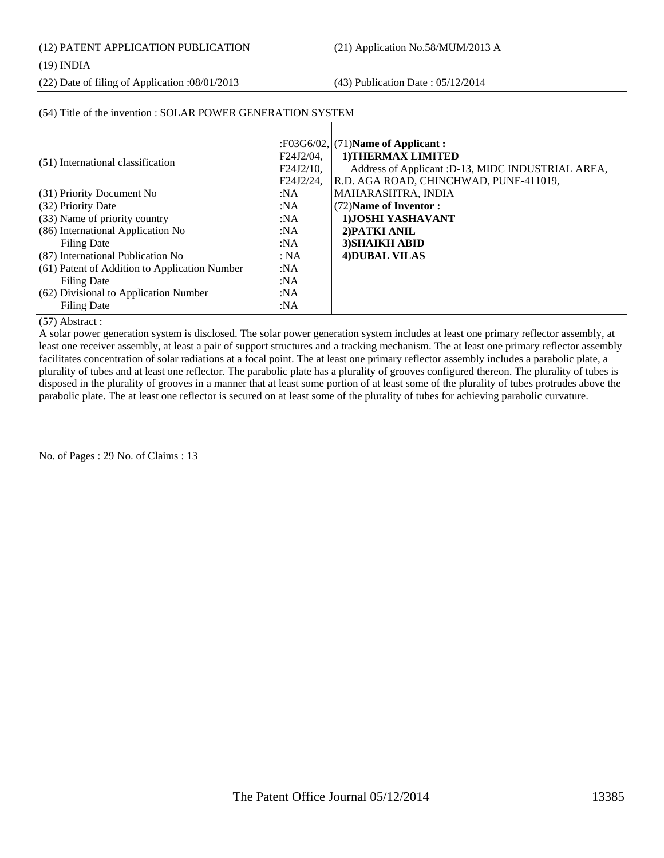(12) PATENT APPLICATION PUBLICATION (21) Application No.58/MUM/2013 A

## (19) INDIA

(22) Date of filing of Application :08/01/2013 (43) Publication Date : 05/12/2014

| (51) International classification             | F24J2/04.<br>F24J2/10.<br>F24J2/24, | : $F03G6/02$ , $(71)$ Name of Applicant :<br>1) THERMAX LIMITED<br>Address of Applicant : D-13, MIDC INDUSTRIAL AREA,<br>R.D. AGA ROAD, CHINCHWAD, PUNE-411019, |
|-----------------------------------------------|-------------------------------------|-----------------------------------------------------------------------------------------------------------------------------------------------------------------|
| (31) Priority Document No                     | :NA                                 | MAHARASHTRA, INDIA                                                                                                                                              |
| (32) Priority Date                            | :NA                                 | (72) Name of Inventor:                                                                                                                                          |
| (33) Name of priority country                 | :NA                                 | 1) JOSHI YASHAVANT                                                                                                                                              |
| (86) International Application No             | :NA                                 | 2) PATKI ANIL                                                                                                                                                   |
| Filing Date                                   | :NA                                 | 3) SHAIKH ABID                                                                                                                                                  |
| (87) International Publication No             | : NA                                | 4) DUBAL VILAS                                                                                                                                                  |
| (61) Patent of Addition to Application Number | :NA                                 |                                                                                                                                                                 |
| <b>Filing Date</b>                            | :NA                                 |                                                                                                                                                                 |
| (62) Divisional to Application Number         | :N $A$                              |                                                                                                                                                                 |
| <b>Filing Date</b>                            | :NA                                 |                                                                                                                                                                 |

## (54) Title of the invention : SOLAR POWER GENERATION SYSTEM

### (57) Abstract :

A solar power generation system is disclosed. The solar power generation system includes at least one primary reflector assembly, at least one receiver assembly, at least a pair of support structures and a tracking mechanism. The at least one primary reflector assembly facilitates concentration of solar radiations at a focal point. The at least one primary reflector assembly includes a parabolic plate, a plurality of tubes and at least one reflector. The parabolic plate has a plurality of grooves configured thereon. The plurality of tubes is disposed in the plurality of grooves in a manner that at least some portion of at least some of the plurality of tubes protrudes above the parabolic plate. The at least one reflector is secured on at least some of the plurality of tubes for achieving parabolic curvature.

No. of Pages : 29 No. of Claims : 13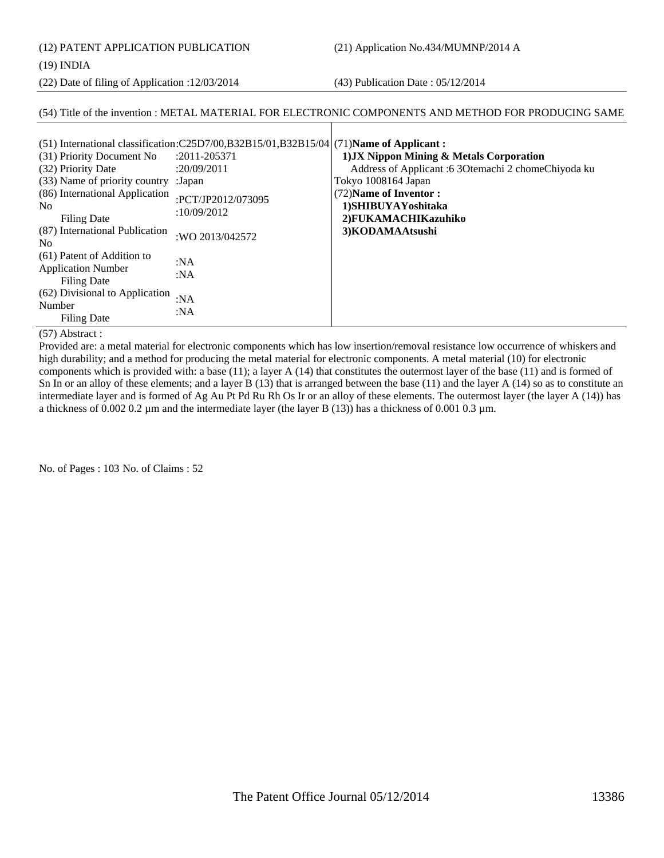(12) PATENT APPLICATION PUBLICATION (21) Application No.434/MUMNP/2014 A

### (19) INDIA

(22) Date of filing of Application :12/03/2014 (43) Publication Date : 05/12/2014

# (54) Title of the invention : METAL MATERIAL FOR ELECTRONIC COMPONENTS AND METHOD FOR PRODUCING SAME

| (31) Priority Document No<br>(32) Priority Date<br>(33) Name of priority country : Japan | (51) International classification: $C25D7/00$ ,B32B15/01,B32B15/04 (71)Name of Applicant:<br>:2011-205371<br>:20/09/2011 | 1) JX Nippon Mining & Metals Corporation<br>Address of Applicant :6 30temachi 2 chomeChiyoda ku<br>Tokyo 1008164 Japan |
|------------------------------------------------------------------------------------------|--------------------------------------------------------------------------------------------------------------------------|------------------------------------------------------------------------------------------------------------------------|
| (86) International Application<br>N <sub>0</sub><br><b>Filing Date</b>                   | :PCT/JP2012/073095<br>:10/09/2012                                                                                        | (72) Name of Inventor:<br>1)SHIBUYAYoshitaka<br>2) FUKAMACHIKazuhiko                                                   |
| (87) International Publication<br>N <sub>0</sub>                                         | :WO 2013/042572                                                                                                          | 3)KODAMAAtsushi                                                                                                        |
| (61) Patent of Addition to<br><b>Application Number</b><br><b>Filing Date</b>            | :NA<br>: $NA$                                                                                                            |                                                                                                                        |
| (62) Divisional to Application<br>Number<br><b>Filing Date</b>                           | :NA<br>:NA                                                                                                               |                                                                                                                        |

(57) Abstract :

Provided are: a metal material for electronic components which has low insertion/removal resistance low occurrence of whiskers and high durability; and a method for producing the metal material for electronic components. A metal material (10) for electronic components which is provided with: a base (11); a layer A (14) that constitutes the outermost layer of the base (11) and is formed of Sn In or an alloy of these elements; and a layer B (13) that is arranged between the base (11) and the layer A (14) so as to constitute an intermediate layer and is formed of Ag Au Pt Pd Ru Rh Os Ir or an alloy of these elements. The outermost layer (the layer A (14)) has a thickness of 0.002 0.2  $\mu$ m and the intermediate layer (the layer B (13)) has a thickness of 0.001 0.3  $\mu$ m.

No. of Pages : 103 No. of Claims : 52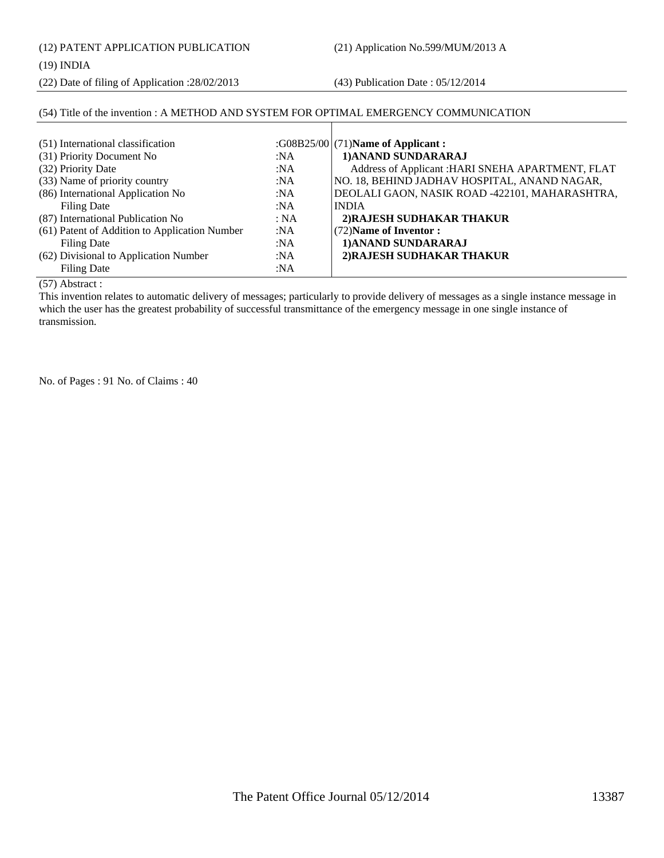(12) PATENT APPLICATION PUBLICATION (21) Application No.599/MUM/2013 A

## (19) INDIA

(22) Date of filing of Application :28/02/2013 (43) Publication Date : 05/12/2014

# (54) Title of the invention : A METHOD AND SYSTEM FOR OPTIMAL EMERGENCY COMMUNICATION

| (51) International classification<br>(31) Priority Document No<br>(32) Priority Date<br>(33) Name of priority country<br>(86) International Application No | :NA<br>:NA<br>:NA<br>:NA | : $G08B25/00$ (71)Name of Applicant :<br>1) ANAND SUNDARARAJ<br>Address of Applicant : HARI SNEHA APARTMENT, FLAT<br>NO. 18, BEHIND JADHAV HOSPITAL, ANAND NAGAR,<br>DEOLALI GAON, NASIK ROAD -422101, MAHARASHTRA, |
|------------------------------------------------------------------------------------------------------------------------------------------------------------|--------------------------|---------------------------------------------------------------------------------------------------------------------------------------------------------------------------------------------------------------------|
| Filing Date<br>(87) International Publication No<br>(61) Patent of Addition to Application Number                                                          | :NA<br>: NA<br>:NA       | <b>INDIA</b><br>2) RAJESH SUDHAKAR THAKUR<br>$(72)$ Name of Inventor:                                                                                                                                               |
| Filing Date<br>(62) Divisional to Application Number<br>Filing Date                                                                                        | :NA<br>:NA<br>:NA        | 1) ANAND SUNDARARAJ<br>2) RAJESH SUDHAKAR THAKUR                                                                                                                                                                    |

(57) Abstract :

This invention relates to automatic delivery of messages; particularly to provide delivery of messages as a single instance message in which the user has the greatest probability of successful transmittance of the emergency message in one single instance of transmission.

No. of Pages : 91 No. of Claims : 40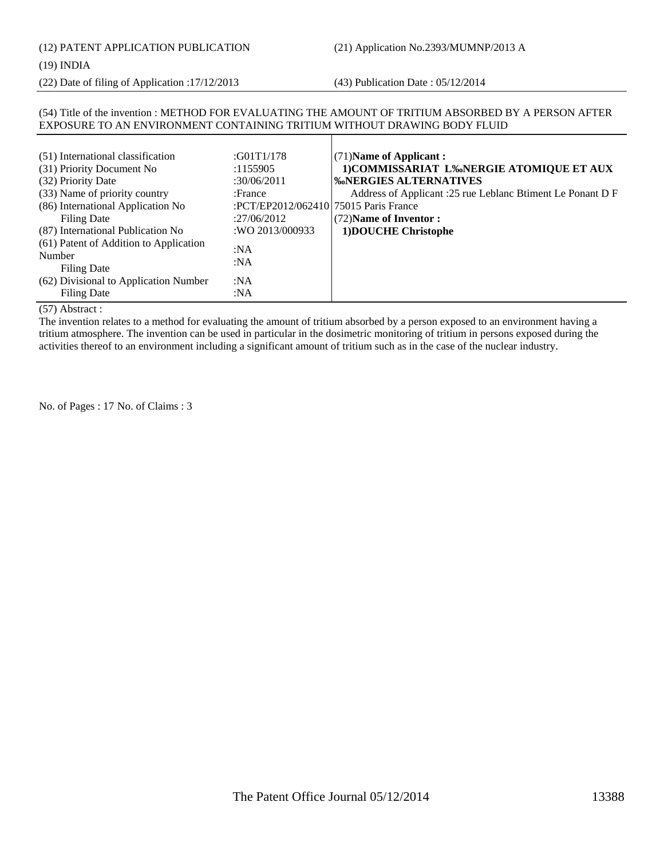(12) PATENT APPLICATION PUBLICATION (21) Application No.2393/MUMNP/2013 A

## (19) INDIA

(22) Date of filing of Application :17/12/2013 (43) Publication Date : 05/12/2014

## (54) Title of the invention : METHOD FOR EVALUATING THE AMOUNT OF TRITIUM ABSORBED BY A PERSON AFTER EXPOSURE TO AN ENVIRONMENT CONTAINING TRITIUM WITHOUT DRAWING BODY FLUID

| (51) International classification<br>(31) Priority Document No<br>(32) Priority Date<br>(33) Name of priority country<br>(86) International Application No<br><b>Filing Date</b><br>(87) International Publication No<br>(61) Patent of Addition to Application<br>Number<br><b>Filing Date</b><br>(62) Divisional to Application Number | :G01T1/178<br>:1155905<br>:30/06/2011<br>:France<br>:PCT/EP2012/062410175015 Paris France<br>:27/06/2012<br>:WO 2013/000933<br>:NA<br>:NA<br>:NA | $(71)$ Name of Applicant:<br>1)COMMISSARIAT L‰NERGIE ATOMIQUE ET AUX<br><b>%NERGIES ALTERNATIVES</b><br>Address of Applicant :25 rue Leblanc Btiment Le Ponant D F<br>$(72)$ Name of Inventor:<br>1) DOUCHE Christophe |
|------------------------------------------------------------------------------------------------------------------------------------------------------------------------------------------------------------------------------------------------------------------------------------------------------------------------------------------|--------------------------------------------------------------------------------------------------------------------------------------------------|------------------------------------------------------------------------------------------------------------------------------------------------------------------------------------------------------------------------|
| Filing Date                                                                                                                                                                                                                                                                                                                              | :NA                                                                                                                                              |                                                                                                                                                                                                                        |

(57) Abstract :

The invention relates to a method for evaluating the amount of tritium absorbed by a person exposed to an environment having a tritium atmosphere. The invention can be used in particular in the dosimetric monitoring of tritium in persons exposed during the activities thereof to an environment including a significant amount of tritium such as in the case of the nuclear industry.

No. of Pages : 17 No. of Claims : 3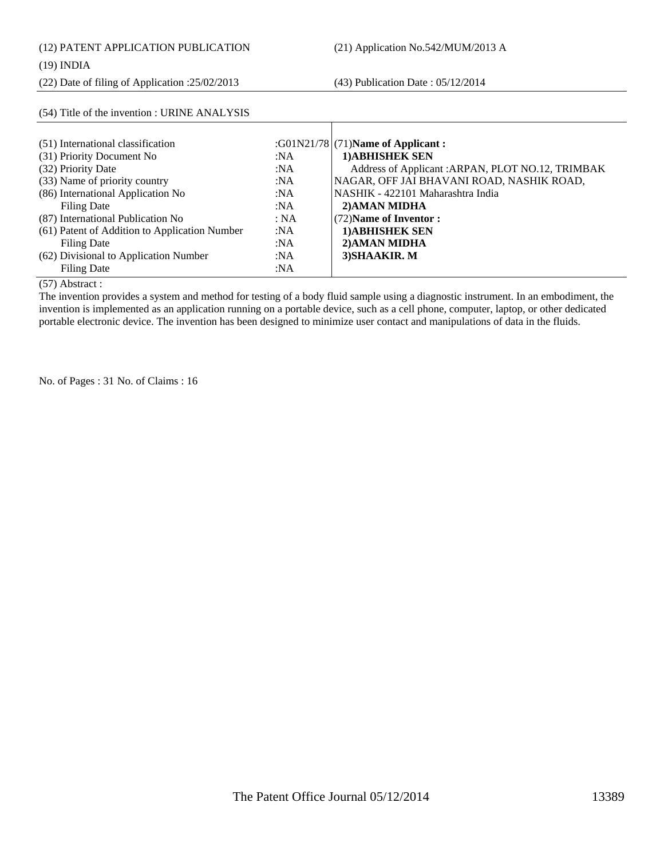(12) PATENT APPLICATION PUBLICATION (21) Application No.542/MUM/2013 A

## (19) INDIA

(22) Date of filing of Application :25/02/2013 (43) Publication Date : 05/12/2014

| (54) Title of the invention : URINE ANALYSIS                                                                                                                                    |                                            |                                                                                                                                                                                                |
|---------------------------------------------------------------------------------------------------------------------------------------------------------------------------------|--------------------------------------------|------------------------------------------------------------------------------------------------------------------------------------------------------------------------------------------------|
| (51) International classification<br>(31) Priority Document No<br>(32) Priority Date<br>(33) Name of priority country<br>(86) International Application No                      | :NA<br>:NA<br>:NA<br>:NA                   | : $G01N21/78$ (71)Name of Applicant :<br>1) ABHISHEK SEN<br>Address of Applicant: ARPAN, PLOT NO.12, TRIMBAK<br>NAGAR, OFF JAI BHAVANI ROAD, NASHIK ROAD,<br>NASHIK - 422101 Maharashtra India |
| Filing Date<br>(87) International Publication No<br>(61) Patent of Addition to Application Number<br>Filing Date<br>(62) Divisional to Application Number<br><b>Filing Date</b> | :NA<br>: NA<br>:NA<br>:NA<br>:NA<br>:N $A$ | 2) AMAN MIDHA<br>(72) Name of Inventor:<br>1) ABHISHEK SEN<br>2) AMAN MIDHA<br>3) SHAAKIR. M                                                                                                   |

(57) Abstract :

The invention provides a system and method for testing of a body fluid sample using a diagnostic instrument. In an embodiment, the invention is implemented as an application running on a portable device, such as a cell phone, computer, laptop, or other dedicated portable electronic device. The invention has been designed to minimize user contact and manipulations of data in the fluids.

No. of Pages : 31 No. of Claims : 16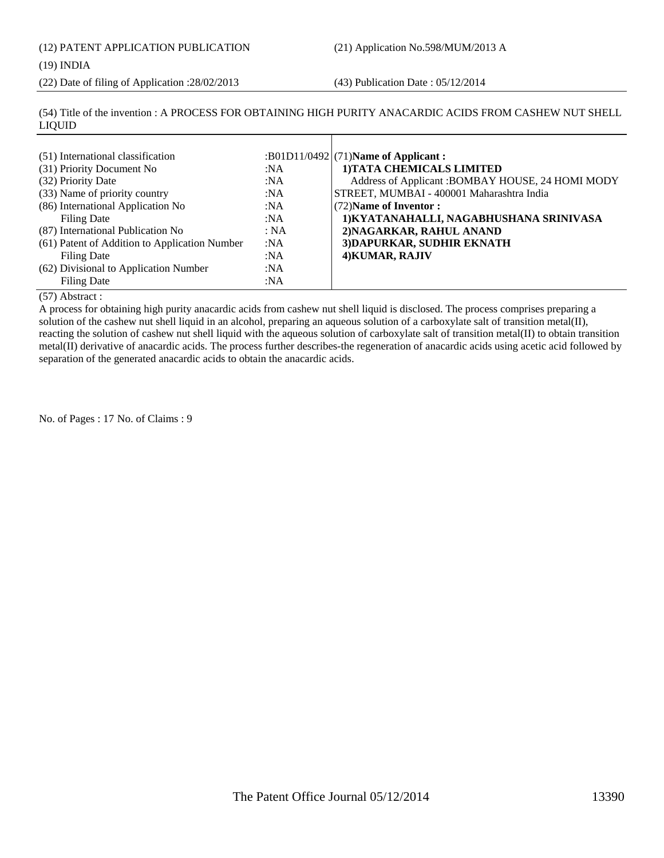### (19) INDIA

(22) Date of filing of Application :28/02/2013 (43) Publication Date : 05/12/2014

(54) Title of the invention : A PROCESS FOR OBTAINING HIGH PURITY ANACARDIC ACIDS FROM CASHEW NUT SHELL LIQUID

## (57) Abstract :

A process for obtaining high purity anacardic acids from cashew nut shell liquid is disclosed. The process comprises preparing a solution of the cashew nut shell liquid in an alcohol, preparing an aqueous solution of a carboxylate salt of transition metal(II), reacting the solution of cashew nut shell liquid with the aqueous solution of carboxylate salt of transition metal(II) to obtain transition metal(II) derivative of anacardic acids. The process further describes-the regeneration of anacardic acids using acetic acid followed by separation of the generated anacardic acids to obtain the anacardic acids.

No. of Pages : 17 No. of Claims : 9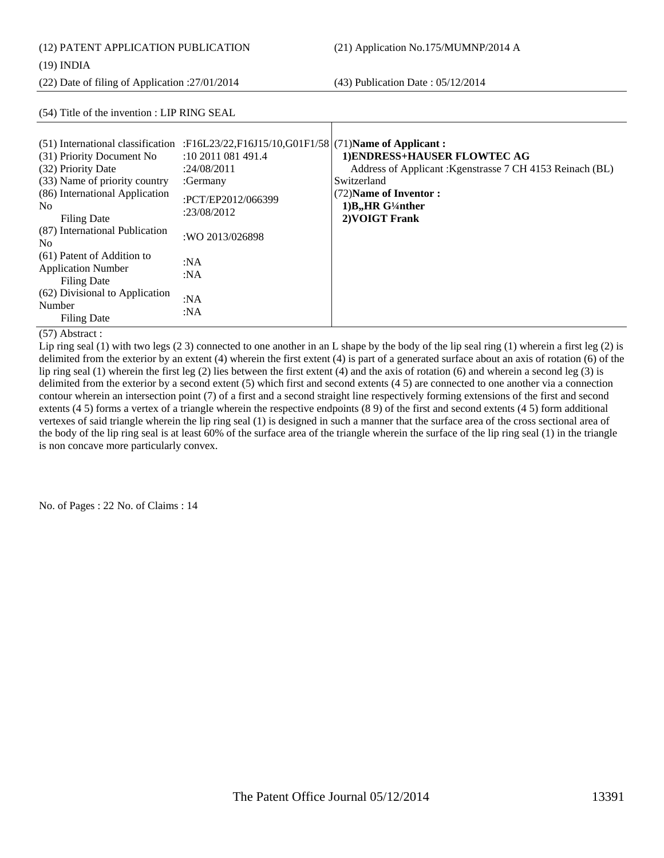(12) PATENT APPLICATION PUBLICATION (21) Application No.175/MUMNP/2014 A

(22) Date of filing of Application :27/01/2014 (43) Publication Date : 05/12/2014

(51) International classification :F16L23/22,F16J15/10,G01F1/58 (31) Priority Document No :10 2011 081 491.4 (32) Priority Date :24/08/2011 (33) Name of priority country :Germany (86) International Application No Filing Date :PCT/EP2012/066399 :23/08/2012 (87) International Publication No<br>No 2013/026898 (61) Patent of Addition to Application Number Filing Date :NA :NA (62) Divisional to Application Number Filing Date :NA :NA (71)**Name of Applicant : 1)ENDRESS+HAUSER FLOWTEC AG** Address of Applicant :Kgenstrasse 7 CH 4153 Reinach (BL) Switzerland (72)**Name of Inventor :**  1)**B.**, HR G<sup>1</sup>/<sub>4</sub>nther  **2)VOIGT Frank**

(54) Title of the invention : LIP RING SEAL

## (57) Abstract :

Lip ring seal (1) with two legs (2 3) connected to one another in an L shape by the body of the lip seal ring (1) wherein a first leg (2) is delimited from the exterior by an extent (4) wherein the first extent (4) is part of a generated surface about an axis of rotation (6) of the lip ring seal (1) wherein the first leg (2) lies between the first extent (4) and the axis of rotation (6) and wherein a second leg (3) is delimited from the exterior by a second extent (5) which first and second extents (4 5) are connected to one another via a connection contour wherein an intersection point (7) of a first and a second straight line respectively forming extensions of the first and second extents (4 5) forms a vertex of a triangle wherein the respective endpoints (8 9) of the first and second extents (4 5) form additional vertexes of said triangle wherein the lip ring seal (1) is designed in such a manner that the surface area of the cross sectional area of the body of the lip ring seal is at least 60% of the surface area of the triangle wherein the surface of the lip ring seal (1) in the triangle is non concave more particularly convex.

No. of Pages : 22 No. of Claims : 14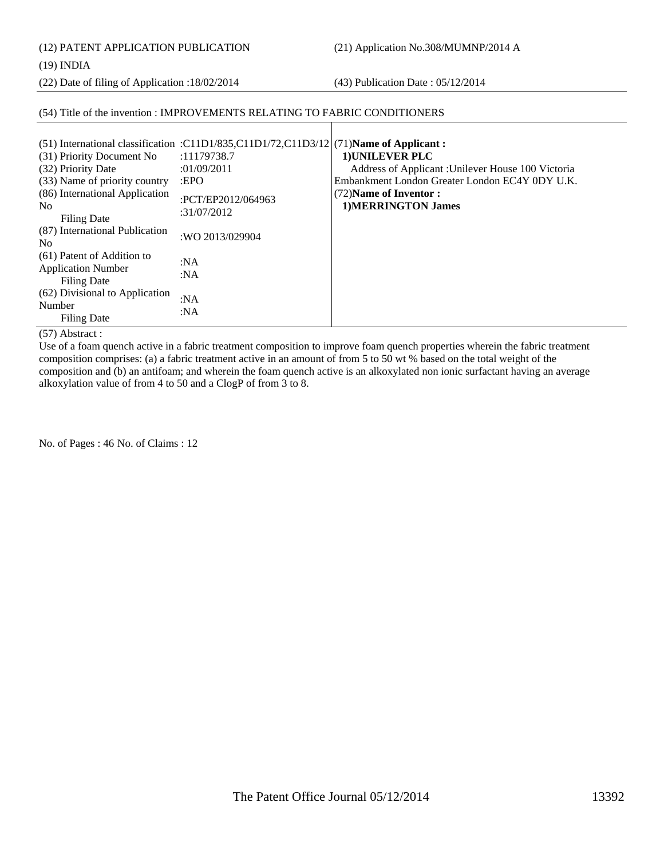(12) PATENT APPLICATION PUBLICATION (21) Application No.308/MUMNP/2014 A

(19) INDIA

(22) Date of filing of Application :18/02/2014 (43) Publication Date : 05/12/2014

# (54) Title of the invention : IMPROVEMENTS RELATING TO FABRIC CONDITIONERS

| (31) Priority Document No<br>(32) Priority Date<br>(33) Name of priority country<br>(86) International Application<br>N <sub>0</sub><br>Filing Date<br>(87) International Publication<br>N <sub>0</sub> | (51) International classification :C11D1/835,C11D1/72,C11D3/12 $(71)$ Name of Applicant:<br>:11179738.7<br>:01/09/2011<br>EPO<br>:PCT/EP2012/064963<br>:31/07/2012<br>:WO 2013/029904 | 1) UNILEVER PLC<br>Address of Applicant : Unilever House 100 Victoria<br>Embankment London Greater London EC4Y 0DY U.K.<br>$(72)$ Name of Inventor :<br><b>1)MERRINGTON James</b> |
|---------------------------------------------------------------------------------------------------------------------------------------------------------------------------------------------------------|---------------------------------------------------------------------------------------------------------------------------------------------------------------------------------------|-----------------------------------------------------------------------------------------------------------------------------------------------------------------------------------|
| (61) Patent of Addition to<br><b>Application Number</b><br>Filing Date<br>(62) Divisional to Application<br>Number<br><b>Filing Date</b>                                                                | :NA<br>:N $A$<br>:N $A$<br>:N $A$                                                                                                                                                     |                                                                                                                                                                                   |

(57) Abstract :

Use of a foam quench active in a fabric treatment composition to improve foam quench properties wherein the fabric treatment composition comprises: (a) a fabric treatment active in an amount of from 5 to 50 wt % based on the total weight of the composition and (b) an antifoam; and wherein the foam quench active is an alkoxylated non ionic surfactant having an average alkoxylation value of from 4 to 50 and a ClogP of from 3 to 8.

No. of Pages : 46 No. of Claims : 12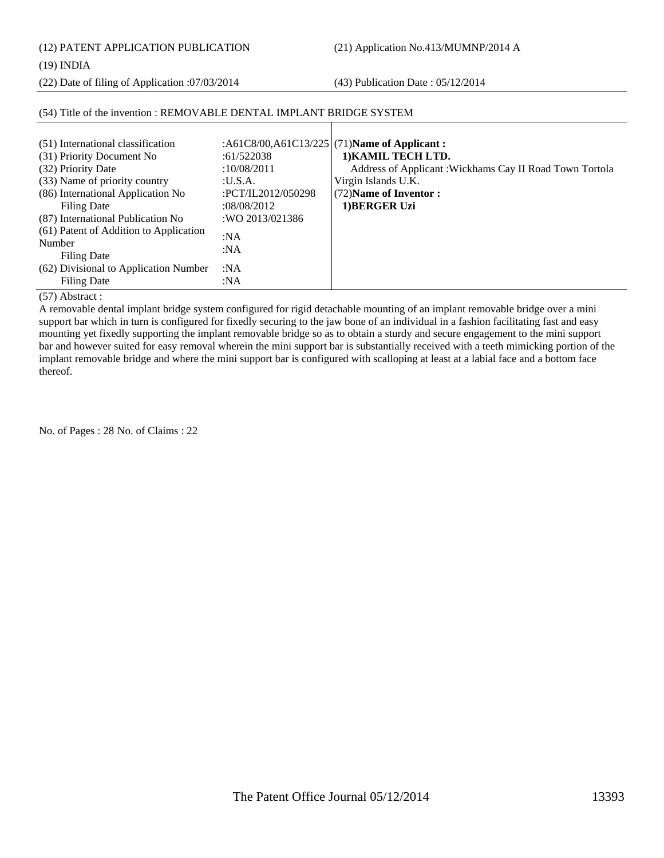(12) PATENT APPLICATION PUBLICATION (21) Application No.413/MUMNP/2014 A

(19) INDIA

(22) Date of filing of Application :07/03/2014 (43) Publication Date : 05/12/2014

| (51) International classification<br>(31) Priority Document No<br>(32) Priority Date<br>(33) Name of priority country<br>(86) International Application No<br><b>Filing Date</b><br>(87) International Publication No | :61/522038<br>:10/08/2011<br>: <b>U.S.A.</b><br>:PCT/IL2012/050298<br>:08/08/2012<br>:WO 2013/021386 | :A61C8/00,A61C13/225 (71)Name of Applicant:<br>1) KAMIL TECH LTD.<br>Address of Applicant: Wickhams Cay II Road Town Tortola<br>Virgin Islands U.K.<br>(72) Name of Inventor:<br>1) BERGER Uzi |
|-----------------------------------------------------------------------------------------------------------------------------------------------------------------------------------------------------------------------|------------------------------------------------------------------------------------------------------|------------------------------------------------------------------------------------------------------------------------------------------------------------------------------------------------|
| (61) Patent of Addition to Application<br>Number<br>Filing Date<br>(62) Divisional to Application Number<br>Filing Date                                                                                               | :NA<br>:NA<br>:NA<br>:NA                                                                             |                                                                                                                                                                                                |

# (54) Title of the invention : REMOVABLE DENTAL IMPLANT BRIDGE SYSTEM

(57) Abstract :

A removable dental implant bridge system configured for rigid detachable mounting of an implant removable bridge over a mini support bar which in turn is configured for fixedly securing to the jaw bone of an individual in a fashion facilitating fast and easy mounting yet fixedly supporting the implant removable bridge so as to obtain a sturdy and secure engagement to the mini support bar and however suited for easy removal wherein the mini support bar is substantially received with a teeth mimicking portion of the implant removable bridge and where the mini support bar is configured with scalloping at least at a labial face and a bottom face thereof.

No. of Pages : 28 No. of Claims : 22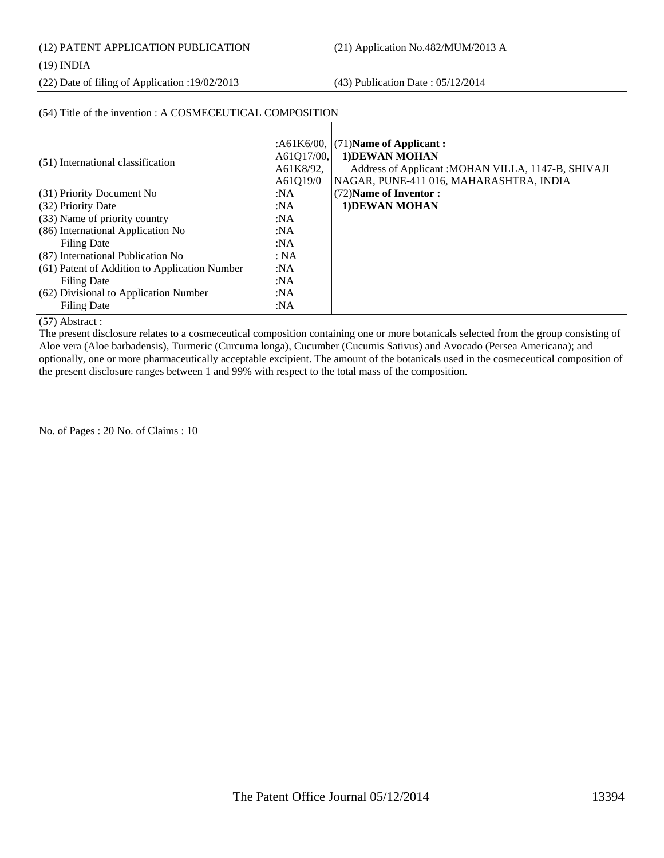(12) PATENT APPLICATION PUBLICATION (21) Application No.482/MUM/2013 A

## (19) INDIA

(22) Date of filing of Application :19/02/2013 (43) Publication Date : 05/12/2014

| (54) Title of the invention : A COSMECEUTICAL COMPOSITION |            |                                                     |
|-----------------------------------------------------------|------------|-----------------------------------------------------|
|                                                           |            |                                                     |
|                                                           |            | : $A61K6/00$ , $(71)$ Name of Applicant :           |
| (51) International classification                         | A61Q17/00, | 1) DEWAN MOHAN                                      |
|                                                           | A61K8/92,  | Address of Applicant : MOHAN VILLA, 1147-B, SHIVAJI |
|                                                           | A61Q19/0   | NAGAR, PUNE-411 016, MAHARASHTRA, INDIA             |
| (31) Priority Document No                                 | :NA        | (72) Name of Inventor:                              |
| (32) Priority Date                                        | :NA        | 1) DEWAN MOHAN                                      |
| (33) Name of priority country                             | :NA        |                                                     |
| (86) International Application No                         | :NA        |                                                     |
| <b>Filing Date</b>                                        | :NA        |                                                     |
| (87) International Publication No                         | : NA       |                                                     |
| (61) Patent of Addition to Application Number             | :NA        |                                                     |
| <b>Filing Date</b>                                        | :NA        |                                                     |
| (62) Divisional to Application Number                     | :NA        |                                                     |
| <b>Filing Date</b>                                        | : $NA$     |                                                     |

### (57) Abstract :

The present disclosure relates to a cosmeceutical composition containing one or more botanicals selected from the group consisting of Aloe vera (Aloe barbadensis), Turmeric (Curcuma longa), Cucumber (Cucumis Sativus) and Avocado (Persea Americana); and optionally, one or more pharmaceutically acceptable excipient. The amount of the botanicals used in the cosmeceutical composition of the present disclosure ranges between 1 and 99% with respect to the total mass of the composition.

No. of Pages : 20 No. of Claims : 10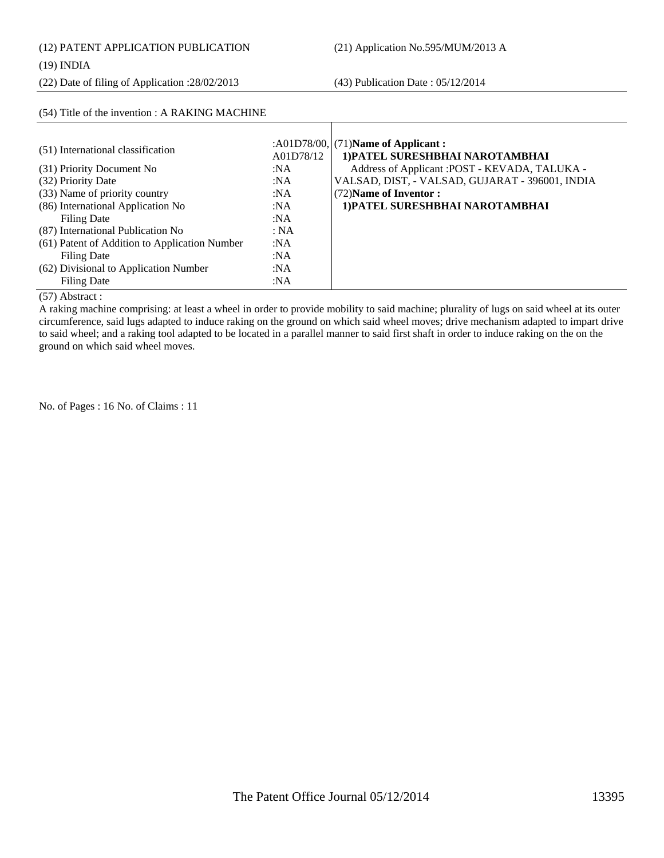(22) Date of filing of Application :28/02/2013 (43) Publication Date : 05/12/2014

# (54) Title of the invention : A RAKING MACHINE

| (51) International classification             | A01D78/12 | : $A01D78/00$ , $(71)$ Name of Applicant:<br>1) PATEL SURESHBHAI NAROTAMBHAI |
|-----------------------------------------------|-----------|------------------------------------------------------------------------------|
| (31) Priority Document No                     | :NA       | Address of Applicant : POST - KEVADA, TALUKA -                               |
| (32) Priority Date                            | :N $A$    | VALSAD, DIST, - VALSAD, GUJARAT - 396001, INDIA                              |
| (33) Name of priority country                 | :NA       | (72) Name of Inventor:                                                       |
| (86) International Application No             | :NA       | 1) PATEL SURESHBHAI NAROTAMBHAI                                              |
| <b>Filing Date</b>                            | :NA       |                                                                              |
| (87) International Publication No             | : NA      |                                                                              |
| (61) Patent of Addition to Application Number | :NA       |                                                                              |
| Filing Date                                   | :NA       |                                                                              |
| (62) Divisional to Application Number         | : $NA$    |                                                                              |
| Filing Date                                   | :NA       |                                                                              |

(57) Abstract :

A raking machine comprising: at least a wheel in order to provide mobility to said machine; plurality of lugs on said wheel at its outer circumference, said lugs adapted to induce raking on the ground on which said wheel moves; drive mechanism adapted to impart drive to said wheel; and a raking tool adapted to be located in a parallel manner to said first shaft in order to induce raking on the on the ground on which said wheel moves.

No. of Pages : 16 No. of Claims : 11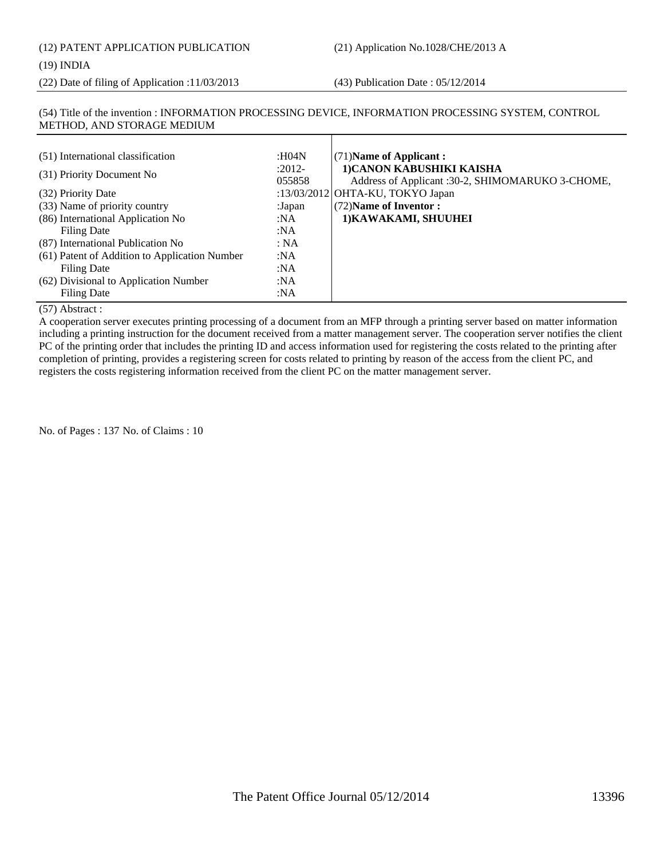(22) Date of filing of Application :11/03/2013 (43) Publication Date : 05/12/2014

## (54) Title of the invention : INFORMATION PROCESSING DEVICE, INFORMATION PROCESSING SYSTEM, CONTROL METHOD, AND STORAGE MEDIUM

| (51) International classification             | :H04N              | $(71)$ Name of Applicant:                                                     |
|-----------------------------------------------|--------------------|-------------------------------------------------------------------------------|
| (31) Priority Document No                     | $:2012-$<br>055858 | 1) CANON KABUSHIKI KAISHA<br>Address of Applicant :30-2, SHIMOMARUKO 3-CHOME, |
| (32) Priority Date                            |                    | :13/03/2012 OHTA-KU, TOKYO Japan                                              |
| (33) Name of priority country                 | :Japan             | (72) Name of Inventor:                                                        |
| (86) International Application No             | :NA                | 1) KAWAKAMI, SHUUHEI                                                          |
| Filing Date                                   | :NA                |                                                                               |
| (87) International Publication No             | : NA               |                                                                               |
| (61) Patent of Addition to Application Number | :NA                |                                                                               |
| Filing Date                                   | :NA                |                                                                               |
| (62) Divisional to Application Number         | :NA                |                                                                               |
| Filing Date                                   | :NA                |                                                                               |

### (57) Abstract :

A cooperation server executes printing processing of a document from an MFP through a printing server based on matter information including a printing instruction for the document received from a matter management server. The cooperation server notifies the client PC of the printing order that includes the printing ID and access information used for registering the costs related to the printing after completion of printing, provides a registering screen for costs related to printing by reason of the access from the client PC, and registers the costs registering information received from the client PC on the matter management server.

No. of Pages : 137 No. of Claims : 10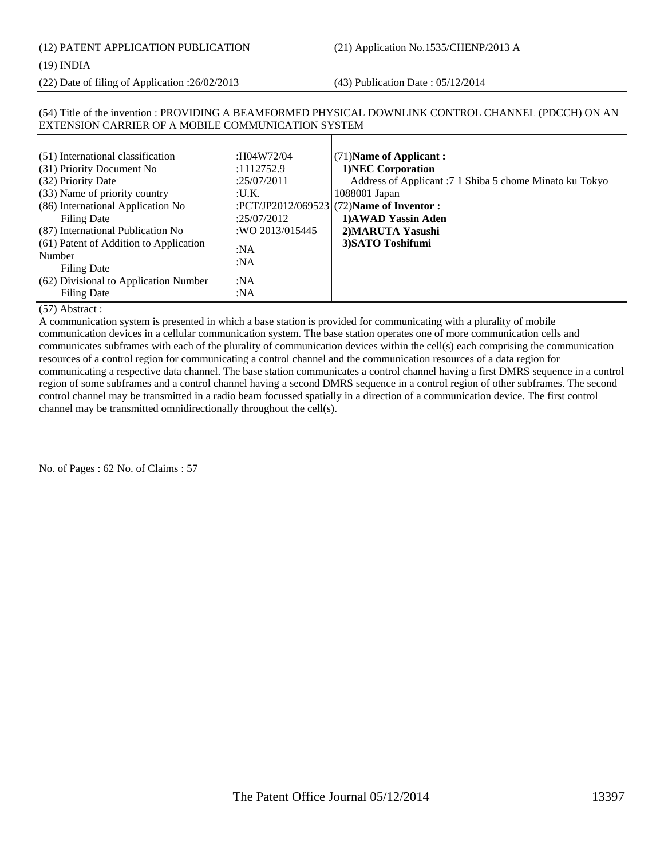# (12) PATENT APPLICATION PUBLICATION (21) Application No.1535/CHENP/2013 A

### (19) INDIA

(22) Date of filing of Application :26/02/2013 (43) Publication Date : 05/12/2014

### (54) Title of the invention : PROVIDING A BEAMFORMED PHYSICAL DOWNLINK CONTROL CHANNEL (PDCCH) ON AN EXTENSION CARRIER OF A MOBILE COMMUNICATION SYSTEM

| (51) International classification<br>(31) Priority Document No<br>(32) Priority Date<br>(33) Name of priority country<br>(86) International Application No<br><b>Filing Date</b><br>(87) International Publication No<br>(61) Patent of Addition to Application<br>Number<br>Filing Date<br>(62) Divisional to Application Number | :H04W72/04<br>:1112752.9<br>:25/07/2011<br>: <i>U.K.</i><br>:25/07/2012<br>:WO 2013/015445<br>:NA<br>:NA<br>:NA | $(71)$ Name of Applicant:<br><b>1)NEC Corporation</b><br>Address of Applicant: 7 1 Shiba 5 chome Minato ku Tokyo<br>1088001 Japan<br>:PCT/JP2012/069523 $(72)$ Name of Inventor :<br>1) AWAD Yassin Aden<br>2) MARUTA Yasushi<br>3) SATO Toshifumi |
|-----------------------------------------------------------------------------------------------------------------------------------------------------------------------------------------------------------------------------------------------------------------------------------------------------------------------------------|-----------------------------------------------------------------------------------------------------------------|----------------------------------------------------------------------------------------------------------------------------------------------------------------------------------------------------------------------------------------------------|
| Filing Date                                                                                                                                                                                                                                                                                                                       | :NA                                                                                                             |                                                                                                                                                                                                                                                    |

### (57) Abstract :

A communication system is presented in which a base station is provided for communicating with a plurality of mobile communication devices in a cellular communication system. The base station operates one of more communication cells and communicates subframes with each of the plurality of communication devices within the cell(s) each comprising the communication resources of a control region for communicating a control channel and the communication resources of a data region for communicating a respective data channel. The base station communicates a control channel having a first DMRS sequence in a control region of some subframes and a control channel having a second DMRS sequence in a control region of other subframes. The second control channel may be transmitted in a radio beam focussed spatially in a direction of a communication device. The first control channel may be transmitted omnidirectionally throughout the cell(s).

No. of Pages : 62 No. of Claims : 57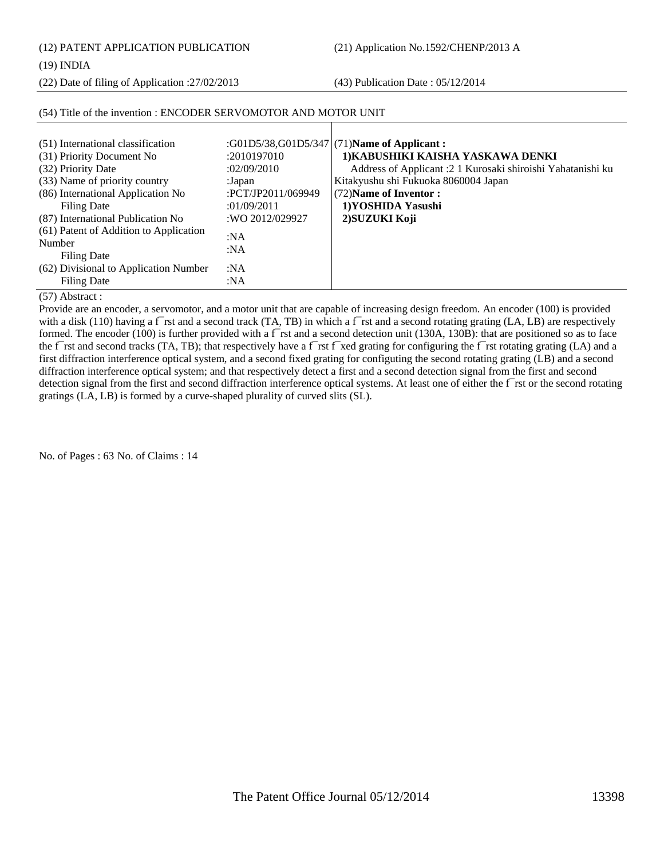(12) PATENT APPLICATION PUBLICATION (21) Application No.1592/CHENP/2013 A

(19) INDIA

(22) Date of filing of Application :27/02/2013 (43) Publication Date : 05/12/2014

| (51) International classification<br>(31) Priority Document No<br>(32) Priority Date<br>(33) Name of priority country<br>(86) International Application No | :2010197010<br>:02/09/2010<br>:Japan<br>:PCT/JP2011/069949 | :G01D5/38,G01D5/347 (71)Name of Applicant :<br>1) KABUSHIKI KAISHA YASKAWA DENKI<br>Address of Applicant :2 1 Kurosaki shiroishi Yahatanishi ku<br>Kitakyushu shi Fukuoka 8060004 Japan<br>(72) Name of Inventor: |
|------------------------------------------------------------------------------------------------------------------------------------------------------------|------------------------------------------------------------|-------------------------------------------------------------------------------------------------------------------------------------------------------------------------------------------------------------------|
| Filing Date                                                                                                                                                | :01/09/2011                                                | 1)YOSHIDA Yasushi                                                                                                                                                                                                 |
| (87) International Publication No                                                                                                                          | :WO 2012/029927                                            | 2) SUZUKI Koji                                                                                                                                                                                                    |
| (61) Patent of Addition to Application<br>Number<br>Filing Date                                                                                            | :NA<br>:NA                                                 |                                                                                                                                                                                                                   |
| (62) Divisional to Application Number                                                                                                                      | :NA                                                        |                                                                                                                                                                                                                   |
| Filing Date                                                                                                                                                | :NA                                                        |                                                                                                                                                                                                                   |

## (54) Title of the invention : ENCODER SERVOMOTOR AND MOTOR UNIT

(57) Abstract :

Provide are an encoder, a servomotor, and a motor unit that are capable of increasing design freedom. An encoder (100) is provided with a disk (110) having a f $\tau$ rst and a second track (TA, TB) in which a f $\tau$ rst and a second rotating grating (LA, LB) are respectively formed. The encoder (100) is further provided with a f\_rst and a second detection unit (130A, 130B): that are positioned so as to face the f¬rst and second tracks (TA, TB); that respectively have a f¬rst f¬xed grating for configuring the f¬rst rotating grating (LA) and a first diffraction interference optical system, and a second fixed grating for configuting the second rotating grating (LB) and a second diffraction interference optical system; and that respectively detect a first and a second detection signal from the first and second detection signal from the first and second diffraction interference optical systems. At least one of either the f⊤rst or the second rotating gratings (LA, LB) is formed by a curve-shaped plurality of curved slits (SL).

No. of Pages : 63 No. of Claims : 14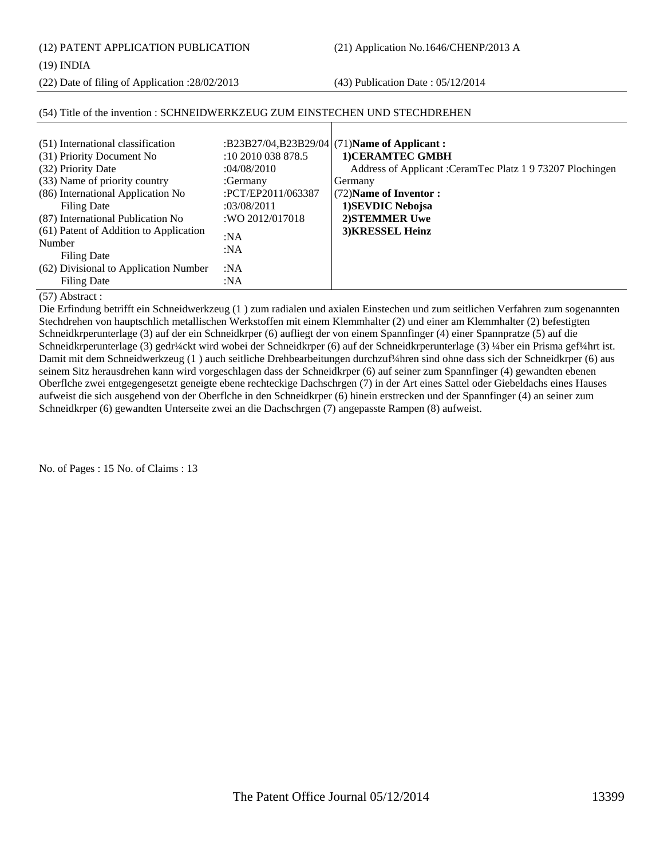(12) PATENT APPLICATION PUBLICATION (21) Application No.1646/CHENP/2013 A

### (19) INDIA

(22) Date of filing of Application :28/02/2013 (43) Publication Date : 05/12/2014

## (54) Title of the invention : SCHNEIDWERKZEUG ZUM EINSTECHEN UND STECHDREHEN

### (57) Abstract :

Die Erfindung betrifft ein Schneidwerkzeug (1 ) zum radialen und axialen Einstechen und zum seitlichen Verfahren zum sogenannten Stechdrehen von hauptschlich metallischen Werkstoffen mit einem Klemmhalter (2) und einer am Klemmhalter (2) befestigten Schneidkrperunterlage (3) auf der ein Schneidkrper (6) aufliegt der von einem Spannfinger (4) einer Spannpratze (5) auf die Schneidkrperunterlage (3) gedr¼ckt wird wobei der Schneidkrper (6) auf der Schneidkrperunterlage (3) ¼ber ein Prisma gef¼hrt ist. Damit mit dem Schneidwerkzeug (1 ) auch seitliche Drehbearbeitungen durchzuf¼hren sind ohne dass sich der Schneidkrper (6) aus seinem Sitz herausdrehen kann wird vorgeschlagen dass der Schneidkrper (6) auf seiner zum Spannfinger (4) gewandten ebenen Oberflche zwei entgegengesetzt geneigte ebene rechteckige Dachschrgen (7) in der Art eines Sattel oder Giebeldachs eines Hauses aufweist die sich ausgehend von der Oberflche in den Schneidkrper (6) hinein erstrecken und der Spannfinger (4) an seiner zum Schneidkrper (6) gewandten Unterseite zwei an die Dachschrgen (7) angepasste Rampen (8) aufweist.

No. of Pages : 15 No. of Claims : 13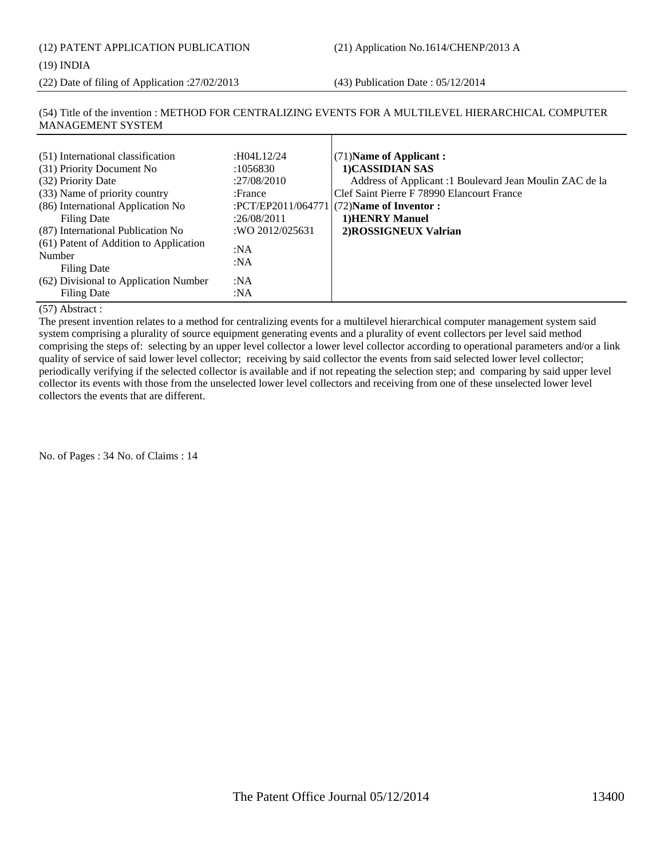### (19) INDIA

(22) Date of filing of Application :27/02/2013 (43) Publication Date : 05/12/2014

## (54) Title of the invention : METHOD FOR CENTRALIZING EVENTS FOR A MULTILEVEL HIERARCHICAL COMPUTER MANAGEMENT SYSTEM

 $\mathbf{I}$ 

| (51) International classification<br>(31) Priority Document No<br>(32) Priority Date<br>(33) Name of priority country<br>(86) International Application No<br>Filing Date<br>(87) International Publication No<br>(61) Patent of Addition to Application<br>Number<br>Filing Date<br>(62) Divisional to Application Number<br>Filing Date | :H04L12/24<br>:1056830<br>:27/08/2010<br>:France<br>:26/08/2011<br>:WO 2012/025631<br>:NA<br>:NA<br>:NA<br>:NA | $(71)$ Name of Applicant:<br>1)CASSIDIAN SAS<br>Address of Applicant :1 Boulevard Jean Moulin ZAC de la<br>Clef Saint Pierre F 78990 Elancourt France<br>:PCT/EP2011/064771 $(72)$ Name of Inventor :<br>1)HENRY Manuel<br>2) ROSSIGNEUX Valrian |
|-------------------------------------------------------------------------------------------------------------------------------------------------------------------------------------------------------------------------------------------------------------------------------------------------------------------------------------------|----------------------------------------------------------------------------------------------------------------|--------------------------------------------------------------------------------------------------------------------------------------------------------------------------------------------------------------------------------------------------|
|-------------------------------------------------------------------------------------------------------------------------------------------------------------------------------------------------------------------------------------------------------------------------------------------------------------------------------------------|----------------------------------------------------------------------------------------------------------------|--------------------------------------------------------------------------------------------------------------------------------------------------------------------------------------------------------------------------------------------------|

### (57) Abstract :

The present invention relates to a method for centralizing events for a multilevel hierarchical computer management system said system comprising a plurality of source equipment generating events and a plurality of event collectors per level said method comprising the steps of: selecting by an upper level collector a lower level collector according to operational parameters and/or a link quality of service of said lower level collector; receiving by said collector the events from said selected lower level collector; periodically verifying if the selected collector is available and if not repeating the selection step; and comparing by said upper level collector its events with those from the unselected lower level collectors and receiving from one of these unselected lower level collectors the events that are different.

No. of Pages : 34 No. of Claims : 14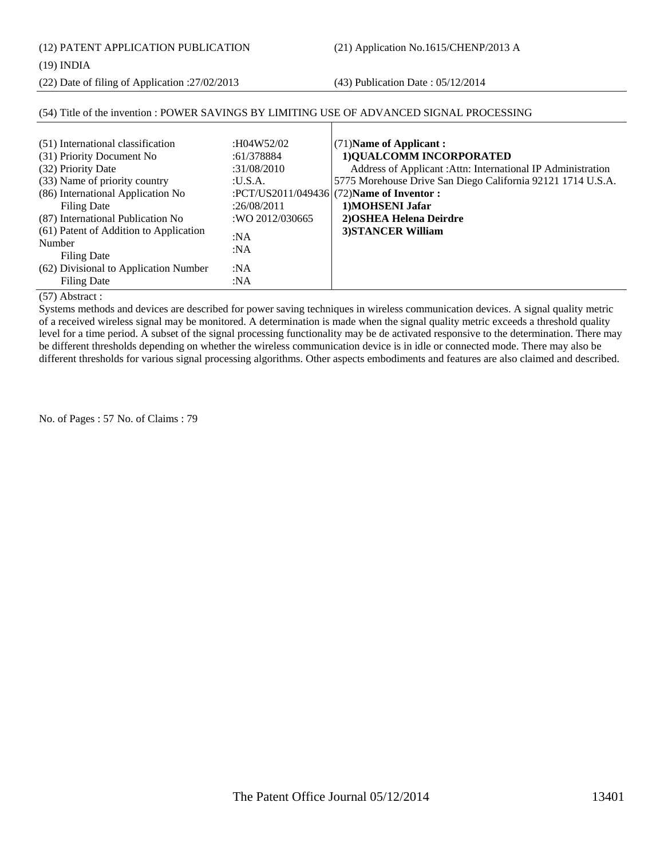(12) PATENT APPLICATION PUBLICATION (21) Application No.1615/CHENP/2013 A

(19) INDIA

(22) Date of filing of Application :27/02/2013 (43) Publication Date : 05/12/2014

| :H04W52/02<br>:61/378884<br>:31/08/2010<br>:U.S.A.<br>:26/08/2011<br>:WO 2012/030665<br>:NA<br>:NA | $(71)$ Name of Applicant:<br>1) QUALCOMM INCORPORATED<br>Address of Applicant : Attn: International IP Administration<br>5775 Morehouse Drive San Diego California 92121 1714 U.S.A.<br>:PCT/US2011/049436 $(72)$ Name of Inventor :<br>1) MOHSENI Jafar<br>2) OSHEA Helena Deirdre<br>3) STANCER William |
|----------------------------------------------------------------------------------------------------|-----------------------------------------------------------------------------------------------------------------------------------------------------------------------------------------------------------------------------------------------------------------------------------------------------------|
| :NA<br>:NA                                                                                         |                                                                                                                                                                                                                                                                                                           |
|                                                                                                    |                                                                                                                                                                                                                                                                                                           |

## (54) Title of the invention : POWER SAVINGS BY LIMITING USE OF ADVANCED SIGNAL PROCESSING

(57) Abstract :

Systems methods and devices are described for power saving techniques in wireless communication devices. A signal quality metric of a received wireless signal may be monitored. A determination is made when the signal quality metric exceeds a threshold quality level for a time period. A subset of the signal processing functionality may be de activated responsive to the determination. There may be different thresholds depending on whether the wireless communication device is in idle or connected mode. There may also be different thresholds for various signal processing algorithms. Other aspects embodiments and features are also claimed and described.

No. of Pages : 57 No. of Claims : 79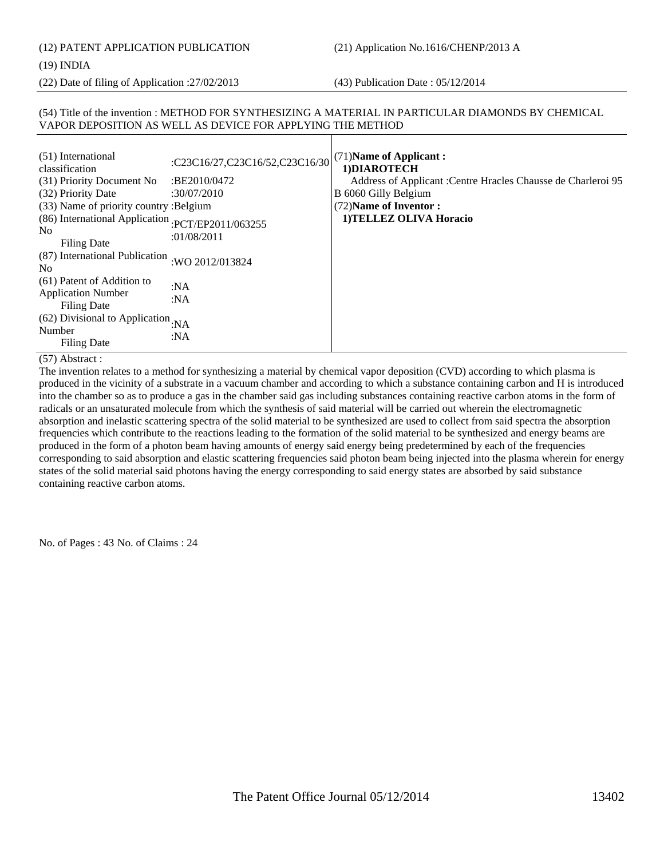# (12) PATENT APPLICATION PUBLICATION (21) Application No.1616/CHENP/2013 A

## (19) INDIA

(22) Date of filing of Application :27/02/2013 (43) Publication Date : 05/12/2014

## (54) Title of the invention : METHOD FOR SYNTHESIZING A MATERIAL IN PARTICULAR DIAMONDS BY CHEMICAL VAPOR DEPOSITION AS WELL AS DEVICE FOR APPLYING THE METHOD

| (51) International<br>classification                                          | :C23C16/27,C23C16/52,C23C16/30    | (71) Name of Applicant:<br>1) DIAROTECH                      |
|-------------------------------------------------------------------------------|-----------------------------------|--------------------------------------------------------------|
| (31) Priority Document No                                                     | :BE2010/0472                      | Address of Applicant: Centre Hracles Chausse de Charleroi 95 |
| (32) Priority Date                                                            | :30/07/2010                       | B 6060 Gilly Belgium                                         |
| (33) Name of priority country : Belgium                                       |                                   | (72) Name of Inventor:                                       |
| (86) International Application<br>N <sub>0</sub><br><b>Filing Date</b>        | :PCT/EP2011/063255<br>:01/08/2011 | 1) TELLEZ OLIVA Horacio                                      |
| (87) International Publication<br>N <sub>0</sub>                              | :WO 2012/013824                   |                                                              |
| (61) Patent of Addition to<br><b>Application Number</b><br><b>Filing Date</b> | :NA<br>:NA                        |                                                              |
| (62) Divisional to Application : NA<br>Number<br><b>Filing Date</b>           | :NA                               |                                                              |

## (57) Abstract :

The invention relates to a method for synthesizing a material by chemical vapor deposition (CVD) according to which plasma is produced in the vicinity of a substrate in a vacuum chamber and according to which a substance containing carbon and H is introduced into the chamber so as to produce a gas in the chamber said gas including substances containing reactive carbon atoms in the form of radicals or an unsaturated molecule from which the synthesis of said material will be carried out wherein the electromagnetic absorption and inelastic scattering spectra of the solid material to be synthesized are used to collect from said spectra the absorption frequencies which contribute to the reactions leading to the formation of the solid material to be synthesized and energy beams are produced in the form of a photon beam having amounts of energy said energy being predetermined by each of the frequencies corresponding to said absorption and elastic scattering frequencies said photon beam being injected into the plasma wherein for energy states of the solid material said photons having the energy corresponding to said energy states are absorbed by said substance containing reactive carbon atoms.

No. of Pages : 43 No. of Claims : 24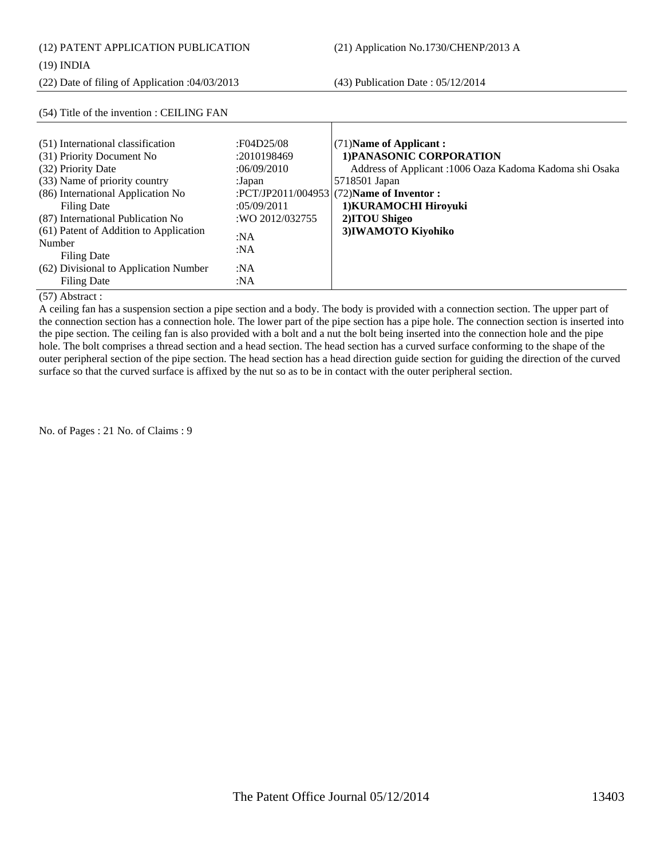(12) PATENT APPLICATION PUBLICATION (21) Application No.1730/CHENP/2013 A

## (19) INDIA

(22) Date of filing of Application :04/03/2013 (43) Publication Date : 05/12/2014

| (51) International classification      | :F04D25/08      | $(71)$ Name of Applicant:                                |
|----------------------------------------|-----------------|----------------------------------------------------------|
| (31) Priority Document No              | :2010198469     | 1) PANASONIC CORPORATION                                 |
| (32) Priority Date                     | :06/09/2010     | Address of Applicant : 1006 Oaza Kadoma Kadoma shi Osaka |
| (33) Name of priority country          | :Japan          | 5718501 Japan                                            |
| (86) International Application No      |                 | :PCT/JP2011/004953 (72)Name of Inventor :                |
| Filing Date                            | :05/09/2011     | 1) KURAMOCHI Hiroyuki                                    |
| (87) International Publication No      | :WO 2012/032755 | 2) ITOU Shigeo                                           |
| (61) Patent of Addition to Application | :NA             | 3) IWAMOTO Kiyohiko                                      |
| Number                                 | : $NA$          |                                                          |
| Filing Date                            |                 |                                                          |
| (62) Divisional to Application Number  | :NA             |                                                          |
| <b>Filing Date</b>                     | :NA             |                                                          |
|                                        |                 |                                                          |

## (54) Title of the invention : CEILING FAN

(57) Abstract :

A ceiling fan has a suspension section a pipe section and a body. The body is provided with a connection section. The upper part of the connection section has a connection hole. The lower part of the pipe section has a pipe hole. The connection section is inserted into the pipe section. The ceiling fan is also provided with a bolt and a nut the bolt being inserted into the connection hole and the pipe hole. The bolt comprises a thread section and a head section. The head section has a curved surface conforming to the shape of the outer peripheral section of the pipe section. The head section has a head direction guide section for guiding the direction of the curved surface so that the curved surface is affixed by the nut so as to be in contact with the outer peripheral section.

No. of Pages : 21 No. of Claims : 9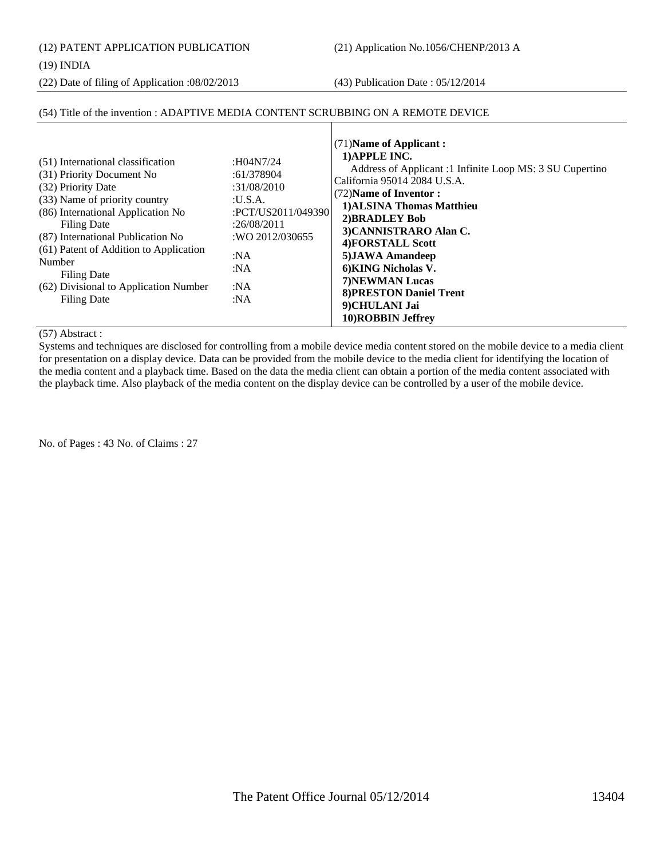(12) PATENT APPLICATION PUBLICATION (21) Application No.1056/CHENP/2013 A

## (19) INDIA

(22) Date of filing of Application :08/02/2013 (43) Publication Date : 05/12/2014

## (54) Title of the invention : ADAPTIVE MEDIA CONTENT SCRUBBING ON A REMOTE DEVICE

| (51) International classification<br>(31) Priority Document No<br>(32) Priority Date<br>(33) Name of priority country<br>(86) International Application No<br><b>Filing Date</b><br>(87) International Publication No<br>(61) Patent of Addition to Application<br>Number<br><b>Filing Date</b><br>(62) Divisional to Application Number<br><b>Filing Date</b> | :H04N7/24<br>:61/378904<br>:31/08/2010<br>:U.S.A.<br>:PCT/US2011/049390<br>:26/08/2011<br>:WO 2012/030655<br>:NA<br>:NA<br>:NA<br>:NA | (71) Name of Applicant:<br>1) APPLE INC.<br>Address of Applicant :1 Infinite Loop MS: 3 SU Cupertino<br>California 95014 2084 U.S.A.<br>(72) Name of Inventor:<br>1) ALSINA Thomas Matthieu<br>2) BRADLEY Bob<br>3)CANNISTRARO Alan C.<br>4) FORSTALL Scott<br>5) JAWA Amandeep<br>6) KING Nicholas V.<br><b>7)NEWMAN Lucas</b><br><b>8) PRESTON Daniel Trent</b><br>9)CHULANI Jai<br>10) ROBBIN Jeffrey |
|----------------------------------------------------------------------------------------------------------------------------------------------------------------------------------------------------------------------------------------------------------------------------------------------------------------------------------------------------------------|---------------------------------------------------------------------------------------------------------------------------------------|----------------------------------------------------------------------------------------------------------------------------------------------------------------------------------------------------------------------------------------------------------------------------------------------------------------------------------------------------------------------------------------------------------|
|----------------------------------------------------------------------------------------------------------------------------------------------------------------------------------------------------------------------------------------------------------------------------------------------------------------------------------------------------------------|---------------------------------------------------------------------------------------------------------------------------------------|----------------------------------------------------------------------------------------------------------------------------------------------------------------------------------------------------------------------------------------------------------------------------------------------------------------------------------------------------------------------------------------------------------|

(57) Abstract :

Systems and techniques are disclosed for controlling from a mobile device media content stored on the mobile device to a media client for presentation on a display device. Data can be provided from the mobile device to the media client for identifying the location of the media content and a playback time. Based on the data the media client can obtain a portion of the media content associated with the playback time. Also playback of the media content on the display device can be controlled by a user of the mobile device.

No. of Pages : 43 No. of Claims : 27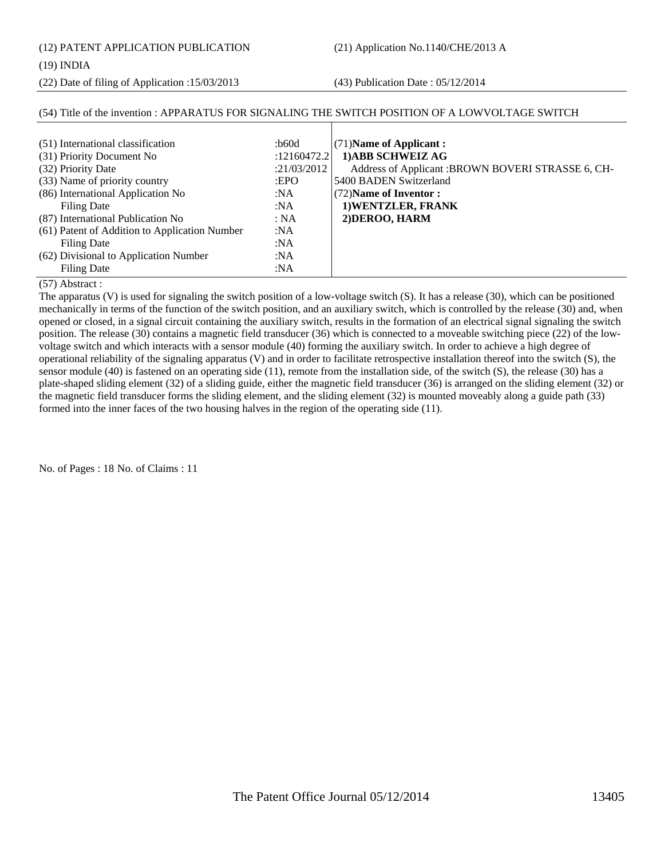(12) PATENT APPLICATION PUBLICATION (21) Application No.1140/CHE/2013 A

## (19) INDIA

(22) Date of filing of Application :15/03/2013 (43) Publication Date : 05/12/2014

## (54) Title of the invention : APPARATUS FOR SIGNALING THE SWITCH POSITION OF A LOWVOLTAGE SWITCH

| (51) International classification             | : $b60d$    | $(71)$ Name of Applicant:                         |
|-----------------------------------------------|-------------|---------------------------------------------------|
| (31) Priority Document No                     | :12160472.2 | 1) ABB SCHWEIZ AG                                 |
| (32) Priority Date                            | :21/03/2012 | Address of Applicant :BROWN BOVERI STRASSE 6, CH- |
| (33) Name of priority country                 | :EPO        | 5400 BADEN Switzerland                            |
| (86) International Application No             | :NA         | $(72)$ Name of Inventor:                          |
| <b>Filing Date</b>                            | :NA         | 1) WENTZLER, FRANK                                |
| (87) International Publication No             | : NA        | 2) DEROO, HARM                                    |
| (61) Patent of Addition to Application Number | :N $A$      |                                                   |
| <b>Filing Date</b>                            | :N $A$      |                                                   |
| (62) Divisional to Application Number         | :NA         |                                                   |
| <b>Filing Date</b>                            | :NA         |                                                   |

## (57) Abstract :

The apparatus (V) is used for signaling the switch position of a low-voltage switch (S). It has a release (30), which can be positioned mechanically in terms of the function of the switch position, and an auxiliary switch, which is controlled by the release (30) and, when opened or closed, in a signal circuit containing the auxiliary switch, results in the formation of an electrical signal signaling the switch position. The release (30) contains a magnetic field transducer (36) which is connected to a moveable switching piece (22) of the lowvoltage switch and which interacts with a sensor module (40) forming the auxiliary switch. In order to achieve a high degree of operational reliability of the signaling apparatus (V) and in order to facilitate retrospective installation thereof into the switch (S), the sensor module (40) is fastened on an operating side (11), remote from the installation side, of the switch (S), the release (30) has a plate-shaped sliding element (32) of a sliding guide, either the magnetic field transducer (36) is arranged on the sliding element (32) or the magnetic field transducer forms the sliding element, and the sliding element (32) is mounted moveably along a guide path (33) formed into the inner faces of the two housing halves in the region of the operating side (11).

No. of Pages : 18 No. of Claims : 11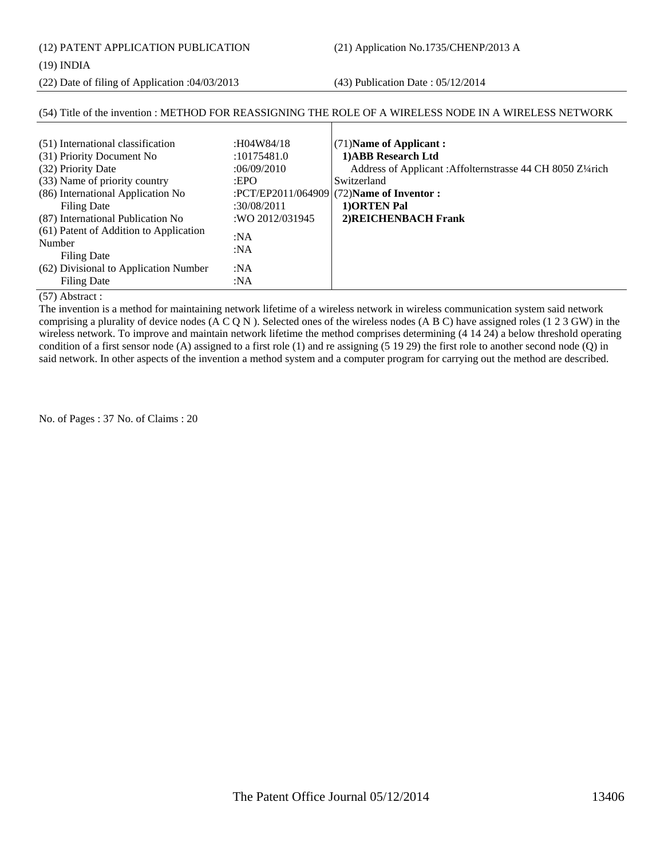(12) PATENT APPLICATION PUBLICATION (21) Application No.1735/CHENP/2013 A

## (19) INDIA

(22) Date of filing of Application :04/03/2013 (43) Publication Date : 05/12/2014

### (54) Title of the invention : METHOD FOR REASSIGNING THE ROLE OF A WIRELESS NODE IN A WIRELESS NETWORK (51) International classification :H04W84/18 (31) Priority Document No :10175481.0 (32) Priority Date :06/09/2010 (33) Name of priority country :EPO (86) International Application No Filing Date :PCT/EP2011/064909 :30/08/2011 (87) International Publication No :WO 2012/031945 (61) Patent of Addition to Application Number Filing Date :NA :NA (71)**Name of Applicant : 1)ABB Research Ltd** Address of Applicant :Affolternstrasse 44 CH 8050 Z¼rich Switzerland (72)**Name of Inventor : 1)ORTEN Pal 2)REICHENBACH Frank**

:NA :NA

(57) Abstract :

Filing Date

The invention is a method for maintaining network lifetime of a wireless network in wireless communication system said network comprising a plurality of device nodes  $(AC \ Q N)$ . Selected ones of the wireless nodes  $(AB C)$  have assigned roles  $(1 2 3 GW)$  in the wireless network. To improve and maintain network lifetime the method comprises determining (4 14 24) a below threshold operating condition of a first sensor node  $(A)$  assigned to a first role  $(1)$  and re assigning  $(5\ 19\ 29)$  the first role to another second node  $(Q)$  in said network. In other aspects of the invention a method system and a computer program for carrying out the method are described.

No. of Pages : 37 No. of Claims : 20

(62) Divisional to Application Number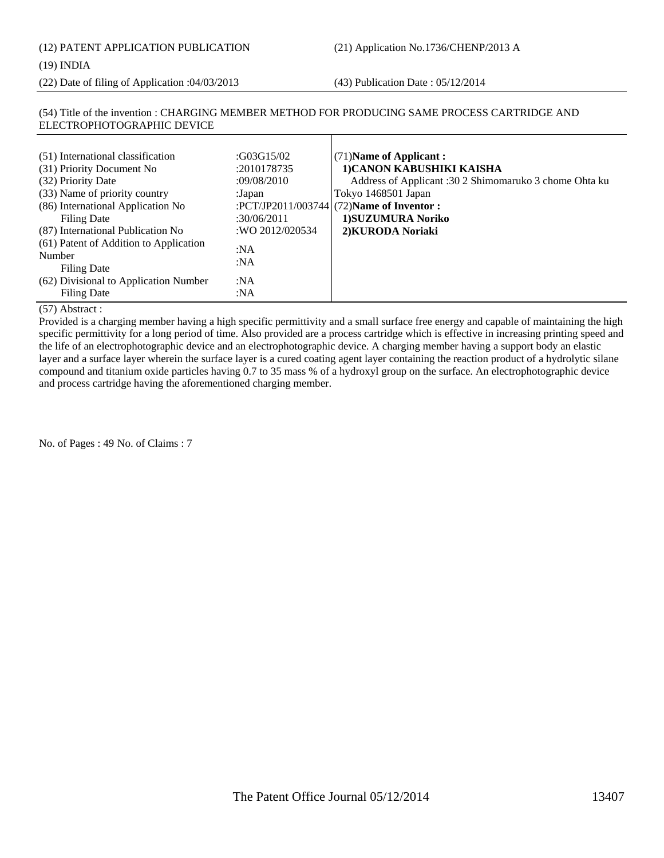(12) PATENT APPLICATION PUBLICATION (21) Application No.1736/CHENP/2013 A

## (19) INDIA

(22) Date of filing of Application :04/03/2013 (43) Publication Date : 05/12/2014

## (54) Title of the invention : CHARGING MEMBER METHOD FOR PRODUCING SAME PROCESS CARTRIDGE AND ELECTROPHOTOGRAPHIC DEVICE

| (51) International classification<br>(31) Priority Document No<br>(32) Priority Date<br>(33) Name of priority country<br>(86) International Application No<br>Filing Date<br>(87) International Publication No<br>(61) Patent of Addition to Application<br>Number<br>Filing Date<br>(62) Divisional to Application Number<br>Filing Date | :G03G15/02<br>:2010178735<br>:09/08/2010<br>:Japan<br>:30/06/2011<br>:WO 2012/020534<br>:NA<br>: $NA$<br>:NA<br>:NA | $(71)$ Name of Applicant:<br>1) CANON KABUSHIKI KAISHA<br>Address of Applicant: 30 2 Shimomaruko 3 chome Ohta ku<br>Tokyo 1468501 Japan<br>:PCT/JP2011/003744 $(72)$ Name of Inventor :<br>1) SUZUMURA Noriko<br>2) KURODA Noriaki |
|-------------------------------------------------------------------------------------------------------------------------------------------------------------------------------------------------------------------------------------------------------------------------------------------------------------------------------------------|---------------------------------------------------------------------------------------------------------------------|------------------------------------------------------------------------------------------------------------------------------------------------------------------------------------------------------------------------------------|
|-------------------------------------------------------------------------------------------------------------------------------------------------------------------------------------------------------------------------------------------------------------------------------------------------------------------------------------------|---------------------------------------------------------------------------------------------------------------------|------------------------------------------------------------------------------------------------------------------------------------------------------------------------------------------------------------------------------------|

 $\mathbf{I}$ 

## (57) Abstract :

Provided is a charging member having a high specific permittivity and a small surface free energy and capable of maintaining the high specific permittivity for a long period of time. Also provided are a process cartridge which is effective in increasing printing speed and the life of an electrophotographic device and an electrophotographic device. A charging member having a support body an elastic layer and a surface layer wherein the surface layer is a cured coating agent layer containing the reaction product of a hydrolytic silane compound and titanium oxide particles having 0.7 to 35 mass % of a hydroxyl group on the surface. An electrophotographic device and process cartridge having the aforementioned charging member.

No. of Pages : 49 No. of Claims : 7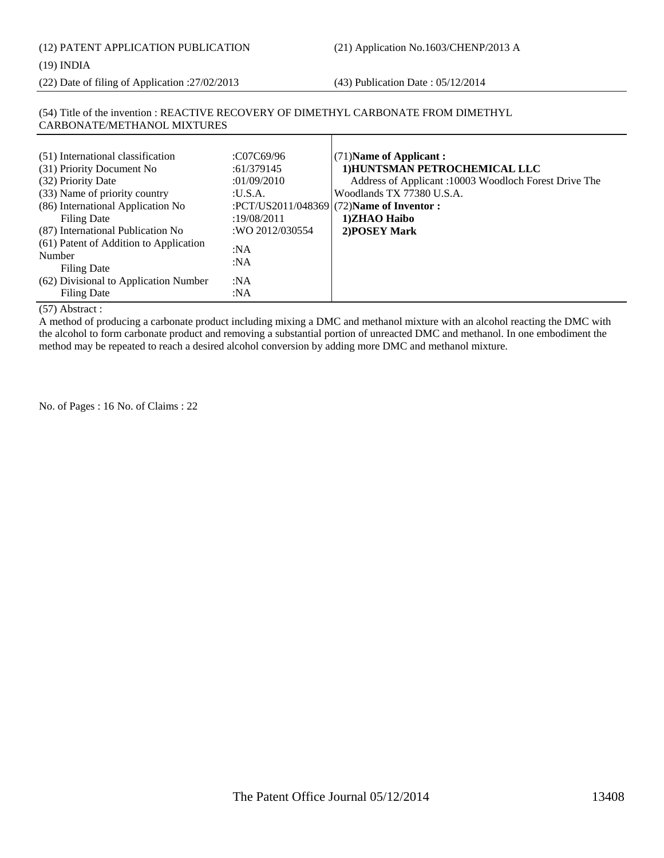(12) PATENT APPLICATION PUBLICATION (21) Application No.1603/CHENP/2013 A

## (19) INDIA

(22) Date of filing of Application :27/02/2013 (43) Publication Date : 05/12/2014

## (54) Title of the invention : REACTIVE RECOVERY OF DIMETHYL CARBONATE FROM DIMETHYL CARBONATE/METHANOL MIXTURES

| (51) International classification<br>(31) Priority Document No<br>(32) Priority Date<br>(33) Name of priority country<br>(86) International Application No<br>Filing Date<br>(87) International Publication No<br>(61) Patent of Addition to Application<br>Number<br>Filing Date<br>(62) Divisional to Application Number<br>Filing Date | :C07C69/96<br>:61/379145<br>:01/09/2010<br>:U.S.A.<br>:19/08/2011<br>:WO 2012/030554<br>:NA<br>:NA<br>:NA<br>:NA | $(71)$ Name of Applicant:<br>1) HUNTSMAN PETROCHEMICAL LLC<br>Address of Applicant :10003 Woodloch Forest Drive The<br>Woodlands TX 77380 U.S.A.<br>:PCT/US2011/048369 (72) Name of Inventor :<br>1)ZHAO Haibo<br>2)POSEY Mark |
|-------------------------------------------------------------------------------------------------------------------------------------------------------------------------------------------------------------------------------------------------------------------------------------------------------------------------------------------|------------------------------------------------------------------------------------------------------------------|--------------------------------------------------------------------------------------------------------------------------------------------------------------------------------------------------------------------------------|
|-------------------------------------------------------------------------------------------------------------------------------------------------------------------------------------------------------------------------------------------------------------------------------------------------------------------------------------------|------------------------------------------------------------------------------------------------------------------|--------------------------------------------------------------------------------------------------------------------------------------------------------------------------------------------------------------------------------|

(57) Abstract :

A method of producing a carbonate product including mixing a DMC and methanol mixture with an alcohol reacting the DMC with the alcohol to form carbonate product and removing a substantial portion of unreacted DMC and methanol. In one embodiment the method may be repeated to reach a desired alcohol conversion by adding more DMC and methanol mixture.

No. of Pages : 16 No. of Claims : 22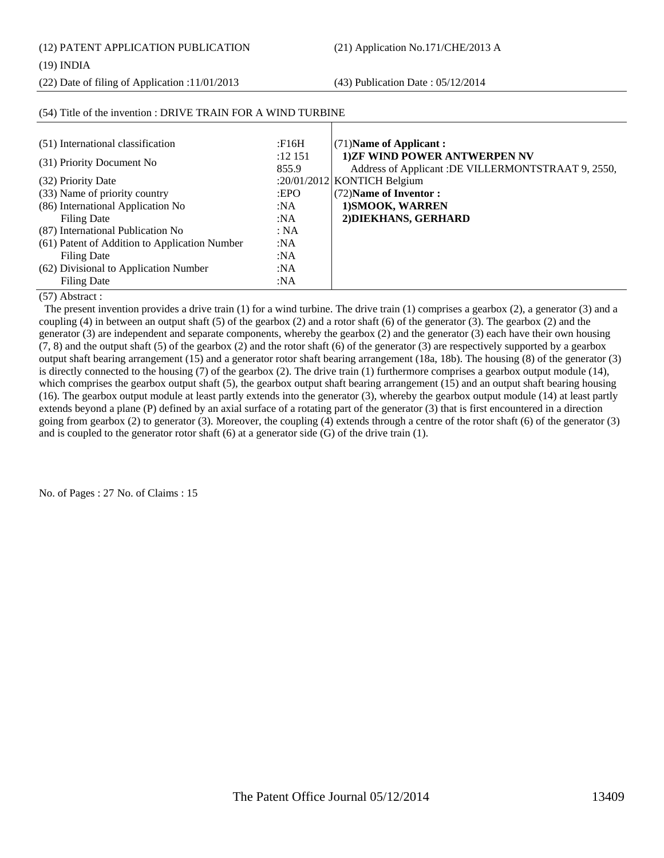(12) PATENT APPLICATION PUBLICATION (21) Application No.171/CHE/2013 A

 $(54)$  Title of the invention : DRIVE TRAIN FOR A WIND TURBINE

## (19) INDIA

(22) Date of filing of Application :11/01/2013 (43) Publication Date : 05/12/2014

| $(34)$ Thie of the invention . DRIVE TRAIN FOR A WIND TURDINE |           |                                                    |
|---------------------------------------------------------------|-----------|----------------------------------------------------|
|                                                               |           |                                                    |
| (51) International classification                             | :F16H     | $(71)$ Name of Applicant:                          |
| (31) Priority Document No                                     | $:12$ 151 | 1)ZF WIND POWER ANTWERPEN NV                       |
|                                                               | 855.9     | Address of Applicant: DE VILLERMONTSTRAAT 9, 2550, |
| (32) Priority Date                                            |           | :20/01/2012 KONTICH Belgium                        |
| (33) Name of priority country                                 | EPO       | (72) Name of Inventor:                             |
| (86) International Application No                             | :NA       | 1) SMOOK, WARREN                                   |
| Filing Date                                                   | :NA       | 2) DIEKHANS, GERHARD                               |
| (87) International Publication No                             | : NA      |                                                    |
| (61) Patent of Addition to Application Number                 | :N $A$    |                                                    |
| Filing Date                                                   | :NA       |                                                    |
| (62) Divisional to Application Number                         | :NA       |                                                    |
| <b>Filing Date</b>                                            | : $NA$    |                                                    |

## (57) Abstract :

 The present invention provides a drive train (1) for a wind turbine. The drive train (1) comprises a gearbox (2), a generator (3) and a coupling (4) in between an output shaft (5) of the gearbox (2) and a rotor shaft (6) of the generator (3). The gearbox (2) and the generator (3) are independent and separate components, whereby the gearbox (2) and the generator (3) each have their own housing  $(7, 8)$  and the output shaft  $(5)$  of the gearbox  $(2)$  and the rotor shaft  $(6)$  of the generator  $(3)$  are respectively supported by a gearbox output shaft bearing arrangement (15) and a generator rotor shaft bearing arrangement (18a, 18b). The housing (8) of the generator (3) is directly connected to the housing (7) of the gearbox (2). The drive train (1) furthermore comprises a gearbox output module (14), which comprises the gearbox output shaft (5), the gearbox output shaft bearing arrangement (15) and an output shaft bearing housing (16). The gearbox output module at least partly extends into the generator (3), whereby the gearbox output module (14) at least partly extends beyond a plane (P) defined by an axial surface of a rotating part of the generator (3) that is first encountered in a direction going from gearbox (2) to generator (3). Moreover, the coupling (4) extends through a centre of the rotor shaft (6) of the generator (3) and is coupled to the generator rotor shaft  $(6)$  at a generator side  $(G)$  of the drive train  $(1)$ .

No. of Pages : 27 No. of Claims : 15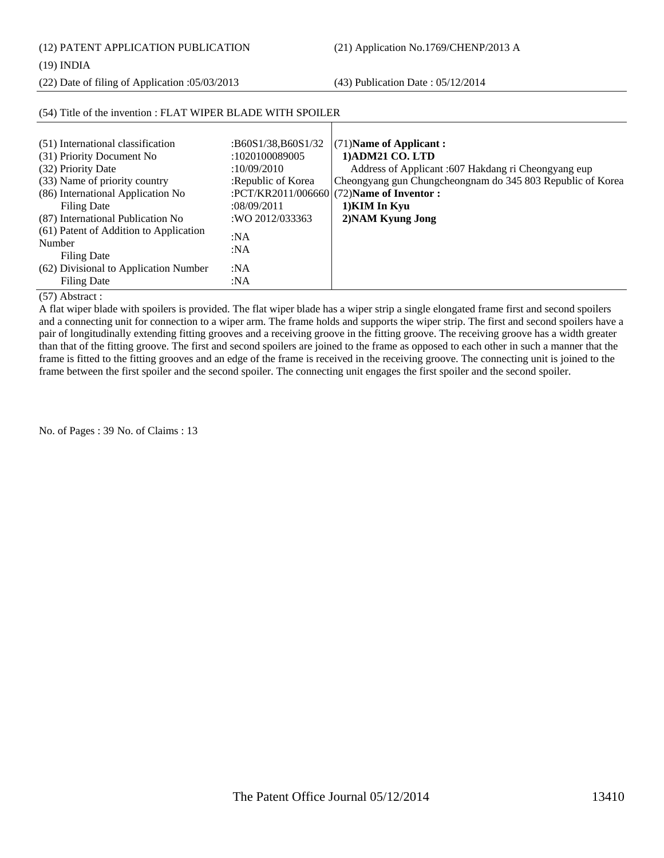(12) PATENT APPLICATION PUBLICATION (21) Application No.1769/CHENP/2013 A

## (19) INDIA

(22) Date of filing of Application :05/03/2013 (43) Publication Date : 05/12/2014

| (54) Title of the invention : FLAT WIPER BLADE WITH SPOILER |                       |                                                            |
|-------------------------------------------------------------|-----------------------|------------------------------------------------------------|
|                                                             |                       |                                                            |
| (51) International classification                           | : $B60S1/38,B60S1/32$ | (71) Name of Applicant:                                    |
| (31) Priority Document No                                   | :1020100089005        | 1)ADM21 CO. LTD                                            |
| (32) Priority Date                                          | :10/09/2010           | Address of Applicant :607 Hakdang ri Cheongyang eup        |
| (33) Name of priority country                               | :Republic of Korea    | Cheongyang gun Chungcheongnam do 345 803 Republic of Korea |
| (86) International Application No                           |                       | :PCT/KR2011/006660 $(72)$ Name of Inventor :               |
| <b>Filing Date</b>                                          | :08/09/2011           | 1) KIM In Kyu                                              |
| (87) International Publication No                           | :WO 2012/033363       | 2) NAM Kyung Jong                                          |
| (61) Patent of Addition to Application                      | :NA                   |                                                            |
| Number                                                      | :NA                   |                                                            |
| <b>Filing Date</b>                                          |                       |                                                            |
| (62) Divisional to Application Number                       | :NA                   |                                                            |
| <b>Filing Date</b>                                          | :NA                   |                                                            |

(57) Abstract :

A flat wiper blade with spoilers is provided. The flat wiper blade has a wiper strip a single elongated frame first and second spoilers and a connecting unit for connection to a wiper arm. The frame holds and supports the wiper strip. The first and second spoilers have a pair of longitudinally extending fitting grooves and a receiving groove in the fitting groove. The receiving groove has a width greater than that of the fitting groove. The first and second spoilers are joined to the frame as opposed to each other in such a manner that the frame is fitted to the fitting grooves and an edge of the frame is received in the receiving groove. The connecting unit is joined to the frame between the first spoiler and the second spoiler. The connecting unit engages the first spoiler and the second spoiler.

No. of Pages : 39 No. of Claims : 13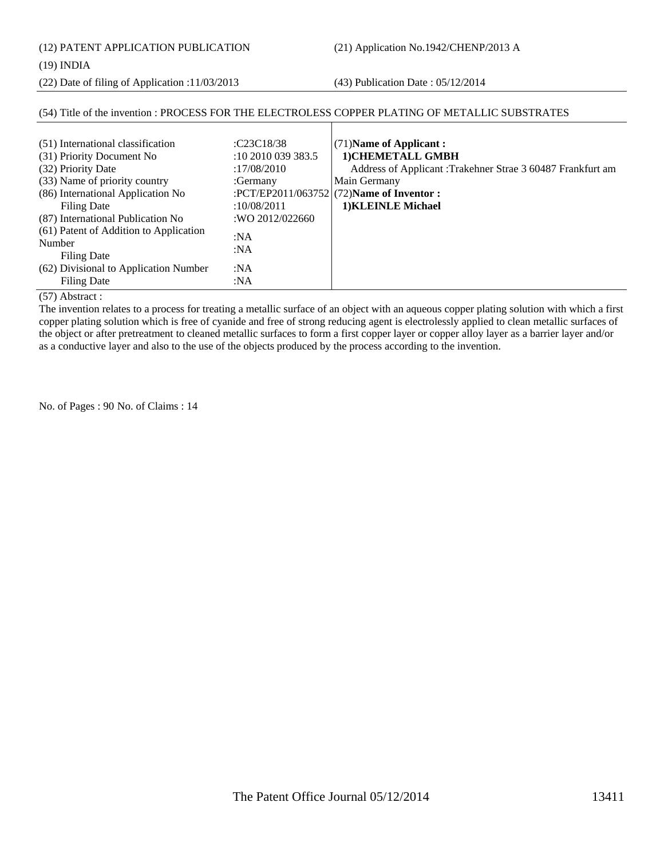(12) PATENT APPLICATION PUBLICATION (21) Application No.1942/CHENP/2013 A

(19) INDIA

(22) Date of filing of Application :11/03/2013 (43) Publication Date : 05/12/2014

### (51) International classification :C23C18/38 (31) Priority Document No :10 2010 039 383.5 (32) Priority Date :17/08/2010 (33) Name of priority country :Germany (86) International Application No Filing Date :PCT/EP2011/063752 :10/08/2011 (87) International Publication No :WO 2012/022660 (61) Patent of Addition to Application Number Filing Date :NA :NA (62) Divisional to Application Number Filing Date :NA :NA (71)**Name of Applicant : 1)CHEMETALL GMBH** Address of Applicant :Trakehner Strae 3 60487 Frankfurt am Main Germany (72)**Name of Inventor : 1)KLEINLE Michael**

(54) Title of the invention : PROCESS FOR THE ELECTROLESS COPPER PLATING OF METALLIC SUBSTRATES

(57) Abstract :

The invention relates to a process for treating a metallic surface of an object with an aqueous copper plating solution with which a first copper plating solution which is free of cyanide and free of strong reducing agent is electrolessly applied to clean metallic surfaces of the object or after pretreatment to cleaned metallic surfaces to form a first copper layer or copper alloy layer as a barrier layer and/or as a conductive layer and also to the use of the objects produced by the process according to the invention.

No. of Pages : 90 No. of Claims : 14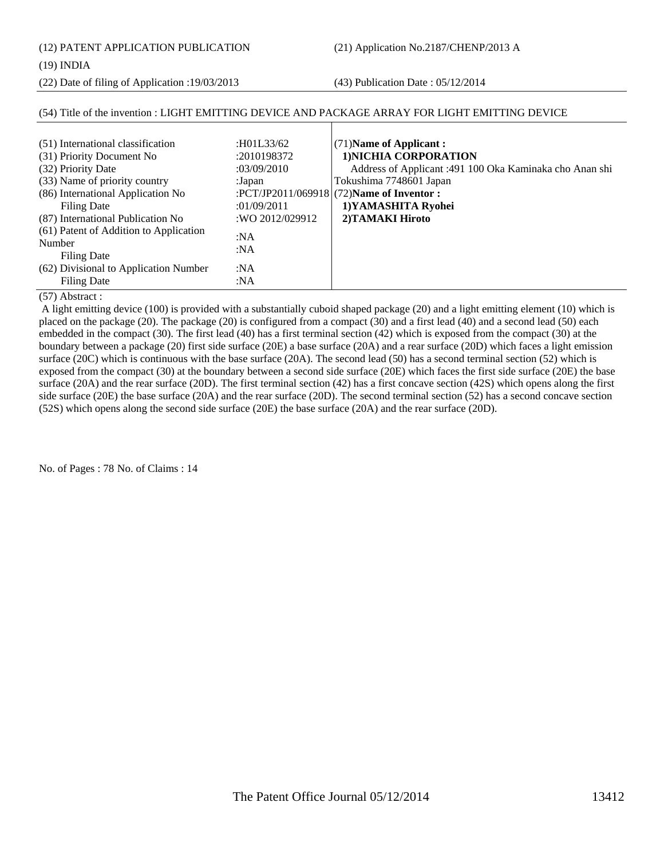(12) PATENT APPLICATION PUBLICATION (21) Application No.2187/CHENP/2013 A

(19) INDIA

(22) Date of filing of Application :19/03/2013 (43) Publication Date : 05/12/2014

| (51) International classification<br>(31) Priority Document No<br>(32) Priority Date<br>(33) Name of priority country<br>(86) International Application No<br>Filing Date<br>(87) International Publication No<br>(61) Patent of Addition to Application<br>Number<br>Filing Date<br>(62) Divisional to Application Number<br>Filing Date | :H01L33/62<br>:2010198372<br>:03/09/2010<br>:Japan<br>:01/09/2011<br>:WO 2012/029912<br>:NA<br>:NA<br>:NA<br>:NA | (71) Name of Applicant:<br>1) NICHIA CORPORATION<br>Address of Applicant : 491 100 Oka Kaminaka cho Anan shi<br>Tokushima 7748601 Japan<br>:PCT/JP2011/069918 $(72)$ Name of Inventor:<br>1) YAMASHITA Ryohei<br>2) TAMAKI Hiroto |
|-------------------------------------------------------------------------------------------------------------------------------------------------------------------------------------------------------------------------------------------------------------------------------------------------------------------------------------------|------------------------------------------------------------------------------------------------------------------|-----------------------------------------------------------------------------------------------------------------------------------------------------------------------------------------------------------------------------------|
|-------------------------------------------------------------------------------------------------------------------------------------------------------------------------------------------------------------------------------------------------------------------------------------------------------------------------------------------|------------------------------------------------------------------------------------------------------------------|-----------------------------------------------------------------------------------------------------------------------------------------------------------------------------------------------------------------------------------|

## (54) Title of the invention : LIGHT EMITTING DEVICE AND PACKAGE ARRAY FOR LIGHT EMITTING DEVICE

(57) Abstract :

 A light emitting device (100) is provided with a substantially cuboid shaped package (20) and a light emitting element (10) which is placed on the package (20). The package (20) is configured from a compact (30) and a first lead (40) and a second lead (50) each embedded in the compact (30). The first lead (40) has a first terminal section (42) which is exposed from the compact (30) at the boundary between a package (20) first side surface (20E) a base surface (20A) and a rear surface (20D) which faces a light emission surface (20C) which is continuous with the base surface (20A). The second lead (50) has a second terminal section (52) which is exposed from the compact (30) at the boundary between a second side surface (20E) which faces the first side surface (20E) the base surface (20A) and the rear surface (20D). The first terminal section (42) has a first concave section (42S) which opens along the first side surface (20E) the base surface (20A) and the rear surface (20D). The second terminal section (52) has a second concave section (52S) which opens along the second side surface (20E) the base surface (20A) and the rear surface (20D).

No. of Pages : 78 No. of Claims : 14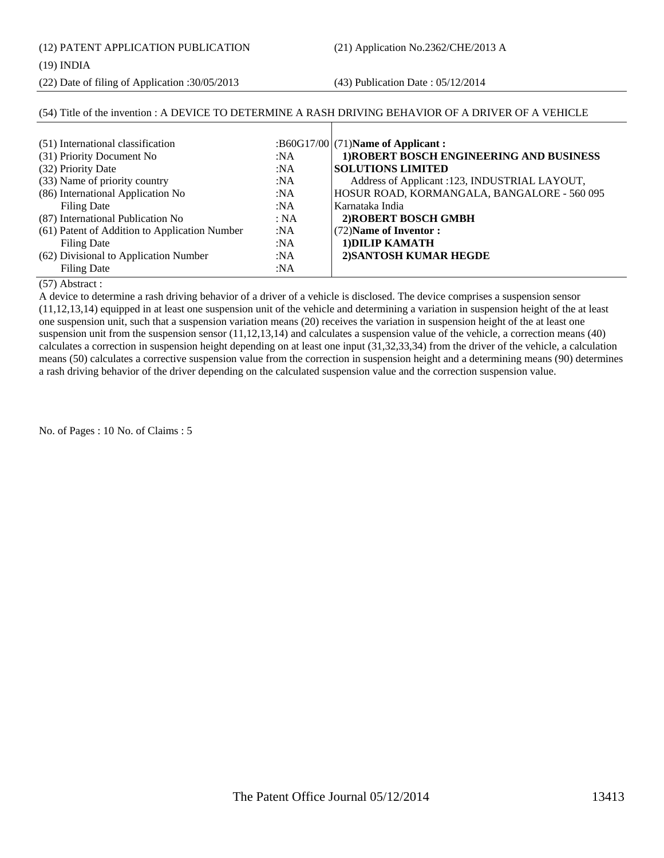(12) PATENT APPLICATION PUBLICATION (21) Application No.2362/CHE/2013 A

## (19) INDIA

(22) Date of filing of Application :30/05/2013 (43) Publication Date : 05/12/2014

## (54) Title of the invention : A DEVICE TO DETERMINE A RASH DRIVING BEHAVIOR OF A DRIVER OF A VEHICLE

| (51) International classification<br>(31) Priority Document No<br>(32) Priority Date<br>(33) Name of priority country<br>(86) International Application No | :NA<br>:NA<br>:NA<br>:NA  | :B60G17/00 $(71)$ Name of Applicant:<br>1) ROBERT BOSCH ENGINEERING AND BUSINESS<br><b>SOLUTIONS LIMITED</b><br>Address of Applicant :123, INDUSTRIAL LAYOUT,<br>HOSUR ROAD, KORMANGALA, BANGALORE - 560 095 |
|------------------------------------------------------------------------------------------------------------------------------------------------------------|---------------------------|--------------------------------------------------------------------------------------------------------------------------------------------------------------------------------------------------------------|
| <b>Filing Date</b><br>(87) International Publication No<br>(61) Patent of Addition to Application Number<br>Filing Date                                    | :NA<br>: NA<br>:NA<br>:NA | Karnataka India<br>2) ROBERT BOSCH GMBH<br>$(72)$ Name of Inventor:<br>1) DILIP KAMATH                                                                                                                       |
| (62) Divisional to Application Number<br>Filing Date                                                                                                       | :NA<br>:NA                | 2) SANTOSH KUMAR HEGDE                                                                                                                                                                                       |

(57) Abstract :

A device to determine a rash driving behavior of a driver of a vehicle is disclosed. The device comprises a suspension sensor (11,12,13,14) equipped in at least one suspension unit of the vehicle and determining a variation in suspension height of the at least one suspension unit, such that a suspension variation means (20) receives the variation in suspension height of the at least one suspension unit from the suspension sensor (11,12,13,14) and calculates a suspension value of the vehicle, a correction means (40) calculates a correction in suspension height depending on at least one input (31,32,33,34) from the driver of the vehicle, a calculation means (50) calculates a corrective suspension value from the correction in suspension height and a determining means (90) determines a rash driving behavior of the driver depending on the calculated suspension value and the correction suspension value.

No. of Pages : 10 No. of Claims : 5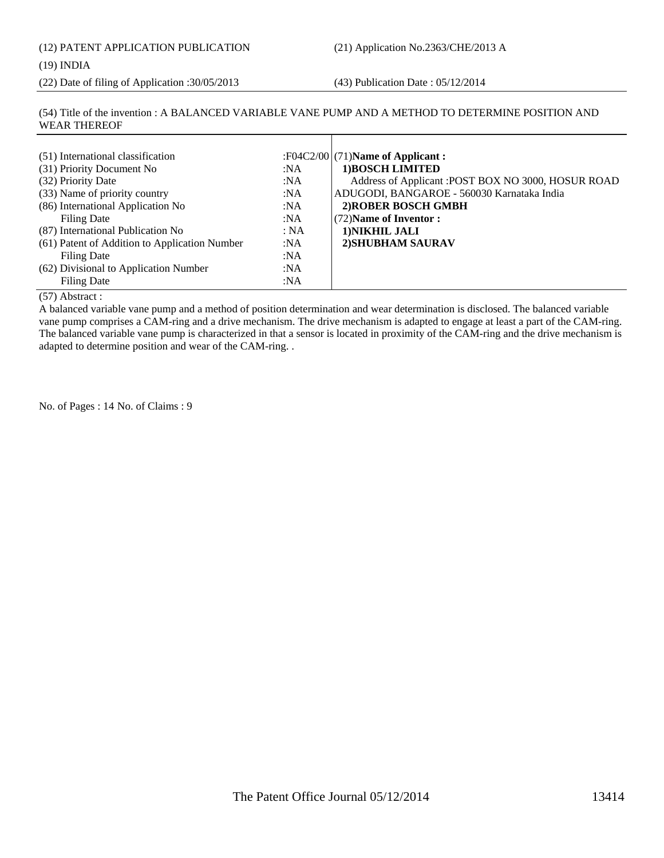## (19) INDIA

(22) Date of filing of Application :30/05/2013 (43) Publication Date : 05/12/2014

(54) Title of the invention : A BALANCED VARIABLE VANE PUMP AND A METHOD TO DETERMINE POSITION AND WEAR THEREOF

(57) Abstract :

A balanced variable vane pump and a method of position determination and wear determination is disclosed. The balanced variable vane pump comprises a CAM-ring and a drive mechanism. The drive mechanism is adapted to engage at least a part of the CAM-ring. The balanced variable vane pump is characterized in that a sensor is located in proximity of the CAM-ring and the drive mechanism is adapted to determine position and wear of the CAM-ring. .

No. of Pages : 14 No. of Claims : 9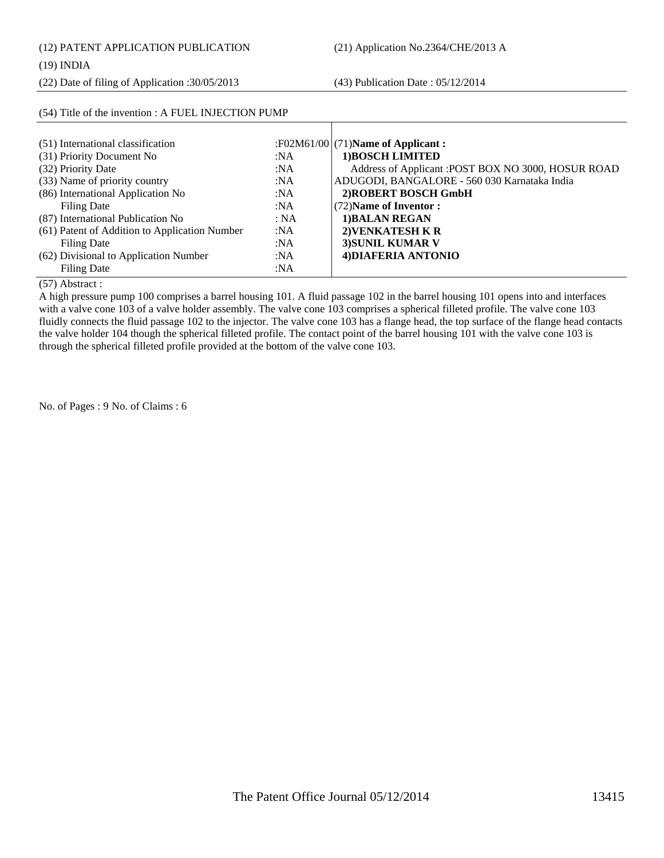## (19) INDIA

(22) Date of filing of Application :30/05/2013 (43) Publication Date : 05/12/2014

## (54) Title of the invention : A FUEL INJECTION PUMP

| (51) International classification             |      | :F02M61/00 $(71)$ Name of Applicant:                |
|-----------------------------------------------|------|-----------------------------------------------------|
| (31) Priority Document No                     | :NA  | 1) BOSCH LIMITED                                    |
| (32) Priority Date                            | :NA  | Address of Applicant : POST BOX NO 3000, HOSUR ROAD |
| (33) Name of priority country                 | :NA  | ADUGODI, BANGALORE - 560 030 Karnataka India        |
| (86) International Application No             | :NA  | 2) ROBERT BOSCH GmbH                                |
| Filing Date                                   | :NA  | (72) Name of Inventor:                              |
| (87) International Publication No             | : NA | 1) BALAN REGAN                                      |
| (61) Patent of Addition to Application Number | :NA  | 2) VENKATESH K R                                    |
| <b>Filing Date</b>                            | :NA  | 3) SUNIL KUMAR V                                    |
| (62) Divisional to Application Number         | :NA  | 4) DIAFERIA ANTONIO                                 |
| Filing Date                                   | :NA  |                                                     |

(57) Abstract :

A high pressure pump 100 comprises a barrel housing 101. A fluid passage 102 in the barrel housing 101 opens into and interfaces with a valve cone 103 of a valve holder assembly. The valve cone 103 comprises a spherical filleted profile. The valve cone 103 fluidly connects the fluid passage 102 to the injector. The valve cone 103 has a flange head, the top surface of the flange head contacts the valve holder 104 though the spherical filleted profile. The contact point of the barrel housing 101 with the valve cone 103 is through the spherical filleted profile provided at the bottom of the valve cone 103.

No. of Pages : 9 No. of Claims : 6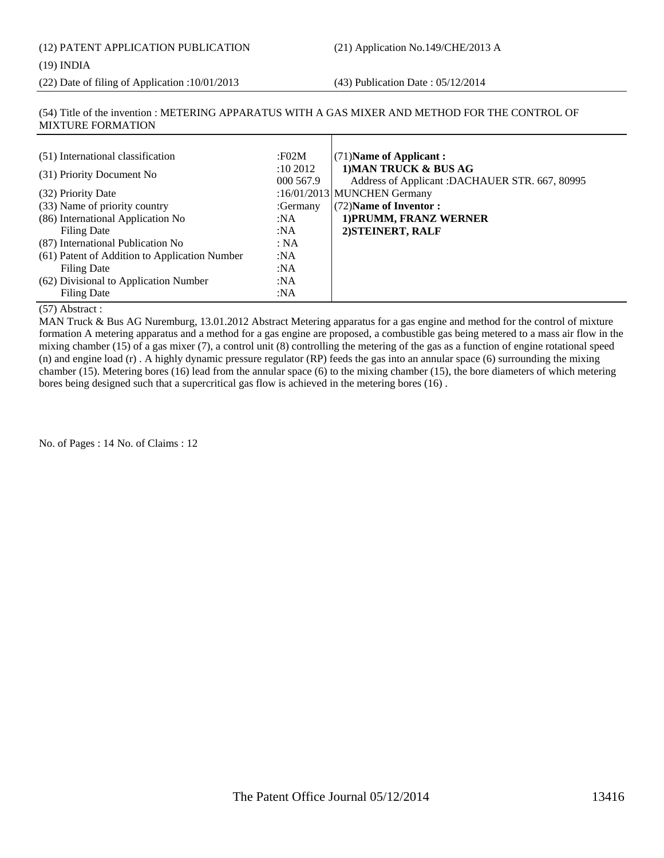(22) Date of filing of Application :10/01/2013 (43) Publication Date : 05/12/2014

## (54) Title of the invention : METERING APPARATUS WITH A GAS MIXER AND METHOD FOR THE CONTROL OF MIXTURE FORMATION

| (51) International classification             | :F02M                | $(71)$ Name of Applicant:                                               |
|-----------------------------------------------|----------------------|-------------------------------------------------------------------------|
| (31) Priority Document No                     | :102012<br>000 567.9 | 1) MAN TRUCK & BUS AG<br>Address of Applicant :DACHAUER STR. 667, 80995 |
| (32) Priority Date                            |                      | :16/01/2013 MUNCHEN Germany                                             |
| (33) Name of priority country                 | :Germany             | (72) Name of Inventor:                                                  |
| (86) International Application No             | :NA                  | 1) PRUMM, FRANZ WERNER                                                  |
| Filing Date                                   | :NA                  | 2) STEINERT, RALF                                                       |
| (87) International Publication No             | : NA                 |                                                                         |
| (61) Patent of Addition to Application Number | :NA                  |                                                                         |
| Filing Date                                   | :NA                  |                                                                         |
| (62) Divisional to Application Number         | :NA                  |                                                                         |
| Filing Date                                   | :NA                  |                                                                         |

 $\mathbf{I}$ 

## (57) Abstract :

MAN Truck & Bus AG Nuremburg, 13.01.2012 Abstract Metering apparatus for a gas engine and method for the control of mixture formation A metering apparatus and a method for a gas engine are proposed, a combustible gas being metered to a mass air flow in the mixing chamber (15) of a gas mixer (7), a control unit (8) controlling the metering of the gas as a function of engine rotational speed (n) and engine load (r) . A highly dynamic pressure regulator (RP) feeds the gas into an annular space (6) surrounding the mixing chamber (15). Metering bores (16) lead from the annular space (6) to the mixing chamber (15), the bore diameters of which metering bores being designed such that a supercritical gas flow is achieved in the metering bores (16) .

No. of Pages : 14 No. of Claims : 12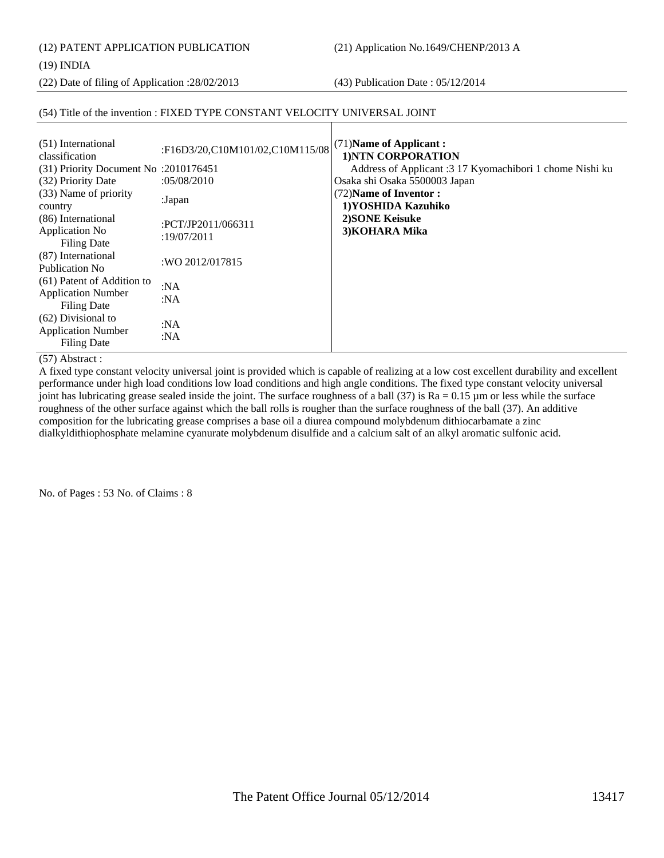(12) PATENT APPLICATION PUBLICATION (21) Application No.1649/CHENP/2013 A

(19) INDIA

(22) Date of filing of Application :28/02/2013 (43) Publication Date : 05/12/2014

## (54) Title of the invention : FIXED TYPE CONSTANT VELOCITY UNIVERSAL JOINT

| (51) International<br>classification<br>(31) Priority Document No: 2010176451<br>(32) Priority Date | :F16D3/20,C10M101/02,C10M115/08<br>:05/08/2010 | (71) Name of Applicant:<br>1) NTN CORPORATION<br>Address of Applicant :3 17 Kyomachibori 1 chome Nishi ku<br>Osaka shi Osaka 5500003 Japan |
|-----------------------------------------------------------------------------------------------------|------------------------------------------------|--------------------------------------------------------------------------------------------------------------------------------------------|
| (33) Name of priority<br>country                                                                    | :Japan                                         | (72) Name of Inventor:<br>1)YOSHIDA Kazuhiko                                                                                               |
| (86) International<br>Application No<br><b>Filing Date</b>                                          | :PCT/JP2011/066311<br>:19/07/2011              | 2) SONE Keisuke<br>3) KOHARA Mika                                                                                                          |
| (87) International<br>Publication No.                                                               | :WO 2012/017815                                |                                                                                                                                            |
| (61) Patent of Addition to<br><b>Application Number</b><br><b>Filing Date</b>                       | :NA<br>:NA                                     |                                                                                                                                            |
| $(62)$ Divisional to<br><b>Application Number</b><br><b>Filing Date</b>                             | :NA<br>:NA                                     |                                                                                                                                            |

## (57) Abstract :

A fixed type constant velocity universal joint is provided which is capable of realizing at a low cost excellent durability and excellent performance under high load conditions low load conditions and high angle conditions. The fixed type constant velocity universal joint has lubricating grease sealed inside the joint. The surface roughness of a ball  $(37)$  is Ra = 0.15  $\mu$ m or less while the surface roughness of the other surface against which the ball rolls is rougher than the surface roughness of the ball (37). An additive composition for the lubricating grease comprises a base oil a diurea compound molybdenum dithiocarbamate a zinc dialkyldithiophosphate melamine cyanurate molybdenum disulfide and a calcium salt of an alkyl aromatic sulfonic acid.

No. of Pages : 53 No. of Claims : 8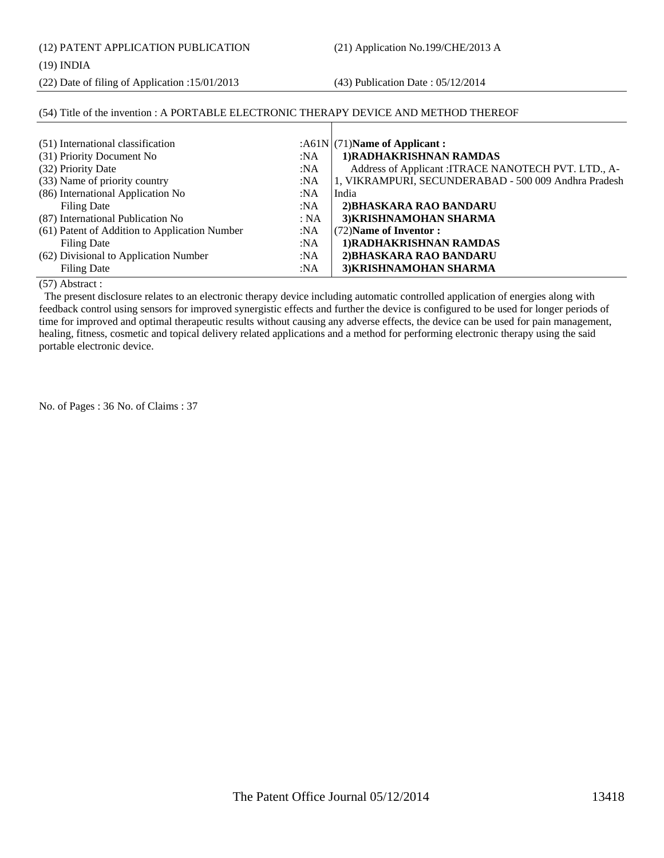(12) PATENT APPLICATION PUBLICATION (21) Application No.199/CHE/2013 A

## (19) INDIA

(22) Date of filing of Application :15/01/2013 (43) Publication Date : 05/12/2014

## (54) Title of the invention : A PORTABLE ELECTRONIC THERAPY DEVICE AND METHOD THEREOF

| (51) International classification             |      | : $A61N(71)$ Name of Applicant:                      |
|-----------------------------------------------|------|------------------------------------------------------|
| (31) Priority Document No                     | :NA  | 1) RADHAKRISHNAN RAMDAS                              |
| (32) Priority Date                            | :NA  | Address of Applicant : ITRACE NANOTECH PVT. LTD., A- |
| (33) Name of priority country                 | :NA  | 1, VIKRAMPURI, SECUNDERABAD - 500 009 Andhra Pradesh |
| (86) International Application No             | :NA  | India                                                |
| <b>Filing Date</b>                            | :NA  | 2) BHASKARA RAO BANDARU                              |
| (87) International Publication No             | : NA | 3) KRISHNAMOHAN SHARMA                               |
| (61) Patent of Addition to Application Number | :NA  | (72) Name of Inventor:                               |
| Filing Date                                   | :NA  | 1) RADHAKRISHNAN RAMDAS                              |
| (62) Divisional to Application Number         | :NA  | 2) BHASKARA RAO BANDARU                              |
| Filing Date                                   | :NA  | 3) KRISHNAMOHAN SHARMA                               |

(57) Abstract :

 The present disclosure relates to an electronic therapy device including automatic controlled application of energies along with feedback control using sensors for improved synergistic effects and further the device is configured to be used for longer periods of time for improved and optimal therapeutic results without causing any adverse effects, the device can be used for pain management, healing, fitness, cosmetic and topical delivery related applications and a method for performing electronic therapy using the said portable electronic device.

No. of Pages : 36 No. of Claims : 37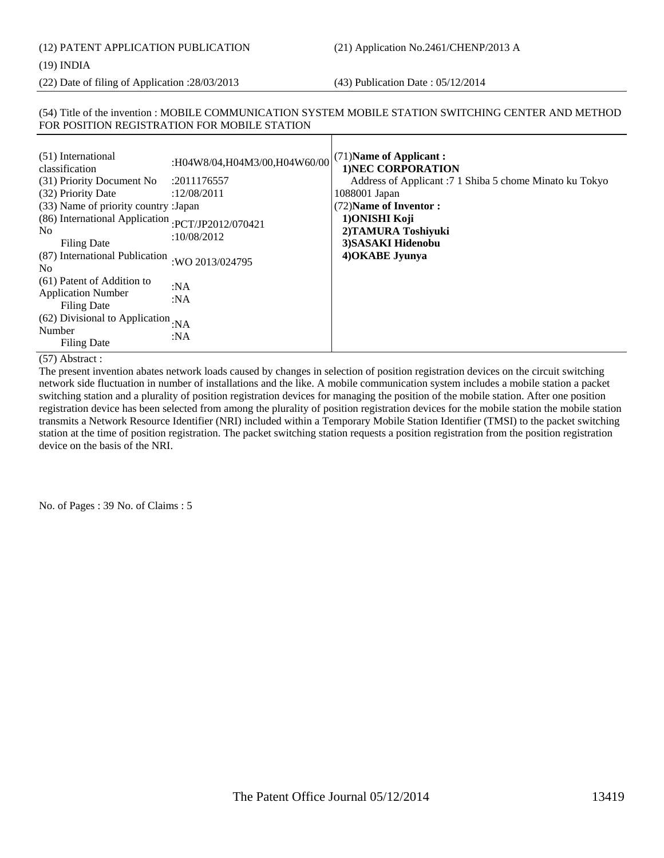# (12) PATENT APPLICATION PUBLICATION (21) Application No.2461/CHENP/2013 A

## (19) INDIA

(22) Date of filing of Application :28/03/2013 (43) Publication Date : 05/12/2014

## (54) Title of the invention : MOBILE COMMUNICATION SYSTEM MOBILE STATION SWITCHING CENTER AND METHOD FOR POSITION REGISTRATION FOR MOBILE STATION

| (51) International<br>classification<br>(31) Priority Document No<br>(32) Priority Date<br>(33) Name of priority country : Japan<br>(86) International Application<br>N <sub>0</sub><br><b>Filing Date</b><br>(87) International Publication | :H04W8/04,H04M3/00,H04W60/00<br>:2011176557<br>:12/08/2011<br>:PCT/JP2012/070421<br>:10/08/2012<br>:WO 2013/024795 | $(71)$ Name of Applicant:<br><b>1)NEC CORPORATION</b><br>Address of Applicant: 7 1 Shiba 5 chome Minato ku Tokyo<br>1088001 Japan<br>(72) Name of Inventor:<br>1) ONISHI Koji<br>2) TAMURA Toshiyuki<br>3) SASAKI Hidenobu<br>4) OKABE Jyunya |
|----------------------------------------------------------------------------------------------------------------------------------------------------------------------------------------------------------------------------------------------|--------------------------------------------------------------------------------------------------------------------|-----------------------------------------------------------------------------------------------------------------------------------------------------------------------------------------------------------------------------------------------|
| N <sub>0</sub><br>(61) Patent of Addition to<br><b>Application Number</b><br>Filing Date<br>(62) Divisional to Application : NA<br>Number<br><b>Filing Date</b>                                                                              | :NA<br>:NA<br>:NA                                                                                                  |                                                                                                                                                                                                                                               |

## (57) Abstract :

The present invention abates network loads caused by changes in selection of position registration devices on the circuit switching network side fluctuation in number of installations and the like. A mobile communication system includes a mobile station a packet switching station and a plurality of position registration devices for managing the position of the mobile station. After one position registration device has been selected from among the plurality of position registration devices for the mobile station the mobile station transmits a Network Resource Identifier (NRI) included within a Temporary Mobile Station Identifier (TMSI) to the packet switching station at the time of position registration. The packet switching station requests a position registration from the position registration device on the basis of the NRI.

No. of Pages : 39 No. of Claims : 5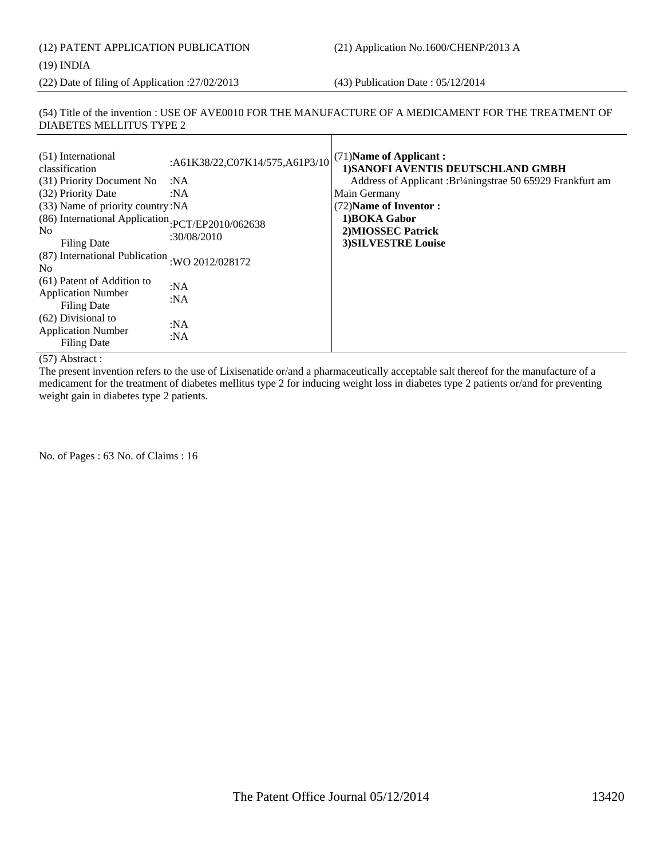## (12) PATENT APPLICATION PUBLICATION (21) Application No.1600/CHENP/2013 A (19) INDIA

(22) Date of filing of Application :27/02/2013 (43) Publication Date : 05/12/2014

## (54) Title of the invention : USE OF AVE0010 FOR THE MANUFACTURE OF A MEDICAMENT FOR THE TREATMENT OF DIABETES MELLITUS TYPE 2

| (51) International<br>classification                                                                                   | :A61K38/22,C07K14/575,A61P3/10 | $(71)$ Name of Applicant:<br>1) SANOFI AVENTIS DEUTSCHLAND GMBH                             |
|------------------------------------------------------------------------------------------------------------------------|--------------------------------|---------------------------------------------------------------------------------------------|
| (31) Priority Document No                                                                                              | :NA                            | Address of Applicant :Br <sup>1</sup> /4ningstrae 50 65929 Frankfurt am                     |
| (32) Priority Date                                                                                                     | :NA                            | <b>Main Germany</b>                                                                         |
| (33) Name of priority country: NA<br>(86) International Application PCT/EP2010/062638<br>N <sub>0</sub><br>Filing Date | :30/08/2010                    | (72) Name of Inventor:<br>1) BOKA Gabor<br>2) MIOSSEC Patrick<br><b>3) SILVESTRE Louise</b> |
| (87) International Publication<br>N <sub>0</sub>                                                                       | :WO 2012/028172                |                                                                                             |
| (61) Patent of Addition to<br><b>Application Number</b><br>Filing Date                                                 | :NA<br>:NA                     |                                                                                             |
| (62) Divisional to<br><b>Application Number</b><br><b>Filing Date</b>                                                  | :NA<br>:NA                     |                                                                                             |

## (57) Abstract :

The present invention refers to the use of Lixisenatide or/and a pharmaceutically acceptable salt thereof for the manufacture of a medicament for the treatment of diabetes mellitus type 2 for inducing weight loss in diabetes type 2 patients or/and for preventing weight gain in diabetes type 2 patients.

No. of Pages : 63 No. of Claims : 16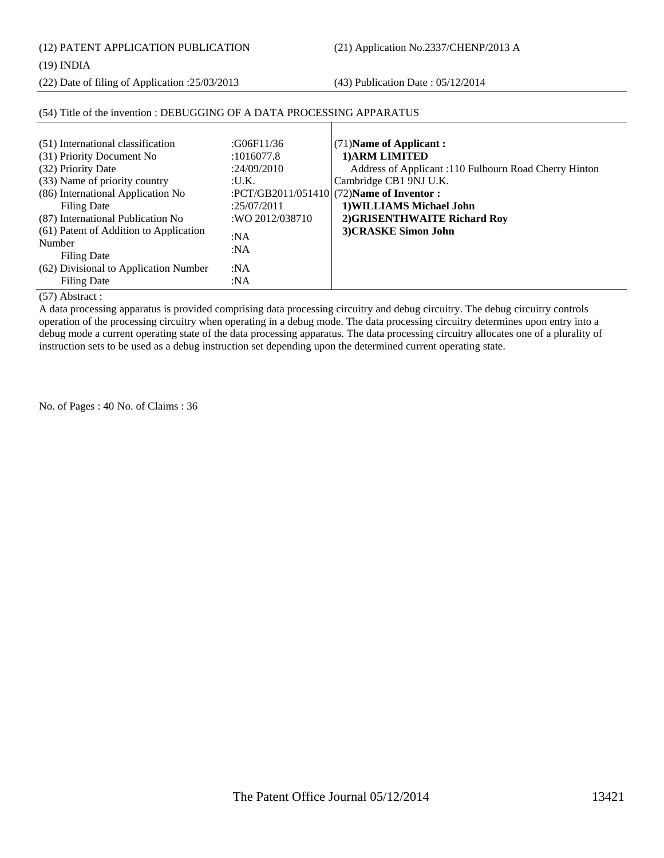(12) PATENT APPLICATION PUBLICATION (21) Application No.2337/CHENP/2013 A

(19) INDIA

(22) Date of filing of Application :25/03/2013 (43) Publication Date : 05/12/2014

| (51) International classification<br>(31) Priority Document No<br>(32) Priority Date<br>(33) Name of priority country<br>(86) International Application No<br>Filing Date<br>(87) International Publication No<br>(61) Patent of Addition to Application<br>Number | :G06F11/36<br>:1016077.8<br>:24/09/2010<br>: <b>U.K.</b><br>:25/07/2011<br>:WO 2012/038710<br>:NA | $(71)$ Name of Applicant:<br>1) ARM LIMITED<br>Address of Applicant :110 Fulbourn Road Cherry Hinton<br>Cambridge CB1 9NJ U.K.<br>:PCT/GB2011/051410 $(72)$ Name of Inventor :<br>1) WILLIAMS Michael John<br>2) GRISENTHWAITE Richard Roy<br>3) CRASKE Simon John |
|--------------------------------------------------------------------------------------------------------------------------------------------------------------------------------------------------------------------------------------------------------------------|---------------------------------------------------------------------------------------------------|--------------------------------------------------------------------------------------------------------------------------------------------------------------------------------------------------------------------------------------------------------------------|
| Filing Date                                                                                                                                                                                                                                                        | :NA                                                                                               |                                                                                                                                                                                                                                                                    |
| (62) Divisional to Application Number<br><b>Filing Date</b>                                                                                                                                                                                                        | :NA<br>:NA                                                                                        |                                                                                                                                                                                                                                                                    |

## (54) Title of the invention : DEBUGGING OF A DATA PROCESSING APPARATUS

(57) Abstract :

A data processing apparatus is provided comprising data processing circuitry and debug circuitry. The debug circuitry controls operation of the processing circuitry when operating in a debug mode. The data processing circuitry determines upon entry into a debug mode a current operating state of the data processing apparatus. The data processing circuitry allocates one of a plurality of instruction sets to be used as a debug instruction set depending upon the determined current operating state.

No. of Pages : 40 No. of Claims : 36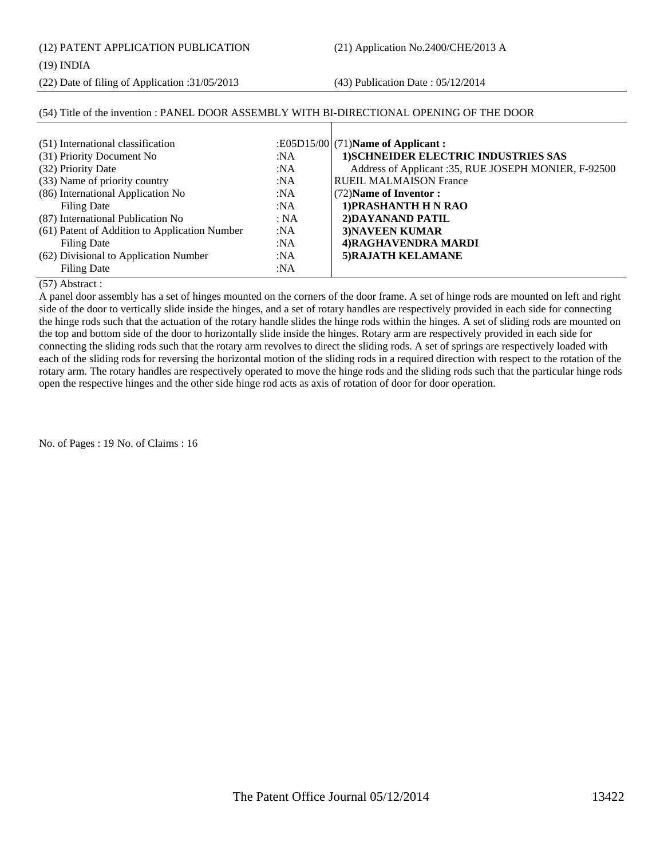(12) PATENT APPLICATION PUBLICATION (21) Application No.2400/CHE/2013 A

## (19) INDIA

(22) Date of filing of Application :31/05/2013 (43) Publication Date : 05/12/2014

## (54) Title of the invention : PANEL DOOR ASSEMBLY WITH BI-DIRECTIONAL OPENING OF THE DOOR

| (51) International classification                    | :E05D15/00 $(71)$ Name of Applicant :                |
|------------------------------------------------------|------------------------------------------------------|
| (31) Priority Document No<br>:NA                     | 1) SCHNEIDER ELECTRIC INDUSTRIES SAS                 |
| (32) Priority Date<br>:NA                            | Address of Applicant :35, RUE JOSEPH MONIER, F-92500 |
| (33) Name of priority country<br>:NA                 | <b>RUEIL MALMAISON France</b>                        |
| (86) International Application No<br>:NA             | (72) Name of Inventor:                               |
| Filing Date<br>:NA                                   | 1) PRASHANTH H N RAO                                 |
| (87) International Publication No<br>: NA            | 2) DAYANAND PATIL                                    |
| (61) Patent of Addition to Application Number<br>:NA | <b>3) NAVEEN KUMAR</b>                               |
| Filing Date<br>:NA                                   | 4) RAGHAVENDRA MARDI                                 |
| (62) Divisional to Application Number<br>:NA         | <b>5) RAJATH KELAMANE</b>                            |
| Filing Date<br>:NA                                   |                                                      |

## (57) Abstract :

A panel door assembly has a set of hinges mounted on the corners of the door frame. A set of hinge rods are mounted on left and right side of the door to vertically slide inside the hinges, and a set of rotary handles are respectively provided in each side for connecting the hinge rods such that the actuation of the rotary handle slides the hinge rods within the hinges. A set of sliding rods are mounted on the top and bottom side of the door to horizontally slide inside the hinges. Rotary arm are respectively provided in each side for connecting the sliding rods such that the rotary arm revolves to direct the sliding rods. A set of springs are respectively loaded with each of the sliding rods for reversing the horizontal motion of the sliding rods in a required direction with respect to the rotation of the rotary arm. The rotary handles are respectively operated to move the hinge rods and the sliding rods such that the particular hinge rods open the respective hinges and the other side hinge rod acts as axis of rotation of door for door operation.

No. of Pages : 19 No. of Claims : 16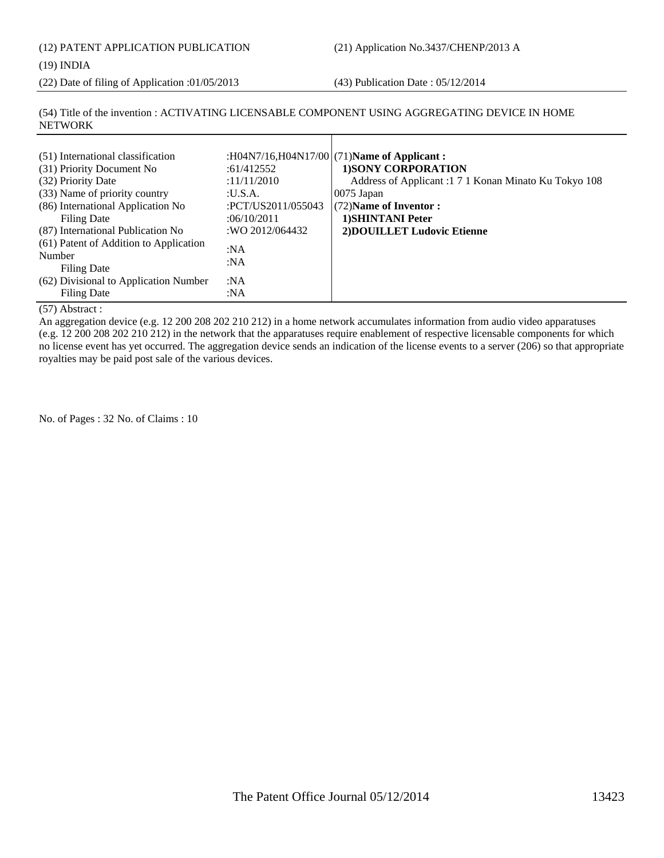(12) PATENT APPLICATION PUBLICATION (21) Application No.3437/CHENP/2013 A

(19) INDIA

(22) Date of filing of Application :01/05/2013 (43) Publication Date : 05/12/2014

(54) Title of the invention : ACTIVATING LICENSABLE COMPONENT USING AGGREGATING DEVICE IN HOME NETWORK

| (51) International classification<br>(31) Priority Document No<br>(32) Priority Date<br>(33) Name of priority country<br>(86) International Application No<br><b>Filing Date</b><br>(87) International Publication No<br>(61) Patent of Addition to Application<br>Number<br>Filing Date<br>(62) Divisional to Application Number | :61/412552<br>:11/11/2010<br>:U.S.A.<br>:PCT/US2011/055043<br>:06/10/2011<br>:WO 2012/064432<br>:NA<br>: $NA$<br>:NA | :H04N7/16,H04N17/00 $ (71)$ Name of Applicant:<br><b>1)SONY CORPORATION</b><br>Address of Applicant :1 7 1 Konan Minato Ku Tokyo 108<br>$0075$ Japan<br>(72) Name of Inventor:<br>1) SHINTANI Peter<br>2) DOUILLET Ludovic Etienne |
|-----------------------------------------------------------------------------------------------------------------------------------------------------------------------------------------------------------------------------------------------------------------------------------------------------------------------------------|----------------------------------------------------------------------------------------------------------------------|------------------------------------------------------------------------------------------------------------------------------------------------------------------------------------------------------------------------------------|
| Filing Date                                                                                                                                                                                                                                                                                                                       | : $NA$                                                                                                               |                                                                                                                                                                                                                                    |

(57) Abstract :

An aggregation device (e.g. 12 200 208 202 210 212) in a home network accumulates information from audio video apparatuses (e.g. 12 200 208 202 210 212) in the network that the apparatuses require enablement of respective licensable components for which no license event has yet occurred. The aggregation device sends an indication of the license events to a server (206) so that appropriate royalties may be paid post sale of the various devices.

No. of Pages : 32 No. of Claims : 10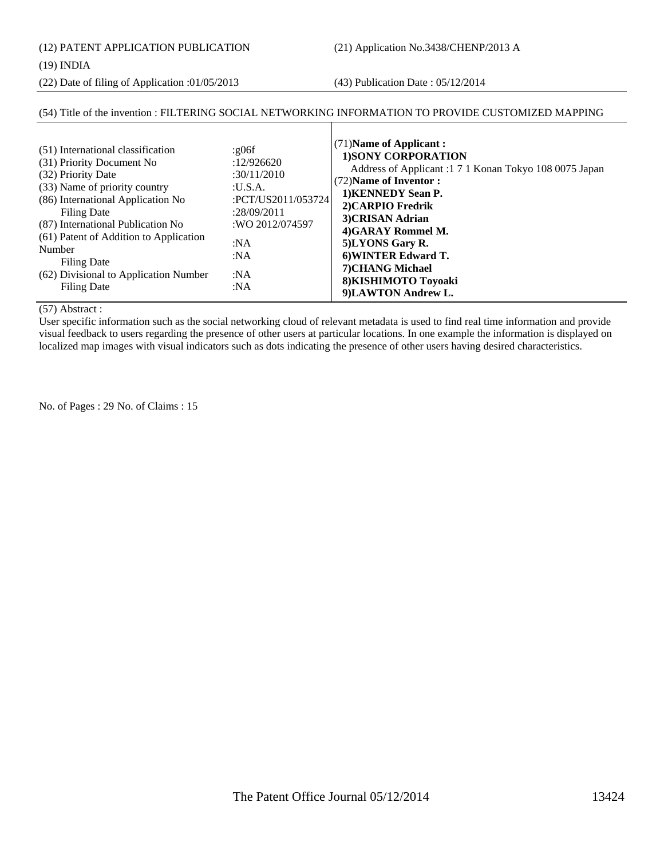(12) PATENT APPLICATION PUBLICATION (21) Application No.3438/CHENP/2013 A

(19) INDIA

(22) Date of filing of Application :01/05/2013 (43) Publication Date : 05/12/2014

## (54) Title of the invention : FILTERING SOCIAL NETWORKING INFORMATION TO PROVIDE CUSTOMIZED MAPPING

| (51) International classification<br>(31) Priority Document No<br>(32) Priority Date<br>(33) Name of priority country<br>(86) International Application No<br>Filing Date<br>(87) International Publication No<br>(61) Patent of Addition to Application<br>Number<br>Filing Date<br>(62) Divisional to Application Number<br>Filing Date | :g06f<br>:12/926620<br>:30/11/2010<br>:U.S.A.<br>:PCT/US2011/053724<br>:28/09/2011<br>:WO 2012/074597<br>:NA<br>:NA<br>:NA<br>:NA | $(71)$ Name of Applicant:<br><b>1)SONY CORPORATION</b><br>Address of Applicant :1 7 1 Konan Tokyo 108 0075 Japan<br>(72) Name of Inventor:<br>1) KENNEDY Sean P.<br>2) CARPIO Fredrik<br>3) CRISAN Adrian<br>4)GARAY Rommel M.<br>5)LYONS Gary R.<br>6) WINTER Edward T.<br>7) CHANG Michael<br>8) KISHIMOTO Toyoaki<br>9)LAWTON Andrew L. |
|-------------------------------------------------------------------------------------------------------------------------------------------------------------------------------------------------------------------------------------------------------------------------------------------------------------------------------------------|-----------------------------------------------------------------------------------------------------------------------------------|--------------------------------------------------------------------------------------------------------------------------------------------------------------------------------------------------------------------------------------------------------------------------------------------------------------------------------------------|
|-------------------------------------------------------------------------------------------------------------------------------------------------------------------------------------------------------------------------------------------------------------------------------------------------------------------------------------------|-----------------------------------------------------------------------------------------------------------------------------------|--------------------------------------------------------------------------------------------------------------------------------------------------------------------------------------------------------------------------------------------------------------------------------------------------------------------------------------------|

(57) Abstract :

User specific information such as the social networking cloud of relevant metadata is used to find real time information and provide visual feedback to users regarding the presence of other users at particular locations. In one example the information is displayed on localized map images with visual indicators such as dots indicating the presence of other users having desired characteristics.

No. of Pages : 29 No. of Claims : 15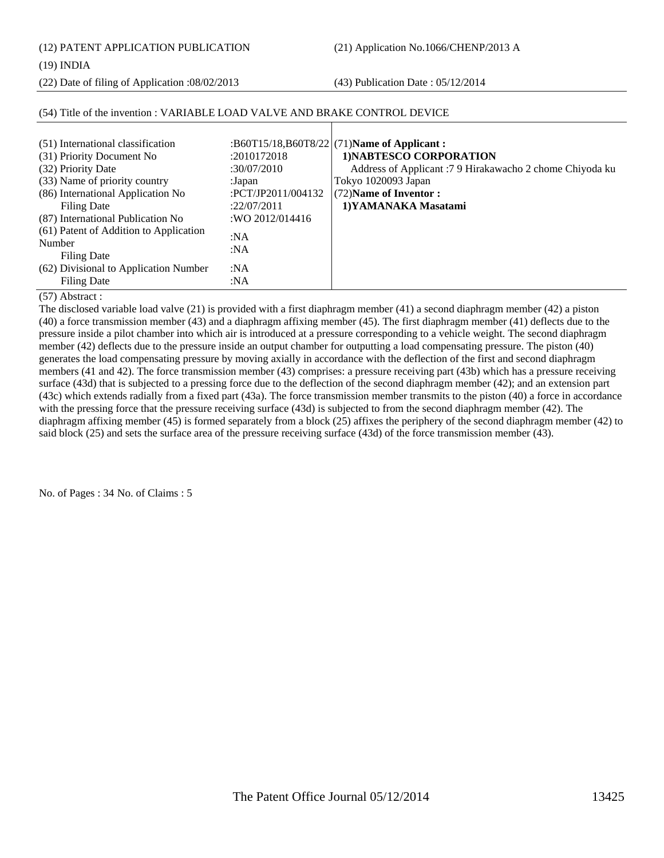(12) PATENT APPLICATION PUBLICATION (21) Application No.1066/CHENP/2013 A

(19) INDIA

(22) Date of filing of Application :08/02/2013 (43) Publication Date : 05/12/2014

| (51) International classification<br>(31) Priority Document No<br>(32) Priority Date<br>(33) Name of priority country<br>(86) International Application No<br><b>Filing Date</b><br>(87) International Publication No<br>(61) Patent of Addition to Application<br>Number<br>Filing Date | :2010172018<br>:30/07/2010<br>:Japan<br>PCT/IP2011/004132<br>:22/07/2011<br>:WO 2012/014416<br>:NA<br>:NA | :B60T15/18,B60T8/22 $(71)$ Name of Applicant:<br>1) NABTESCO CORPORATION<br>Address of Applicant: 79 Hirakawacho 2 chome Chiyoda ku<br>Tokyo 1020093 Japan<br>(72) Name of Inventor:<br>1) YAMANAKA Masatami |
|------------------------------------------------------------------------------------------------------------------------------------------------------------------------------------------------------------------------------------------------------------------------------------------|-----------------------------------------------------------------------------------------------------------|--------------------------------------------------------------------------------------------------------------------------------------------------------------------------------------------------------------|
| (62) Divisional to Application Number<br>Filing Date                                                                                                                                                                                                                                     | :NA<br>: $NA$                                                                                             |                                                                                                                                                                                                              |

## (54) Title of the invention : VARIABLE LOAD VALVE AND BRAKE CONTROL DEVICE

(57) Abstract :

The disclosed variable load valve (21) is provided with a first diaphragm member (41) a second diaphragm member (42) a piston (40) a force transmission member (43) and a diaphragm affixing member (45). The first diaphragm member (41) deflects due to the pressure inside a pilot chamber into which air is introduced at a pressure corresponding to a vehicle weight. The second diaphragm member (42) deflects due to the pressure inside an output chamber for outputting a load compensating pressure. The piston (40) generates the load compensating pressure by moving axially in accordance with the deflection of the first and second diaphragm members (41 and 42). The force transmission member (43) comprises: a pressure receiving part (43b) which has a pressure receiving surface (43d) that is subjected to a pressing force due to the deflection of the second diaphragm member (42); and an extension part (43c) which extends radially from a fixed part (43a). The force transmission member transmits to the piston (40) a force in accordance with the pressing force that the pressure receiving surface (43d) is subjected to from the second diaphragm member (42). The diaphragm affixing member (45) is formed separately from a block (25) affixes the periphery of the second diaphragm member (42) to said block (25) and sets the surface area of the pressure receiving surface (43d) of the force transmission member (43).

No. of Pages : 34 No. of Claims : 5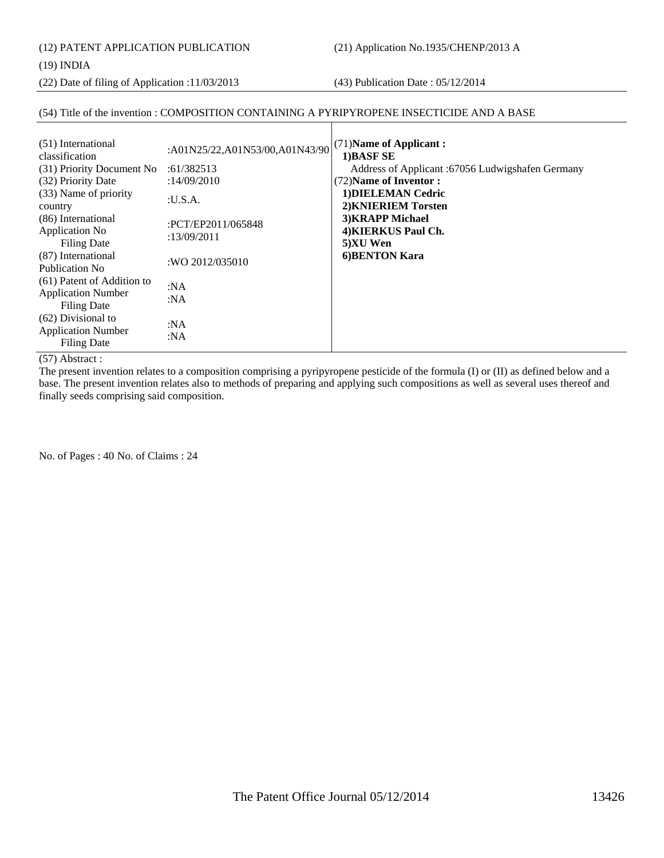(12) PATENT APPLICATION PUBLICATION (21) Application No.1935/CHENP/2013 A

(22) Date of filing of Application :11/03/2013 (43) Publication Date : 05/12/2014

## (54) Title of the invention : COMPOSITION CONTAINING A PYRIPYROPENE INSECTICIDE AND A BASE

| (51) International<br>classification                                          | :A01N25/22,A01N53/00,A01N43/90    | (71) Name of Applicant:<br>1) BASF SE               |
|-------------------------------------------------------------------------------|-----------------------------------|-----------------------------------------------------|
| (31) Priority Document No                                                     | :61/382513                        | Address of Applicant :67056 Ludwigshafen Germany    |
| (32) Priority Date                                                            | :14/09/2010                       | (72) Name of Inventor:                              |
| (33) Name of priority<br>country                                              | :U.S.A.                           | 1) DIELEMAN Cedric<br>2) KNIERIEM Torsten           |
| (86) International<br>Application No<br><b>Filing Date</b>                    | :PCT/EP2011/065848<br>:13/09/2011 | 3) KRAPP Michael<br>4) KIERKUS Paul Ch.<br>5)XU Wen |
| (87) International<br>Publication No.                                         | :WO 2012/035010                   | <b>6)BENTON Kara</b>                                |
| (61) Patent of Addition to<br><b>Application Number</b><br><b>Filing Date</b> | :NA<br>:NA                        |                                                     |
| $(62)$ Divisional to<br><b>Application Number</b><br><b>Filing Date</b>       | :NA<br>:NA                        |                                                     |

(57) Abstract :

The present invention relates to a composition comprising a pyripyropene pesticide of the formula (I) or (II) as defined below and a base. The present invention relates also to methods of preparing and applying such compositions as well as several uses thereof and finally seeds comprising said composition.

No. of Pages : 40 No. of Claims : 24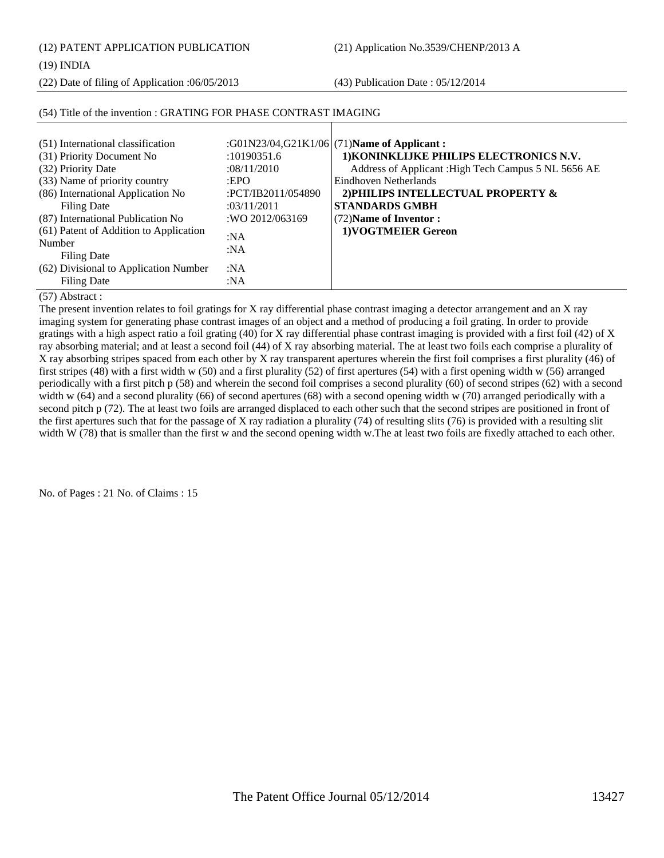(12) PATENT APPLICATION PUBLICATION (21) Application No.3539/CHENP/2013 A

(19) INDIA

(22) Date of filing of Application :06/05/2013 (43) Publication Date : 05/12/2014

| (51) International classification<br>(31) Priority Document No<br>(32) Priority Date<br>(33) Name of priority country<br>(86) International Application No<br>Filing Date<br>(87) International Publication No | :10190351.6<br>:08/11/2010<br>EPO<br>:PCT/IB2011/054890<br>:03/11/2011<br>:WO 2012/063169 | :G01N23/04,G21K1/06 (71) Name of Applicant:<br>1) KONINKLIJKE PHILIPS ELECTRONICS N.V.<br>Address of Applicant : High Tech Campus 5 NL 5656 AE<br>Eindhoven Netherlands<br>2) PHILIPS INTELLECTUAL PROPERTY &<br><b>STANDARDS GMBH</b><br>(72) Name of Inventor: |
|----------------------------------------------------------------------------------------------------------------------------------------------------------------------------------------------------------------|-------------------------------------------------------------------------------------------|------------------------------------------------------------------------------------------------------------------------------------------------------------------------------------------------------------------------------------------------------------------|
|                                                                                                                                                                                                                |                                                                                           |                                                                                                                                                                                                                                                                  |
|                                                                                                                                                                                                                |                                                                                           |                                                                                                                                                                                                                                                                  |
|                                                                                                                                                                                                                |                                                                                           |                                                                                                                                                                                                                                                                  |
| (61) Patent of Addition to Application                                                                                                                                                                         | :NA                                                                                       | 1) VOGTMEIER Gereon                                                                                                                                                                                                                                              |
| Number                                                                                                                                                                                                         | :NA                                                                                       |                                                                                                                                                                                                                                                                  |
| Filing Date                                                                                                                                                                                                    |                                                                                           |                                                                                                                                                                                                                                                                  |
| (62) Divisional to Application Number                                                                                                                                                                          | :NA                                                                                       |                                                                                                                                                                                                                                                                  |
| Filing Date                                                                                                                                                                                                    | :NA                                                                                       |                                                                                                                                                                                                                                                                  |

## (54) Title of the invention : GRATING FOR PHASE CONTRAST IMAGING

(57) Abstract :

The present invention relates to foil gratings for X ray differential phase contrast imaging a detector arrangement and an X ray imaging system for generating phase contrast images of an object and a method of producing a foil grating. In order to provide gratings with a high aspect ratio a foil grating (40) for X ray differential phase contrast imaging is provided with a first foil (42) of X ray absorbing material; and at least a second foil (44) of X ray absorbing material. The at least two foils each comprise a plurality of X ray absorbing stripes spaced from each other by X ray transparent apertures wherein the first foil comprises a first plurality (46) of first stripes (48) with a first width w (50) and a first plurality (52) of first apertures (54) with a first opening width w (56) arranged periodically with a first pitch p (58) and wherein the second foil comprises a second plurality (60) of second stripes (62) with a second width w (64) and a second plurality (66) of second apertures (68) with a second opening width w (70) arranged periodically with a second pitch p (72). The at least two foils are arranged displaced to each other such that the second stripes are positioned in front of the first apertures such that for the passage of X ray radiation a plurality (74) of resulting slits (76) is provided with a resulting slit width W (78) that is smaller than the first w and the second opening width w.The at least two foils are fixedly attached to each other.

No. of Pages : 21 No. of Claims : 15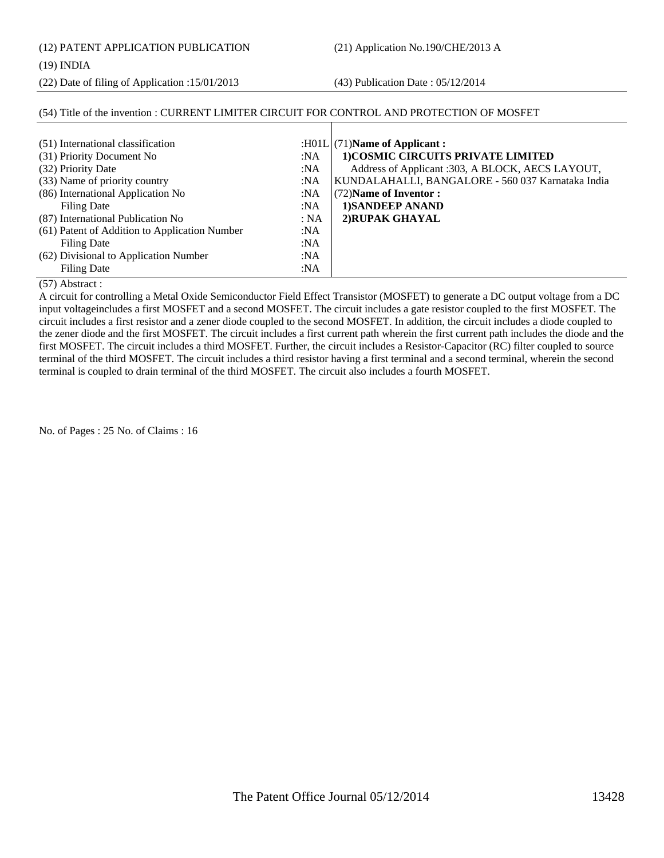(12) PATENT APPLICATION PUBLICATION (21) Application No.190/CHE/2013 A

## (19) INDIA

(22) Date of filing of Application :15/01/2013 (43) Publication Date : 05/12/2014

| (54) Title of the invention: CURRENT LIMITER CIRCUIT FOR CONTROL AND PROTECTION OF MOSFET |        |                                                   |  |
|-------------------------------------------------------------------------------------------|--------|---------------------------------------------------|--|
|                                                                                           |        |                                                   |  |
| (51) International classification                                                         |        | : $H01L$ (71) Name of Applicant:                  |  |
| (31) Priority Document No                                                                 | :NA    | 1) COSMIC CIRCUITS PRIVATE LIMITED                |  |
| (32) Priority Date                                                                        | :NA    | Address of Applicant :303, A BLOCK, AECS LAYOUT,  |  |
| (33) Name of priority country                                                             | :NA    | KUNDALAHALLI, BANGALORE - 560 037 Karnataka India |  |
| (86) International Application No                                                         | :NA    | (72) Name of Inventor:                            |  |
| <b>Filing Date</b>                                                                        | : $NA$ | 1) SANDEEP ANAND                                  |  |
| (87) International Publication No                                                         | : NA   | 2) RUPAK GHAYAL                                   |  |
| (61) Patent of Addition to Application Number                                             | :NA    |                                                   |  |
| Filing Date                                                                               | :NA    |                                                   |  |
| (62) Divisional to Application Number                                                     | :NA    |                                                   |  |
| Filing Date                                                                               | :NA    |                                                   |  |

(57) Abstract :

A circuit for controlling a Metal Oxide Semiconductor Field Effect Transistor (MOSFET) to generate a DC output voltage from a DC input voltageincludes a first MOSFET and a second MOSFET. The circuit includes a gate resistor coupled to the first MOSFET. The circuit includes a first resistor and a zener diode coupled to the second MOSFET. In addition, the circuit includes a diode coupled to the zener diode and the first MOSFET. The circuit includes a first current path wherein the first current path includes the diode and the first MOSFET. The circuit includes a third MOSFET. Further, the circuit includes a Resistor-Capacitor (RC) filter coupled to source terminal of the third MOSFET. The circuit includes a third resistor having a first terminal and a second terminal, wherein the second terminal is coupled to drain terminal of the third MOSFET. The circuit also includes a fourth MOSFET.

No. of Pages : 25 No. of Claims : 16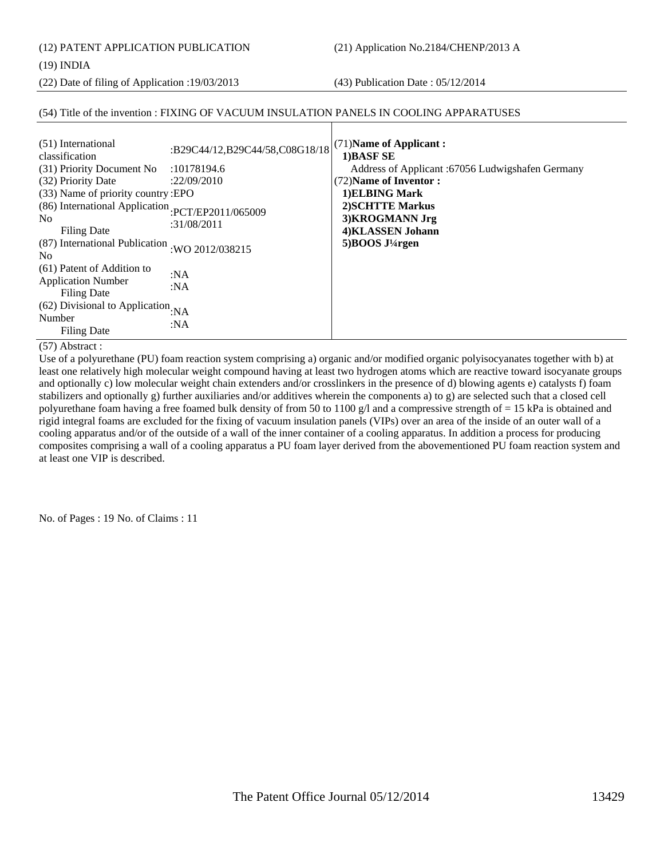(12) PATENT APPLICATION PUBLICATION (21) Application No.2184/CHENP/2013 A

## (19) INDIA

(22) Date of filing of Application :19/03/2013 (43) Publication Date : 05/12/2014

## (54) Title of the invention : FIXING OF VACUUM INSULATION PANELS IN COOLING APPARATUSES

| (51) International<br>classification<br>(31) Priority Document No<br>(32) Priority Date<br>(33) Name of priority country: EPO<br>(86) International Application PCT/EP2011/065009<br>N <sub>0</sub><br><b>Filing Date</b><br>(87) International Publication : WO 2012/038215<br>N <sub>0</sub><br>(61) Patent of Addition to<br><b>Application Number</b><br>Filing Date<br>(62) Divisional to Application: $NA$<br>Number | :B29C44/12,B29C44/58,C08G18/18<br>:10178194.6<br>:22/09/2010<br>:31/08/2011<br>:NA<br>:NA | (71) Name of Applicant:<br>1) BASF SE<br>Address of Applicant: 67056 Ludwigshafen Germany<br>(72) Name of Inventor:<br>1) ELBING Mark<br>2) SCHTTE Markus<br>3) KROGMANN Jrg<br>4) KLASSEN Johann<br>$5)$ BOOS J¼rgen |
|----------------------------------------------------------------------------------------------------------------------------------------------------------------------------------------------------------------------------------------------------------------------------------------------------------------------------------------------------------------------------------------------------------------------------|-------------------------------------------------------------------------------------------|-----------------------------------------------------------------------------------------------------------------------------------------------------------------------------------------------------------------------|
| <b>Filing Date</b>                                                                                                                                                                                                                                                                                                                                                                                                         | :NA                                                                                       |                                                                                                                                                                                                                       |

(57) Abstract :

Use of a polyurethane (PU) foam reaction system comprising a) organic and/or modified organic polyisocyanates together with b) at least one relatively high molecular weight compound having at least two hydrogen atoms which are reactive toward isocyanate groups and optionally c) low molecular weight chain extenders and/or crosslinkers in the presence of d) blowing agents e) catalysts f) foam stabilizers and optionally g) further auxiliaries and/or additives wherein the components a) to g) are selected such that a closed cell polyurethane foam having a free foamed bulk density of from 50 to 1100 g/l and a compressive strength of  $= 15$  kPa is obtained and rigid integral foams are excluded for the fixing of vacuum insulation panels (VIPs) over an area of the inside of an outer wall of a cooling apparatus and/or of the outside of a wall of the inner container of a cooling apparatus. In addition a process for producing composites comprising a wall of a cooling apparatus a PU foam layer derived from the abovementioned PU foam reaction system and at least one VIP is described.

No. of Pages : 19 No. of Claims : 11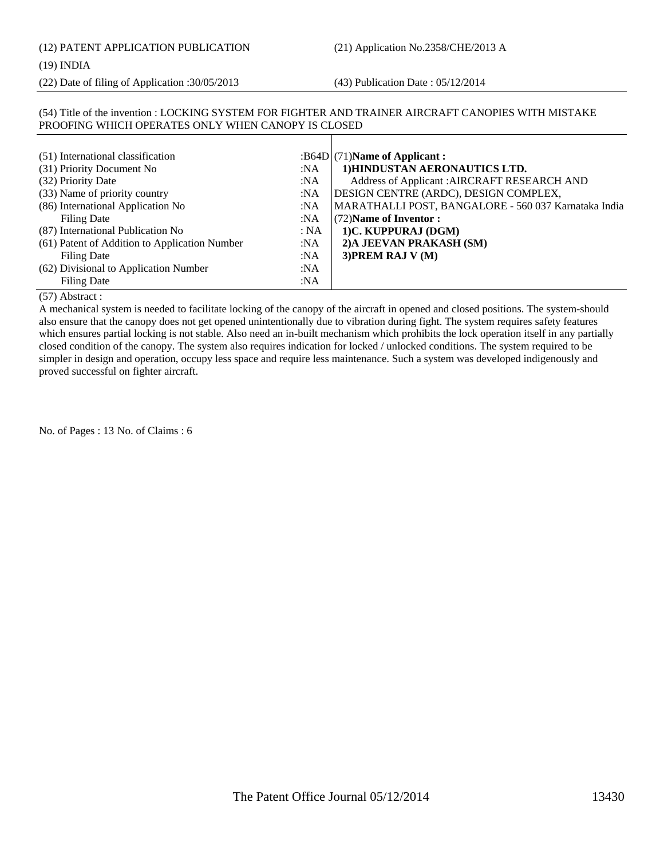## (12) PATENT APPLICATION PUBLICATION (21) Application No.2358/CHE/2013 A

## (19) INDIA

(22) Date of filing of Application :30/05/2013 (43) Publication Date : 05/12/2014

## (54) Title of the invention : LOCKING SYSTEM FOR FIGHTER AND TRAINER AIRCRAFT CANOPIES WITH MISTAKE PROOFING WHICH OPERATES ONLY WHEN CANOPY IS CLOSED

| (51) International classification             |      | :B64D $ (71)$ Name of Applicant:                     |
|-----------------------------------------------|------|------------------------------------------------------|
| (31) Priority Document No                     | :NA  | 1) HINDUSTAN AERONAUTICS LTD.                        |
| (32) Priority Date                            | :NA  | Address of Applicant : AIRCRAFT RESEARCH AND         |
| (33) Name of priority country                 | :NA  | DESIGN CENTRE (ARDC), DESIGN COMPLEX,                |
| (86) International Application No             | :NA  | MARATHALLI POST, BANGALORE - 560 037 Karnataka India |
| <b>Filing Date</b>                            | :NA  | $(72)$ Name of Inventor:                             |
| (87) International Publication No             | : NA | 1)C. KUPPURAJ (DGM)                                  |
| (61) Patent of Addition to Application Number | :NA  | 2) A JEEVAN PRAKASH (SM)                             |
| Filing Date                                   | :NA  | 3) PREM RAJ V (M)                                    |
| (62) Divisional to Application Number         | :NA  |                                                      |
| <b>Filing Date</b>                            | :NA  |                                                      |

(57) Abstract :

A mechanical system is needed to facilitate locking of the canopy of the aircraft in opened and closed positions. The system-should also ensure that the canopy does not get opened unintentionally due to vibration during fight. The system requires safety features which ensures partial locking is not stable. Also need an in-built mechanism which prohibits the lock operation itself in any partially closed condition of the canopy. The system also requires indication for locked / unlocked conditions. The system required to be simpler in design and operation, occupy less space and require less maintenance. Such a system was developed indigenously and proved successful on fighter aircraft.

No. of Pages : 13 No. of Claims : 6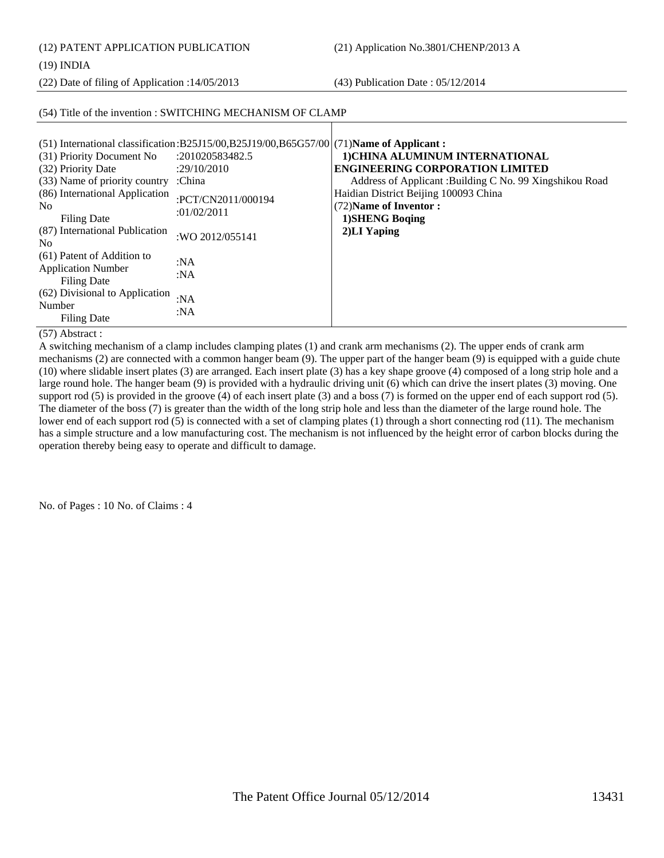(12) PATENT APPLICATION PUBLICATION (21) Application No.3801/CHENP/2013 A

(54) Title of the invention : SWITCHING MECHANISM OF CLAMP

(19) INDIA

(22) Date of filing of Application :14/05/2013 (43) Publication Date : 05/12/2014

| (54) The of the invention : SWITCHING MECHANISM OF CLAMP                                                                                                                                                |                                                                                                                                                                                                        |                                                                                                                                                                                                                                           |  |
|---------------------------------------------------------------------------------------------------------------------------------------------------------------------------------------------------------|--------------------------------------------------------------------------------------------------------------------------------------------------------------------------------------------------------|-------------------------------------------------------------------------------------------------------------------------------------------------------------------------------------------------------------------------------------------|--|
| (31) Priority Document No<br>(32) Priority Date<br>(33) Name of priority country<br>(86) International Application<br>N <sub>0</sub><br>Filing Date<br>(87) International Publication<br>N <sub>0</sub> | (51) International classification: $B25J15/00$ , $B25J19/00$ , $B65G57/00$ (71) Name of Applicant:<br>:201020583482.5<br>:29/10/2010<br>:China<br>:PCT/CN2011/000194<br>:01/02/2011<br>:WO 2012/055141 | 1) CHINA ALUMINUM INTERNATIONAL<br><b>ENGINEERING CORPORATION LIMITED</b><br>Address of Applicant: Building C No. 99 Xingshikou Road<br>Haidian District Beijing 100093 China<br>(72) Name of Inventor:<br>1) SHENG Boqing<br>2)LI Yaping |  |
| (61) Patent of Addition to<br><b>Application Number</b><br>Filing Date<br>(62) Divisional to Application<br>Number<br>Filing Date                                                                       | :N $A$<br>:N $A$<br>:NA<br>:N $A$                                                                                                                                                                      |                                                                                                                                                                                                                                           |  |

(57) Abstract :

A switching mechanism of a clamp includes clamping plates (1) and crank arm mechanisms (2). The upper ends of crank arm mechanisms (2) are connected with a common hanger beam (9). The upper part of the hanger beam (9) is equipped with a guide chute (10) where slidable insert plates (3) are arranged. Each insert plate (3) has a key shape groove (4) composed of a long strip hole and a large round hole. The hanger beam (9) is provided with a hydraulic driving unit (6) which can drive the insert plates (3) moving. One support rod (5) is provided in the groove (4) of each insert plate (3) and a boss (7) is formed on the upper end of each support rod (5). The diameter of the boss (7) is greater than the width of the long strip hole and less than the diameter of the large round hole. The lower end of each support rod (5) is connected with a set of clamping plates (1) through a short connecting rod (11). The mechanism has a simple structure and a low manufacturing cost. The mechanism is not influenced by the height error of carbon blocks during the operation thereby being easy to operate and difficult to damage.

No. of Pages : 10 No. of Claims : 4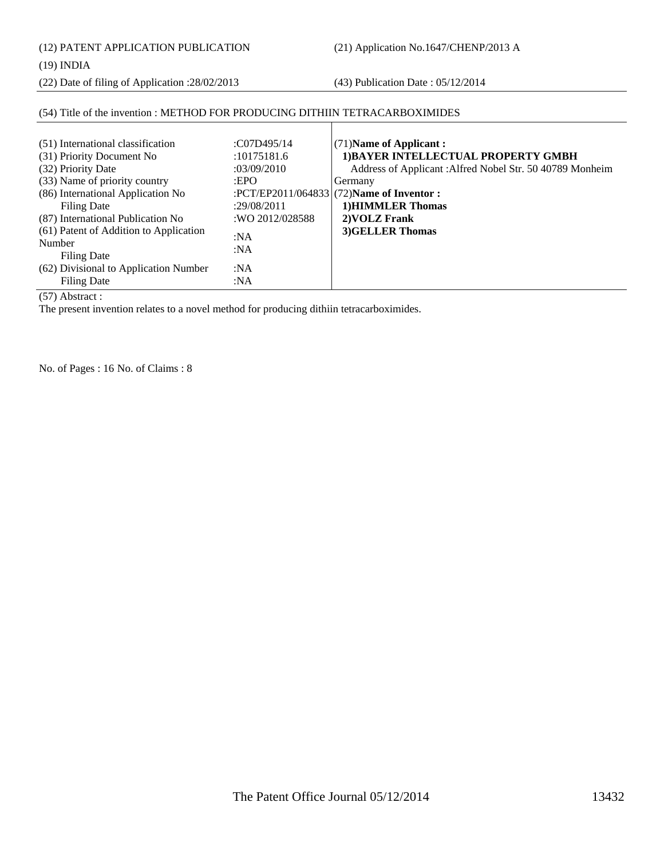(12) PATENT APPLICATION PUBLICATION (21) Application No.1647/CHENP/2013 A

(19) INDIA

(22) Date of filing of Application :28/02/2013 (43) Publication Date : 05/12/2014

## (54) Title of the invention : METHOD FOR PRODUCING DITHIIN TETRACARBOXIMIDES

| (51) International classification<br>(31) Priority Document No<br>(32) Priority Date<br>(33) Name of priority country<br>(86) International Application No<br>Filing Date<br>(87) International Publication No<br>(61) Patent of Addition to Application<br>Number<br>Filing Date<br>(62) Divisional to Application Number<br>Filing Date | :C07D495/14<br>:10175181.6<br>:03/09/2010<br>EPO<br>:29/08/2011<br>:WO 2012/028588<br>:NA<br>:NA<br>:NA<br>:NA | $(71)$ Name of Applicant:<br>1) BAYER INTELLECTUAL PROPERTY GMBH<br>Address of Applicant: Alfred Nobel Str. 50 40789 Monheim<br>Germany<br>:PCT/EP2011/064833 (72)Name of Inventor :<br>1) HIMMLER Thomas<br>2) VOLZ Frank<br>3) GELLER Thomas |
|-------------------------------------------------------------------------------------------------------------------------------------------------------------------------------------------------------------------------------------------------------------------------------------------------------------------------------------------|----------------------------------------------------------------------------------------------------------------|------------------------------------------------------------------------------------------------------------------------------------------------------------------------------------------------------------------------------------------------|
|-------------------------------------------------------------------------------------------------------------------------------------------------------------------------------------------------------------------------------------------------------------------------------------------------------------------------------------------|----------------------------------------------------------------------------------------------------------------|------------------------------------------------------------------------------------------------------------------------------------------------------------------------------------------------------------------------------------------------|

(57) Abstract :

The present invention relates to a novel method for producing dithiin tetracarboximides.

No. of Pages : 16 No. of Claims : 8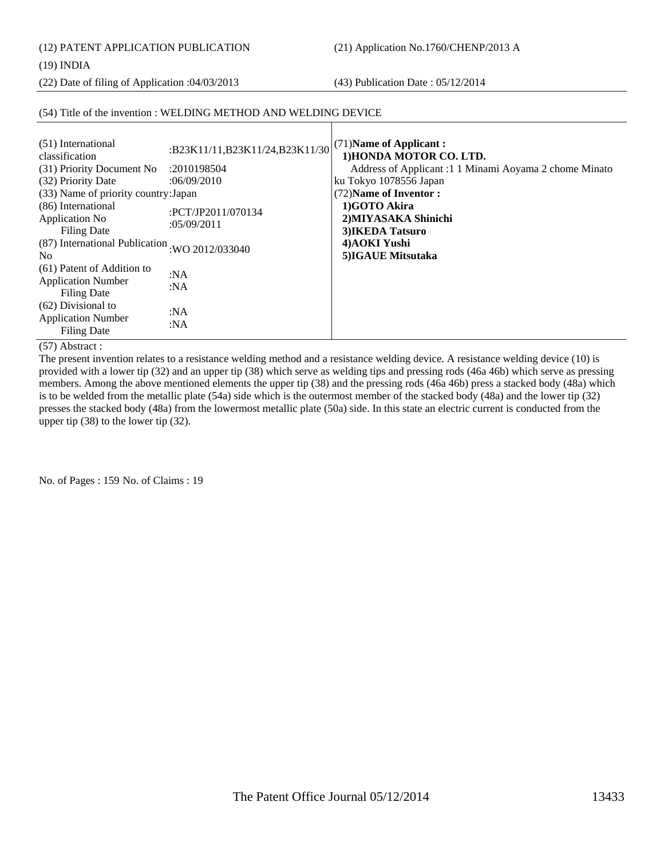(12) PATENT APPLICATION PUBLICATION (21) Application No.1760/CHENP/2013 A

## (19) INDIA

(22) Date of filing of Application :04/03/2013 (43) Publication Date : 05/12/2014

## (54) Title of the invention : WELDING METHOD AND WELDING DEVICE

| (51) International                              | :B23K11/11,B23K11/24,B23K11/30 | (71) Name of Applicant:                                |
|-------------------------------------------------|--------------------------------|--------------------------------------------------------|
| classification                                  |                                | 1) HONDA MOTOR CO. LTD.                                |
| (31) Priority Document No                       | :2010198504                    | Address of Applicant :1 1 Minami Aoyama 2 chome Minato |
| (32) Priority Date                              | :06/09/2010                    | ku Tokyo 1078556 Japan                                 |
| (33) Name of priority country: Japan            |                                | (72) Name of Inventor:                                 |
| (86) International                              | :PCT/JP2011/070134             | 1)GOTO Akira                                           |
| Application No                                  |                                | 2) MIYASAKA Shinichi                                   |
| <b>Filing Date</b>                              | :05/09/2011                    | 3) IKEDA Tatsuro                                       |
| (87) International Publication : WO 2012/033040 |                                | 4) AOKI Yushi                                          |
| No.                                             |                                | 5) IGAUE Mitsutaka                                     |
| (61) Patent of Addition to                      |                                |                                                        |
| <b>Application Number</b>                       | :NA                            |                                                        |
| <b>Filing Date</b>                              | :NA                            |                                                        |
| $(62)$ Divisional to                            |                                |                                                        |
| <b>Application Number</b>                       | :NA                            |                                                        |
| <b>Filing Date</b>                              | :NA                            |                                                        |

(57) Abstract :

The present invention relates to a resistance welding method and a resistance welding device. A resistance welding device (10) is provided with a lower tip (32) and an upper tip (38) which serve as welding tips and pressing rods (46a 46b) which serve as pressing members. Among the above mentioned elements the upper tip (38) and the pressing rods (46a 46b) press a stacked body (48a) which is to be welded from the metallic plate (54a) side which is the outermost member of the stacked body (48a) and the lower tip (32) presses the stacked body (48a) from the lowermost metallic plate (50a) side. In this state an electric current is conducted from the upper tip (38) to the lower tip (32).

No. of Pages : 159 No. of Claims : 19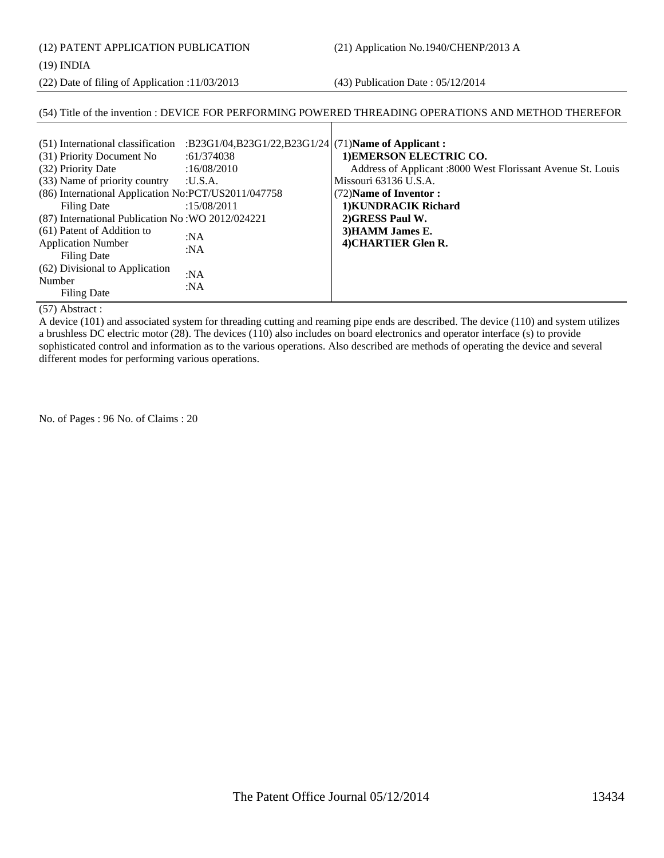(12) PATENT APPLICATION PUBLICATION (21) Application No.1940/CHENP/2013 A

(19) INDIA

(22) Date of filing of Application :11/03/2013 (43) Publication Date : 05/12/2014

## (54) Title of the invention : DEVICE FOR PERFORMING POWERED THREADING OPERATIONS AND METHOD THEREFOR

| (51) International classification                   | :B23G1/04,B23G1/22,B23G1/24 (71)Name of Applicant: |                                                             |
|-----------------------------------------------------|----------------------------------------------------|-------------------------------------------------------------|
| (31) Priority Document No                           | :61/374038                                         | 1) EMERSON ELECTRIC CO.                                     |
| (32) Priority Date                                  | :16/08/2010                                        | Address of Applicant :8000 West Florissant Avenue St. Louis |
| (33) Name of priority country                       | :U.S.A.                                            | Missouri 63136 U.S.A.                                       |
| (86) International Application No:PCT/US2011/047758 |                                                    | (72) Name of Inventor:                                      |
| Filing Date                                         | :15/08/2011                                        | 1) KUNDRACIK Richard                                        |
| (87) International Publication No: WO 2012/024221   |                                                    | 2) GRESS Paul W.                                            |
| (61) Patent of Addition to                          | :NA                                                | 3) HAMM James E.                                            |
| <b>Application Number</b>                           |                                                    | 4) CHARTIER Glen R.                                         |
| Filing Date                                         | :NA                                                |                                                             |
| (62) Divisional to Application                      | :NA                                                |                                                             |
| Number                                              | :NA                                                |                                                             |
| Filing Date                                         |                                                    |                                                             |

(57) Abstract :

A device (101) and associated system for threading cutting and reaming pipe ends are described. The device (110) and system utilizes a brushless DC electric motor (28). The devices (110) also includes on board electronics and operator interface (s) to provide sophisticated control and information as to the various operations. Also described are methods of operating the device and several different modes for performing various operations.

No. of Pages : 96 No. of Claims : 20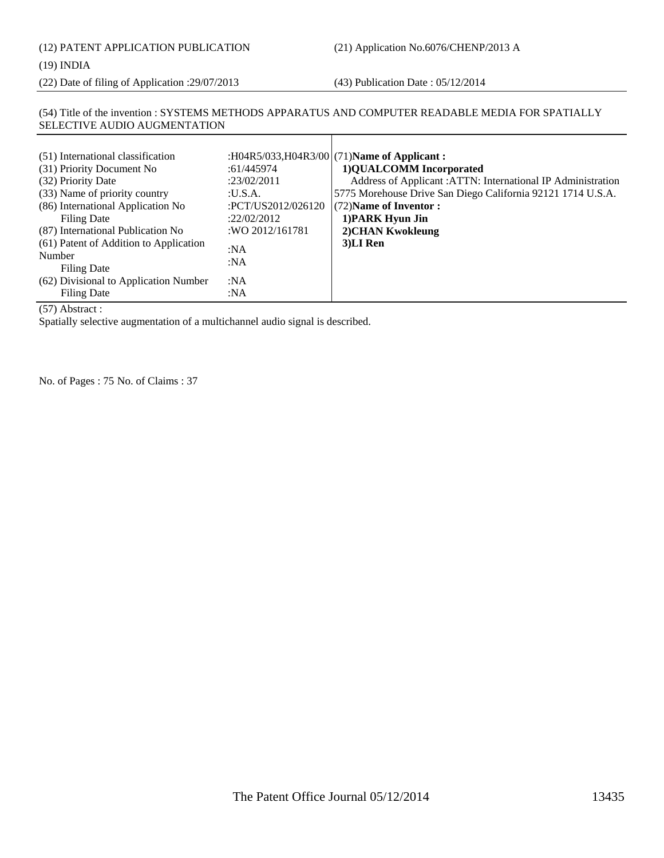(12) PATENT APPLICATION PUBLICATION (21) Application No.6076/CHENP/2013 A

## (19) INDIA

(22) Date of filing of Application :29/07/2013 (43) Publication Date : 05/12/2014

## (54) Title of the invention : SYSTEMS METHODS APPARATUS AND COMPUTER READABLE MEDIA FOR SPATIALLY SELECTIVE AUDIO AUGMENTATION

| (51) International classification<br>(31) Priority Document No<br>(32) Priority Date<br>(33) Name of priority country<br>(86) International Application No<br>Filing Date<br>(87) International Publication No<br>(61) Patent of Addition to Application<br>Number<br><b>Filing Date</b><br>(62) Divisional to Application Number | :61/445974<br>:23/02/2011<br>:U.S.A.<br>:PCT/US2012/026120<br>:22/02/2012<br>:WO 2012/161781<br>:NA<br>:NA<br>:NA | :H04R5/033,H04R3/00 (71)Name of Applicant:<br>1) QUALCOMM Incorporated<br>Address of Applicant : ATTN: International IP Administration<br>5775 Morehouse Drive San Diego California 92121 1714 U.S.A.<br>(72) Name of Inventor:<br>1) PARK Hyun Jin<br>2) CHAN Kwokleung<br>3)LI Ren |
|-----------------------------------------------------------------------------------------------------------------------------------------------------------------------------------------------------------------------------------------------------------------------------------------------------------------------------------|-------------------------------------------------------------------------------------------------------------------|--------------------------------------------------------------------------------------------------------------------------------------------------------------------------------------------------------------------------------------------------------------------------------------|
| Filing Date                                                                                                                                                                                                                                                                                                                       | :NA                                                                                                               |                                                                                                                                                                                                                                                                                      |

(57) Abstract :

Spatially selective augmentation of a multichannel audio signal is described.

No. of Pages : 75 No. of Claims : 37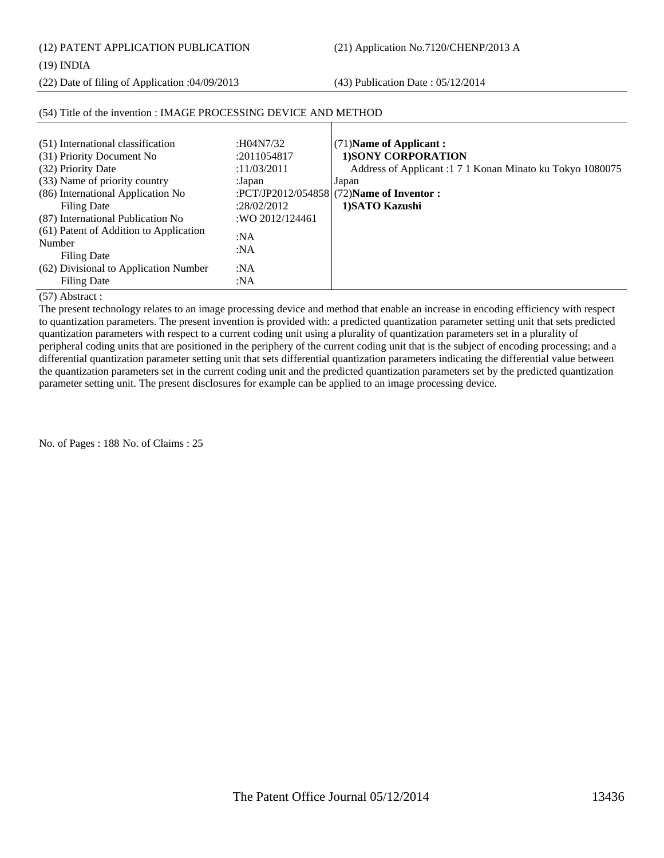(12) PATENT APPLICATION PUBLICATION (21) Application No.7120/CHENP/2013 A

(19) INDIA

(22) Date of filing of Application :04/09/2013 (43) Publication Date : 05/12/2014

| (51) International classification      | :H04N7/32       | $(71)$ Name of Applicant:                                 |
|----------------------------------------|-----------------|-----------------------------------------------------------|
| (31) Priority Document No              | :2011054817     | <b>1)SONY CORPORATION</b>                                 |
| (32) Priority Date                     | :11/03/2011     | Address of Applicant :1 7 1 Konan Minato ku Tokyo 1080075 |
| (33) Name of priority country          | :Japan          | Japan                                                     |
| (86) International Application No      |                 | :PCT/JP2012/054858 $(72)$ Name of Inventor :              |
| Filing Date                            | :28/02/2012     | 1) SATO Kazushi                                           |
| (87) International Publication No      | :WO 2012/124461 |                                                           |
| (61) Patent of Addition to Application | :NA             |                                                           |
| Number                                 |                 |                                                           |
| Filing Date                            | :NA             |                                                           |
| (62) Divisional to Application Number  | :NA             |                                                           |
| Filing Date                            | : $NA$          |                                                           |

## (54) Title of the invention : IMAGE PROCESSING DEVICE AND METHOD

(57) Abstract :

The present technology relates to an image processing device and method that enable an increase in encoding efficiency with respect to quantization parameters. The present invention is provided with: a predicted quantization parameter setting unit that sets predicted quantization parameters with respect to a current coding unit using a plurality of quantization parameters set in a plurality of peripheral coding units that are positioned in the periphery of the current coding unit that is the subject of encoding processing; and a differential quantization parameter setting unit that sets differential quantization parameters indicating the differential value between the quantization parameters set in the current coding unit and the predicted quantization parameters set by the predicted quantization parameter setting unit. The present disclosures for example can be applied to an image processing device.

No. of Pages : 188 No. of Claims : 25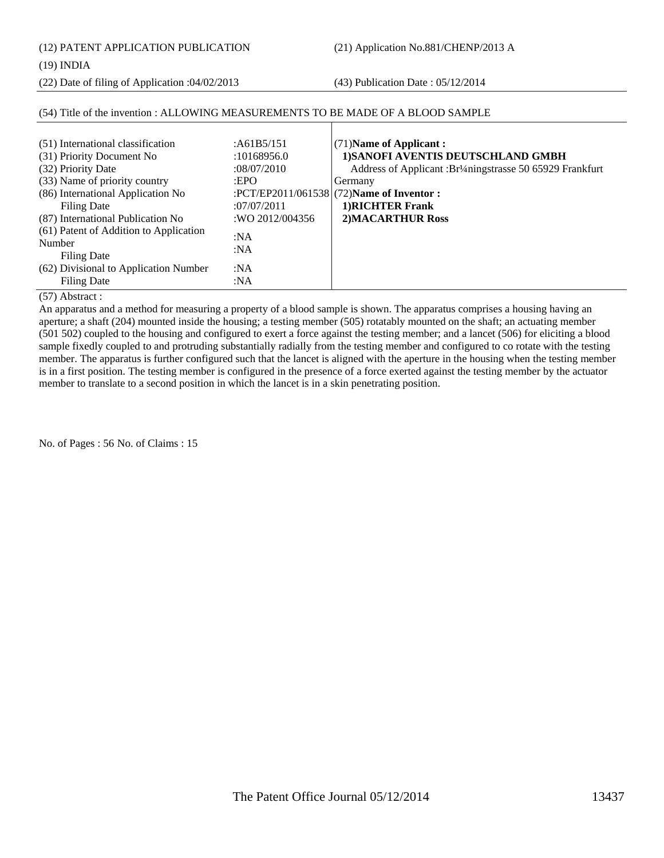(12) PATENT APPLICATION PUBLICATION (21) Application No.881/CHENP/2013 A

#### (19) INDIA

(22) Date of filing of Application :04/02/2013 (43) Publication Date : 05/12/2014

| (51) International classification<br>(31) Priority Document No<br>(32) Priority Date<br>(33) Name of priority country<br>(86) International Application No<br>Filing Date<br>(87) International Publication No<br>(61) Patent of Addition to Application<br>Number | :AA1B5/151<br>:10168956.0<br>:08/07/2010<br>EPO<br>:07/07/2011<br>:WO 2012/004356<br>:NA | $(71)$ Name of Applicant :<br>1) SANOFI AVENTIS DEUTSCHLAND GMBH<br>Address of Applicant :Br <sup>1</sup> /4ningstrasse 50 65929 Frankfurt<br>Germany<br>:PCT/EP2011/061538 (72)Name of Inventor :<br>1) RICHTER Frank<br><b>2)MACARTHUR Ross</b> |
|--------------------------------------------------------------------------------------------------------------------------------------------------------------------------------------------------------------------------------------------------------------------|------------------------------------------------------------------------------------------|---------------------------------------------------------------------------------------------------------------------------------------------------------------------------------------------------------------------------------------------------|
| Filing Date                                                                                                                                                                                                                                                        | :NA                                                                                      |                                                                                                                                                                                                                                                   |
| (62) Divisional to Application Number<br>Filing Date                                                                                                                                                                                                               | :NA<br>:NA                                                                               |                                                                                                                                                                                                                                                   |

#### (54) Title of the invention : ALLOWING MEASUREMENTS TO BE MADE OF A BLOOD SAMPLE

(57) Abstract :

An apparatus and a method for measuring a property of a blood sample is shown. The apparatus comprises a housing having an aperture; a shaft (204) mounted inside the housing; a testing member (505) rotatably mounted on the shaft; an actuating member (501 502) coupled to the housing and configured to exert a force against the testing member; and a lancet (506) for eliciting a blood sample fixedly coupled to and protruding substantially radially from the testing member and configured to co rotate with the testing member. The apparatus is further configured such that the lancet is aligned with the aperture in the housing when the testing member is in a first position. The testing member is configured in the presence of a force exerted against the testing member by the actuator member to translate to a second position in which the lancet is in a skin penetrating position.

No. of Pages : 56 No. of Claims : 15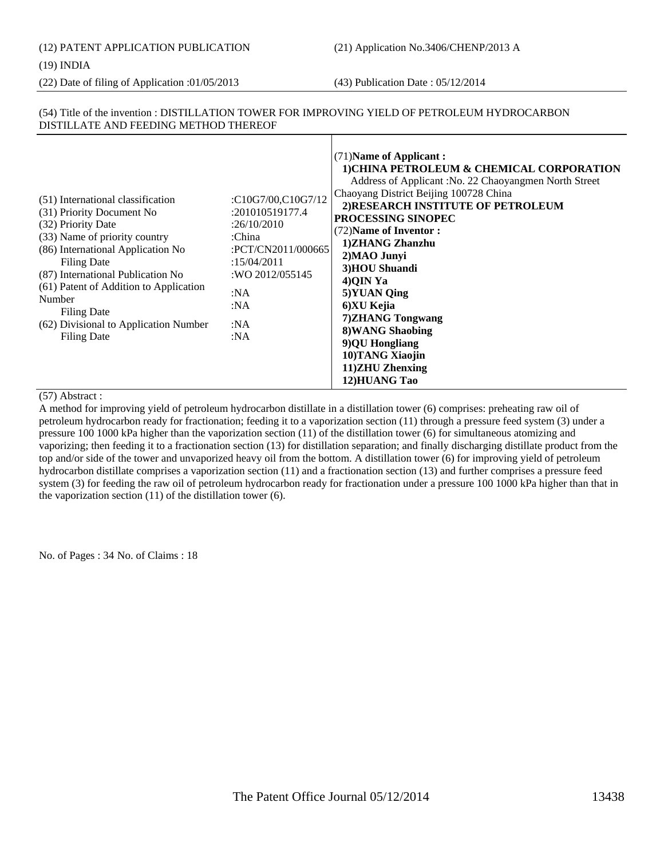(12) PATENT APPLICATION PUBLICATION (21) Application No.3406/CHENP/2013 A

(19) INDIA

(22) Date of filing of Application :01/05/2013 (43) Publication Date : 05/12/2014

#### (54) Title of the invention : DISTILLATION TOWER FOR IMPROVING YIELD OF PETROLEUM HYDROCARBON DISTILLATE AND FEEDING METHOD THEREOF

| (51) International classification<br>(31) Priority Document No<br>(32) Priority Date<br>(33) Name of priority country<br>(86) International Application No<br><b>Filing Date</b><br>(87) International Publication No<br>(61) Patent of Addition to Application<br>Number<br><b>Filing Date</b><br>(62) Divisional to Application Number<br><b>Filing Date</b> | :C10G7/00,C10G7/12<br>:201010519177.4<br>:26/10/2010<br>:China<br>:PCT/CN2011/000665<br>:15/04/2011<br>:WO 2012/055145<br>:NA<br>:NA<br>:NA<br>:NA | (71) Name of Applicant:<br>1) CHINA PETROLEUM & CHEMICAL CORPORATION<br>Address of Applicant: No. 22 Chaoyangmen North Street<br>Chaoyang District Beijing 100728 China<br>2) RESEARCH INSTITUTE OF PETROLEUM<br><b>PROCESSING SINOPEC</b><br>(72) Name of Inventor:<br>1)ZHANG Zhanzhu<br>2) MAO Junyi<br>3)HOU Shuandi<br>4)QIN Ya<br>5) YUAN Qing<br>6)XU Kejia<br>7) ZHANG Tongwang<br>8) WANG Shaobing<br>9) QU Hongliang<br>10) TANG Xiaojin<br>11)ZHU Zhenxing<br>12)HUANG Tao |
|----------------------------------------------------------------------------------------------------------------------------------------------------------------------------------------------------------------------------------------------------------------------------------------------------------------------------------------------------------------|----------------------------------------------------------------------------------------------------------------------------------------------------|---------------------------------------------------------------------------------------------------------------------------------------------------------------------------------------------------------------------------------------------------------------------------------------------------------------------------------------------------------------------------------------------------------------------------------------------------------------------------------------|
|----------------------------------------------------------------------------------------------------------------------------------------------------------------------------------------------------------------------------------------------------------------------------------------------------------------------------------------------------------------|----------------------------------------------------------------------------------------------------------------------------------------------------|---------------------------------------------------------------------------------------------------------------------------------------------------------------------------------------------------------------------------------------------------------------------------------------------------------------------------------------------------------------------------------------------------------------------------------------------------------------------------------------|

## (57) Abstract :

A method for improving yield of petroleum hydrocarbon distillate in a distillation tower (6) comprises: preheating raw oil of petroleum hydrocarbon ready for fractionation; feeding it to a vaporization section (11) through a pressure feed system (3) under a pressure 100 1000 kPa higher than the vaporization section (11) of the distillation tower (6) for simultaneous atomizing and vaporizing; then feeding it to a fractionation section (13) for distillation separation; and finally discharging distillate product from the top and/or side of the tower and unvaporized heavy oil from the bottom. A distillation tower (6) for improving yield of petroleum hydrocarbon distillate comprises a vaporization section (11) and a fractionation section (13) and further comprises a pressure feed system (3) for feeding the raw oil of petroleum hydrocarbon ready for fractionation under a pressure 100 1000 kPa higher than that in the vaporization section (11) of the distillation tower (6).

No. of Pages : 34 No. of Claims : 18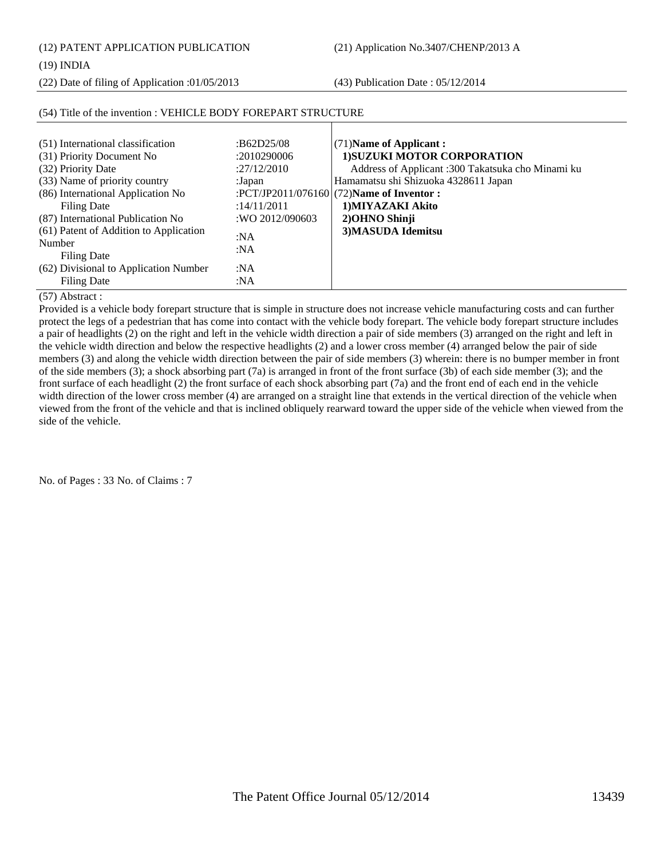(12) PATENT APPLICATION PUBLICATION (21) Application No.3407/CHENP/2013 A

(19) INDIA

(22) Date of filing of Application :01/05/2013 (43) Publication Date : 05/12/2014

| (51) International classification<br>(31) Priority Document No<br>(32) Priority Date<br>(33) Name of priority country<br>(86) International Application No<br>Filing Date<br>(87) International Publication No<br>(61) Patent of Addition to Application<br>Number<br>Filing Date | :B62D25/08<br>:2010290006<br>:27/12/2010<br>:Japan<br>:14/11/2011<br>:WO 2012/090603<br>:NA<br>: $NA$<br>:NA | $(71)$ Name of Applicant:<br>1) SUZUKI MOTOR CORPORATION<br>Address of Applicant :300 Takatsuka cho Minami ku<br>Hamamatsu shi Shizuoka 4328611 Japan<br>:PCT/JP2011/076160 $(72)$ Name of Inventor :<br>1) MIYAZAKI Akito<br>2) OHNO Shinji<br>3) MASUDA Idemitsu |
|-----------------------------------------------------------------------------------------------------------------------------------------------------------------------------------------------------------------------------------------------------------------------------------|--------------------------------------------------------------------------------------------------------------|--------------------------------------------------------------------------------------------------------------------------------------------------------------------------------------------------------------------------------------------------------------------|
| (62) Divisional to Application Number<br>Filing Date                                                                                                                                                                                                                              | : $NA$                                                                                                       |                                                                                                                                                                                                                                                                    |

### (54) Title of the invention : VEHICLE BODY FOREPART STRUCTURE

(57) Abstract :

Provided is a vehicle body forepart structure that is simple in structure does not increase vehicle manufacturing costs and can further protect the legs of a pedestrian that has come into contact with the vehicle body forepart. The vehicle body forepart structure includes a pair of headlights (2) on the right and left in the vehicle width direction a pair of side members (3) arranged on the right and left in the vehicle width direction and below the respective headlights (2) and a lower cross member (4) arranged below the pair of side members (3) and along the vehicle width direction between the pair of side members (3) wherein: there is no bumper member in front of the side members (3); a shock absorbing part (7a) is arranged in front of the front surface (3b) of each side member (3); and the front surface of each headlight (2) the front surface of each shock absorbing part (7a) and the front end of each end in the vehicle width direction of the lower cross member (4) are arranged on a straight line that extends in the vertical direction of the vehicle when viewed from the front of the vehicle and that is inclined obliquely rearward toward the upper side of the vehicle when viewed from the side of the vehicle.

No. of Pages : 33 No. of Claims : 7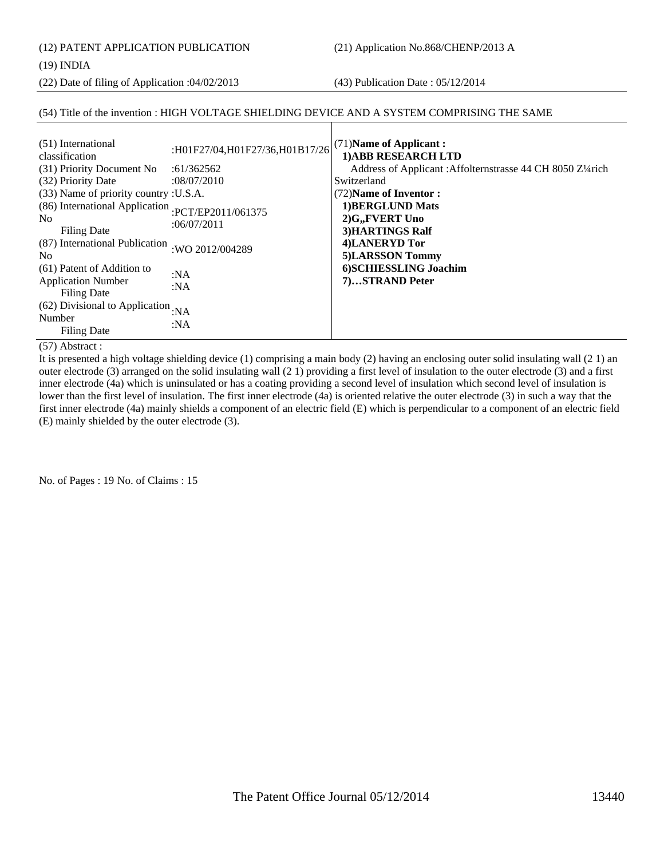(12) PATENT APPLICATION PUBLICATION (21) Application No.868/CHENP/2013 A

### (19) INDIA

(22) Date of filing of Application :04/02/2013 (43) Publication Date : 05/12/2014

### (54) Title of the invention : HIGH VOLTAGE SHIELDING DEVICE AND A SYSTEM COMPRISING THE SAME

| (51) International<br>classification<br>(31) Priority Document No<br>(32) Priority Date<br>(33) Name of priority country : U.S.A.<br>(86) International Application : PCT/EP2011/061375<br>N <sub>0</sub><br><b>Filing Date</b> | :H01F27/04,H01F27/36,H01B17/26<br>:61/362562<br>:08/07/2010<br>:06/07/2011 | (71) Name of Applicant:<br>1) ABB RESEARCH LTD<br>Address of Applicant : Affolternstrasse 44 CH 8050 Z1/4rich<br>Switzerland<br>(72) Name of Inventor:<br><b>1)BERGLUND Mats</b><br>2)G,,FVERT Uno<br>3) HARTINGS Ralf |
|---------------------------------------------------------------------------------------------------------------------------------------------------------------------------------------------------------------------------------|----------------------------------------------------------------------------|------------------------------------------------------------------------------------------------------------------------------------------------------------------------------------------------------------------------|
| (87) International Publication<br>N <sub>0</sub>                                                                                                                                                                                | :WO 2012/004289                                                            | 4)LANERYD Tor<br>5)LARSSON Tommy                                                                                                                                                                                       |
| (61) Patent of Addition to<br><b>Application Number</b><br>Filing Date                                                                                                                                                          | :NA<br>:NA                                                                 | 6) SCHIESSLING Joachim<br>7)STRAND Peter                                                                                                                                                                               |
| (62) Divisional to Application : $NA$<br>Number<br>Filing Date                                                                                                                                                                  | :NA                                                                        |                                                                                                                                                                                                                        |

(57) Abstract :

It is presented a high voltage shielding device (1) comprising a main body (2) having an enclosing outer solid insulating wall (2 1) an outer electrode (3) arranged on the solid insulating wall (2 1) providing a first level of insulation to the outer electrode (3) and a first inner electrode (4a) which is uninsulated or has a coating providing a second level of insulation which second level of insulation is lower than the first level of insulation. The first inner electrode (4a) is oriented relative the outer electrode (3) in such a way that the first inner electrode (4a) mainly shields a component of an electric field (E) which is perpendicular to a component of an electric field (E) mainly shielded by the outer electrode (3).

No. of Pages : 19 No. of Claims : 15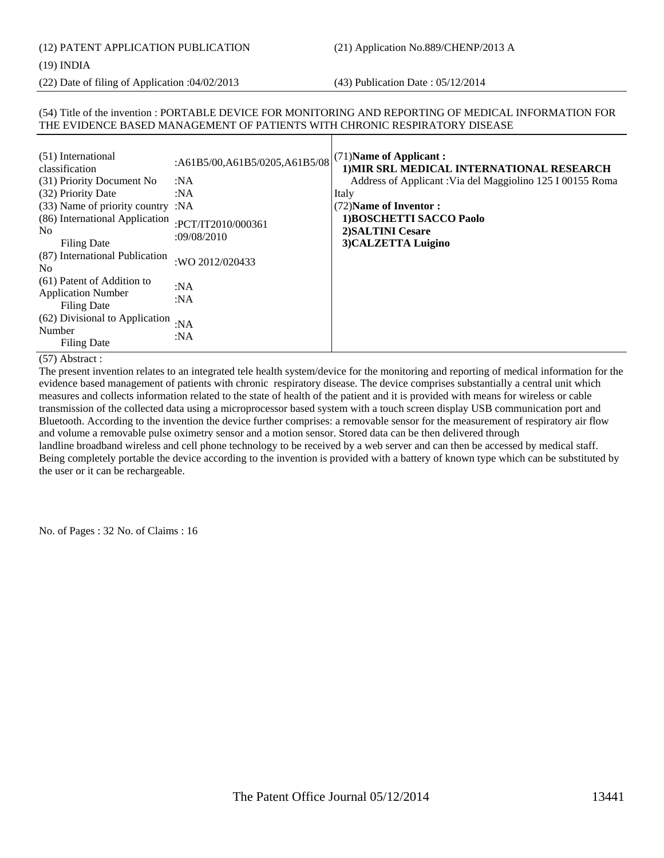(12) PATENT APPLICATION PUBLICATION (21) Application No.889/CHENP/2013 A

#### (19) INDIA

(22) Date of filing of Application :04/02/2013 (43) Publication Date : 05/12/2014

#### (54) Title of the invention : PORTABLE DEVICE FOR MONITORING AND REPORTING OF MEDICAL INFORMATION FOR THE EVIDENCE BASED MANAGEMENT OF PATIENTS WITH CHRONIC RESPIRATORY DISEASE

| (51) International<br>classification<br>(31) Priority Document No                                           | :A61B5/00,A61B5/0205,A61B5/08<br>:NA | (71) Name of Applicant:<br>1) MIR SRL MEDICAL INTERNATIONAL RESEARCH<br>Address of Applicant: Via del Maggiolino 125 I 00155 Roma |
|-------------------------------------------------------------------------------------------------------------|--------------------------------------|-----------------------------------------------------------------------------------------------------------------------------------|
| (32) Priority Date                                                                                          | :NA                                  | Italy                                                                                                                             |
| (33) Name of priority country: NA<br>(86) International Application<br>N <sub>0</sub><br><b>Filing Date</b> | :PCT/IT2010/000361<br>:09/08/2010    | (72) Name of Inventor:<br>1) BOSCHETTI SACCO Paolo<br>2) SALTINI Cesare<br>3) CALZETTA Luigino                                    |
| (87) International Publication<br>N <sub>0</sub>                                                            | :WO 2012/020433                      |                                                                                                                                   |
| (61) Patent of Addition to<br><b>Application Number</b><br><b>Filing Date</b>                               | :NA<br>:NA                           |                                                                                                                                   |
| (62) Divisional to Application<br>Number<br><b>Filing Date</b>                                              | :NA<br>:NA                           |                                                                                                                                   |

#### (57) Abstract :

The present invention relates to an integrated tele health system/device for the monitoring and reporting of medical information for the evidence based management of patients with chronic respiratory disease. The device comprises substantially a central unit which measures and collects information related to the state of health of the patient and it is provided with means for wireless or cable transmission of the collected data using a microprocessor based system with a touch screen display USB communication port and Bluetooth. According to the invention the device further comprises: a removable sensor for the measurement of respiratory air flow and volume a removable pulse oximetry sensor and a motion sensor. Stored data can be then delivered through landline broadband wireless and cell phone technology to be received by a web server and can then be accessed by medical staff. Being completely portable the device according to the invention is provided with a battery of known type which can be substituted by the user or it can be rechargeable.

No. of Pages : 32 No. of Claims : 16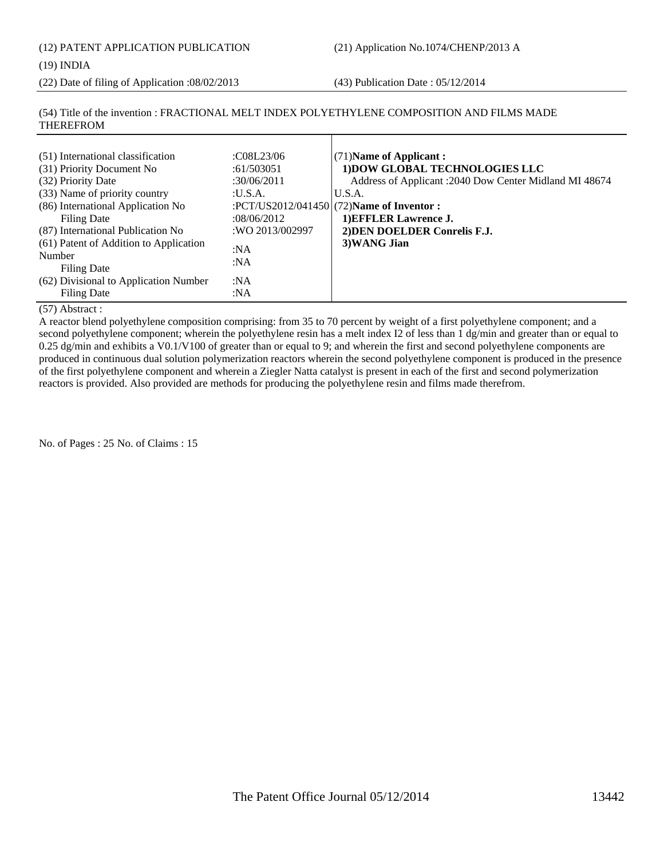(12) PATENT APPLICATION PUBLICATION (21) Application No.1074/CHENP/2013 A

#### (19) INDIA

(22) Date of filing of Application :08/02/2013 (43) Publication Date : 05/12/2014

#### (54) Title of the invention : FRACTIONAL MELT INDEX POLYETHYLENE COMPOSITION AND FILMS MADE THEREFROM

| (51) International classification<br>(31) Priority Document No<br>(32) Priority Date<br>(33) Name of priority country<br>(86) International Application No<br><b>Filing Date</b><br>(87) International Publication No<br>(61) Patent of Addition to Application<br>Number<br>Filing Date<br>(62) Divisional to Application Number<br>Filing Date | :C08L23/06<br>:61/503051<br>:30/06/2011<br>: <b>U.S.A.</b><br>:08/06/2012<br>:WO 2013/002997<br>:NA<br>:NA<br>:NA<br>:NA | (71) Name of Applicant:<br>1) DOW GLOBAL TECHNOLOGIES LLC<br>Address of Applicant : 2040 Dow Center Midland MI 48674<br>U.S.A.<br>:PCT/US2012/041450 $(72)$ Name of Inventor :<br>1) EFFLER Lawrence J.<br>2) DEN DOELDER Conrelis F.J.<br>3) WANG Jian |
|--------------------------------------------------------------------------------------------------------------------------------------------------------------------------------------------------------------------------------------------------------------------------------------------------------------------------------------------------|--------------------------------------------------------------------------------------------------------------------------|---------------------------------------------------------------------------------------------------------------------------------------------------------------------------------------------------------------------------------------------------------|
|--------------------------------------------------------------------------------------------------------------------------------------------------------------------------------------------------------------------------------------------------------------------------------------------------------------------------------------------------|--------------------------------------------------------------------------------------------------------------------------|---------------------------------------------------------------------------------------------------------------------------------------------------------------------------------------------------------------------------------------------------------|

 $\mathbf{I}$ 

#### (57) Abstract :

A reactor blend polyethylene composition comprising: from 35 to 70 percent by weight of a first polyethylene component; and a second polyethylene component; wherein the polyethylene resin has a melt index I2 of less than 1 dg/min and greater than or equal to 0.25 dg/min and exhibits a V0.1/V100 of greater than or equal to 9; and wherein the first and second polyethylene components are produced in continuous dual solution polymerization reactors wherein the second polyethylene component is produced in the presence of the first polyethylene component and wherein a Ziegler Natta catalyst is present in each of the first and second polymerization reactors is provided. Also provided are methods for producing the polyethylene resin and films made therefrom.

No. of Pages : 25 No. of Claims : 15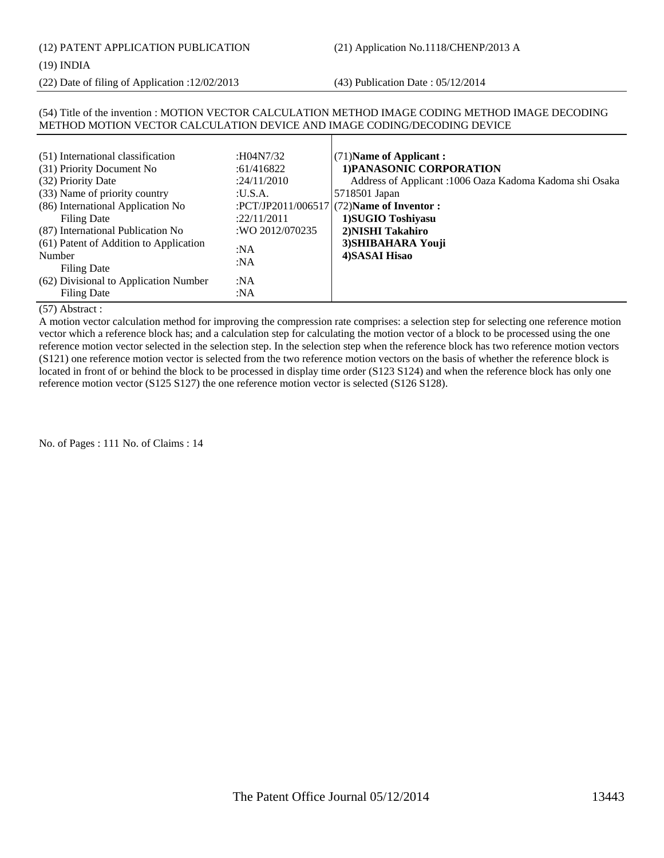### (12) PATENT APPLICATION PUBLICATION (21) Application No.1118/CHENP/2013 A

#### (19) INDIA

(22) Date of filing of Application :12/02/2013 (43) Publication Date : 05/12/2014

#### (54) Title of the invention : MOTION VECTOR CALCULATION METHOD IMAGE CODING METHOD IMAGE DECODING METHOD MOTION VECTOR CALCULATION DEVICE AND IMAGE CODING/DECODING DEVICE

| (51) International classification<br>(31) Priority Document No<br>(32) Priority Date<br>(33) Name of priority country<br>(86) International Application No<br>Filing Date<br>(87) International Publication No<br>(61) Patent of Addition to Application<br>Number<br>Filing Date<br>(62) Divisional to Application Number<br>Filing Date | :H04N7/32<br>:61/416822<br>:24/11/2010<br>:U.S.A.<br>:22/11/2011<br>:WO 2012/070235<br>:NA<br>:NA<br>:NA<br>:NA | (71) Name of Applicant:<br>1) PANASONIC CORPORATION<br>Address of Applicant : 1006 Oaza Kadoma Kadoma shi Osaka<br>5718501 Japan<br>:PCT/JP2011/006517 (72)Name of Inventor :<br>1) SUGIO Toshiyasu<br>2) NISHI Takahiro<br>3) SHIBAHARA Youji<br>4) SASAI Hisao |
|-------------------------------------------------------------------------------------------------------------------------------------------------------------------------------------------------------------------------------------------------------------------------------------------------------------------------------------------|-----------------------------------------------------------------------------------------------------------------|------------------------------------------------------------------------------------------------------------------------------------------------------------------------------------------------------------------------------------------------------------------|
|-------------------------------------------------------------------------------------------------------------------------------------------------------------------------------------------------------------------------------------------------------------------------------------------------------------------------------------------|-----------------------------------------------------------------------------------------------------------------|------------------------------------------------------------------------------------------------------------------------------------------------------------------------------------------------------------------------------------------------------------------|

#### (57) Abstract :

A motion vector calculation method for improving the compression rate comprises: a selection step for selecting one reference motion vector which a reference block has; and a calculation step for calculating the motion vector of a block to be processed using the one reference motion vector selected in the selection step. In the selection step when the reference block has two reference motion vectors (S121) one reference motion vector is selected from the two reference motion vectors on the basis of whether the reference block is located in front of or behind the block to be processed in display time order (S123 S124) and when the reference block has only one reference motion vector (S125 S127) the one reference motion vector is selected (S126 S128).

No. of Pages : 111 No. of Claims : 14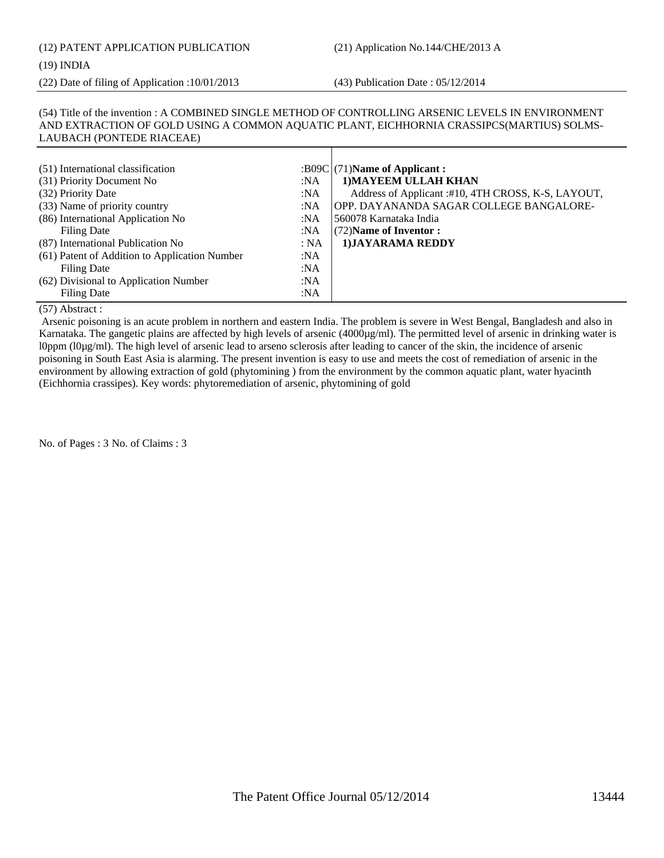# (12) PATENT APPLICATION PUBLICATION (21) Application No.144/CHE/2013 A

#### (19) INDIA

(22) Date of filing of Application :10/01/2013 (43) Publication Date : 05/12/2014

#### (54) Title of the invention : A COMBINED SINGLE METHOD OF CONTROLLING ARSENIC LEVELS IN ENVIRONMENT AND EXTRACTION OF GOLD USING A COMMON AQUATIC PLANT, EICHHORNIA CRASSIPCS(MARTIUS) SOLMS-LAUBACH (PONTEDE RIACEAE)

| (51) International classification             |      | :B09C $(71)$ Name of Applicant:                    |
|-----------------------------------------------|------|----------------------------------------------------|
| (31) Priority Document No                     | :NA  | 1) MAYEEM ULLAH KHAN                               |
| (32) Priority Date                            | :NA  | Address of Applicant :#10, 4TH CROSS, K-S, LAYOUT, |
| (33) Name of priority country                 | :NA  | OPP. DAYANANDA SAGAR COLLEGE BANGALORE-            |
| (86) International Application No             | :NA  | 560078 Karnataka India                             |
| Filing Date                                   | :NA  | (72) Name of Inventor:                             |
| (87) International Publication No             | : NA | 1) JAYARAMA REDDY                                  |
| (61) Patent of Addition to Application Number | :NA  |                                                    |
| Filing Date                                   | :NA  |                                                    |
| (62) Divisional to Application Number         | :NA  |                                                    |
| Filing Date                                   | :NA  |                                                    |

#### (57) Abstract :

 Arsenic poisoning is an acute problem in northern and eastern India. The problem is severe in West Bengal, Bangladesh and also in Karnataka. The gangetic plains are affected by high levels of arsenic (4000µg/ml). The permitted level of arsenic in drinking water is l0ppm (l0μg/ml). The high level of arsenic lead to arseno sclerosis after leading to cancer of the skin, the incidence of arsenic poisoning in South East Asia is alarming. The present invention is easy to use and meets the cost of remediation of arsenic in the environment by allowing extraction of gold (phytomining ) from the environment by the common aquatic plant, water hyacinth (Eichhornia crassipes). Key words: phytoremediation of arsenic, phytomining of gold

No. of Pages : 3 No. of Claims : 3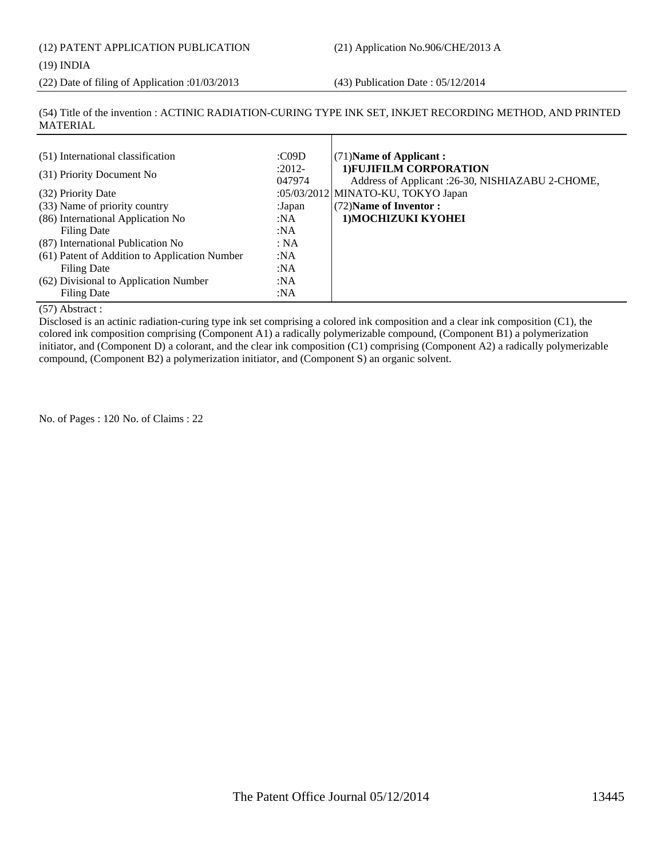## (19) INDIA

(22) Date of filing of Application :01/03/2013 (43) Publication Date : 05/12/2014

(54) Title of the invention : ACTINIC RADIATION-CURING TYPE INK SET, INKJET RECORDING METHOD, AND PRINTED MATERIAL  $\mathbf{I}$ 

| (51) International classification             | : $C09D$           | $(71)$ Name of Applicant:                                                    |
|-----------------------------------------------|--------------------|------------------------------------------------------------------------------|
| (31) Priority Document No                     | $:2012-$<br>047974 | 1) FUJIFILM CORPORATION<br>Address of Applicant : 26-30, NISHIAZABU 2-CHOME, |
| (32) Priority Date                            |                    | :05/03/2012 MINATO-KU, TOKYO Japan                                           |
| (33) Name of priority country                 | :Japan             | (72) Name of Inventor:                                                       |
| (86) International Application No             | :NA                | 1) MOCHIZUKI KYOHEI                                                          |
| Filing Date                                   | :NA                |                                                                              |
| (87) International Publication No             | : NA               |                                                                              |
| (61) Patent of Addition to Application Number | :NA                |                                                                              |
| Filing Date                                   | :NA                |                                                                              |
| (62) Divisional to Application Number         | :NA                |                                                                              |
| Filing Date                                   | :NA                |                                                                              |

#### (57) Abstract :

Disclosed is an actinic radiation-curing type ink set comprising a colored ink composition and a clear ink composition (C1), the colored ink composition comprising (Component A1) a radically polymerizable compound, (Component B1) a polymerization initiator, and (Component D) a colorant, and the clear ink composition (C1) comprising (Component A2) a radically polymerizable compound, (Component B2) a polymerization initiator, and (Component S) an organic solvent.

No. of Pages : 120 No. of Claims : 22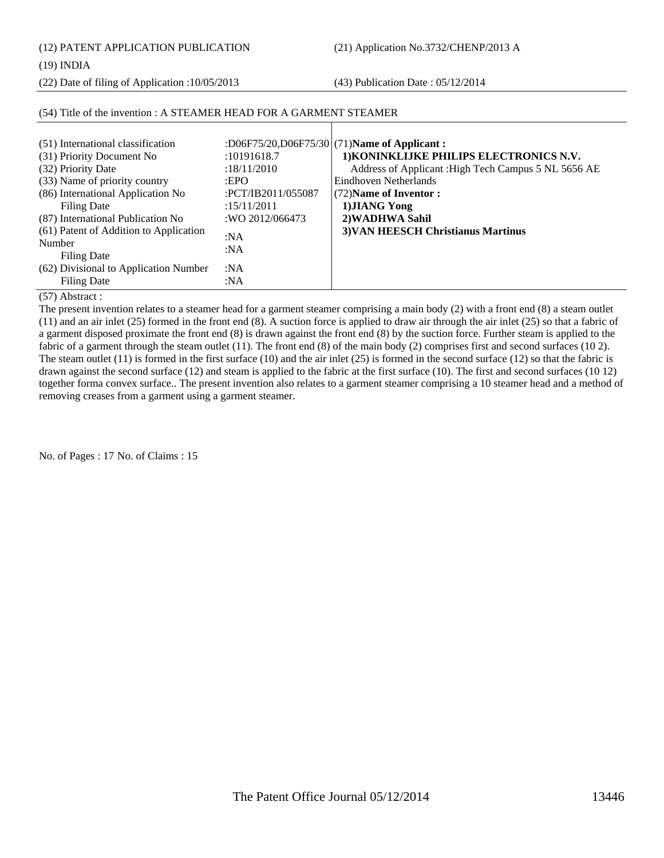(12) PATENT APPLICATION PUBLICATION (21) Application No.3732/CHENP/2013 A

(19) INDIA

(22) Date of filing of Application :10/05/2013 (43) Publication Date : 05/12/2014

| (51) International classification<br>(31) Priority Document No<br>(32) Priority Date<br>(33) Name of priority country<br>(86) International Application No<br><b>Filing Date</b><br>(87) International Publication No<br>(61) Patent of Addition to Application<br>Number<br>Filing Date<br>(62) Divisional to Application Number<br>Filing Date | :10191618.7<br>:18/11/2010<br>EPO<br>:PCT/IB2011/055087<br>:15/11/2011<br>:WO 2012/066473<br>:NA<br>:NA<br>:NA<br>:N $A$ | :D06F75/20,D06F75/30 $(71)$ Name of Applicant:<br>1) KONINKLIJKE PHILIPS ELECTRONICS N.V.<br>Address of Applicant : High Tech Campus 5 NL 5656 AE<br>Eindhoven Netherlands<br>(72) Name of Inventor:<br>1) JIANG Yong<br>2) WADHWA Sahil<br>3) VAN HEESCH Christianus Martinus |
|--------------------------------------------------------------------------------------------------------------------------------------------------------------------------------------------------------------------------------------------------------------------------------------------------------------------------------------------------|--------------------------------------------------------------------------------------------------------------------------|--------------------------------------------------------------------------------------------------------------------------------------------------------------------------------------------------------------------------------------------------------------------------------|
|--------------------------------------------------------------------------------------------------------------------------------------------------------------------------------------------------------------------------------------------------------------------------------------------------------------------------------------------------|--------------------------------------------------------------------------------------------------------------------------|--------------------------------------------------------------------------------------------------------------------------------------------------------------------------------------------------------------------------------------------------------------------------------|

#### (54) Title of the invention : A STEAMER HEAD FOR A GARMENT STEAMER

(57) Abstract :

The present invention relates to a steamer head for a garment steamer comprising a main body (2) with a front end (8) a steam outlet (11) and an air inlet (25) formed in the front end (8). A suction force is applied to draw air through the air inlet (25) so that a fabric of a garment disposed proximate the front end (8) is drawn against the front end (8) by the suction force. Further steam is applied to the fabric of a garment through the steam outlet (11). The front end (8) of the main body (2) comprises first and second surfaces (10 2). The steam outlet (11) is formed in the first surface (10) and the air inlet (25) is formed in the second surface (12) so that the fabric is drawn against the second surface (12) and steam is applied to the fabric at the first surface (10). The first and second surfaces (10 12) together forma convex surface.. The present invention also relates to a garment steamer comprising a 10 steamer head and a method of removing creases from a garment using a garment steamer.

No. of Pages : 17 No. of Claims : 15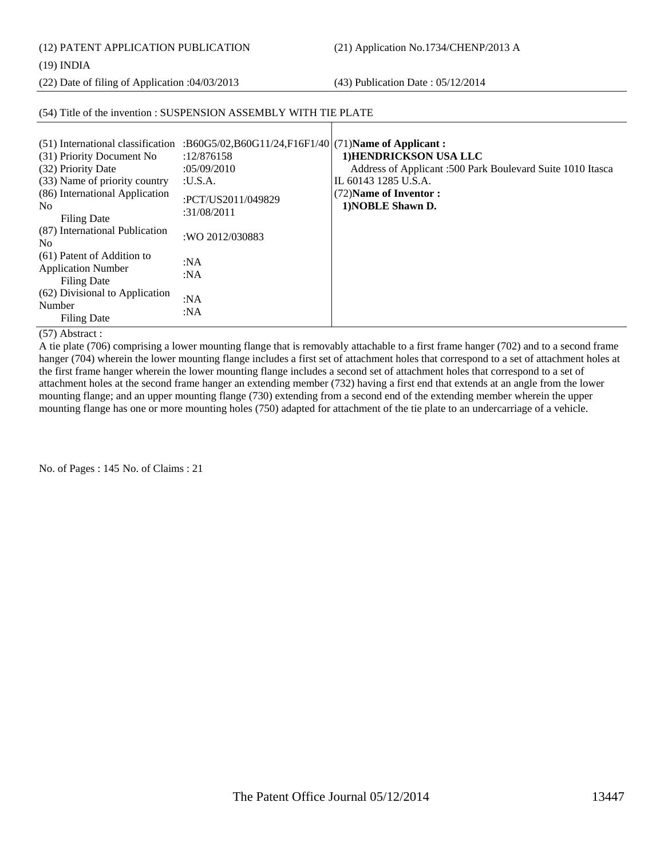(12) PATENT APPLICATION PUBLICATION (21) Application No.1734/CHENP/2013 A

(54) Title of the invention : SUSPENSION ASSEMBLY WITH TIE PLATE

(19) INDIA

(22) Date of filing of Application :04/03/2013 (43) Publication Date : 05/12/2014

#### (51) International classification :B60G5/02,B60G11/24,F16F1/40 (71)**Name of Applicant :**  (31) Priority Document No :12/876158 (32) Priority Date :05/09/2010 (33) Name of priority country :U.S.A. (86) International Application No Filing Date :PCT/US2011/049829 :31/08/2011 (87) International Publication No<br>No 2012/030883 (61) Patent of Addition to Application Number Filing Date :NA :NA (62) Divisional to Application Number Filing Date :NA :NA  **1)HENDRICKSON USA LLC** Address of Applicant :500 Park Boulevard Suite 1010 Itasca IL 60143 1285 U.S.A. (72)**Name of Inventor : 1)NOBLE Shawn D.**

(57) Abstract :

A tie plate (706) comprising a lower mounting flange that is removably attachable to a first frame hanger (702) and to a second frame hanger (704) wherein the lower mounting flange includes a first set of attachment holes that correspond to a set of attachment holes at the first frame hanger wherein the lower mounting flange includes a second set of attachment holes that correspond to a set of attachment holes at the second frame hanger an extending member (732) having a first end that extends at an angle from the lower mounting flange; and an upper mounting flange (730) extending from a second end of the extending member wherein the upper mounting flange has one or more mounting holes (750) adapted for attachment of the tie plate to an undercarriage of a vehicle.

No. of Pages : 145 No. of Claims : 21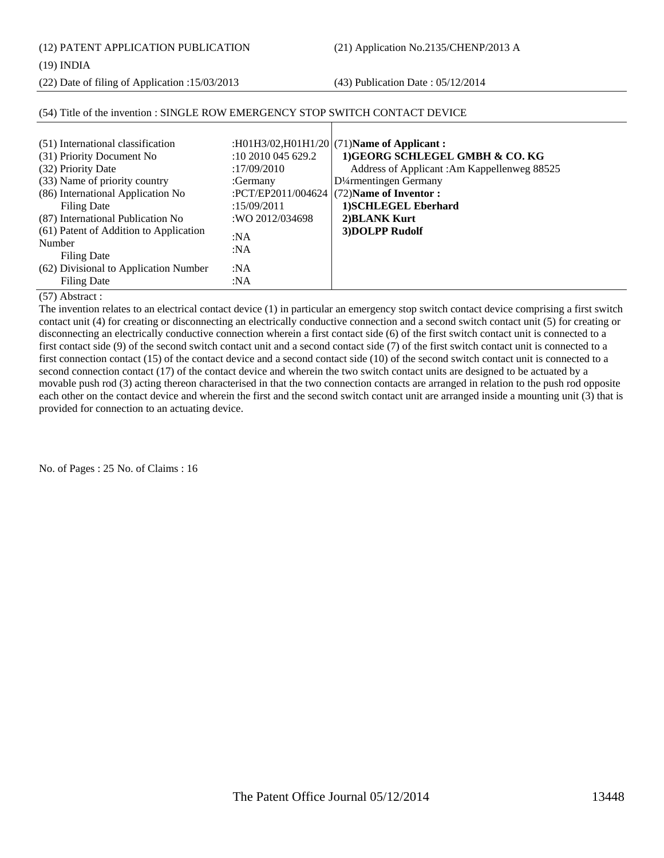(12) PATENT APPLICATION PUBLICATION (21) Application No.2135/CHENP/2013 A

(19) INDIA

(22) Date of filing of Application :15/03/2013 (43) Publication Date : 05/12/2014

| (51) International classification<br>(31) Priority Document No<br>(32) Priority Date<br>(33) Name of priority country<br>(86) International Application No<br>Filing Date<br>(87) International Publication No<br>(61) Patent of Addition to Application<br>Number<br>Filing Date<br>(62) Divisional to Application Number<br>Filing Date | $:10\,2010\,045\,629.2$<br>:17/09/2010<br>:Germany<br>:15/09/2011<br>:WO 2012/034698<br>:NA<br>:NA<br>:NA<br>:N $A$ | :H01H3/02,H01H1/20 $ (71)$ Name of Applicant:<br>1)GEORG SCHLEGEL GMBH & CO. KG<br>Address of Applicant: Am Kappellenweg 88525<br>D <sup>1</sup> / <sub>4</sub> rmentingen Germany<br>:PCT/EP2011/004624 $(72)$ Name of Inventor :<br>1) SCHLEGEL Eberhard<br>2) BLANK Kurt<br>3) DOLPP Rudolf |
|-------------------------------------------------------------------------------------------------------------------------------------------------------------------------------------------------------------------------------------------------------------------------------------------------------------------------------------------|---------------------------------------------------------------------------------------------------------------------|------------------------------------------------------------------------------------------------------------------------------------------------------------------------------------------------------------------------------------------------------------------------------------------------|
|-------------------------------------------------------------------------------------------------------------------------------------------------------------------------------------------------------------------------------------------------------------------------------------------------------------------------------------------|---------------------------------------------------------------------------------------------------------------------|------------------------------------------------------------------------------------------------------------------------------------------------------------------------------------------------------------------------------------------------------------------------------------------------|

### (54) Title of the invention : SINGLE ROW EMERGENCY STOP SWITCH CONTACT DEVICE

(57) Abstract :

The invention relates to an electrical contact device (1) in particular an emergency stop switch contact device comprising a first switch contact unit (4) for creating or disconnecting an electrically conductive connection and a second switch contact unit (5) for creating or disconnecting an electrically conductive connection wherein a first contact side (6) of the first switch contact unit is connected to a first contact side (9) of the second switch contact unit and a second contact side (7) of the first switch contact unit is connected to a first connection contact (15) of the contact device and a second contact side (10) of the second switch contact unit is connected to a second connection contact (17) of the contact device and wherein the two switch contact units are designed to be actuated by a movable push rod (3) acting thereon characterised in that the two connection contacts are arranged in relation to the push rod opposite each other on the contact device and wherein the first and the second switch contact unit are arranged inside a mounting unit (3) that is provided for connection to an actuating device.

No. of Pages : 25 No. of Claims : 16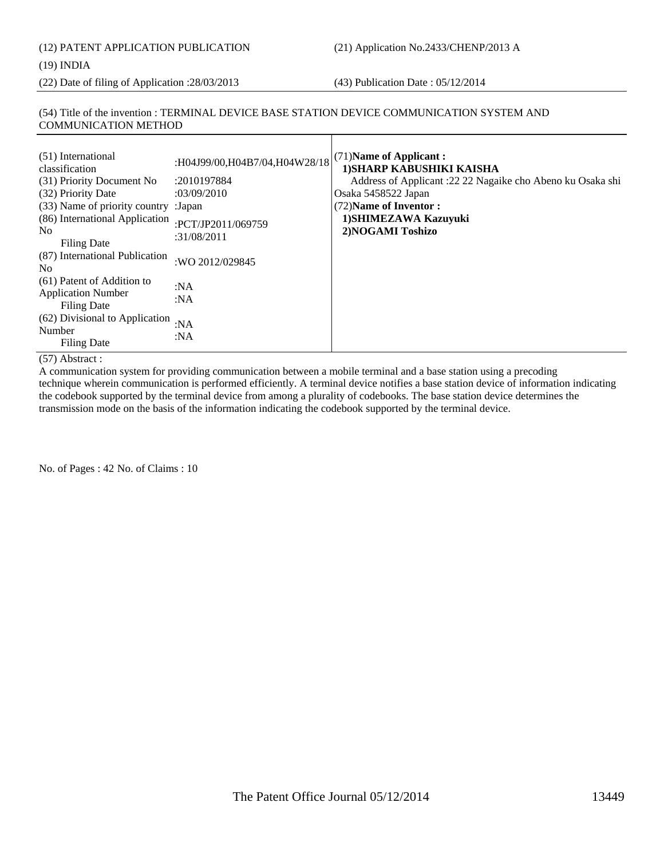(22) Date of filing of Application :28/03/2013 (43) Publication Date : 05/12/2014

#### (54) Title of the invention : TERMINAL DEVICE BASE STATION DEVICE COMMUNICATION SYSTEM AND COMMUNICATION METHOD

| (87) International Publication<br>:WO 2012/029845<br>N <sub>0</sub><br>(61) Patent of Addition to<br>:NA<br><b>Application Number</b><br>: $NA$<br><b>Filing Date</b><br>(62) Divisional to Application<br>:NA<br>Number<br>:NA<br><b>Filing Date</b> | (51) International<br>classification<br>(31) Priority Document No<br>(32) Priority Date<br>(33) Name of priority country : Japan<br>(86) International Application<br>N <sub>0</sub><br><b>Filing Date</b> | :H04J99/00,H04B7/04,H04W28/18<br>:2010197884<br>:03/09/2010<br>:PCT/JP2011/069759<br>:31/08/2011 | (71) Name of Applicant:<br>1) SHARP KABUSHIKI KAISHA<br>Address of Applicant :22 22 Nagaike cho Abeno ku Osaka shi<br>Osaka 5458522 Japan<br>(72) Name of Inventor:<br>1) SHIMEZAWA Kazuyuki<br>2)NOGAMI Toshizo |
|-------------------------------------------------------------------------------------------------------------------------------------------------------------------------------------------------------------------------------------------------------|------------------------------------------------------------------------------------------------------------------------------------------------------------------------------------------------------------|--------------------------------------------------------------------------------------------------|------------------------------------------------------------------------------------------------------------------------------------------------------------------------------------------------------------------|
|-------------------------------------------------------------------------------------------------------------------------------------------------------------------------------------------------------------------------------------------------------|------------------------------------------------------------------------------------------------------------------------------------------------------------------------------------------------------------|--------------------------------------------------------------------------------------------------|------------------------------------------------------------------------------------------------------------------------------------------------------------------------------------------------------------------|

## (57) Abstract :

A communication system for providing communication between a mobile terminal and a base station using a precoding

technique wherein communication is performed efficiently. A terminal device notifies a base station device of information indicating the codebook supported by the terminal device from among a plurality of codebooks. The base station device determines the transmission mode on the basis of the information indicating the codebook supported by the terminal device.

No. of Pages : 42 No. of Claims : 10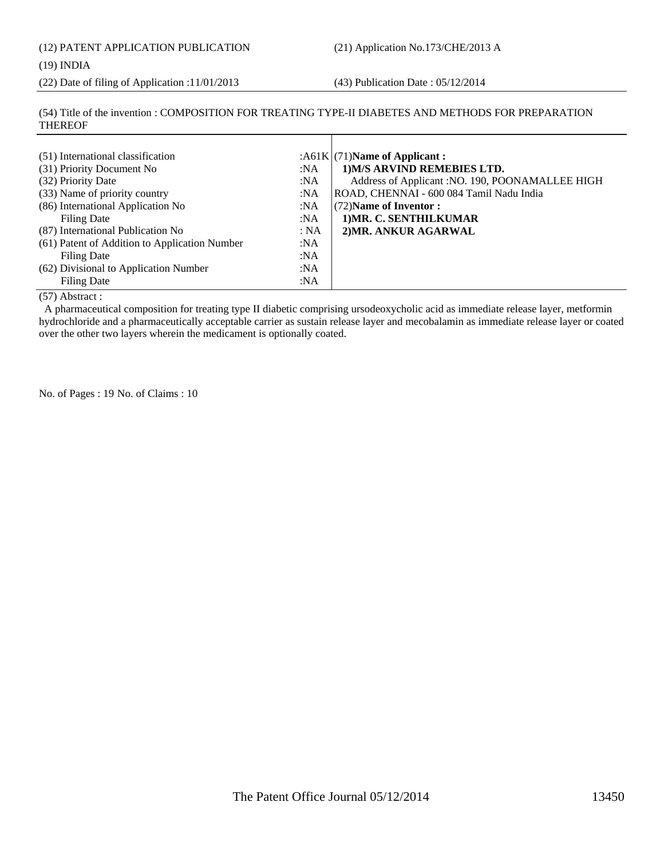## (12) PATENT APPLICATION PUBLICATION (21) Application No.173/CHE/2013 A

### (19) INDIA

(22) Date of filing of Application :11/01/2013 (43) Publication Date : 05/12/2014

(54) Title of the invention : COMPOSITION FOR TREATING TYPE-II DIABETES AND METHODS FOR PREPARATION THEREOF

| (51) International classification<br>(31) Priority Document No<br>(32) Priority Date<br>(33) Name of priority country<br>(86) International Application No               | :NA<br>:NA<br>:NA<br>:NA                | : $A61K(71)$ Name of Applicant :<br>1) M/S ARVIND REMEBIES LTD.<br>Address of Applicant : NO. 190, POONAMALLEE HIGH<br>ROAD, CHENNAI - 600 084 Tamil Nadu India<br>(72) Name of Inventor: |
|--------------------------------------------------------------------------------------------------------------------------------------------------------------------------|-----------------------------------------|-------------------------------------------------------------------------------------------------------------------------------------------------------------------------------------------|
| Filing Date<br>(87) International Publication No<br>(61) Patent of Addition to Application Number<br>Filing Date<br>(62) Divisional to Application Number<br>Filing Date | :NA<br>: NA<br>:NA<br>:NA<br>:NA<br>:NA | 1) MR. C. SENTHILKUMAR<br>2) MR. ANKUR AGARWAL                                                                                                                                            |

(57) Abstract :

 A pharmaceutical composition for treating type II diabetic comprising ursodeoxycholic acid as immediate release layer, metformin hydrochloride and a pharmaceutically acceptable carrier as sustain release layer and mecobalamin as immediate release layer or coated over the other two layers wherein the medicament is optionally coated.

No. of Pages : 19 No. of Claims : 10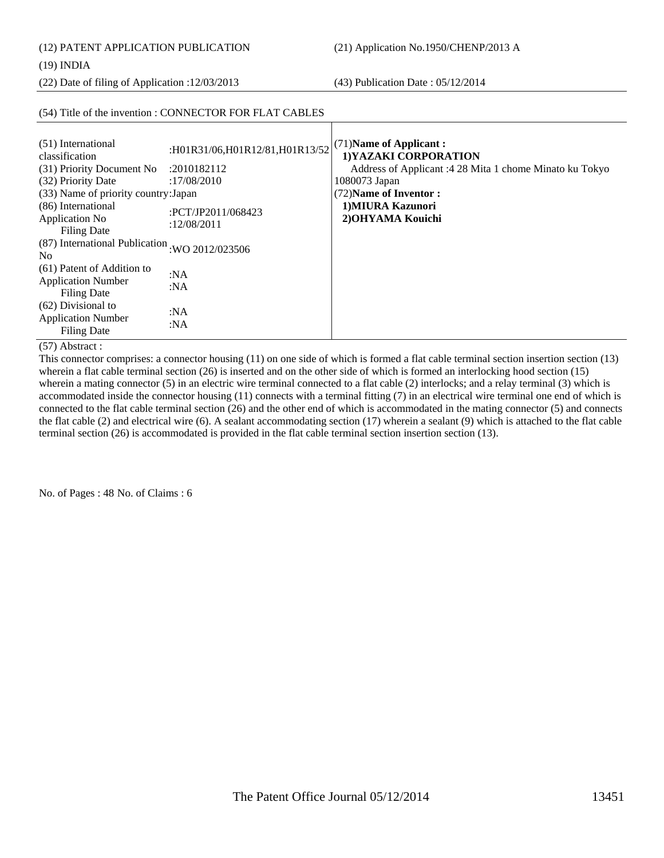(12) PATENT APPLICATION PUBLICATION (21) Application No.1950/CHENP/2013 A

#### (19) INDIA

(22) Date of filing of Application :12/03/2013 (43) Publication Date : 05/12/2014

#### (54) Title of the invention : CONNECTOR FOR FLAT CABLES

| (51) International                              |                                | (71) Name of Applicant:                                 |
|-------------------------------------------------|--------------------------------|---------------------------------------------------------|
| classification                                  | :H01R31/06,H01R12/81,H01R13/52 | 1) YAZAKI CORPORATION                                   |
| (31) Priority Document No                       | :2010182112                    | Address of Applicant :4 28 Mita 1 chome Minato ku Tokyo |
| (32) Priority Date                              | :17/08/2010                    | 1080073 Japan                                           |
| (33) Name of priority country: Japan            |                                | (72) Name of Inventor:                                  |
| (86) International                              | :PCT/JP2011/068423             | 1) MIURA Kazunori                                       |
| Application No                                  | :12/08/2011                    | 2) OHYAMA Kouichi                                       |
| <b>Filing Date</b>                              |                                |                                                         |
| (87) International Publication : WO 2012/023506 |                                |                                                         |
| N <sub>0</sub>                                  |                                |                                                         |
| (61) Patent of Addition to                      | :NA                            |                                                         |
| <b>Application Number</b>                       | :NA                            |                                                         |
| <b>Filing Date</b>                              |                                |                                                         |
| (62) Divisional to                              | :NA                            |                                                         |
| <b>Application Number</b>                       | :NA                            |                                                         |
| <b>Filing Date</b>                              |                                |                                                         |

(57) Abstract :

This connector comprises: a connector housing (11) on one side of which is formed a flat cable terminal section insertion section (13) wherein a flat cable terminal section (26) is inserted and on the other side of which is formed an interlocking hood section (15) wherein a mating connector (5) in an electric wire terminal connected to a flat cable (2) interlocks; and a relay terminal (3) which is accommodated inside the connector housing (11) connects with a terminal fitting (7) in an electrical wire terminal one end of which is connected to the flat cable terminal section (26) and the other end of which is accommodated in the mating connector (5) and connects the flat cable (2) and electrical wire (6). A sealant accommodating section (17) wherein a sealant (9) which is attached to the flat cable terminal section (26) is accommodated is provided in the flat cable terminal section insertion section (13).

No. of Pages : 48 No. of Claims : 6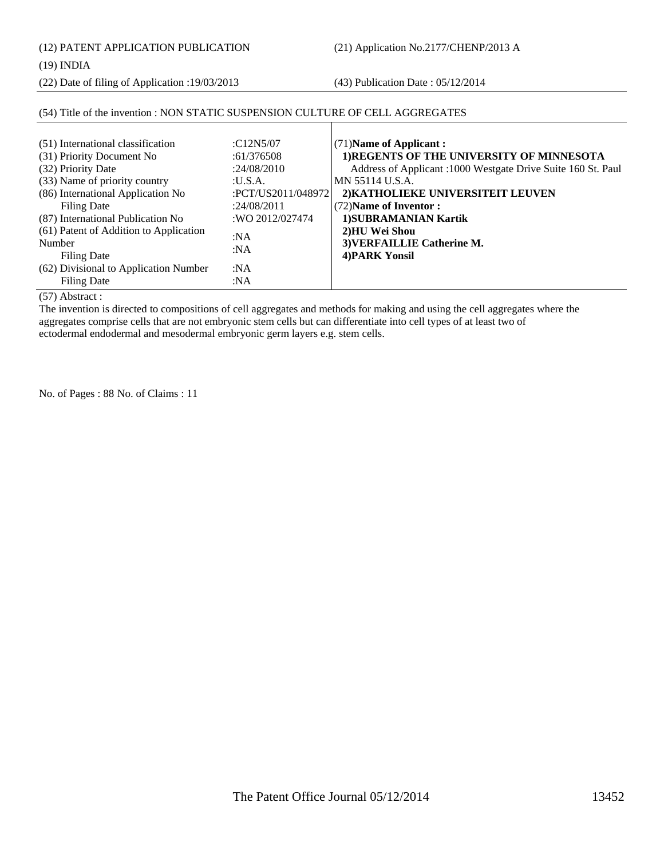(12) PATENT APPLICATION PUBLICATION (21) Application No.2177/CHENP/2013 A

(19) INDIA

(22) Date of filing of Application :19/03/2013 (43) Publication Date : 05/12/2014

#### (51) International classification :C12N5/07 (31) Priority Document No :61/376508 (32) Priority Date :24/08/2010 (33) Name of priority country :U.S.A. (86) International Application No Filing Date :PCT/US2011/048972 :24/08/2011 (87) International Publication No :WO 2012/027474 (61) Patent of Addition to Application Number Filing Date :NA :NA (62) Divisional to Application Number Filing Date :NA :NA (71)**Name of Applicant : 1)REGENTS OF THE UNIVERSITY OF MINNESOTA** Address of Applicant :1000 Westgate Drive Suite 160 St. Paul MN 55114 U.S.A.  **2)KATHOLIEKE UNIVERSITEIT LEUVEN** (72)**Name of Inventor : 1)SUBRAMANIAN Kartik 2)HU Wei Shou 3)VERFAILLIE Catherine M. 4)PARK Yonsil**

(57) Abstract :

The invention is directed to compositions of cell aggregates and methods for making and using the cell aggregates where the aggregates comprise cells that are not embryonic stem cells but can differentiate into cell types of at least two of ectodermal endodermal and mesodermal embryonic germ layers e.g. stem cells.

(54) Title of the invention : NON STATIC SUSPENSION CULTURE OF CELL AGGREGATES

No. of Pages : 88 No. of Claims : 11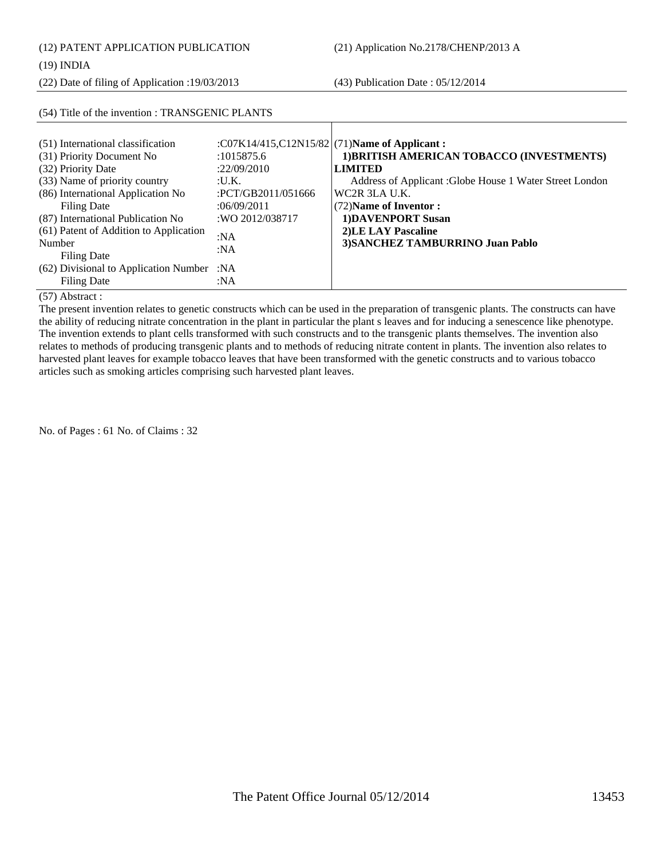(12) PATENT APPLICATION PUBLICATION (21) Application No.2178/CHENP/2013 A

(22) Date of filing of Application :19/03/2013 (43) Publication Date : 05/12/2014

### (54) Title of the invention : TRANSGENIC PLANTS

| (51) International classification          |                       | :C07K14/415,C12N15/82 (71)Name of Applicant :            |
|--------------------------------------------|-----------------------|----------------------------------------------------------|
| (31) Priority Document No                  | :1015875.6            | 1) BRITISH AMERICAN TOBACCO (INVESTMENTS)                |
| (32) Priority Date                         | :22/09/2010           | <b>LIMITED</b>                                           |
| (33) Name of priority country              | : <i>U.K.</i>         | Address of Applicant : Globe House 1 Water Street London |
| (86) International Application No          | : $PCT/GB2011/051666$ | WC <sub>2</sub> R 3LA U.K.                               |
| Filing Date                                | :06/09/2011           | (72) Name of Inventor:                                   |
| (87) International Publication No          | :WO 2012/038717       | <b>1)DAVENPORT Susan</b>                                 |
| (61) Patent of Addition to Application     | :NA                   | 2) LE LAY Pascaline                                      |
| Number                                     | :NA                   | 3) SANCHEZ TAMBURRINO Juan Pablo                         |
| Filing Date                                |                       |                                                          |
| (62) Divisional to Application Number : NA |                       |                                                          |
| <b>Filing Date</b>                         | :NA                   |                                                          |

(57) Abstract :

The present invention relates to genetic constructs which can be used in the preparation of transgenic plants. The constructs can have the ability of reducing nitrate concentration in the plant in particular the plant s leaves and for inducing a senescence like phenotype. The invention extends to plant cells transformed with such constructs and to the transgenic plants themselves. The invention also relates to methods of producing transgenic plants and to methods of reducing nitrate content in plants. The invention also relates to harvested plant leaves for example tobacco leaves that have been transformed with the genetic constructs and to various tobacco articles such as smoking articles comprising such harvested plant leaves.

No. of Pages : 61 No. of Claims : 32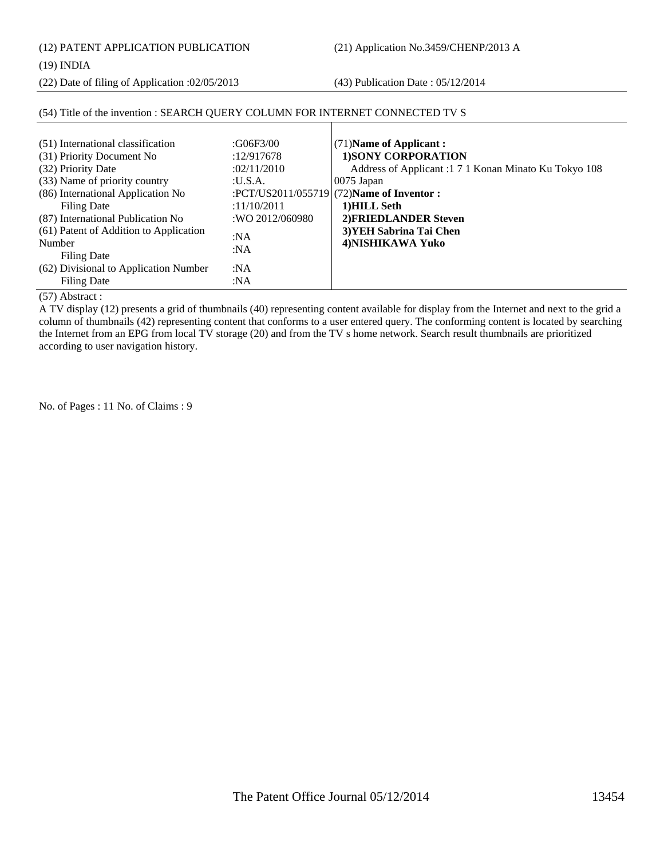(12) PATENT APPLICATION PUBLICATION (21) Application No.3459/CHENP/2013 A

(19) INDIA

(22) Date of filing of Application :02/05/2013 (43) Publication Date : 05/12/2014

### (54) Title of the invention : SEARCH QUERY COLUMN FOR INTERNET CONNECTED TV S

| (51) International classification<br>(31) Priority Document No<br>(32) Priority Date<br>(33) Name of priority country<br>(86) International Application No<br>Filing Date<br>(87) International Publication No<br>(61) Patent of Addition to Application<br>Number<br>Filing Date<br>(62) Divisional to Application Number<br>Filing Date | :G06F3/00<br>:12/917678<br>:02/11/2010<br>: <b>U.S.A.</b><br>:11/10/2011<br>:WO 2012/060980<br>:NA<br>:NA<br>:NA<br>:NA | (71) Name of Applicant:<br><b>1)SONY CORPORATION</b><br>Address of Applicant: 17 1 Konan Minato Ku Tokyo 108<br>$0075$ Japan<br>:PCT/US2011/055719 (72)Name of Inventor :<br>1)HILL Seth<br>2) FRIEDLANDER Steven<br>3) YEH Sabrina Tai Chen<br>4) NISHIKAWA Yuko |
|-------------------------------------------------------------------------------------------------------------------------------------------------------------------------------------------------------------------------------------------------------------------------------------------------------------------------------------------|-------------------------------------------------------------------------------------------------------------------------|-------------------------------------------------------------------------------------------------------------------------------------------------------------------------------------------------------------------------------------------------------------------|
|-------------------------------------------------------------------------------------------------------------------------------------------------------------------------------------------------------------------------------------------------------------------------------------------------------------------------------------------|-------------------------------------------------------------------------------------------------------------------------|-------------------------------------------------------------------------------------------------------------------------------------------------------------------------------------------------------------------------------------------------------------------|

#### (57) Abstract :

A TV display (12) presents a grid of thumbnails (40) representing content available for display from the Internet and next to the grid a column of thumbnails (42) representing content that conforms to a user entered query. The conforming content is located by searching the Internet from an EPG from local TV storage (20) and from the TV s home network. Search result thumbnails are prioritized according to user navigation history.

No. of Pages : 11 No. of Claims : 9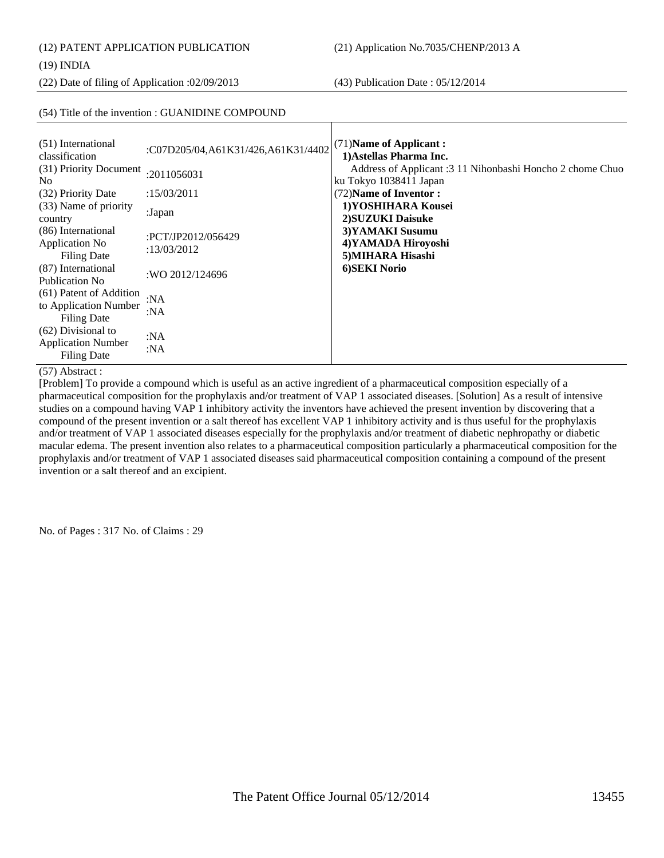(12) PATENT APPLICATION PUBLICATION (21) Application No.7035/CHENP/2013 A

#### (19) INDIA

(22) Date of filing of Application :02/09/2013 (43) Publication Date : 05/12/2014

#### (54) Title of the invention : GUANIDINE COMPOUND

| :NA<br><b>Application Number</b><br>:NA<br>Filing Date | (51) International<br>classification<br>(31) Priority Document<br>No.<br>(32) Priority Date<br>(33) Name of priority<br>country<br>(86) International<br>Application No<br><b>Filing Date</b><br>(87) International<br>Publication No<br>(61) Patent of Addition<br>to Application Number<br><b>Filing Date</b><br>(62) Divisional to | :C07D205/04,A61K31/426,A61K31/4402<br>:2011056031<br>:15/03/2011<br>:Japan<br>:PCT/JP2012/056429<br>:13/03/2012<br>:WO 2012/124696<br>:N $A$<br>:NA | (71) Name of Applicant:<br>1) Astellas Pharma Inc.<br>Address of Applicant: 3 11 Nihonbashi Honcho 2 chome Chuo<br>ku Tokyo 1038411 Japan<br>(72) Name of Inventor:<br>1)YOSHIHARA Kousei<br>2) SUZUKI Daisuke<br>3) YAMAKI Susumu<br>4) YAMADA Hiroyoshi<br>5) MIHARA Hisashi<br>6) SEKI Norio |
|--------------------------------------------------------|---------------------------------------------------------------------------------------------------------------------------------------------------------------------------------------------------------------------------------------------------------------------------------------------------------------------------------------|-----------------------------------------------------------------------------------------------------------------------------------------------------|-------------------------------------------------------------------------------------------------------------------------------------------------------------------------------------------------------------------------------------------------------------------------------------------------|
|--------------------------------------------------------|---------------------------------------------------------------------------------------------------------------------------------------------------------------------------------------------------------------------------------------------------------------------------------------------------------------------------------------|-----------------------------------------------------------------------------------------------------------------------------------------------------|-------------------------------------------------------------------------------------------------------------------------------------------------------------------------------------------------------------------------------------------------------------------------------------------------|

#### (57) Abstract :

[Problem] To provide a compound which is useful as an active ingredient of a pharmaceutical composition especially of a pharmaceutical composition for the prophylaxis and/or treatment of VAP 1 associated diseases. [Solution] As a result of intensive studies on a compound having VAP 1 inhibitory activity the inventors have achieved the present invention by discovering that a compound of the present invention or a salt thereof has excellent VAP 1 inhibitory activity and is thus useful for the prophylaxis and/or treatment of VAP 1 associated diseases especially for the prophylaxis and/or treatment of diabetic nephropathy or diabetic macular edema. The present invention also relates to a pharmaceutical composition particularly a pharmaceutical composition for the prophylaxis and/or treatment of VAP 1 associated diseases said pharmaceutical composition containing a compound of the present invention or a salt thereof and an excipient.

No. of Pages : 317 No. of Claims : 29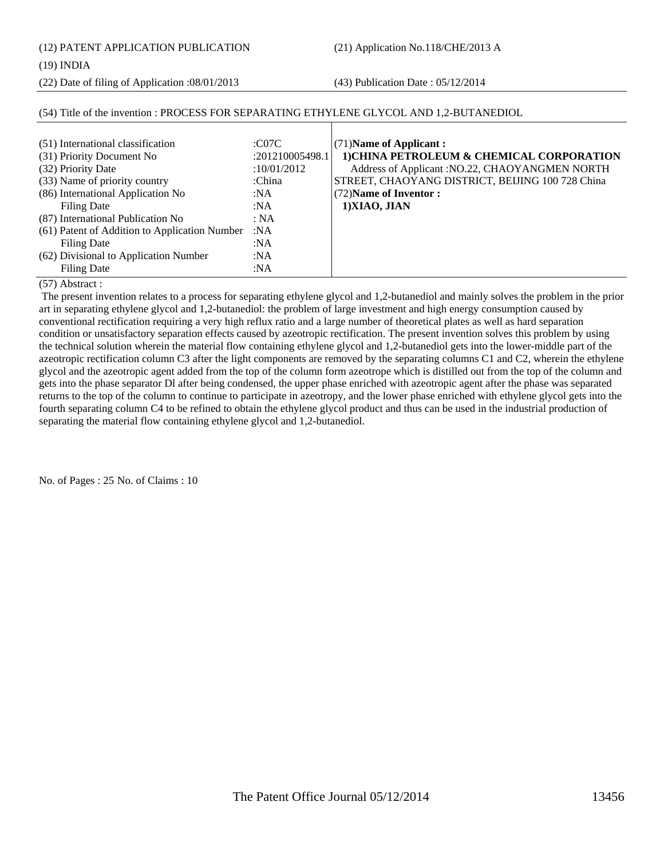(12) PATENT APPLICATION PUBLICATION (21) Application No.118/CHE/2013 A

### (19) INDIA

(22) Date of filing of Application :08/01/2013 (43) Publication Date : 05/12/2014

| (51) International classification                 | :C07C           | $(71)$ Name of Applicant:                        |
|---------------------------------------------------|-----------------|--------------------------------------------------|
| (31) Priority Document No                         | :201210005498.1 | 1) CHINA PETROLEUM & CHEMICAL CORPORATION        |
| (32) Priority Date                                | :10/01/2012     | Address of Applicant : NO.22, CHAOYANGMEN NORTH  |
| (33) Name of priority country                     | :China          | STREET, CHAOYANG DISTRICT, BEIJING 100 728 China |
| (86) International Application No                 | :NA             | (72) Name of Inventor:                           |
| <b>Filing Date</b>                                | :NA             | 1)XIAO, JIAN                                     |
| (87) International Publication No                 | : NA            |                                                  |
| (61) Patent of Addition to Application Number :NA |                 |                                                  |
| <b>Filing Date</b>                                | :NA             |                                                  |
| (62) Divisional to Application Number             | :NA             |                                                  |
| <b>Filing Date</b>                                | :NA             |                                                  |

#### (54) Title of the invention : PROCESS FOR SEPARATING ETHYLENE GLYCOL AND 1,2-BUTANEDIOL

(57) Abstract :

 The present invention relates to a process for separating ethylene glycol and 1,2-butanediol and mainly solves the problem in the prior art in separating ethylene glycol and 1,2-butanediol: the problem of large investment and high energy consumption caused by conventional rectification requiring a very high reflux ratio and a large number of theoretical plates as well as hard separation condition or unsatisfactory separation effects caused by azeotropic rectification. The present invention solves this problem by using the technical solution wherein the material flow containing ethylene glycol and 1,2-butanediol gets into the lower-middle part of the azeotropic rectification column C3 after the light components are removed by the separating columns C1 and C2, wherein the ethylene glycol and the azeotropic agent added from the top of the column form azeotrope which is distilled out from the top of the column and gets into the phase separator Dl after being condensed, the upper phase enriched with azeotropic agent after the phase was separated returns to the top of the column to continue to participate in azeotropy, and the lower phase enriched with ethylene glycol gets into the fourth separating column C4 to be refined to obtain the ethylene glycol product and thus can be used in the industrial production of separating the material flow containing ethylene glycol and 1,2-butanediol.

No. of Pages : 25 No. of Claims : 10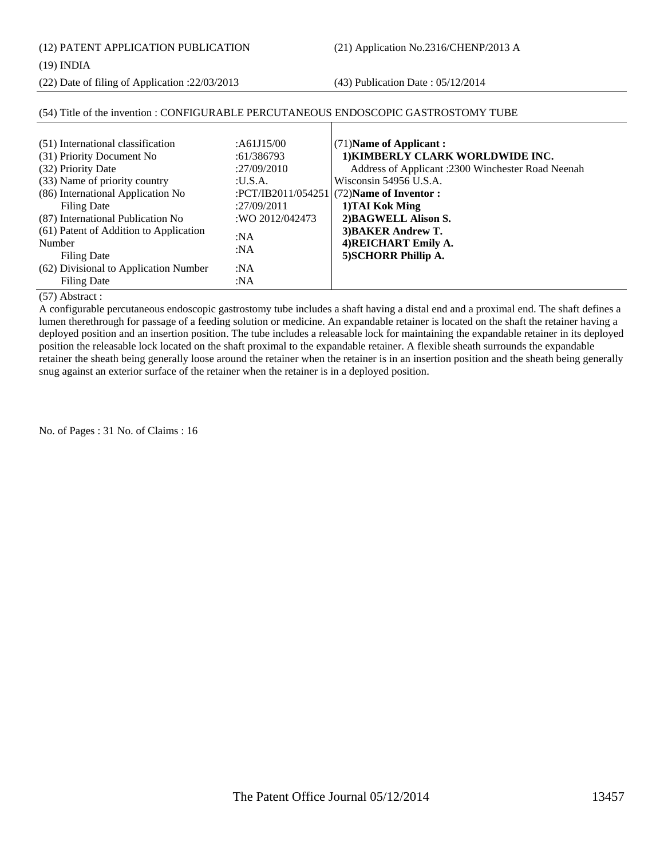(12) PATENT APPLICATION PUBLICATION (21) Application No.2316/CHENP/2013 A

(19) INDIA

(22) Date of filing of Application :22/03/2013 (43) Publication Date : 05/12/2014

#### (54) Title of the invention : CONFIGURABLE PERCUTANEOUS ENDOSCOPIC GASTROSTOMY TUBE (51) International classification :A61J15/00 (31) Priority Document No :61/386793 (32) Priority Date :27/09/2010 (33) Name of priority country :U.S.A. (86) International Application No Filing Date :PCT/IB2011/054251 :27/09/2011 (87) International Publication No :WO 2012/042473 (61) Patent of Addition to Application Number Filing Date :NA :NA (62) Divisional to Application Number Filing Date :NA :NA (71)**Name of Applicant : 1)KIMBERLY CLARK WORLDWIDE INC.** Address of Applicant :2300 Winchester Road Neenah Wisconsin 54956 U.S.A. (72)**Name of Inventor : 1)TAI Kok Ming 2)BAGWELL Alison S. 3)BAKER Andrew T. 4)REICHART Emily A. 5)SCHORR Phillip A.**

#### (57) Abstract :

A configurable percutaneous endoscopic gastrostomy tube includes a shaft having a distal end and a proximal end. The shaft defines a lumen therethrough for passage of a feeding solution or medicine. An expandable retainer is located on the shaft the retainer having a deployed position and an insertion position. The tube includes a releasable lock for maintaining the expandable retainer in its deployed position the releasable lock located on the shaft proximal to the expandable retainer. A flexible sheath surrounds the expandable retainer the sheath being generally loose around the retainer when the retainer is in an insertion position and the sheath being generally snug against an exterior surface of the retainer when the retainer is in a deployed position.

No. of Pages : 31 No. of Claims : 16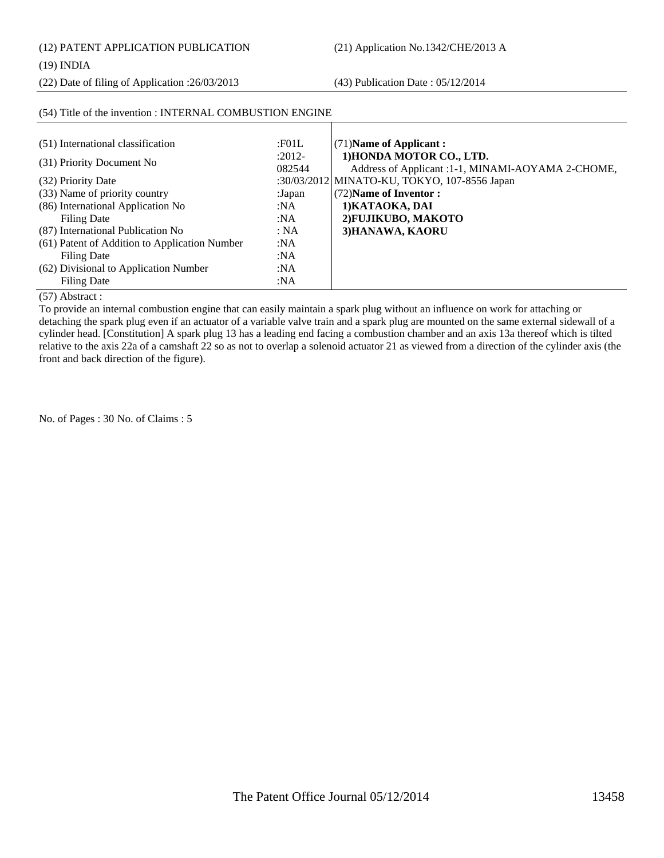(12) PATENT APPLICATION PUBLICATION (21) Application No.1342/CHE/2013 A

(22) Date of filing of Application :26/03/2013 (43) Publication Date : 05/12/2014

| (54) Title of the invention : INTERNAL COMBUSTION ENGINE |          |                                                   |
|----------------------------------------------------------|----------|---------------------------------------------------|
|                                                          |          |                                                   |
| (51) International classification                        | :F01L    | (71) Name of Applicant:                           |
| (31) Priority Document No                                | $:2012-$ | 1) HONDA MOTOR CO., LTD.                          |
|                                                          | 082544   | Address of Applicant :1-1, MINAMI-AOYAMA 2-CHOME, |
| (32) Priority Date                                       |          | :30/03/2012 MINATO-KU, TOKYO, 107-8556 Japan      |
| (33) Name of priority country                            | :Japan   | (72) Name of Inventor:                            |
| (86) International Application No                        | :NA      | 1) KATAOKA, DAI                                   |
| <b>Filing Date</b>                                       | :NA      | 2) FUJIKUBO, MAKOTO                               |
| (87) International Publication No                        | : NA     | 3) HANAWA, KAORU                                  |
| (61) Patent of Addition to Application Number            | :NA      |                                                   |
| Filing Date                                              | :NA      |                                                   |
| (62) Divisional to Application Number                    | :NA      |                                                   |
| <b>Filing Date</b>                                       | :NA      |                                                   |

#### (57) Abstract :

To provide an internal combustion engine that can easily maintain a spark plug without an influence on work for attaching or detaching the spark plug even if an actuator of a variable valve train and a spark plug are mounted on the same external sidewall of a cylinder head. [Constitution] A spark plug 13 has a leading end facing a combustion chamber and an axis 13a thereof which is tilted relative to the axis 22a of a camshaft 22 so as not to overlap a solenoid actuator 21 as viewed from a direction of the cylinder axis (the front and back direction of the figure).

No. of Pages : 30 No. of Claims : 5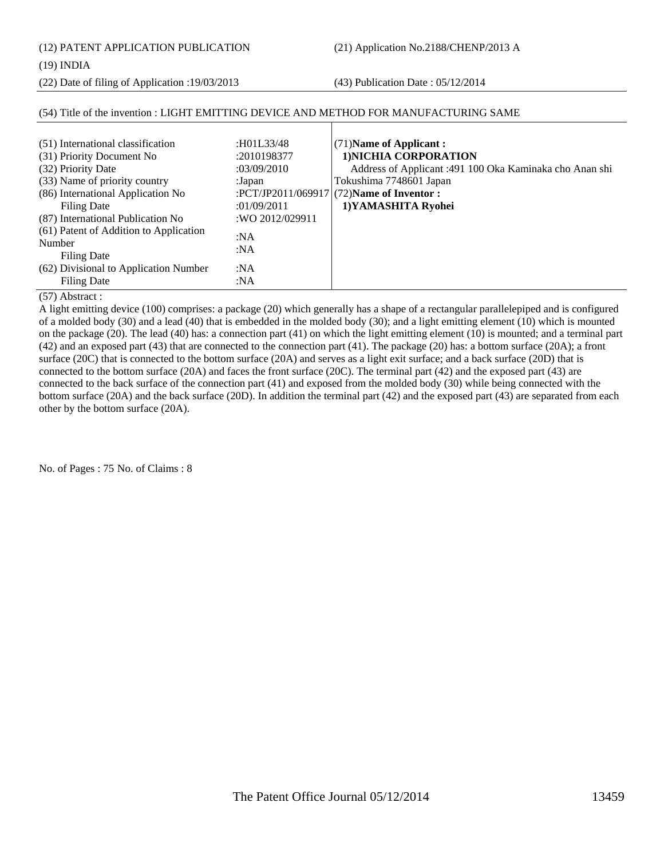(12) PATENT APPLICATION PUBLICATION (21) Application No.2188/CHENP/2013 A

#### (19) INDIA

(22) Date of filing of Application :19/03/2013 (43) Publication Date : 05/12/2014

| (51) International classification<br>(31) Priority Document No<br>(32) Priority Date<br>(33) Name of priority country<br>(86) International Application No<br>Filing Date<br>(87) International Publication No<br>(61) Patent of Addition to Application<br>Number<br>Filing Date<br>(62) Divisional to Application Number<br>Filing Date | :H01L33/48<br>:2010198377<br>:03/09/2010<br>:Japan<br>:01/09/2011<br>:WO 2012/029911<br>:NA<br>:NA<br>:NA<br>:NA | (71) Name of Applicant:<br>1) NICHIA CORPORATION<br>Address of Applicant : 491 100 Oka Kaminaka cho Anan shi<br>Tokushima 7748601 Japan<br>:PCT/JP2011/069917 (72) Name of Inventor :<br>1) YAMASHITA Ryohei |
|-------------------------------------------------------------------------------------------------------------------------------------------------------------------------------------------------------------------------------------------------------------------------------------------------------------------------------------------|------------------------------------------------------------------------------------------------------------------|--------------------------------------------------------------------------------------------------------------------------------------------------------------------------------------------------------------|
|-------------------------------------------------------------------------------------------------------------------------------------------------------------------------------------------------------------------------------------------------------------------------------------------------------------------------------------------|------------------------------------------------------------------------------------------------------------------|--------------------------------------------------------------------------------------------------------------------------------------------------------------------------------------------------------------|

#### (54) Title of the invention : LIGHT EMITTING DEVICE AND METHOD FOR MANUFACTURING SAME

#### (57) Abstract :

A light emitting device (100) comprises: a package (20) which generally has a shape of a rectangular parallelepiped and is configured of a molded body (30) and a lead (40) that is embedded in the molded body (30); and a light emitting element (10) which is mounted on the package (20). The lead (40) has: a connection part (41) on which the light emitting element (10) is mounted; and a terminal part (42) and an exposed part (43) that are connected to the connection part (41). The package (20) has: a bottom surface (20A); a front surface (20C) that is connected to the bottom surface (20A) and serves as a light exit surface; and a back surface (20D) that is connected to the bottom surface (20A) and faces the front surface (20C). The terminal part (42) and the exposed part (43) are connected to the back surface of the connection part (41) and exposed from the molded body (30) while being connected with the bottom surface (20A) and the back surface (20D). In addition the terminal part (42) and the exposed part (43) are separated from each other by the bottom surface (20A).

No. of Pages : 75 No. of Claims : 8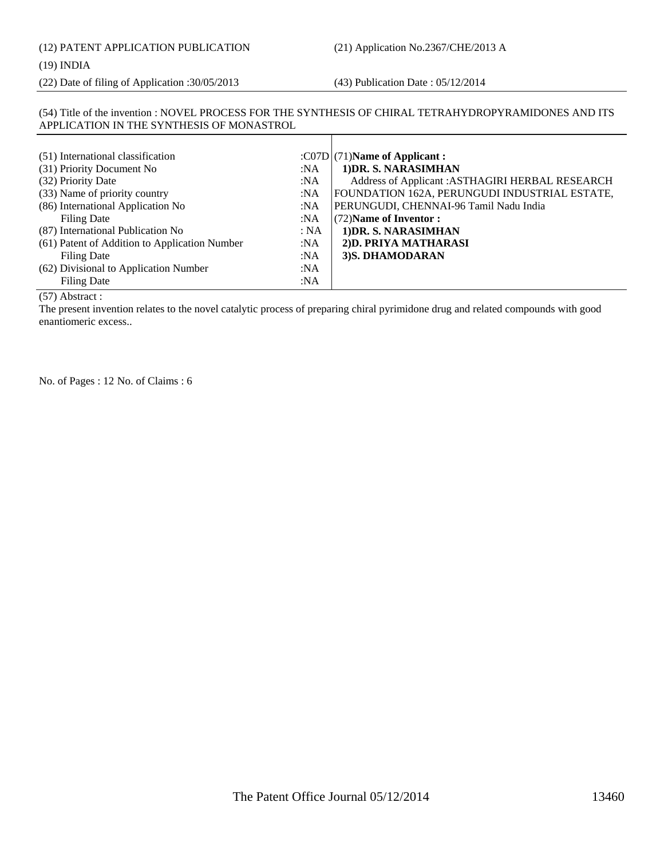# (12) PATENT APPLICATION PUBLICATION (21) Application No.2367/CHE/2013 A

### (19) INDIA

(22) Date of filing of Application :30/05/2013 (43) Publication Date : 05/12/2014

## (54) Title of the invention : NOVEL PROCESS FOR THE SYNTHESIS OF CHIRAL TETRAHYDROPYRAMIDONES AND ITS APPLICATION IN THE SYNTHESIS OF MONASTROL

| (51) International classification<br>(31) Priority Document No<br>(32) Priority Date<br>(33) Name of priority country<br>(86) International Application No<br>Filing Date<br>(87) International Publication No | :NA<br>:NA<br>:NA<br>:NA<br>:NA<br>: NA | : $\text{C07D}$ (71)Name of Applicant :<br>1) DR. S. NARASIMHAN<br>Address of Applicant : ASTHAGIRI HERBAL RESEARCH<br>FOUNDATION 162A, PERUNGUDI INDUSTRIAL ESTATE,<br>PERUNGUDI, CHENNAI-96 Tamil Nadu India<br>$(72)$ Name of Inventor:<br>1) DR. S. NARASIMHAN |
|----------------------------------------------------------------------------------------------------------------------------------------------------------------------------------------------------------------|-----------------------------------------|--------------------------------------------------------------------------------------------------------------------------------------------------------------------------------------------------------------------------------------------------------------------|
| (61) Patent of Addition to Application Number<br>Filing Date<br>(62) Divisional to Application Number<br>Filing Date                                                                                           | :NA<br>:NA<br>:NA<br>:NA                | 2) D. PRIYA MATHARASI<br>3) S. DHAMODARAN                                                                                                                                                                                                                          |

(57) Abstract :

The present invention relates to the novel catalytic process of preparing chiral pyrimidone drug and related compounds with good enantiomeric excess..

No. of Pages : 12 No. of Claims : 6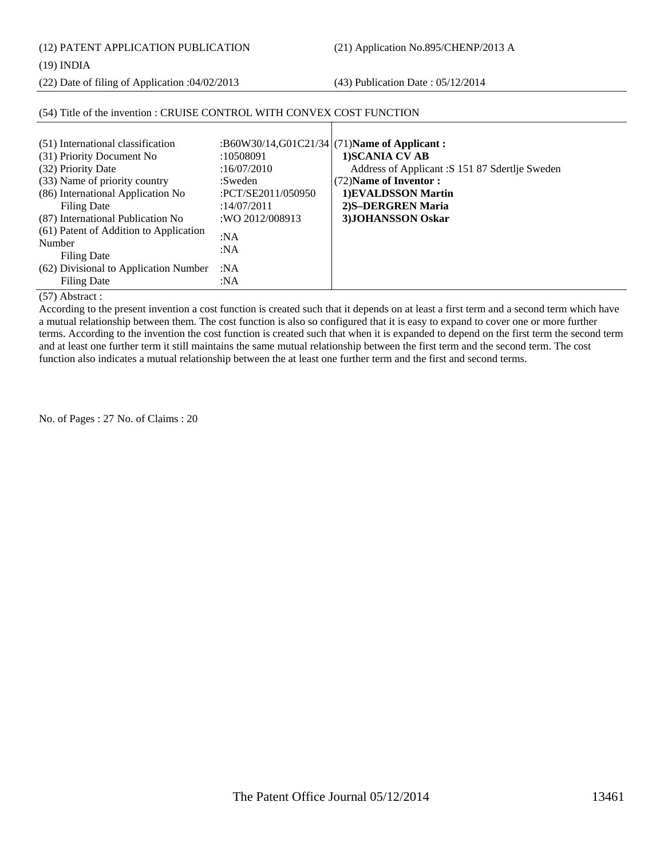(12) PATENT APPLICATION PUBLICATION (21) Application No.895/CHENP/2013 A

(19) INDIA

(22) Date of filing of Application :04/02/2013 (43) Publication Date : 05/12/2014

| (51) International classification<br>(31) Priority Document No<br>(32) Priority Date<br>(33) Name of priority country<br>(86) International Application No<br>Filing Date | :10508091<br>:16/07/2010<br>:Sweden<br>:PCT/SE2011/050950<br>:14/07/2011 | :B60W30/14,G01C21/34 (71)Name of Applicant:<br>1) SCANIA CV AB<br>Address of Applicant: S 151 87 Sdertlje Sweden<br>(72) Name of Inventor:<br>1) EVALDSSON Martin<br>2) S-DERGREN Maria |
|---------------------------------------------------------------------------------------------------------------------------------------------------------------------------|--------------------------------------------------------------------------|-----------------------------------------------------------------------------------------------------------------------------------------------------------------------------------------|
| (87) International Publication No<br>(61) Patent of Addition to Application<br>Number<br>Filing Date<br>(62) Divisional to Application Number<br>Filing Date              | :WO 2012/008913<br>:NA<br>:NA<br>:NA<br>:NA                              | 3) JOHANSSON Oskar                                                                                                                                                                      |

#### (54) Title of the invention : CRUISE CONTROL WITH CONVEX COST FUNCTION

(57) Abstract :

According to the present invention a cost function is created such that it depends on at least a first term and a second term which have a mutual relationship between them. The cost function is also so configured that it is easy to expand to cover one or more further terms. According to the invention the cost function is created such that when it is expanded to depend on the first term the second term and at least one further term it still maintains the same mutual relationship between the first term and the second term. The cost function also indicates a mutual relationship between the at least one further term and the first and second terms.

No. of Pages : 27 No. of Claims : 20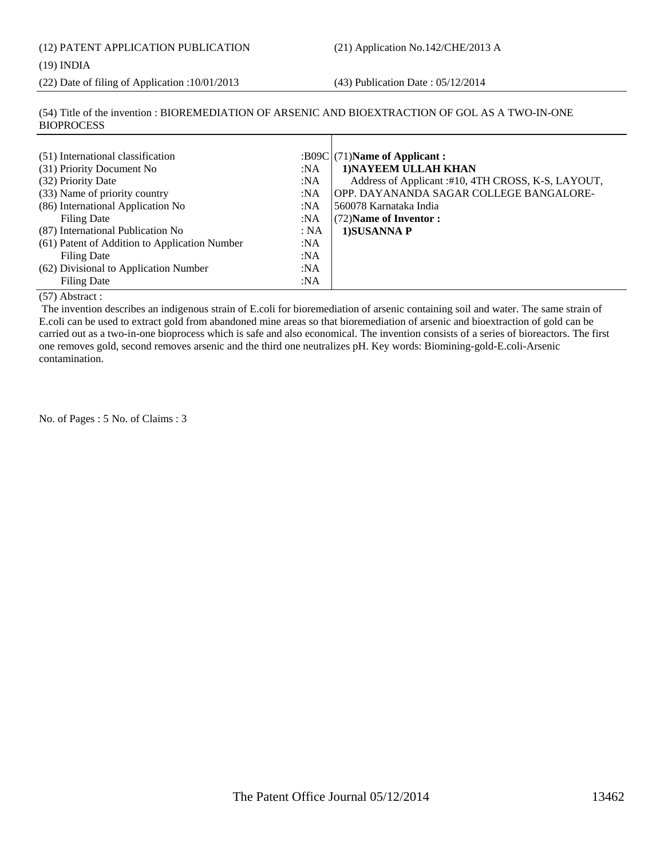(12) PATENT APPLICATION PUBLICATION (21) Application No.142/CHE/2013 A

#### (19) INDIA

(22) Date of filing of Application :10/01/2013 (43) Publication Date : 05/12/2014

(54) Title of the invention : BIOREMEDIATION OF ARSENIC AND BIOEXTRACTION OF GOL AS A TWO-IN-ONE **BIOPROCESS** 

| (51) International classification<br>(31) Priority Document No | :NA  | :B09C $(71)$ Name of Applicant:<br>1) NAYEEM ULLAH KHAN |
|----------------------------------------------------------------|------|---------------------------------------------------------|
| (32) Priority Date                                             | :NA  | Address of Applicant:#10, 4TH CROSS, K-S, LAYOUT,       |
| (33) Name of priority country                                  | :NA  | OPP. DAYANANDA SAGAR COLLEGE BANGALORE-                 |
| (86) International Application No                              | :NA  | 560078 Karnataka India                                  |
| Filing Date                                                    | :NA  | (72) Name of Inventor:                                  |
| (87) International Publication No                              | : NA | 1) SUSANNA P                                            |
| (61) Patent of Addition to Application Number                  | :NA  |                                                         |
| Filing Date                                                    | :NA  |                                                         |
| (62) Divisional to Application Number                          | :NA  |                                                         |
| Filing Date                                                    | :NA  |                                                         |

 $\mathbf{I}$ 

(57) Abstract :

 The invention describes an indigenous strain of E.coli for bioremediation of arsenic containing soil and water. The same strain of E.coli can be used to extract gold from abandoned mine areas so that bioremediation of arsenic and bioextraction of gold can be carried out as a two-in-one bioprocess which is safe and also economical. The invention consists of a series of bioreactors. The first one removes gold, second removes arsenic and the third one neutralizes pH. Key words: Biomining-gold-E.coli-Arsenic contamination.

No. of Pages : 5 No. of Claims : 3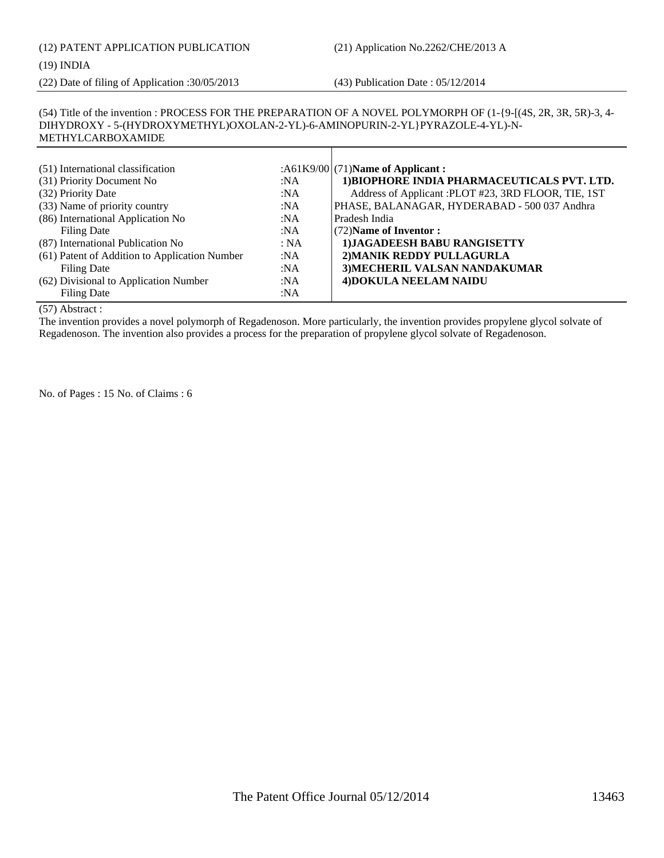# (12) PATENT APPLICATION PUBLICATION (21) Application No.2262/CHE/2013 A

### (19) INDIA

(22) Date of filing of Application :30/05/2013 (43) Publication Date : 05/12/2014

(54) Title of the invention : PROCESS FOR THE PREPARATION OF A NOVEL POLYMORPH OF (1-{9-[(4S, 2R, 3R, 5R)-3, 4- DIHYDROXY - 5-(HYDROXYMETHYL)OXOLAN-2-YL)-6-AMINOPURIN-2-YL}PYRAZOLE-4-YL)-N-METHYLCARBOXAMIDE

| (51) International classification             |      | : $A61K9/00$ (71)Name of Applicant:                  |
|-----------------------------------------------|------|------------------------------------------------------|
| (31) Priority Document No                     | :NA  | 1) BIOPHORE INDIA PHARMACEUTICALS PVT. LTD.          |
| (32) Priority Date                            | :NA  | Address of Applicant : PLOT #23, 3RD FLOOR, TIE, 1ST |
| (33) Name of priority country                 | :NA  | PHASE, BALANAGAR, HYDERABAD - 500 037 Andhra         |
| (86) International Application No             | :NA  | Pradesh India                                        |
| <b>Filing Date</b>                            | :NA  | (72) Name of Inventor:                               |
| (87) International Publication No             | : NA | 1) JAGADEESH BABU RANGISETTY                         |
| (61) Patent of Addition to Application Number | :NA  | 2) MANIK REDDY PULLAGURLA                            |
| Filing Date                                   | :NA  | 3) MECHERIL VALSAN NANDAKUMAR                        |
| (62) Divisional to Application Number         | :NA  | 4) DOKULA NEELAM NAIDU                               |
| <b>Filing Date</b>                            | :NA  |                                                      |

(57) Abstract :

The invention provides a novel polymorph of Regadenoson. More particularly, the invention provides propylene glycol solvate of Regadenoson. The invention also provides a process for the preparation of propylene glycol solvate of Regadenoson.

No. of Pages : 15 No. of Claims : 6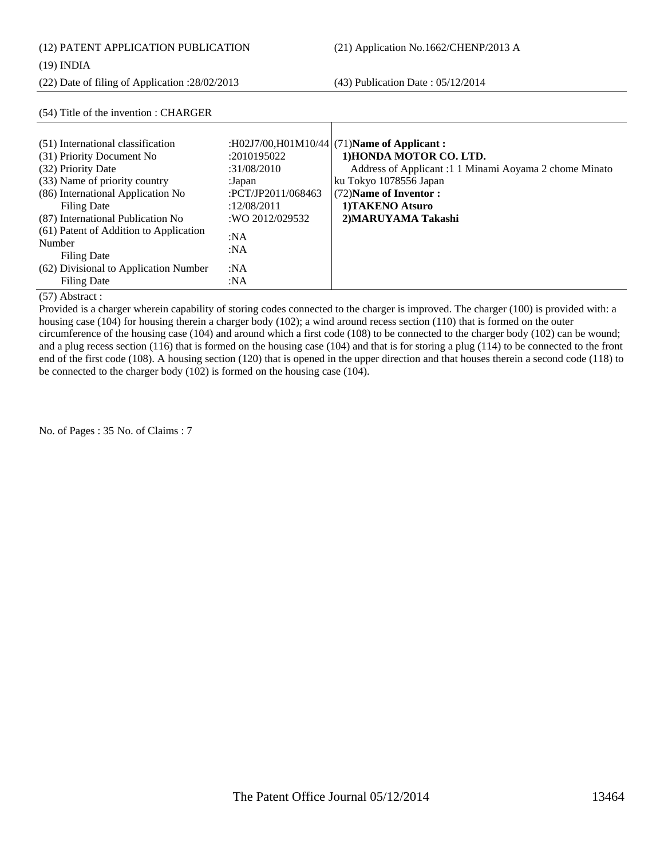(12) PATENT APPLICATION PUBLICATION (21) Application No.1662/CHENP/2013 A

(22) Date of filing of Application :28/02/2013 (43) Publication Date : 05/12/2014

(54) Title of the invention : CHARGER

| (51) International classification      |                    | :H02J7/00,H01M10/44 $(71)$ Name of Applicant :         |
|----------------------------------------|--------------------|--------------------------------------------------------|
| (31) Priority Document No              | :2010195022        | 1) HONDA MOTOR CO. LTD.                                |
| (32) Priority Date                     | :31/08/2010        | Address of Applicant :1 1 Minami Aoyama 2 chome Minato |
| (33) Name of priority country          | :Japan             | ku Tokyo 1078556 Japan                                 |
| (86) International Application No      | :PCT/JP2011/068463 | (72) Name of Inventor:                                 |
| <b>Filing Date</b>                     | :12/08/2011        | 1) TAKENO Atsuro                                       |
| (87) International Publication No      | :WO 2012/029532    | 2) MARUYAMA Takashi                                    |
| (61) Patent of Addition to Application | :NA                |                                                        |
| Number                                 | :NA                |                                                        |
| Filing Date                            |                    |                                                        |
| (62) Divisional to Application Number  | :NA                |                                                        |
| Filing Date                            | :N $A$             |                                                        |

#### (57) Abstract :

Provided is a charger wherein capability of storing codes connected to the charger is improved. The charger (100) is provided with: a housing case (104) for housing therein a charger body (102); a wind around recess section (110) that is formed on the outer circumference of the housing case (104) and around which a first code (108) to be connected to the charger body (102) can be wound; and a plug recess section (116) that is formed on the housing case (104) and that is for storing a plug (114) to be connected to the front end of the first code (108). A housing section (120) that is opened in the upper direction and that houses therein a second code (118) to be connected to the charger body (102) is formed on the housing case (104).

No. of Pages : 35 No. of Claims : 7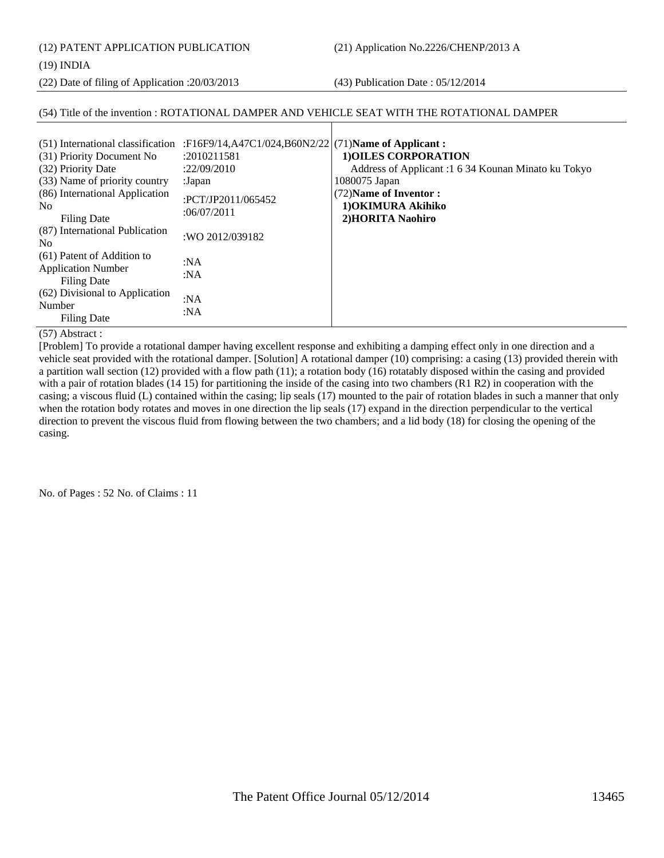(12) PATENT APPLICATION PUBLICATION (21) Application No.2226/CHENP/2013 A

(19) INDIA

(22) Date of filing of Application :20/03/2013 (43) Publication Date : 05/12/2014

### (54) Title of the invention : ROTATIONAL DAMPER AND VEHICLE SEAT WITH THE ROTATIONAL DAMPER

| (51) International classification<br>(31) Priority Document No<br>(32) Priority Date<br>(33) Name of priority country<br>(86) International Application<br>N <sub>0</sub><br><b>Filing Date</b><br>(87) International Publication<br>N <sub>o</sub><br>(61) Patent of Addition to | :F16F9/14,A47C1/024,B60N2/22 $(71)$ Name of Applicant:<br>:2010211581<br>:22/09/2010<br>:Japan<br>:PCT/JP2011/065452<br>:06/07/2011<br>:WO 2012/039182<br>:NA | 1) OILES CORPORATION<br>Address of Applicant :1 6 34 Kounan Minato ku Tokyo<br>1080075 Japan<br>(72) Name of Inventor:<br>1) OKIMURA Akihiko<br>2)HORITA Naohiro |
|-----------------------------------------------------------------------------------------------------------------------------------------------------------------------------------------------------------------------------------------------------------------------------------|---------------------------------------------------------------------------------------------------------------------------------------------------------------|------------------------------------------------------------------------------------------------------------------------------------------------------------------|
| <b>Application Number</b><br>Filing Date                                                                                                                                                                                                                                          | : $NA$                                                                                                                                                        |                                                                                                                                                                  |
| (62) Divisional to Application<br>Number<br><b>Filing Date</b>                                                                                                                                                                                                                    | :NA<br>:NA                                                                                                                                                    |                                                                                                                                                                  |

(57) Abstract :

[Problem] To provide a rotational damper having excellent response and exhibiting a damping effect only in one direction and a vehicle seat provided with the rotational damper. [Solution] A rotational damper (10) comprising: a casing (13) provided therein with a partition wall section (12) provided with a flow path (11); a rotation body (16) rotatably disposed within the casing and provided with a pair of rotation blades (14 15) for partitioning the inside of the casing into two chambers (R1 R2) in cooperation with the casing; a viscous fluid (L) contained within the casing; lip seals (17) mounted to the pair of rotation blades in such a manner that only when the rotation body rotates and moves in one direction the lip seals (17) expand in the direction perpendicular to the vertical direction to prevent the viscous fluid from flowing between the two chambers; and a lid body (18) for closing the opening of the casing.

No. of Pages : 52 No. of Claims : 11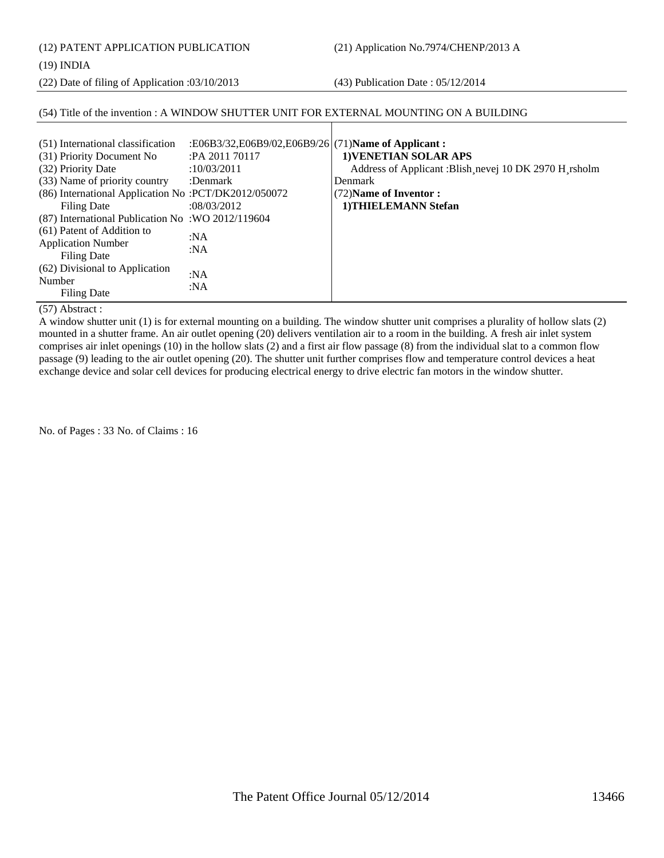(12) PATENT APPLICATION PUBLICATION (21) Application No.7974/CHENP/2013 A

(19) INDIA

(22) Date of filing of Application :03/10/2013 (43) Publication Date : 05/12/2014

#### (54) Title of the invention : A WINDOW SHUTTER UNIT FOR EXTERNAL MOUNTING ON A BUILDING

| (51) International classification<br>(31) Priority Document No<br>(32) Priority Date | :E06B3/32,E06B9/02,E06B9/26 (71)Name of Applicant:<br>:PA 2011 70117<br>:10/03/2011 | 1) VENETIAN SOLAR APS<br>Address of Applicant: Blish nevel 10 DK 2970 H rsholm |
|--------------------------------------------------------------------------------------|-------------------------------------------------------------------------------------|--------------------------------------------------------------------------------|
| (33) Name of priority country                                                        | :Denmark                                                                            | <b>Denmark</b>                                                                 |
| (86) International Application No: PCT/DK2012/050072                                 |                                                                                     | (72) Name of Inventor:                                                         |
| <b>Filing Date</b>                                                                   | :08/03/2012                                                                         | 1) THIELEMANN Stefan                                                           |
| (87) International Publication No : WO 2012/119604                                   |                                                                                     |                                                                                |
| (61) Patent of Addition to<br><b>Application Number</b><br>Filing Date               | :NA<br>:NA                                                                          |                                                                                |
| (62) Divisional to Application<br>Number<br>Filing Date                              | :NA<br>:NA                                                                          |                                                                                |

#### (57) Abstract :

A window shutter unit (1) is for external mounting on a building. The window shutter unit comprises a plurality of hollow slats (2) mounted in a shutter frame. An air outlet opening (20) delivers ventilation air to a room in the building. A fresh air inlet system comprises air inlet openings (10) in the hollow slats (2) and a first air flow passage (8) from the individual slat to a common flow passage (9) leading to the air outlet opening (20). The shutter unit further comprises flow and temperature control devices a heat exchange device and solar cell devices for producing electrical energy to drive electric fan motors in the window shutter.

No. of Pages : 33 No. of Claims : 16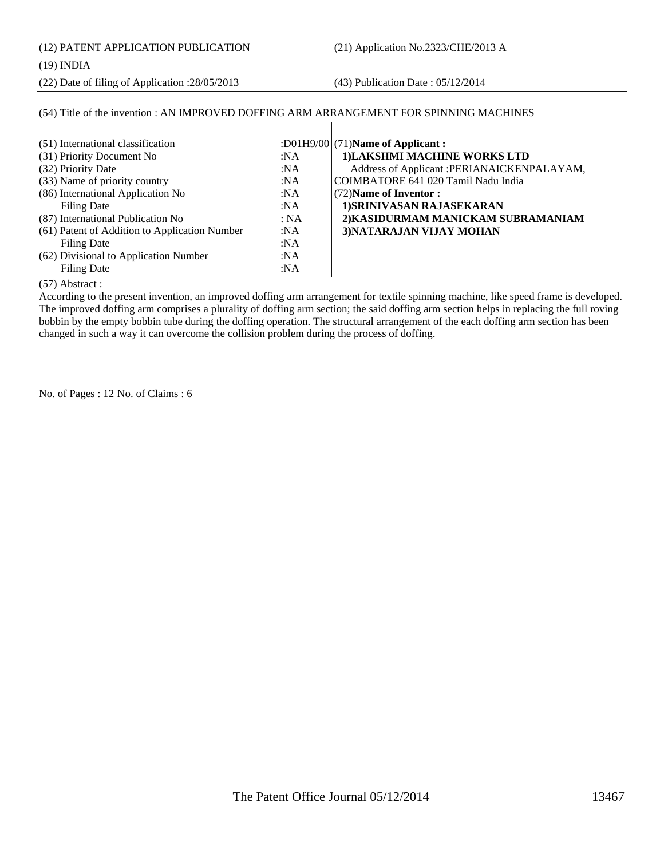(12) PATENT APPLICATION PUBLICATION (21) Application No.2323/CHE/2013 A

#### (19) INDIA

(22) Date of filing of Application :28/05/2013 (43) Publication Date : 05/12/2014

### (54) Title of the invention : AN IMPROVED DOFFING ARM ARRANGEMENT FOR SPINNING MACHINES

| (51) International classification<br>(31) Priority Document No<br>:NA<br>(32) Priority Date<br>:NA<br>(33) Name of priority country<br>:NA<br>(86) International Application No<br>:NA<br>Filing Date<br>:NA<br>(87) International Publication No<br>: NA<br>(61) Patent of Addition to Application Number<br>:NA<br>Filing Date<br>:NA | : $D01H9/00$ (71)Name of Applicant:<br>1) LAKSHMI MACHINE WORKS LTD<br>Address of Applicant : PERIANAICKENPALAYAM,<br>COIMBATORE 641 020 Tamil Nadu India<br>(72) Name of Inventor:<br>1) SRINIVASAN RAJASEKARAN<br>2) KASIDURMAM MANICKAM SUBRAMANIAM<br>3) NATARAJAN VIJAY MOHAN |
|-----------------------------------------------------------------------------------------------------------------------------------------------------------------------------------------------------------------------------------------------------------------------------------------------------------------------------------------|------------------------------------------------------------------------------------------------------------------------------------------------------------------------------------------------------------------------------------------------------------------------------------|
| (62) Divisional to Application Number<br>:NA<br>Filing Date<br>:NA                                                                                                                                                                                                                                                                      |                                                                                                                                                                                                                                                                                    |

 $\mathbf{I}$ 

(57) Abstract :

According to the present invention, an improved doffing arm arrangement for textile spinning machine, like speed frame is developed. The improved doffing arm comprises a plurality of doffing arm section; the said doffing arm section helps in replacing the full roving bobbin by the empty bobbin tube during the doffing operation. The structural arrangement of the each doffing arm section has been changed in such a way it can overcome the collision problem during the process of doffing.

No. of Pages : 12 No. of Claims : 6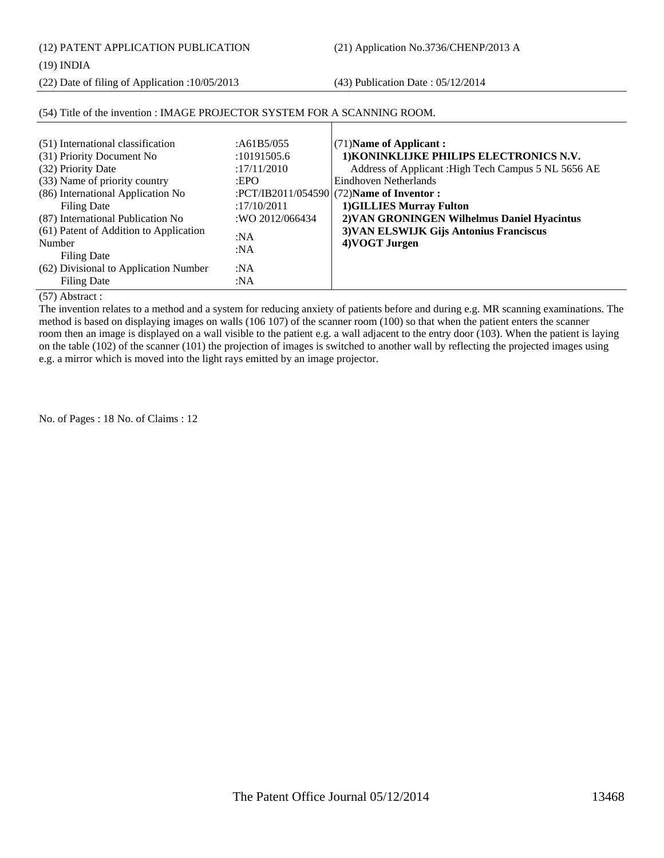(12) PATENT APPLICATION PUBLICATION (21) Application No.3736/CHENP/2013 A

(19) INDIA

(22) Date of filing of Application :10/05/2013 (43) Publication Date : 05/12/2014

| (51) International classification      | : $A61B5/055$   | $(71)$ Name of Applicant:                            |
|----------------------------------------|-----------------|------------------------------------------------------|
| (31) Priority Document No              | :10191505.6     | 1) KONINKLIJKE PHILIPS ELECTRONICS N.V.              |
| (32) Priority Date                     | :17/11/2010     | Address of Applicant : High Tech Campus 5 NL 5656 AE |
| (33) Name of priority country          | EPO             | Eindhoven Netherlands                                |
| (86) International Application No      |                 | :PCT/IB2011/054590 (72) Name of Inventor:            |
| Filing Date                            | :17/10/2011     | <b>1)GILLIES Murray Fulton</b>                       |
| (87) International Publication No      | :WO 2012/066434 | 2) VAN GRONINGEN Wilhelmus Daniel Hyacintus          |
| (61) Patent of Addition to Application | :NA             | 3) VAN ELSWIJK Gijs Antonius Franciscus              |
| Number                                 | :NA             | 4) VOGT Jurgen                                       |
| Filing Date                            |                 |                                                      |
| (62) Divisional to Application Number  | :NA             |                                                      |
| Filing Date                            | :N $A$          |                                                      |

### (54) Title of the invention : IMAGE PROJECTOR SYSTEM FOR A SCANNING ROOM.

(57) Abstract :

The invention relates to a method and a system for reducing anxiety of patients before and during e.g. MR scanning examinations. The method is based on displaying images on walls (106 107) of the scanner room (100) so that when the patient enters the scanner room then an image is displayed on a wall visible to the patient e.g. a wall adjacent to the entry door (103). When the patient is laying on the table (102) of the scanner (101) the projection of images is switched to another wall by reflecting the projected images using e.g. a mirror which is moved into the light rays emitted by an image projector.

No. of Pages : 18 No. of Claims : 12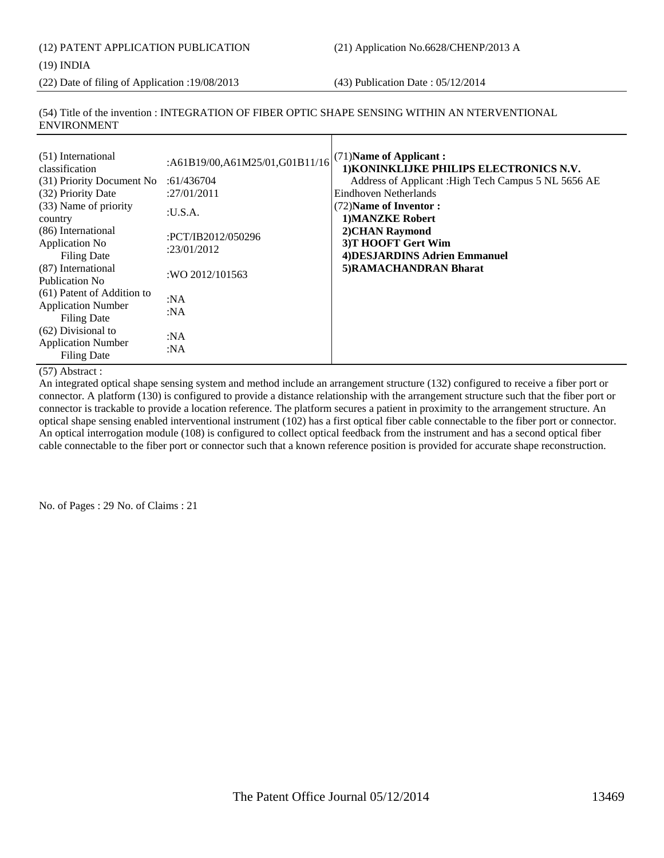(12) PATENT APPLICATION PUBLICATION (21) Application No.6628/CHENP/2013 A

(19) INDIA

(22) Date of filing of Application :19/08/2013 (43) Publication Date : 05/12/2014

(54) Title of the invention : INTEGRATION OF FIBER OPTIC SHAPE SENSING WITHIN AN NTERVENTIONAL ENVIRONMENT

| (51) International<br>classification<br>(31) Priority Document No<br>(32) Priority Date<br>(33) Name of priority<br>country<br>(86) International<br>Application No<br><b>Filing Date</b><br>(87) International<br>Publication No.<br>(61) Patent of Addition to<br><b>Application Number</b><br>Filing Date<br>(62) Divisional to<br><b>Application Number</b> | :A61B19/00,A61M25/01,G01B11/16<br>:61/436704<br>:27/01/2011<br>: <b>U.S.A.</b><br>:PCT/IB2012/050296<br>:23/01/2012<br>:WO 2012/101563<br>: $NA$<br>:NA<br>:NA<br>:NA | (71) Name of Applicant:<br>1) KONINKLIJKE PHILIPS ELECTRONICS N.V.<br>Address of Applicant : High Tech Campus 5 NL 5656 AE<br>Eindhoven Netherlands<br>(72) Name of Inventor:<br>1) MANZKE Robert<br>2) CHAN Raymond<br>3)T HOOFT Gert Wim<br><b>4)DESJARDINS Adrien Emmanuel</b><br>5) RAMACHANDRAN Bharat |
|-----------------------------------------------------------------------------------------------------------------------------------------------------------------------------------------------------------------------------------------------------------------------------------------------------------------------------------------------------------------|-----------------------------------------------------------------------------------------------------------------------------------------------------------------------|-------------------------------------------------------------------------------------------------------------------------------------------------------------------------------------------------------------------------------------------------------------------------------------------------------------|
| <b>Filing Date</b>                                                                                                                                                                                                                                                                                                                                              |                                                                                                                                                                       |                                                                                                                                                                                                                                                                                                             |

(57) Abstract :

An integrated optical shape sensing system and method include an arrangement structure (132) configured to receive a fiber port or connector. A platform (130) is configured to provide a distance relationship with the arrangement structure such that the fiber port or connector is trackable to provide a location reference. The platform secures a patient in proximity to the arrangement structure. An optical shape sensing enabled interventional instrument (102) has a first optical fiber cable connectable to the fiber port or connector. An optical interrogation module (108) is configured to collect optical feedback from the instrument and has a second optical fiber cable connectable to the fiber port or connector such that a known reference position is provided for accurate shape reconstruction.

No. of Pages : 29 No. of Claims : 21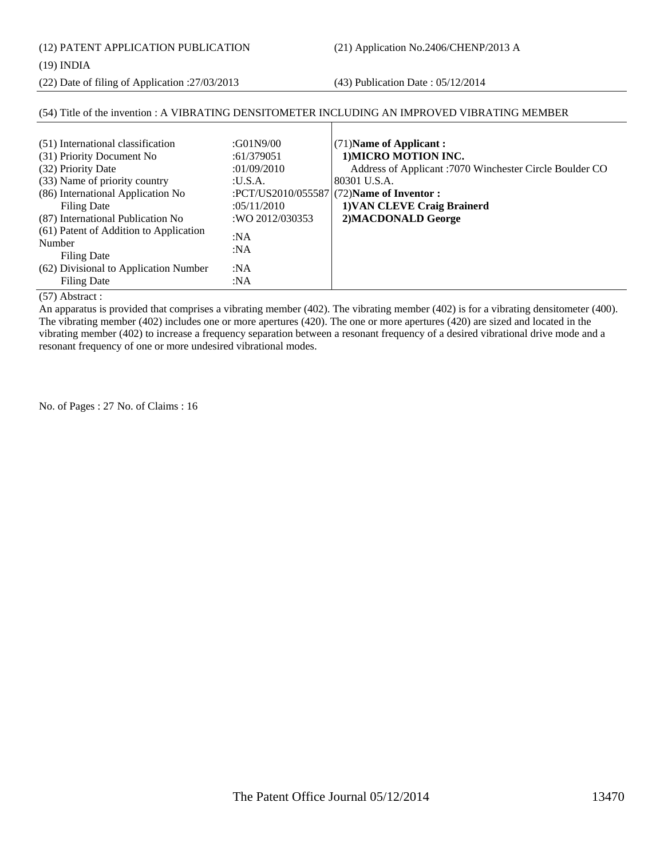(12) PATENT APPLICATION PUBLICATION (21) Application No.2406/CHENP/2013 A

(19) INDIA

(22) Date of filing of Application :27/03/2013 (43) Publication Date : 05/12/2014

| (51) International classification      | :G01N9/00       | $(71)$ Name of Applicant:                                |
|----------------------------------------|-----------------|----------------------------------------------------------|
| (31) Priority Document No              | :61/379051      | 1) MICRO MOTION INC.                                     |
| (32) Priority Date                     | :01/09/2010     | Address of Applicant : 7070 Winchester Circle Boulder CO |
| (33) Name of priority country          | :U.S.A.         | 80301 U.S.A.                                             |
| (86) International Application No      |                 | :PCT/US2010/055587 $(72)$ Name of Inventor :             |
| Filing Date                            | :05/11/2010     | 1) VAN CLEVE Craig Brainerd                              |
| (87) International Publication No      | :WO 2012/030353 | 2) MACDONALD George                                      |
| (61) Patent of Addition to Application | :N $A$          |                                                          |
| Number                                 | :NA             |                                                          |
| Filing Date                            |                 |                                                          |
| (62) Divisional to Application Number  | :N $A$          |                                                          |
| Filing Date                            | :NA             |                                                          |

### (54) Title of the invention : A VIBRATING DENSITOMETER INCLUDING AN IMPROVED VIBRATING MEMBER

(57) Abstract :

An apparatus is provided that comprises a vibrating member (402). The vibrating member (402) is for a vibrating densitometer (400). The vibrating member (402) includes one or more apertures (420). The one or more apertures (420) are sized and located in the vibrating member (402) to increase a frequency separation between a resonant frequency of a desired vibrational drive mode and a resonant frequency of one or more undesired vibrational modes.

No. of Pages : 27 No. of Claims : 16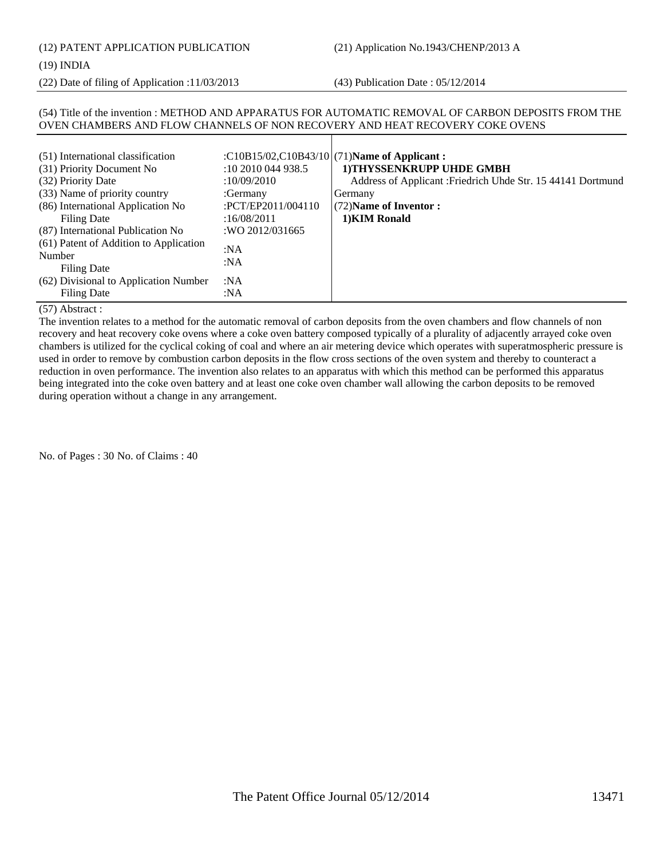(12) PATENT APPLICATION PUBLICATION (21) Application No.1943/CHENP/2013 A

(19) INDIA

(22) Date of filing of Application :11/03/2013 (43) Publication Date : 05/12/2014

#### (54) Title of the invention : METHOD AND APPARATUS FOR AUTOMATIC REMOVAL OF CARBON DEPOSITS FROM THE OVEN CHAMBERS AND FLOW CHANNELS OF NON RECOVERY AND HEAT RECOVERY COKE OVENS

| (51) International classification      |                         | : $C10B15/02$ , $C10B43/10$ (71)Name of Applicant:           |
|----------------------------------------|-------------------------|--------------------------------------------------------------|
| (31) Priority Document No              | $:10\,2010\,044\,938.5$ | 1) THYSSENKRUPP UHDE GMBH                                    |
| (32) Priority Date                     | :10/09/2010             | Address of Applicant : Friedrich Uhde Str. 15 44141 Dortmund |
| (33) Name of priority country          | :Germany                | Germany                                                      |
| (86) International Application No      | :PCT/EP2011/004110      | (72) Name of Inventor:                                       |
| Filing Date                            | :16/08/2011             | 1) KIM Ronald                                                |
| (87) International Publication No      | :WO 2012/031665         |                                                              |
| (61) Patent of Addition to Application | :NA                     |                                                              |
| Number                                 | :N $A$                  |                                                              |
| Filing Date                            |                         |                                                              |
| (62) Divisional to Application Number  | :NA                     |                                                              |
| Filing Date                            | :NA                     |                                                              |

#### (57) Abstract :

The invention relates to a method for the automatic removal of carbon deposits from the oven chambers and flow channels of non recovery and heat recovery coke ovens where a coke oven battery composed typically of a plurality of adjacently arrayed coke oven chambers is utilized for the cyclical coking of coal and where an air metering device which operates with superatmospheric pressure is used in order to remove by combustion carbon deposits in the flow cross sections of the oven system and thereby to counteract a reduction in oven performance. The invention also relates to an apparatus with which this method can be performed this apparatus being integrated into the coke oven battery and at least one coke oven chamber wall allowing the carbon deposits to be removed during operation without a change in any arrangement.

No. of Pages : 30 No. of Claims : 40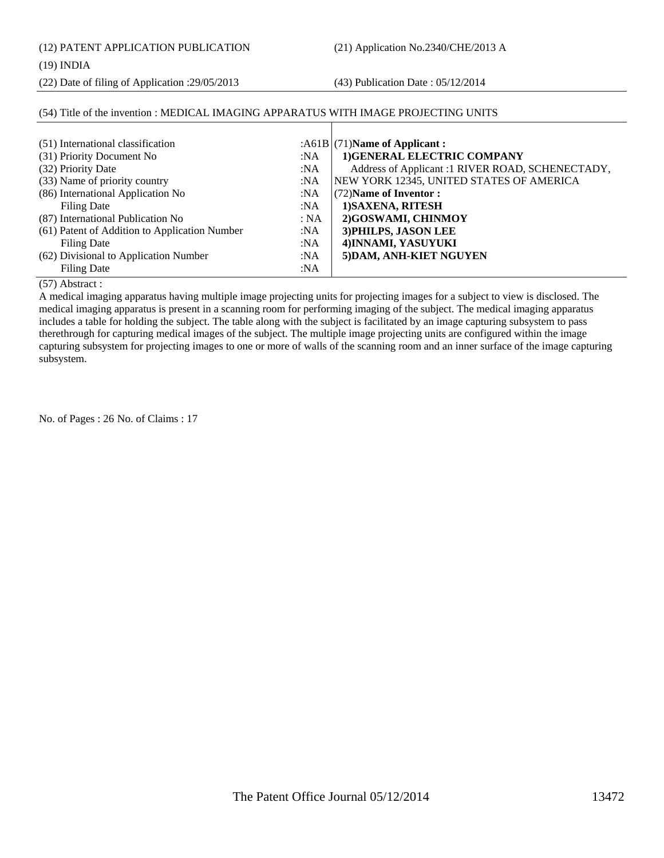(12) PATENT APPLICATION PUBLICATION (21) Application No.2340/CHE/2013 A

#### (19) INDIA

(22) Date of filing of Application :29/05/2013 (43) Publication Date : 05/12/2014

### (54) Title of the invention : MEDICAL IMAGING APPARATUS WITH IMAGE PROJECTING UNITS

| (51) International classification             |      | : $A61B/(71)$ Name of Applicant :                |
|-----------------------------------------------|------|--------------------------------------------------|
| (31) Priority Document No                     | :NA  | 1) GENERAL ELECTRIC COMPANY                      |
| (32) Priority Date                            | :NA  | Address of Applicant :1 RIVER ROAD, SCHENECTADY, |
| (33) Name of priority country                 | :NA  | NEW YORK 12345, UNITED STATES OF AMERICA         |
| (86) International Application No             | :NA  | (72) Name of Inventor:                           |
| Filing Date                                   | :NA  | 1) SAXENA, RITESH                                |
| (87) International Publication No             | : NA | 2)GOSWAMI, CHINMOY                               |
| (61) Patent of Addition to Application Number | :NA  | 3) PHILPS, JASON LEE                             |
| Filing Date                                   | :NA  | 4) INNAMI, YASUYUKI                              |
| (62) Divisional to Application Number         | :NA  | 5) DAM, ANH-KIET NGUYEN                          |
| Filing Date                                   | :NA  |                                                  |

(57) Abstract :

A medical imaging apparatus having multiple image projecting units for projecting images for a subject to view is disclosed. The medical imaging apparatus is present in a scanning room for performing imaging of the subject. The medical imaging apparatus includes a table for holding the subject. The table along with the subject is facilitated by an image capturing subsystem to pass therethrough for capturing medical images of the subject. The multiple image projecting units are configured within the image capturing subsystem for projecting images to one or more of walls of the scanning room and an inner surface of the image capturing subsystem.

No. of Pages : 26 No. of Claims : 17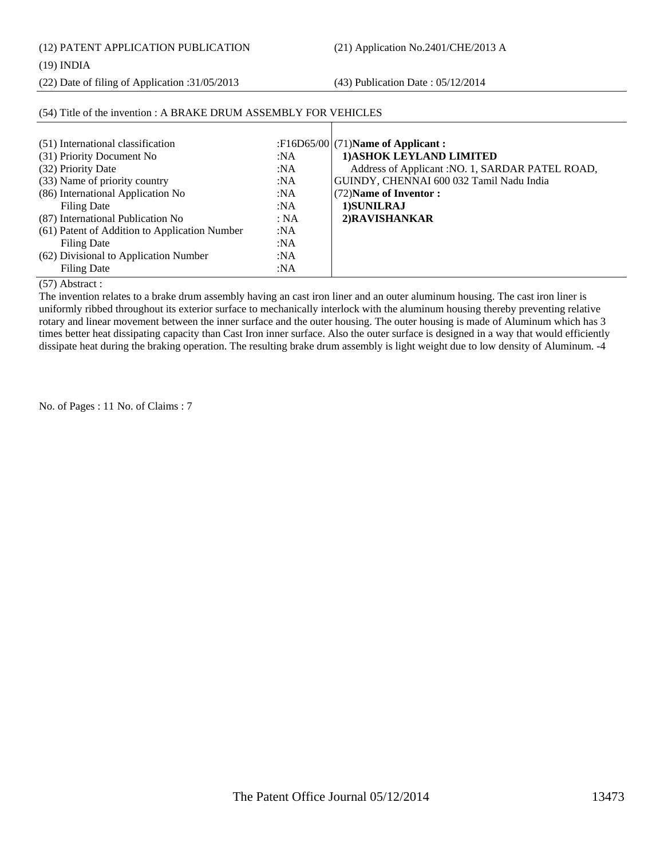(12) PATENT APPLICATION PUBLICATION (21) Application No.2401/CHE/2013 A

#### (19) INDIA

(22) Date of filing of Application :31/05/2013 (43) Publication Date : 05/12/2014

| (2) Thuy of thy invention . It big title bive in I too limble I TON TEMPLED |        |                                                  |
|-----------------------------------------------------------------------------|--------|--------------------------------------------------|
|                                                                             |        |                                                  |
| (51) International classification                                           |        | : $F16D65/00$ (71) Name of Applicant:            |
| (31) Priority Document No                                                   | :NA    | 1) ASHOK LEYLAND LIMITED                         |
| (32) Priority Date                                                          | :NA    | Address of Applicant : NO. 1, SARDAR PATEL ROAD, |
| (33) Name of priority country                                               | :NA    | GUINDY, CHENNAI 600 032 Tamil Nadu India         |
| (86) International Application No                                           | :NA    | (72) Name of Inventor:                           |
| Filing Date                                                                 | :NA    | 1) SUNILRAJ                                      |
| (87) International Publication No                                           | : NA   | 2) RAVISHANKAR                                   |
| (61) Patent of Addition to Application Number                               | :NA    |                                                  |
| Filing Date                                                                 | :NA    |                                                  |
| (62) Divisional to Application Number                                       | :NA    |                                                  |
| Filing Date                                                                 | : $NA$ |                                                  |
|                                                                             |        |                                                  |

### (54) Title of the invention : A BRAKE DRUM ASSEMBLY FOR VEHICLES

(57) Abstract :

The invention relates to a brake drum assembly having an cast iron liner and an outer aluminum housing. The cast iron liner is uniformly ribbed throughout its exterior surface to mechanically interlock with the aluminum housing thereby preventing relative rotary and linear movement between the inner surface and the outer housing. The outer housing is made of Aluminum which has 3 times better heat dissipating capacity than Cast Iron inner surface. Also the outer surface is designed in a way that would efficiently dissipate heat during the braking operation. The resulting brake drum assembly is light weight due to low density of Aluminum. -4

No. of Pages : 11 No. of Claims : 7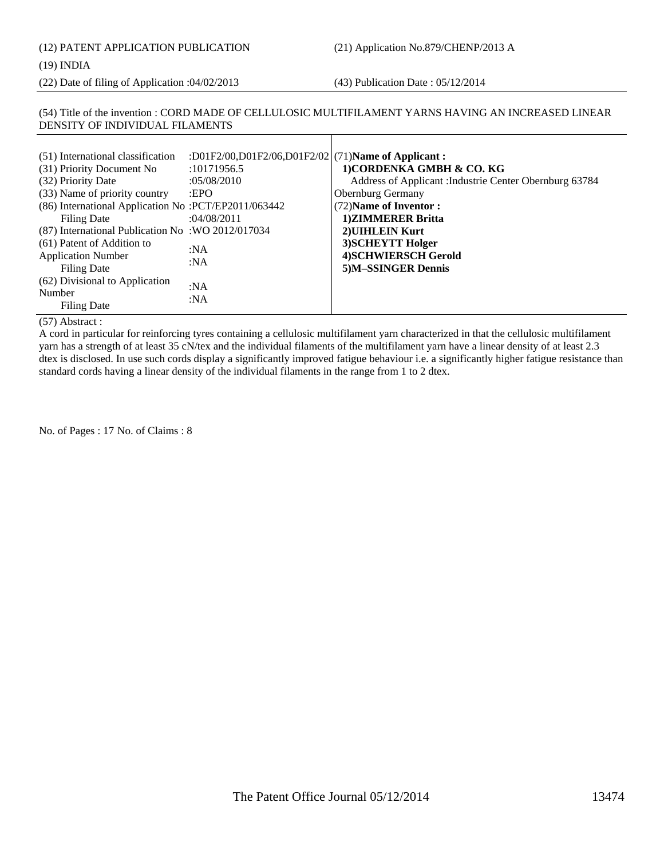(12) PATENT APPLICATION PUBLICATION (21) Application No.879/CHENP/2013 A

#### (19) INDIA

(22) Date of filing of Application :04/02/2013 (43) Publication Date : 05/12/2014

### (54) Title of the invention : CORD MADE OF CELLULOSIC MULTIFILAMENT YARNS HAVING AN INCREASED LINEAR DENSITY OF INDIVIDUAL FILAMENTS

| (51) International classification<br>(31) Priority Document No<br>(32) Priority Date<br>(33) Name of priority country<br>(86) International Application No: PCT/EP2011/063442<br>Filing Date<br>(87) International Publication No : WO 2012/017034<br>(61) Patent of Addition to<br><b>Application Number</b> | :D01F2/00,D01F2/06,D01F2/02 (71)Name of Applicant:<br>:10171956.5<br>:05/08/2010<br>EPO<br>:04/08/2011<br>:NA | 1) CORDENKA GMBH & CO. KG<br>Address of Applicant : Industrie Center Obernburg 63784<br><b>Obernburg Germany</b><br>(72) Name of Inventor:<br>1) ZIMMERER Britta<br>2) UIHLEIN Kurt<br>3) SCHEYTT Holger<br><b>4)SCHWIERSCH Gerold</b> |
|---------------------------------------------------------------------------------------------------------------------------------------------------------------------------------------------------------------------------------------------------------------------------------------------------------------|---------------------------------------------------------------------------------------------------------------|----------------------------------------------------------------------------------------------------------------------------------------------------------------------------------------------------------------------------------------|
| Filing Date                                                                                                                                                                                                                                                                                                   | :NA                                                                                                           | 5)M-SSINGER Dennis                                                                                                                                                                                                                     |
| (62) Divisional to Application<br>Number<br><b>Filing Date</b>                                                                                                                                                                                                                                                | :NA<br>:NA                                                                                                    |                                                                                                                                                                                                                                        |

#### (57) Abstract :

A cord in particular for reinforcing tyres containing a cellulosic multifilament yarn characterized in that the cellulosic multifilament yarn has a strength of at least 35 cN/tex and the individual filaments of the multifilament yarn have a linear density of at least 2.3 dtex is disclosed. In use such cords display a significantly improved fatigue behaviour i.e. a significantly higher fatigue resistance than standard cords having a linear density of the individual filaments in the range from 1 to 2 dtex.

No. of Pages : 17 No. of Claims : 8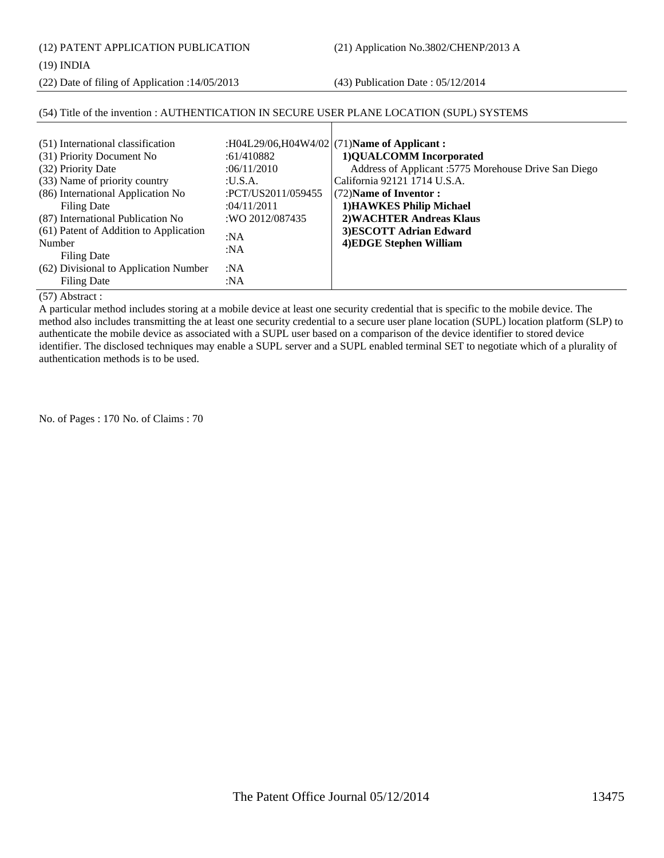(12) PATENT APPLICATION PUBLICATION (21) Application No.3802/CHENP/2013 A

(19) INDIA

(22) Date of filing of Application :14/05/2013 (43) Publication Date : 05/12/2014

### (54) Title of the invention : AUTHENTICATION IN SECURE USER PLANE LOCATION (SUPL) SYSTEMS

| (51) International classification<br>(31) Priority Document No<br>:61/410882<br>(32) Priority Date<br>(33) Name of priority country<br>: <b>U.S.A.</b><br>(86) International Application No<br>:04/11/2011<br>Filing Date<br>(87) International Publication No<br>(61) Patent of Addition to Application<br>:NA<br>Number<br>:NA<br><b>Filing Date</b><br>(62) Divisional to Application Number<br>:NA<br>Filing Date<br>:NA | :06/11/2010<br>:PCT/US2011/059455<br>:WO 2012/087435 | :H04L29/06,H04W4/02 (71)Name of Applicant:<br>1)QUALCOMM Incorporated<br>Address of Applicant: 5775 Morehouse Drive San Diego<br>California 92121 1714 U.S.A.<br>(72) Name of Inventor:<br>1) HAWKES Philip Michael<br>2) WACHTER Andreas Klaus<br>3)ESCOTT Adrian Edward<br>4) EDGE Stephen William |
|------------------------------------------------------------------------------------------------------------------------------------------------------------------------------------------------------------------------------------------------------------------------------------------------------------------------------------------------------------------------------------------------------------------------------|------------------------------------------------------|------------------------------------------------------------------------------------------------------------------------------------------------------------------------------------------------------------------------------------------------------------------------------------------------------|
|------------------------------------------------------------------------------------------------------------------------------------------------------------------------------------------------------------------------------------------------------------------------------------------------------------------------------------------------------------------------------------------------------------------------------|------------------------------------------------------|------------------------------------------------------------------------------------------------------------------------------------------------------------------------------------------------------------------------------------------------------------------------------------------------------|

 $\mathbf{I}$ 

(57) Abstract :

A particular method includes storing at a mobile device at least one security credential that is specific to the mobile device. The method also includes transmitting the at least one security credential to a secure user plane location (SUPL) location platform (SLP) to authenticate the mobile device as associated with a SUPL user based on a comparison of the device identifier to stored device identifier. The disclosed techniques may enable a SUPL server and a SUPL enabled terminal SET to negotiate which of a plurality of authentication methods is to be used.

No. of Pages : 170 No. of Claims : 70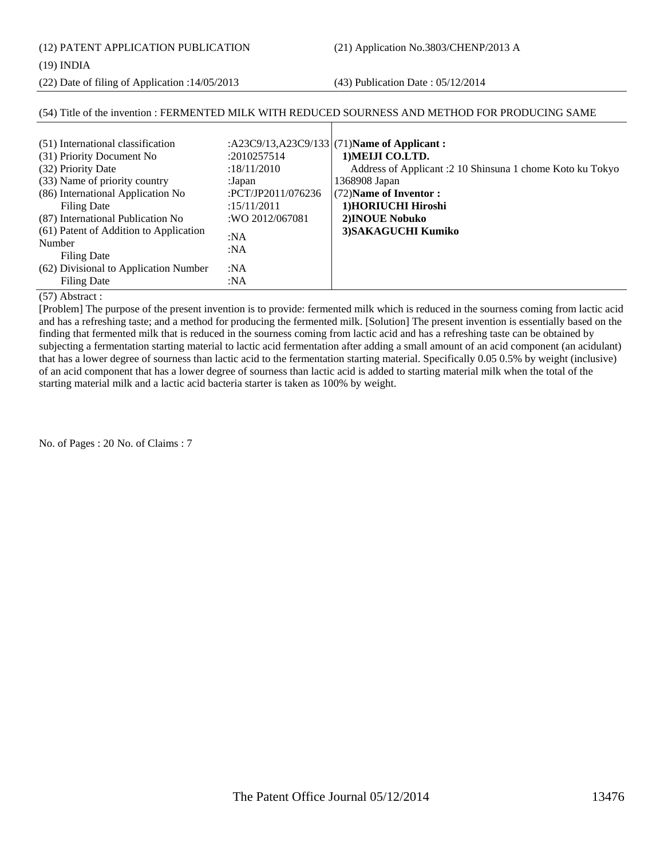(12) PATENT APPLICATION PUBLICATION (21) Application No.3803/CHENP/2013 A

(19) INDIA

(22) Date of filing of Application :14/05/2013 (43) Publication Date : 05/12/2014

### (54) Title of the invention : FERMENTED MILK WITH REDUCED SOURNESS AND METHOD FOR PRODUCING SAME

| (51) International classification<br>(31) Priority Document No<br>(32) Priority Date<br>(33) Name of priority country<br>(86) International Application No<br>Filing Date<br>(87) International Publication No<br>(61) Patent of Addition to Application<br>Number<br>Filing Date<br>(62) Divisional to Application Number<br>Filing Date | :2010257514<br>:18/11/2010<br>:Japan<br>:PCT/JP2011/076236<br>:15/11/2011<br>:WO 2012/067081<br>:NA<br>: $NA$<br>: $NA$<br>:NA | :A23C9/13,A23C9/133 (71)Name of Applicant:<br>1) MEIJI CO.LTD.<br>Address of Applicant : 2 10 Shinsuna 1 chome Koto ku Tokyo<br>1368908 Japan<br>(72) Name of Inventor:<br>1)HORIUCHI Hiroshi<br>2) INOUE Nobuko<br>3) SAKAGUCHI Kumiko |
|-------------------------------------------------------------------------------------------------------------------------------------------------------------------------------------------------------------------------------------------------------------------------------------------------------------------------------------------|--------------------------------------------------------------------------------------------------------------------------------|-----------------------------------------------------------------------------------------------------------------------------------------------------------------------------------------------------------------------------------------|
|-------------------------------------------------------------------------------------------------------------------------------------------------------------------------------------------------------------------------------------------------------------------------------------------------------------------------------------------|--------------------------------------------------------------------------------------------------------------------------------|-----------------------------------------------------------------------------------------------------------------------------------------------------------------------------------------------------------------------------------------|

### (57) Abstract :

[Problem] The purpose of the present invention is to provide: fermented milk which is reduced in the sourness coming from lactic acid and has a refreshing taste; and a method for producing the fermented milk. [Solution] The present invention is essentially based on the finding that fermented milk that is reduced in the sourness coming from lactic acid and has a refreshing taste can be obtained by subjecting a fermentation starting material to lactic acid fermentation after adding a small amount of an acid component (an acidulant) that has a lower degree of sourness than lactic acid to the fermentation starting material. Specifically 0.05 0.5% by weight (inclusive) of an acid component that has a lower degree of sourness than lactic acid is added to starting material milk when the total of the starting material milk and a lactic acid bacteria starter is taken as 100% by weight.

No. of Pages : 20 No. of Claims : 7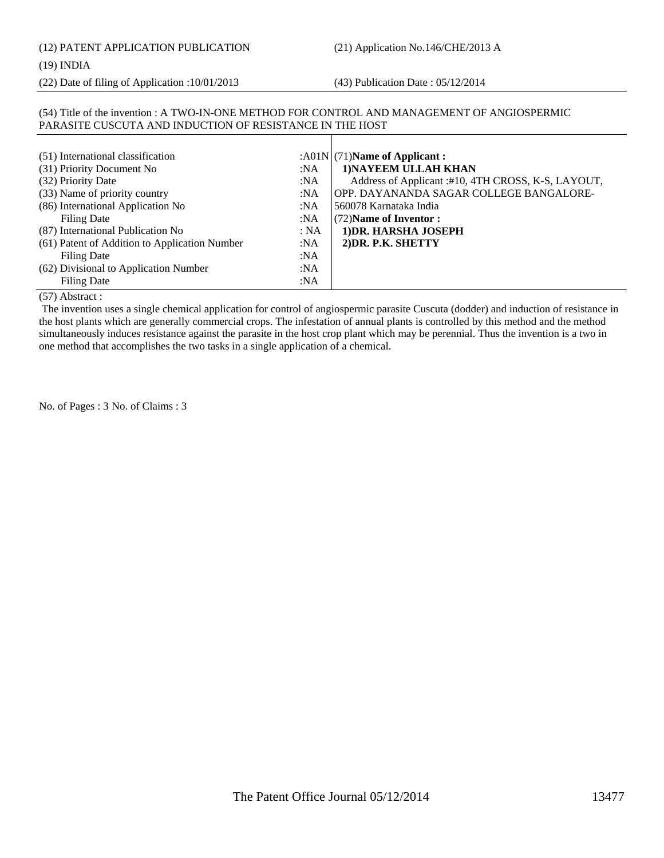## (12) PATENT APPLICATION PUBLICATION (21) Application No.146/CHE/2013 A

#### (19) INDIA

(22) Date of filing of Application :10/01/2013 (43) Publication Date : 05/12/2014

### (54) Title of the invention : A TWO-IN-ONE METHOD FOR CONTROL AND MANAGEMENT OF ANGIOSPERMIC PARASITE CUSCUTA AND INDUCTION OF RESISTANCE IN THE HOST

| (51) International classification<br>(31) Priority Document No<br>(32) Priority Date<br>(33) Name of priority country<br>(86) International Application No<br>Filing Date<br>(87) International Publication No<br>(61) Patent of Addition to Application Number<br>Filing Date<br>(62) Divisional to Application Number | :NA<br>:NA<br>:NA<br>:NA<br>:NA<br>: NA<br>:NA<br>:NA<br>:NA | : $A01N(71)$ Name of Applicant :<br>1) NAYEEM ULLAH KHAN<br>Address of Applicant :#10, 4TH CROSS, K-S, LAYOUT,<br>OPP. DAYANANDA SAGAR COLLEGE BANGALORE-<br>1560078 Karnataka India<br>(72) Name of Inventor:<br>1) DR. HARSHA JOSEPH<br>2) DR. P.K. SHETTY |
|-------------------------------------------------------------------------------------------------------------------------------------------------------------------------------------------------------------------------------------------------------------------------------------------------------------------------|--------------------------------------------------------------|--------------------------------------------------------------------------------------------------------------------------------------------------------------------------------------------------------------------------------------------------------------|
| <b>Filing Date</b>                                                                                                                                                                                                                                                                                                      | :NA                                                          |                                                                                                                                                                                                                                                              |

(57) Abstract :

 The invention uses a single chemical application for control of angiospermic parasite Cuscuta (dodder) and induction of resistance in the host plants which are generally commercial crops. The infestation of annual plants is controlled by this method and the method simultaneously induces resistance against the parasite in the host crop plant which may be perennial. Thus the invention is a two in one method that accomplishes the two tasks in a single application of a chemical.

No. of Pages : 3 No. of Claims : 3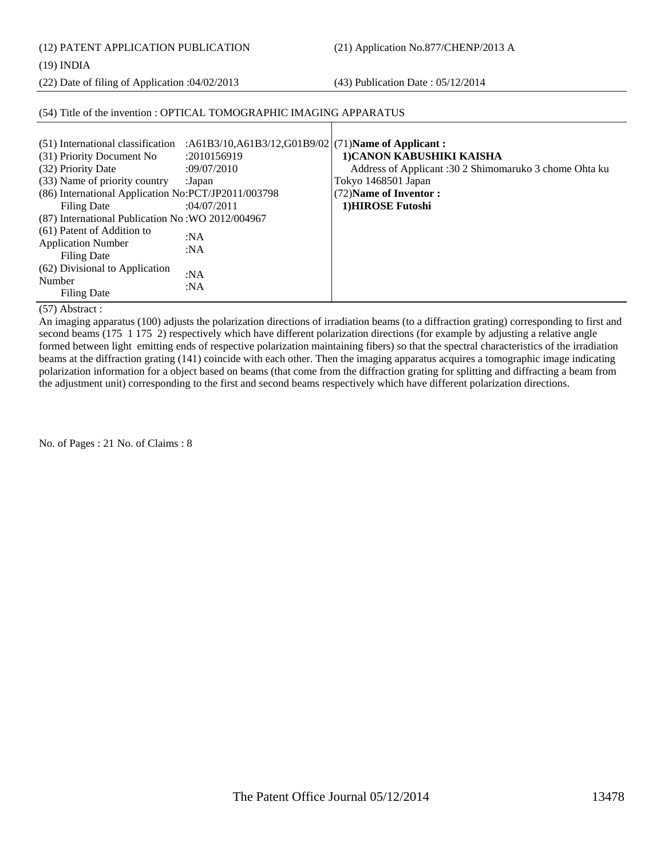(12) PATENT APPLICATION PUBLICATION (21) Application No.877/CHENP/2013 A

#### (19) INDIA

(22) Date of filing of Application :04/02/2013 (43) Publication Date : 05/12/2014

#### (54) Title of the invention : OPTICAL TOMOGRAPHIC IMAGING APPARATUS

| (51) International classification                    | :A61B3/10,A61B3/12,G01B9/02 (71)Name of Applicant: |                                                        |
|------------------------------------------------------|----------------------------------------------------|--------------------------------------------------------|
| (31) Priority Document No                            | :2010156919                                        | 1) CANON KABUSHIKI KAISHA                              |
| (32) Priority Date                                   | :09/07/2010                                        | Address of Applicant :30 2 Shimomaruko 3 chome Ohta ku |
| (33) Name of priority country                        | :Japan                                             | Tokyo 1468501 Japan                                    |
| (86) International Application No: PCT/JP2011/003798 |                                                    | (72) Name of Inventor:                                 |
| Filing Date                                          | :04/07/2011                                        | 1) HIROSE Futoshi                                      |
| (87) International Publication No: WO 2012/004967    |                                                    |                                                        |
| (61) Patent of Addition to                           | :NA                                                |                                                        |
| <b>Application Number</b>                            | :NA                                                |                                                        |
| Filing Date                                          |                                                    |                                                        |
| (62) Divisional to Application                       | :NA                                                |                                                        |
| Number                                               | : $NA$                                             |                                                        |
| Filing Date                                          |                                                    |                                                        |

#### (57) Abstract :

An imaging apparatus (100) adjusts the polarization directions of irradiation beams (to a diffraction grating) corresponding to first and second beams (175 1 175 2) respectively which have different polarization directions (for example by adjusting a relative angle formed between light emitting ends of respective polarization maintaining fibers) so that the spectral characteristics of the irradiation beams at the diffraction grating (141) coincide with each other. Then the imaging apparatus acquires a tomographic image indicating polarization information for a object based on beams (that come from the diffraction grating for splitting and diffracting a beam from the adjustment unit) corresponding to the first and second beams respectively which have different polarization directions.

No. of Pages : 21 No. of Claims : 8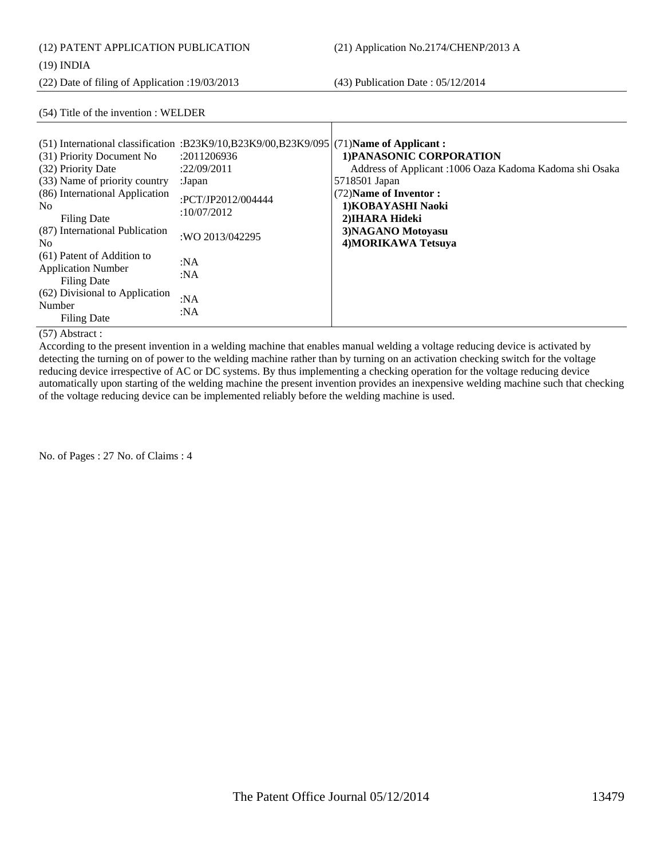(22) Date of filing of Application :19/03/2013 (43) Publication Date : 05/12/2014

## (54) Title of the invention : WELDER

|                                | (51) International classification :B23K9/10,B23K9/00,B23K9/095 (71) Name of Applicant: |                                                          |
|--------------------------------|----------------------------------------------------------------------------------------|----------------------------------------------------------|
| (31) Priority Document No      | :2011206936                                                                            | 1) PANASONIC CORPORATION                                 |
| (32) Priority Date             | :22/09/2011                                                                            | Address of Applicant : 1006 Oaza Kadoma Kadoma shi Osaka |
| (33) Name of priority country  | :Japan                                                                                 | 5718501 Japan                                            |
| (86) International Application | :PCT/JP2012/004444                                                                     | (72) Name of Inventor:                                   |
| N <sub>0</sub>                 | :10/07/2012                                                                            | 1) KOBAYASHI Naoki                                       |
| <b>Filing Date</b>             |                                                                                        | 2) IHARA Hideki                                          |
| (87) International Publication | :WO 2013/042295                                                                        | 3) NAGANO Motoyasu                                       |
| N <sub>0</sub>                 |                                                                                        | 4) MORIKAWA Tetsuya                                      |
| (61) Patent of Addition to     | :NA                                                                                    |                                                          |
| <b>Application Number</b>      | :NA                                                                                    |                                                          |
| Filing Date                    |                                                                                        |                                                          |
| (62) Divisional to Application | :NA                                                                                    |                                                          |
| Number                         | :NA                                                                                    |                                                          |
| <b>Filing Date</b>             |                                                                                        |                                                          |

(57) Abstract :

According to the present invention in a welding machine that enables manual welding a voltage reducing device is activated by detecting the turning on of power to the welding machine rather than by turning on an activation checking switch for the voltage reducing device irrespective of AC or DC systems. By thus implementing a checking operation for the voltage reducing device automatically upon starting of the welding machine the present invention provides an inexpensive welding machine such that checking of the voltage reducing device can be implemented reliably before the welding machine is used.

No. of Pages : 27 No. of Claims : 4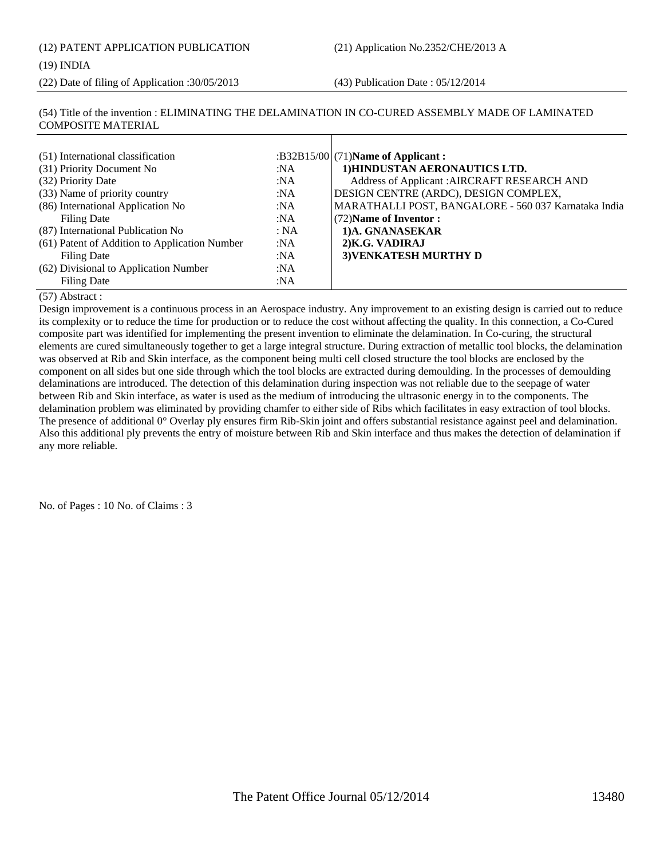#### (19) INDIA

(22) Date of filing of Application :30/05/2013 (43) Publication Date : 05/12/2014

#### (54) Title of the invention : ELIMINATING THE DELAMINATION IN CO-CURED ASSEMBLY MADE OF LAMINATED COMPOSITE MATERIAL

| (51) International classification                    | :B32B15/00 $(71)$ Name of Applicant:                 |
|------------------------------------------------------|------------------------------------------------------|
| (31) Priority Document No<br>:NA                     | 1) HINDUSTAN AERONAUTICS LTD.                        |
| (32) Priority Date<br>:NA                            | Address of Applicant : AIRCRAFT RESEARCH AND         |
| (33) Name of priority country<br>:NA                 | DESIGN CENTRE (ARDC), DESIGN COMPLEX,                |
| (86) International Application No<br>:NA             | MARATHALLI POST, BANGALORE - 560 037 Karnataka India |
| Filing Date<br>:NA                                   | (72) Name of Inventor:                               |
| (87) International Publication No<br>: NA            | 1)A. GNANASEKAR                                      |
| (61) Patent of Addition to Application Number<br>:NA | 2) K.G. VADIRAJ                                      |
| <b>Filing Date</b><br>:N $A$                         | 3) VENKATESH MURTHY D                                |
| (62) Divisional to Application Number<br>:NA         |                                                      |
| Filing Date<br>:N $A$                                |                                                      |

### (57) Abstract :

Design improvement is a continuous process in an Aerospace industry. Any improvement to an existing design is carried out to reduce its complexity or to reduce the time for production or to reduce the cost without affecting the quality. In this connection, a Co-Cured composite part was identified for implementing the present invention to eliminate the delamination. In Co-curing, the structural elements are cured simultaneously together to get a large integral structure. During extraction of metallic tool blocks, the delamination was observed at Rib and Skin interface, as the component being multi cell closed structure the tool blocks are enclosed by the component on all sides but one side through which the tool blocks are extracted during demoulding. In the processes of demoulding delaminations are introduced. The detection of this delamination during inspection was not reliable due to the seepage of water between Rib and Skin interface, as water is used as the medium of introducing the ultrasonic energy in to the components. The delamination problem was eliminated by providing chamfer to either side of Ribs which facilitates in easy extraction of tool blocks. The presence of additional 0° Overlay ply ensures firm Rib-Skin joint and offers substantial resistance against peel and delamination. Also this additional ply prevents the entry of moisture between Rib and Skin interface and thus makes the detection of delamination if any more reliable.

No. of Pages : 10 No. of Claims : 3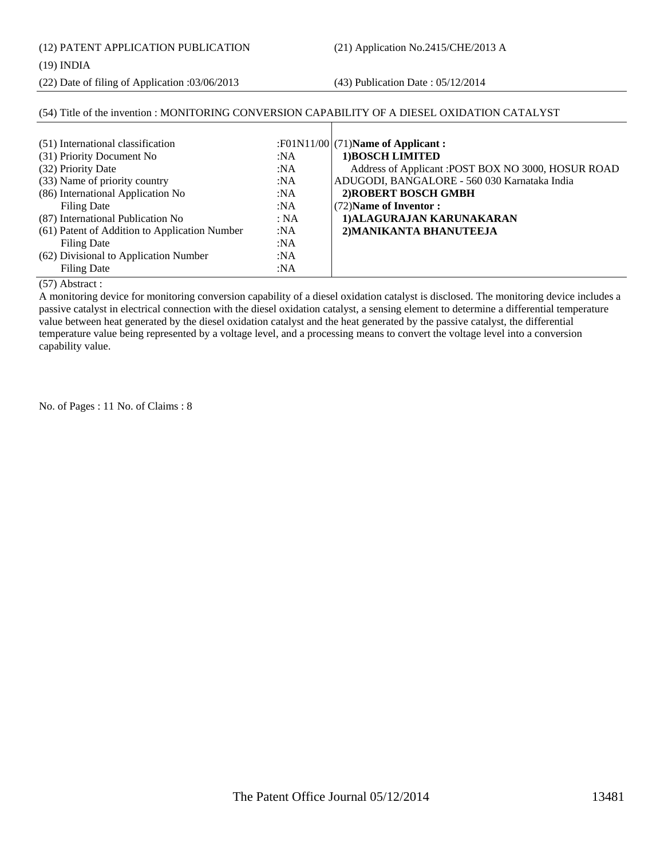(12) PATENT APPLICATION PUBLICATION (21) Application No.2415/CHE/2013 A

#### (19) INDIA

(22) Date of filing of Application :03/06/2013 (43) Publication Date : 05/12/2014

### (54) Title of the invention : MONITORING CONVERSION CAPABILITY OF A DIESEL OXIDATION CATALYST

| (51) International classification<br>(31) Priority Document No<br>(32) Priority Date<br>(33) Name of priority country<br>(86) International Application No<br>Filing Date | :NA<br>:NA<br>:NA<br>:NA<br>:NA | :F01N11/00 $(71)$ Name of Applicant:<br>1) BOSCH LIMITED<br>Address of Applicant : POST BOX NO 3000, HOSUR ROAD<br>ADUGODI, BANGALORE - 560 030 Karnataka India<br>2) ROBERT BOSCH GMBH<br>(72) Name of Inventor: |
|---------------------------------------------------------------------------------------------------------------------------------------------------------------------------|---------------------------------|-------------------------------------------------------------------------------------------------------------------------------------------------------------------------------------------------------------------|
| (87) International Publication No                                                                                                                                         | : NA                            | 1) ALAGURAJAN KARUNAKARAN                                                                                                                                                                                         |
| (61) Patent of Addition to Application Number                                                                                                                             | :NA                             | 2) MANIKANTA BHANUTEEJA                                                                                                                                                                                           |
| Filing Date                                                                                                                                                               | :N $A$                          |                                                                                                                                                                                                                   |
| (62) Divisional to Application Number                                                                                                                                     | :N $A$                          |                                                                                                                                                                                                                   |
| Filing Date                                                                                                                                                               | :NA                             |                                                                                                                                                                                                                   |

(57) Abstract :

A monitoring device for monitoring conversion capability of a diesel oxidation catalyst is disclosed. The monitoring device includes a passive catalyst in electrical connection with the diesel oxidation catalyst, a sensing element to determine a differential temperature value between heat generated by the diesel oxidation catalyst and the heat generated by the passive catalyst, the differential temperature value being represented by a voltage level, and a processing means to convert the voltage level into a conversion capability value.

No. of Pages : 11 No. of Claims : 8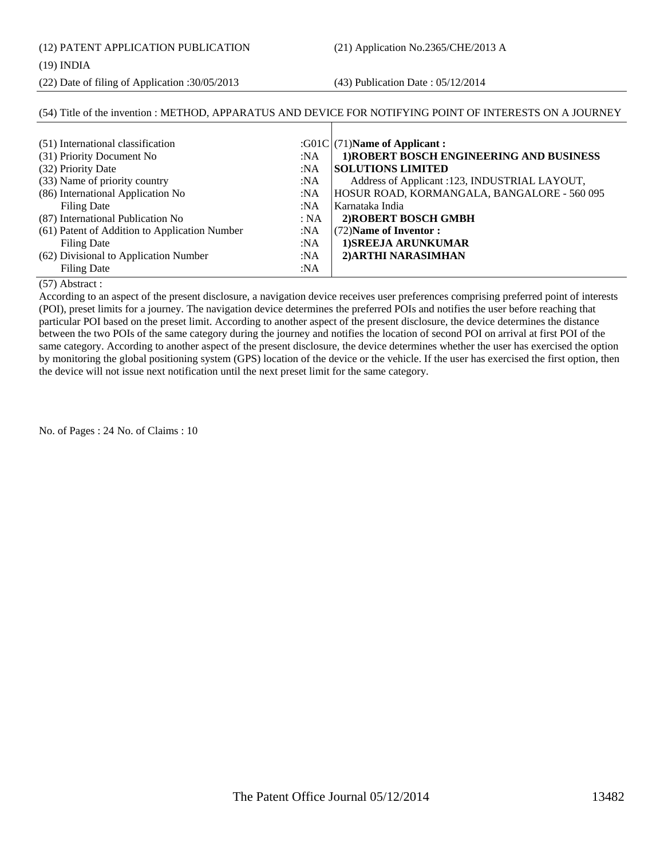(12) PATENT APPLICATION PUBLICATION (21) Application No.2365/CHE/2013 A

#### (19) INDIA

(22) Date of filing of Application :30/05/2013 (43) Publication Date : 05/12/2014

## (54) Title of the invention : METHOD, APPARATUS AND DEVICE FOR NOTIFYING POINT OF INTERESTS ON A JOURNEY

| (51) International classification<br>(31) Priority Document No<br>(32) Priority Date<br>(33) Name of priority country<br>(86) International Application No<br>Filing Date<br>(87) International Publication No<br>(61) Patent of Addition to Application Number<br>Filing Date | : $NA$<br>:N $A$<br>:NA<br>:NA<br>:NA<br>: NA<br>:NA<br>:NA | : $G01C$ (71) Name of Applicant:<br>1) ROBERT BOSCH ENGINEERING AND BUSINESS<br><b>SOLUTIONS LIMITED</b><br>Address of Applicant :123, INDUSTRIAL LAYOUT,<br>HOSUR ROAD, KORMANGALA, BANGALORE - 560 095<br>Karnataka India<br>2) ROBERT BOSCH GMBH<br>(72) Name of Inventor:<br>1) SREEJA ARUNKUMAR |
|--------------------------------------------------------------------------------------------------------------------------------------------------------------------------------------------------------------------------------------------------------------------------------|-------------------------------------------------------------|------------------------------------------------------------------------------------------------------------------------------------------------------------------------------------------------------------------------------------------------------------------------------------------------------|
| (62) Divisional to Application Number<br>Filing Date                                                                                                                                                                                                                           | :NA<br>:NA                                                  | 2) ARTHI NARASIMHAN                                                                                                                                                                                                                                                                                  |
|                                                                                                                                                                                                                                                                                |                                                             |                                                                                                                                                                                                                                                                                                      |

(57) Abstract :

According to an aspect of the present disclosure, a navigation device receives user preferences comprising preferred point of interests (POI), preset limits for a journey. The navigation device determines the preferred POIs and notifies the user before reaching that particular POI based on the preset limit. According to another aspect of the present disclosure, the device determines the distance between the two POIs of the same category during the journey and notifies the location of second POI on arrival at first POI of the same category. According to another aspect of the present disclosure, the device determines whether the user has exercised the option by monitoring the global positioning system (GPS) location of the device or the vehicle. If the user has exercised the first option, then the device will not issue next notification until the next preset limit for the same category.

No. of Pages : 24 No. of Claims : 10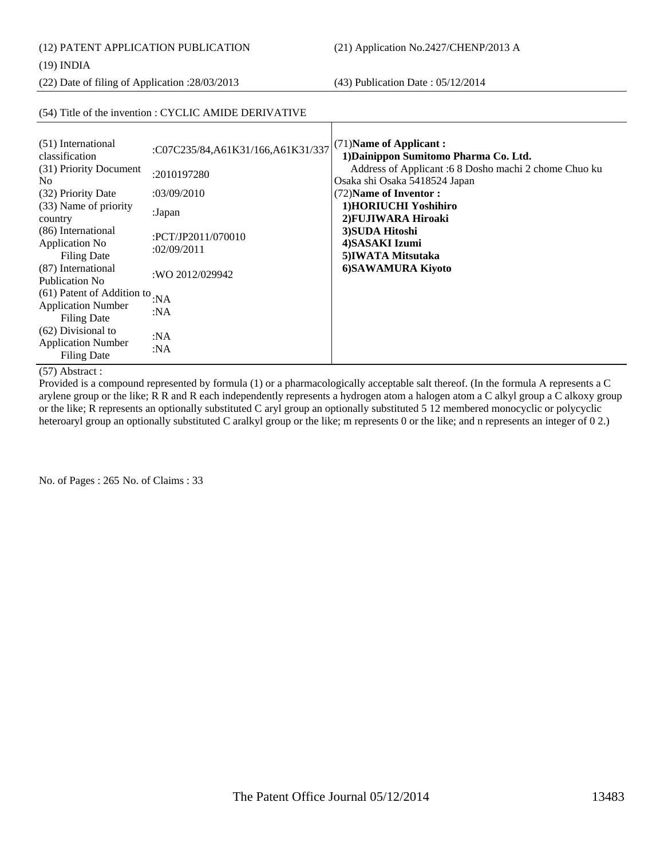(12) PATENT APPLICATION PUBLICATION (21) Application No.2427/CHENP/2013 A

(19) INDIA

(22) Date of filing of Application :28/03/2013 (43) Publication Date : 05/12/2014

#### (54) Title of the invention : CYCLIC AMIDE DERIVATIVE

| 1) Dainippon Sumitomo Pharma Co. Ltd.<br>Address of Applicant :6 8 Dosho machi 2 chome Chuo ku<br>(31) Priority Document<br>:2010197280<br>Osaka shi Osaka 5418524 Japan<br>N <sub>0</sub><br>:03/09/2010<br>(72) Name of Inventor:<br>(32) Priority Date<br>1)HORIUCHI Yoshihiro<br>(33) Name of priority<br>:Japan<br>2) FUJIWARA Hiroaki<br>country<br>3) SUDA Hitoshi<br>(86) International<br>:PCT/JP2011/070010<br>4) SASAKI Izumi<br>Application No<br>:02/09/2011<br><b>Filing Date</b><br>5) IWATA Mitsutaka<br>(87) International<br>6) SAWAMURA Kiyoto<br>:WO 2012/029942<br>Publication No.<br>(61) Patent of Addition to<br>$'$ :NA<br><b>Application Number</b><br>:NA<br><b>Filing Date</b><br>(62) Divisional to<br>:NA<br><b>Application Number</b><br>:NA<br><b>Filing Date</b> |  |
|---------------------------------------------------------------------------------------------------------------------------------------------------------------------------------------------------------------------------------------------------------------------------------------------------------------------------------------------------------------------------------------------------------------------------------------------------------------------------------------------------------------------------------------------------------------------------------------------------------------------------------------------------------------------------------------------------------------------------------------------------------------------------------------------------|--|
|---------------------------------------------------------------------------------------------------------------------------------------------------------------------------------------------------------------------------------------------------------------------------------------------------------------------------------------------------------------------------------------------------------------------------------------------------------------------------------------------------------------------------------------------------------------------------------------------------------------------------------------------------------------------------------------------------------------------------------------------------------------------------------------------------|--|

(57) Abstract :

Provided is a compound represented by formula (1) or a pharmacologically acceptable salt thereof. (In the formula A represents a C arylene group or the like; R R and R each independently represents a hydrogen atom a halogen atom a C alkyl group a C alkoxy group or the like; R represents an optionally substituted C aryl group an optionally substituted 5 12 membered monocyclic or polycyclic heteroaryl group an optionally substituted C aralkyl group or the like; m represents 0 or the like; and n represents an integer of 0 2.)

No. of Pages : 265 No. of Claims : 33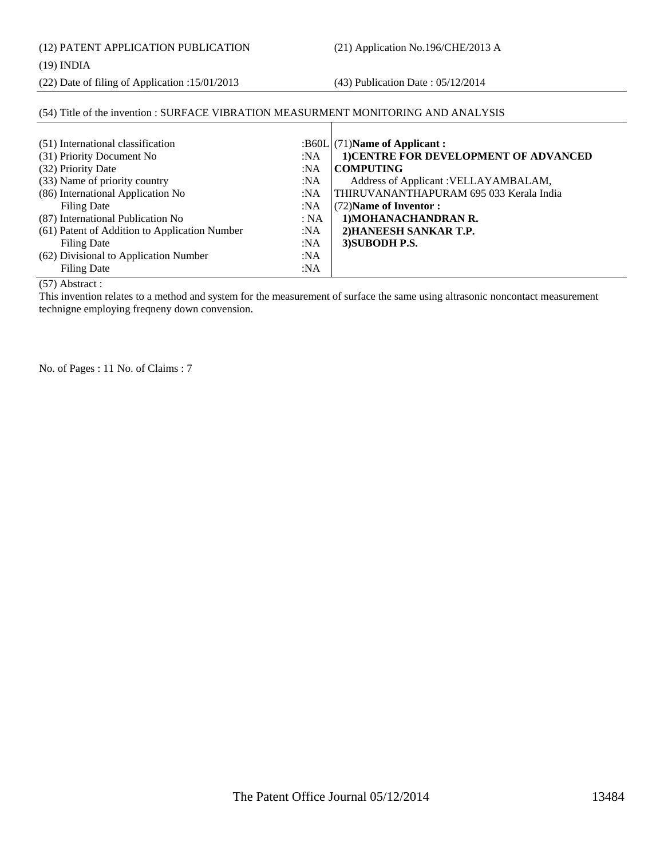(12) PATENT APPLICATION PUBLICATION (21) Application No.196/CHE/2013 A

(22) Date of filing of Application :15/01/2013 (43) Publication Date : 05/12/2014

#### (54) Title of the invention : SURFACE VIBRATION MEASURMENT MONITORING AND ANALYSIS

| (51) International classification<br>(31) Priority Document No<br>:NA<br>(32) Priority Date<br>:NA<br>(33) Name of priority country<br>:NA<br>(86) International Application No<br>:NA<br><b>Filing Date</b><br>:N $A$ | : $B60L$ (71)Name of Applicant:<br>1) CENTRE FOR DEVELOPMENT OF ADVANCED<br><b>COMPUTING</b><br>Address of Applicant : VELLAYAMBALAM,<br>THIRUVANANTHAPURAM 695 033 Kerala India<br>(72) Name of Inventor: |
|------------------------------------------------------------------------------------------------------------------------------------------------------------------------------------------------------------------------|------------------------------------------------------------------------------------------------------------------------------------------------------------------------------------------------------------|
| (87) International Publication No<br>: NA                                                                                                                                                                              | 1) MOHANACHANDRAN R.                                                                                                                                                                                       |
| (61) Patent of Addition to Application Number<br>:N $A$                                                                                                                                                                | 2) HANEESH SANKAR T.P.                                                                                                                                                                                     |
| :N $A$<br>Filing Date                                                                                                                                                                                                  | 3) SUBODH P.S.                                                                                                                                                                                             |
| (62) Divisional to Application Number<br>:NA                                                                                                                                                                           |                                                                                                                                                                                                            |
| :NA<br>Filing Date                                                                                                                                                                                                     |                                                                                                                                                                                                            |

(57) Abstract :

This invention relates to a method and system for the measurement of surface the same using altrasonic noncontact measurement technigne employing freqneny down convension.

No. of Pages : 11 No. of Claims : 7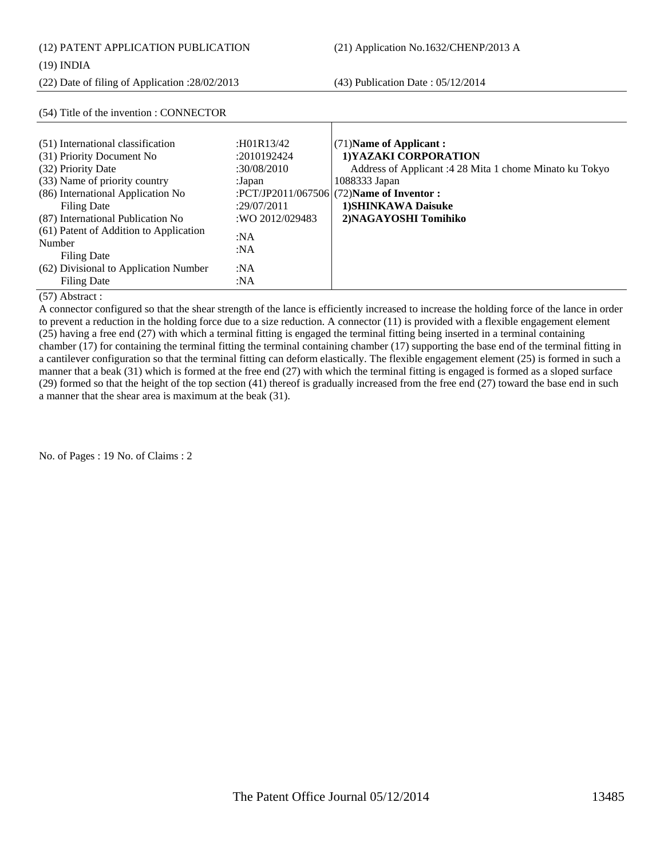(12) PATENT APPLICATION PUBLICATION (21) Application No.1632/CHENP/2013 A

#### (19) INDIA

(22) Date of filing of Application :28/02/2013 (43) Publication Date : 05/12/2014

| (51) International classification<br>(31) Priority Document No<br>(32) Priority Date<br>(33) Name of priority country<br>(86) International Application No<br>Filing Date<br>(87) International Publication No<br>(61) Patent of Addition to Application | : $H01R13/42$<br>:2010192424<br>:30/08/2010<br>:Japan<br>:29/07/2011<br>:WO 2012/029483 | $(71)$ Name of Applicant:<br>1) YAZAKI CORPORATION<br>Address of Applicant :4 28 Mita 1 chome Minato ku Tokyo<br>1088333 Japan<br>:PCT/JP2011/067506 (72) Name of Inventor :<br>1) SHINKAWA Daisuke<br>2) NAGAYOSHI Tomihiko |
|----------------------------------------------------------------------------------------------------------------------------------------------------------------------------------------------------------------------------------------------------------|-----------------------------------------------------------------------------------------|------------------------------------------------------------------------------------------------------------------------------------------------------------------------------------------------------------------------------|
| Number<br><b>Filing Date</b><br>(62) Divisional to Application Number<br>Filing Date                                                                                                                                                                     | :NA<br>:NA<br>:NA<br>:NA                                                                |                                                                                                                                                                                                                              |

### (54) Title of the invention : CONNECTOR

(57) Abstract :

A connector configured so that the shear strength of the lance is efficiently increased to increase the holding force of the lance in order to prevent a reduction in the holding force due to a size reduction. A connector (11) is provided with a flexible engagement element (25) having a free end (27) with which a terminal fitting is engaged the terminal fitting being inserted in a terminal containing chamber (17) for containing the terminal fitting the terminal containing chamber (17) supporting the base end of the terminal fitting in a cantilever configuration so that the terminal fitting can deform elastically. The flexible engagement element (25) is formed in such a manner that a beak (31) which is formed at the free end (27) with which the terminal fitting is engaged is formed as a sloped surface (29) formed so that the height of the top section (41) thereof is gradually increased from the free end (27) toward the base end in such a manner that the shear area is maximum at the beak (31).

No. of Pages : 19 No. of Claims : 2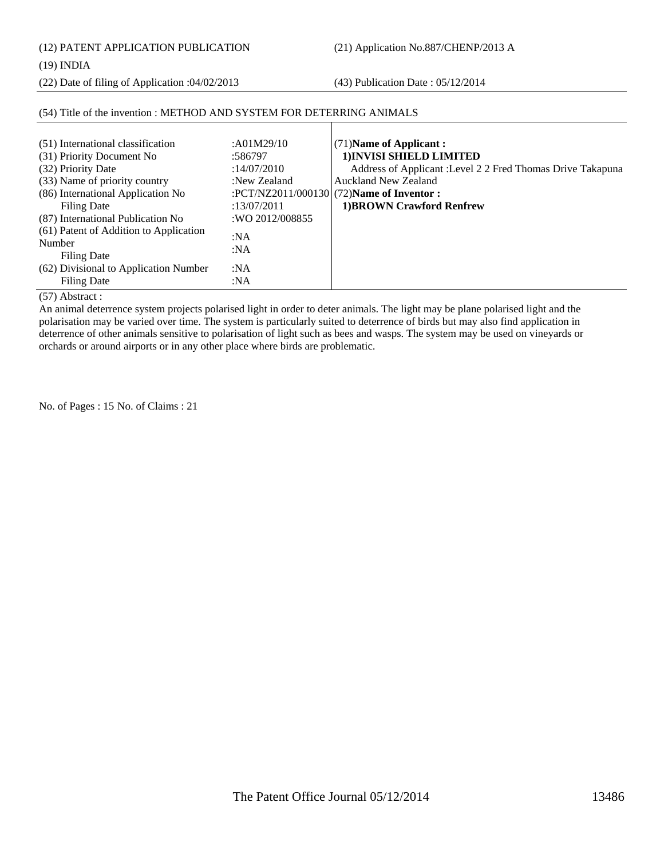(12) PATENT APPLICATION PUBLICATION (21) Application No.887/CHENP/2013 A

(19) INDIA

(22) Date of filing of Application :04/02/2013 (43) Publication Date : 05/12/2014

| (51) International classification<br>(31) Priority Document No<br>(32) Priority Date<br>(33) Name of priority country<br>(86) International Application No<br>Filing Date | :A01M29/10<br>:586797<br>:14/07/2010<br>:New Zealand<br>:13/07/2011 | $(71)$ Name of Applicant:<br>1) INVISI SHIELD LIMITED<br>Address of Applicant: Level 2 2 Fred Thomas Drive Takapuna<br><b>Auckland New Zealand</b><br>:PCT/NZ2011/000130 $(72)$ Name of Inventor :<br>1) BROWN Crawford Renfrew |
|---------------------------------------------------------------------------------------------------------------------------------------------------------------------------|---------------------------------------------------------------------|---------------------------------------------------------------------------------------------------------------------------------------------------------------------------------------------------------------------------------|
| (87) International Publication No<br>(61) Patent of Addition to Application<br>Number<br>Filing Date<br>(62) Divisional to Application Number                             | :WO 2012/008855<br>:NA<br>:NA<br>:N $A$                             |                                                                                                                                                                                                                                 |
| Filing Date                                                                                                                                                               | :NA                                                                 |                                                                                                                                                                                                                                 |

#### (54) Title of the invention : METHOD AND SYSTEM FOR DETERRING ANIMALS

(57) Abstract :

An animal deterrence system projects polarised light in order to deter animals. The light may be plane polarised light and the polarisation may be varied over time. The system is particularly suited to deterrence of birds but may also find application in deterrence of other animals sensitive to polarisation of light such as bees and wasps. The system may be used on vineyards or orchards or around airports or in any other place where birds are problematic.

No. of Pages : 15 No. of Claims : 21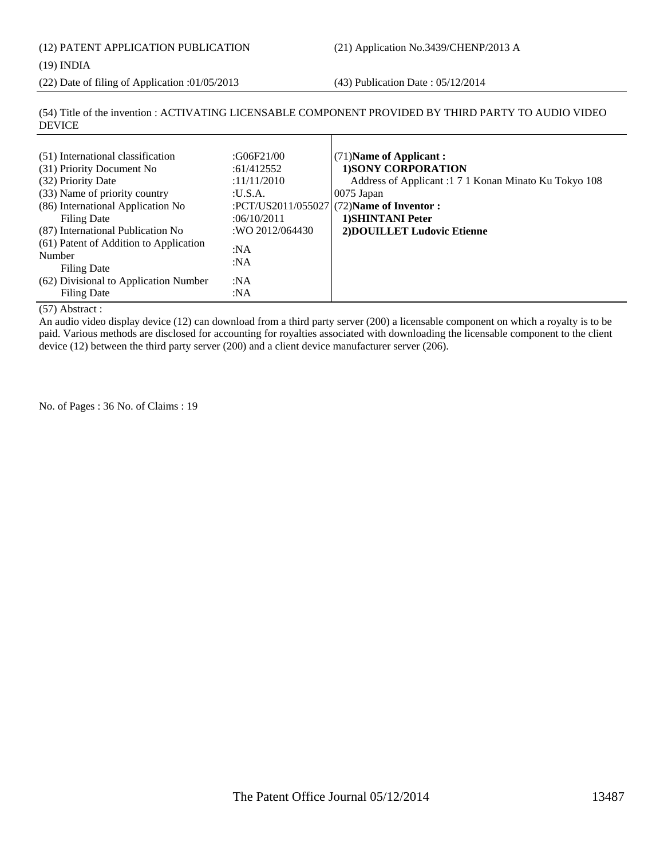(12) PATENT APPLICATION PUBLICATION (21) Application No.3439/CHENP/2013 A

(19) INDIA

(22) Date of filing of Application :01/05/2013 (43) Publication Date : 05/12/2014

(54) Title of the invention : ACTIVATING LICENSABLE COMPONENT PROVIDED BY THIRD PARTY TO AUDIO VIDEO DEVICE

 $\mathbf{I}$ 

| (51) International classification<br>(31) Priority Document No<br>(32) Priority Date<br>(33) Name of priority country<br>(86) International Application No<br>Filing Date<br>(87) International Publication No<br>(61) Patent of Addition to Application<br>Number<br>Filing Date<br>(62) Divisional to Application Number<br>Filing Date | :G06F21/00<br>:61/412552<br>:11/11/2010<br>: <b>U.S.A.</b><br>:06/10/2011<br>:WO 2012/064430<br>:NA<br>:NA<br>:NA<br>:N $A$ | $(71)$ Name of Applicant:<br><b>1)SONY CORPORATION</b><br>Address of Applicant :1 7 1 Konan Minato Ku Tokyo 108<br>$0075$ Japan<br>:PCT/US2011/055027 $(72)$ Name of Inventor :<br>1) SHINTANI Peter<br>2) DOUILLET Ludovic Etienne |
|-------------------------------------------------------------------------------------------------------------------------------------------------------------------------------------------------------------------------------------------------------------------------------------------------------------------------------------------|-----------------------------------------------------------------------------------------------------------------------------|-------------------------------------------------------------------------------------------------------------------------------------------------------------------------------------------------------------------------------------|
|-------------------------------------------------------------------------------------------------------------------------------------------------------------------------------------------------------------------------------------------------------------------------------------------------------------------------------------------|-----------------------------------------------------------------------------------------------------------------------------|-------------------------------------------------------------------------------------------------------------------------------------------------------------------------------------------------------------------------------------|

(57) Abstract :

An audio video display device (12) can download from a third party server (200) a licensable component on which a royalty is to be paid. Various methods are disclosed for accounting for royalties associated with downloading the licensable component to the client device (12) between the third party server (200) and a client device manufacturer server (206).

No. of Pages : 36 No. of Claims : 19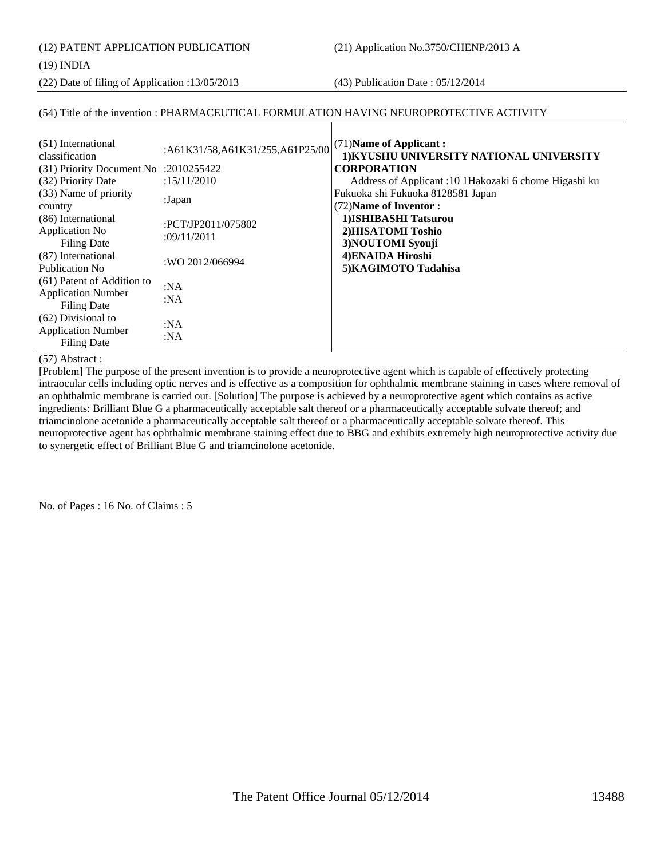(12) PATENT APPLICATION PUBLICATION (21) Application No.3750/CHENP/2013 A

(22) Date of filing of Application :13/05/2013 (43) Publication Date : 05/12/2014

### (54) Title of the invention : PHARMACEUTICAL FORMULATION HAVING NEUROPROTECTIVE ACTIVITY

| (51) International<br>classification                                          | :A61K31/58,A61K31/255,A61P25/00   | (71) Name of Applicant:<br>1) KYUSHU UNIVERSITY NATIONAL UNIVERSITY |
|-------------------------------------------------------------------------------|-----------------------------------|---------------------------------------------------------------------|
| $(31)$ Priority Document No :2010255422                                       |                                   | <b>CORPORATION</b>                                                  |
| (32) Priority Date                                                            | :15/11/2010                       | Address of Applicant :10 1Hakozaki 6 chome Higashi ku               |
| (33) Name of priority<br>country                                              | :Japan                            | Fukuoka shi Fukuoka 8128581 Japan<br>(72) Name of Inventor:         |
| (86) International<br>Application No<br><b>Filing Date</b>                    | :PCT/JP2011/075802<br>:09/11/2011 | 1) ISHIBASHI Tatsurou<br>2) HISATOMI Toshio<br>3) NOUTOMI Syouji    |
| (87) International<br>Publication No.                                         | :WO 2012/066994                   | 4) ENAIDA Hiroshi<br>5) KAGIMOTO Tadahisa                           |
| (61) Patent of Addition to<br><b>Application Number</b><br><b>Filing Date</b> | :NA<br>:NA                        |                                                                     |
| (62) Divisional to<br><b>Application Number</b><br><b>Filing Date</b>         | :NA<br>:NA                        |                                                                     |

#### (57) Abstract :

[Problem] The purpose of the present invention is to provide a neuroprotective agent which is capable of effectively protecting intraocular cells including optic nerves and is effective as a composition for ophthalmic membrane staining in cases where removal of an ophthalmic membrane is carried out. [Solution] The purpose is achieved by a neuroprotective agent which contains as active ingredients: Brilliant Blue G a pharmaceutically acceptable salt thereof or a pharmaceutically acceptable solvate thereof; and triamcinolone acetonide a pharmaceutically acceptable salt thereof or a pharmaceutically acceptable solvate thereof. This neuroprotective agent has ophthalmic membrane staining effect due to BBG and exhibits extremely high neuroprotective activity due to synergetic effect of Brilliant Blue G and triamcinolone acetonide.

No. of Pages : 16 No. of Claims : 5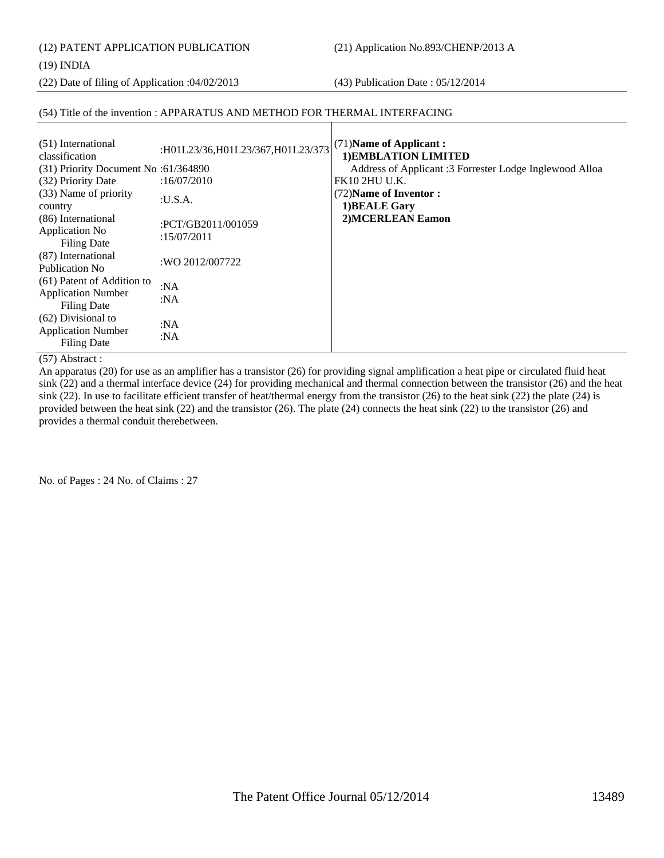(12) PATENT APPLICATION PUBLICATION (21) Application No.893/CHENP/2013 A

#### (19) INDIA

(22) Date of filing of Application :04/02/2013 (43) Publication Date : 05/12/2014

### (54) Title of the invention : APPARATUS AND METHOD FOR THERMAL INTERFACING

| (51) International<br>classification<br>(31) Priority Document No: 61/364890  | :H01L23/36,H01L23/367,H01L23/373  | (71) Name of Applicant:<br>1) EMBLATION LIMITED<br>Address of Applicant :3 Forrester Lodge Inglewood Alloa |
|-------------------------------------------------------------------------------|-----------------------------------|------------------------------------------------------------------------------------------------------------|
| (32) Priority Date<br>(33) Name of priority<br>country                        | :16/07/2010<br>: <b>U.S.A.</b>    | <b>FK10 2HU U.K.</b><br>(72) Name of Inventor:<br>1) BEALE Gary                                            |
| (86) International<br><b>Application No</b><br><b>Filing Date</b>             | :PCT/GB2011/001059<br>:15/07/2011 | 2) MCERLEAN Eamon                                                                                          |
| (87) International<br>Publication No.                                         | :WO 2012/007722                   |                                                                                                            |
| (61) Patent of Addition to<br><b>Application Number</b><br><b>Filing Date</b> | :NA<br>:NA                        |                                                                                                            |
| $(62)$ Divisional to<br><b>Application Number</b><br><b>Filing Date</b>       | :N $A$<br>:NA                     |                                                                                                            |

#### (57) Abstract :

An apparatus (20) for use as an amplifier has a transistor (26) for providing signal amplification a heat pipe or circulated fluid heat sink (22) and a thermal interface device (24) for providing mechanical and thermal connection between the transistor (26) and the heat sink (22). In use to facilitate efficient transfer of heat/thermal energy from the transistor (26) to the heat sink (22) the plate (24) is provided between the heat sink (22) and the transistor (26). The plate (24) connects the heat sink (22) to the transistor (26) and provides a thermal conduit therebetween.

No. of Pages : 24 No. of Claims : 27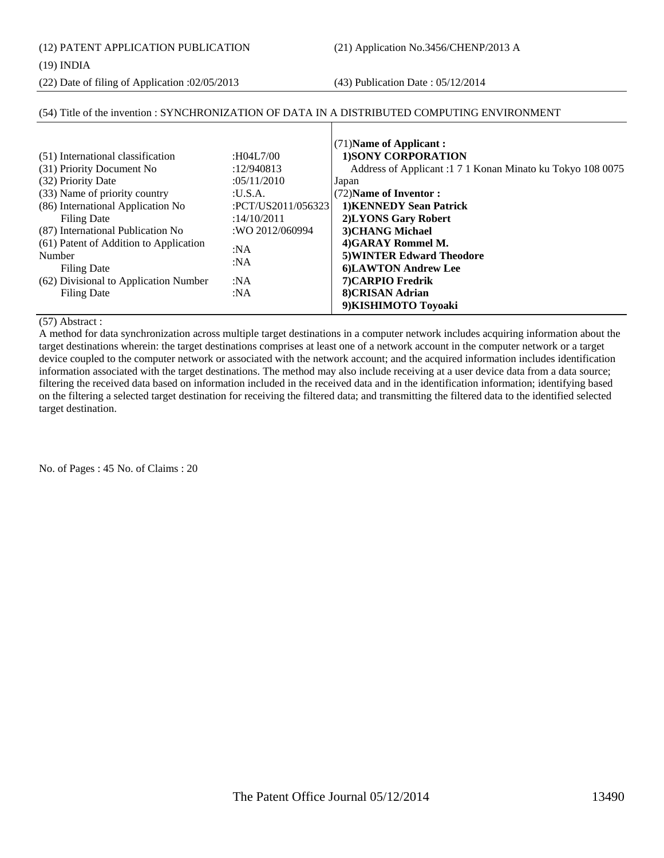(12) PATENT APPLICATION PUBLICATION (21) Application No.3456/CHENP/2013 A

#### (19) INDIA

(22) Date of filing of Application :02/05/2013 (43) Publication Date : 05/12/2014

#### (54) Title of the invention : SYNCHRONIZATION OF DATA IN A DISTRIBUTED COMPUTING ENVIRONMENT

|                                        |                    | $(71)$ Name of Applicant:                                |
|----------------------------------------|--------------------|----------------------------------------------------------|
| (51) International classification      | :H04L7/00          | <b>1)SONY CORPORATION</b>                                |
| (31) Priority Document No              | :12/940813         | Address of Applicant: 171 Konan Minato ku Tokyo 108 0075 |
| (32) Priority Date                     | :05/11/2010        | Japan                                                    |
| (33) Name of priority country          | :U.S.A.            | (72) Name of Inventor:                                   |
| (86) International Application No      | :PCT/US2011/056323 | 1) KENNEDY Sean Patrick                                  |
| Filing Date                            | :14/10/2011        | 2)LYONS Gary Robert                                      |
| (87) International Publication No      | :WO 2012/060994    | 3) CHANG Michael                                         |
| (61) Patent of Addition to Application | :NA                | 4)GARAY Rommel M.                                        |
| Number                                 |                    | 5) WINTER Edward Theodore                                |
| <b>Filing Date</b>                     | :NA                | <b>6)LAWTON Andrew Lee</b>                               |
| (62) Divisional to Application Number  | :NA                | 7) CARPIO Fredrik                                        |
| <b>Filing Date</b>                     | :NA                | 8) CRISAN Adrian                                         |
|                                        |                    | 9) KISHIMOTO Toyoaki                                     |

(57) Abstract :

A method for data synchronization across multiple target destinations in a computer network includes acquiring information about the target destinations wherein: the target destinations comprises at least one of a network account in the computer network or a target device coupled to the computer network or associated with the network account; and the acquired information includes identification information associated with the target destinations. The method may also include receiving at a user device data from a data source; filtering the received data based on information included in the received data and in the identification information; identifying based on the filtering a selected target destination for receiving the filtered data; and transmitting the filtered data to the identified selected target destination.

No. of Pages : 45 No. of Claims : 20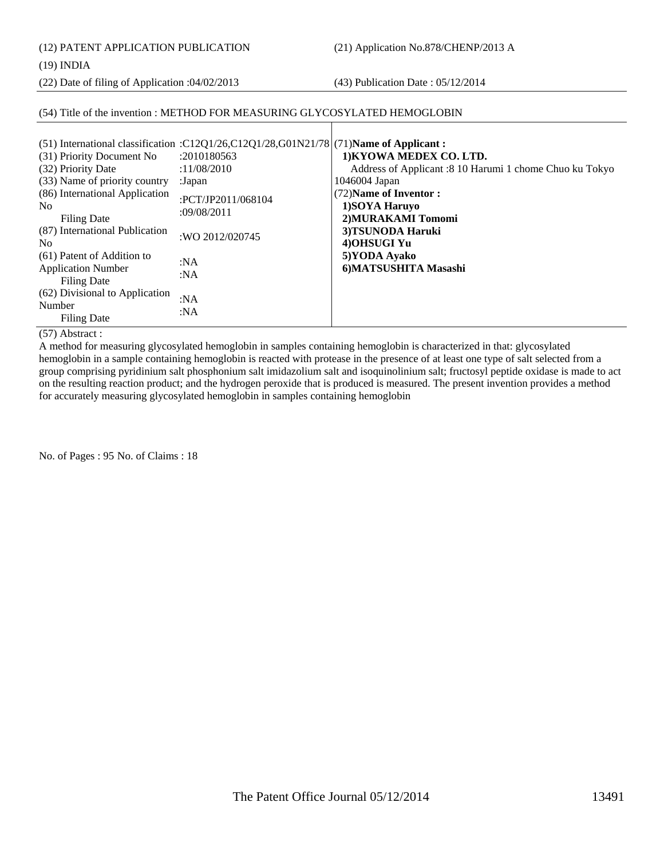(12) PATENT APPLICATION PUBLICATION (21) Application No.878/CHENP/2013 A

(19) INDIA

(22) Date of filing of Application :04/02/2013 (43) Publication Date : 05/12/2014

#### (54) Title of the invention : METHOD FOR MEASURING GLYCOSYLATED HEMOGLOBIN

|                                | (51) International classification :C12Q1/26,C12Q1/28,G01N21/78 (71) Name of Applicant: |                                                          |
|--------------------------------|----------------------------------------------------------------------------------------|----------------------------------------------------------|
| (31) Priority Document No      | :2010180563                                                                            | 1) KYOWA MEDEX CO. LTD.                                  |
| (32) Priority Date             | :11/08/2010                                                                            | Address of Applicant : 8 10 Harumi 1 chome Chuo ku Tokyo |
| (33) Name of priority country  | :Japan                                                                                 | 1046004 Japan                                            |
| (86) International Application |                                                                                        | (72) Name of Inventor:                                   |
| N <sub>0</sub>                 | :PCT/JP2011/068104                                                                     | 1) SOYA Haruyo                                           |
| Filing Date                    | :09/08/2011                                                                            | 2) MURAKAMI Tomomi                                       |
| (87) International Publication | :WO 2012/020745                                                                        | 3)TSUNODA Haruki                                         |
| N <sub>0</sub>                 |                                                                                        | 4) OHSUGI Yu                                             |
| (61) Patent of Addition to     |                                                                                        | 5) YODA Ayako                                            |
| <b>Application Number</b>      | :N $A$                                                                                 | 6) MATSUSHITA Masashi                                    |
| Filing Date                    | :NA                                                                                    |                                                          |
| (62) Divisional to Application |                                                                                        |                                                          |
| Number                         | :N $A$                                                                                 |                                                          |
| <b>Filing Date</b>             | :N $A$                                                                                 |                                                          |

(57) Abstract :

A method for measuring glycosylated hemoglobin in samples containing hemoglobin is characterized in that: glycosylated hemoglobin in a sample containing hemoglobin is reacted with protease in the presence of at least one type of salt selected from a group comprising pyridinium salt phosphonium salt imidazolium salt and isoquinolinium salt; fructosyl peptide oxidase is made to act on the resulting reaction product; and the hydrogen peroxide that is produced is measured. The present invention provides a method for accurately measuring glycosylated hemoglobin in samples containing hemoglobin

No. of Pages : 95 No. of Claims : 18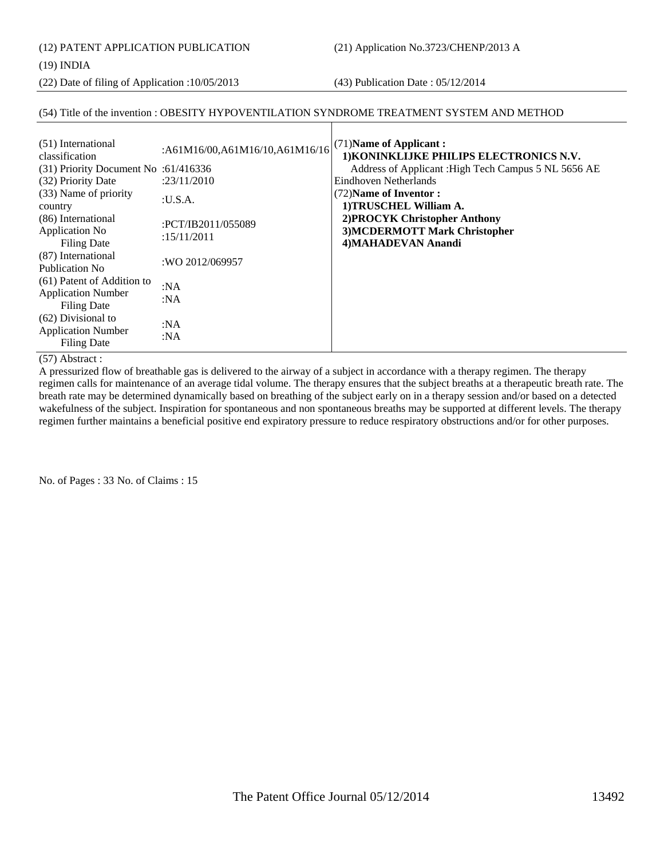(12) PATENT APPLICATION PUBLICATION (21) Application No.3723/CHENP/2013 A

#### (19) INDIA

(22) Date of filing of Application :10/05/2013 (43) Publication Date : 05/12/2014

#### (54) Title of the invention : OBESITY HYPOVENTILATION SYNDROME TREATMENT SYSTEM AND METHOD

| (51) International<br>classification<br>$(31)$ Priority Document No :61/416336 | :A61M16/00,A61M16/10,A61M16/16    | (71) Name of Applicant:<br>1) KONINKLIJKE PHILIPS ELECTRONICS N.V.<br>Address of Applicant : High Tech Campus 5 NL 5656 AE |
|--------------------------------------------------------------------------------|-----------------------------------|----------------------------------------------------------------------------------------------------------------------------|
| (32) Priority Date                                                             | :23/11/2010                       | Eindhoven Netherlands                                                                                                      |
| (33) Name of priority<br>country                                               | $: U.S.A$ .                       | (72) Name of Inventor:<br>1) TRUSCHEL William A.                                                                           |
| (86) International<br>Application No<br><b>Filing Date</b>                     | :PCT/IB2011/055089<br>:15/11/2011 | 2) PROCYK Christopher Anthony<br>3) MCDERMOTT Mark Christopher<br>4) MAHADEVAN Anandi                                      |
| (87) International<br>Publication No.                                          | :WO 2012/069957                   |                                                                                                                            |
| (61) Patent of Addition to<br><b>Application Number</b><br>Filing Date         | :NA<br>: $NA$                     |                                                                                                                            |
| $(62)$ Divisional to<br><b>Application Number</b><br><b>Filing Date</b>        | :NA<br>:NA                        |                                                                                                                            |

#### (57) Abstract :

A pressurized flow of breathable gas is delivered to the airway of a subject in accordance with a therapy regimen. The therapy regimen calls for maintenance of an average tidal volume. The therapy ensures that the subject breaths at a therapeutic breath rate. The breath rate may be determined dynamically based on breathing of the subject early on in a therapy session and/or based on a detected wakefulness of the subject. Inspiration for spontaneous and non spontaneous breaths may be supported at different levels. The therapy regimen further maintains a beneficial positive end expiratory pressure to reduce respiratory obstructions and/or for other purposes.

No. of Pages : 33 No. of Claims : 15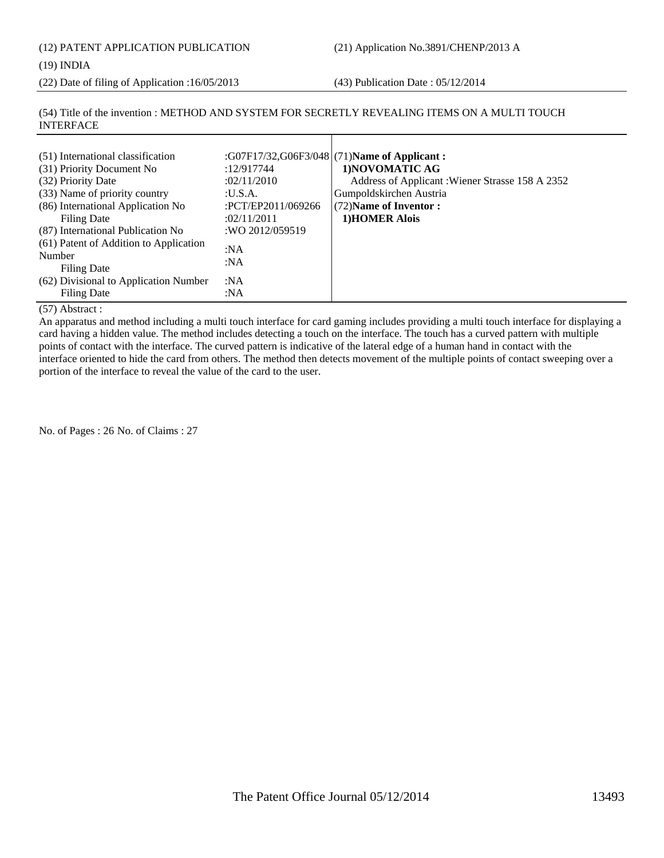(12) PATENT APPLICATION PUBLICATION (21) Application No.3891/CHENP/2013 A

(19) INDIA

(22) Date of filing of Application :16/05/2013 (43) Publication Date : 05/12/2014

(54) Title of the invention : METHOD AND SYSTEM FOR SECRETLY REVEALING ITEMS ON A MULTI TOUCH INTERFACE

| (51) International classification<br>(31) Priority Document No<br>(32) Priority Date<br>(33) Name of priority country<br>(86) International Application No<br>Filing Date<br>(87) International Publication No<br>(61) Patent of Addition to Application<br>Number<br>Filing Date<br>(62) Divisional to Application Number | :12/917744<br>:02/11/2010<br>:U.S.A.<br>:PCT/EP2011/069266<br>:02/11/2011<br>:WO 2012/059519<br>:NA<br>:NA<br>:NA | :G07F17/32,G06F3/048 (71)Name of Applicant :<br>1) NOVOMATIC AG<br>Address of Applicant: Wiener Strasse 158 A 2352<br>Gumpoldskirchen Austria<br>(72) Name of Inventor:<br><b>1)HOMER Alois</b> |
|----------------------------------------------------------------------------------------------------------------------------------------------------------------------------------------------------------------------------------------------------------------------------------------------------------------------------|-------------------------------------------------------------------------------------------------------------------|-------------------------------------------------------------------------------------------------------------------------------------------------------------------------------------------------|
| Filing Date                                                                                                                                                                                                                                                                                                                | :NA                                                                                                               |                                                                                                                                                                                                 |

(57) Abstract :

An apparatus and method including a multi touch interface for card gaming includes providing a multi touch interface for displaying a card having a hidden value. The method includes detecting a touch on the interface. The touch has a curved pattern with multiple points of contact with the interface. The curved pattern is indicative of the lateral edge of a human hand in contact with the interface oriented to hide the card from others. The method then detects movement of the multiple points of contact sweeping over a portion of the interface to reveal the value of the card to the user.

No. of Pages : 26 No. of Claims : 27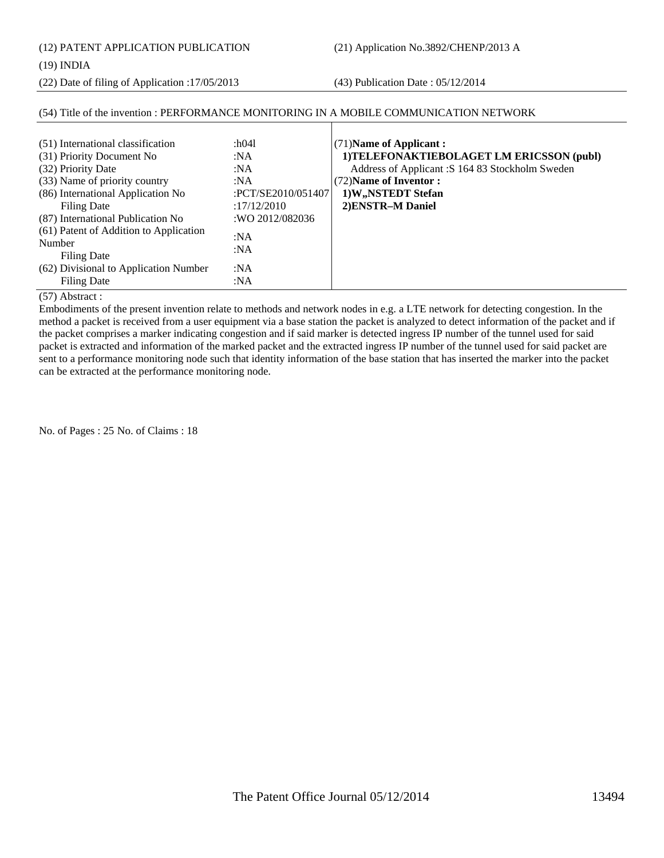(12) PATENT APPLICATION PUBLICATION (21) Application No.3892/CHENP/2013 A

#### (19) INDIA

(22) Date of filing of Application :17/05/2013 (43) Publication Date : 05/12/2014

| (51) International classification      | :h $041$           | $(71)$ Name of Applicant:                       |
|----------------------------------------|--------------------|-------------------------------------------------|
| (31) Priority Document No              | :NA                | 1) TELEFONAKTIEBOLAGET LM ERICSSON (publ)       |
| (32) Priority Date                     | :NA                | Address of Applicant: S 164 83 Stockholm Sweden |
| (33) Name of priority country          | :NA                | (72) Name of Inventor:                          |
| (86) International Application No      | :PCT/SE2010/051407 | 1)W,,NSTEDT Stefan                              |
| Filing Date                            | :17/12/2010        | 2) ENSTR-M Daniel                               |
| (87) International Publication No      | :WO 2012/082036    |                                                 |
| (61) Patent of Addition to Application | :NA                |                                                 |
| Number                                 |                    |                                                 |
| Filing Date                            | :NA                |                                                 |
| (62) Divisional to Application Number  | :NA                |                                                 |
| Filing Date                            | :NA                |                                                 |

#### (54) Title of the invention : PERFORMANCE MONITORING IN A MOBILE COMMUNICATION NETWORK

(57) Abstract :

Embodiments of the present invention relate to methods and network nodes in e.g. a LTE network for detecting congestion. In the method a packet is received from a user equipment via a base station the packet is analyzed to detect information of the packet and if the packet comprises a marker indicating congestion and if said marker is detected ingress IP number of the tunnel used for said packet is extracted and information of the marked packet and the extracted ingress IP number of the tunnel used for said packet are sent to a performance monitoring node such that identity information of the base station that has inserted the marker into the packet can be extracted at the performance monitoring node.

No. of Pages : 25 No. of Claims : 18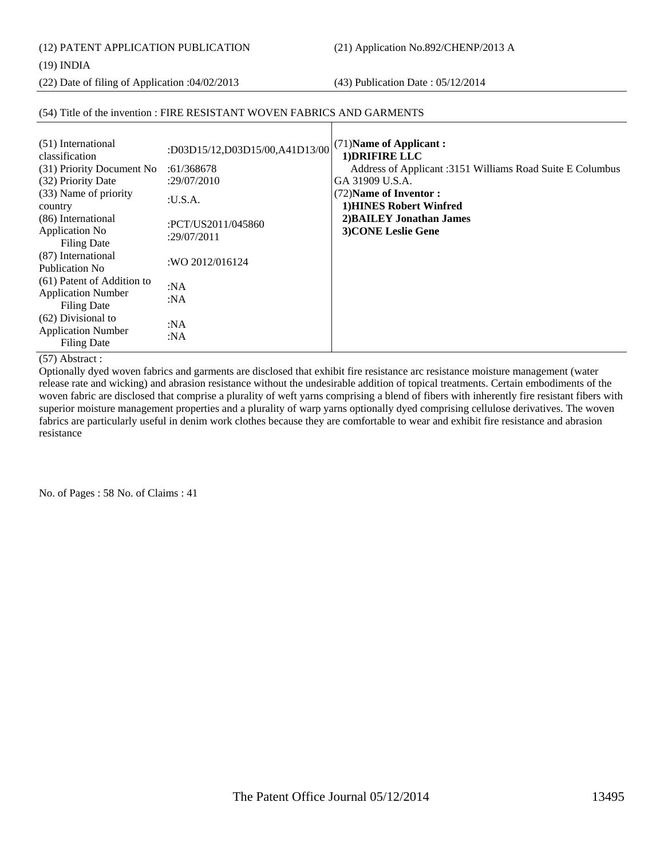(12) PATENT APPLICATION PUBLICATION (21) Application No.892/CHENP/2013 A

(19) INDIA

(22) Date of filing of Application :04/02/2013 (43) Publication Date : 05/12/2014

#### (54) Title of the invention : FIRE RESISTANT WOVEN FABRICS AND GARMENTS

| (51) International<br>classification<br>(31) Priority Document No             | :D03D15/12,D03D15/00,A41D13/00<br>:61/368678 | (71) Name of Applicant:<br>1) DRIFIRE LLC<br>Address of Applicant :3151 Williams Road Suite E Columbus |
|-------------------------------------------------------------------------------|----------------------------------------------|--------------------------------------------------------------------------------------------------------|
| (32) Priority Date                                                            | :29/07/2010                                  | GA 31909 U.S.A.                                                                                        |
| (33) Name of priority<br>country                                              | : <b>U.S.A.</b>                              | (72) Name of Inventor:<br>1) HINES Robert Winfred                                                      |
| (86) International<br>Application No<br><b>Filing Date</b>                    | :PCT/US2011/045860<br>:29/07/2011            | 2) BAILEY Jonathan James<br>3) CONE Leslie Gene                                                        |
| (87) International<br>Publication No.                                         | :WO 2012/016124                              |                                                                                                        |
| (61) Patent of Addition to<br><b>Application Number</b><br><b>Filing Date</b> | :N $A$<br>:NA                                |                                                                                                        |
| (62) Divisional to<br><b>Application Number</b><br><b>Filing Date</b>         | :NA<br>:NA                                   |                                                                                                        |

#### (57) Abstract :

Optionally dyed woven fabrics and garments are disclosed that exhibit fire resistance arc resistance moisture management (water release rate and wicking) and abrasion resistance without the undesirable addition of topical treatments. Certain embodiments of the woven fabric are disclosed that comprise a plurality of weft yarns comprising a blend of fibers with inherently fire resistant fibers with superior moisture management properties and a plurality of warp yarns optionally dyed comprising cellulose derivatives. The woven fabrics are particularly useful in denim work clothes because they are comfortable to wear and exhibit fire resistance and abrasion resistance

No. of Pages : 58 No. of Claims : 41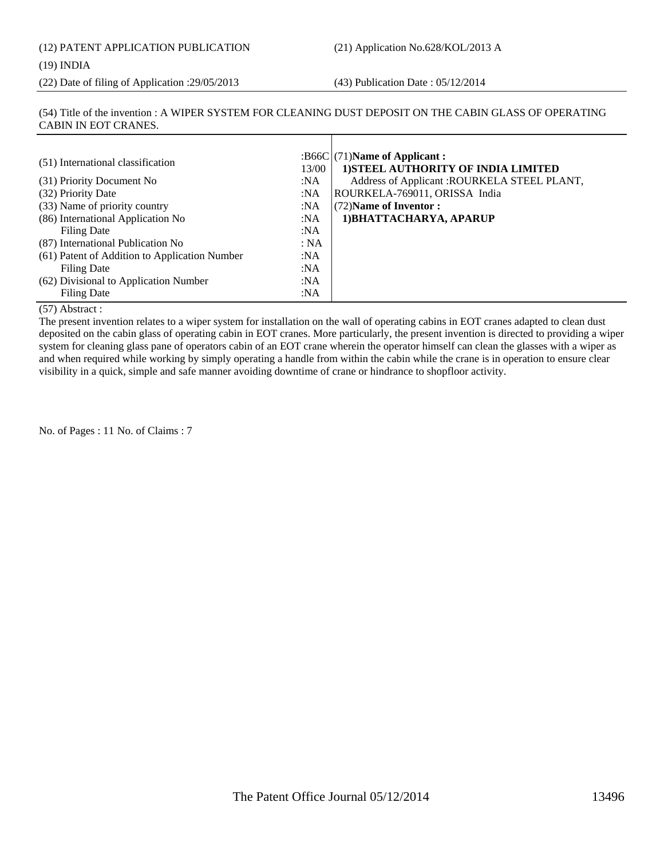(12) PATENT APPLICATION PUBLICATION (21) Application No.628/KOL/2013 A (19) INDIA

(22) Date of filing of Application :29/05/2013 (43) Publication Date : 05/12/2014

#### (54) Title of the invention : A WIPER SYSTEM FOR CLEANING DUST DEPOSIT ON THE CABIN GLASS OF OPERATING CABIN IN EOT CRANES.

| (51) International classification             | 13/00  | : $B66C$ (71)Name of Applicant :<br>1) STEEL AUTHORITY OF INDIA LIMITED |
|-----------------------------------------------|--------|-------------------------------------------------------------------------|
| (31) Priority Document No                     | :N $A$ | Address of Applicant: ROURKELA STEEL PLANT,                             |
| (32) Priority Date                            | :NA    | ROURKELA-769011, ORISSA India                                           |
| (33) Name of priority country                 | :NA    | (72) Name of Inventor:                                                  |
| (86) International Application No             | :NA    | 1) BHATTACHARYA, APARUP                                                 |
| Filing Date                                   | :NA    |                                                                         |
| (87) International Publication No             | : NA   |                                                                         |
| (61) Patent of Addition to Application Number | :NA    |                                                                         |
| Filing Date                                   | :N $A$ |                                                                         |
| (62) Divisional to Application Number         | :NA    |                                                                         |
| Filing Date                                   | :N $A$ |                                                                         |

#### (57) Abstract :

The present invention relates to a wiper system for installation on the wall of operating cabins in EOT cranes adapted to clean dust deposited on the cabin glass of operating cabin in EOT cranes. More particularly, the present invention is directed to providing a wiper system for cleaning glass pane of operators cabin of an EOT crane wherein the operator himself can clean the glasses with a wiper as and when required while working by simply operating a handle from within the cabin while the crane is in operation to ensure clear visibility in a quick, simple and safe manner avoiding downtime of crane or hindrance to shopfloor activity.

No. of Pages : 11 No. of Claims : 7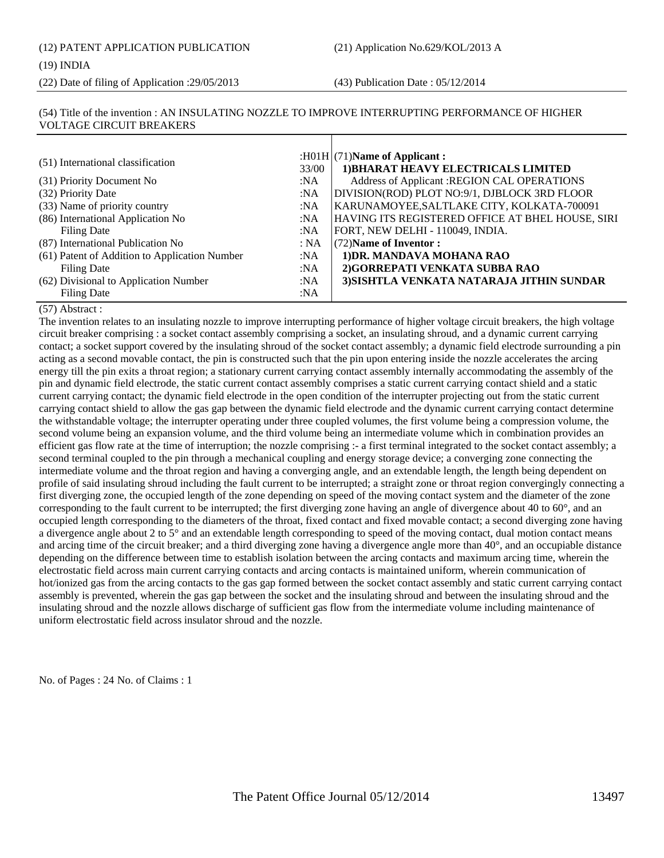#### (19) INDIA

(22) Date of filing of Application :29/05/2013 (43) Publication Date : 05/12/2014

#### (54) Title of the invention : AN INSULATING NOZZLE TO IMPROVE INTERRUPTING PERFORMANCE OF HIGHER VOLTAGE CIRCUIT BREAKERS

| (51) International classification             | 33/00  | : $H01H$ (71) Name of Applicant:<br>1) BHARAT HEAVY ELECTRICALS LIMITED |
|-----------------------------------------------|--------|-------------------------------------------------------------------------|
| (31) Priority Document No                     | :NA    | Address of Applicant : REGION CAL OPERATIONS                            |
| (32) Priority Date                            | :NA    | DIVISION(ROD) PLOT NO:9/1, DJBLOCK 3RD FLOOR                            |
| (33) Name of priority country                 | :NA    | KARUNAMOYEE, SALTLAKE CITY, KOLKATA-700091                              |
| (86) International Application No             | : $NA$ | HAVING ITS REGISTERED OFFICE AT BHEL HOUSE, SIRI                        |
| <b>Filing Date</b>                            | :NA    | FORT, NEW DELHI - 110049, INDIA.                                        |
| (87) International Publication No             | : NA   | $(72)$ Name of Inventor:                                                |
| (61) Patent of Addition to Application Number | :NA    | 1) DR. MANDAVA MOHANA RAO                                               |
| <b>Filing Date</b>                            | :NA    | 2)GORREPATI VENKATA SUBBA RAO                                           |
| (62) Divisional to Application Number         | :NA    | 3) SISHTLA VENKATA NATARAJA JITHIN SUNDAR                               |
| <b>Filing Date</b>                            | :NA    |                                                                         |

#### (57) Abstract :

The invention relates to an insulating nozzle to improve interrupting performance of higher voltage circuit breakers, the high voltage circuit breaker comprising : a socket contact assembly comprising a socket, an insulating shroud, and a dynamic current carrying contact; a socket support covered by the insulating shroud of the socket contact assembly; a dynamic field electrode surrounding a pin acting as a second movable contact, the pin is constructed such that the pin upon entering inside the nozzle accelerates the arcing energy till the pin exits a throat region; a stationary current carrying contact assembly internally accommodating the assembly of the pin and dynamic field electrode, the static current contact assembly comprises a static current carrying contact shield and a static current carrying contact; the dynamic field electrode in the open condition of the interrupter projecting out from the static current carrying contact shield to allow the gas gap between the dynamic field electrode and the dynamic current carrying contact determine the withstandable voltage; the interrupter operating under three coupled volumes, the first volume being a compression volume, the second volume being an expansion volume, and the third volume being an intermediate volume which in combination provides an efficient gas flow rate at the time of interruption; the nozzle comprising :- a first terminal integrated to the socket contact assembly; a second terminal coupled to the pin through a mechanical coupling and energy storage device; a converging zone connecting the intermediate volume and the throat region and having a converging angle, and an extendable length, the length being dependent on profile of said insulating shroud including the fault current to be interrupted; a straight zone or throat region convergingly connecting a first diverging zone, the occupied length of the zone depending on speed of the moving contact system and the diameter of the zone corresponding to the fault current to be interrupted; the first diverging zone having an angle of divergence about 40 to 60°, and an occupied length corresponding to the diameters of the throat, fixed contact and fixed movable contact; a second diverging zone having a divergence angle about 2 to 5° and an extendable length corresponding to speed of the moving contact, dual motion contact means and arcing time of the circuit breaker; and a third diverging zone having a divergence angle more than  $40^{\circ}$ , and an occupiable distance depending on the difference between time to establish isolation between the arcing contacts and maximum arcing time, wherein the electrostatic field across main current carrying contacts and arcing contacts is maintained uniform, wherein communication of hot/ionized gas from the arcing contacts to the gas gap formed between the socket contact assembly and static current carrying contact assembly is prevented, wherein the gas gap between the socket and the insulating shroud and between the insulating shroud and the insulating shroud and the nozzle allows discharge of sufficient gas flow from the intermediate volume including maintenance of uniform electrostatic field across insulator shroud and the nozzle.

No. of Pages : 24 No. of Claims : 1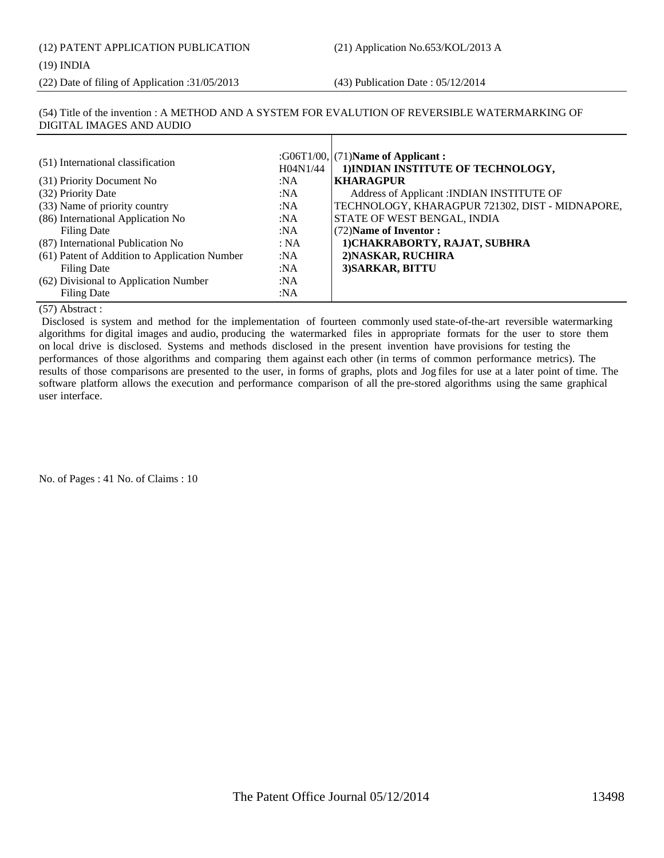(22) Date of filing of Application :31/05/2013 (43) Publication Date : 05/12/2014

#### (54) Title of the invention : A METHOD AND A SYSTEM FOR EVALUTION OF REVERSIBLE WATERMARKING OF DIGITAL IMAGES AND AUDIO

| (51) International classification             | H04N1/44 | : $G06T1/00$ , (71)Name of Applicant:<br>1) INDIAN INSTITUTE OF TECHNOLOGY, |
|-----------------------------------------------|----------|-----------------------------------------------------------------------------|
| (31) Priority Document No                     | :NA      | KHARAGPUR                                                                   |
| (32) Priority Date                            | :NA      | Address of Applicant : INDIAN INSTITUTE OF                                  |
| (33) Name of priority country                 | :NA      | TECHNOLOGY, KHARAGPUR 721302, DIST - MIDNAPORE,                             |
| (86) International Application No             | :NA      | STATE OF WEST BENGAL, INDIA                                                 |
| <b>Filing Date</b>                            | :NA      | (72) Name of Inventor:                                                      |
| (87) International Publication No             | : NA     | 1) CHAKRABORTY, RAJAT, SUBHRA                                               |
| (61) Patent of Addition to Application Number | :NA      | 2) NASKAR, RUCHIRA                                                          |
| <b>Filing Date</b>                            | :NA      | 3) SARKAR, BITTU                                                            |
| (62) Divisional to Application Number         | :NA      |                                                                             |
| <b>Filing Date</b>                            | :NA      |                                                                             |

#### (57) Abstract :

 Disclosed is system and method for the implementation of fourteen commonly used state-of-the-art reversible watermarking algorithms for digital images and audio, producing the watermarked files in appropriate formats for the user to store them on local drive is disclosed. Systems and methods disclosed in the present invention have provisions for testing the performances of those algorithms and comparing them against each other (in terms of common performance metrics). The results of those comparisons are presented to the user, in forms of graphs, plots and Jog files for use at a later point of time. The software platform allows the execution and performance comparison of all the pre-stored algorithms using the same graphical user interface.

No. of Pages : 41 No. of Claims : 10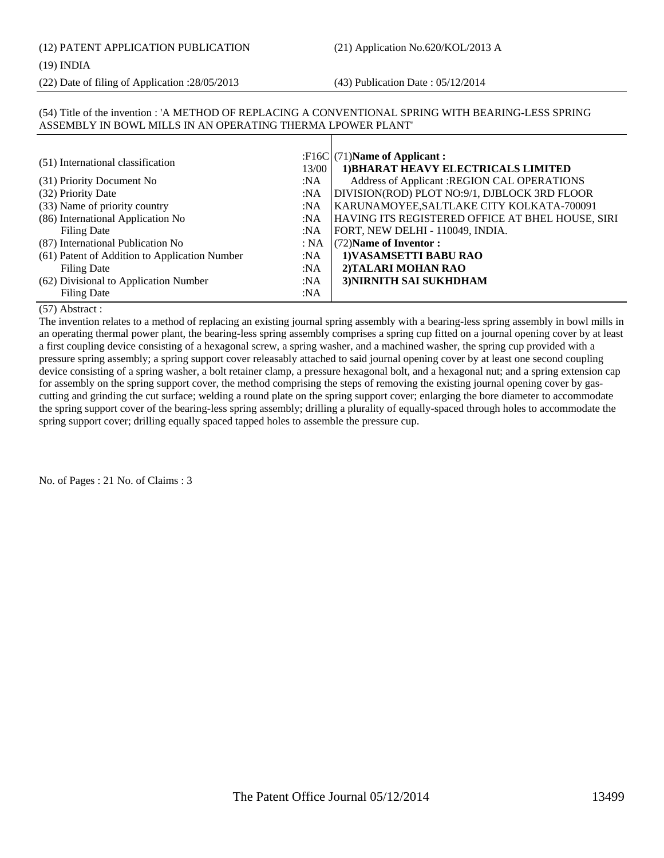#### (19) INDIA

(22) Date of filing of Application :28/05/2013 (43) Publication Date : 05/12/2014

#### (54) Title of the invention : 'A METHOD OF REPLACING A CONVENTIONAL SPRING WITH BEARING-LESS SPRING ASSEMBLY IN BOWL MILLS IN AN OPERATING THERMA LPOWER PLANT'

| (51) International classification<br>13/00              | : $F16C$ (71)Name of Applicant:<br>1) BHARAT HEAVY ELECTRICALS LIMITED |
|---------------------------------------------------------|------------------------------------------------------------------------|
| (31) Priority Document No<br>:NA                        | Address of Applicant : REGION CAL OPERATIONS                           |
| (32) Priority Date<br>:NA                               | DIVISION(ROD) PLOT NO:9/1, DJBLOCK 3RD FLOOR                           |
| (33) Name of priority country<br>:NA                    | KARUNAMOYEE, SALTLAKE CITY KOLKATA-700091                              |
| (86) International Application No<br>:N $A$             | HAVING ITS REGISTERED OFFICE AT BHEL HOUSE, SIRI                       |
| <b>Filing Date</b><br>:NA                               | FORT, NEW DELHI - 110049, INDIA.                                       |
| (87) International Publication No<br>: NA               | (72) Name of Inventor:                                                 |
| (61) Patent of Addition to Application Number<br>: $NA$ | 1) VASAMSETTI BABU RAO                                                 |
| <b>Filing Date</b><br>: $NA$                            | 2) TALARI MOHAN RAO                                                    |
| (62) Divisional to Application Number<br>: $NA$         | 3) NIRNITH SAI SUKHDHAM                                                |
| <b>Filing Date</b><br>: $NA$                            |                                                                        |

#### (57) Abstract :

The invention relates to a method of replacing an existing journal spring assembly with a bearing-less spring assembly in bowl mills in an operating thermal power plant, the bearing-less spring assembly comprises a spring cup fitted on a journal opening cover by at least a first coupling device consisting of a hexagonal screw, a spring washer, and a machined washer, the spring cup provided with a pressure spring assembly; a spring support cover releasably attached to said journal opening cover by at least one second coupling device consisting of a spring washer, a bolt retainer clamp, a pressure hexagonal bolt, and a hexagonal nut; and a spring extension cap for assembly on the spring support cover, the method comprising the steps of removing the existing journal opening cover by gascutting and grinding the cut surface; welding a round plate on the spring support cover; enlarging the bore diameter to accommodate the spring support cover of the bearing-less spring assembly; drilling a plurality of equally-spaced through holes to accommodate the spring support cover; drilling equally spaced tapped holes to assemble the pressure cup.

No. of Pages : 21 No. of Claims : 3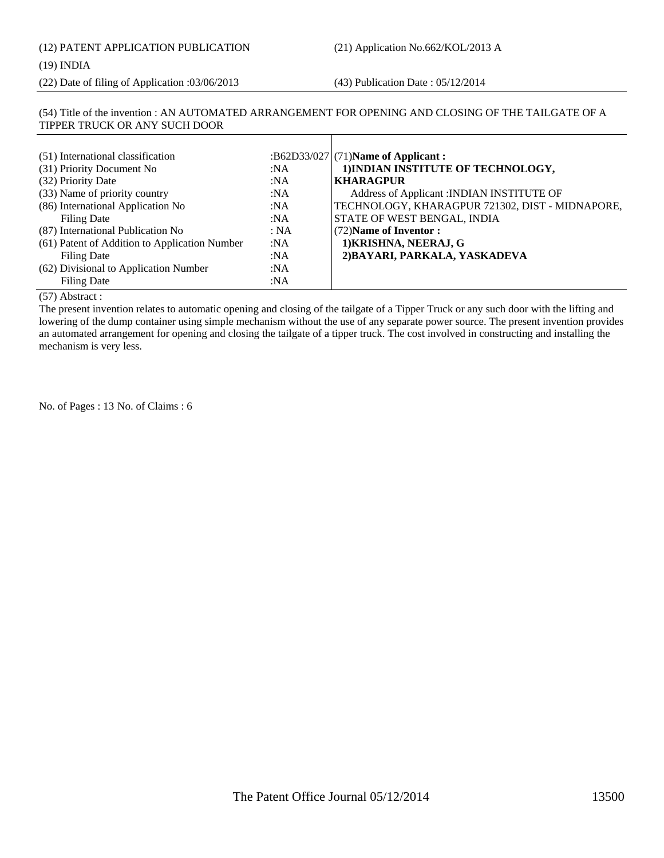# (12) PATENT APPLICATION PUBLICATION (21) Application No.662/KOL/2013 A

#### (19) INDIA

(22) Date of filing of Application :03/06/2013 (43) Publication Date : 05/12/2014

#### (54) Title of the invention : AN AUTOMATED ARRANGEMENT FOR OPENING AND CLOSING OF THE TAILGATE OF A TIPPER TRUCK OR ANY SUCH DOOR

| (51) International classification             |      | :B62D33/027 (71) Name of Applicant :            |
|-----------------------------------------------|------|-------------------------------------------------|
| (31) Priority Document No                     | :NA  | 1) INDIAN INSTITUTE OF TECHNOLOGY,              |
| (32) Priority Date                            | :NA  | <b>KHARAGPUR</b>                                |
| (33) Name of priority country                 | :NA  | Address of Applicant : INDIAN INSTITUTE OF      |
| (86) International Application No             | :NA  | TECHNOLOGY, KHARAGPUR 721302, DIST - MIDNAPORE, |
| <b>Filing Date</b>                            | :NA  | <b>STATE OF WEST BENGAL, INDIA</b>              |
| (87) International Publication No             | : NA | (72) Name of Inventor:                          |
| (61) Patent of Addition to Application Number | :NA  | 1) KRISHNA, NEERAJ, G                           |
| Filing Date                                   | :NA  | 2) BAYARI, PARKALA, YASKADEVA                   |
| (62) Divisional to Application Number         | :NA  |                                                 |
| <b>Filing Date</b>                            | :NA  |                                                 |

(57) Abstract :

The present invention relates to automatic opening and closing of the tailgate of a Tipper Truck or any such door with the lifting and lowering of the dump container using simple mechanism without the use of any separate power source. The present invention provides an automated arrangement for opening and closing the tailgate of a tipper truck. The cost involved in constructing and installing the mechanism is very less.

No. of Pages : 13 No. of Claims : 6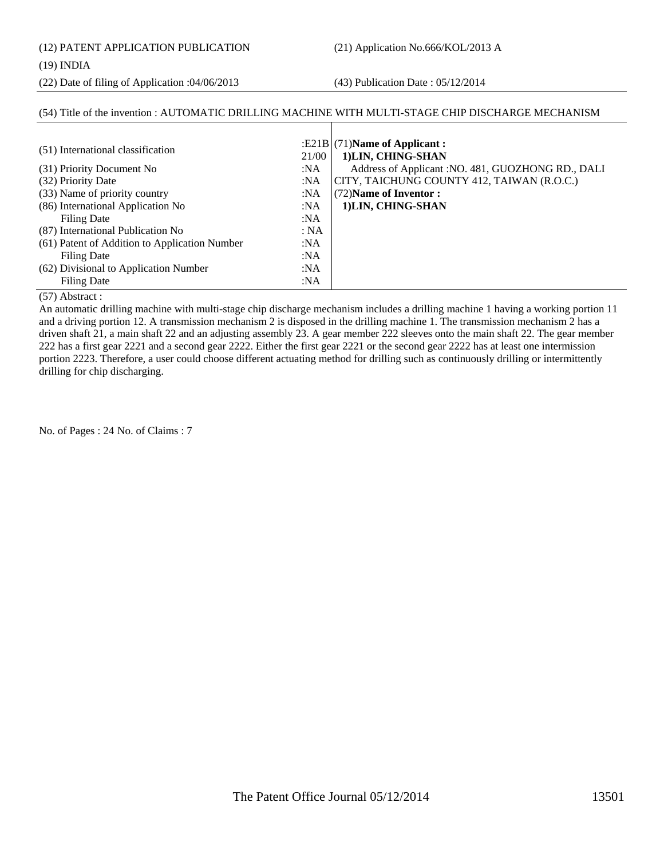(12) PATENT APPLICATION PUBLICATION (21) Application No.666/KOL/2013 A

#### (19) INDIA

(22) Date of filing of Application :04/06/2013 (43) Publication Date : 05/12/2014

### (54) Title of the invention : AUTOMATIC DRILLING MACHINE WITH MULTI-STAGE CHIP DISCHARGE MECHANISM

| (51) International classification             | 21/00 | :E21B $ (71)$ Name of Applicant:<br>1) LIN, CHING-SHAN |
|-----------------------------------------------|-------|--------------------------------------------------------|
| (31) Priority Document No                     | :NA   | Address of Applicant : NO. 481, GUOZHONG RD., DALI     |
| (32) Priority Date                            | :NA   | CITY, TAICHUNG COUNTY 412, TAIWAN (R.O.C.)             |
| (33) Name of priority country                 | :NA   | (72) Name of Inventor:                                 |
| (86) International Application No             | :NA   | 1) LIN, CHING-SHAN                                     |
| <b>Filing Date</b>                            | :NA   |                                                        |
| (87) International Publication No             | : NA  |                                                        |
| (61) Patent of Addition to Application Number | :NA   |                                                        |
| Filing Date                                   | :NA   |                                                        |
| (62) Divisional to Application Number         | :NA   |                                                        |
| Filing Date                                   | :NA   |                                                        |

#### (57) Abstract :

An automatic drilling machine with multi-stage chip discharge mechanism includes a drilling machine 1 having a working portion 11 and a driving portion 12. A transmission mechanism 2 is disposed in the drilling machine 1. The transmission mechanism 2 has a driven shaft 21, a main shaft 22 and an adjusting assembly 23. A gear member 222 sleeves onto the main shaft 22. The gear member 222 has a first gear 2221 and a second gear 2222. Either the first gear 2221 or the second gear 2222 has at least one intermission portion 2223. Therefore, a user could choose different actuating method for drilling such as continuously drilling or intermittently drilling for chip discharging.

No. of Pages : 24 No. of Claims : 7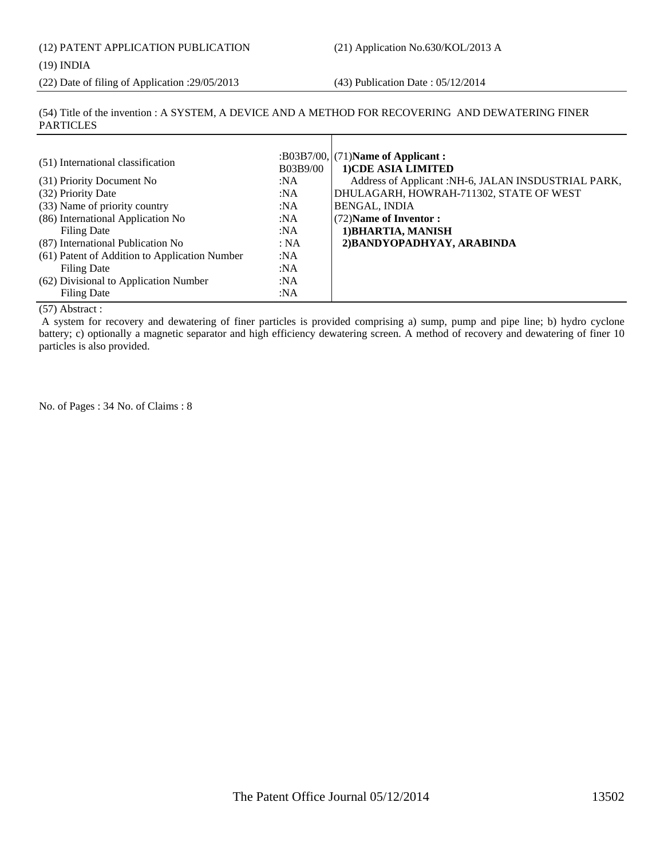(12) PATENT APPLICATION PUBLICATION (21) Application No.630/KOL/2013 A (19) INDIA

(22) Date of filing of Application :29/05/2013 (43) Publication Date : 05/12/2014

(54) Title of the invention : A SYSTEM, A DEVICE AND A METHOD FOR RECOVERING AND DEWATERING FINER PARTICLES

| (51) International classification             | <b>B03B9/00</b> | :B03B7/00, $ (71)$ Name of Applicant:<br>1) CDE ASIA LIMITED |
|-----------------------------------------------|-----------------|--------------------------------------------------------------|
| (31) Priority Document No                     | :NA             | Address of Applicant : NH-6, JALAN INSDUSTRIAL PARK,         |
| (32) Priority Date                            | :NA             | DHULAGARH, HOWRAH-711302, STATE OF WEST                      |
| (33) Name of priority country                 | :NA             | <b>BENGAL, INDIA</b>                                         |
| (86) International Application No             | :NA             | (72) Name of Inventor:                                       |
| Filing Date                                   | :NA             | 1) BHARTIA, MANISH                                           |
| (87) International Publication No             | : NA            | 2) BANDYOPADHYAY, ARABINDA                                   |
| (61) Patent of Addition to Application Number | :NA             |                                                              |
| Filing Date                                   | :NA             |                                                              |
| (62) Divisional to Application Number         | :NA             |                                                              |
| Filing Date                                   | :NA             |                                                              |

(57) Abstract :

 A system for recovery and dewatering of finer particles is provided comprising a) sump, pump and pipe line; b) hydro cyclone battery; c) optionally a magnetic separator and high efficiency dewatering screen. A method of recovery and dewatering of finer 10 particles is also provided.

No. of Pages : 34 No. of Claims : 8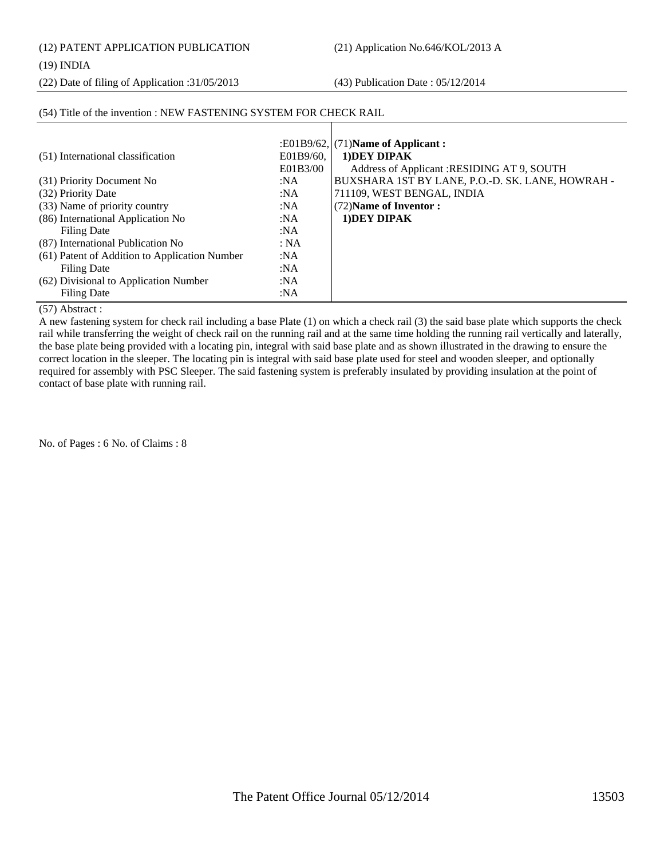(12) PATENT APPLICATION PUBLICATION (21) Application No.646/KOL/2013 A

#### (19) INDIA

(22) Date of filing of Application :31/05/2013 (43) Publication Date : 05/12/2014

#### (54) Title of the invention : NEW FASTENING SYSTEM FOR CHECK RAIL

| (51) International classification<br>(31) Priority Document No | E01B9/60.<br>E01B3/00<br>:NA | :E01B9/62, $\left($ 71)Name of Applicant :<br>1) DEY DIPAK<br>Address of Applicant : RESIDING AT 9, SOUTH<br>BUXSHARA 1ST BY LANE, P.O.-D. SK. LANE, HOWRAH - |
|----------------------------------------------------------------|------------------------------|---------------------------------------------------------------------------------------------------------------------------------------------------------------|
| (32) Priority Date                                             | :NA                          | 711109, WEST BENGAL, INDIA                                                                                                                                    |
| (33) Name of priority country                                  | :NA                          | (72) Name of Inventor:                                                                                                                                        |
| (86) International Application No                              | :NA                          | 1) DEY DIPAK                                                                                                                                                  |
| Filing Date                                                    | :NA                          |                                                                                                                                                               |
| (87) International Publication No                              | : NA                         |                                                                                                                                                               |
| (61) Patent of Addition to Application Number                  | :NA                          |                                                                                                                                                               |
| Filing Date                                                    | :N $A$                       |                                                                                                                                                               |
| (62) Divisional to Application Number                          | :NA                          |                                                                                                                                                               |
| Filing Date                                                    | :N $A$                       |                                                                                                                                                               |

#### (57) Abstract :

A new fastening system for check rail including a base Plate (1) on which a check rail (3) the said base plate which supports the check rail while transferring the weight of check rail on the running rail and at the same time holding the running rail vertically and laterally, the base plate being provided with a locating pin, integral with said base plate and as shown illustrated in the drawing to ensure the correct location in the sleeper. The locating pin is integral with said base plate used for steel and wooden sleeper, and optionally required for assembly with PSC Sleeper. The said fastening system is preferably insulated by providing insulation at the point of contact of base plate with running rail.

No. of Pages : 6 No. of Claims : 8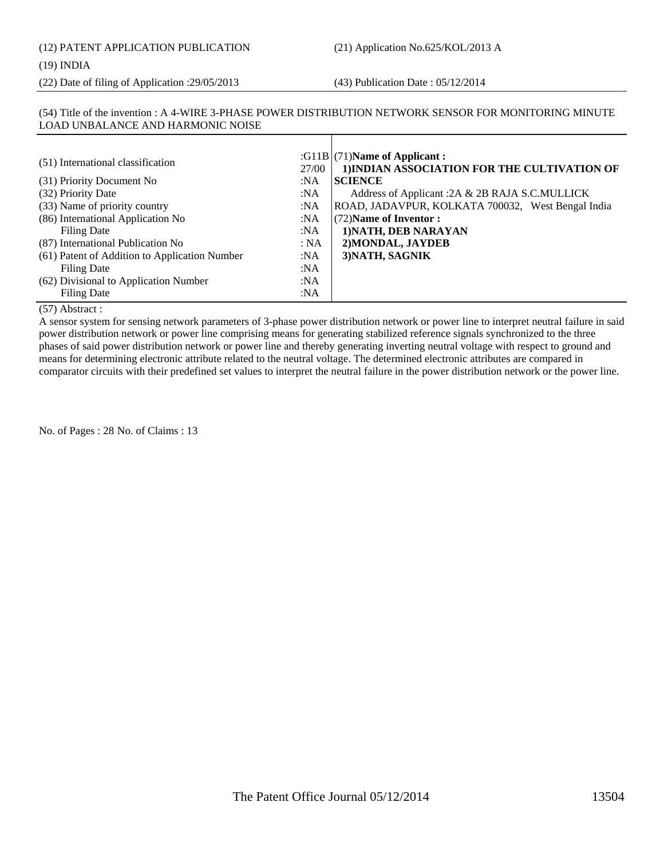(12) PATENT APPLICATION PUBLICATION (21) Application No.625/KOL/2013 A

#### (19) INDIA

(22) Date of filing of Application :29/05/2013 (43) Publication Date : 05/12/2014

### (54) Title of the invention : A 4-WIRE 3-PHASE POWER DISTRIBUTION NETWORK SENSOR FOR MONITORING MINUTE LOAD UNBALANCE AND HARMONIC NOISE

| (51) International classification             | 27/00  | : $G11B/(71)$ Name of Applicant:<br>1) INDIAN ASSOCIATION FOR THE CULTIVATION OF |
|-----------------------------------------------|--------|----------------------------------------------------------------------------------|
| (31) Priority Document No                     | :NA    | <b>SCIENCE</b>                                                                   |
| (32) Priority Date                            | :N $A$ | Address of Applicant: 2A & 2B RAJA S.C.MULLICK                                   |
| (33) Name of priority country                 | :NA    | ROAD, JADAVPUR, KOLKATA 700032, West Bengal India                                |
| (86) International Application No             | :NA    | (72) Name of Inventor:                                                           |
| Filing Date                                   | :NA    | 1) NATH, DEB NARAYAN                                                             |
| (87) International Publication No             | : NA   | 2) MONDAL, JAYDEB                                                                |
| (61) Patent of Addition to Application Number | :NA    | 3) NATH, SAGNIK                                                                  |
| Filing Date                                   | :NA    |                                                                                  |
| (62) Divisional to Application Number         | :NA    |                                                                                  |
| <b>Filing Date</b>                            | :NA    |                                                                                  |

(57) Abstract :

A sensor system for sensing network parameters of 3-phase power distribution network or power line to interpret neutral failure in said power distribution network or power line comprising means for generating stabilized reference signals synchronized to the three phases of said power distribution network or power line and thereby generating inverting neutral voltage with respect to ground and means for determining electronic attribute related to the neutral voltage. The determined electronic attributes are compared in comparator circuits with their predefined set values to interpret the neutral failure in the power distribution network or the power line.

No. of Pages : 28 No. of Claims : 13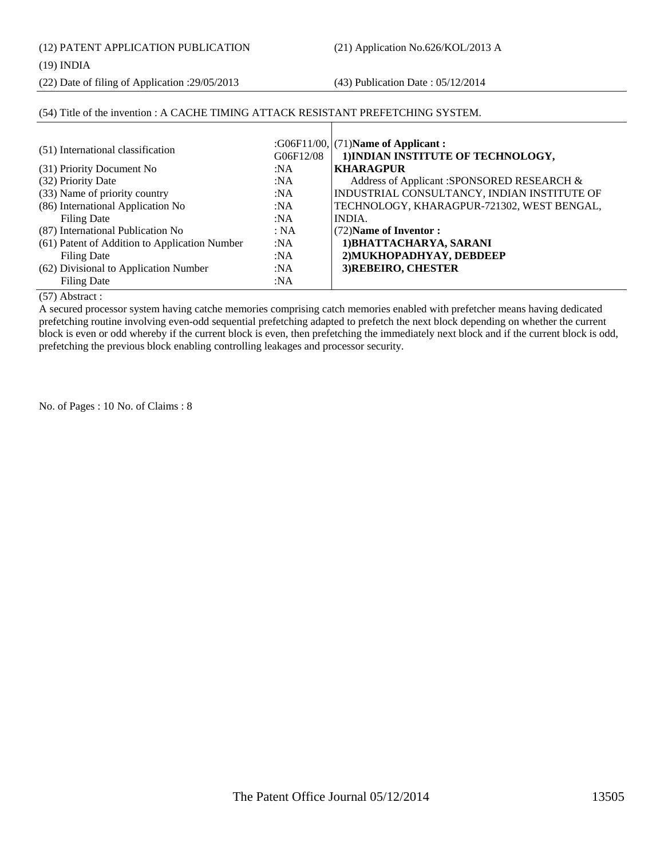(12) PATENT APPLICATION PUBLICATION (21) Application No.626/KOL/2013 A

#### (19) INDIA

(22) Date of filing of Application :29/05/2013 (43) Publication Date : 05/12/2014

### (54) Title of the invention : A CACHE TIMING ATTACK RESISTANT PREFETCHING SYSTEM.

| (51) International classification<br>(31) Priority Document No<br>(32) Priority Date<br>(33) Name of priority country<br>(86) International Application No<br>Filing Date<br>(87) International Publication No | G06F12/08<br>:NA<br>:NA<br>:NA<br>:NA<br>:NA<br>: NA | : $G06F11/00$ , (71)Name of Applicant:<br>1) INDIAN INSTITUTE OF TECHNOLOGY,<br><b>KHARAGPUR</b><br>Address of Applicant :SPONSORED RESEARCH &<br>INDUSTRIAL CONSULTANCY, INDIAN INSTITUTE OF<br>TECHNOLOGY, KHARAGPUR-721302, WEST BENGAL,<br>INDIA.<br>(72) Name of Inventor: |
|----------------------------------------------------------------------------------------------------------------------------------------------------------------------------------------------------------------|------------------------------------------------------|---------------------------------------------------------------------------------------------------------------------------------------------------------------------------------------------------------------------------------------------------------------------------------|
| (61) Patent of Addition to Application Number<br>Filing Date<br>(62) Divisional to Application Number<br>Filing Date                                                                                           | :NA<br>:NA<br>:NA<br>:NA                             | 1) BHATTACHARYA, SARANI<br>2) MUKHOPADHYAY, DEBDEEP<br>3) REBEIRO, CHESTER                                                                                                                                                                                                      |

(57) Abstract :

A secured processor system having catche memories comprising catch memories enabled with prefetcher means having dedicated prefetching routine involving even-odd sequential prefetching adapted to prefetch the next block depending on whether the current block is even or odd whereby if the current block is even, then prefetching the immediately next block and if the current block is odd, prefetching the previous block enabling controlling leakages and processor security.

No. of Pages : 10 No. of Claims : 8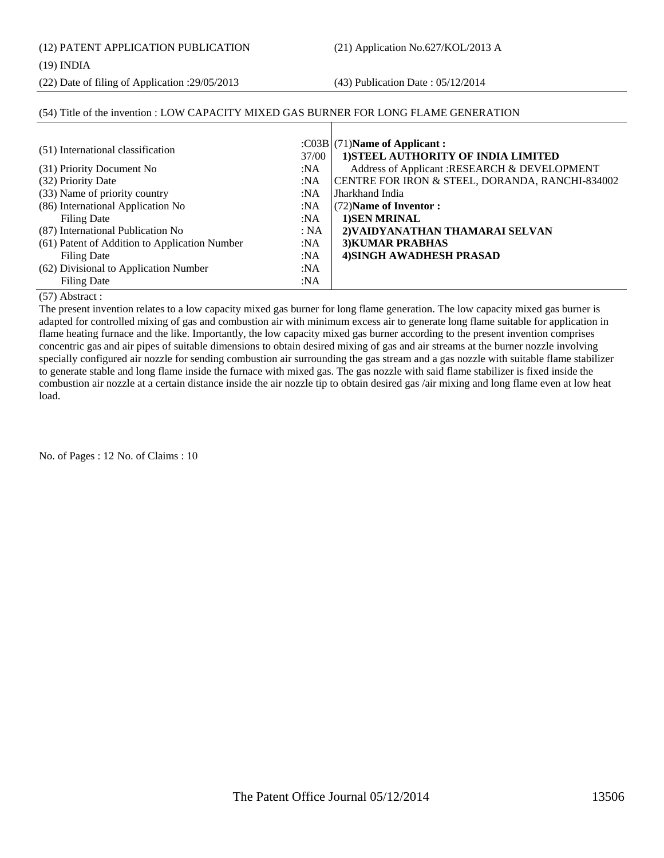(12) PATENT APPLICATION PUBLICATION (21) Application No.627/KOL/2013 A

#### (19) INDIA

(22) Date of filing of Application :29/05/2013 (43) Publication Date : 05/12/2014

#### (54) Title of the invention : LOW CAPACITY MIXED GAS BURNER FOR LONG FLAME GENERATION

| (51) International classification<br>(31) Priority Document No<br>(32) Priority Date<br>(33) Name of priority country<br>(86) International Application No<br><b>Filing Date</b><br>(87) International Publication No | 37/00<br>:NA<br>:NA<br>:NA<br>:NA<br>:NA<br>: NA | : $CO3B$ (71) Name of Applicant:<br>1) STEEL AUTHORITY OF INDIA LIMITED<br>Address of Applicant : RESEARCH & DEVELOPMENT<br>CENTRE FOR IRON & STEEL, DORANDA, RANCHI-834002<br>Jharkhand India<br>(72) Name of Inventor:<br>1) SEN MRINAL<br>2) VAIDYANATHAN THAMARAI SELVAN |
|-----------------------------------------------------------------------------------------------------------------------------------------------------------------------------------------------------------------------|--------------------------------------------------|------------------------------------------------------------------------------------------------------------------------------------------------------------------------------------------------------------------------------------------------------------------------------|
| (61) Patent of Addition to Application Number<br>Filing Date<br>(62) Divisional to Application Number<br>Filing Date                                                                                                  | : $NA$<br>:NA<br>:NA<br>:NA                      | <b>3)KUMAR PRABHAS</b><br><b>4)SINGH AWADHESH PRASAD</b>                                                                                                                                                                                                                     |

(57) Abstract :

The present invention relates to a low capacity mixed gas burner for long flame generation. The low capacity mixed gas burner is adapted for controlled mixing of gas and combustion air with minimum excess air to generate long flame suitable for application in flame heating furnace and the like. Importantly, the low capacity mixed gas burner according to the present invention comprises concentric gas and air pipes of suitable dimensions to obtain desired mixing of gas and air streams at the burner nozzle involving specially configured air nozzle for sending combustion air surrounding the gas stream and a gas nozzle with suitable flame stabilizer to generate stable and long flame inside the furnace with mixed gas. The gas nozzle with said flame stabilizer is fixed inside the combustion air nozzle at a certain distance inside the air nozzle tip to obtain desired gas /air mixing and long flame even at low heat load.

No. of Pages : 12 No. of Claims : 10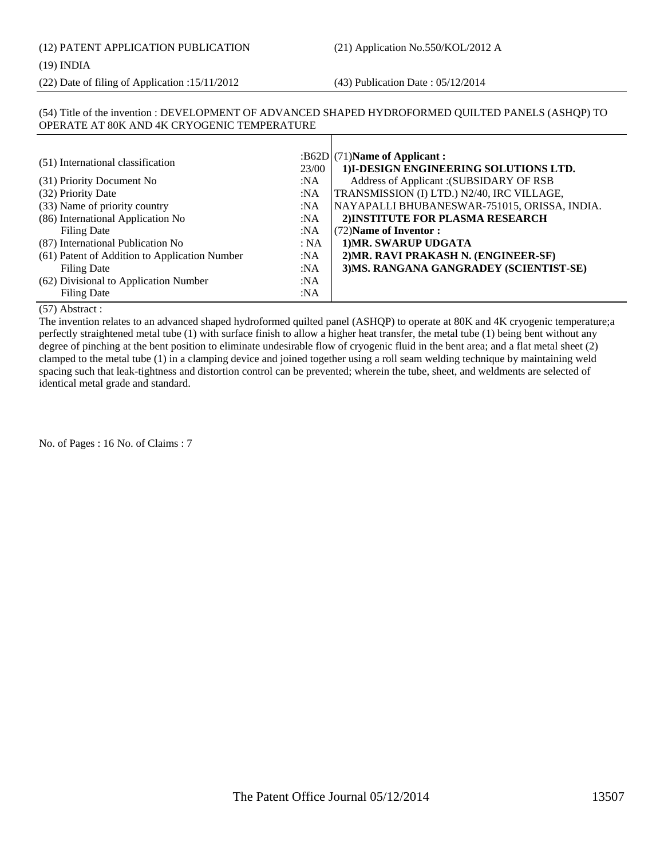(22) Date of filing of Application :15/11/2012 (43) Publication Date : 05/12/2014

### (54) Title of the invention : DEVELOPMENT OF ADVANCED SHAPED HYDROFORMED QUILTED PANELS (ASHQP) TO OPERATE AT 80K AND 4K CRYOGENIC TEMPERATURE

| (51) International classification             | 23/00 | :B62D $ (71)$ Name of Applicant:<br>1)I-DESIGN ENGINEERING SOLUTIONS LTD. |
|-----------------------------------------------|-------|---------------------------------------------------------------------------|
| (31) Priority Document No                     | :NA   | Address of Applicant : (SUBSIDARY OF RSB                                  |
| (32) Priority Date                            | :NA   | TRANSMISSION (I) LTD.) N2/40, IRC VILLAGE,                                |
| (33) Name of priority country                 | :NA   | NAYAPALLI BHUBANESWAR-751015, ORISSA, INDIA.                              |
| (86) International Application No             | :NA   | 2) INSTITUTE FOR PLASMA RESEARCH                                          |
| <b>Filing Date</b>                            | :NA   | (72) Name of Inventor:                                                    |
| (87) International Publication No             | : NA  | 1) MR. SWARUP UDGATA                                                      |
| (61) Patent of Addition to Application Number | :NA   | 2) MR. RAVI PRAKASH N. (ENGINEER-SF)                                      |
| <b>Filing Date</b>                            | :NA   | 3) MS. RANGANA GANGRADEY (SCIENTIST-SE)                                   |
| (62) Divisional to Application Number         | :NA   |                                                                           |
| Filing Date                                   | :NA   |                                                                           |

#### (57) Abstract :

The invention relates to an advanced shaped hydroformed quilted panel (ASHQP) to operate at 80K and 4K cryogenic temperature;a perfectly straightened metal tube (1) with surface finish to allow a higher heat transfer, the metal tube (1) being bent without any degree of pinching at the bent position to eliminate undesirable flow of cryogenic fluid in the bent area; and a flat metal sheet (2) clamped to the metal tube (1) in a clamping device and joined together using a roll seam welding technique by maintaining weld spacing such that leak-tightness and distortion control can be prevented; wherein the tube, sheet, and weldments are selected of identical metal grade and standard.

No. of Pages : 16 No. of Claims : 7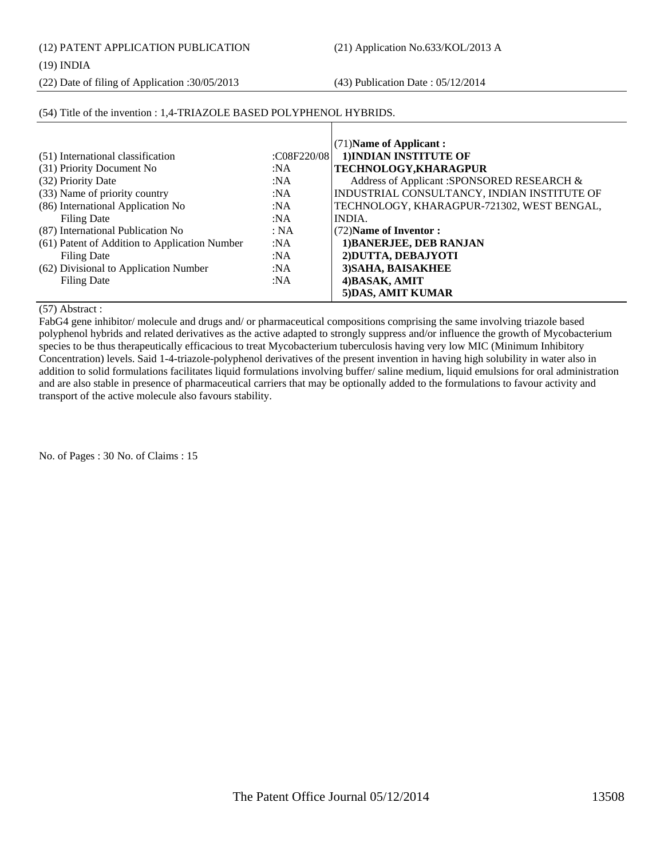(12) PATENT APPLICATION PUBLICATION (21) Application No.633/KOL/2013 A

#### (19) INDIA

(22) Date of filing of Application :30/05/2013 (43) Publication Date : 05/12/2014

#### (51) International classification :C08F220/08 (31) Priority Document No :NA (32) Priority Date :NA<br>
(33) Name of priority country :NA  $(33)$  Name of priority country (86) International Application No Filing Date :NA :NA (87) International Publication No : NA (61) Patent of Addition to Application Number Filing Date :NA :NA (62) Divisional to Application Number Filing Date :NA :NA (71)**Name of Applicant : 1)INDIAN INSTITUTE OF TECHNOLOGY,KHARAGPUR** Address of Applicant :SPONSORED RESEARCH & INDUSTRIAL CONSULTANCY, INDIAN INSTITUTE OF TECHNOLOGY, KHARAGPUR-721302, WEST BENGAL, INDIA. (72)**Name of Inventor : 1)BANERJEE, DEB RANJAN 2)DUTTA, DEBAJYOTI 3)SAHA, BAISAKHEE 4)BASAK, AMIT 5)DAS, AMIT KUMAR**

#### (54) Title of the invention : 1,4-TRIAZOLE BASED POLYPHENOL HYBRIDS.

(57) Abstract :

FabG4 gene inhibitor/ molecule and drugs and/ or pharmaceutical compositions comprising the same involving triazole based polyphenol hybrids and related derivatives as the active adapted to strongly suppress and/or influence the growth of Mycobacterium species to be thus therapeutically efficacious to treat Mycobacterium tuberculosis having very low MIC (Minimum Inhibitory Concentration) levels. Said 1-4-triazole-polyphenol derivatives of the present invention in having high solubility in water also in addition to solid formulations facilitates liquid formulations involving buffer/ saline medium, liquid emulsions for oral administration and are also stable in presence of pharmaceutical carriers that may be optionally added to the formulations to favour activity and transport of the active molecule also favours stability.

No. of Pages : 30 No. of Claims : 15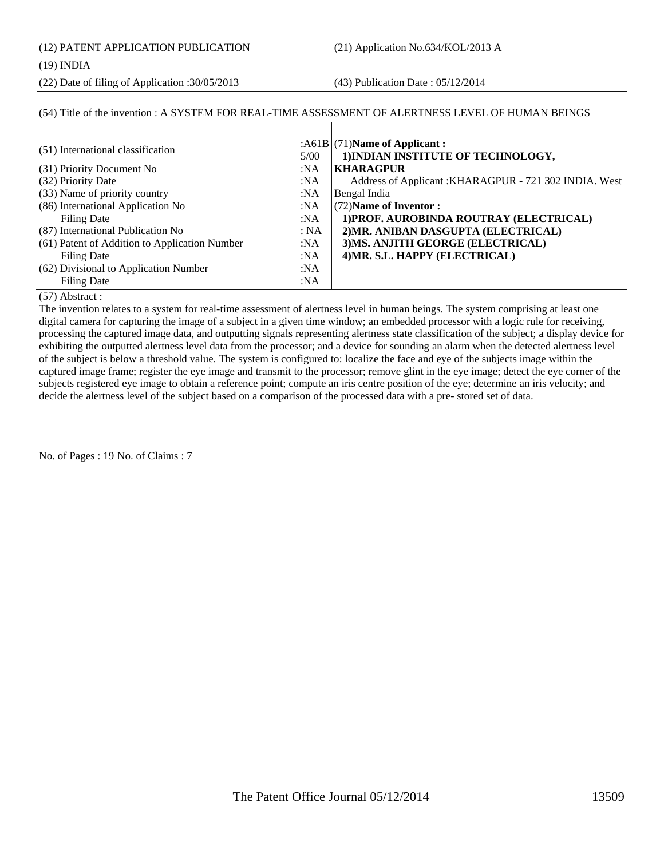(12) PATENT APPLICATION PUBLICATION (21) Application No.634/KOL/2013 A

#### (19) INDIA

(22) Date of filing of Application :30/05/2013 (43) Publication Date : 05/12/2014

#### (54) Title of the invention : A SYSTEM FOR REAL-TIME ASSESSMENT OF ALERTNESS LEVEL OF HUMAN BEINGS

| (51) International classification             | 5/00 | : $A61B/(71)$ Name of Applicant:<br>1) INDIAN INSTITUTE OF TECHNOLOGY, |
|-----------------------------------------------|------|------------------------------------------------------------------------|
| (31) Priority Document No                     | :NA  | <b>KHARAGPUR</b>                                                       |
| (32) Priority Date                            | :NA  | Address of Applicant: KHARAGPUR - 721 302 INDIA. West                  |
| (33) Name of priority country                 | :NA  | Bengal India                                                           |
| (86) International Application No             | :NA  | (72) Name of Inventor:                                                 |
| Filing Date                                   | :NA  | 1) PROF. AUROBINDA ROUTRAY (ELECTRICAL)                                |
| (87) International Publication No             | : NA | 2) MR. ANIBAN DASGUPTA (ELECTRICAL)                                    |
| (61) Patent of Addition to Application Number | :NA  | 3) MS. ANJITH GEORGE (ELECTRICAL)                                      |
| Filing Date                                   | :NA  | 4) MR. S.L. HAPPY (ELECTRICAL)                                         |
| (62) Divisional to Application Number         | :NA  |                                                                        |
| Filing Date                                   | :NA  |                                                                        |

### (57) Abstract :

The invention relates to a system for real-time assessment of alertness level in human beings. The system comprising at least one digital camera for capturing the image of a subject in a given time window; an embedded processor with a logic rule for receiving, processing the captured image data, and outputting signals representing alertness state classification of the subject; a display device for exhibiting the outputted alertness level data from the processor; and a device for sounding an alarm when the detected alertness level of the subject is below a threshold value. The system is configured to: localize the face and eye of the subjects image within the captured image frame; register the eye image and transmit to the processor; remove glint in the eye image; detect the eye corner of the subjects registered eye image to obtain a reference point; compute an iris centre position of the eye; determine an iris velocity; and decide the alertness level of the subject based on a comparison of the processed data with a pre- stored set of data.

No. of Pages : 19 No. of Claims : 7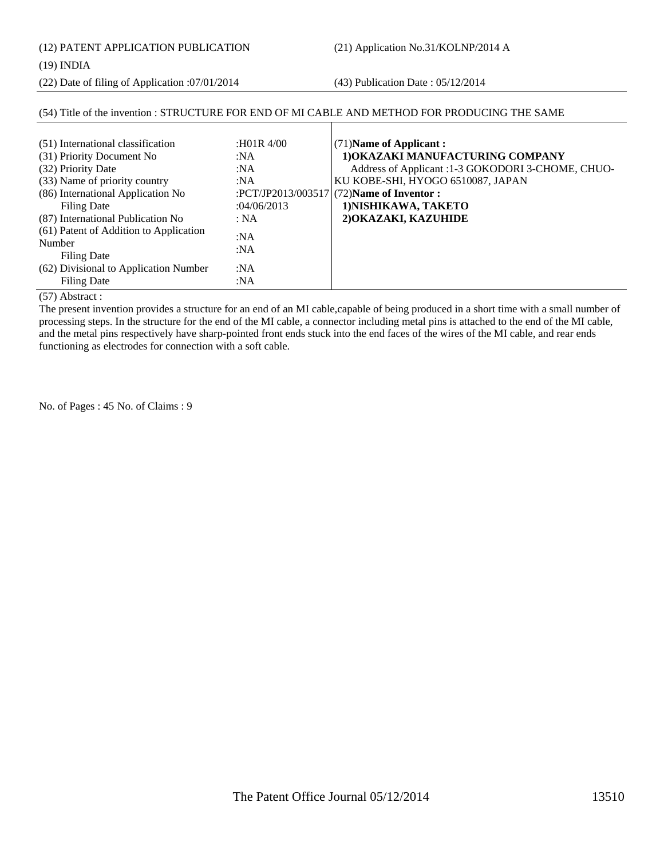(12) PATENT APPLICATION PUBLICATION (21) Application No.31/KOLNP/2014 A

#### (19) INDIA

(22) Date of filing of Application :07/01/2014 (43) Publication Date : 05/12/2014

|                                                                                                                                                                                  |                                                | (54) Title of the invention : STRUCTURE FOR END OF MI CABLE AND METHOD FOR PRODUCING THE SAME                                                                                                                                   |
|----------------------------------------------------------------------------------------------------------------------------------------------------------------------------------|------------------------------------------------|---------------------------------------------------------------------------------------------------------------------------------------------------------------------------------------------------------------------------------|
| (51) International classification<br>(31) Priority Document No<br>(32) Priority Date<br>(33) Name of priority country<br>(86) International Application No<br><b>Filing Date</b> | :H01R 4/00<br>:NA<br>:NA<br>:NA<br>:04/06/2013 | $(71)$ Name of Applicant:<br>1) OKAZAKI MANUFACTURING COMPANY<br>Address of Applicant :1-3 GOKODORI 3-CHOME, CHUO-<br>KU KOBE-SHI, HYOGO 6510087, JAPAN<br>:PCT/JP2013/003517 $(72)$ Name of Inventor :<br>1) NISHIKAWA, TAKETO |
| (87) International Publication No                                                                                                                                                | : NA                                           | 2) OKAZAKI, KAZUHIDE                                                                                                                                                                                                            |
| (61) Patent of Addition to Application<br>Number<br>Filing Date                                                                                                                  | :NA<br>:NA                                     |                                                                                                                                                                                                                                 |
| (62) Divisional to Application Number<br>Filing Date                                                                                                                             | :NA<br>:NA                                     |                                                                                                                                                                                                                                 |

(57) Abstract :

The present invention provides a structure for an end of an MI cable,capable of being produced in a short time with a small number of processing steps. In the structure for the end of the MI cable, a connector including metal pins is attached to the end of the MI cable, and the metal pins respectively have sharp-pointed front ends stuck into the end faces of the wires of the MI cable, and rear ends functioning as electrodes for connection with a soft cable.

No. of Pages : 45 No. of Claims : 9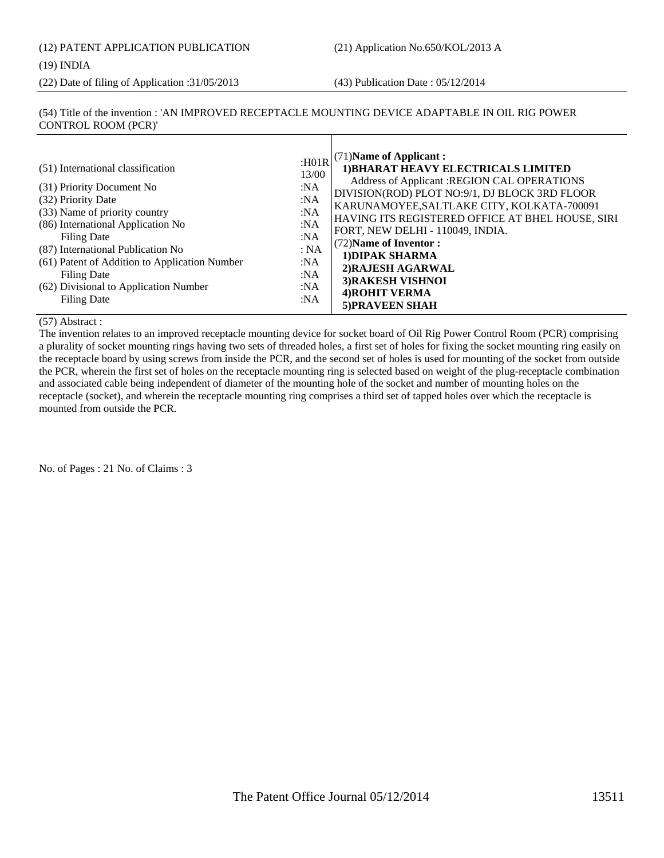(22) Date of filing of Application :31/05/2013 (43) Publication Date : 05/12/2014

#### (54) Title of the invention : 'AN IMPROVED RECEPTACLE MOUNTING DEVICE ADAPTABLE IN OIL RIG POWER CONTROL ROOM (PCR)'

| $:$ H $01R$<br>(51) International classification<br>13/00<br>:NA<br>(31) Priority Document No<br>(32) Priority Date<br>:NA<br>(33) Name of priority country<br>:NA<br>(86) International Application No<br>:NA<br><b>Filing Date</b><br>:NA<br>(87) International Publication No<br>: NA<br>(61) Patent of Addition to Application Number<br>:NA<br>Filing Date<br>:NA<br>(62) Divisional to Application Number<br>:NA<br><b>Filing Date</b><br>:NA | $(71)$ Name of Applicant:<br>1) BHARAT HEAVY ELECTRICALS LIMITED<br>Address of Applicant : REGION CAL OPERATIONS<br>DIVISION(ROD) PLOT NO:9/1, DJ BLOCK 3RD FLOOR<br>KARUNAMOYEE, SALTLAKE CITY, KOLKATA-700091<br>HAVING ITS REGISTERED OFFICE AT BHEL HOUSE, SIRI<br>FORT, NEW DELHI - 110049, INDIA.<br>(72) Name of Inventor:<br>1) DIPAK SHARMA<br>2) RAJESH AGARWAL<br>3) RAKESH VISHNOI<br><b>4) ROHIT VERMA</b><br>5) PRAVEEN SHAH |
|-----------------------------------------------------------------------------------------------------------------------------------------------------------------------------------------------------------------------------------------------------------------------------------------------------------------------------------------------------------------------------------------------------------------------------------------------------|--------------------------------------------------------------------------------------------------------------------------------------------------------------------------------------------------------------------------------------------------------------------------------------------------------------------------------------------------------------------------------------------------------------------------------------------|
|-----------------------------------------------------------------------------------------------------------------------------------------------------------------------------------------------------------------------------------------------------------------------------------------------------------------------------------------------------------------------------------------------------------------------------------------------------|--------------------------------------------------------------------------------------------------------------------------------------------------------------------------------------------------------------------------------------------------------------------------------------------------------------------------------------------------------------------------------------------------------------------------------------------|

#### (57) Abstract :

The invention relates to an improved receptacle mounting device for socket board of Oil Rig Power Control Room (PCR) comprising a plurality of socket mounting rings having two sets of threaded holes, a first set of holes for fixing the socket mounting ring easily on the receptacle board by using screws from inside the PCR, and the second set of holes is used for mounting of the socket from outside the PCR, wherein the first set of holes on the receptacle mounting ring is selected based on weight of the plug-receptacle combination and associated cable being independent of diameter of the mounting hole of the socket and number of mounting holes on the receptacle (socket), and wherein the receptacle mounting ring comprises a third set of tapped holes over which the receptacle is mounted from outside the PCR.

No. of Pages : 21 No. of Claims : 3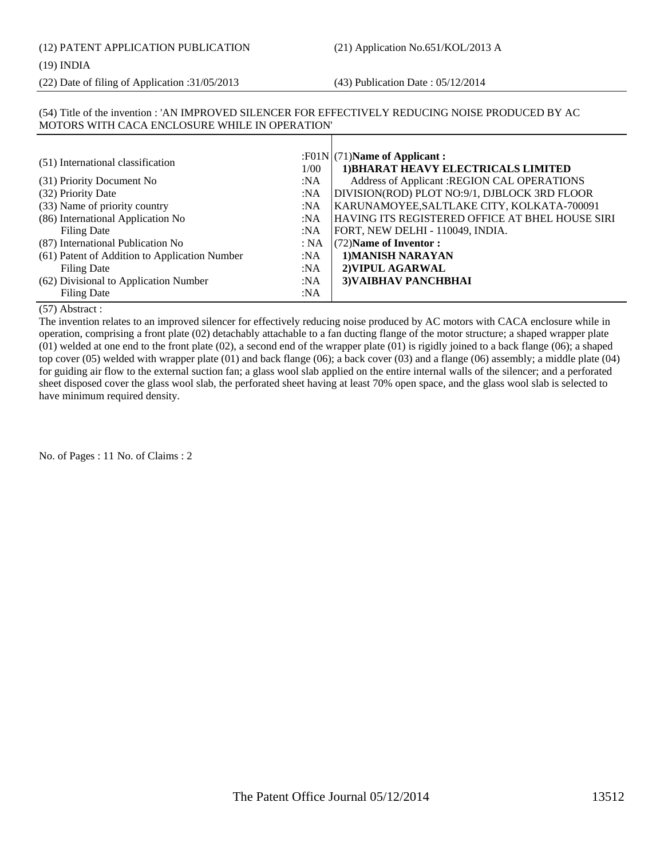#### (19) INDIA

(22) Date of filing of Application :31/05/2013 (43) Publication Date : 05/12/2014

#### (54) Title of the invention : 'AN IMPROVED SILENCER FOR EFFECTIVELY REDUCING NOISE PRODUCED BY AC MOTORS WITH CACA ENCLOSURE WHILE IN OPERATION'

| (51) International classification             | 1/00   | : $F01N(71)$ Name of Applicant:<br>1) BHARAT HEAVY ELECTRICALS LIMITED |
|-----------------------------------------------|--------|------------------------------------------------------------------------|
| (31) Priority Document No                     | :NA    | Address of Applicant : REGION CAL OPERATIONS                           |
| (32) Priority Date                            | :N $A$ | DIVISION(ROD) PLOT NO:9/1, DJBLOCK 3RD FLOOR                           |
| (33) Name of priority country                 | :N $A$ | KARUNAMOYEE, SALTLAKE CITY, KOLKATA-700091                             |
| (86) International Application No             | :NA    | HAVING ITS REGISTERED OFFICE AT BHEL HOUSE SIRI                        |
| <b>Filing Date</b>                            | :NA    | FORT, NEW DELHI - 110049, INDIA.                                       |
| (87) International Publication No             | : NA   | (72) Name of Inventor:                                                 |
| (61) Patent of Addition to Application Number | :NA    | 1) MANISH NARAYAN                                                      |
| Filing Date                                   | :NA    | 2) VIPUL AGARWAL                                                       |
| (62) Divisional to Application Number         | :NA    | 3) VAIBHAV PANCHBHAI                                                   |
| <b>Filing Date</b>                            | :NA    |                                                                        |

#### (57) Abstract :

The invention relates to an improved silencer for effectively reducing noise produced by AC motors with CACA enclosure while in operation, comprising a front plate (02) detachably attachable to a fan ducting flange of the motor structure; a shaped wrapper plate (01) welded at one end to the front plate (02), a second end of the wrapper plate (01) is rigidly joined to a back flange (06); a shaped top cover (05) welded with wrapper plate (01) and back flange (06); a back cover (03) and a flange (06) assembly; a middle plate (04) for guiding air flow to the external suction fan; a glass wool slab applied on the entire internal walls of the silencer; and a perforated sheet disposed cover the glass wool slab, the perforated sheet having at least 70% open space, and the glass wool slab is selected to have minimum required density.

No. of Pages : 11 No. of Claims : 2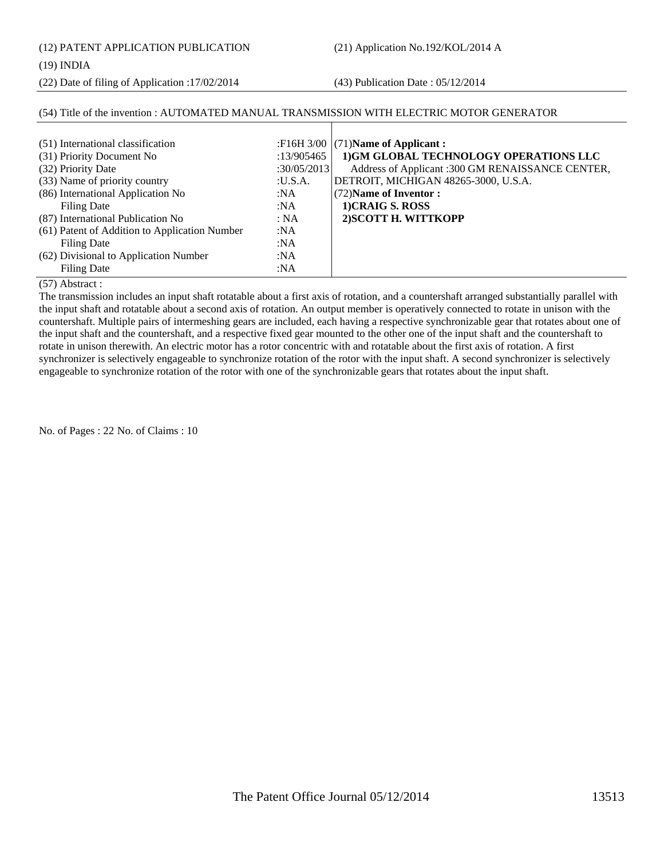(12) PATENT APPLICATION PUBLICATION (21) Application No.192/KOL/2014 A

#### (19) INDIA

(22) Date of filing of Application :17/02/2014 (43) Publication Date : 05/12/2014

### (54) Title of the invention : AUTOMATED MANUAL TRANSMISSION WITH ELECTRIC MOTOR GENERATOR

| (51) International classification<br>(31) Priority Document No<br>(32) Priority Date<br>(33) Name of priority country<br>(86) International Application No<br><b>Filing Date</b> | :13/905465<br>:30/05/2013<br>:U.S.A.<br>:NA<br>:NA | :F16H $3/00$ $(71)$ Name of Applicant:<br>1)GM GLOBAL TECHNOLOGY OPERATIONS LLC<br>Address of Applicant :300 GM RENAISSANCE CENTER,<br>DETROIT, MICHIGAN 48265-3000, U.S.A.<br>(72) Name of Inventor:<br>1) CRAIG S. ROSS |
|----------------------------------------------------------------------------------------------------------------------------------------------------------------------------------|----------------------------------------------------|---------------------------------------------------------------------------------------------------------------------------------------------------------------------------------------------------------------------------|
| (87) International Publication No<br>(61) Patent of Addition to Application Number                                                                                               | : NA<br>:NA                                        | 2) SCOTT H. WITTKOPP                                                                                                                                                                                                      |
| Filing Date<br>(62) Divisional to Application Number<br>Filing Date                                                                                                              | :NA<br>:N $A$<br>: $NA$                            |                                                                                                                                                                                                                           |

#### (57) Abstract :

The transmission includes an input shaft rotatable about a first axis of rotation, and a countershaft arranged substantially parallel with the input shaft and rotatable about a second axis of rotation. An output member is operatively connected to rotate in unison with the countershaft. Multiple pairs of intermeshing gears are included, each having a respective synchronizable gear that rotates about one of the input shaft and the countershaft, and a respective fixed gear mounted to the other one of the input shaft and the countershaft to rotate in unison therewith. An electric motor has a rotor concentric with and rotatable about the first axis of rotation. A first synchronizer is selectively engageable to synchronize rotation of the rotor with the input shaft. A second synchronizer is selectively engageable to synchronize rotation of the rotor with one of the synchronizable gears that rotates about the input shaft.

No. of Pages : 22 No. of Claims : 10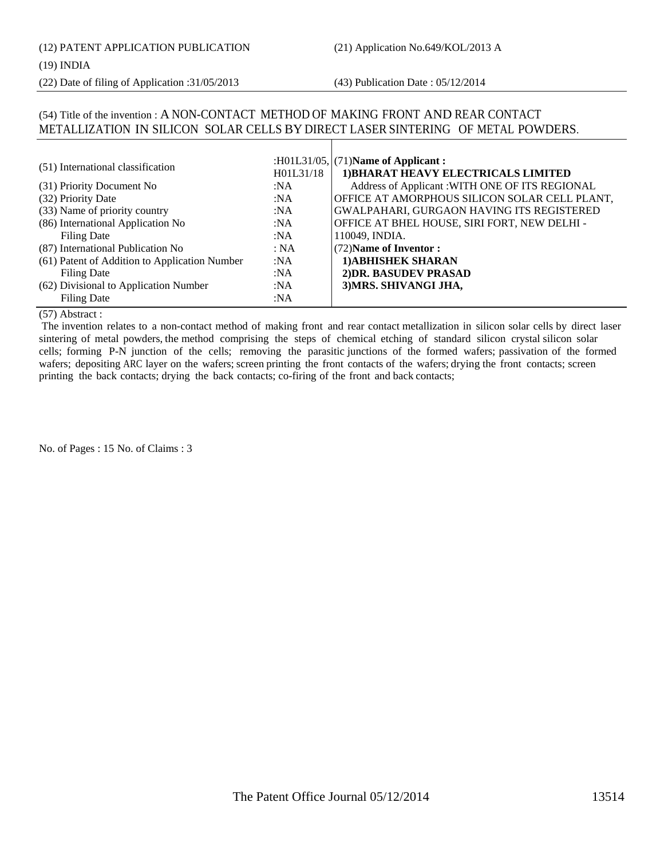(22) Date of filing of Application :31/05/2013 (43) Publication Date : 05/12/2014

### (54) Title of the invention : A NON-CONTACT METHOD OF MAKING FRONT AND REAR CONTACT METALLIZATION IN SILICON SOLAR CELLS BY DIRECT LASER SINTERING OF METAL POWDERS.

| (51) International classification             | H01L31/18 | : $H01L31/05$ , (71)Name of Applicant:<br>1) BHARAT HEAVY ELECTRICALS LIMITED |
|-----------------------------------------------|-----------|-------------------------------------------------------------------------------|
| (31) Priority Document No                     | :NA       | Address of Applicant: WITH ONE OF ITS REGIONAL                                |
| (32) Priority Date                            | :NA       | OFFICE AT AMORPHOUS SILICON SOLAR CELL PLANT,                                 |
| (33) Name of priority country                 | :NA       | <b>GWALPAHARI, GURGAON HAVING ITS REGISTERED</b>                              |
| (86) International Application No             | :NA       | OFFICE AT BHEL HOUSE, SIRI FORT, NEW DELHI -                                  |
| <b>Filing Date</b>                            | :NA       | 110049, INDIA.                                                                |
| (87) International Publication No             | : NA      | (72) Name of Inventor:                                                        |
| (61) Patent of Addition to Application Number | :NA       | 1) ABHISHEK SHARAN                                                            |
| Filing Date                                   | :NA       | 2) DR. BASUDEV PRASAD                                                         |
| (62) Divisional to Application Number         | :NA       | 3) MRS. SHIVANGI JHA,                                                         |
| Filing Date                                   | :NA       |                                                                               |

#### (57) Abstract :

 The invention relates to a non-contact method of making front and rear contact metallization in silicon solar cells by direct laser sintering of metal powders, the method comprising the steps of chemical etching of standard silicon crystal silicon solar cells; forming P-N junction of the cells; removing the parasitic junctions of the formed wafers; passivation of the formed wafers; depositing ARC layer on the wafers; screen printing the front contacts of the wafers; drying the front contacts; screen printing the back contacts; drying the back contacts; co-firing of the front and back contacts;

No. of Pages : 15 No. of Claims : 3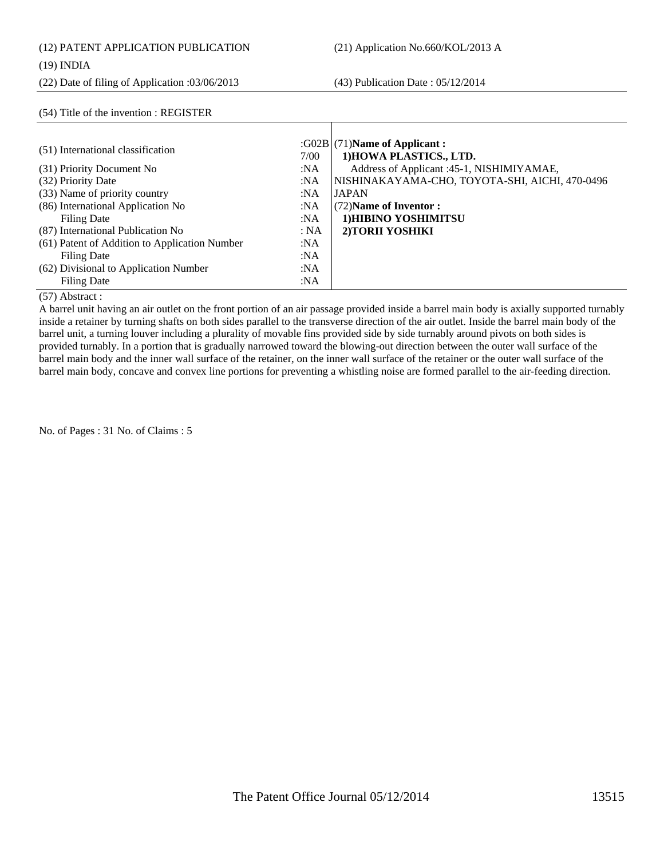#### (12) PATENT APPLICATION PUBLICATION (21) Application No.660/KOL/2013 A

### (19) INDIA

(22) Date of filing of Application :03/06/2013 (43) Publication Date : 05/12/2014

#### (54) Title of the invention : REGISTER

| (51) International classification             | 7/00 | : $G02B$ (71)Name of Applicant :<br>1) HOWA PLASTICS., LTD. |
|-----------------------------------------------|------|-------------------------------------------------------------|
| (31) Priority Document No                     | :NA  | Address of Applicant : 45-1, NISHIMIYAMAE,                  |
| (32) Priority Date                            | :NA  | NISHINAKAYAMA-CHO, TOYOTA-SHI, AICHI, 470-0496              |
| (33) Name of priority country                 | :NA  | <b>JAPAN</b>                                                |
| (86) International Application No             | :NA  | (72) Name of Inventor:                                      |
| Filing Date                                   | :NA  | 1) HIBINO YOSHIMITSU                                        |
| (87) International Publication No             | : NA | 2) TORII YOSHIKI                                            |
| (61) Patent of Addition to Application Number | :NA  |                                                             |
| <b>Filing Date</b>                            | :NA  |                                                             |
| (62) Divisional to Application Number         | :NA  |                                                             |
| Filing Date                                   | :NA  |                                                             |

#### (57) Abstract :

A barrel unit having an air outlet on the front portion of an air passage provided inside a barrel main body is axially supported turnably inside a retainer by turning shafts on both sides parallel to the transverse direction of the air outlet. Inside the barrel main body of the barrel unit, a turning louver including a plurality of movable fins provided side by side turnably around pivots on both sides is provided turnably. In a portion that is gradually narrowed toward the blowing-out direction between the outer wall surface of the barrel main body and the inner wall surface of the retainer, on the inner wall surface of the retainer or the outer wall surface of the barrel main body, concave and convex line portions for preventing a whistling noise are formed parallel to the air-feeding direction.

No. of Pages : 31 No. of Claims : 5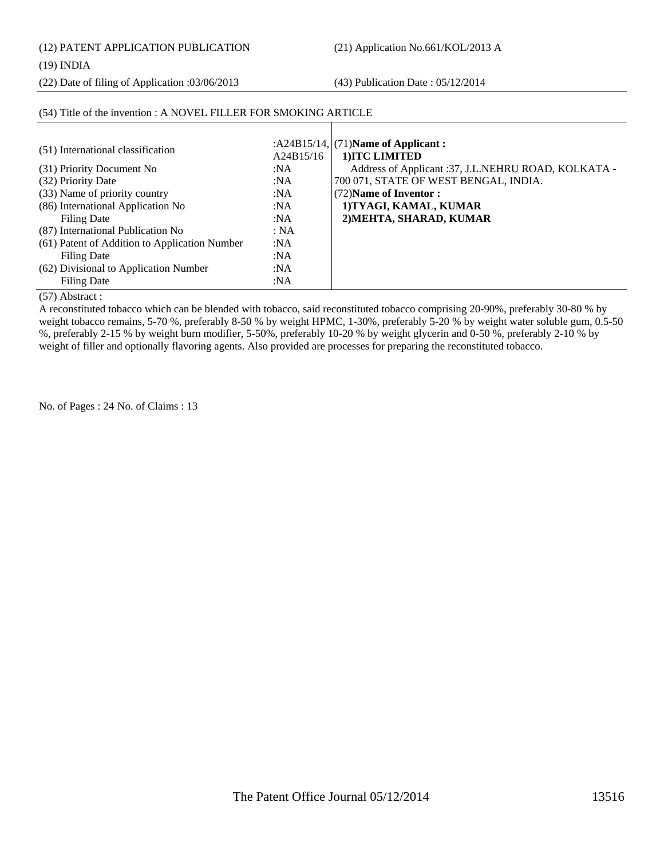(12) PATENT APPLICATION PUBLICATION (21) Application No.661/KOL/2013 A

#### (19) INDIA

(22) Date of filing of Application :03/06/2013 (43) Publication Date : 05/12/2014

### (54) Title of the invention : A NOVEL FILLER FOR SMOKING ARTICLE

| (51) International classification             | A24B15/16 | : $A24B15/14$ , (71)Name of Applicant :<br>1) ITC LIMITED |
|-----------------------------------------------|-----------|-----------------------------------------------------------|
| (31) Priority Document No                     | :NA       | Address of Applicant :37, J.L.NEHRU ROAD, KOLKATA -       |
| (32) Priority Date                            | :NA       | 700 071, STATE OF WEST BENGAL, INDIA.                     |
| (33) Name of priority country                 | :NA       | (72) Name of Inventor:                                    |
| (86) International Application No             | :NA       | 1) TYAGI, KAMAL, KUMAR                                    |
| Filing Date                                   | :NA       | 2) MEHTA, SHARAD, KUMAR                                   |
| (87) International Publication No             | : NA      |                                                           |
| (61) Patent of Addition to Application Number | :NA       |                                                           |
| Filing Date                                   | :NA       |                                                           |
| (62) Divisional to Application Number         | :NA       |                                                           |
| Filing Date                                   | :NA       |                                                           |

(57) Abstract :

A reconstituted tobacco which can be blended with tobacco, said reconstituted tobacco comprising 20-90%, preferably 30-80 % by weight tobacco remains, 5-70 %, preferably 8-50 % by weight HPMC, 1-30%, preferably 5-20 % by weight water soluble gum, 0.5-50 %, preferably 2-15 % by weight burn modifier, 5-50%, preferably 10-20 % by weight glycerin and 0-50 %, preferably 2-10 % by weight of filler and optionally flavoring agents. Also provided are processes for preparing the reconstituted tobacco.

No. of Pages : 24 No. of Claims : 13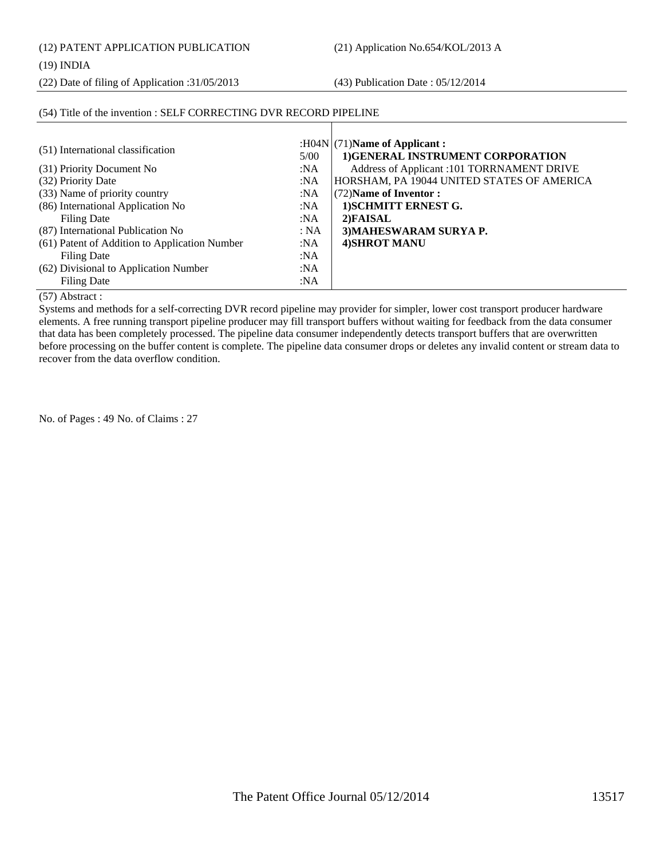(12) PATENT APPLICATION PUBLICATION (21) Application No.654/KOL/2013 A

#### (19) INDIA

(22) Date of filing of Application :31/05/2013 (43) Publication Date : 05/12/2014

#### (54) Title of the invention : SELF CORRECTING DVR RECORD PIPELINE

| (51) International classification             |      | : $H04N/(71)$ Name of Applicant :          |
|-----------------------------------------------|------|--------------------------------------------|
|                                               | 5/00 | 1)GENERAL INSTRUMENT CORPORATION           |
| (31) Priority Document No                     | :NA  | Address of Applicant: 101 TORRNAMENT DRIVE |
| (32) Priority Date                            | :NA  | HORSHAM, PA 19044 UNITED STATES OF AMERICA |
| (33) Name of priority country                 | :NA  | (72) Name of Inventor:                     |
| (86) International Application No             | :NA  | 1) SCHMITT ERNEST G.                       |
| Filing Date                                   | :NA  | 2) FAISAL                                  |
| (87) International Publication No             | : NA | 3) MAHESWARAM SURYA P.                     |
| (61) Patent of Addition to Application Number | :NA  | <b>4)SHROT MANU</b>                        |
| Filing Date                                   | :NA  |                                            |
| (62) Divisional to Application Number         | :NA  |                                            |
| Filing Date                                   | :NA  |                                            |

#### (57) Abstract :

Systems and methods for a self-correcting DVR record pipeline may provider for simpler, lower cost transport producer hardware elements. A free running transport pipeline producer may fill transport buffers without waiting for feedback from the data consumer that data has been completely processed. The pipeline data consumer independently detects transport buffers that are overwritten before processing on the buffer content is complete. The pipeline data consumer drops or deletes any invalid content or stream data to recover from the data overflow condition.

No. of Pages : 49 No. of Claims : 27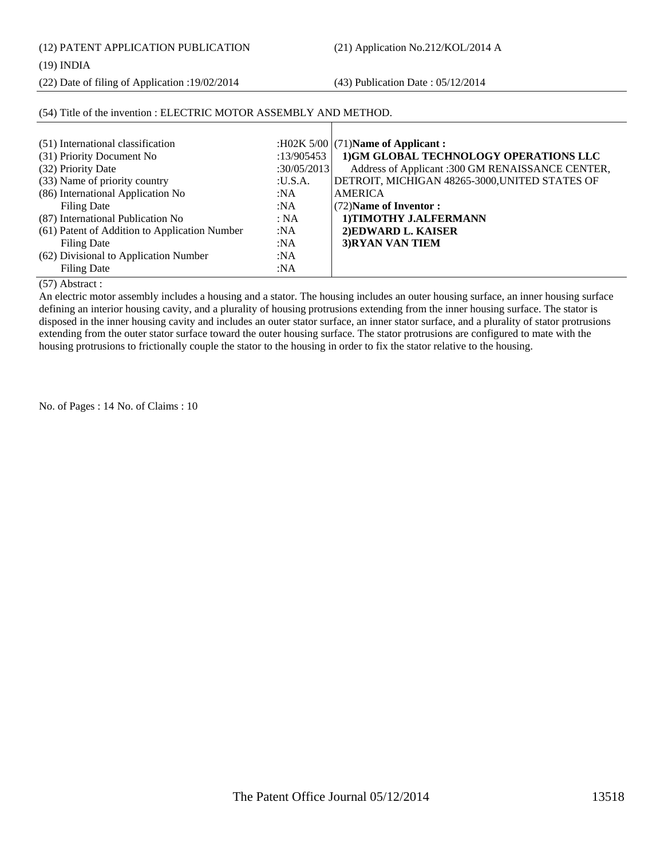(12) PATENT APPLICATION PUBLICATION (21) Application No.212/KOL/2014 A

#### (19) INDIA

(22) Date of filing of Application :19/02/2014 (43) Publication Date : 05/12/2014

### (54) Title of the invention : ELECTRIC MOTOR ASSEMBLY AND METHOD.

| (51) International classification<br>(31) Priority Document No<br>(32) Priority Date<br>(33) Name of priority country<br>(86) International Application No | :13/905453<br>:30/05/2013<br>:U.S.A.<br>:NA | :H02K $5/00$ (71)Name of Applicant:<br>1)GM GLOBAL TECHNOLOGY OPERATIONS LLC<br>Address of Applicant :300 GM RENAISSANCE CENTER,<br>DETROIT, MICHIGAN 48265-3000, UNITED STATES OF<br><b>AMERICA</b> |
|------------------------------------------------------------------------------------------------------------------------------------------------------------|---------------------------------------------|------------------------------------------------------------------------------------------------------------------------------------------------------------------------------------------------------|
| Filing Date<br>(87) International Publication No<br>(61) Patent of Addition to Application Number<br>Filing Date                                           | :NA<br>: NA<br>:NA<br>:NA                   | $(72)$ Name of Inventor:<br>1)TIMOTHY J.ALFERMANN<br>2) EDWARD L. KAISER<br>3) RYAN VAN TIEM                                                                                                         |
| (62) Divisional to Application Number<br>Filing Date                                                                                                       | :NA<br>:NA                                  |                                                                                                                                                                                                      |

(57) Abstract :

An electric motor assembly includes a housing and a stator. The housing includes an outer housing surface, an inner housing surface defining an interior housing cavity, and a plurality of housing protrusions extending from the inner housing surface. The stator is disposed in the inner housing cavity and includes an outer stator surface, an inner stator surface, and a plurality of stator protrusions extending from the outer stator surface toward the outer housing surface. The stator protrusions are configured to mate with the housing protrusions to frictionally couple the stator to the housing in order to fix the stator relative to the housing.

No. of Pages : 14 No. of Claims : 10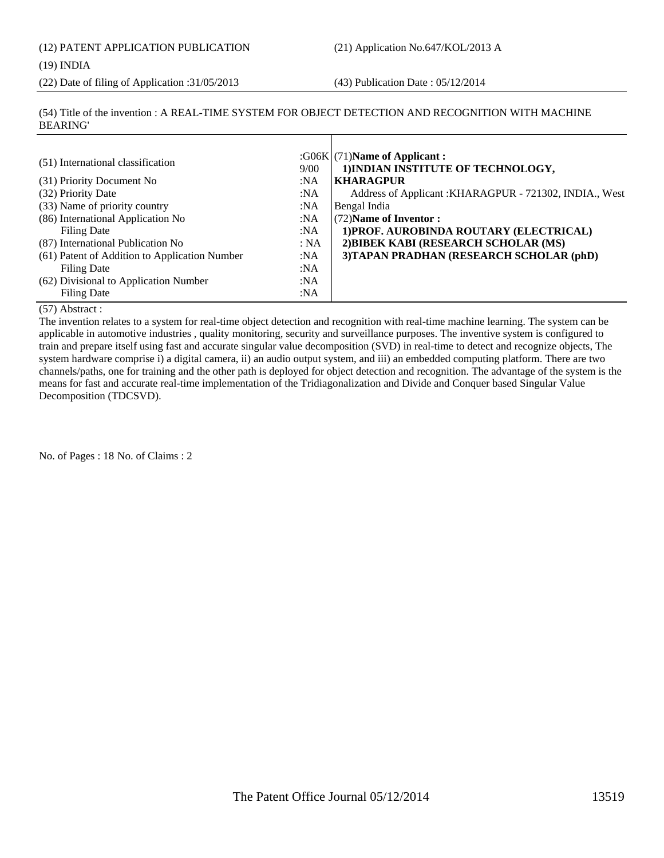(12) PATENT APPLICATION PUBLICATION (21) Application No.647/KOL/2013 A

#### (19) INDIA

(22) Date of filing of Application :31/05/2013 (43) Publication Date : 05/12/2014

(54) Title of the invention : A REAL-TIME SYSTEM FOR OBJECT DETECTION AND RECOGNITION WITH MACHINE BEARING'

| (51) International classification<br>9/00<br>(31) Priority Document No<br>:NA<br>(32) Priority Date<br>:NA<br>(33) Name of priority country<br>:NA<br>(86) International Application No<br>:NA<br>:NA<br>Filing Date<br>(87) International Publication No<br>: NA<br>(61) Patent of Addition to Application Number<br>:NA<br>:NA | : $G06K$ (71)Name of Applicant :<br>1) INDIAN INSTITUTE OF TECHNOLOGY,<br>  KHARAGPUR<br>Address of Applicant: KHARAGPUR - 721302, INDIA., West<br>Bengal India<br>(72) Name of Inventor:<br>1) PROF. AUROBINDA ROUTARY (ELECTRICAL)<br>2) BIBEK KABI (RESEARCH SCHOLAR (MS)<br>3) TAPAN PRADHAN (RESEARCH SCHOLAR (phD) |
|----------------------------------------------------------------------------------------------------------------------------------------------------------------------------------------------------------------------------------------------------------------------------------------------------------------------------------|--------------------------------------------------------------------------------------------------------------------------------------------------------------------------------------------------------------------------------------------------------------------------------------------------------------------------|
| Filing Date                                                                                                                                                                                                                                                                                                                      |                                                                                                                                                                                                                                                                                                                          |
| (62) Divisional to Application Number<br>:NA<br>Filing Date<br>:NA                                                                                                                                                                                                                                                               |                                                                                                                                                                                                                                                                                                                          |

#### (57) Abstract :

The invention relates to a system for real-time object detection and recognition with real-time machine learning. The system can be applicable in automotive industries , quality monitoring, security and surveillance purposes. The inventive system is configured to train and prepare itself using fast and accurate singular value decomposition (SVD) in real-time to detect and recognize objects, The system hardware comprise i) a digital camera, ii) an audio output system, and iii) an embedded computing platform. There are two channels/paths, one for training and the other path is deployed for object detection and recognition. The advantage of the system is the means for fast and accurate real-time implementation of the Tridiagonalization and Divide and Conquer based Singular Value Decomposition (TDCSVD).

No. of Pages : 18 No. of Claims : 2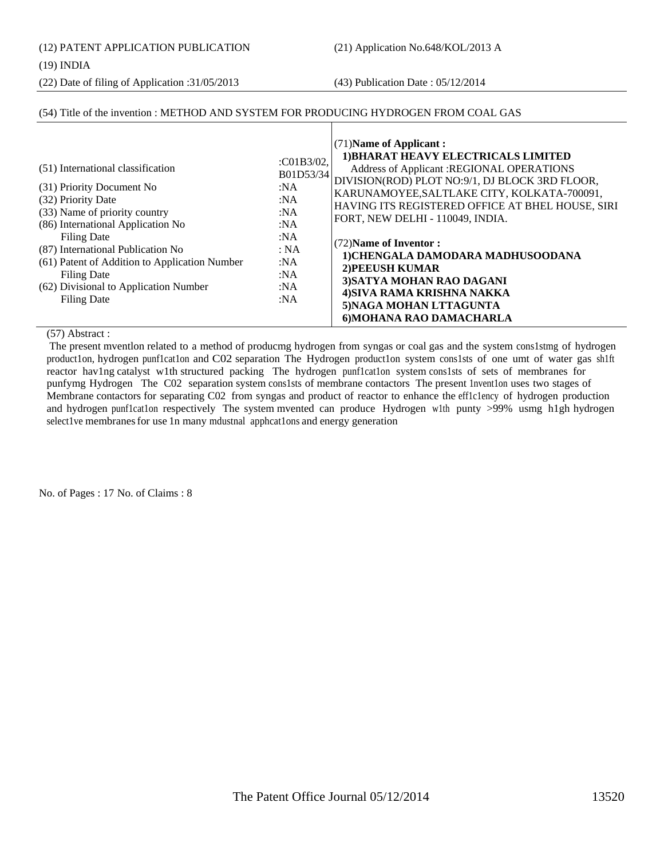#### (19) INDIA

(22) Date of filing of Application :31/05/2013 (43) Publication Date : 05/12/2014

#### (54) Title of the invention : METHOD AND SYSTEM FOR PRODUCING HYDROGEN FROM COAL GAS

### (57) Abstract :

 The present mventlon related to a method of producmg hydrogen from syngas or coal gas and the system cons1stmg of hydrogen product1on, hydrogen punf1cat1on and C02 separation The Hydrogen product1on system cons1sts of one umt of water gas sh1ft reactor hav1ng catalyst w1th structured packing The hydrogen punf1cat1on system cons1sts of sets of membranes for punfymg Hydrogen The C02 separation system cons1sts of membrane contactors The present 1nvent1on uses two stages of Membrane contactors for separating C02 from syngas and product of reactor to enhance the efficiency of hydrogen production and hydrogen punf1cat1on respectively The system mvented can produce Hydrogen w1th punty >99% usmg h1gh hydrogen select1ve membranes for use 1n many mdustnal apphcat1ons and energy generation

No. of Pages : 17 No. of Claims : 8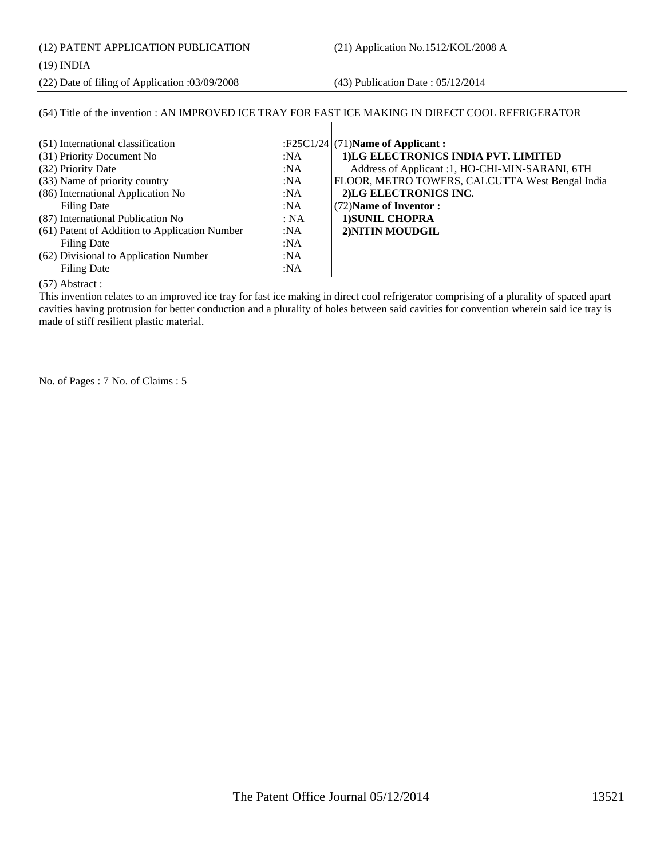(12) PATENT APPLICATION PUBLICATION (21) Application No.1512/KOL/2008 A

#### (19) INDIA

(22) Date of filing of Application :03/09/2008 (43) Publication Date : 05/12/2014

### (54) Title of the invention : AN IMPROVED ICE TRAY FOR FAST ICE MAKING IN DIRECT COOL REFRIGERATOR

| (51) International classification             |      | :F25C1/24 $(71)$ Name of Applicant:             |
|-----------------------------------------------|------|-------------------------------------------------|
| (31) Priority Document No                     | :NA  | 1)LG ELECTRONICS INDIA PVT. LIMITED             |
| (32) Priority Date                            | :NA  | Address of Applicant :1, HO-CHI-MIN-SARANI, 6TH |
| (33) Name of priority country                 | :NA  | FLOOR, METRO TOWERS, CALCUTTA West Bengal India |
| (86) International Application No             | :NA  | 2) LG ELECTRONICS INC.                          |
| <b>Filing Date</b>                            | :NA  | (72) Name of Inventor:                          |
| (87) International Publication No             | : NA | <b>1)SUNIL CHOPRA</b>                           |
| (61) Patent of Addition to Application Number | :NA  | 2) NITIN MOUDGIL                                |
| Filing Date                                   | :NA  |                                                 |
| (62) Divisional to Application Number         | :NA  |                                                 |
| <b>Filing Date</b>                            | :NA  |                                                 |

(57) Abstract :

This invention relates to an improved ice tray for fast ice making in direct cool refrigerator comprising of a plurality of spaced apart cavities having protrusion for better conduction and a plurality of holes between said cavities for convention wherein said ice tray is made of stiff resilient plastic material.

No. of Pages : 7 No. of Claims : 5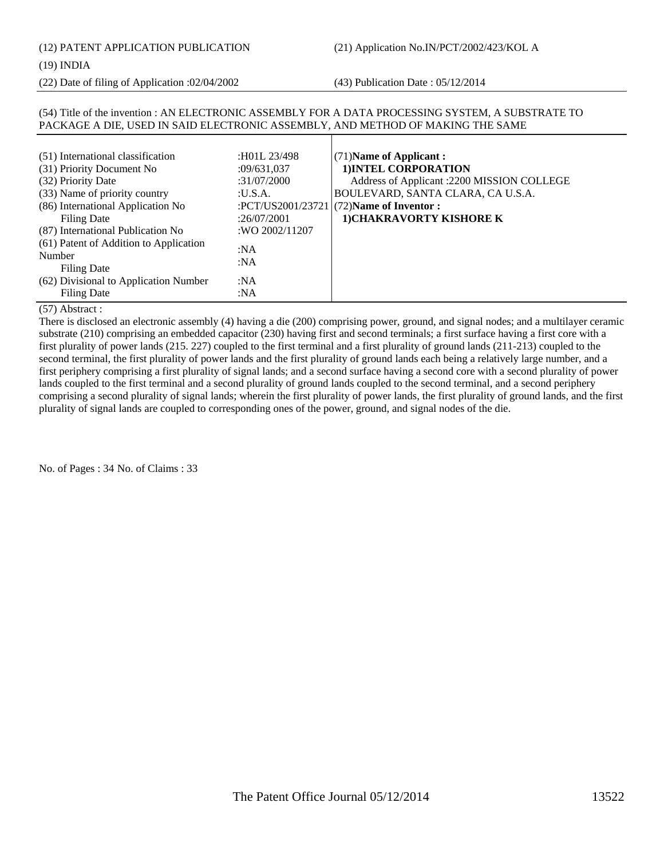(12) PATENT APPLICATION PUBLICATION (21) Application No.IN/PCT/2002/423/KOL A

#### (19) INDIA

(22) Date of filing of Application :02/04/2002 (43) Publication Date : 05/12/2014

#### (54) Title of the invention : AN ELECTRONIC ASSEMBLY FOR A DATA PROCESSING SYSTEM, A SUBSTRATE TO PACKAGE A DIE, USED IN SAID ELECTRONIC ASSEMBLY, AND METHOD OF MAKING THE SAME

| (51) International classification<br>(31) Priority Document No<br>(32) Priority Date<br>(33) Name of priority country<br>(86) International Application No<br>Filing Date<br>(87) International Publication No<br>(61) Patent of Addition to Application<br>Number<br>Filing Date<br>(62) Divisional to Application Number<br>Filing Date | :H01L 23/498<br>:09/631,037<br>:31/07/2000<br>:U.S.A.<br>:26/07/2001<br>:WO 2002/11207<br>:NA<br>:NA<br>:NA<br>:NA | (71) Name of Applicant:<br>1) INTEL CORPORATION<br>Address of Applicant :2200 MISSION COLLEGE<br>BOULEVARD, SANTA CLARA, CA U.S.A.<br>:PCT/US2001/23721 $(72)$ Name of Inventor :<br>1) CHAKRAVORTY KISHORE K |
|-------------------------------------------------------------------------------------------------------------------------------------------------------------------------------------------------------------------------------------------------------------------------------------------------------------------------------------------|--------------------------------------------------------------------------------------------------------------------|---------------------------------------------------------------------------------------------------------------------------------------------------------------------------------------------------------------|
|-------------------------------------------------------------------------------------------------------------------------------------------------------------------------------------------------------------------------------------------------------------------------------------------------------------------------------------------|--------------------------------------------------------------------------------------------------------------------|---------------------------------------------------------------------------------------------------------------------------------------------------------------------------------------------------------------|

#### (57) Abstract :

There is disclosed an electronic assembly (4) having a die (200) comprising power, ground, and signal nodes; and a multilayer ceramic substrate (210) comprising an embedded capacitor (230) having first and second terminals; a first surface having a first core with a first plurality of power lands (215. 227) coupled to the first terminal and a first plurality of ground lands (211-213) coupled to the second terminal, the first plurality of power lands and the first plurality of ground lands each being a relatively large number, and a first periphery comprising a first plurality of signal lands; and a second surface having a second core with a second plurality of power lands coupled to the first terminal and a second plurality of ground lands coupled to the second terminal, and a second periphery comprising a second plurality of signal lands; wherein the first plurality of power lands, the first plurality of ground lands, and the first plurality of signal lands are coupled to corresponding ones of the power, ground, and signal nodes of the die.

No. of Pages : 34 No. of Claims : 33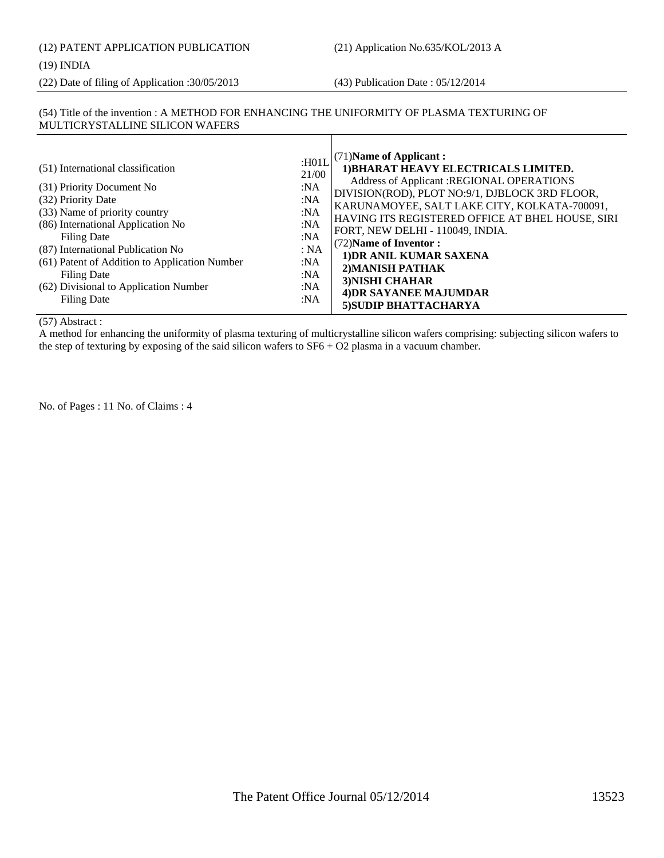(22) Date of filing of Application :30/05/2013 (43) Publication Date : 05/12/2014

#### (54) Title of the invention : A METHOD FOR ENHANCING THE UNIFORMITY OF PLASMA TEXTURING OF MULTICRYSTALLINE SILICON WAFERS

(57) Abstract :

A method for enhancing the uniformity of plasma texturing of multicrystalline silicon wafers comprising: subjecting silicon wafers to the step of texturing by exposing of the said silicon wafers to SF6 + O2 plasma in a vacuum chamber.

No. of Pages : 11 No. of Claims : 4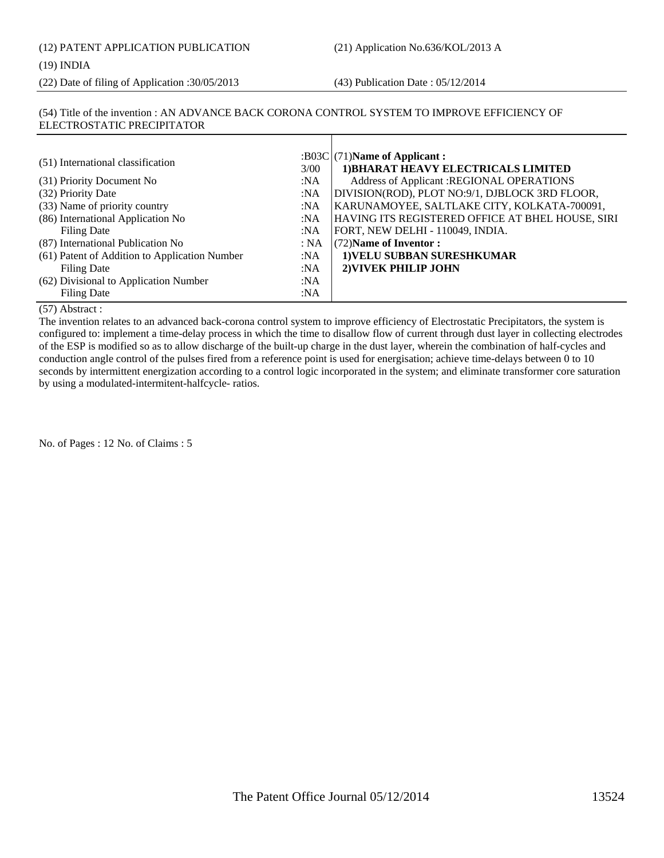### (19) INDIA

(22) Date of filing of Application :30/05/2013 (43) Publication Date : 05/12/2014

#### (54) Title of the invention : AN ADVANCE BACK CORONA CONTROL SYSTEM TO IMPROVE EFFICIENCY OF ELECTROSTATIC PRECIPITATOR

| (51) International classification             | 3/00   | : $B03C$ (71)Name of Applicant :<br>1) BHARAT HEAVY ELECTRICALS LIMITED |
|-----------------------------------------------|--------|-------------------------------------------------------------------------|
| (31) Priority Document No                     | :NA    | Address of Applicant : REGIONAL OPERATIONS                              |
| (32) Priority Date                            | :NA    | DIVISION(ROD), PLOT NO:9/1, DJBLOCK 3RD FLOOR,                          |
| (33) Name of priority country                 | :NA    | KARUNAMOYEE, SALTLAKE CITY, KOLKATA-700091,                             |
| (86) International Application No             | :NA    | HAVING ITS REGISTERED OFFICE AT BHEL HOUSE, SIRI                        |
| <b>Filing Date</b>                            | :NA    | FORT, NEW DELHI - 110049, INDIA.                                        |
| (87) International Publication No             | : NA   | (72) Name of Inventor:                                                  |
| (61) Patent of Addition to Application Number | : $NA$ | 1) VELU SUBBAN SURESHKUMAR                                              |
| <b>Filing Date</b>                            | :NA    | 2) VIVEK PHILIP JOHN                                                    |
| (62) Divisional to Application Number         | :NA    |                                                                         |
| <b>Filing Date</b>                            | :NA    |                                                                         |

#### (57) Abstract :

The invention relates to an advanced back-corona control system to improve efficiency of Electrostatic Precipitators, the system is configured to: implement a time-delay process in which the time to disallow flow of current through dust layer in collecting electrodes of the ESP is modified so as to allow discharge of the built-up charge in the dust layer, wherein the combination of half-cycles and conduction angle control of the pulses fired from a reference point is used for energisation; achieve time-delays between 0 to 10 seconds by intermittent energization according to a control logic incorporated in the system; and eliminate transformer core saturation by using a modulated-intermitent-halfcycle- ratios.

No. of Pages : 12 No. of Claims : 5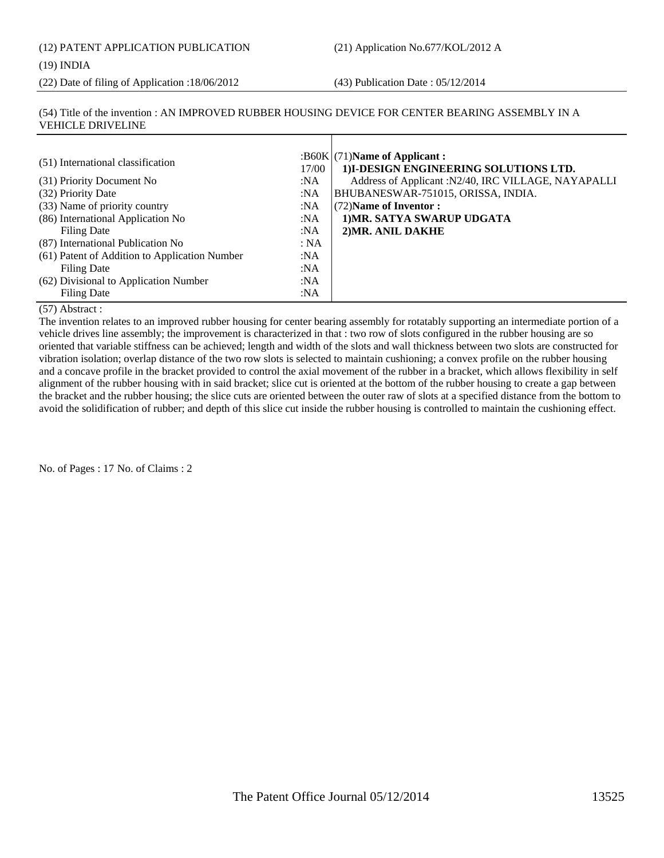(12) PATENT APPLICATION PUBLICATION (21) Application No.677/KOL/2012 A

#### (19) INDIA

(22) Date of filing of Application :18/06/2012 (43) Publication Date : 05/12/2014

#### (54) Title of the invention : AN IMPROVED RUBBER HOUSING DEVICE FOR CENTER BEARING ASSEMBLY IN A VEHICLE DRIVELINE

| (51) International classification<br>(31) Priority Document No | 17/00<br>:NA | : $B60K(71)$ Name of Applicant :<br>1)I-DESIGN ENGINEERING SOLUTIONS LTD.<br>Address of Applicant : N2/40, IRC VILLAGE, NAYAPALLI |
|----------------------------------------------------------------|--------------|-----------------------------------------------------------------------------------------------------------------------------------|
| (32) Priority Date                                             | :N $A$       | BHUBANESWAR-751015, ORISSA, INDIA.                                                                                                |
| (33) Name of priority country                                  | :NA          | (72) Name of Inventor:                                                                                                            |
| (86) International Application No                              | :NA          | 1) MR. SATYA SWARUP UDGATA                                                                                                        |
| Filing Date                                                    | :NA          | 2) MR. ANIL DAKHE                                                                                                                 |
| (87) International Publication No                              | : NA         |                                                                                                                                   |
| (61) Patent of Addition to Application Number                  | :NA          |                                                                                                                                   |
| Filing Date                                                    | :NA          |                                                                                                                                   |
| (62) Divisional to Application Number                          | :NA          |                                                                                                                                   |
| Filing Date                                                    | :NA          |                                                                                                                                   |

#### (57) Abstract :

The invention relates to an improved rubber housing for center bearing assembly for rotatably supporting an intermediate portion of a vehicle drives line assembly; the improvement is characterized in that : two row of slots configured in the rubber housing are so oriented that variable stiffness can be achieved; length and width of the slots and wall thickness between two slots are constructed for vibration isolation; overlap distance of the two row slots is selected to maintain cushioning; a convex profile on the rubber housing and a concave profile in the bracket provided to control the axial movement of the rubber in a bracket, which allows flexibility in self alignment of the rubber housing with in said bracket; slice cut is oriented at the bottom of the rubber housing to create a gap between the bracket and the rubber housing; the slice cuts are oriented between the outer raw of slots at a specified distance from the bottom to avoid the solidification of rubber; and depth of this slice cut inside the rubber housing is controlled to maintain the cushioning effect.

No. of Pages : 17 No. of Claims : 2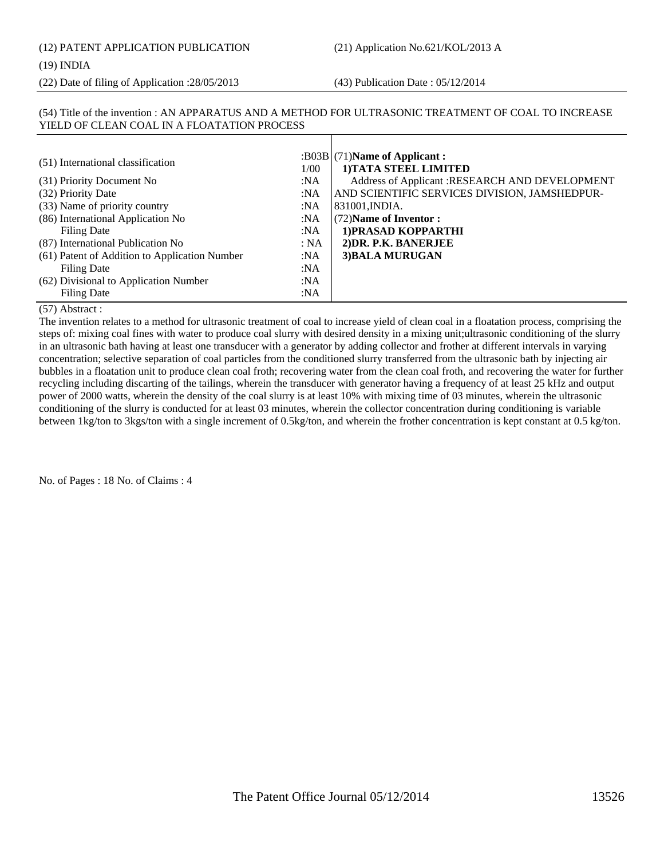# (12) PATENT APPLICATION PUBLICATION (21) Application No.621/KOL/2013 A

#### (19) INDIA

(22) Date of filing of Application :28/05/2013 (43) Publication Date : 05/12/2014

#### (54) Title of the invention : AN APPARATUS AND A METHOD FOR ULTRASONIC TREATMENT OF COAL TO INCREASE YIELD OF CLEAN COAL IN A FLOATATION PROCESS

| (51) International classification             | 1/00 | :B03B $ (71)$ Name of Applicant:<br>1) TATA STEEL LIMITED |
|-----------------------------------------------|------|-----------------------------------------------------------|
| (31) Priority Document No                     | :NA  | Address of Applicant : RESEARCH AND DEVELOPMENT           |
| (32) Priority Date                            | :NA  | AND SCIENTIFIC SERVICES DIVISION, JAMSHEDPUR-             |
| (33) Name of priority country                 | :NA  | 831001, INDIA.                                            |
| (86) International Application No             | :NA  | (72) Name of Inventor:                                    |
| Filing Date                                   | :NA  | 1) PRASAD KOPPARTHI                                       |
| (87) International Publication No             | : NA | 2) DR. P.K. BANERJEE                                      |
| (61) Patent of Addition to Application Number | :NA  | 3) BALA MURUGAN                                           |
| Filing Date                                   | :NA  |                                                           |
| (62) Divisional to Application Number         | :NA  |                                                           |
| <b>Filing Date</b>                            | :NA  |                                                           |

#### (57) Abstract :

The invention relates to a method for ultrasonic treatment of coal to increase yield of clean coal in a floatation process, comprising the steps of: mixing coal fines with water to produce coal slurry with desired density in a mixing unit;ultrasonic conditioning of the slurry in an ultrasonic bath having at least one transducer with a generator by adding collector and frother at different intervals in varying concentration; selective separation of coal particles from the conditioned slurry transferred from the ultrasonic bath by injecting air bubbles in a floatation unit to produce clean coal froth; recovering water from the clean coal froth, and recovering the water for further recycling including discarting of the tailings, wherein the transducer with generator having a frequency of at least 25 kHz and output power of 2000 watts, wherein the density of the coal slurry is at least 10% with mixing time of 03 minutes, wherein the ultrasonic conditioning of the slurry is conducted for at least 03 minutes, wherein the collector concentration during conditioning is variable between 1kg/ton to 3kgs/ton with a single increment of 0.5kg/ton, and wherein the frother concentration is kept constant at 0.5 kg/ton.

No. of Pages : 18 No. of Claims : 4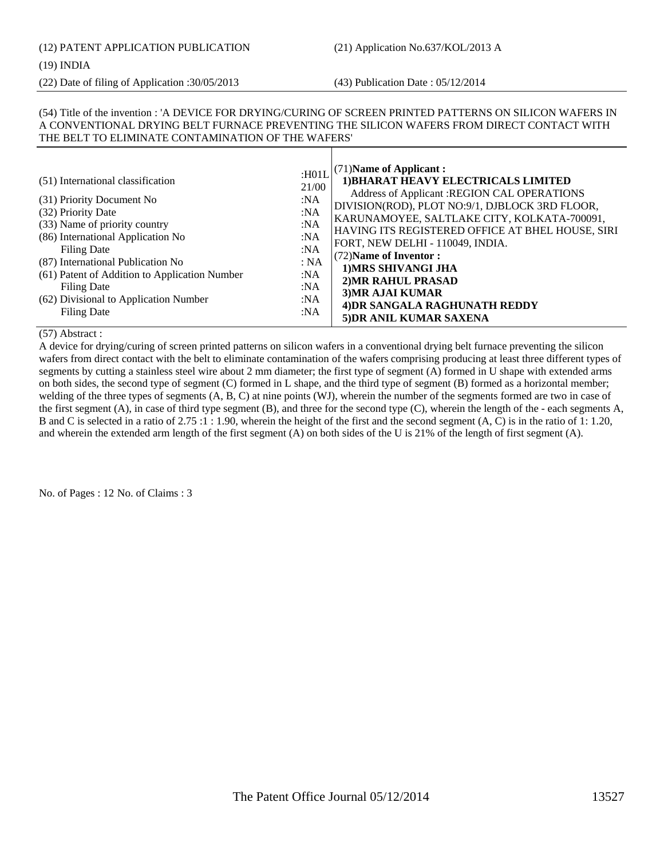## (12) PATENT APPLICATION PUBLICATION (21) Application No.637/KOL/2013 A

#### (19) INDIA

(22) Date of filing of Application :30/05/2013 (43) Publication Date : 05/12/2014

#### (54) Title of the invention : 'A DEVICE FOR DRYING/CURING OF SCREEN PRINTED PATTERNS ON SILICON WAFERS IN A CONVENTIONAL DRYING BELT FURNACE PREVENTING THE SILICON WAFERS FROM DIRECT CONTACT WITH THE BELT TO ELIMINATE CONTAMINATION OF THE WAFERS'

### (57) Abstract :

A device for drying/curing of screen printed patterns on silicon wafers in a conventional drying belt furnace preventing the silicon wafers from direct contact with the belt to eliminate contamination of the wafers comprising producing at least three different types of segments by cutting a stainless steel wire about 2 mm diameter; the first type of segment (A) formed in U shape with extended arms on both sides, the second type of segment (C) formed in L shape, and the third type of segment (B) formed as a horizontal member; welding of the three types of segments (A, B, C) at nine points (WJ), wherein the number of the segments formed are two in case of the first segment (A), in case of third type segment (B), and three for the second type (C), wherein the length of the - each segments A, B and C is selected in a ratio of 2.75 :1 : 1.90, wherein the height of the first and the second segment (A, C) is in the ratio of 1: 1.20, and wherein the extended arm length of the first segment (A) on both sides of the U is 21% of the length of first segment (A).

No. of Pages : 12 No. of Claims : 3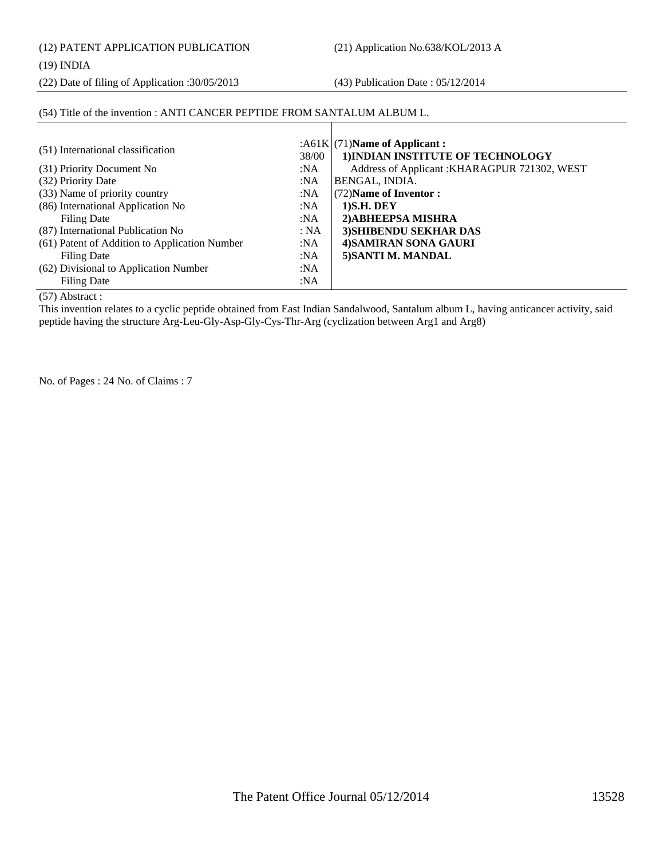(12) PATENT APPLICATION PUBLICATION (21) Application No.638/KOL/2013 A

#### (19) INDIA

(22) Date of filing of Application :30/05/2013 (43) Publication Date : 05/12/2014

### (54) Title of the invention : ANTI CANCER PEPTIDE FROM SANTALUM ALBUM L.

| (51) International classification<br>38/00<br>(31) Priority Document No<br>:NA<br>(32) Priority Date<br>:NA<br>(33) Name of priority country<br>:NA | : $A61K(71)$ Name of Applicant:<br>1) INDIAN INSTITUTE OF TECHNOLOGY<br>Address of Applicant: KHARAGPUR 721302, WEST<br>BENGAL, INDIA.<br>(72) Name of Inventor: |
|-----------------------------------------------------------------------------------------------------------------------------------------------------|------------------------------------------------------------------------------------------------------------------------------------------------------------------|
| (86) International Application No<br>:NA                                                                                                            | $1)$ S.H. DEY                                                                                                                                                    |
| Filing Date<br>:NA                                                                                                                                  | 2) ABHEEPSA MISHRA                                                                                                                                               |
| (87) International Publication No<br>: NA                                                                                                           | 3) SHIBENDU SEKHAR DAS                                                                                                                                           |
| (61) Patent of Addition to Application Number<br>:NA                                                                                                | <b>4)SAMIRAN SONA GAURI</b>                                                                                                                                      |
| Filing Date<br>:NA                                                                                                                                  | 5) SANTI M. MANDAL                                                                                                                                               |
| (62) Divisional to Application Number<br>:NA                                                                                                        |                                                                                                                                                                  |
| Filing Date<br>:NA                                                                                                                                  |                                                                                                                                                                  |

(57) Abstract :

This invention relates to a cyclic peptide obtained from East Indian Sandalwood, Santalum album L, having anticancer activity, said peptide having the structure Arg-Leu-Gly-Asp-Gly-Cys-Thr-Arg (cyclization between Arg1 and Arg8)

No. of Pages : 24 No. of Claims : 7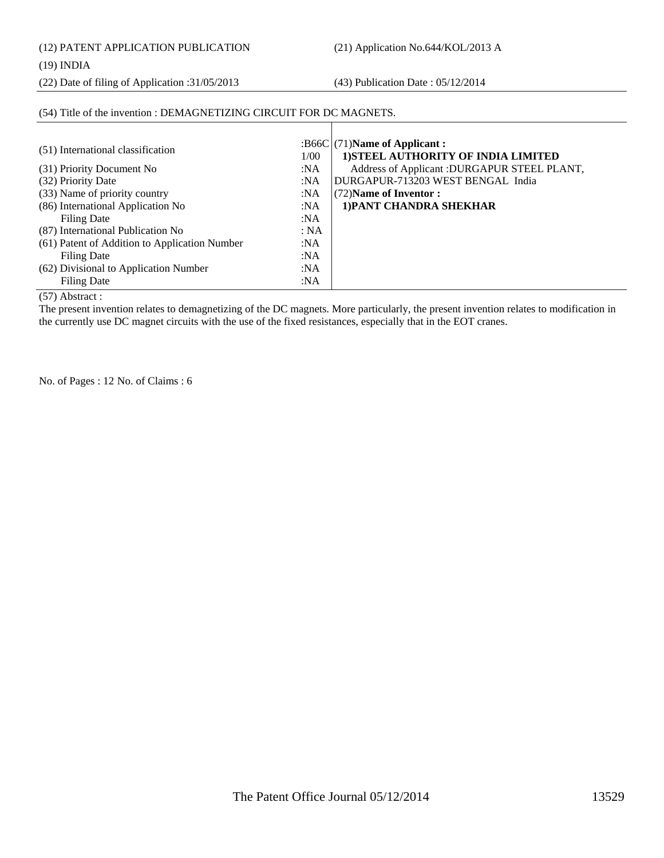(12) PATENT APPLICATION PUBLICATION (21) Application No.644/KOL/2013 A

#### (19) INDIA

(22) Date of filing of Application :31/05/2013 (43) Publication Date : 05/12/2014

### (54) Title of the invention : DEMAGNETIZING CIRCUIT FOR DC MAGNETS.

| (51) International classification<br>(31) Priority Document No<br>(32) Priority Date<br>(33) Name of priority country | 1/00<br>:NA<br>:NA<br>:NA | : $B66C(71)$ Name of Applicant :<br>1) STEEL AUTHORITY OF INDIA LIMITED<br>Address of Applicant :DURGAPUR STEEL PLANT,<br>DURGAPUR-713203 WEST BENGAL India<br>(72) Name of Inventor: |
|-----------------------------------------------------------------------------------------------------------------------|---------------------------|---------------------------------------------------------------------------------------------------------------------------------------------------------------------------------------|
| (86) International Application No                                                                                     | :NA                       | 1) PANT CHANDRA SHEKHAR                                                                                                                                                               |
| Filing Date                                                                                                           | :NA                       |                                                                                                                                                                                       |
| (87) International Publication No                                                                                     | : NA                      |                                                                                                                                                                                       |
| (61) Patent of Addition to Application Number                                                                         | :NA                       |                                                                                                                                                                                       |
| Filing Date                                                                                                           | :NA                       |                                                                                                                                                                                       |
| (62) Divisional to Application Number                                                                                 | :NA                       |                                                                                                                                                                                       |
| Filing Date                                                                                                           | :NA                       |                                                                                                                                                                                       |

(57) Abstract :

The present invention relates to demagnetizing of the DC magnets. More particularly, the present invention relates to modification in the currently use DC magnet circuits with the use of the fixed resistances, especially that in the EOT cranes.

No. of Pages : 12 No. of Claims : 6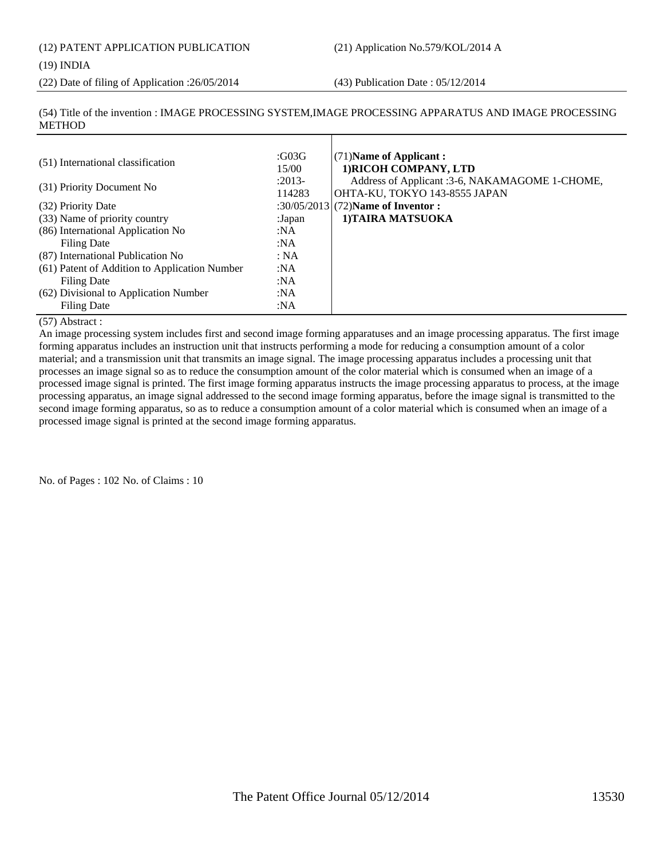(12) PATENT APPLICATION PUBLICATION (21) Application No.579/KOL/2014 A

#### (19) INDIA

(22) Date of filing of Application :26/05/2014 (43) Publication Date : 05/12/2014

(54) Title of the invention : IMAGE PROCESSING SYSTEM,IMAGE PROCESSING APPARATUS AND IMAGE PROCESSING METHOD

| (51) International classification             | :G03G<br>15/00     | $(71)$ Name of Applicant:<br>1) RICOH COMPANY, LTD                              |
|-----------------------------------------------|--------------------|---------------------------------------------------------------------------------|
| (31) Priority Document No                     | $:2013-$<br>114283 | Address of Applicant :3-6, NAKAMAGOME 1-CHOME,<br>OHTA-KU, TOKYO 143-8555 JAPAN |
| (32) Priority Date                            |                    | :30/05/2013 (72) Name of Inventor :                                             |
| (33) Name of priority country                 | :Japan             | 1) TAIRA MATSUOKA                                                               |
| (86) International Application No             | : $NA$             |                                                                                 |
| Filing Date                                   | :NA                |                                                                                 |
| (87) International Publication No             | : NA               |                                                                                 |
| (61) Patent of Addition to Application Number | :NA                |                                                                                 |
| Filing Date                                   | : $NA$             |                                                                                 |
| (62) Divisional to Application Number         | : $NA$             |                                                                                 |
| <b>Filing Date</b>                            | : $NA$             |                                                                                 |

#### (57) Abstract :

An image processing system includes first and second image forming apparatuses and an image processing apparatus. The first image forming apparatus includes an instruction unit that instructs performing a mode for reducing a consumption amount of a color material; and a transmission unit that transmits an image signal. The image processing apparatus includes a processing unit that processes an image signal so as to reduce the consumption amount of the color material which is consumed when an image of a processed image signal is printed. The first image forming apparatus instructs the image processing apparatus to process, at the image processing apparatus, an image signal addressed to the second image forming apparatus, before the image signal is transmitted to the second image forming apparatus, so as to reduce a consumption amount of a color material which is consumed when an image of a processed image signal is printed at the second image forming apparatus.

No. of Pages : 102 No. of Claims : 10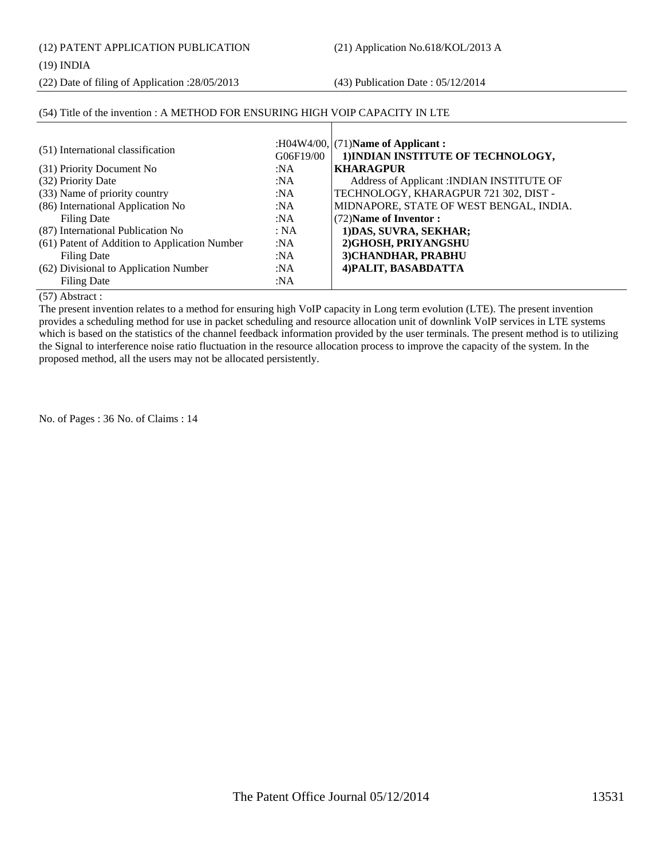(12) PATENT APPLICATION PUBLICATION (21) Application No.618/KOL/2013 A

(22) Date of filing of Application :28/05/2013 (43) Publication Date : 05/12/2014

### (54) Title of the invention : A METHOD FOR ENSURING HIGH VOIP CAPACITY IN LTE

| (51) International classification             | G06F19/00 | : $H04W4/00$ , (71)Name of Applicant:<br>1) INDIAN INSTITUTE OF TECHNOLOGY, |
|-----------------------------------------------|-----------|-----------------------------------------------------------------------------|
| (31) Priority Document No                     | :NA       | <b>KHARAGPUR</b>                                                            |
| (32) Priority Date                            | :NA       | Address of Applicant : INDIAN INSTITUTE OF                                  |
| (33) Name of priority country                 | :NA       | TECHNOLOGY, KHARAGPUR 721 302, DIST -                                       |
| (86) International Application No             | :NA       | MIDNAPORE, STATE OF WEST BENGAL, INDIA.                                     |
| <b>Filing Date</b>                            | :NA       | (72) Name of Inventor:                                                      |
| (87) International Publication No             | : NA      | 1) DAS, SUVRA, SEKHAR;                                                      |
| (61) Patent of Addition to Application Number | :NA       | 2) GHOSH, PRIYANGSHU                                                        |
| Filing Date                                   | :NA       | 3) CHANDHAR, PRABHU                                                         |
| (62) Divisional to Application Number         | :NA       | 4) PALIT, BASABDATTA                                                        |
| Filing Date                                   | :NA       |                                                                             |

(57) Abstract :

The present invention relates to a method for ensuring high VoIP capacity in Long term evolution (LTE). The present invention provides a scheduling method for use in packet scheduling and resource allocation unit of downlink VoIP services in LTE systems which is based on the statistics of the channel feedback information provided by the user terminals. The present method is to utilizing the Signal to interference noise ratio fluctuation in the resource allocation process to improve the capacity of the system. In the proposed method, all the users may not be allocated persistently.

No. of Pages : 36 No. of Claims : 14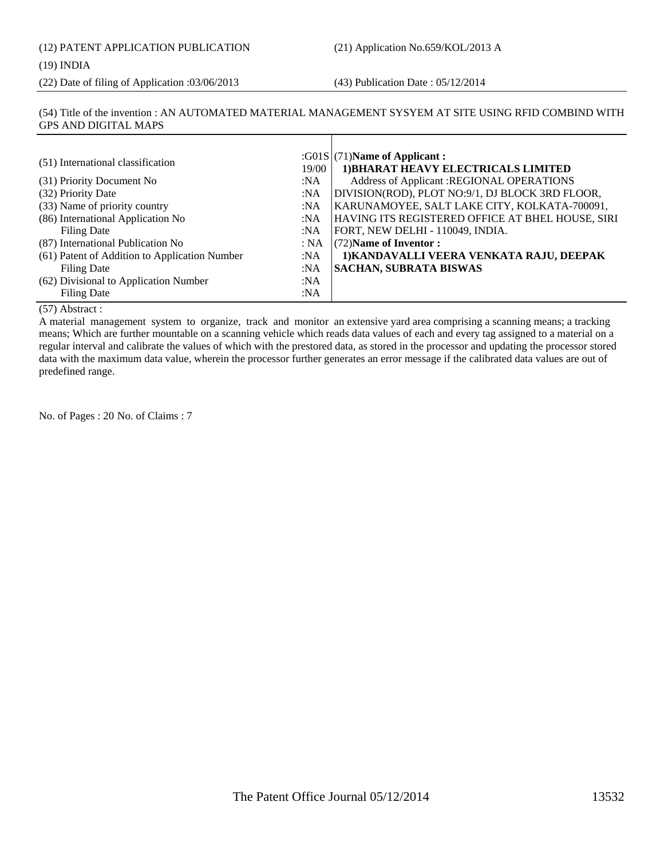### (19) INDIA

(22) Date of filing of Application :03/06/2013 (43) Publication Date : 05/12/2014

#### (54) Title of the invention : AN AUTOMATED MATERIAL MANAGEMENT SYSYEM AT SITE USING RFID COMBIND WITH GPS AND DIGITAL MAPS

| (51) International classification             | 19/00 | : $G01S$ (71)Name of Applicant:<br>1) BHARAT HEAVY ELECTRICALS LIMITED |
|-----------------------------------------------|-------|------------------------------------------------------------------------|
| (31) Priority Document No                     | :NA   | <b>Address of Applicant :REGIONAL OPERATIONS</b>                       |
| (32) Priority Date                            | :NA   | DIVISION(ROD), PLOT NO:9/1, DJ BLOCK 3RD FLOOR,                        |
| (33) Name of priority country                 | :NA   | KARUNAMOYEE, SALT LAKE CITY, KOLKATA-700091,                           |
| (86) International Application No             | :NA   | HAVING ITS REGISTERED OFFICE AT BHEL HOUSE, SIRI                       |
| <b>Filing Date</b>                            | :NA   | FORT, NEW DELHI - 110049, INDIA.                                       |
| (87) International Publication No             | : NA  | (72) Name of Inventor:                                                 |
| (61) Patent of Addition to Application Number | :NA   | 1) KANDAVALLI VEERA VENKATA RAJU, DEEPAK                               |
| Filing Date                                   | :NA   | <b>SACHAN, SUBRATA BISWAS</b>                                          |
| (62) Divisional to Application Number         | :NA   |                                                                        |
| <b>Filing Date</b>                            | :NA   |                                                                        |

#### (57) Abstract :

A material management system to organize, track and monitor an extensive yard area comprising a scanning means; a tracking means; Which are further mountable on a scanning vehicle which reads data values of each and every tag assigned to a material on a regular interval and calibrate the values of which with the prestored data, as stored in the processor and updating the processor stored data with the maximum data value, wherein the processor further generates an error message if the calibrated data values are out of predefined range.

No. of Pages : 20 No. of Claims : 7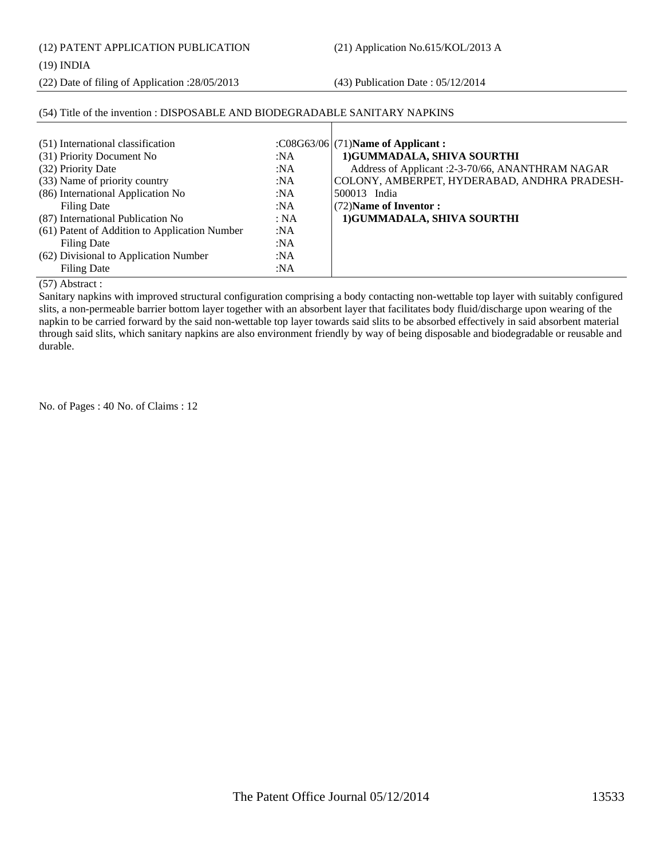(12) PATENT APPLICATION PUBLICATION (21) Application No.615/KOL/2013 A

(22) Date of filing of Application :28/05/2013 (43) Publication Date : 05/12/2014

### (54) Title of the invention : DISPOSABLE AND BIODEGRADABLE SANITARY NAPKINS

| (51) International classification<br>(31) Priority Document No<br>:NA | : $C08G63/06$ (71)Name of Applicant:<br>1) GUMMADALA, SHIVA SOURTHI |
|-----------------------------------------------------------------------|---------------------------------------------------------------------|
| (32) Priority Date<br>:NA                                             | Address of Applicant :2-3-70/66, ANANTHRAM NAGAR                    |
| (33) Name of priority country<br>:NA                                  | COLONY, AMBERPET, HYDERABAD, ANDHRA PRADESH-                        |
| (86) International Application No<br>:NA                              | 500013 India                                                        |
| Filing Date<br>:NA                                                    | (72) Name of Inventor:                                              |
| (87) International Publication No<br>: NA                             | 1) GUMMADALA, SHIVA SOURTHI                                         |
| (61) Patent of Addition to Application Number<br>:NA                  |                                                                     |
| Filing Date<br>:NA                                                    |                                                                     |
| (62) Divisional to Application Number<br>: $NA$                       |                                                                     |
| Filing Date<br>:NA                                                    |                                                                     |

(57) Abstract :

Sanitary napkins with improved structural configuration comprising a body contacting non-wettable top layer with suitably configured slits, a non-permeable barrier bottom layer together with an absorbent layer that facilitates body fluid/discharge upon wearing of the napkin to be carried forward by the said non-wettable top layer towards said slits to be absorbed effectively in said absorbent material through said slits, which sanitary napkins are also environment friendly by way of being disposable and biodegradable or reusable and durable.

No. of Pages : 40 No. of Claims : 12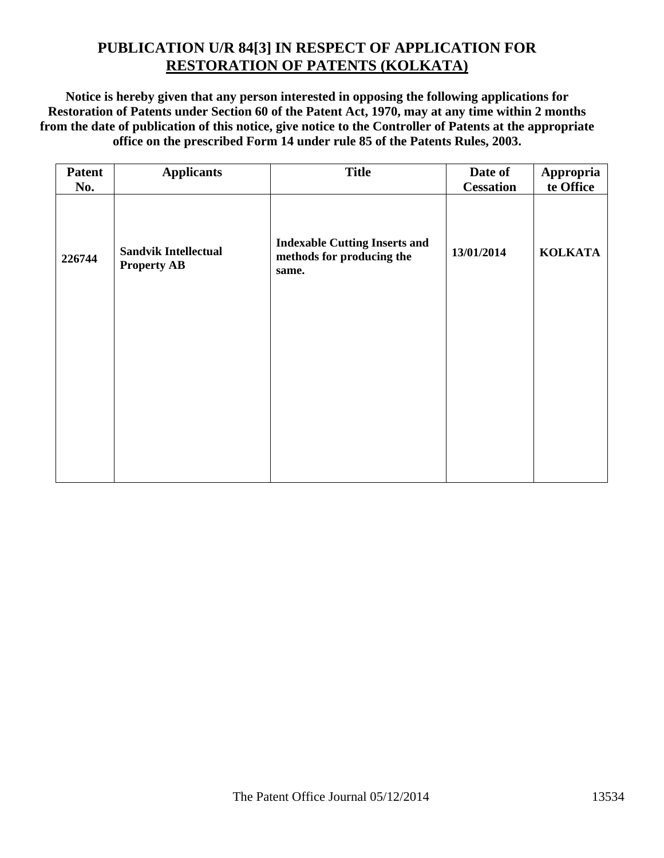## **PUBLICATION U/R 84[3] IN RESPECT OF APPLICATION FOR RESTORATION OF PATENTS (KOLKATA)**

**Notice is hereby given that any person interested in opposing the following applications for Restoration of Patents under Section 60 of the Patent Act, 1970, may at any time within 2 months from the date of publication of this notice, give notice to the Controller of Patents at the appropriate office on the prescribed Form 14 under rule 85 of the Patents Rules, 2003.** 

| <b>Patent</b><br>No. | <b>Applicants</b>                                 | <b>Title</b>                                                               | Date of<br><b>Cessation</b> | Appropria<br>te Office |
|----------------------|---------------------------------------------------|----------------------------------------------------------------------------|-----------------------------|------------------------|
| 226744               | <b>Sandvik Intellectual</b><br><b>Property AB</b> | <b>Indexable Cutting Inserts and</b><br>methods for producing the<br>same. | 13/01/2014                  | <b>KOLKATA</b>         |
|                      |                                                   |                                                                            |                             |                        |
|                      |                                                   |                                                                            |                             |                        |
|                      |                                                   |                                                                            |                             |                        |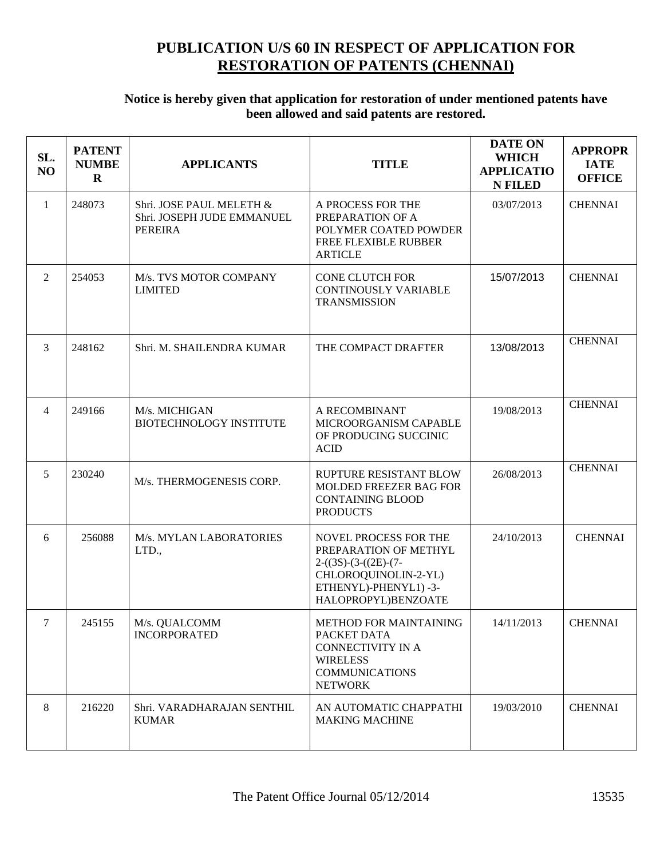## **PUBLICATION U/S 60 IN RESPECT OF APPLICATION FOR RESTORATION OF PATENTS (CHENNAI)**

## **Notice is hereby given that application for restoration of under mentioned patents have been allowed and said patents are restored.**

| SL.<br>NO    | <b>PATENT</b><br><b>NUMBE</b><br>$\bf R$ | <b>APPLICANTS</b>                                                        | <b>TITLE</b>                                                                                                                                   | <b>DATE ON</b><br><b>WHICH</b><br><b>APPLICATIO</b><br><b>N FILED</b> | <b>APPROPR</b><br><b>IATE</b><br><b>OFFICE</b> |
|--------------|------------------------------------------|--------------------------------------------------------------------------|------------------------------------------------------------------------------------------------------------------------------------------------|-----------------------------------------------------------------------|------------------------------------------------|
| $\mathbf{1}$ | 248073                                   | Shri. JOSE PAUL MELETH &<br>Shri. JOSEPH JUDE EMMANUEL<br><b>PEREIRA</b> | A PROCESS FOR THE<br>PREPARATION OF A<br>POLYMER COATED POWDER<br>FREE FLEXIBLE RUBBER<br><b>ARTICLE</b>                                       | 03/07/2013                                                            | <b>CHENNAI</b>                                 |
| 2            | 254053                                   | M/s. TVS MOTOR COMPANY<br><b>LIMITED</b>                                 | <b>CONE CLUTCH FOR</b><br><b>CONTINOUSLY VARIABLE</b><br><b>TRANSMISSION</b>                                                                   | 15/07/2013                                                            | <b>CHENNAI</b>                                 |
| 3            | 248162                                   | Shri. M. SHAILENDRA KUMAR                                                | THE COMPACT DRAFTER                                                                                                                            | 13/08/2013                                                            | <b>CHENNAI</b>                                 |
| 4            | 249166                                   | M/s. MICHIGAN<br><b>BIOTECHNOLOGY INSTITUTE</b>                          | A RECOMBINANT<br>MICROORGANISM CAPABLE<br>OF PRODUCING SUCCINIC<br><b>ACID</b>                                                                 | 19/08/2013                                                            | <b>CHENNAI</b>                                 |
| 5            | 230240                                   | M/s. THERMOGENESIS CORP.                                                 | RUPTURE RESISTANT BLOW<br>MOLDED FREEZER BAG FOR<br><b>CONTAINING BLOOD</b><br><b>PRODUCTS</b>                                                 | 26/08/2013                                                            | <b>CHENNAI</b>                                 |
| 6            | 256088                                   | M/s. MYLAN LABORATORIES<br>LTD.,                                         | NOVEL PROCESS FOR THE<br>PREPARATION OF METHYL<br>$2-(3S)-(3-((2E)-(7-$<br>CHLOROQUINOLIN-2-YL)<br>ETHENYL)-PHENYL1)-3-<br>HALOPROPYL)BENZOATE | 24/10/2013                                                            | <b>CHENNAI</b>                                 |
| 7            | 245155                                   | M/s. QUALCOMM<br><b>INCORPORATED</b>                                     | <b>METHOD FOR MAINTAINING</b><br>PACKET DATA<br><b>CONNECTIVITY IN A</b><br><b>WIRELESS</b><br><b>COMMUNICATIONS</b><br><b>NETWORK</b>         | 14/11/2013                                                            | <b>CHENNAI</b>                                 |
| 8            | 216220                                   | Shri. VARADHARAJAN SENTHIL<br><b>KUMAR</b>                               | AN AUTOMATIC CHAPPATHI<br><b>MAKING MACHINE</b>                                                                                                | 19/03/2010                                                            | <b>CHENNAI</b>                                 |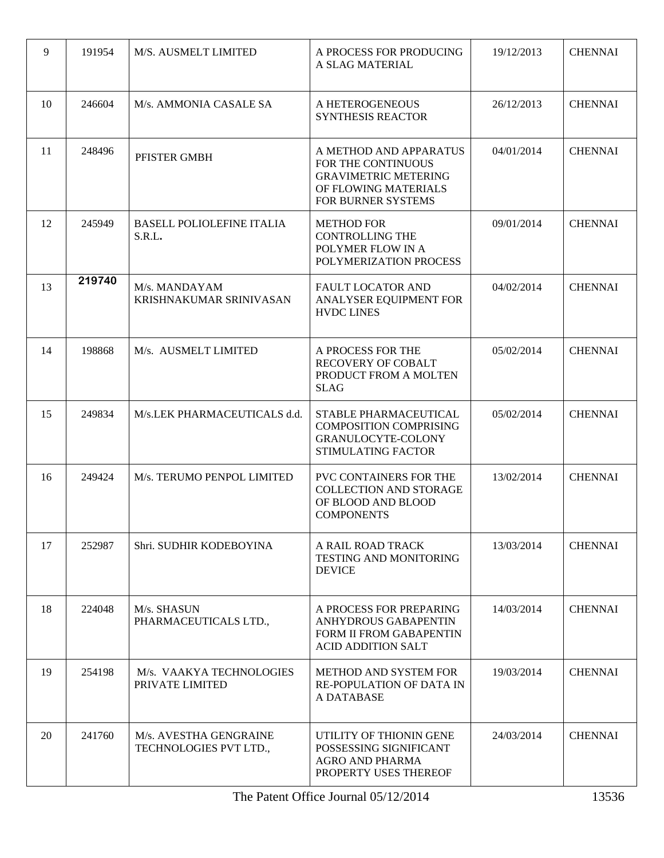| 9  | 191954 | M/S. AUSMELT LIMITED                             | A PROCESS FOR PRODUCING<br>A SLAG MATERIAL                                                                                | 19/12/2013 | <b>CHENNAI</b> |
|----|--------|--------------------------------------------------|---------------------------------------------------------------------------------------------------------------------------|------------|----------------|
| 10 | 246604 | M/s. AMMONIA CASALE SA                           | A HETEROGENEOUS<br><b>SYNTHESIS REACTOR</b>                                                                               | 26/12/2013 | <b>CHENNAI</b> |
| 11 | 248496 | PFISTER GMBH                                     | A METHOD AND APPARATUS<br>FOR THE CONTINUOUS<br><b>GRAVIMETRIC METERING</b><br>OF FLOWING MATERIALS<br>FOR BURNER SYSTEMS | 04/01/2014 | <b>CHENNAI</b> |
| 12 | 245949 | <b>BASELL POLIOLEFINE ITALIA</b><br>S.R.L.       | <b>METHOD FOR</b><br><b>CONTROLLING THE</b><br>POLYMER FLOW IN A<br>POLYMERIZATION PROCESS                                | 09/01/2014 | <b>CHENNAI</b> |
| 13 | 219740 | M/s. MANDAYAM<br>KRISHNAKUMAR SRINIVASAN         | FAULT LOCATOR AND<br>ANALYSER EQUIPMENT FOR<br><b>HVDC LINES</b>                                                          | 04/02/2014 | <b>CHENNAI</b> |
| 14 | 198868 | M/s. AUSMELT LIMITED                             | A PROCESS FOR THE<br>RECOVERY OF COBALT<br>PRODUCT FROM A MOLTEN<br><b>SLAG</b>                                           | 05/02/2014 | <b>CHENNAI</b> |
| 15 | 249834 | M/s.LEK PHARMACEUTICALS d.d.                     | STABLE PHARMACEUTICAL<br><b>COMPOSITION COMPRISING</b><br>GRANULOCYTE-COLONY<br>STIMULATING FACTOR                        | 05/02/2014 | <b>CHENNAI</b> |
| 16 | 249424 | M/s. TERUMO PENPOL LIMITED                       | PVC CONTAINERS FOR THE<br><b>COLLECTION AND STORAGE</b><br>OF BLOOD AND BLOOD<br><b>COMPONENTS</b>                        | 13/02/2014 | <b>CHENNAI</b> |
| 17 | 252987 | Shri. SUDHIR KODEBOYINA                          | A RAIL ROAD TRACK<br><b>TESTING AND MONITORING</b><br><b>DEVICE</b>                                                       | 13/03/2014 | <b>CHENNAI</b> |
| 18 | 224048 | M/s. SHASUN<br>PHARMACEUTICALS LTD.,             | A PROCESS FOR PREPARING<br>ANHYDROUS GABAPENTIN<br><b>FORM II FROM GABAPENTIN</b><br><b>ACID ADDITION SALT</b>            | 14/03/2014 | <b>CHENNAI</b> |
| 19 | 254198 | M/s. VAAKYA TECHNOLOGIES<br>PRIVATE LIMITED      | <b>METHOD AND SYSTEM FOR</b><br><b>RE-POPULATION OF DATA IN</b><br>A DATABASE                                             | 19/03/2014 | <b>CHENNAI</b> |
| 20 | 241760 | M/s. AVESTHA GENGRAINE<br>TECHNOLOGIES PVT LTD., | UTILITY OF THIONIN GENE<br>POSSESSING SIGNIFICANT<br><b>AGRO AND PHARMA</b><br>PROPERTY USES THEREOF                      | 24/03/2014 | <b>CHENNAI</b> |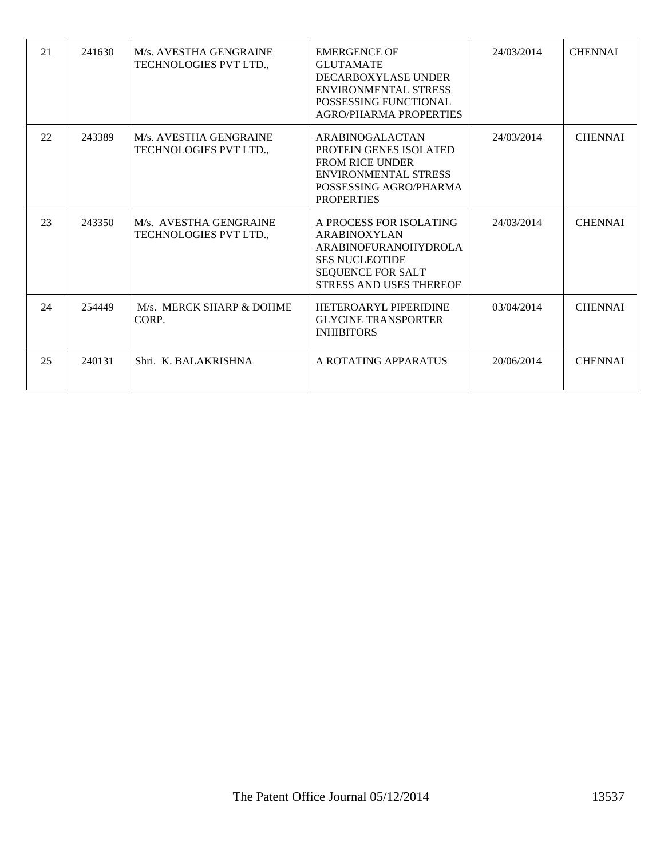| 21 | 241630 | M/s. AVESTHA GENGRAINE<br>TECHNOLOGIES PVT LTD., | <b>EMERGENCE OF</b><br><b>GLUTAMATE</b><br>DECARBOXYLASE UNDER<br><b>ENVIRONMENTAL STRESS</b><br>POSSESSING FUNCTIONAL<br><b>AGRO/PHARMA PROPERTIES</b>  | 24/03/2014 | <b>CHENNAI</b> |
|----|--------|--------------------------------------------------|----------------------------------------------------------------------------------------------------------------------------------------------------------|------------|----------------|
| 22 | 243389 | M/s. AVESTHA GENGRAINE<br>TECHNOLOGIES PVT LTD., | ARABINOGALACTAN<br><b>PROTEIN GENES ISOLATED</b><br><b>FROM RICE UNDER</b><br><b>ENVIRONMENTAL STRESS</b><br>POSSESSING AGRO/PHARMA<br><b>PROPERTIES</b> | 24/03/2014 | <b>CHENNAI</b> |
| 23 | 243350 | M/s. AVESTHA GENGRAINE<br>TECHNOLOGIES PVT LTD., | A PROCESS FOR ISOLATING<br>ARABINOXYLAN<br>ARABINOFURANOHYDROLA<br><b>SES NUCLEOTIDE</b><br>SEQUENCE FOR SALT<br><b>STRESS AND USES THEREOF</b>          | 24/03/2014 | <b>CHENNAI</b> |
| 24 | 254449 | M/s. MERCK SHARP & DOHME<br>CORP.                | HETEROARYL PIPERIDINE<br><b>GLYCINE TRANSPORTER</b><br><b>INHIBITORS</b>                                                                                 | 03/04/2014 | <b>CHENNAI</b> |
| 25 | 240131 | Shri. K. BALAKRISHNA                             | A ROTATING APPARATUS                                                                                                                                     | 20/06/2014 | <b>CHENNAI</b> |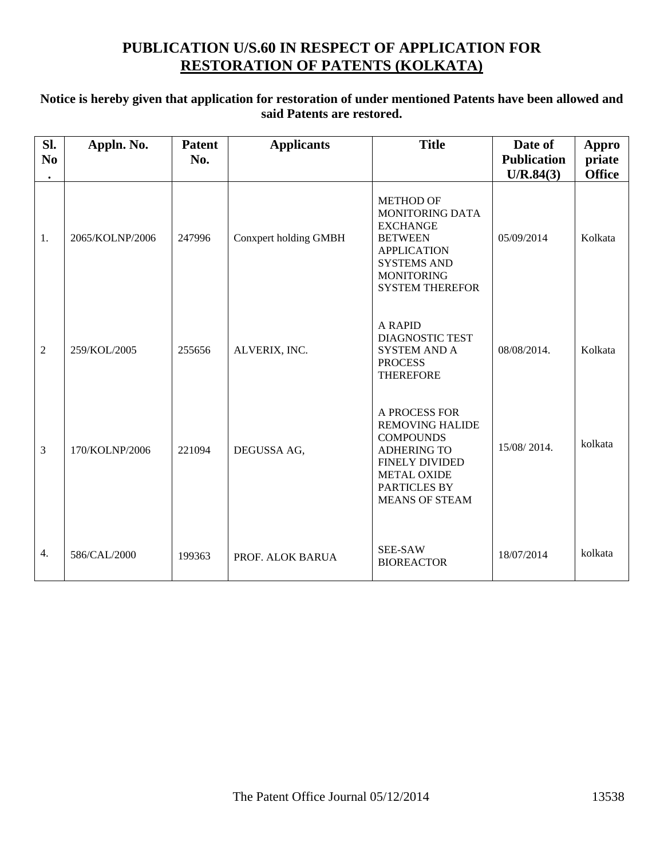## **PUBLICATION U/S.60 IN RESPECT OF APPLICATION FOR RESTORATION OF PATENTS (KOLKATA)**

## **Notice is hereby given that application for restoration of under mentioned Patents have been allowed and said Patents are restored.**

| Sl.<br>N <sub>0</sub><br>$\bullet$ | Appln. No.      | <b>Patent</b><br>No. | <b>Applicants</b>     | <b>Title</b>                                                                                                                                                              | Date of<br><b>Publication</b><br>U/R.84(3) | Appro<br>priate<br><b>Office</b> |
|------------------------------------|-----------------|----------------------|-----------------------|---------------------------------------------------------------------------------------------------------------------------------------------------------------------------|--------------------------------------------|----------------------------------|
| 1.                                 | 2065/KOLNP/2006 | 247996               | Conxpert holding GMBH | <b>METHOD OF</b><br>MONITORING DATA<br><b>EXCHANGE</b><br><b>BETWEEN</b><br><b>APPLICATION</b><br><b>SYSTEMS AND</b><br><b>MONITORING</b><br><b>SYSTEM THEREFOR</b>       | 05/09/2014                                 | Kolkata                          |
| $\sqrt{2}$                         | 259/KOL/2005    | 255656               | ALVERIX, INC.         | <b>A RAPID</b><br><b>DIAGNOSTIC TEST</b><br><b>SYSTEM AND A</b><br><b>PROCESS</b><br><b>THEREFORE</b>                                                                     | 08/08/2014.                                | Kolkata                          |
| 3                                  | 170/KOLNP/2006  | 221094               | DEGUSSA AG,           | A PROCESS FOR<br><b>REMOVING HALIDE</b><br><b>COMPOUNDS</b><br><b>ADHERING TO</b><br><b>FINELY DIVIDED</b><br><b>METAL OXIDE</b><br>PARTICLES BY<br><b>MEANS OF STEAM</b> | 15/08/2014.                                | kolkata                          |
| 4.                                 | 586/CAL/2000    | 199363               | PROF. ALOK BARUA      | <b>SEE-SAW</b><br><b>BIOREACTOR</b>                                                                                                                                       | 18/07/2014                                 | kolkata                          |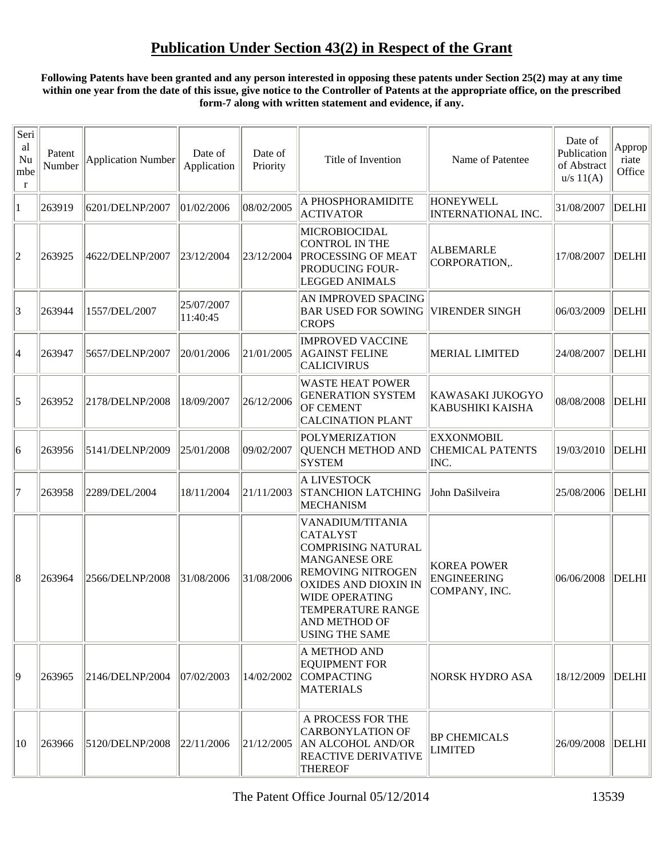## **Publication Under Section 43(2) in Respect of the Grant**

#### **Following Patents have been granted and any person interested in opposing these patents under Section 25(2) may at any time within one year from the date of this issue, give notice to the Controller of Patents at the appropriate office, on the prescribed form-7 along with written statement and evidence, if any.**

| Seri<br>al<br>Nu<br>mbe<br>$\mathbf r$ | Patent<br>Number | <b>Application Number</b> | Date of<br>Application | Date of<br>Priority | Title of Invention                                                                                                                                                                                                                                 | Name of Patentee                                          | Date of<br>Publication<br>of Abstract<br>u/s 11(A) | Approp<br>riate<br>Office |
|----------------------------------------|------------------|---------------------------|------------------------|---------------------|----------------------------------------------------------------------------------------------------------------------------------------------------------------------------------------------------------------------------------------------------|-----------------------------------------------------------|----------------------------------------------------|---------------------------|
| 1                                      | 263919           | 6201/DELNP/2007           | 01/02/2006             | 08/02/2005          | A PHOSPHORAMIDITE<br><b>ACTIVATOR</b>                                                                                                                                                                                                              | <b>HONEYWELL</b><br><b>INTERNATIONAL INC.</b>             | 31/08/2007                                         | <b>DELHI</b>              |
| $ 2\rangle$                            | 263925           | 4622/DELNP/2007           | 23/12/2004             | 23/12/2004          | <b>MICROBIOCIDAL</b><br><b>CONTROL IN THE</b><br>PROCESSING OF MEAT<br>PRODUCING FOUR-<br><b>LEGGED ANIMALS</b>                                                                                                                                    | <b>ALBEMARLE</b><br>CORPORATION,.                         | 17/08/2007                                         | <b>DELHI</b>              |
| $ 3\rangle$                            | 263944           | 1557/DEL/2007             | 25/07/2007<br>11:40:45 |                     | AN IMPROVED SPACING<br><b>BAR USED FOR SOWING</b><br><b>CROPS</b>                                                                                                                                                                                  | VIRENDER SINGH                                            | 06/03/2009                                         | <b>DELHI</b>              |
| 4                                      | 263947           | 5657/DELNP/2007           | 20/01/2006             | 21/01/2005          | <b>IMPROVED VACCINE</b><br><b>AGAINST FELINE</b><br><b>CALICIVIRUS</b>                                                                                                                                                                             | <b>MERIAL LIMITED</b>                                     | 24/08/2007                                         | <b>DELHI</b>              |
| 5                                      | 263952           | 2178/DELNP/2008           | 18/09/2007             | 26/12/2006          | <b>WASTE HEAT POWER</b><br><b>GENERATION SYSTEM</b><br>OF CEMENT<br><b>CALCINATION PLANT</b>                                                                                                                                                       | KAWASAKI JUKOGYO<br>KABUSHIKI KAISHA                      | 08/08/2008                                         | <b>DELHI</b>              |
| 6                                      | 263956           | 5141/DELNP/2009           | 25/01/2008             | 09/02/2007          | <b>POLYMERIZATION</b><br><b>QUENCH METHOD AND</b><br><b>SYSTEM</b>                                                                                                                                                                                 | <b>EXXONMOBIL</b><br><b>CHEMICAL PATENTS</b><br>INC.      | 19/03/2010                                         | <b>DELHI</b>              |
| 7                                      | 263958           | 2289/DEL/2004             | 18/11/2004             | 21/11/2003          | A LIVESTOCK<br><b>STANCHION LATCHING</b><br><b>MECHANISM</b>                                                                                                                                                                                       | John DaSilveira                                           | 25/08/2006                                         | <b>DELHI</b>              |
| 8                                      | 263964           | 2566/DELNP/2008           | 31/08/2006             | 31/08/2006          | VANADIUM/TITANIA<br><b>CATALYST</b><br><b>COMPRISING NATURAL</b><br><b>MANGANESE ORE</b><br><b>REMOVING NITROGEN</b><br><b>OXIDES AND DIOXIN IN</b><br><b>WIDE OPERATING</b><br><b>TEMPERATURE RANGE</b><br>AND METHOD OF<br><b>USING THE SAME</b> | <b>KOREA POWER</b><br><b>ENGINEERING</b><br>COMPANY, INC. | 06/06/2008                                         | <b>DELHI</b>              |
| 9                                      | 263965           | 2146/DELNP/2004           | 07/02/2003             | 14/02/2002          | A METHOD AND<br><b>EQUIPMENT FOR</b><br><b>COMPACTING</b><br><b>MATERIALS</b>                                                                                                                                                                      | <b>NORSK HYDRO ASA</b>                                    | 18/12/2009                                         | <b>DELHI</b>              |
| 10                                     | 263966           | 5120/DELNP/2008           | 22/11/2006             | 21/12/2005          | A PROCESS FOR THE<br><b>CARBONYLATION OF</b><br>AN ALCOHOL AND/OR<br><b>REACTIVE DERIVATIVE</b><br><b>THEREOF</b>                                                                                                                                  | <b>BP CHEMICALS</b><br><b>LIMITED</b>                     | 26/09/2008                                         | <b>DELHI</b>              |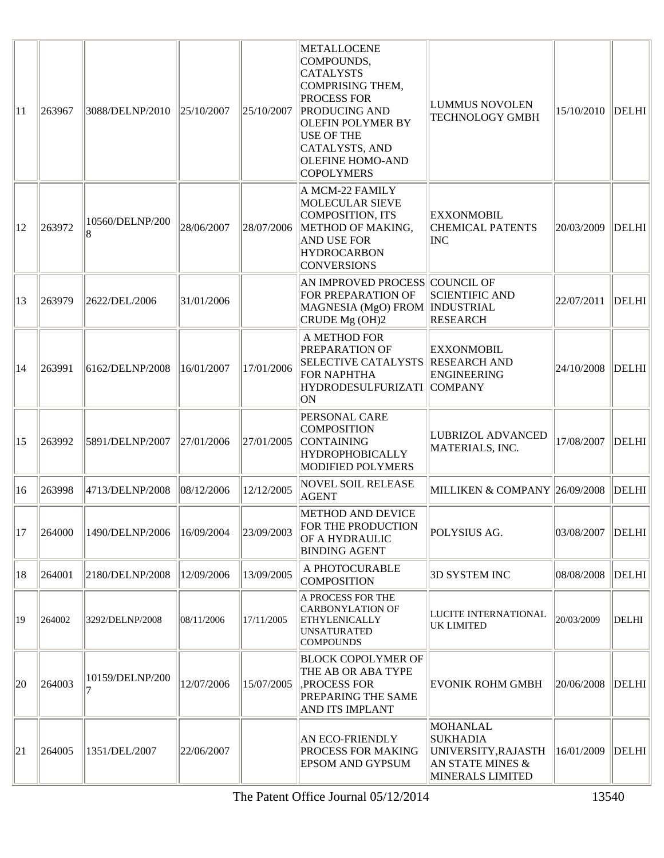| 11 | 263967 | 3088/DELNP/2010 | $\ 25/10/2007$ | 25/10/2007 | <b>METALLOCENE</b><br>COMPOUNDS,<br><b>CATALYSTS</b><br>COMPRISING THEM,<br><b>PROCESS FOR</b><br><b>PRODUCING AND</b><br><b>OLEFIN POLYMER BY</b><br><b>USE OF THE</b><br>CATALYSTS, AND<br><b>OLEFINE HOMO-AND</b><br><b>COPOLYMERS</b> | <b>LUMMUS NOVOLEN</b><br><b>TECHNOLOGY GMBH</b>                                                   | 15/10/2010 | <b>DELHI</b> |
|----|--------|-----------------|----------------|------------|-------------------------------------------------------------------------------------------------------------------------------------------------------------------------------------------------------------------------------------------|---------------------------------------------------------------------------------------------------|------------|--------------|
| 12 | 263972 | 10560/DELNP/200 | 28/06/2007     | 28/07/2006 | A MCM-22 FAMILY<br>MOLECULAR SIEVE<br>COMPOSITION, ITS<br>METHOD OF MAKING,<br><b>AND USE FOR</b><br><b>HYDROCARBON</b><br><b>CONVERSIONS</b>                                                                                             | <b>EXXONMOBIL</b><br><b>CHEMICAL PATENTS</b><br><b>INC</b>                                        | 20/03/2009 | <b>DELHI</b> |
| 13 | 263979 | 2622/DEL/2006   | 31/01/2006     |            | AN IMPROVED PROCESS COUNCIL OF<br>FOR PREPARATION OF<br>MAGNESIA (MgO) FROM   INDUSTRIAL<br>CRUDE Mg (OH)2                                                                                                                                | <b>SCIENTIFIC AND</b><br><b>RESEARCH</b>                                                          | 22/07/2011 | <b>DELHI</b> |
| 14 | 263991 | 6162/DELNP/2008 | 16/01/2007     | 17/01/2006 | A METHOD FOR<br><b>PREPARATION OF</b><br><b>SELECTIVE CATALYSTS RESEARCH AND</b><br>FOR NAPHTHA<br>HYDRODESULFURIZATI   COMPANY<br>ON                                                                                                     | <b>EXXONMOBIL</b><br><b>ENGINEERING</b>                                                           | 24/10/2008 | <b>DELHI</b> |
| 15 | 263992 | 5891/DELNP/2007 | 27/01/2006     | 27/01/2005 | PERSONAL CARE<br><b>COMPOSITION</b><br><b>CONTAINING</b><br><b>HYDROPHOBICALLY</b><br><b>MODIFIED POLYMERS</b>                                                                                                                            | LUBRIZOL ADVANCED<br>MATERIALS, INC.                                                              | 17/08/2007 | <b>DELHI</b> |
| 16 | 263998 | 4713/DELNP/2008 | 08/12/2006     | 12/12/2005 | <b>NOVEL SOIL RELEASE</b><br><b>AGENT</b>                                                                                                                                                                                                 | MILLIKEN & COMPANY 26/09/2008                                                                     |            | <b>DELHI</b> |
| 17 | 264000 | 1490/DELNP/2006 | 16/09/2004     | 23/09/2003 | <b>METHOD AND DEVICE</b><br>FOR THE PRODUCTION<br><b>OF A HYDRAULIC</b><br><b>BINDING AGENT</b>                                                                                                                                           | POLYSIUS AG.                                                                                      | 03/08/2007 | <b>DELHI</b> |
| 18 | 264001 | 2180/DELNP/2008 | 12/09/2006     | 13/09/2005 | A PHOTOCURABLE<br><b>COMPOSITION</b>                                                                                                                                                                                                      | 3D SYSTEM INC                                                                                     | 08/08/2008 | <b>DELHI</b> |
| 19 | 264002 | 3292/DELNP/2008 | 08/11/2006     | 17/11/2005 | A PROCESS FOR THE<br><b>CARBONYLATION OF</b><br><b>ETHYLENICALLY</b><br><b>UNSATURATED</b><br><b>COMPOUNDS</b>                                                                                                                            | <b>LUCITE INTERNATIONAL</b><br><b>UK LIMITED</b>                                                  | 20/03/2009 | DELHI        |
| 20 | 264003 | 10159/DELNP/200 | 12/07/2006     | 15/07/2005 | <b>BLOCK COPOLYMER OF</b><br>THE AB OR ABA TYPE<br>,PROCESS FOR<br>PREPARING THE SAME<br><b>AND ITS IMPLANT</b>                                                                                                                           | <b>EVONIK ROHM GMBH</b>                                                                           | 20/06/2008 | <b>DELHI</b> |
| 21 | 264005 | 1351/DEL/2007   | 22/06/2007     |            | <b>AN ECO-FRIENDLY</b><br><b>PROCESS FOR MAKING</b><br><b>EPSOM AND GYPSUM</b>                                                                                                                                                            | <b>MOHANLAL</b><br><b>SUKHADIA</b><br>UNIVERSITY, RAJASTH<br>AN STATE MINES &<br>MINERALS LIMITED | 16/01/2009 | <b>DELHI</b> |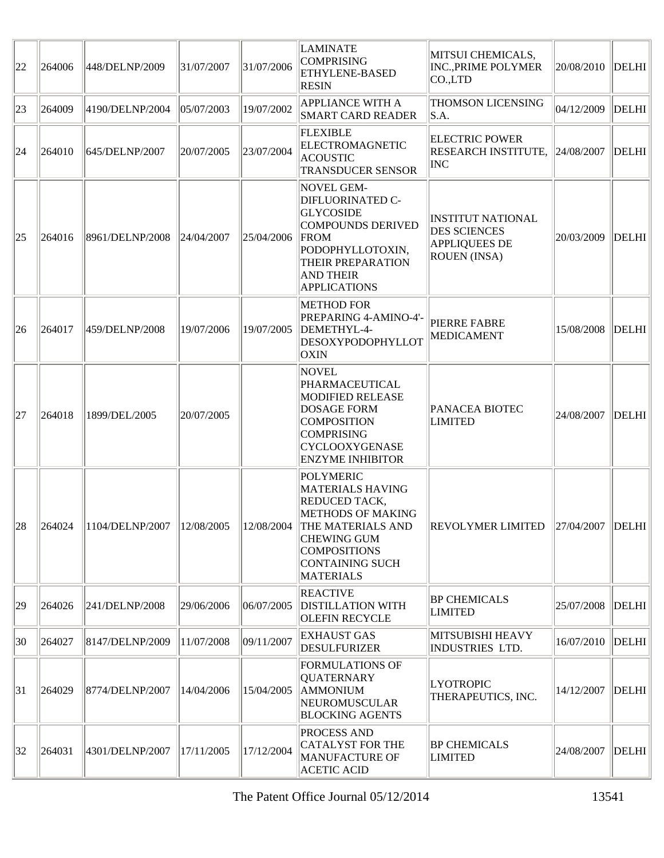| 22           | 264006                | 448/DELNP/2009  | 31/07/2007 | 31/07/2006 | <b>LAMINATE</b><br><b>COMPRISING</b><br><b>ETHYLENE-BASED</b><br><b>RESIN</b>                                                                                                                                                                                 | MITSUI CHEMICALS,<br><b>INC., PRIME POLYMER</b><br>CO.,LTD                                     | 20/08/2010 | <b>DELHI</b> |
|--------------|-----------------------|-----------------|------------|------------|---------------------------------------------------------------------------------------------------------------------------------------------------------------------------------------------------------------------------------------------------------------|------------------------------------------------------------------------------------------------|------------|--------------|
| $ 23\rangle$ | 264009                | 4190/DELNP/2004 | 05/07/2003 | 19/07/2002 | <b>APPLIANCE WITH A</b><br><b>SMART CARD READER</b>                                                                                                                                                                                                           | <b>THOMSON LICENSING</b><br> S.A.                                                              | 04/12/2009 | <b>DELHI</b> |
| 24           | 264010                | 645/DELNP/2007  | 20/07/2005 | 23/07/2004 | <b>FLEXIBLE</b><br>ELECTROMAGNETIC<br><b>ACOUSTIC</b><br><b>TRANSDUCER SENSOR</b>                                                                                                                                                                             | <b>ELECTRIC POWER</b><br>RESEARCH INSTITUTE,<br><b>INC</b>                                     | 24/08/2007 | <b>DELHI</b> |
| $ 25\rangle$ | 264016                | 8961/DELNP/2008 | 24/04/2007 | 25/04/2006 | NOVEL GEM-<br>DIFLUORINATED C-<br><b>GLYCOSIDE</b><br>COMPOUNDS DERIVED<br>FROM<br>PODOPHYLLOTOXIN,<br><b>THEIR PREPARATION</b><br><b>AND THEIR</b><br><b>APPLICATIONS</b>                                                                                    | <b>INSTITUT NATIONAL</b><br><b>DES SCIENCES</b><br><b>APPLIQUEES DE</b><br><b>ROUEN</b> (INSA) | 20/03/2009 | <b>DELHI</b> |
| 26           | 264017                | 459/DELNP/2008  | 19/07/2006 | 19/07/2005 | <b>METHOD FOR</b><br>PREPARING 4-AMINO-4'-<br>DEMETHYL-4-<br>DESOXYPODOPHYLLOT<br><b>OXIN</b>                                                                                                                                                                 | <b>PIERRE FABRE</b><br><b>MEDICAMENT</b>                                                       | 15/08/2008 | <b>DELHI</b> |
| 27           | 264018                | 1899/DEL/2005   | 20/07/2005 |            | <b>NOVEL</b><br>PHARMACEUTICAL<br><b>MODIFIED RELEASE</b><br><b>DOSAGE FORM</b><br><b>COMPOSITION</b><br><b>COMPRISING</b><br><b>CYCLOOXYGENASE</b><br><b>ENZYME INHIBITOR</b>                                                                                | PANACEA BIOTEC<br><b>LIMITED</b>                                                               | 24/08/2007 | <b>DELHI</b> |
|              | $\ 28\ $ $\ 264024\ $ |                 |            |            | <b>POLYMERIC</b><br><b>MATERIALS HAVING</b><br><b>REDUCED TACK,</b><br><b>METHODS OF MAKING</b><br>$\ 1104/\text{DELNP}/2007\ 12/08/2005\ 12/08/2004\ $ THE MATERIALS AND<br><b>CHEWING GUM</b><br><b>COMPOSITIONS</b><br>CONTAINING SUCH<br><b>MATERIALS</b> | REVOLYMER LIMITED 27/04/2007 DELHI                                                             |            |              |
| $ 29\rangle$ | 264026                | 241/DELNP/2008  | 29/06/2006 | 06/07/2005 | <b>REACTIVE</b><br><b>DISTILLATION WITH</b><br><b>OLEFIN RECYCLE</b>                                                                                                                                                                                          | <b>BP CHEMICALS</b><br><b>LIMITED</b>                                                          | 25/07/2008 | <b>DELHI</b> |
| $ 30\rangle$ | 264027                | 8147/DELNP/2009 | 11/07/2008 | 09/11/2007 | <b>EXHAUST GAS</b><br><b>DESULFURIZER</b>                                                                                                                                                                                                                     | MITSUBISHI HEAVY<br><b>INDUSTRIES LTD.</b>                                                     | 16/07/2010 | <b>DELHI</b> |
| 31           | 264029                | 8774/DELNP/2007 | 14/04/2006 | 15/04/2005 | <b>FORMULATIONS OF</b><br><b>QUATERNARY</b><br><b>AMMONIUM</b><br>NEUROMUSCULAR<br><b>BLOCKING AGENTS</b>                                                                                                                                                     | <b>LYOTROPIC</b><br>THERAPEUTICS, INC.                                                         | 14/12/2007 | <b>DELHI</b> |
| 32           | 264031                | 4301/DELNP/2007 | 17/11/2005 | 17/12/2004 | <b>PROCESS AND</b><br>CATALYST FOR THE<br><b>MANUFACTURE OF</b><br><b>ACETIC ACID</b>                                                                                                                                                                         | <b>BP CHEMICALS</b><br><b>LIMITED</b>                                                          | 24/08/2007 | <b>DELHI</b> |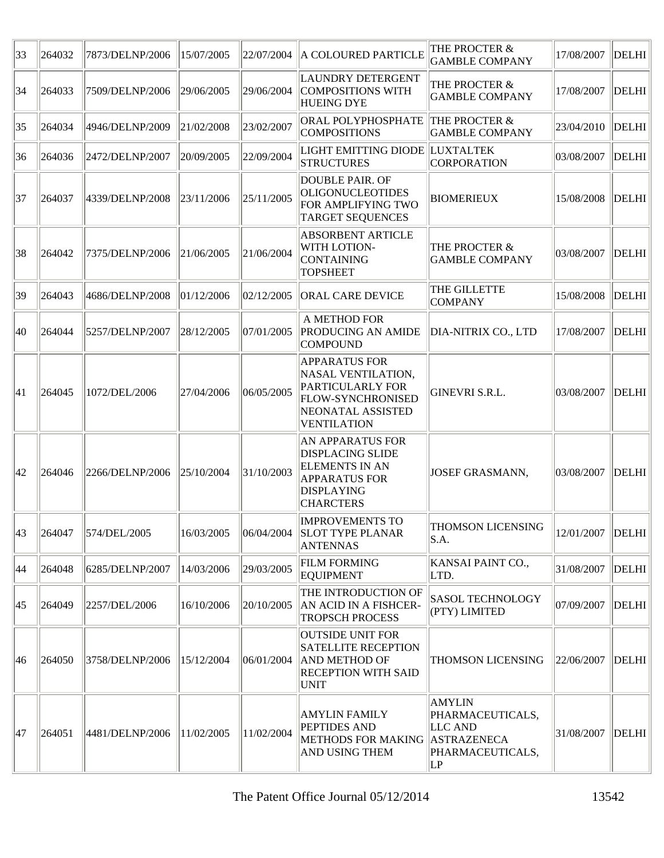| 33 | 264032 | 7873/DELNP/2006 | 15/07/2005 | 22/07/2004 | A COLOURED PARTICLE                                                                                                                   | THE PROCTER &<br><b>GAMBLE COMPANY</b>                                                           | 17/08/2007 | <b>DELHI</b> |
|----|--------|-----------------|------------|------------|---------------------------------------------------------------------------------------------------------------------------------------|--------------------------------------------------------------------------------------------------|------------|--------------|
| 34 | 264033 | 7509/DELNP/2006 | 29/06/2005 | 29/06/2004 | <b>LAUNDRY DETERGENT</b><br>COMPOSITIONS WITH<br><b>HUEING DYE</b>                                                                    | THE PROCTER &<br><b>GAMBLE COMPANY</b>                                                           | 17/08/2007 | <b>DELHI</b> |
| 35 | 264034 | 4946/DELNP/2009 | 21/02/2008 | 23/02/2007 | ORAL POLYPHOSPHATE THE PROCTER &<br><b>COMPOSITIONS</b>                                                                               | <b>GAMBLE COMPANY</b>                                                                            | 23/04/2010 | <b>DELHI</b> |
| 36 | 264036 | 2472/DELNP/2007 | 20/09/2005 | 22/09/2004 | LIGHT EMITTING DIODE LUXTALTEK<br><b>STRUCTURES</b>                                                                                   | CORPORATION                                                                                      | 03/08/2007 | <b>DELHI</b> |
| 37 | 264037 | 4339/DELNP/2008 | 23/11/2006 | 25/11/2005 | <b>DOUBLE PAIR. OF</b><br><b>OLIGONUCLEOTIDES</b><br>FOR AMPLIFYING TWO<br><b>TARGET SEQUENCES</b>                                    | <b>BIOMERIEUX</b>                                                                                | 15/08/2008 | <b>DELHI</b> |
| 38 | 264042 | 7375/DELNP/2006 | 21/06/2005 | 21/06/2004 | <b>ABSORBENT ARTICLE</b><br>WITH LOTION-<br><b>CONTAINING</b><br><b>TOPSHEET</b>                                                      | THE PROCTER &<br><b>GAMBLE COMPANY</b>                                                           | 03/08/2007 | <b>DELHI</b> |
| 39 | 264043 | 4686/DELNP/2008 | 01/12/2006 | 02/12/2005 | <b>ORAL CARE DEVICE</b>                                                                                                               | THE GILLETTE<br><b>COMPANY</b>                                                                   | 15/08/2008 | <b>DELHI</b> |
| 40 | 264044 | 5257/DELNP/2007 | 28/12/2005 | 07/01/2005 | A METHOD FOR<br><b>PRODUCING AN AMIDE</b><br><b>COMPOUND</b>                                                                          | DIA-NITRIX CO., LTD                                                                              | 17/08/2007 | <b>DELHI</b> |
| 41 | 264045 | 1072/DEL/2006   | 27/04/2006 | 06/05/2005 | <b>APPARATUS FOR</b><br>NASAL VENTILATION,<br>PARTICULARLY FOR<br>FLOW-SYNCHRONISED<br>NEONATAL ASSISTED<br><b>VENTILATION</b>        | GINEVRI S.R.L.                                                                                   | 03/08/2007 | <b>DELHI</b> |
| 42 | 264046 | 2266/DELNP/2006 | 25/10/2004 | 31/10/2003 | <b>AN APPARATUS FOR</b><br><b>DISPLACING SLIDE</b><br><b>ELEMENTS IN AN</b><br><b>APPARATUS FOR</b><br>DISPLAYING<br><b>CHARCTERS</b> | JOSEF GRASMANN,                                                                                  | 03/08/2007 | <b>DELHI</b> |
| 43 | 264047 | 574/DEL/2005    | 16/03/2005 | 06/04/2004 | <b>IMPROVEMENTS TO</b><br><b>SLOT TYPE PLANAR</b><br><b>ANTENNAS</b>                                                                  | THOMSON LICENSING<br>S.A.                                                                        | 12/01/2007 | <b>DELHI</b> |
| 44 | 264048 | 6285/DELNP/2007 | 14/03/2006 | 29/03/2005 | <b>FILM FORMING</b><br><b>EQUIPMENT</b>                                                                                               | KANSAI PAINT CO.,<br>LTD.                                                                        | 31/08/2007 | <b>DELHI</b> |
| 45 | 264049 | 2257/DEL/2006   | 16/10/2006 | 20/10/2005 | THE INTRODUCTION OF<br>AN ACID IN A FISHCER-<br><b>TROPSCH PROCESS</b>                                                                | <b>SASOL TECHNOLOGY</b><br>(PTY) LIMITED                                                         | 07/09/2007 | <b>DELHI</b> |
| 46 | 264050 | 3758/DELNP/2006 | 15/12/2004 | 06/01/2004 | <b>OUTSIDE UNIT FOR</b><br><b>SATELLITE RECEPTION</b><br><b>AND METHOD OF</b><br><b>RECEPTION WITH SAID</b><br><b>UNIT</b>            | <b>THOMSON LICENSING</b>                                                                         | 22/06/2007 | <b>DELHI</b> |
| 47 | 264051 | 4481/DELNP/2006 | 11/02/2005 | 11/02/2004 | AMYLIN FAMILY<br>PEPTIDES AND<br><b>METHODS FOR MAKING</b><br>AND USING THEM                                                          | <b>AMYLIN</b><br>PHARMACEUTICALS,<br>LLC AND<br>ASTRAZENECA<br>PHARMACEUTICALS,<br>$\mathsf{LP}$ | 31/08/2007 | <b>DELHI</b> |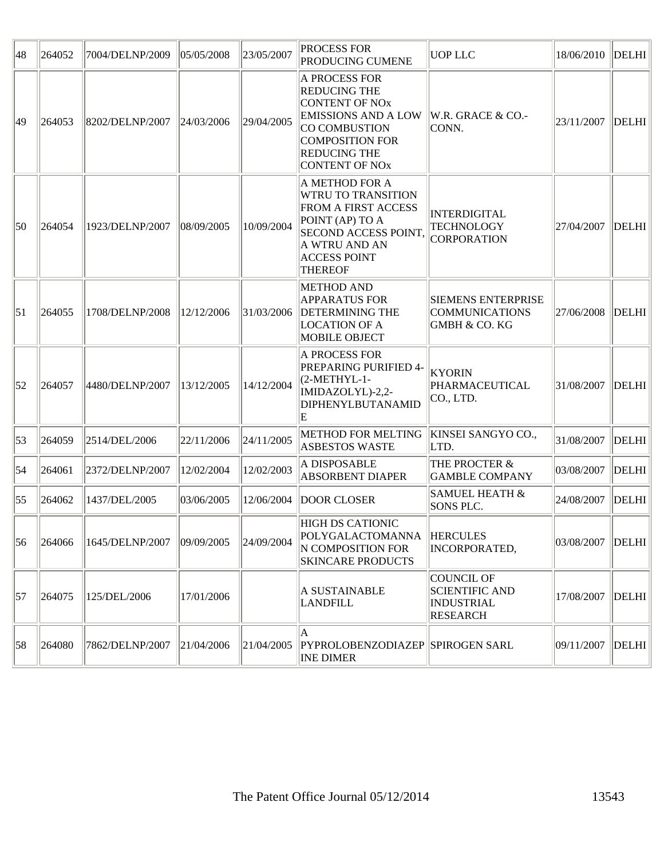| 48               | 264052 | 7004/DELNP/2009 | 05/05/2008 | 23/05/2007 | PROCESS FOR<br><b>PRODUCING CUMENE</b>                                                                                                                                                 | <b>UOP LLC</b>                                                                 | 18/06/2010 | <b>DELHI</b> |
|------------------|--------|-----------------|------------|------------|----------------------------------------------------------------------------------------------------------------------------------------------------------------------------------------|--------------------------------------------------------------------------------|------------|--------------|
| 49               | 264053 | 8202/DELNP/2007 | 24/03/2006 | 29/04/2005 | A PROCESS FOR<br><b>REDUCING THE</b><br><b>CONTENT OF NOX</b><br><b>EMISSIONS AND A LOW</b><br>CO COMBUSTION<br><b>COMPOSITION FOR</b><br><b>REDUCING THE</b><br><b>CONTENT OF NOX</b> | W.R. GRACE & CO.-<br>CONN.                                                     | 23/11/2007 | <b>DELHI</b> |
| 50               | 264054 | 1923/DELNP/2007 | 08/09/2005 | 10/09/2004 | A METHOD FOR A<br><b>WTRU TO TRANSITION</b><br>FROM A FIRST ACCESS<br>POINT (AP) TO A<br><b>SECOND ACCESS POINT.</b><br>A WTRU AND AN<br><b>ACCESS POINT</b><br><b>THEREOF</b>         | INTERDIGITAL<br><b>TECHNOLOGY</b><br><b>CORPORATION</b>                        | 27/04/2007 | <b>DELHI</b> |
| $\vert$ 51       | 264055 | 1708/DELNP/2008 | 12/12/2006 | 31/03/2006 | <b>METHOD AND</b><br><b>APPARATUS FOR</b><br><b>DETERMINING THE</b><br><b>LOCATION OF A</b><br><b>MOBILE OBJECT</b>                                                                    | <b>SIEMENS ENTERPRISE</b><br><b>COMMUNICATIONS</b><br><b>GMBH &amp; CO. KG</b> | 27/06/2008 | <b>DELHI</b> |
| $\vert$ 52       | 264057 | 4480/DELNP/2007 | 13/12/2005 | 14/12/2004 | A PROCESS FOR<br>PREPARING PURIFIED 4-<br>(2-METHYL-1-<br>IMIDAZOLYL)-2,2-<br>DIPHENYLBUTANAMID<br>E                                                                                   | <b>KYORIN</b><br>PHARMACEUTICAL<br>CO., LTD.                                   | 31/08/2007 | <b>DELHI</b> |
| $\vert 53 \vert$ | 264059 | 2514/DEL/2006   | 22/11/2006 | 24/11/2005 | <b>METHOD FOR MELTING</b><br><b>ASBESTOS WASTE</b>                                                                                                                                     | KINSEI SANGYO CO.,<br>LTD.                                                     | 31/08/2007 | <b>DELHI</b> |
| $\vert$ 54       | 264061 | 2372/DELNP/2007 | 12/02/2004 | 12/02/2003 | A DISPOSABLE<br><b>ABSORBENT DIAPER</b>                                                                                                                                                | THE PROCTER &<br><b>GAMBLE COMPANY</b>                                         | 03/08/2007 | <b>DELHI</b> |
| $\vert 55 \vert$ | 264062 | 1437/DEL/2005   | 03/06/2005 | 12/06/2004 | <b>DOOR CLOSER</b>                                                                                                                                                                     | <b>SAMUEL HEATH &amp;</b><br><b>SONS PLC.</b>                                  | 24/08/2007 | <b>DELHI</b> |
| 56               | 264066 | 1645/DELNP/2007 | 09/09/2005 | 24/09/2004 | <b>HIGH DS CATIONIC</b><br>POLYGALACTOMANNA<br>N COMPOSITION FOR<br><b>SKINCARE PRODUCTS</b>                                                                                           | <b>HERCULES</b><br>INCORPORATED,                                               | 03/08/2007 | <b>DELHI</b> |
| 57               | 264075 | 125/DEL/2006    | 17/01/2006 |            | A SUSTAINABLE<br><b>LANDFILL</b>                                                                                                                                                       | COUNCIL OF<br><b>SCIENTIFIC AND</b><br><b>INDUSTRIAL</b><br><b>RESEARCH</b>    | 17/08/2007 | <b>DELHI</b> |
| 58               | 264080 | 7862/DELNP/2007 | 21/04/2006 | 21/04/2005 | A<br>PYPROLOBENZODIAZEP SPIROGEN SARL<br><b>INE DIMER</b>                                                                                                                              |                                                                                | 09/11/2007 | <b>DELHI</b> |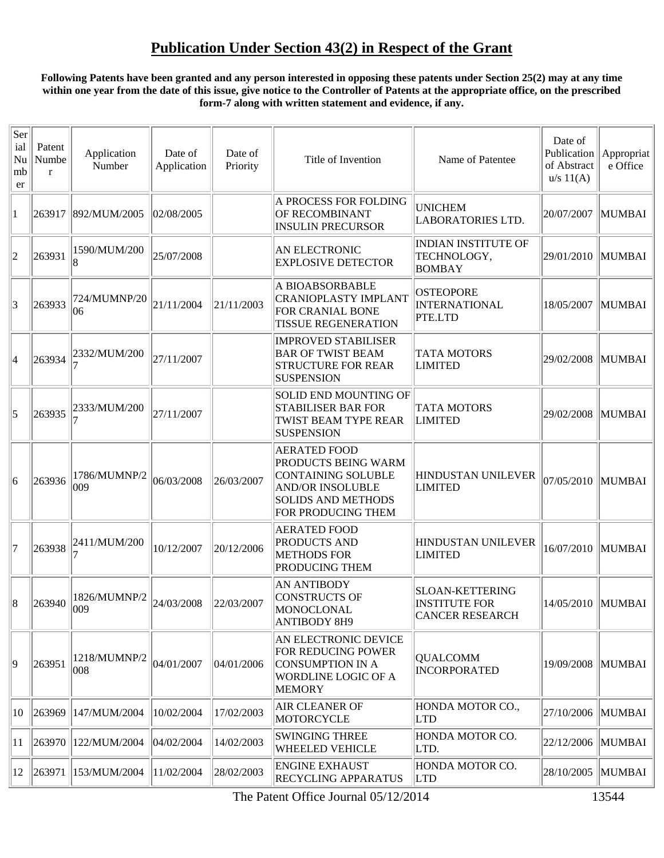## **Publication Under Section 43(2) in Respect of the Grant**

#### **Following Patents have been granted and any person interested in opposing these patents under Section 25(2) may at any time within one year from the date of this issue, give notice to the Controller of Patents at the appropriate office, on the prescribed form-7 along with written statement and evidence, if any.**

| Ser<br>ial<br>Nu<br>mb<br>er | Patent<br>Numbe<br>$\mathbf{r}$ | Application<br>Number | Date of<br>Application | Date of<br>Priority | Title of Invention                                                                                                                             | Name of Patentee                                                         | Date of<br>Publication<br>of Abstract<br>u/s 11(A) | Appropriat<br>e Office |
|------------------------------|---------------------------------|-----------------------|------------------------|---------------------|------------------------------------------------------------------------------------------------------------------------------------------------|--------------------------------------------------------------------------|----------------------------------------------------|------------------------|
| 1                            | 263917                          | 892/MUM/2005          | 02/08/2005             |                     | A PROCESS FOR FOLDING<br><b>OF RECOMBINANT</b><br><b>INSULIN PRECURSOR</b>                                                                     | <b>UNICHEM</b><br><b>LABORATORIES LTD.</b>                               | 20/07/2007                                         | <b>MUMBAI</b>          |
| 2                            | 263931                          | 1590/MUM/200          | 25/07/2008             |                     | AN ELECTRONIC<br><b>EXPLOSIVE DETECTOR</b>                                                                                                     | <b>INDIAN INSTITUTE OF</b><br>TECHNOLOGY,<br><b>BOMBAY</b>               | 29/01/2010   MUMBAI                                |                        |
| 3                            | 263933                          | 724/MUMNP/20<br>06    | 21/11/2004             | 21/11/2003          | A BIOABSORBABLE<br><b>CRANIOPLASTY IMPLANT</b><br><b>FOR CRANIAL BONE</b><br><b>TISSUE REGENERATION</b>                                        | <b>OSTEOPORE</b><br><b>INTERNATIONAL</b><br>PTE.LTD                      | 18/05/2007                                         | MUMBAI                 |
| 4                            | 263934                          | 2332/MUM/200          | 27/11/2007             |                     | <b>IMPROVED STABILISER</b><br><b>BAR OF TWIST BEAM</b><br><b>STRUCTURE FOR REAR</b><br><b>SUSPENSION</b>                                       | <b>TATA MOTORS</b><br><b>LIMITED</b>                                     | 29/02/2008                                         | MUMBAI                 |
| 5                            | 263935                          | 2333/MUM/200          | 27/11/2007             |                     | <b>SOLID END MOUNTING OF</b><br><b>STABILISER BAR FOR</b><br>TWIST BEAM TYPE REAR<br><b>SUSPENSION</b>                                         | <b>TATA MOTORS</b><br><b>LIMITED</b>                                     | 29/02/2008                                         | MUMBAI                 |
| 6                            | 263936                          | 1786/MUMNP/2<br>009   | 06/03/2008             | 26/03/2007          | <b>AERATED FOOD</b><br>PRODUCTS BEING WARM<br>CONTAINING SOLUBLE<br><b>AND/OR INSOLUBLE</b><br><b>SOLIDS AND METHODS</b><br>FOR PRODUCING THEM | HINDUSTAN UNILEVER<br><b>LIMITED</b>                                     | 07/05/2010 MUMBAI                                  |                        |
| 17                           | 263938                          | 2411/MUM/200          | 10/12/2007             | 20/12/2006          | <b>AERATED FOOD</b><br><b>PRODUCTS AND</b><br><b>METHODS FOR</b><br><b>PRODUCING THEM</b>                                                      | HINDUSTAN UNILEVER<br><b>LIMITED</b>                                     | 16/07/2010   MUMBAI                                |                        |
| 8                            | 263940                          | 1826/MUMNP/2<br>009   | 24/03/2008             | 22/03/2007          | <b>AN ANTIBODY</b><br>CONSTRUCTS OF<br>MONOCLONAL<br><b>ANTIBODY 8H9</b>                                                                       | <b>SLOAN-KETTERING</b><br><b>INSTITUTE FOR</b><br><b>CANCER RESEARCH</b> | 14/05/2010   MUMBAI                                |                        |
| 19                           | 263951                          | 1218/MUMNP/2<br>008   | 04/01/2007             | 04/01/2006          | AN ELECTRONIC DEVICE<br>FOR REDUCING POWER<br>CONSUMPTION IN A<br><b>WORDLINE LOGIC OF A</b><br><b>MEMORY</b>                                  | <b>QUALCOMM</b><br><b>INCORPORATED</b>                                   | 19/09/2008   MUMBAI                                |                        |
| 10                           | 263969                          | 147/MUM/2004          | 10/02/2004             | 17/02/2003          | <b>AIR CLEANER OF</b><br>MOTORCYCLE                                                                                                            | HONDA MOTOR CO.,<br><b>LTD</b>                                           | 27/10/2006   MUMBAI                                |                        |
| 11                           |                                 | 263970   122/MUM/2004 | 04/02/2004             | 14/02/2003          | <b>SWINGING THREE</b><br><b>WHEELED VEHICLE</b>                                                                                                | HONDA MOTOR CO.<br>LTD.                                                  | 22/12/2006 MUMBAI                                  |                        |
| 12                           | 263971                          | 153/MUM/2004          | 11/02/2004             | 28/02/2003          | <b>ENGINE EXHAUST</b><br><b>RECYCLING APPARATUS</b>                                                                                            | HONDA MOTOR CO.<br><b>LTD</b>                                            | 28/10/2005                                         | MUMBAI                 |

÷,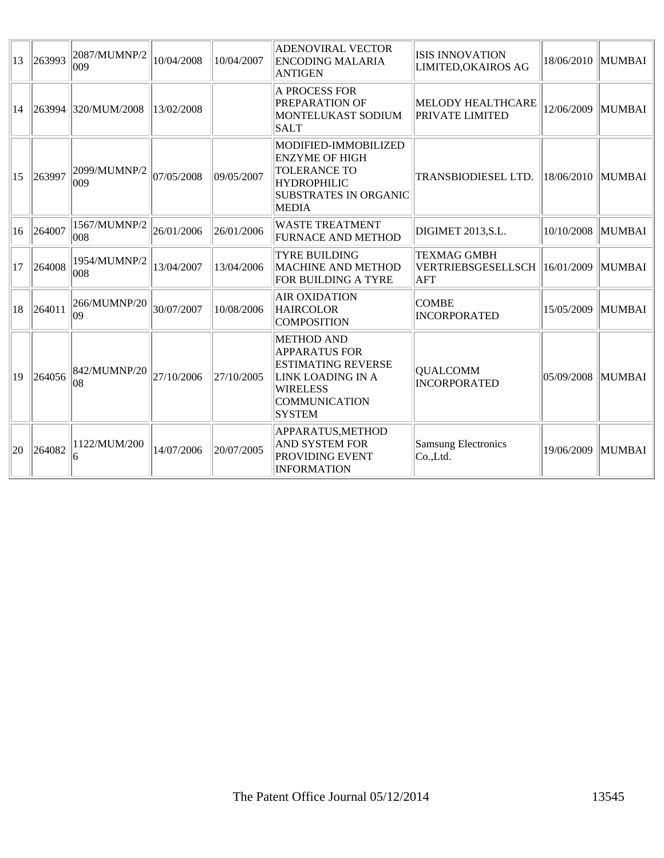| $ 13\rangle$ | 263993 | 2087/MUMNP/2<br>$ 009\rangle$ | 10/04/2008 | 10/04/2007 | <b>ADENOVIRAL VECTOR</b><br><b>ENCODING MALARIA</b><br><b>ANTIGEN</b>                                                                                   | <b>ISIS INNOVATION</b><br>LIMITED, OKAIROS AG          | 18/06/2010   MUMBAI |               |
|--------------|--------|-------------------------------|------------|------------|---------------------------------------------------------------------------------------------------------------------------------------------------------|--------------------------------------------------------|---------------------|---------------|
| 14           | 263994 | 320/MUM/2008                  | 13/02/2008 |            | <b>A PROCESS FOR</b><br>PREPARATION OF<br>MONTELUKAST SODIUM<br><b>SALT</b>                                                                             | <b>MELODY HEALTHCARE</b><br><b>PRIVATE LIMITED</b>     | 12/06/2009 MUMBAI   |               |
| 15           | 263997 | 2099/MUMNP/2<br>009           | 07/05/2008 | 09/05/2007 | MODIFIED-IMMOBILIZED<br><b>ENZYME OF HIGH</b><br><b>TOLERANCE TO</b><br><b>HYDROPHILIC</b><br><b>SUBSTRATES IN ORGANIC</b><br><b>MEDIA</b>              | TRANSBIODIESEL LTD.                                    | 18/06/2010   MUMBAI |               |
| 16           | 264007 | 1567/MUMNP/2<br>008           | 26/01/2006 | 26/01/2006 | <b>WASTE TREATMENT</b><br><b>FURNACE AND METHOD</b>                                                                                                     | DIGIMET 2013, S.L.                                     | 10/10/2008          | <b>MUMBAI</b> |
| 17           | 264008 | 1954/MUMNP/2<br>008           | 13/04/2007 | 13/04/2006 | <b>TYRE BUILDING</b><br><b>MACHINE AND METHOD</b><br>FOR BUILDING A TYRE                                                                                | <b>TEXMAG GMBH</b><br>VERTRIEBSGESELLSCH<br><b>AFT</b> | 16/01/2009          | <b>MUMBAI</b> |
| 18           | 264011 | 266/MUMNP/20<br>09            | 30/07/2007 | 10/08/2006 | <b>AIR OXIDATION</b><br><b>HAIRCOLOR</b><br><b>COMPOSITION</b>                                                                                          | <b>COMBE</b><br><b>INCORPORATED</b>                    | 15/05/2009          | MUMBAI        |
| 19           | 264056 | 842/MUMNP/20<br>08            | 27/10/2006 | 27/10/2005 | <b>METHOD AND</b><br><b>APPARATUS FOR</b><br><b>ESTIMATING REVERSE</b><br>LINK LOADING IN A<br><b>WIRELESS</b><br><b>COMMUNICATION</b><br><b>SYSTEM</b> | <b>QUALCOMM</b><br><b>INCORPORATED</b>                 | 05/09/2008   MUMBAI |               |
| 20           | 264082 | 1122/MUM/200<br>6             | 14/07/2006 | 20/07/2005 | APPARATUS, METHOD<br><b>AND SYSTEM FOR</b><br>PROVIDING EVENT<br><b>INFORMATION</b>                                                                     | <b>Samsung Electronics</b><br>Co.,Ltd.                 | 19/06/2009          | MUMBAI        |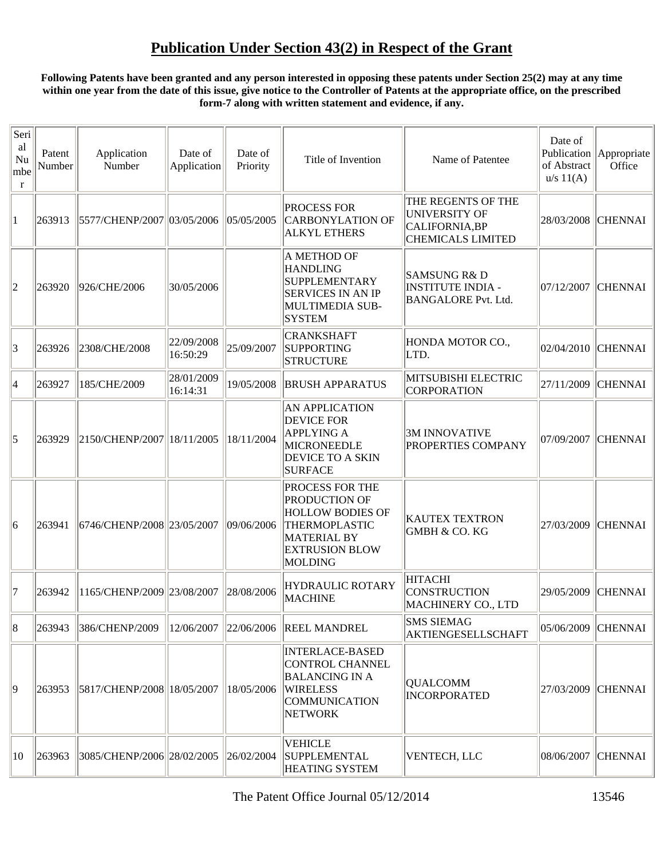## **Publication Under Section 43(2) in Respect of the Grant**

### **Following Patents have been granted and any person interested in opposing these patents under Section 25(2) may at any time within one year from the date of this issue, give notice to the Controller of Patents at the appropriate office, on the prescribed form-7 along with written statement and evidence, if any.**

| Seri<br>al<br>Nu<br>mbe<br>$\mathbf r$ | Patent<br>Number | Application<br>Number      | Date of<br>Application | Date of<br>Priority | Title of Invention                                                                                                                                   | Name of Patentee                                                                         | Date of<br>of Abstract<br>u/s 11(A) | Publication   Appropriate<br>Office |
|----------------------------------------|------------------|----------------------------|------------------------|---------------------|------------------------------------------------------------------------------------------------------------------------------------------------------|------------------------------------------------------------------------------------------|-------------------------------------|-------------------------------------|
| 1                                      | 263913           | 5577/CHENP/2007 03/05/2006 |                        | 05/05/2005          | <b>PROCESS FOR</b><br><b>CARBONYLATION OF</b><br><b>ALKYL ETHERS</b>                                                                                 | THE REGENTS OF THE<br><b>UNIVERSITY OF</b><br>CALIFORNIA, BP<br><b>CHEMICALS LIMITED</b> | 28/03/2008                          | <b>CHENNAI</b>                      |
| $ 2\rangle$                            | 263920           | 926/CHE/2006               | 30/05/2006             |                     | A METHOD OF<br><b>HANDLING</b><br><b>SUPPLEMENTARY</b><br><b>SERVICES IN AN IP</b><br>MULTIMEDIA SUB-<br><b>SYSTEM</b>                               | <b>SAMSUNG R&amp; D</b><br><b>INSTITUTE INDIA -</b><br><b>BANGALORE Pvt. Ltd.</b>        | 07/12/2007                          | <b>CHENNAI</b>                      |
| 3                                      | 263926           | 2308/CHE/2008              | 22/09/2008<br>16:50:29 | 25/09/2007          | <b>CRANKSHAFT</b><br><b>SUPPORTING</b><br><b>STRUCTURE</b>                                                                                           | HONDA MOTOR CO.,<br>LTD.                                                                 | 02/04/2010                          | <b>CHENNAI</b>                      |
| 4                                      | 263927           | 185/CHE/2009               | 28/01/2009<br>16:14:31 | 19/05/2008          | <b>BRUSH APPARATUS</b>                                                                                                                               | MITSUBISHI ELECTRIC<br>CORPORATION                                                       | 27/11/2009                          | <b>CHENNAI</b>                      |
| 5                                      | 263929           | 2150/CHENP/2007 18/11/2005 |                        | 18/11/2004          | <b>AN APPLICATION</b><br><b>DEVICE FOR</b><br><b>APPLYING A</b><br><b>MICRONEEDLE</b><br><b>DEVICE TO A SKIN</b><br><b>SURFACE</b>                   | <b>3M INNOVATIVE</b><br>PROPERTIES COMPANY                                               | 07/09/2007                          | <b>CHENNAI</b>                      |
| 6                                      | 263941           | 6746/CHENP/2008 23/05/2007 |                        | 09/06/2006          | PROCESS FOR THE<br>PRODUCTION OF<br><b>HOLLOW BODIES OF</b><br><b>THERMOPLASTIC</b><br><b>MATERIAL BY</b><br><b>EXTRUSION BLOW</b><br><b>MOLDING</b> | <b>KAUTEX TEXTRON</b><br><b>GMBH &amp; CO. KG</b>                                        | 27/03/2009                          | <b>CHENNAI</b>                      |
| 17                                     | 263942           | 1165/CHENP/2009 23/08/2007 |                        | 28/08/2006          | <b>HYDRAULIC ROTARY</b><br><b>MACHINE</b>                                                                                                            | <b>HITACHI</b><br><b>CONSTRUCTION</b><br>MACHINERY CO., LTD                              | 29/05/2009                          | <b>CHENNAI</b>                      |
| 8                                      | 263943           | 386/CHENP/2009             | 12/06/2007             | 22/06/2006          | <b>REEL MANDREL</b>                                                                                                                                  | <b>SMS SIEMAG</b><br><b>AKTIENGESELLSCHAFT</b>                                           | 05/06/2009                          | <b>CHENNAI</b>                      |
| 19                                     | 263953           | 5817/CHENP/2008 18/05/2007 |                        | 18/05/2006          | <b>INTERLACE-BASED</b><br><b>CONTROL CHANNEL</b><br><b>BALANCING IN A</b><br><b>WIRELESS</b><br><b>COMMUNICATION</b><br><b>NETWORK</b>               | <b>QUALCOMM</b><br><b>INCORPORATED</b>                                                   | 27/03/2009                          | <b>CHENNAI</b>                      |
| 10                                     | 263963           | 3085/CHENP/2006 28/02/2005 |                        | 26/02/2004          | <b>VEHICLE</b><br><b>SUPPLEMENTAL</b><br><b>HEATING SYSTEM</b>                                                                                       | VENTECH, LLC                                                                             | 08/06/2007                          | <b>CHENNAI</b>                      |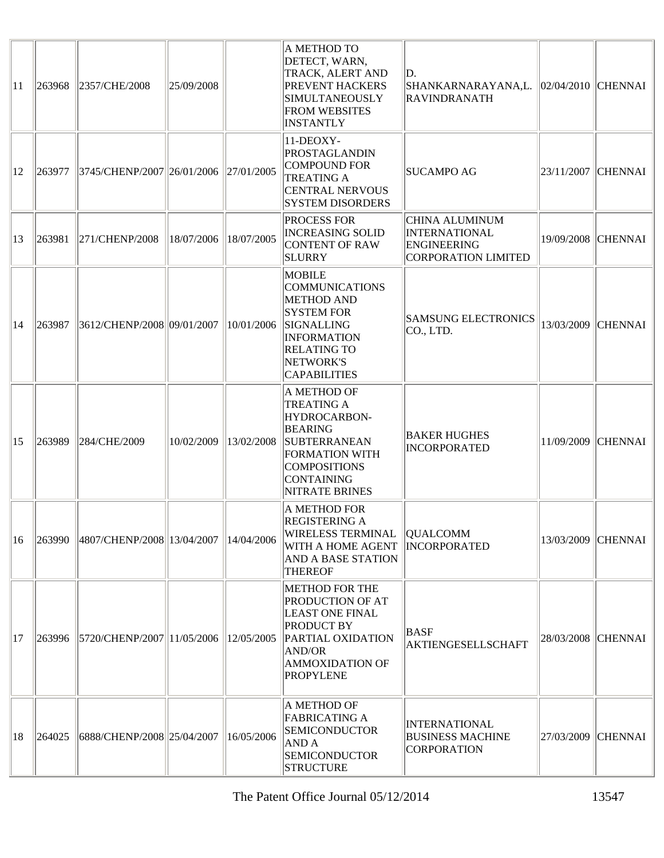| 11           | 263968 | 2357/CHE/2008                                     | 25/09/2008 |            | A METHOD TO<br>DETECT, WARN,<br>TRACK, ALERT AND<br><b>PREVENT HACKERS</b><br><b>SIMULTANEOUSLY</b><br><b>FROM WEBSITES</b><br><b>INSTANTLY</b>                                         | D.<br>SHANKARNARAYANA,L.<br><b>RAVINDRANATH</b>                                                   | $ 02/04/2010 $ CHENNAI |                    |
|--------------|--------|---------------------------------------------------|------------|------------|-----------------------------------------------------------------------------------------------------------------------------------------------------------------------------------------|---------------------------------------------------------------------------------------------------|------------------------|--------------------|
| $ 12\rangle$ | 263977 | 3745/CHENP/2007 26/01/2006                        |            | 27/01/2005 | 11-DEOXY-<br>PROSTAGLANDIN<br>COMPOUND FOR<br><b>TREATING A</b><br><b>CENTRAL NERVOUS</b><br><b>SYSTEM DISORDERS</b>                                                                    | <b>SUCAMPO AG</b>                                                                                 | 23/11/2007 CHENNAI     |                    |
| 13           | 263981 | 271/CHENP/2008                                    | 18/07/2006 | 18/07/2005 | <b>PROCESS FOR</b><br><b>INCREASING SOLID</b><br>CONTENT OF RAW<br><b>SLURRY</b>                                                                                                        | <b>CHINA ALUMINUM</b><br><b>INTERNATIONAL</b><br><b>ENGINEERING</b><br><b>CORPORATION LIMITED</b> |                        | 19/09/2008 CHENNAI |
| 14           | 263987 | 3612/CHENP/2008 09/01/2007                        |            | 10/01/2006 | <b>MOBILE</b><br><b>COMMUNICATIONS</b><br><b>METHOD AND</b><br><b>SYSTEM FOR</b><br><b>SIGNALLING</b><br><b>INFORMATION</b><br><b>RELATING TO</b><br>NETWORK'S<br><b>CAPABILITIES</b>   | <b>SAMSUNG ELECTRONICS</b><br>CO., LTD.                                                           |                        | 13/03/2009 CHENNAI |
| 15           | 263989 | 284/CHE/2009                                      | 10/02/2009 | 13/02/2008 | A METHOD OF<br><b>TREATING A</b><br>HYDROCARBON-<br><b>BEARING</b><br><b>SUBTERRANEAN</b><br><b>FORMATION WITH</b><br><b>COMPOSITIONS</b><br><b>CONTAINING</b><br><b>NITRATE BRINES</b> | <b>BAKER HUGHES</b><br><b>INCORPORATED</b>                                                        |                        | 11/09/2009 CHENNAI |
| $ 16\rangle$ |        | 263990   4807/CHENP/2008  13/04/2007   14/04/2006 |            |            | A METHOD FOR<br><b>REGISTERING A</b><br><b>WIRELESS TERMINAL</b><br>WITH A HOME AGENT<br><b>AND A BASE STATION</b><br><b>THEREOF</b>                                                    | <b>QUALCOMM</b><br><b>INCORPORATED</b>                                                            |                        | 13/03/2009 CHENNAI |
| 17           | 263996 | 5720/CHENP/2007  11/05/2006                       |            | 12/05/2005 | <b>METHOD FOR THE</b><br>PRODUCTION OF AT<br><b>LEAST ONE FINAL</b><br><b>PRODUCT BY</b><br>PARTIAL OXIDATION<br>AND/OR<br><b>AMMOXIDATION OF</b><br><b>PROPYLENE</b>                   | <b>BASF</b><br><b>AKTIENGESELLSCHAFT</b>                                                          | 28/03/2008 CHENNAI     |                    |
| 18           | 264025 | 6888/CHENP/2008 25/04/2007                        |            | 16/05/2006 | A METHOD OF<br><b>FABRICATING A</b><br><b>SEMICONDUCTOR</b><br>AND A<br><b>SEMICONDUCTOR</b><br><b>STRUCTURE</b>                                                                        | <b>INTERNATIONAL</b><br><b>BUSINESS MACHINE</b><br><b>CORPORATION</b>                             | 27/03/2009 CHENNAI     |                    |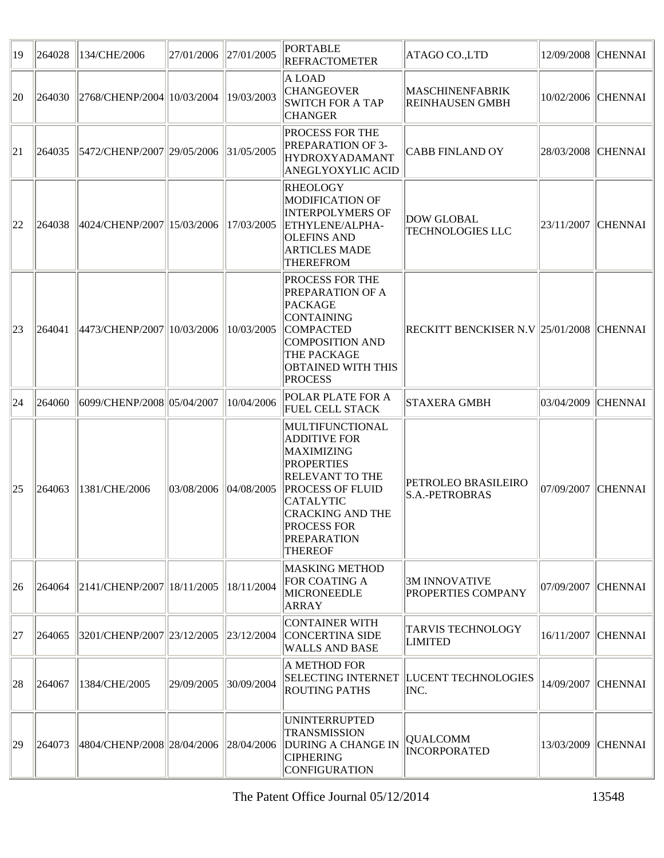| 19 | 264028 | 134/CHE/2006                             | 27/01/2006 27/01/2005 |            | <b>PORTABLE</b><br><b>REFRACTOMETER</b>                                                                                                                                                                                                            | ATAGO CO.,LTD                                       | 12/09/2008         | <b>CHENNAI</b> |
|----|--------|------------------------------------------|-----------------------|------------|----------------------------------------------------------------------------------------------------------------------------------------------------------------------------------------------------------------------------------------------------|-----------------------------------------------------|--------------------|----------------|
| 20 | 264030 | 2768/CHENP/2004  10/03/2004              |                       | 19/03/2003 | A LOAD<br><b>CHANGEOVER</b><br><b>SWITCH FOR A TAP</b><br><b>CHANGER</b>                                                                                                                                                                           | <b>MASCHINENFABRIK</b><br><b>REINHAUSEN GMBH</b>    | 10/02/2006 CHENNAI |                |
| 21 | 264035 | 5472/CHENP/2007  29/05/2006   31/05/2005 |                       |            | <b>PROCESS FOR THE</b><br><b>PREPARATION OF 3-</b><br><b>HYDROXYADAMANT</b><br><b>ANEGLYOXYLIC ACID</b>                                                                                                                                            | <b>CABB FINLAND OY</b>                              | 28/03/2008 CHENNAI |                |
| 22 | 264038 | 4024/CHENP/2007 15/03/2006               |                       | 17/03/2005 | <b>RHEOLOGY</b><br>MODIFICATION OF<br><b>INTERPOLYMERS OF</b><br>ETHYLENE/ALPHA-<br><b>OLEFINS AND</b><br><b>ARTICLES MADE</b><br><b>THEREFROM</b>                                                                                                 | <b>DOW GLOBAL</b><br><b>TECHNOLOGIES LLC</b>        | 23/11/2007 CHENNAI |                |
| 23 | 264041 | 4473/CHENP/2007 10/03/2006               |                       | 10/03/2005 | <b>PROCESS FOR THE</b><br><b>PREPARATION OF A</b><br>PACKAGE<br><b>CONTAINING</b><br><b>COMPACTED</b><br>COMPOSITION AND<br><b>THE PACKAGE</b><br><b>OBTAINED WITH THIS</b><br><b>PROCESS</b>                                                      | RECKITT BENCKISER N.V 25/01/2008 CHENNAI            |                    |                |
| 24 | 264060 | 6099/CHENP/2008 05/04/2007               |                       | 10/04/2006 | POLAR PLATE FOR A<br><b>FUEL CELL STACK</b>                                                                                                                                                                                                        | <b>STAXERA GMBH</b>                                 | 03/04/2009         | <b>CHENNAI</b> |
| 25 | 264063 | 1381/CHE/2006                            | 03/08/2006            | 04/08/2005 | MULTIFUNCTIONAL<br><b>ADDITIVE FOR</b><br><b>MAXIMIZING</b><br><b>PROPERTIES</b><br><b>RELEVANT TO THE</b><br><b>PROCESS OF FLUID</b><br><b>CATALYTIC</b><br><b>CRACKING AND THE</b><br><b>PROCESS FOR</b><br><b>PREPARATION</b><br><b>THEREOF</b> | <b>PETROLEO BRASILEIRO</b><br><b>S.A.-PETROBRAS</b> | 07/09/2007         | <b>CHENNAI</b> |
| 26 | 264064 | 2141/CHENP/2007  18/11/2005              |                       | 18/11/2004 | <b>MASKING METHOD</b><br>FOR COATING A<br><b>MICRONEEDLE</b><br>ARRAY                                                                                                                                                                              | 3M INNOVATIVE<br><b>PROPERTIES COMPANY</b>          | 07/09/2007         | <b>CHENNAI</b> |
| 27 | 264065 | 3201/CHENP/2007 23/12/2005               |                       | 23/12/2004 | CONTAINER WITH<br><b>CONCERTINA SIDE</b><br><b>WALLS AND BASE</b>                                                                                                                                                                                  | <b>TARVIS TECHNOLOGY</b><br><b>LIMITED</b>          | 16/11/2007         | <b>CHENNAI</b> |
| 28 | 264067 | 1384/CHE/2005                            | 29/09/2005            | 30/09/2004 | A METHOD FOR<br><b>ROUTING PATHS</b>                                                                                                                                                                                                               | SELECTING INTERNET  LUCENT TECHNOLOGIES<br>INC.     | 14/09/2007         | <b>CHENNAI</b> |
| 29 | 264073 | 4804/CHENP/2008 28/04/2006 28/04/2006    |                       |            | <b>UNINTERRUPTED</b><br><b>TRANSMISSION</b><br><b>DURING A CHANGE IN</b><br><b>CIPHERING</b><br>CONFIGURATION                                                                                                                                      | <b>QUALCOMM</b><br><b>INCORPORATED</b>              | 13/03/2009         | <b>CHENNAI</b> |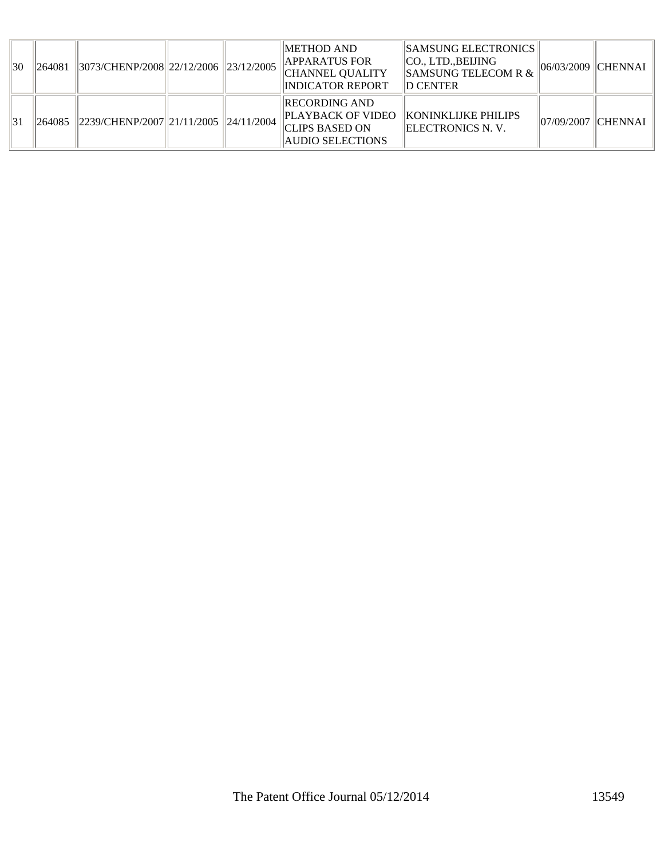| $\vert$ 30 | 1264081 | $  3073/CHENP/2008  22/12/2006  23/12/2005$       |  | METHOD AND<br><b>APPARATUS FOR</b><br><b>CHANNEL QUALITY</b><br><b>INDICATOR REPORT</b>                                   | SAMSUNG ELECTRONICS <br>CO., LTD.,BEIJING<br>SAMSUNG TELECOM R &<br>ID CENTER | 06/03/2009 CHENNAI |  |
|------------|---------|---------------------------------------------------|--|---------------------------------------------------------------------------------------------------------------------------|-------------------------------------------------------------------------------|--------------------|--|
| 131        |         | 264085   2239/CHENP/2007  21/11/2005   24/11/2004 |  | <b>IRECORDING AND</b><br><b>PLAYBACK OF VIDEO KONINKLIJKE PHILIPS</b><br><b>CLIPS BASED ON</b><br><b>AUDIO SELECTIONS</b> | <b>IELECTRONICS N. V.</b>                                                     | 07/09/2007 CHENNAI |  |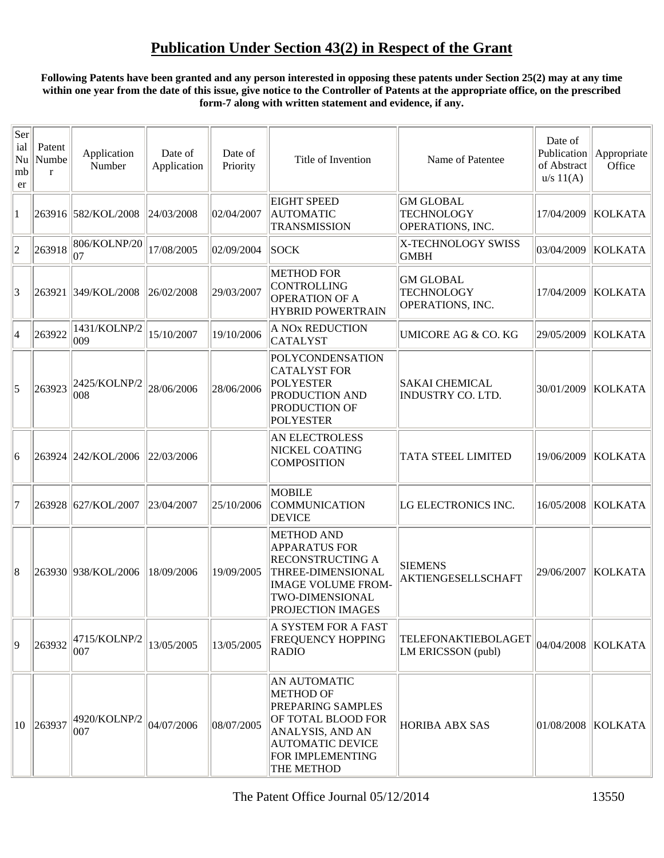## **Publication Under Section 43(2) in Respect of the Grant**

### **Following Patents have been granted and any person interested in opposing these patents under Section 25(2) may at any time within one year from the date of this issue, give notice to the Controller of Patents at the appropriate office, on the prescribed form-7 along with written statement and evidence, if any.**

| Ser<br>ial<br>Nu<br>mb<br>er | Patent<br>Numbe<br>$\mathbf{r}$ | Application<br>Number | Date of<br>Application | Date of<br>Priority | Title of Invention                                                                                                                                                           | Name of Patentee                                          | Date of<br>Publication<br>of Abstract<br>u/s 11(A) | Appropriate<br>Office |
|------------------------------|---------------------------------|-----------------------|------------------------|---------------------|------------------------------------------------------------------------------------------------------------------------------------------------------------------------------|-----------------------------------------------------------|----------------------------------------------------|-----------------------|
| $\mathbf 1$                  |                                 | 263916 582/KOL/2008   | 24/03/2008             | 02/04/2007          | <b>EIGHT SPEED</b><br><b>AUTOMATIC</b><br><b>TRANSMISSION</b>                                                                                                                | <b>GM GLOBAL</b><br><b>TECHNOLOGY</b><br>OPERATIONS, INC. | 17/04/2009                                         | <b>KOLKATA</b>        |
| $ 2\rangle$                  | 263918                          | 806/KOLNP/20<br> 07   | 17/08/2005             | 02/09/2004          | <b>SOCK</b>                                                                                                                                                                  | X-TECHNOLOGY SWISS<br><b>GMBH</b>                         | 03/04/2009                                         | KOLKATA               |
| 3                            |                                 | 263921 349/KOL/2008   | 26/02/2008             | 29/03/2007          | <b>METHOD FOR</b><br><b>CONTROLLING</b><br><b>OPERATION OF A</b><br><b>HYBRID POWERTRAIN</b>                                                                                 | <b>GM GLOBAL</b><br><b>TECHNOLOGY</b><br>OPERATIONS, INC. | 17/04/2009                                         | <b>KOLKATA</b>        |
| 4                            | 263922                          | 1431/KOLNP/2<br>009   | 15/10/2007             | 19/10/2006          | A NO <sub>x</sub> REDUCTION<br><b>CATALYST</b>                                                                                                                               | UMICORE AG & CO. KG                                       | 29/05/2009                                         | <b>KOLKATA</b>        |
| 5                            | 263923                          | 2425/KOLNP/2<br>008   | 28/06/2006             | 28/06/2006          | POLYCONDENSATION<br><b>CATALYST FOR</b><br><b>POLYESTER</b><br>PRODUCTION AND<br>PRODUCTION OF<br><b>POLYESTER</b>                                                           | <b>SAKAI CHEMICAL</b><br><b>INDUSTRY CO. LTD.</b>         | 30/01/2009                                         | <b>KOLKATA</b>        |
| 6                            |                                 | 263924 242/KOL/2006   | 22/03/2006             |                     | <b>AN ELECTROLESS</b><br>NICKEL COATING<br><b>COMPOSITION</b>                                                                                                                | <b>TATA STEEL LIMITED</b>                                 | 19/06/2009                                         | <b>KOLKATA</b>        |
| 17                           |                                 | 263928 627/KOL/2007   | 23/04/2007             | 25/10/2006          | <b>MOBILE</b><br><b>COMMUNICATION</b><br><b>DEVICE</b>                                                                                                                       | LG ELECTRONICS INC.                                       | 16/05/2008                                         | <b>KOLKATA</b>        |
| 8                            |                                 | 263930 938/KOL/2006   | 18/09/2006             | 19/09/2005          | <b>METHOD AND</b><br><b>APPARATUS FOR</b><br><b>RECONSTRUCTING A</b><br>THREE-DIMENSIONAL<br><b>IMAGE VOLUME FROM-</b><br><b>TWO-DIMENSIONAL</b><br><b>PROJECTION IMAGES</b> | <b>SIEMENS</b><br>AKTIENGESELLSCHAFT                      | 29/06/2007                                         | <b>KOLKATA</b>        |
| 9                            | 263932                          | 4715/KOLNP/2<br>007   | 13/05/2005             | 13/05/2005          | A SYSTEM FOR A FAST<br><b>FREQUENCY HOPPING</b><br>RADIO                                                                                                                     | TELEFONAKTIEBOLAGET<br>LM ERICSSON (publ)                 |                                                    | 04/04/2008   KOLKATA  |
| 10                           | 263937                          | 4920/KOLNP/2<br>007   | 04/07/2006             | 08/07/2005          | <b>AN AUTOMATIC</b><br><b>METHOD OF</b><br>PREPARING SAMPLES<br>OF TOTAL BLOOD FOR<br>ANALYSIS, AND AN<br><b>AUTOMATIC DEVICE</b><br>FOR IMPLEMENTING<br>THE METHOD          | <b>HORIBA ABX SAS</b>                                     | 01/08/2008                                         | KOLKATA               |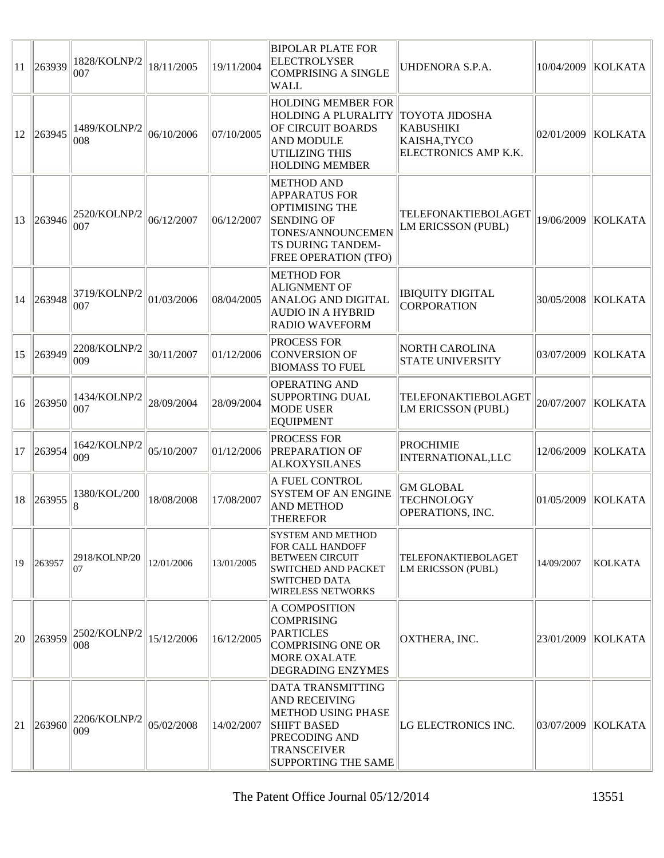| 11           | 263939 | 1828/KOLNP/2<br>007 | 18/11/2005 | 19/11/2004 | <b>BIPOLAR PLATE FOR</b><br><b>ELECTROLYSER</b><br><b>COMPRISING A SINGLE</b><br><b>WALL</b>                                                                                    | <b>UHDENORA S.P.A.</b>                                                            | 10/04/2009 | <b>KOLKATA</b> |
|--------------|--------|---------------------|------------|------------|---------------------------------------------------------------------------------------------------------------------------------------------------------------------------------|-----------------------------------------------------------------------------------|------------|----------------|
| 12           | 263945 | 1489/KOLNP/2<br>008 | 06/10/2006 | 07/10/2005 | <b>HOLDING MEMBER FOR</b><br><b>HOLDING A PLURALITY</b><br>OF CIRCUIT BOARDS<br><b>AND MODULE</b><br><b>UTILIZING THIS</b><br><b>HOLDING MEMBER</b>                             | <b>TOYOTA JIDOSHA</b><br><b>KABUSHIKI</b><br>KAISHA, TYCO<br>ELECTRONICS AMP K.K. | 02/01/2009 | <b>KOLKATA</b> |
| $ 13\rangle$ | 263946 | 2520/KOLNP/2<br>007 | 06/12/2007 | 06/12/2007 | <b>METHOD AND</b><br><b>APPARATUS FOR</b><br><b>OPTIMISING THE</b><br><b>SENDING OF</b><br>TONES/ANNOUNCEMEN<br>TS DURING TANDEM-<br><b>FREE OPERATION (TFO)</b>                | TELEFONAKTIEBOLAGET<br>LM ERICSSON (PUBL)                                         | 19/06/2009 | <b>KOLKATA</b> |
| $ 14\rangle$ | 263948 | 3719/KOLNP/2<br>007 | 01/03/2006 | 08/04/2005 | <b>METHOD FOR</b><br><b>ALIGNMENT OF</b><br>ANALOG AND DIGITAL<br><b>AUDIO IN A HYBRID</b><br><b>RADIO WAVEFORM</b>                                                             | <b>IBIQUITY DIGITAL</b><br>CORPORATION                                            | 30/05/2008 | <b>KOLKATA</b> |
| 15           | 263949 | 2208/KOLNP/2<br>009 | 30/11/2007 | 01/12/2006 | <b>PROCESS FOR</b><br><b>CONVERSION OF</b><br><b>BIOMASS TO FUEL</b>                                                                                                            | <b>NORTH CAROLINA</b><br><b>STATE UNIVERSITY</b>                                  | 03/07/2009 | <b>KOLKATA</b> |
| 16           | 263950 | 1434/KOLNP/2<br>007 | 28/09/2004 | 28/09/2004 | <b>OPERATING AND</b><br><b>SUPPORTING DUAL</b><br><b>MODE USER</b><br><b>EQUIPMENT</b>                                                                                          | TELEFONAKTIEBOLAGET<br>LM ERICSSON (PUBL)                                         | 20/07/2007 | <b>KOLKATA</b> |
| 17           | 263954 | 1642/KOLNP/2<br>009 | 05/10/2007 | 01/12/2006 | <b>PROCESS FOR</b><br><b>PREPARATION OF</b><br><b>ALKOXYSILANES</b>                                                                                                             | <b>PROCHIMIE</b><br>INTERNATIONAL, LLC                                            | 12/06/2009 | <b>KOLKATA</b> |
| 18           | 263955 | 1380/KOL/200        | 18/08/2008 | 17/08/2007 | A FUEL CONTROL<br><b>SYSTEM OF AN ENGINE</b><br><b>AND METHOD</b><br><b>THEREFOR</b>                                                                                            | <b>GM GLOBAL</b><br><b>TECHNOLOGY</b><br>OPERATIONS, INC.                         | 01/05/2009 | <b>KOLKATA</b> |
| 19           | 263957 | 2918/KOLNP/20<br>07 | 12/01/2006 | 13/01/2005 | <b>SYSTEM AND METHOD</b><br>FOR CALL HANDOFF<br><b>BETWEEN CIRCUIT</b><br><b>SWITCHED AND PACKET</b><br><b>SWITCHED DATA</b><br><b>WIRELESS NETWORKS</b>                        | <b>TELEFONAKTIEBOLAGET</b><br>LM ERICSSON (PUBL)                                  | 14/09/2007 | <b>KOLKATA</b> |
| 20           | 263959 | 2502/KOLNP/2<br>008 | 15/12/2006 | 16/12/2005 | A COMPOSITION<br><b>COMPRISING</b><br><b>PARTICLES</b><br><b>COMPRISING ONE OR</b><br><b>MORE OXALATE</b><br><b>DEGRADING ENZYMES</b>                                           | OXTHERA, INC.                                                                     | 23/01/2009 | KOLKATA        |
| 21           | 263960 | 2206/KOLNP/2<br>009 | 05/02/2008 | 14/02/2007 | <b>DATA TRANSMITTING</b><br><b>AND RECEIVING</b><br><b>METHOD USING PHASE</b><br><b>SHIFT BASED</b><br><b>PRECODING AND</b><br><b>TRANSCEIVER</b><br><b>SUPPORTING THE SAME</b> | LG ELECTRONICS INC.                                                               | 03/07/2009 | <b>KOLKATA</b> |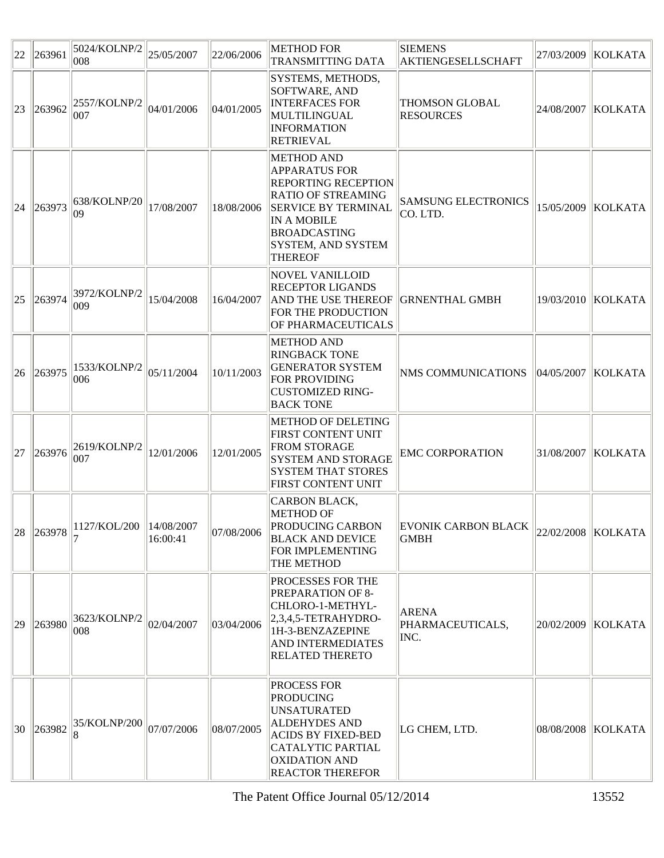| 22           | 263961    | 5024/KOLNP/2<br>008     | 25/05/2007 | 22/06/2006 | <b>METHOD FOR</b><br><b>TRANSMITTING DATA</b>                                                                                                                                                                           | <b>SIEMENS</b><br><b>AKTIENGESELLSCHAFT</b>                                                               | 27/03/2009 | <b>KOLKATA</b>  |
|--------------|-----------|-------------------------|------------|------------|-------------------------------------------------------------------------------------------------------------------------------------------------------------------------------------------------------------------------|-----------------------------------------------------------------------------------------------------------|------------|-----------------|
| 23           | 263962    | 2557/KOLNP/2<br>007     | 04/01/2006 | 04/01/2005 | SYSTEMS, METHODS,<br>SOFTWARE, AND<br><b>INTERFACES FOR</b><br>MULTILINGUAL<br><b>INFORMATION</b><br><b>RETRIEVAL</b>                                                                                                   | THOMSON GLOBAL<br><b>RESOURCES</b>                                                                        | 24/08/2007 | KOLKATA         |
| 24           | 263973    | 638/KOLNP/20<br>09      | 17/08/2007 | 18/08/2006 | <b>METHOD AND</b><br><b>APPARATUS FOR</b><br>REPORTING RECEPTION<br><b>RATIO OF STREAMING</b><br><b>SERVICE BY TERMINAL</b><br><b>IN A MOBILE</b><br><b>BROADCASTING</b><br><b>SYSTEM, AND SYSTEM</b><br><b>THEREOF</b> | <b>SAMSUNG ELECTRONICS</b><br>CO. LTD.                                                                    | 15/05/2009 | <b>KOLKATA</b>  |
| $ 25\rangle$ | 263974    | 3972/KOLNP/2<br>009     | 15/04/2008 | 16/04/2007 | <b>NOVEL VANILLOID</b><br><b>RECEPTOR LIGANDS</b><br>AND THE USE THEREOF<br>FOR THE PRODUCTION<br>OF PHARMACEUTICALS                                                                                                    | <b>GRNENTHAL GMBH</b>                                                                                     | 19/03/2010 | KOLKATA         |
| 26           | 263975    | 1533/KOLNP/2<br>006     | 05/11/2004 | 10/11/2003 | <b>METHOD AND</b><br><b>RINGBACK TONE</b><br><b>GENERATOR SYSTEM</b><br><b>FOR PROVIDING</b><br><b>CUSTOMIZED RING-</b><br><b>BACK TONE</b>                                                                             | NMS COMMUNICATIONS                                                                                        | 04/05/2007 | <b>IKOLKATA</b> |
| 27           | 263976    | 2619/KOLNP/2<br>007     | 12/01/2006 | 12/01/2005 | <b>METHOD OF DELETING</b><br><b>FIRST CONTENT UNIT</b><br><b>FROM STORAGE</b><br><b>SYSTEM AND STORAGE</b><br><b>SYSTEM THAT STORES</b><br>FIRST CONTENT UNIT                                                           | <b>EMC CORPORATION</b>                                                                                    | 31/08/2007 | <b>KOLKATA</b>  |
|              | 28 263978 | 1127/KOL/200 14/08/2007 | 16:00:41   | 07/08/2006 | <b>CARBON BLACK,</b><br><b>METHOD OF</b><br><b>BLACK AND DEVICE</b><br><b>FOR IMPLEMENTING</b><br>THE METHOD                                                                                                            | <b>PRODUCING CARBON EVONIK CARBON BLACK</b> $\left\  \frac{22}{02222008} \right\ $ KOLKATA<br><b>GMBH</b> |            |                 |
| 29           | 263980    | 3623/KOLNP/2<br>008     | 02/04/2007 | 03/04/2006 | PROCESSES FOR THE<br><b>PREPARATION OF 8-</b><br>CHLORO-1-METHYL-<br>$2,3,4,5$ -TETRAHYDRO-<br>1H-3-BENZAZEPINE<br>AND INTERMEDIATES<br><b>RELATED THERETO</b>                                                          | <b>ARENA</b><br>PHARMACEUTICALS,<br>INC.                                                                  | 20/02/2009 | KOLKATA         |
|              | 30 263982 | 35/KOLNP/200            | 07/07/2006 | 08/07/2005 | PROCESS FOR<br><b>PRODUCING</b><br><b>UNSATURATED</b><br><b>ALDEHYDES AND</b><br><b>ACIDS BY FIXED-BED</b><br>CATALYTIC PARTIAL<br><b>OXIDATION AND</b><br><b>REACTOR THEREFOR</b>                                      | LG CHEM, LTD.                                                                                             | 08/08/2008 | KOLKATA         |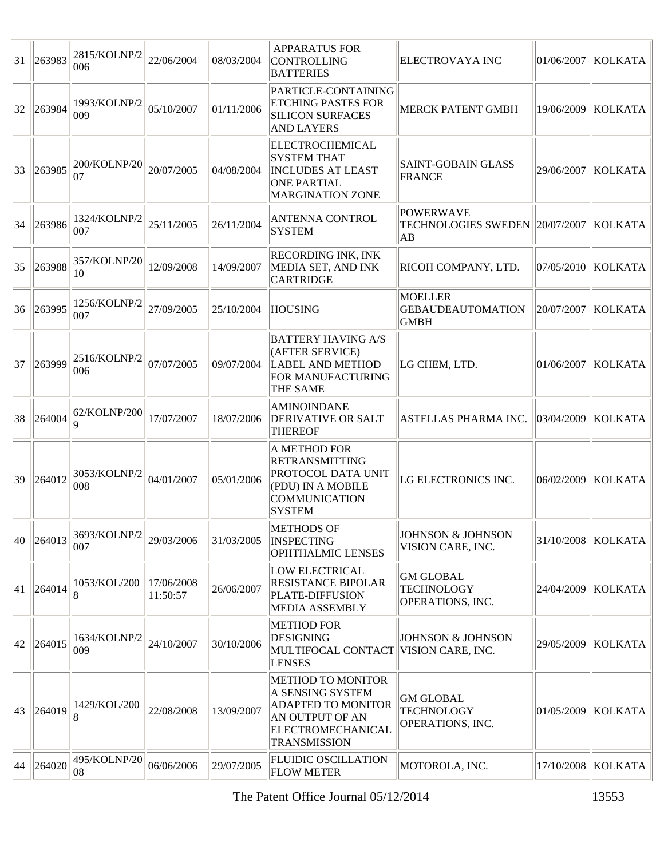| 31           | 263983      | 2815/KOLNP/2<br>006 | 22/06/2004             | 08/03/2004 | <b>APPARATUS FOR</b><br><b>CONTROLLING</b><br><b>BATTERIES</b>                                                                           | ELECTROVAYA INC                                           | 01/06/2007 | <b>KOLKATA</b>       |
|--------------|-------------|---------------------|------------------------|------------|------------------------------------------------------------------------------------------------------------------------------------------|-----------------------------------------------------------|------------|----------------------|
| 32           | 263984      | 1993/KOLNP/2<br>009 | 05/10/2007             | 01/11/2006 | PARTICLE-CONTAINING<br><b>ETCHING PASTES FOR</b><br><b>SILICON SURFACES</b><br><b>AND LAYERS</b>                                         | <b>MERCK PATENT GMBH</b>                                  | 19/06/2009 | <b>KOLKATA</b>       |
| $ 33\rangle$ | $\ 263985$  | 200/KOLNP/20<br>107 | 20/07/2005             | 04/08/2004 | <b>ELECTROCHEMICAL</b><br><b>SYSTEM THAT</b><br><b>INCLUDES AT LEAST</b><br><b>ONE PARTIAL</b><br><b>MARGINATION ZONE</b>                | <b>SAINT-GOBAIN GLASS</b><br><b>FRANCE</b>                | 29/06/2007 | <b>KOLKATA</b>       |
| 34           | 263986      | 1324/KOLNP/2<br>007 | 25/11/2005             | 26/11/2004 | ANTENNA CONTROL<br><b>SYSTEM</b>                                                                                                         | <b>POWERWAVE</b><br>TECHNOLOGIES SWEDEN 20/07/2007<br>AB  |            | <b>KOLKATA</b>       |
| $ 35\rangle$ | 263988      | 357/KOLNP/20<br>10  | 12/09/2008             | 14/09/2007 | <b>RECORDING INK, INK</b><br>MEDIA SET, AND INK<br><b>CARTRIDGE</b>                                                                      | RICOH COMPANY, LTD.                                       |            | 07/05/2010   KOLKATA |
| 36           | 263995      | 1256/KOLNP/2<br>007 | 27/09/2005             | 25/10/2004 | <b>HOUSING</b>                                                                                                                           | <b>MOELLER</b><br><b>GEBAUDEAUTOMATION</b><br><b>GMBH</b> | 20/07/2007 | <b>KOLKATA</b>       |
| 37           | 263999      | 2516/KOLNP/2<br>006 | 07/07/2005             | 09/07/2004 | <b>BATTERY HAVING A/S</b><br>(AFTER SERVICE)<br><b>LABEL AND METHOD</b><br>FOR MANUFACTURING<br><b>THE SAME</b>                          | LG CHEM, LTD.                                             | 01/06/2007 | <b>KOLKATA</b>       |
| 38           | 264004      | 62/KOLNP/200<br>Q   | 17/07/2007             | 18/07/2006 | <b>AMINOINDANE</b><br><b>DERIVATIVE OR SALT</b><br><b>THEREOF</b>                                                                        | <b>ASTELLAS PHARMA INC.</b>                               | 03/04/2009 | <b>KOLKATA</b>       |
| 39           | 264012      | 3053/KOLNP/2<br>008 | 04/01/2007             | 05/01/2006 | A METHOD FOR<br><b>RETRANSMITTING</b><br>PROTOCOL DATA UNIT<br>$($ PDU $)$ IN A MOBILE<br><b>COMMUNICATION</b><br><b>SYSTEM</b>          | LG ELECTRONICS INC.                                       | 06/02/2009 | <b>KOLKATA</b>       |
|              | 40 264013   | 3693/KOLNP/2<br>007 | 29/03/2006             | 31/03/2005 | METHODS OF<br><b>INSPECTING</b><br>OPHTHALMIC LENSES                                                                                     | <b>JOHNSON &amp; JOHNSON</b><br>VISION CARE, INC.         |            | 31/10/2008   KOLKATA |
| 41           | 264014      | 1053/KOL/200        | 17/06/2008<br>11:50:57 | 26/06/2007 | <b>LOW ELECTRICAL</b><br><b>RESISTANCE BIPOLAR</b><br>PLATE-DIFFUSION<br><b>MEDIA ASSEMBLY</b>                                           | <b>GM GLOBAL</b><br><b>TECHNOLOGY</b><br>OPERATIONS, INC. | 24/04/2009 | <b>KOLKATA</b>       |
| 42           | $\ 264015$  | 1634/KOLNP/2<br>009 | 24/10/2007             | 30/10/2006 | <b>METHOD FOR</b><br>DESIGNING<br>MULTIFOCAL CONTACT<br><b>LENSES</b>                                                                    | <b>JOHNSON &amp; JOHNSON</b><br>VISION CARE, INC.         | 29/05/2009 | KOLKATA              |
|              | 43   264019 | 1429/KOL/200        | 22/08/2008             | 13/09/2007 | <b>METHOD TO MONITOR</b><br>A SENSING SYSTEM<br><b>ADAPTED TO MONITOR</b><br>AN OUTPUT OF AN<br>ELECTROMECHANICAL<br><b>TRANSMISSION</b> | <b>GM GLOBAL</b><br><b>TECHNOLOGY</b><br>OPERATIONS, INC. | 01/05/2009 | <b>KOLKATA</b>       |
|              | 44 264020   | 495/KOLNP/20<br>08  | 06/06/2006             | 29/07/2005 | <b>FLUIDIC OSCILLATION</b><br><b>FLOW METER</b>                                                                                          | MOTOROLA, INC.                                            | 17/10/2008 | <b>KOLKATA</b>       |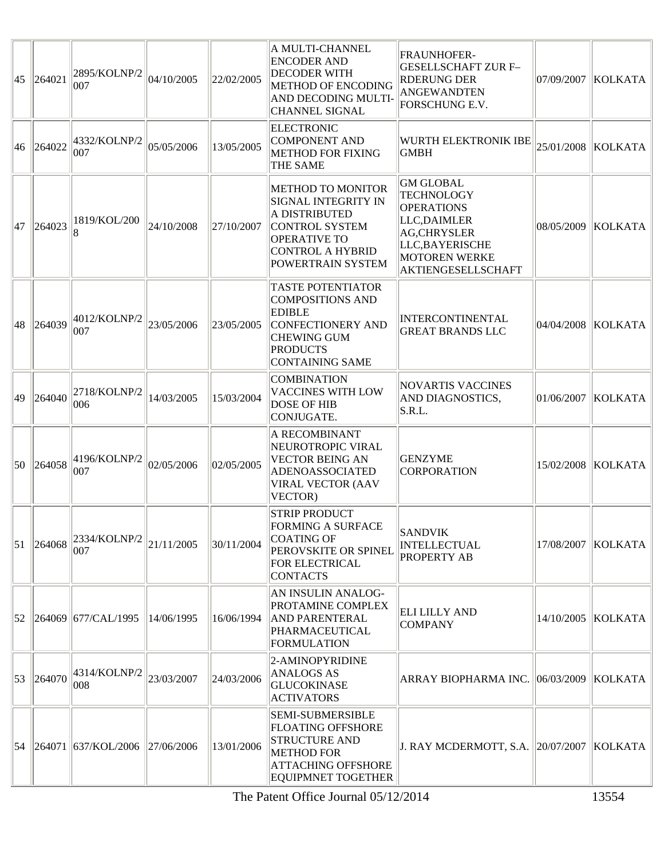| $ 45\rangle$     | 264021 | 2895/KOLNP/2<br>007                     | 04/10/2005 | 22/02/2005 | A MULTI-CHANNEL<br><b>ENCODER AND</b><br><b>DECODER WITH</b><br><b>METHOD OF ENCODING</b><br>AND DECODING MULTI-<br><b>CHANNEL SIGNAL</b>                    | <b>FRAUNHOFER-</b><br><b>GESELLSCHAFT ZUR F-</b><br><b>RDERUNG DER</b><br><b>ANGEWANDTEN</b><br>FORSCHUNG E.V.                                                    | 07/09/2007 | <b>KOLKATA</b> |
|------------------|--------|-----------------------------------------|------------|------------|--------------------------------------------------------------------------------------------------------------------------------------------------------------|-------------------------------------------------------------------------------------------------------------------------------------------------------------------|------------|----------------|
| 46               | 264022 | 4332/KOLNP/2<br>007                     | 05/05/2006 | 13/05/2005 | <b>ELECTRONIC</b><br><b>COMPONENT AND</b><br><b>METHOD FOR FIXING</b><br><b>THE SAME</b>                                                                     | WURTH ELEKTRONIK IBE<br><b>GMBH</b>                                                                                                                               | 25/01/2008 | KOLKATA        |
| 47               | 264023 | 1819/KOL/200                            | 24/10/2008 | 27/10/2007 | <b>METHOD TO MONITOR</b><br>SIGNAL INTEGRITY IN<br>A DISTRIBUTED<br>CONTROL SYSTEM<br><b>OPERATIVE TO</b><br><b>CONTROL A HYBRID</b><br>POWERTRAIN SYSTEM    | <b>GM GLOBAL</b><br><b>TECHNOLOGY</b><br><b>OPERATIONS</b><br>LLC, DAIMLER<br><b>AG,CHRYSLER</b><br>LLC, BAYERISCHE<br><b>MOTOREN WERKE</b><br>AKTIENGESELLSCHAFT | 08/05/2009 | <b>KOLKATA</b> |
| 48               | 264039 | 4012/KOLNP/2<br>007                     | 23/05/2006 | 23/05/2005 | <b>TASTE POTENTIATOR</b><br><b>COMPOSITIONS AND</b><br><b>EDIBLE</b><br>CONFECTIONERY AND<br><b>CHEWING GUM</b><br><b>PRODUCTS</b><br><b>CONTAINING SAME</b> | <b>INTERCONTINENTAL</b><br><b>GREAT BRANDS LLC</b>                                                                                                                | 04/04/2008 | KOLKATA        |
| 49               | 264040 | 2718/KOLNP/2<br>006                     | 14/03/2005 | 15/03/2004 | <b>COMBINATION</b><br><b>VACCINES WITH LOW</b><br><b>DOSE OF HIB</b><br>CONJUGATE.                                                                           | <b>NOVARTIS VACCINES</b><br>AND DIAGNOSTICS,<br>S.R.L.                                                                                                            | 01/06/2007 | <b>KOLKATA</b> |
| 50               | 264058 | 4196/KOLNP/2<br>007                     | 02/05/2006 | 02/05/2005 | A RECOMBINANT<br>NEUROTROPIC VIRAL<br><b>VECTOR BEING AN</b><br><b>ADENOASSOCIATED</b><br><b>VIRAL VECTOR (AAV</b><br>VECTOR)                                | <b>GENZYME</b><br><b>CORPORATION</b>                                                                                                                              | 15/02/2008 | KOLKATA        |
| 51               | 264068 | 2334/KOLNP/2<br>007                     | 21/11/2005 | 30/11/2004 | <b>STRIP PRODUCT</b><br><b>FORMING A SURFACE</b><br><b>COATING OF</b><br>PEROVSKITE OR SPINEL<br><b>FOR ELECTRICAL</b><br><b>CONTACTS</b>                    | <b>SANDVIK</b><br><b>INTELLECTUAL</b><br>PROPERTY AB                                                                                                              | 17/08/2007 | KOLKATA        |
|                  |        | 52   264069   677/CAL/1995              | 14/06/1995 | 16/06/1994 | AN INSULIN ANALOG-<br><b>PROTAMINE COMPLEX</b><br><b>AND PARENTERAL</b><br>PHARMACEUTICAL<br><b>FORMULATION</b>                                              | <b>ELI LILLY AND</b><br><b>COMPANY</b>                                                                                                                            | 14/10/2005 | KOLKATA        |
| $\vert 53 \vert$ | 264070 | 4314/KOLNP/2<br>008                     | 23/03/2007 | 24/03/2006 | 2-AMINOPYRIDINE<br>ANALOGS AS<br><b>GLUCOKINASE</b><br><b>ACTIVATORS</b>                                                                                     | ARRAY BIOPHARMA INC. 06/03/2009                                                                                                                                   |            | KOLKATA        |
|                  |        | 54   264071   637/KOL/2006   27/06/2006 |            | 13/01/2006 | <b>SEMI-SUBMERSIBLE</b><br><b>FLOATING OFFSHORE</b><br><b>STRUCTURE AND</b><br><b>METHOD FOR</b><br><b>ATTACHING OFFSHORE</b><br><b>EQUIPMNET TOGETHER</b>   | J. RAY MCDERMOTT, S.A. 20/07/2007                                                                                                                                 |            | KOLKATA        |